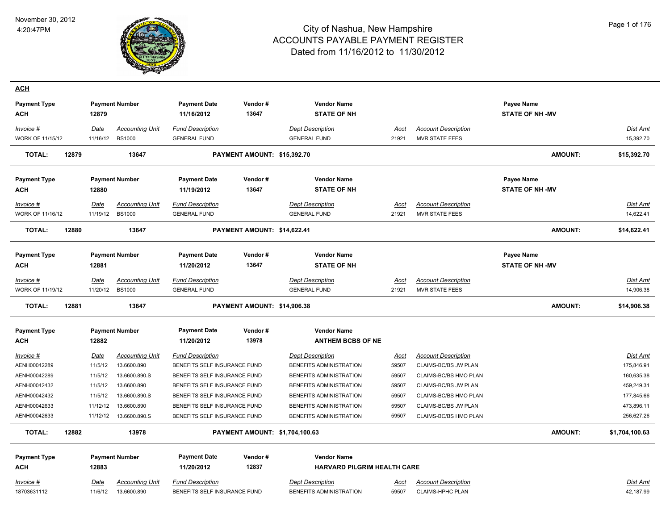

| <b>ACH</b>                    |                  |                                         |                                                |                                |                                                |               |                                              |                        |                       |
|-------------------------------|------------------|-----------------------------------------|------------------------------------------------|--------------------------------|------------------------------------------------|---------------|----------------------------------------------|------------------------|-----------------------|
| <b>Payment Type</b>           |                  | <b>Payment Number</b>                   | <b>Payment Date</b>                            | Vendor#                        | <b>Vendor Name</b>                             |               |                                              | Payee Name             |                       |
| <b>ACH</b>                    | 12879            |                                         | 11/16/2012                                     | 13647                          | <b>STATE OF NH</b>                             |               |                                              | <b>STATE OF NH-MV</b>  |                       |
| Invoice #                     | <b>Date</b>      | <b>Accounting Unit</b>                  | <b>Fund Description</b>                        |                                | <b>Dept Description</b>                        | Acct          | <b>Account Description</b>                   |                        | <u>Dist Amt</u>       |
| <b>WORK OF 11/15/12</b>       |                  | 11/16/12 BS1000                         | <b>GENERAL FUND</b>                            |                                | <b>GENERAL FUND</b>                            | 21921         | <b>MVR STATE FEES</b>                        |                        | 15,392.70             |
| <b>TOTAL:</b><br>12879        |                  | 13647                                   |                                                | PAYMENT AMOUNT: \$15,392.70    |                                                |               |                                              | <b>AMOUNT:</b>         | \$15,392.70           |
| <b>Payment Type</b>           |                  | <b>Payment Number</b>                   | <b>Payment Date</b>                            | Vendor#                        | <b>Vendor Name</b>                             |               |                                              | <b>Payee Name</b>      |                       |
| <b>ACH</b>                    | 12880            |                                         | 11/19/2012                                     | 13647                          | <b>STATE OF NH</b>                             |               |                                              | <b>STATE OF NH-MV</b>  |                       |
| Invoice #<br>WORK OF 11/16/12 | Date<br>11/19/12 | <b>Accounting Unit</b><br><b>BS1000</b> | <b>Fund Description</b><br><b>GENERAL FUND</b> |                                | <b>Dept Description</b><br><b>GENERAL FUND</b> | Acct<br>21921 | <b>Account Description</b><br>MVR STATE FEES |                        | Dist Amt<br>14,622.41 |
| <b>TOTAL:</b><br>12880        |                  | 13647                                   |                                                | PAYMENT AMOUNT: \$14,622.41    |                                                |               |                                              | <b>AMOUNT:</b>         | \$14,622.41           |
| <b>Payment Type</b>           |                  | <b>Payment Number</b>                   | <b>Payment Date</b>                            | Vendor#                        | <b>Vendor Name</b>                             |               |                                              | Payee Name             |                       |
| <b>ACH</b>                    | 12881            |                                         | 11/20/2012                                     | 13647                          | <b>STATE OF NH</b>                             |               |                                              | <b>STATE OF NH -MV</b> |                       |
| Invoice #                     | Date             | <b>Accounting Unit</b>                  | <b>Fund Description</b>                        |                                | <b>Dept Description</b>                        | Acct          | <b>Account Description</b>                   |                        | Dist Amt              |
| WORK OF 11/19/12              |                  | 11/20/12 BS1000                         | <b>GENERAL FUND</b>                            |                                | <b>GENERAL FUND</b>                            | 21921         | MVR STATE FEES                               |                        | 14,906.38             |
| <b>TOTAL:</b><br>12881        |                  | 13647                                   |                                                | PAYMENT AMOUNT: \$14,906.38    |                                                |               |                                              | <b>AMOUNT:</b>         | \$14,906.38           |
| <b>Payment Type</b><br>ACH    | 12882            | <b>Payment Number</b>                   | <b>Payment Date</b><br>11/20/2012              | Vendor#<br>13978               | <b>Vendor Name</b><br><b>ANTHEM BCBS OF NE</b> |               |                                              |                        |                       |
| $Invoice$ #                   | <b>Date</b>      | <b>Accounting Unit</b>                  | <b>Fund Description</b>                        |                                | <b>Dept Description</b>                        | <b>Acct</b>   | <b>Account Description</b>                   |                        | Dist Amt              |
| AENH00042289                  | 11/5/12          | 13.6600.890                             | BENEFITS SELF INSURANCE FUND                   |                                | BENEFITS ADMINISTRATION                        | 59507         | CLAIMS-BC/BS JW PLAN                         |                        | 175,846.91            |
| AENH00042289                  | 11/5/12          | 13.6600.890.S                           | BENEFITS SELF INSURANCE FUND                   |                                | BENEFITS ADMINISTRATION                        | 59507         | CLAIMS-BC/BS HMO PLAN                        |                        | 160,635.38            |
| AENH00042432                  | 11/5/12          | 13.6600.890                             | BENEFITS SELF INSURANCE FUND                   |                                | BENEFITS ADMINISTRATION                        | 59507         | CLAIMS-BC/BS JW PLAN                         |                        | 459,249.31            |
| AENH00042432                  | 11/5/12          | 13.6600.890.S                           | BENEFITS SELF INSURANCE FUND                   |                                | BENEFITS ADMINISTRATION                        | 59507         | CLAIMS-BC/BS HMO PLAN                        |                        | 177,845.66            |
| AENH00042633                  | 11/12/12         | 13.6600.890                             | BENEFITS SELF INSURANCE FUND                   |                                | BENEFITS ADMINISTRATION                        | 59507         | CLAIMS-BC/BS JW PLAN                         |                        | 473,896.11            |
| AENH00042633                  | 11/12/12         | 13.6600.890.S                           | BENEFITS SELF INSURANCE FUND                   |                                | BENEFITS ADMINISTRATION                        | 59507         | CLAIMS-BC/BS HMO PLAN                        |                        | 256,627.26            |
| <b>TOTAL:</b><br>12882        |                  | 13978                                   |                                                | PAYMENT AMOUNT: \$1,704,100.63 |                                                |               |                                              | <b>AMOUNT:</b>         | \$1,704,100.63        |
| <b>Payment Type</b>           |                  | <b>Payment Number</b>                   | <b>Payment Date</b>                            | Vendor#                        | <b>Vendor Name</b>                             |               |                                              |                        |                       |
| <b>ACH</b>                    | 12883            |                                         | 11/20/2012                                     | 12837                          | HARVARD PILGRIM HEALTH CARE                    |               |                                              |                        |                       |
| Invoice #                     | <b>Date</b>      | <b>Accounting Unit</b>                  | <b>Fund Description</b>                        |                                | <b>Dept Description</b>                        | <u>Acct</u>   | <b>Account Description</b>                   |                        | <u>Dist Amt</u>       |
| 18703631112                   | 11/6/12          | 13.6600.890                             | BENEFITS SELF INSURANCE FUND                   |                                | BENEFITS ADMINISTRATION                        | 59507         | <b>CLAIMS-HPHC PLAN</b>                      |                        | 42,187.99             |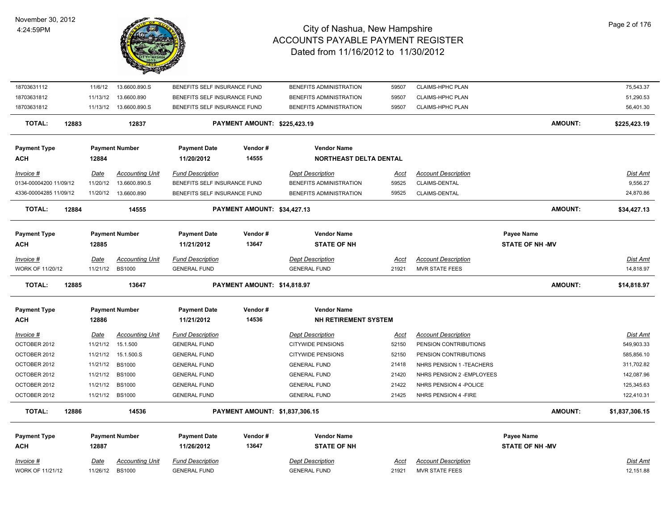

| 18703631112             | 11/6/12     | 13.6600.890.S           | BENEFITS SELF INSURANCE FUND |                                | BENEFITS ADMINISTRATION     | 59507       | CLAIMS-HPHC PLAN           |                        |                | 75,543.37      |
|-------------------------|-------------|-------------------------|------------------------------|--------------------------------|-----------------------------|-------------|----------------------------|------------------------|----------------|----------------|
| 18703631812             | 11/13/12    | 13.6600.890             | BENEFITS SELF INSURANCE FUND |                                | BENEFITS ADMINISTRATION     | 59507       | <b>CLAIMS-HPHC PLAN</b>    |                        |                | 51,290.53      |
| 18703631812             |             | 11/13/12  13.6600.890.S | BENEFITS SELF INSURANCE FUND |                                | BENEFITS ADMINISTRATION     | 59507       | <b>CLAIMS-HPHC PLAN</b>    |                        |                | 56,401.30      |
| <b>TOTAL:</b><br>12883  |             | 12837                   |                              | PAYMENT AMOUNT: \$225,423.19   |                             |             |                            |                        | <b>AMOUNT:</b> | \$225,423.19   |
| <b>Payment Type</b>     |             | <b>Payment Number</b>   | <b>Payment Date</b>          | Vendor#                        | <b>Vendor Name</b>          |             |                            |                        |                |                |
| <b>ACH</b>              | 12884       |                         | 11/20/2012                   | 14555                          | NORTHEAST DELTA DENTAL      |             |                            |                        |                |                |
| <b>Invoice #</b>        | <u>Date</u> | <b>Accounting Unit</b>  | <b>Fund Description</b>      |                                | <b>Dept Description</b>     | <u>Acct</u> | <b>Account Description</b> |                        |                | Dist Amt       |
| 0134-00004200 11/09/12  | 11/20/12    | 13.6600.890.S           | BENEFITS SELF INSURANCE FUND |                                | BENEFITS ADMINISTRATION     | 59525       | CLAIMS-DENTAL              |                        |                | 9,556.27       |
| 4336-00004285 11/09/12  |             | 11/20/12  13.6600.890   | BENEFITS SELF INSURANCE FUND |                                | BENEFITS ADMINISTRATION     | 59525       | CLAIMS-DENTAL              |                        |                | 24,870.86      |
| <b>TOTAL:</b><br>12884  |             | 14555                   |                              | PAYMENT AMOUNT: \$34,427.13    |                             |             |                            |                        | <b>AMOUNT:</b> | \$34,427.13    |
| <b>Payment Type</b>     |             | <b>Payment Number</b>   | <b>Payment Date</b>          | Vendor#                        | <b>Vendor Name</b>          |             |                            | <b>Payee Name</b>      |                |                |
| <b>ACH</b>              | 12885       |                         | 11/21/2012                   | 13647                          | <b>STATE OF NH</b>          |             |                            | <b>STATE OF NH -MV</b> |                |                |
| Invoice #               | Date        | <b>Accounting Unit</b>  | <b>Fund Description</b>      |                                | <b>Dept Description</b>     | Acct        | <b>Account Description</b> |                        |                | Dist Amt       |
| WORK OF 11/20/12        |             | 11/21/12 BS1000         | <b>GENERAL FUND</b>          |                                | <b>GENERAL FUND</b>         | 21921       | <b>MVR STATE FEES</b>      |                        |                | 14,818.97      |
| TOTAL:<br>12885         |             | 13647                   |                              | PAYMENT AMOUNT: \$14,818.97    |                             |             |                            |                        | <b>AMOUNT:</b> | \$14,818.97    |
| <b>Payment Type</b>     |             | <b>Payment Number</b>   | <b>Payment Date</b>          | Vendor#                        | <b>Vendor Name</b>          |             |                            |                        |                |                |
| ACH                     | 12886       |                         | 11/21/2012                   | 14536                          | <b>NH RETIREMENT SYSTEM</b> |             |                            |                        |                |                |
| Invoice #               | Date        | <b>Accounting Unit</b>  | <b>Fund Description</b>      |                                | <b>Dept Description</b>     | <u>Acct</u> | <b>Account Description</b> |                        |                | Dist Amt       |
| OCTOBER 2012            |             | 11/21/12  15.1.500      | <b>GENERAL FUND</b>          |                                | <b>CITYWIDE PENSIONS</b>    | 52150       | PENSION CONTRIBUTIONS      |                        |                | 549,903.33     |
| OCTOBER 2012            |             | 11/21/12  15.1.500.S    | <b>GENERAL FUND</b>          |                                | <b>CITYWIDE PENSIONS</b>    | 52150       | PENSION CONTRIBUTIONS      |                        |                | 585,856.10     |
| OCTOBER 2012            | 11/21/12    | <b>BS1000</b>           | <b>GENERAL FUND</b>          |                                | <b>GENERAL FUND</b>         | 21418       | NHRS PENSION 1 - TEACHERS  |                        |                | 311,702.82     |
| OCTOBER 2012            | 11/21/12    | <b>BS1000</b>           | <b>GENERAL FUND</b>          |                                | <b>GENERAL FUND</b>         | 21420       | NHRS PENSION 2 - EMPLOYEES |                        |                | 142,087.96     |
| OCTOBER 2012            | 11/21/12    | <b>BS1000</b>           | <b>GENERAL FUND</b>          |                                | <b>GENERAL FUND</b>         | 21422       | NHRS PENSION 4 - POLICE    |                        |                | 125,345.63     |
| OCTOBER 2012            |             | 11/21/12 BS1000         | <b>GENERAL FUND</b>          |                                | <b>GENERAL FUND</b>         | 21425       | NHRS PENSION 4 - FIRE      |                        |                | 122,410.31     |
| <b>TOTAL:</b><br>12886  |             | 14536                   |                              | PAYMENT AMOUNT: \$1,837,306.15 |                             |             |                            |                        | <b>AMOUNT:</b> | \$1,837,306.15 |
| <b>Payment Type</b>     |             | <b>Payment Number</b>   | <b>Payment Date</b>          | Vendor#                        | <b>Vendor Name</b>          |             |                            | <b>Payee Name</b>      |                |                |
| <b>ACH</b>              | 12887       |                         | 11/26/2012                   | 13647                          | <b>STATE OF NH</b>          |             |                            | <b>STATE OF NH -MV</b> |                |                |
| Invoice #               | Date        | <b>Accounting Unit</b>  | <b>Fund Description</b>      |                                | <b>Dept Description</b>     | Acct        | <b>Account Description</b> |                        |                | Dist Amt       |
| <b>WORK OF 11/21/12</b> | 11/26/12    | <b>BS1000</b>           | <b>GENERAL FUND</b>          |                                | <b>GENERAL FUND</b>         | 21921       | <b>MVR STATE FEES</b>      |                        |                | 12,151.88      |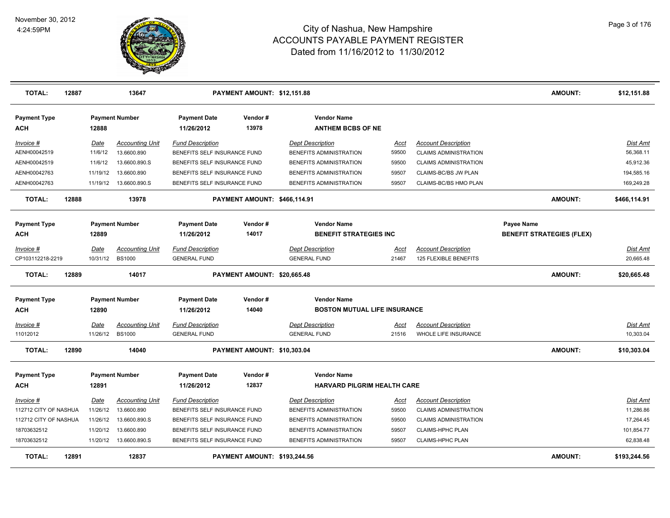

| <b>TOTAL:</b>              | 12887 |             | 13647                   |                                   | PAYMENT AMOUNT: \$12,151.88  |                                                          |             |                              | <b>AMOUNT:</b>                   | \$12,151.88     |
|----------------------------|-------|-------------|-------------------------|-----------------------------------|------------------------------|----------------------------------------------------------|-------------|------------------------------|----------------------------------|-----------------|
| <b>Payment Type</b><br>ACH |       | 12888       | <b>Payment Number</b>   | <b>Payment Date</b><br>11/26/2012 | Vendor#<br>13978             | <b>Vendor Name</b><br><b>ANTHEM BCBS OF NE</b>           |             |                              |                                  |                 |
| Invoice #                  |       | Date        | <b>Accounting Unit</b>  | <b>Fund Description</b>           |                              | <b>Dept Description</b>                                  | <u>Acct</u> | <b>Account Description</b>   |                                  | <b>Dist Amt</b> |
| AENH00042519               |       | 11/6/12     | 13.6600.890             | BENEFITS SELF INSURANCE FUND      |                              | BENEFITS ADMINISTRATION                                  | 59500       | <b>CLAIMS ADMINISTRATION</b> |                                  | 56,368.11       |
| AENH00042519               |       | 11/6/12     | 13.6600.890.S           | BENEFITS SELF INSURANCE FUND      |                              | BENEFITS ADMINISTRATION                                  | 59500       | <b>CLAIMS ADMINISTRATION</b> |                                  | 45,912.36       |
| AENH00042763               |       | 11/19/12    | 13.6600.890             | BENEFITS SELF INSURANCE FUND      |                              | BENEFITS ADMINISTRATION                                  | 59507       | CLAIMS-BC/BS JW PLAN         |                                  | 194,585.16      |
| AENH00042763               |       |             | 11/19/12  13.6600.890.S | BENEFITS SELF INSURANCE FUND      |                              | BENEFITS ADMINISTRATION                                  | 59507       | CLAIMS-BC/BS HMO PLAN        |                                  | 169,249.28      |
| <b>TOTAL:</b>              | 12888 |             | 13978                   |                                   | PAYMENT AMOUNT: \$466,114.91 |                                                          |             |                              | <b>AMOUNT:</b>                   | \$466,114.91    |
| <b>Payment Type</b>        |       |             | <b>Payment Number</b>   | <b>Payment Date</b>               | Vendor#                      | <b>Vendor Name</b>                                       |             |                              | Payee Name                       |                 |
| <b>ACH</b>                 |       | 12889       |                         | 11/26/2012                        | 14017                        | <b>BENEFIT STRATEGIES INC</b>                            |             |                              | <b>BENEFIT STRATEGIES (FLEX)</b> |                 |
| Invoice #                  |       | Date        | <b>Accounting Unit</b>  | <b>Fund Description</b>           |                              | <b>Dept Description</b>                                  | <u>Acct</u> | <b>Account Description</b>   |                                  | Dist Amt        |
| CP103112218-2219           |       | 10/31/12    | <b>BS1000</b>           | <b>GENERAL FUND</b>               |                              | <b>GENERAL FUND</b>                                      | 21467       | 125 FLEXIBLE BENEFITS        |                                  | 20,665.48       |
| <b>TOTAL:</b>              | 12889 |             | 14017                   |                                   | PAYMENT AMOUNT: \$20,665.48  |                                                          |             |                              | <b>AMOUNT:</b>                   | \$20,665.48     |
| <b>Payment Type</b>        |       |             | <b>Payment Number</b>   | <b>Payment Date</b>               | Vendor#                      | <b>Vendor Name</b>                                       |             |                              |                                  |                 |
| ACH                        |       | 12890       |                         | 11/26/2012                        | 14040                        | <b>BOSTON MUTUAL LIFE INSURANCE</b>                      |             |                              |                                  |                 |
| <u> Invoice #</u>          |       | <u>Date</u> | <b>Accounting Unit</b>  | <b>Fund Description</b>           |                              | <b>Dept Description</b>                                  | <u>Acct</u> | <b>Account Description</b>   |                                  | <b>Dist Amt</b> |
| 11012012                   |       | 11/26/12    | <b>BS1000</b>           | <b>GENERAL FUND</b>               |                              | <b>GENERAL FUND</b>                                      | 21516       | WHOLE LIFE INSURANCE         |                                  | 10,303.04       |
| <b>TOTAL:</b>              | 12890 |             | 14040                   |                                   | PAYMENT AMOUNT: \$10,303.04  |                                                          |             |                              | <b>AMOUNT:</b>                   | \$10,303.04     |
| <b>Payment Type</b><br>ACH |       | 12891       | <b>Payment Number</b>   | <b>Payment Date</b><br>11/26/2012 | Vendor#<br>12837             | <b>Vendor Name</b><br><b>HARVARD PILGRIM HEALTH CARE</b> |             |                              |                                  |                 |
| Invoice #                  |       | Date        | <b>Accounting Unit</b>  | <b>Fund Description</b>           |                              | <b>Dept Description</b>                                  | Acct        | <b>Account Description</b>   |                                  | Dist Amt        |
| 112712 CITY OF NASHUA      |       | 11/26/12    | 13.6600.890             | BENEFITS SELF INSURANCE FUND      |                              | BENEFITS ADMINISTRATION                                  | 59500       | <b>CLAIMS ADMINISTRATION</b> |                                  | 11,286.86       |
| 112712 CITY OF NASHUA      |       | 11/26/12    | 13.6600.890.S           | BENEFITS SELF INSURANCE FUND      |                              | BENEFITS ADMINISTRATION                                  | 59500       | <b>CLAIMS ADMINISTRATION</b> |                                  | 17,264.45       |
| 18703632512                |       | 11/20/12    | 13.6600.890             | BENEFITS SELF INSURANCE FUND      |                              | BENEFITS ADMINISTRATION                                  | 59507       | <b>CLAIMS-HPHC PLAN</b>      |                                  | 101,854.77      |
| 18703632512                |       | 11/20/12    | 13.6600.890.S           | BENEFITS SELF INSURANCE FUND      |                              | BENEFITS ADMINISTRATION                                  | 59507       | <b>CLAIMS-HPHC PLAN</b>      |                                  | 62,838.48       |
| <b>TOTAL:</b>              | 12891 |             | 12837                   |                                   | PAYMENT AMOUNT: \$193,244.56 |                                                          |             |                              | <b>AMOUNT:</b>                   | \$193,244.56    |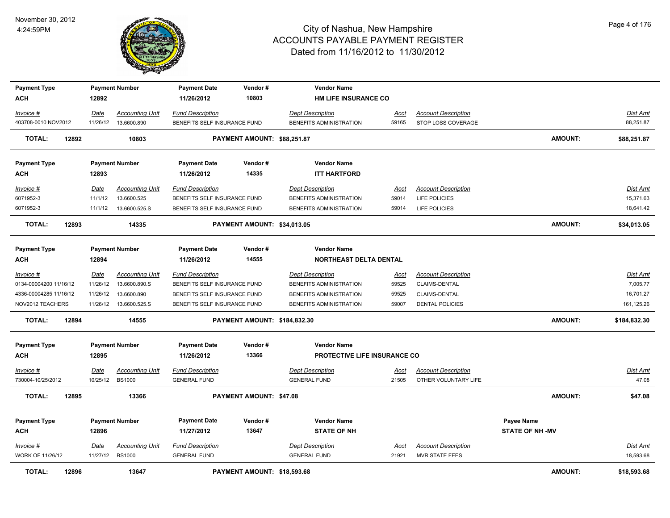

| <b>Payment Type</b>    |       |                 | <b>Payment Number</b>                 | <b>Payment Date</b>                                     | Vendor#                        | <b>Vendor Name</b>                                 |               |                                             |                        |                       |
|------------------------|-------|-----------------|---------------------------------------|---------------------------------------------------------|--------------------------------|----------------------------------------------------|---------------|---------------------------------------------|------------------------|-----------------------|
| <b>ACH</b>             |       | 12892           |                                       | 11/26/2012                                              | 10803                          | <b>HM LIFE INSURANCE CO</b>                        |               |                                             |                        |                       |
| Invoice #              |       | Date            | <b>Accounting Unit</b>                | <b>Fund Description</b>                                 |                                | <b>Dept Description</b>                            | Acct          | <b>Account Description</b>                  |                        | Dist Amt              |
| 403708-0010 NOV2012    |       | 11/26/12        | 13.6600.890                           | BENEFITS SELF INSURANCE FUND                            |                                | BENEFITS ADMINISTRATION                            | 59165         | STOP LOSS COVERAGE                          |                        | 88,251.87             |
| TOTAL:                 | 12892 |                 | 10803                                 |                                                         | PAYMENT AMOUNT: \$88,251.87    |                                                    |               |                                             | <b>AMOUNT:</b>         | \$88,251.87           |
| <b>Payment Type</b>    |       |                 | <b>Payment Number</b>                 | <b>Payment Date</b>                                     | Vendor#                        | <b>Vendor Name</b>                                 |               |                                             |                        |                       |
| <b>ACH</b>             |       | 12893           |                                       | 11/26/2012                                              | 14335                          | <b>ITT HARTFORD</b>                                |               |                                             |                        |                       |
|                        |       |                 |                                       |                                                         |                                |                                                    |               |                                             |                        |                       |
| Invoice #<br>6071952-3 |       | Date<br>11/1/12 | <b>Accounting Unit</b><br>13.6600.525 | <b>Fund Description</b><br>BENEFITS SELF INSURANCE FUND |                                | <b>Dept Description</b><br>BENEFITS ADMINISTRATION | Acct<br>59014 | <b>Account Description</b><br>LIFE POLICIES |                        | Dist Amt<br>15,371.63 |
| 6071952-3              |       | 11/1/12         | 13.6600.525.S                         | BENEFITS SELF INSURANCE FUND                            |                                | BENEFITS ADMINISTRATION                            | 59014         | LIFE POLICIES                               |                        | 18,641.42             |
|                        |       |                 |                                       |                                                         |                                |                                                    |               |                                             |                        |                       |
| <b>TOTAL:</b>          | 12893 |                 | 14335                                 |                                                         | PAYMENT AMOUNT: \$34,013.05    |                                                    |               |                                             | <b>AMOUNT:</b>         | \$34,013.05           |
|                        |       |                 |                                       |                                                         |                                |                                                    |               |                                             |                        |                       |
| <b>Payment Type</b>    |       |                 | <b>Payment Number</b>                 | <b>Payment Date</b>                                     | Vendor#                        | <b>Vendor Name</b>                                 |               |                                             |                        |                       |
| <b>ACH</b>             |       | 12894           |                                       | 11/26/2012                                              | 14555                          | <b>NORTHEAST DELTA DENTAL</b>                      |               |                                             |                        |                       |
| Invoice #              |       | Date            | <b>Accounting Unit</b>                | <b>Fund Description</b>                                 |                                | <b>Dept Description</b>                            | Acct          | <b>Account Description</b>                  |                        | <b>Dist Amt</b>       |
| 0134-00004200 11/16/12 |       | 11/26/12        | 13.6600.890.S                         | BENEFITS SELF INSURANCE FUND                            |                                | BENEFITS ADMINISTRATION                            | 59525         | CLAIMS-DENTAL                               |                        | 7,005.77              |
| 4336-00004285 11/16/12 |       | 11/26/12        | 13.6600.890                           | BENEFITS SELF INSURANCE FUND                            |                                | BENEFITS ADMINISTRATION                            | 59525         | CLAIMS-DENTAL                               |                        | 16,701.27             |
| NOV2012 TEACHERS       |       |                 | 11/26/12  13.6600.525.S               | BENEFITS SELF INSURANCE FUND                            |                                | BENEFITS ADMINISTRATION                            | 59007         | <b>DENTAL POLICIES</b>                      |                        | 161,125.26            |
| <b>TOTAL:</b>          | 12894 |                 | 14555                                 |                                                         | PAYMENT AMOUNT: \$184,832.30   |                                                    |               |                                             | <b>AMOUNT:</b>         | \$184,832.30          |
| <b>Payment Type</b>    |       |                 | <b>Payment Number</b>                 | <b>Payment Date</b>                                     | Vendor#                        | <b>Vendor Name</b>                                 |               |                                             |                        |                       |
| <b>ACH</b>             |       | 12895           |                                       | 11/26/2012                                              | 13366                          | PROTECTIVE LIFE INSURANCE CO                       |               |                                             |                        |                       |
| Invoice #              |       | <u>Date</u>     | <b>Accounting Unit</b>                | <b>Fund Description</b>                                 |                                | <b>Dept Description</b>                            | <u>Acct</u>   | <b>Account Description</b>                  |                        | <b>Dist Amt</b>       |
| 730004-10/25/2012      |       | 10/25/12        | <b>BS1000</b>                         | <b>GENERAL FUND</b>                                     |                                | <b>GENERAL FUND</b>                                | 21505         | OTHER VOLUNTARY LIFE                        |                        | 47.08                 |
| <b>TOTAL:</b>          | 12895 |                 | 13366                                 |                                                         | <b>PAYMENT AMOUNT: \$47.08</b> |                                                    |               |                                             | <b>AMOUNT:</b>         | \$47.08               |
|                        |       |                 |                                       |                                                         |                                |                                                    |               |                                             |                        |                       |
| <b>Payment Type</b>    |       |                 | <b>Payment Number</b>                 | <b>Payment Date</b>                                     | Vendor#                        | <b>Vendor Name</b>                                 |               |                                             | Payee Name             |                       |
| <b>ACH</b>             |       | 12896           |                                       | 11/27/2012                                              | 13647                          | <b>STATE OF NH</b>                                 |               |                                             | <b>STATE OF NH -MV</b> |                       |
| Invoice #              |       | <b>Date</b>     | <b>Accounting Unit</b>                | <b>Fund Description</b>                                 |                                | <b>Dept Description</b>                            | <u>Acct</u>   | <b>Account Description</b>                  |                        | Dist Amt              |
| WORK OF 11/26/12       |       | 11/27/12 BS1000 |                                       | <b>GENERAL FUND</b>                                     |                                | <b>GENERAL FUND</b>                                | 21921         | <b>MVR STATE FEES</b>                       |                        | 18,593.68             |
|                        |       |                 |                                       |                                                         |                                |                                                    |               |                                             |                        |                       |
| <b>TOTAL:</b>          | 12896 |                 | 13647                                 |                                                         | PAYMENT AMOUNT: \$18,593.68    |                                                    |               |                                             | <b>AMOUNT:</b>         | \$18,593.68           |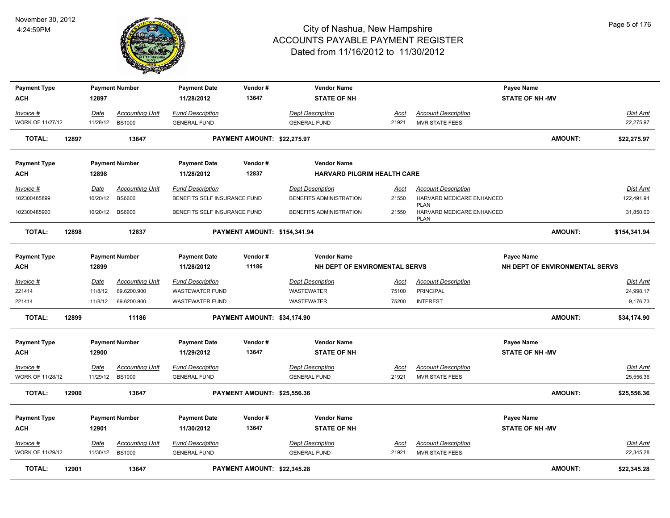

| <b>Payment Type</b>       |       |                  | <b>Payment Number</b>                   | <b>Payment Date</b>                                     | Vendor#                      | <b>Vendor Name</b>                                 |               |                                                         | <b>Payee Name</b>              |                                |
|---------------------------|-------|------------------|-----------------------------------------|---------------------------------------------------------|------------------------------|----------------------------------------------------|---------------|---------------------------------------------------------|--------------------------------|--------------------------------|
| <b>ACH</b>                |       | 12897            |                                         | 11/28/2012                                              | 13647                        | <b>STATE OF NH</b>                                 |               |                                                         | <b>STATE OF NH-MV</b>          |                                |
| Invoice #                 |       | Date             | <b>Accounting Unit</b>                  | <b>Fund Description</b>                                 |                              | <b>Dept Description</b>                            | Acct          | <b>Account Description</b>                              |                                | Dist Amt                       |
| WORK OF 11/27/12          |       | 11/28/12         | <b>BS1000</b>                           | <b>GENERAL FUND</b>                                     |                              | <b>GENERAL FUND</b>                                | 21921         | MVR STATE FEES                                          |                                | 22,275.97                      |
| <b>TOTAL:</b>             | 12897 |                  | 13647                                   |                                                         | PAYMENT AMOUNT: \$22,275.97  |                                                    |               |                                                         |                                | <b>AMOUNT:</b><br>\$22,275.97  |
| <b>Payment Type</b>       |       |                  | <b>Payment Number</b>                   | <b>Payment Date</b>                                     | Vendor#                      | <b>Vendor Name</b>                                 |               |                                                         |                                |                                |
| ACH                       |       | 12898            |                                         | 11/28/2012                                              | 12837                        | <b>HARVARD PILGRIM HEALTH CARE</b>                 |               |                                                         |                                |                                |
| Invoice #<br>102300485899 |       | Date<br>10/20/12 | <b>Accounting Unit</b><br><b>BS6600</b> | <b>Fund Description</b><br>BENEFITS SELF INSURANCE FUND |                              | <b>Dept Description</b><br>BENEFITS ADMINISTRATION | Acct<br>21550 | <b>Account Description</b><br>HARVARD MEDICARE ENHANCED |                                | <b>Dist Amt</b><br>122,491.94  |
| 102300485900              |       |                  | 10/20/12 BS6600                         | BENEFITS SELF INSURANCE FUND                            |                              | BENEFITS ADMINISTRATION                            | 21550         | <b>PLAN</b><br>HARVARD MEDICARE ENHANCED<br><b>PLAN</b> |                                | 31,850.00                      |
| <b>TOTAL:</b>             | 12898 |                  | 12837                                   |                                                         | PAYMENT AMOUNT: \$154,341.94 |                                                    |               |                                                         |                                | <b>AMOUNT:</b><br>\$154,341.94 |
| <b>Payment Type</b>       |       |                  | <b>Payment Number</b>                   | <b>Payment Date</b>                                     | Vendor#                      | <b>Vendor Name</b>                                 |               |                                                         | Payee Name                     |                                |
| <b>ACH</b>                |       | 12899            |                                         | 11/28/2012                                              | 11186                        | NH DEPT OF ENVIROMENTAL SERVS                      |               |                                                         | NH DEPT OF ENVIRONMENTAL SERVS |                                |
| Invoice #                 |       | Date             | <b>Accounting Unit</b>                  | <b>Fund Description</b>                                 |                              | <b>Dept Description</b>                            | <u>Acct</u>   | <b>Account Description</b>                              |                                | <b>Dist Amt</b>                |
| 221414                    |       | 11/8/12          | 69.6200.900                             | WASTEWATER FUND                                         |                              | WASTEWATER                                         | 75100         | <b>PRINCIPAL</b>                                        |                                | 24,998.17                      |
| 221414                    |       | 11/8/12          | 69.6200.900                             | <b>WASTEWATER FUND</b>                                  |                              | <b>WASTEWATER</b>                                  | 75200         | <b>INTEREST</b>                                         |                                | 9,176.73                       |
| <b>TOTAL:</b>             | 12899 |                  | 11186                                   |                                                         | PAYMENT AMOUNT: \$34,174.90  |                                                    |               |                                                         |                                | <b>AMOUNT:</b><br>\$34,174.90  |
| <b>Payment Type</b>       |       |                  | <b>Payment Number</b>                   | <b>Payment Date</b>                                     | Vendor#                      | <b>Vendor Name</b>                                 |               |                                                         | <b>Payee Name</b>              |                                |
| <b>ACH</b>                |       | 12900            |                                         | 11/29/2012                                              | 13647                        | <b>STATE OF NH</b>                                 |               |                                                         | <b>STATE OF NH -MV</b>         |                                |
| $Invoice$ #               |       | <b>Date</b>      | <b>Accounting Unit</b>                  | <b>Fund Description</b>                                 |                              | <b>Dept Description</b>                            | <u>Acct</u>   | <b>Account Description</b>                              |                                | Dist Amt                       |
| WORK OF 11/28/12          |       | 11/29/12         | <b>BS1000</b>                           | <b>GENERAL FUND</b>                                     |                              | <b>GENERAL FUND</b>                                | 21921         | <b>MVR STATE FEES</b>                                   |                                | 25,556.36                      |
| <b>TOTAL:</b>             | 12900 |                  | 13647                                   |                                                         | PAYMENT AMOUNT: \$25,556.36  |                                                    |               |                                                         |                                | <b>AMOUNT:</b><br>\$25,556.36  |
| <b>Payment Type</b>       |       |                  | <b>Payment Number</b>                   | <b>Payment Date</b>                                     | Vendor#                      | <b>Vendor Name</b>                                 |               |                                                         | <b>Payee Name</b>              |                                |
| ACH                       |       | 12901            |                                         | 11/30/2012                                              | 13647                        | <b>STATE OF NH</b>                                 |               |                                                         | <b>STATE OF NH -MV</b>         |                                |
| Invoice #                 |       | <b>Date</b>      | <b>Accounting Unit</b>                  | <b>Fund Description</b>                                 |                              | <b>Dept Description</b>                            | Acct          | <b>Account Description</b>                              |                                | Dist Amt                       |
| WORK OF 11/29/12          |       | 11/30/12 BS1000  |                                         | <b>GENERAL FUND</b>                                     |                              | <b>GENERAL FUND</b>                                | 21921         | <b>MVR STATE FEES</b>                                   |                                | 22,345.28                      |
| <b>TOTAL:</b>             | 12901 |                  | 13647                                   |                                                         | PAYMENT AMOUNT: \$22,345.28  |                                                    |               |                                                         |                                | <b>AMOUNT:</b><br>\$22,345.28  |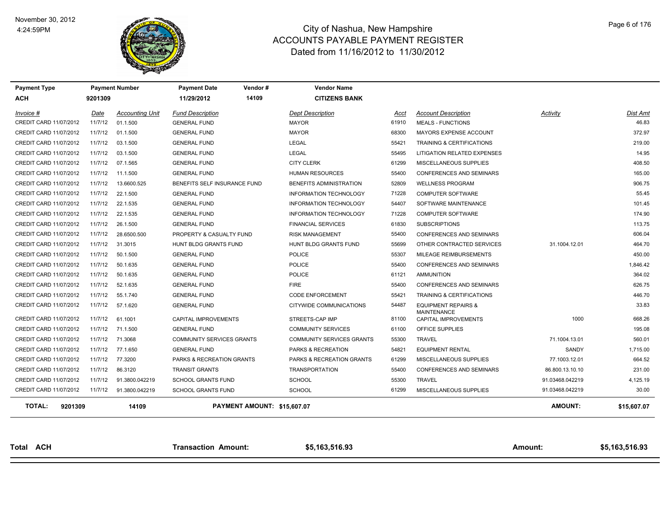

| <b>Payment Type</b><br><b>ACH</b> | 9201309 | <b>Payment Number</b>  | <b>Payment Date</b><br>11/29/2012 | Vendor#<br>14109            | <b>Vendor Name</b><br><b>CITIZENS BANK</b> |       |                                                      |                 |                |
|-----------------------------------|---------|------------------------|-----------------------------------|-----------------------------|--------------------------------------------|-------|------------------------------------------------------|-----------------|----------------|
| Invoice #                         | Date    | <b>Accounting Unit</b> | <b>Fund Description</b>           |                             | <b>Dept Description</b>                    | Acct  | <b>Account Description</b>                           | Activity        | Dist Amt       |
| CREDIT CARD 11/07/2012            | 11/7/12 | 01.1.500               | <b>GENERAL FUND</b>               |                             | <b>MAYOR</b>                               | 61910 | <b>MEALS - FUNCTIONS</b>                             |                 | 46.83          |
| CREDIT CARD 11/07/2012            | 11/7/12 | 01.1.500               | <b>GENERAL FUND</b>               |                             | <b>MAYOR</b>                               | 68300 | MAYORS EXPENSE ACCOUNT                               |                 | 372.97         |
| CREDIT CARD 11/07/2012            | 11/7/12 | 03.1.500               | <b>GENERAL FUND</b>               |                             | <b>LEGAL</b>                               | 55421 | TRAINING & CERTIFICATIONS                            |                 | 219.00         |
| CREDIT CARD 11/07/2012            | 11/7/12 | 03.1.500               | <b>GENERAL FUND</b>               |                             | <b>LEGAL</b>                               | 55495 | LITIGATION RELATED EXPENSES                          |                 | 14.95          |
| CREDIT CARD 11/07/2012            | 11/7/12 | 07.1.565               | <b>GENERAL FUND</b>               |                             | <b>CITY CLERK</b>                          | 61299 | MISCELLANEOUS SUPPLIES                               |                 | 408.50         |
| CREDIT CARD 11/07/2012            | 11/7/12 | 11.1.500               | <b>GENERAL FUND</b>               |                             | HUMAN RESOURCES                            | 55400 | <b>CONFERENCES AND SEMINARS</b>                      |                 | 165.00         |
| CREDIT CARD 11/07/2012            | 11/7/12 | 13.6600.525            | BENEFITS SELF INSURANCE FUND      |                             | <b>BENEFITS ADMINISTRATION</b>             | 52809 | <b>WELLNESS PROGRAM</b>                              |                 | 906.75         |
| CREDIT CARD 11/07/2012            | 11/7/12 | 22.1.500               | <b>GENERAL FUND</b>               |                             | <b>INFORMATION TECHNOLOGY</b>              | 71228 | <b>COMPUTER SOFTWARE</b>                             |                 | 55.45          |
| CREDIT CARD 11/07/2012            | 11/7/12 | 22.1.535               | <b>GENERAL FUND</b>               |                             | INFORMATION TECHNOLOGY                     | 54407 | SOFTWARE MAINTENANCE                                 |                 | 101.45         |
| CREDIT CARD 11/07/2012            | 11/7/12 | 22.1.535               | <b>GENERAL FUND</b>               |                             | <b>INFORMATION TECHNOLOGY</b>              | 71228 | <b>COMPUTER SOFTWARE</b>                             |                 | 174.90         |
| CREDIT CARD 11/07/2012            | 11/7/12 | 26.1.500               | <b>GENERAL FUND</b>               |                             | <b>FINANCIAL SERVICES</b>                  | 61830 | <b>SUBSCRIPTIONS</b>                                 |                 | 113.75         |
| CREDIT CARD 11/07/2012            | 11/7/12 | 28.6500.500            | PROPERTY & CASUALTY FUND          |                             | <b>RISK MANAGEMENT</b>                     | 55400 | CONFERENCES AND SEMINARS                             |                 | 606.04         |
| CREDIT CARD 11/07/2012            | 11/7/12 | 31.3015                | HUNT BLDG GRANTS FUND             |                             | HUNT BLDG GRANTS FUND                      | 55699 | OTHER CONTRACTED SERVICES                            | 31.1004.12.01   | 464.70         |
| CREDIT CARD 11/07/2012            | 11/7/12 | 50.1.500               | <b>GENERAL FUND</b>               |                             | <b>POLICE</b>                              | 55307 | MILEAGE REIMBURSEMENTS                               |                 | 450.00         |
| CREDIT CARD 11/07/2012            | 11/7/12 | 50.1.635               | <b>GENERAL FUND</b>               |                             | <b>POLICE</b>                              | 55400 | <b>CONFERENCES AND SEMINARS</b>                      |                 | 1,846.42       |
| CREDIT CARD 11/07/2012            | 11/7/12 | 50.1.635               | <b>GENERAL FUND</b>               |                             | <b>POLICE</b>                              | 61121 | AMMUNITION                                           |                 | 364.02         |
| CREDIT CARD 11/07/2012            | 11/7/12 | 52.1.635               | <b>GENERAL FUND</b>               |                             | <b>FIRE</b>                                | 55400 | CONFERENCES AND SEMINARS                             |                 | 626.75         |
| CREDIT CARD 11/07/2012            | 11/7/12 | 55.1.740               | <b>GENERAL FUND</b>               |                             | <b>CODE ENFORCEMENT</b>                    | 55421 | <b>TRAINING &amp; CERTIFICATIONS</b>                 |                 | 446.70         |
| CREDIT CARD 11/07/2012            | 11/7/12 | 57.1.620               | <b>GENERAL FUND</b>               |                             | CITYWIDE COMMUNICATIONS                    | 54487 | <b>EQUIPMENT REPAIRS &amp;</b><br><b>MAINTENANCE</b> |                 | 33.83          |
| CREDIT CARD 11/07/2012            | 11/7/12 | 61.1001                | CAPITAL IMPROVEMENTS              |                             | STREETS-CAP IMP                            | 81100 | CAPITAL IMPROVEMENTS                                 | 1000            | 668.26         |
| CREDIT CARD 11/07/2012            | 11/7/12 | 71.1.500               | <b>GENERAL FUND</b>               |                             | <b>COMMUNITY SERVICES</b>                  | 61100 | OFFICE SUPPLIES                                      |                 | 195.08         |
| CREDIT CARD 11/07/2012            | 11/7/12 | 71.3068                | <b>COMMUNITY SERVICES GRANTS</b>  |                             | <b>COMMUNITY SERVICES GRANTS</b>           | 55300 | TRAVEL                                               | 71.1004.13.01   | 560.01         |
| CREDIT CARD 11/07/2012            | 11/7/12 | 77.1.650               | <b>GENERAL FUND</b>               |                             | PARKS & RECREATION                         | 54821 | <b>EQUIPMENT RENTAL</b>                              | <b>SANDY</b>    | 1,715.00       |
| CREDIT CARD 11/07/2012            | 11/7/12 | 77.3200                | PARKS & RECREATION GRANTS         |                             | PARKS & RECREATION GRANTS                  | 61299 | MISCELLANEOUS SUPPLIES                               | 77.1003.12.01   | 664.52         |
| CREDIT CARD 11/07/2012            | 11/7/12 | 86.3120                | <b>TRANSIT GRANTS</b>             |                             | <b>TRANSPORTATION</b>                      | 55400 | <b>CONFERENCES AND SEMINARS</b>                      | 86.800.13.10.10 | 231.00         |
| CREDIT CARD 11/07/2012            | 11/7/12 | 91.3800.042219         | <b>SCHOOL GRANTS FUND</b>         |                             | <b>SCHOOL</b>                              | 55300 | <b>TRAVEL</b>                                        | 91.03468.042219 | 4,125.19       |
| CREDIT CARD 11/07/2012            | 11/7/12 | 91.3800.042219         | <b>SCHOOL GRANTS FUND</b>         |                             | <b>SCHOOL</b>                              | 61299 | MISCELLANEOUS SUPPLIES                               | 91.03468.042219 | 30.00          |
| <b>TOTAL:</b><br>9201309          |         | 14109                  |                                   | PAYMENT AMOUNT: \$15,607.07 |                                            |       |                                                      | <b>AMOUNT:</b>  | \$15,607.07    |
| Total ACH                         |         |                        | <b>Transaction Amount:</b>        |                             | \$5,163,516.93                             |       |                                                      | <b>Amount:</b>  | \$5,163,516.93 |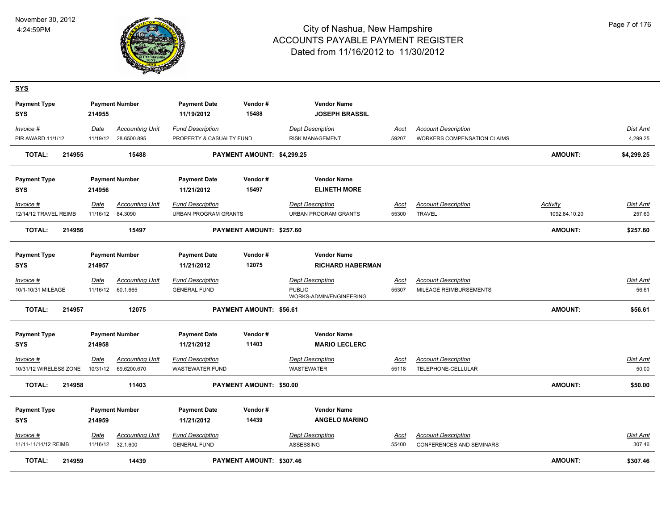

| <u>SYS</u>                        |             |                        |                                   |                            |                                             |             |                                    |                |                 |
|-----------------------------------|-------------|------------------------|-----------------------------------|----------------------------|---------------------------------------------|-------------|------------------------------------|----------------|-----------------|
| <b>Payment Type</b><br><b>SYS</b> | 214955      | <b>Payment Number</b>  | <b>Payment Date</b><br>11/19/2012 | Vendor#<br>15488           | <b>Vendor Name</b><br><b>JOSEPH BRASSIL</b> |             |                                    |                |                 |
| Invoice #                         | Date        | <b>Accounting Unit</b> | <b>Fund Description</b>           |                            | <b>Dept Description</b>                     | Acct        | <b>Account Description</b>         |                | Dist Amt        |
| <b>PIR AWARD 11/1/12</b>          | 11/19/12    | 28.6500.895            | PROPERTY & CASUALTY FUND          |                            | <b>RISK MANAGEMENT</b>                      | 59207       | <b>WORKERS COMPENSATION CLAIMS</b> |                | 4,299.25        |
| <b>TOTAL:</b><br>214955           |             | 15488                  |                                   | PAYMENT AMOUNT: \$4,299.25 |                                             |             |                                    | <b>AMOUNT:</b> | \$4,299.25      |
| <b>Payment Type</b>               |             | <b>Payment Number</b>  | <b>Payment Date</b>               | Vendor#                    | <b>Vendor Name</b>                          |             |                                    |                |                 |
| <b>SYS</b>                        | 214956      |                        | 11/21/2012                        | 15497                      | <b>ELINETH MORE</b>                         |             |                                    |                |                 |
| Invoice #                         | Date        | <b>Accounting Unit</b> | <b>Fund Description</b>           |                            | <b>Dept Description</b>                     | Acct        | <b>Account Description</b>         | Activity       | Dist Amt        |
| 12/14/12 TRAVEL REIMB             | 11/16/12    | 84.3090                | URBAN PROGRAM GRANTS              |                            | URBAN PROGRAM GRANTS                        | 55300       | TRAVEL                             | 1092.84.10.20  | 257.60          |
| <b>TOTAL:</b><br>214956           |             | 15497                  |                                   | PAYMENT AMOUNT: \$257.60   |                                             |             |                                    | AMOUNT:        | \$257.60        |
| <b>Payment Type</b>               |             | <b>Payment Number</b>  | <b>Payment Date</b>               | Vendor#                    | <b>Vendor Name</b>                          |             |                                    |                |                 |
| <b>SYS</b>                        | 214957      |                        | 11/21/2012                        | 12075                      | <b>RICHARD HABERMAN</b>                     |             |                                    |                |                 |
| Invoice #                         | <u>Date</u> | <b>Accounting Unit</b> | <b>Fund Description</b>           |                            | <b>Dept Description</b>                     | <u>Acct</u> | <b>Account Description</b>         |                | Dist Amt        |
| 10/1-10/31 MILEAGE                | 11/16/12    | 60.1.665               | <b>GENERAL FUND</b>               |                            | <b>PUBLIC</b><br>WORKS-ADMIN/ENGINEERING    | 55307       | MILEAGE REIMBURSEMENTS             |                | 56.61           |
| <b>TOTAL:</b><br>214957           |             | 12075                  |                                   | PAYMENT AMOUNT: \$56.61    |                                             |             |                                    | <b>AMOUNT:</b> | \$56.61         |
| <b>Payment Type</b>               |             | <b>Payment Number</b>  | <b>Payment Date</b>               | Vendor#                    | <b>Vendor Name</b>                          |             |                                    |                |                 |
| <b>SYS</b>                        | 214958      |                        | 11/21/2012                        | 11403                      | <b>MARIO LECLERC</b>                        |             |                                    |                |                 |
| Invoice #                         | Date        | <b>Accounting Unit</b> | <b>Fund Description</b>           |                            | <b>Dept Description</b>                     | Acct        | <b>Account Description</b>         |                | Dist Amt        |
| 10/31/12 WIRELESS ZONE            | 10/31/12    | 69.6200.670            | <b>WASTEWATER FUND</b>            |                            | <b>WASTEWATER</b>                           | 55118       | TELEPHONE-CELLULAR                 |                | 50.00           |
| <b>TOTAL:</b><br>214958           |             | 11403                  |                                   | PAYMENT AMOUNT: \$50.00    |                                             |             |                                    | <b>AMOUNT:</b> | \$50.00         |
| <b>Payment Type</b>               |             | <b>Payment Number</b>  | <b>Payment Date</b>               | Vendor#                    | <b>Vendor Name</b>                          |             |                                    |                |                 |
| <b>SYS</b>                        | 214959      |                        | 11/21/2012                        | 14439                      | <b>ANGELO MARINO</b>                        |             |                                    |                |                 |
| $Invoice$ #                       | <b>Date</b> | <b>Accounting Unit</b> | <b>Fund Description</b>           |                            | <b>Dept Description</b>                     | <u>Acct</u> | <b>Account Description</b>         |                | <u>Dist Amt</u> |
| 11/11-11/14/12 REIMB              |             | 11/16/12 32.1.600      | <b>GENERAL FUND</b>               |                            | ASSESSING                                   | 55400       | CONFERENCES AND SEMINARS           |                | 307.46          |
| <b>TOTAL:</b><br>214959           |             | 14439                  |                                   | PAYMENT AMOUNT: \$307.46   |                                             |             |                                    | AMOUNT:        | \$307.46        |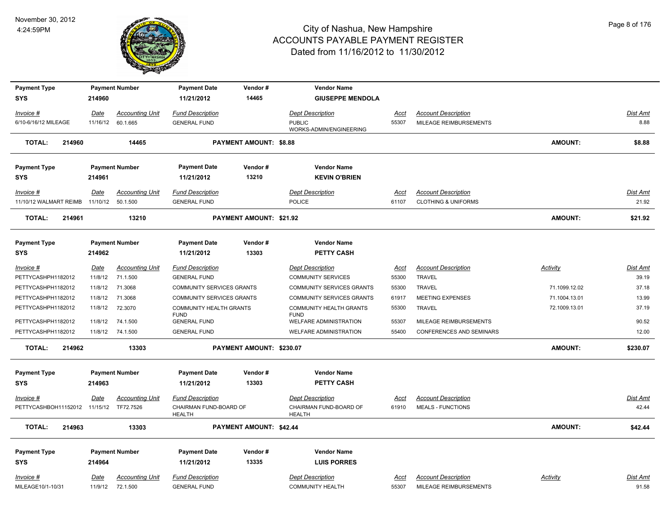

| <b>Payment Type</b>                     |          | <b>Payment Number</b>  | <b>Payment Date</b>                     | Vendor#                        | <b>Vendor Name</b>                       |               |                                 |                 |                 |
|-----------------------------------------|----------|------------------------|-----------------------------------------|--------------------------------|------------------------------------------|---------------|---------------------------------|-----------------|-----------------|
| SYS                                     | 214960   |                        | 11/21/2012                              | 14465                          | <b>GIUSEPPE MENDOLA</b>                  |               |                                 |                 |                 |
| Invoice #                               | Date     | <b>Accounting Unit</b> | <b>Fund Description</b>                 |                                | <b>Dept Description</b>                  | Acct          | <b>Account Description</b>      |                 | Dist Amt        |
| 6/10-6/16/12 MILEAGE                    |          | 11/16/12 60.1.665      | <b>GENERAL FUND</b>                     |                                | <b>PUBLIC</b><br>WORKS-ADMIN/ENGINEERING | 55307         | MILEAGE REIMBURSEMENTS          |                 | 8.88            |
| <b>TOTAL:</b><br>214960                 |          | 14465                  |                                         | <b>PAYMENT AMOUNT: \$8.88</b>  |                                          |               |                                 | <b>AMOUNT:</b>  | \$8.88          |
| <b>Payment Type</b>                     |          | <b>Payment Number</b>  | <b>Payment Date</b>                     | Vendor#                        | <b>Vendor Name</b>                       |               |                                 |                 |                 |
| <b>SYS</b>                              | 214961   |                        | 11/21/2012                              | 13210                          | <b>KEVIN O'BRIEN</b>                     |               |                                 |                 |                 |
|                                         | Date     | Accounting Unit        | <b>Fund Description</b>                 |                                | <b>Dept Description</b>                  |               | <b>Account Description</b>      |                 | <b>Dist Amt</b> |
| Invoice #<br>11/10/12 WALMART REIMB     | 11/10/12 | 50.1.500               | <b>GENERAL FUND</b>                     |                                | <b>POLICE</b>                            | Acct<br>61107 | <b>CLOTHING &amp; UNIFORMS</b>  |                 | 21.92           |
| <b>TOTAL:</b><br>214961                 |          | 13210                  |                                         | <b>PAYMENT AMOUNT: \$21.92</b> |                                          |               |                                 | <b>AMOUNT:</b>  | \$21.92         |
|                                         |          |                        |                                         |                                |                                          |               |                                 |                 |                 |
| <b>Payment Type</b><br><b>SYS</b>       | 214962   | <b>Payment Number</b>  | <b>Payment Date</b><br>11/21/2012       | Vendor#<br>13303               | <b>Vendor Name</b><br><b>PETTY CASH</b>  |               |                                 |                 |                 |
| Invoice #                               | Date     | <b>Accounting Unit</b> | <b>Fund Description</b>                 |                                | <b>Dept Description</b>                  | <u>Acct</u>   | <b>Account Description</b>      | <b>Activity</b> | <b>Dist Amt</b> |
| PETTYCASHPH1182012                      | 11/8/12  | 71.1.500               | <b>GENERAL FUND</b>                     |                                | <b>COMMUNITY SERVICES</b>                | 55300         | <b>TRAVEL</b>                   |                 | 39.19           |
| PETTYCASHPH1182012                      | 11/8/12  | 71.3068                | COMMUNITY SERVICES GRANTS               |                                | <b>COMMUNITY SERVICES GRANTS</b>         | 55300         | <b>TRAVEL</b>                   | 71.1099.12.02   | 37.18           |
| PETTYCASHPH1182012                      | 11/8/12  | 71.3068                | COMMUNITY SERVICES GRANTS               |                                | COMMUNITY SERVICES GRANTS                | 61917         | <b>MEETING EXPENSES</b>         | 71.1004.13.01   | 13.99           |
| PETTYCASHPH1182012                      | 11/8/12  | 72.3070                | COMMUNITY HEALTH GRANTS<br><b>FUND</b>  |                                | COMMUNITY HEALTH GRANTS<br><b>FUND</b>   | 55300         | <b>TRAVEL</b>                   | 72.1009.13.01   | 37.19           |
| PETTYCASHPH1182012                      | 11/8/12  | 74.1.500               | <b>GENERAL FUND</b>                     |                                | <b>WELFARE ADMINISTRATION</b>            | 55307         | MILEAGE REIMBURSEMENTS          |                 | 90.52           |
| PETTYCASHPH1182012                      |          | 11/8/12 74.1.500       | <b>GENERAL FUND</b>                     |                                | <b>WELFARE ADMINISTRATION</b>            | 55400         | <b>CONFERENCES AND SEMINARS</b> |                 | 12.00           |
| <b>TOTAL:</b><br>214962                 |          | 13303                  |                                         | PAYMENT AMOUNT: \$230.07       |                                          |               |                                 | <b>AMOUNT:</b>  | \$230.07        |
| <b>Payment Type</b>                     |          | <b>Payment Number</b>  | <b>Payment Date</b>                     | Vendor#                        | <b>Vendor Name</b>                       |               |                                 |                 |                 |
| SYS                                     | 214963   |                        | 11/21/2012                              | 13303                          | <b>PETTY CASH</b>                        |               |                                 |                 |                 |
| Invoice #                               | Date     | <b>Accounting Unit</b> | <b>Fund Description</b>                 |                                | <b>Dept Description</b>                  | Acct          | <b>Account Description</b>      |                 | Dist Amt        |
| PETTYCASHBOH11152012 11/15/12 TF72.7526 |          |                        | CHAIRMAN FUND-BOARD OF<br><b>HEALTH</b> |                                | CHAIRMAN FUND-BOARD OF<br><b>HEALTH</b>  | 61910         | <b>MEALS - FUNCTIONS</b>        |                 | 42.44           |
| <b>TOTAL:</b><br>214963                 |          | 13303                  |                                         | PAYMENT AMOUNT: \$42.44        |                                          |               |                                 | <b>AMOUNT:</b>  | \$42.44         |
| <b>Payment Type</b>                     |          | <b>Payment Number</b>  | <b>Payment Date</b>                     | Vendor#                        | <b>Vendor Name</b>                       |               |                                 |                 |                 |
| <b>SYS</b>                              | 214964   |                        | 11/21/2012                              | 13335                          | <b>LUIS PORRES</b>                       |               |                                 |                 |                 |
| Invoice #                               | Date     | <b>Accounting Unit</b> | <b>Fund Description</b>                 |                                | Dept Description                         | Acct          | <b>Account Description</b>      | Activity        | Dist Amt        |
| MILEAGE10/1-10/31                       |          | 11/9/12 72.1.500       | <b>GENERAL FUND</b>                     |                                | <b>COMMUNITY HEALTH</b>                  | 55307         | MILEAGE REIMBURSEMENTS          |                 | 91.58           |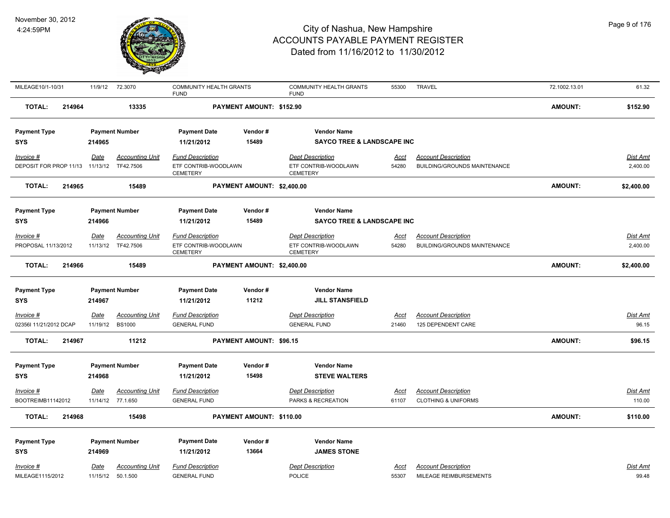

| MILEAGE10/1-10/31               | 11/9/12<br>72.3070                    | <b>COMMUNITY HEALTH GRANTS</b><br><b>FUND</b> |                                | <b>COMMUNITY HEALTH GRANTS</b><br><b>FUND</b> | 55300       | <b>TRAVEL</b>                       | 72.1002.13.01  | 61.32      |
|---------------------------------|---------------------------------------|-----------------------------------------------|--------------------------------|-----------------------------------------------|-------------|-------------------------------------|----------------|------------|
| <b>TOTAL:</b><br>214964         | 13335                                 |                                               | PAYMENT AMOUNT: \$152.90       |                                               |             |                                     | <b>AMOUNT:</b> | \$152.90   |
| <b>Payment Type</b>             | <b>Payment Number</b>                 | <b>Payment Date</b>                           | Vendor#                        | <b>Vendor Name</b>                            |             |                                     |                |            |
| <b>SYS</b>                      | 214965                                | 11/21/2012                                    | 15489                          | <b>SAYCO TREE &amp; LANDSCAPE INC</b>         |             |                                     |                |            |
| Invoice #                       | <b>Accounting Unit</b><br>Date        | <b>Fund Description</b>                       |                                | <b>Dept Description</b>                       | Acct        | <b>Account Description</b>          |                | Dist Amt   |
| DEPOSIT FOR PROP 11/13 11/13/12 | TF42.7506                             | ETF CONTRIB-WOODLAWN<br>CEMETERY              |                                | ETF CONTRIB-WOODLAWN<br><b>CEMETERY</b>       | 54280       | <b>BUILDING/GROUNDS MAINTENANCE</b> |                | 2,400.00   |
| <b>TOTAL:</b><br>214965         | 15489                                 |                                               | PAYMENT AMOUNT: \$2,400.00     |                                               |             |                                     | <b>AMOUNT:</b> | \$2,400.00 |
| <b>Payment Type</b>             | <b>Payment Number</b>                 | <b>Payment Date</b>                           | Vendor#                        | <b>Vendor Name</b>                            |             |                                     |                |            |
| <b>SYS</b>                      | 214966                                | 11/21/2012                                    | 15489                          | <b>SAYCO TREE &amp; LANDSCAPE INC</b>         |             |                                     |                |            |
| Invoice #                       | <b>Accounting Unit</b><br>Date        | <b>Fund Description</b>                       |                                | <b>Dept Description</b>                       | Acct        | <b>Account Description</b>          |                | Dist Amt   |
| PROPOSAL 11/13/2012             | 11/13/12 TF42.7506                    | ETF CONTRIB-WOODLAWN<br><b>CEMETERY</b>       |                                | ETF CONTRIB-WOODLAWN<br><b>CEMETERY</b>       | 54280       | BUILDING/GROUNDS MAINTENANCE        |                | 2,400.00   |
| <b>TOTAL:</b><br>214966         | 15489                                 |                                               | PAYMENT AMOUNT: \$2,400.00     |                                               |             |                                     | <b>AMOUNT:</b> | \$2,400.00 |
| <b>Payment Type</b>             | <b>Payment Number</b>                 | <b>Payment Date</b>                           | Vendor#                        | <b>Vendor Name</b>                            |             |                                     |                |            |
| <b>SYS</b>                      | 214967                                | 11/21/2012                                    | 11212                          | <b>JILL STANSFIELD</b>                        |             |                                     |                |            |
| Invoice #                       | <b>Date</b><br><b>Accounting Unit</b> | <b>Fund Description</b>                       |                                | <b>Dept Description</b>                       | <u>Acct</u> | <b>Account Description</b>          |                | Dist Amt   |
| 02356l 11/21/2012 DCAP          | 11/19/12<br><b>BS1000</b>             | <b>GENERAL FUND</b>                           |                                | <b>GENERAL FUND</b>                           | 21460       | 125 DEPENDENT CARE                  |                | 96.15      |
| <b>TOTAL:</b><br>214967         | 11212                                 |                                               | <b>PAYMENT AMOUNT: \$96.15</b> |                                               |             |                                     | AMOUNT:        | \$96.15    |
| <b>Payment Type</b>             | <b>Payment Number</b>                 | <b>Payment Date</b>                           | Vendor#                        | <b>Vendor Name</b>                            |             |                                     |                |            |
| <b>SYS</b>                      | 214968                                | 11/21/2012                                    | 15498                          | <b>STEVE WALTERS</b>                          |             |                                     |                |            |
| Invoice #                       | <b>Accounting Unit</b><br>Date        | Fund Description                              |                                | <b>Dept Description</b>                       | Acct        | <b>Account Description</b>          |                | Dist Amt   |
| BOOTREIMB11142012               | 11/14/12 77.1.650                     | <b>GENERAL FUND</b>                           |                                | PARKS & RECREATION                            | 61107       | <b>CLOTHING &amp; UNIFORMS</b>      |                | 110.00     |
| <b>TOTAL:</b><br>214968         | 15498                                 |                                               | PAYMENT AMOUNT: \$110.00       |                                               |             |                                     | <b>AMOUNT:</b> | \$110.00   |
| <b>Payment Type</b>             | <b>Payment Number</b>                 | <b>Payment Date</b>                           | Vendor#                        | <b>Vendor Name</b>                            |             |                                     |                |            |
| <b>SYS</b>                      | 214969                                | 11/21/2012                                    | 13664                          | <b>JAMES STONE</b>                            |             |                                     |                |            |
| Invoice #                       | <b>Accounting Unit</b><br><u>Date</u> | <b>Fund Description</b>                       |                                | <b>Dept Description</b>                       | Acct        | <b>Account Description</b>          |                | Dist Amt   |
| MILEAGE1115/2012                | 11/15/12<br>50.1.500                  | <b>GENERAL FUND</b>                           |                                | <b>POLICE</b>                                 | 55307       | MILEAGE REIMBURSEMENTS              |                | 99.48      |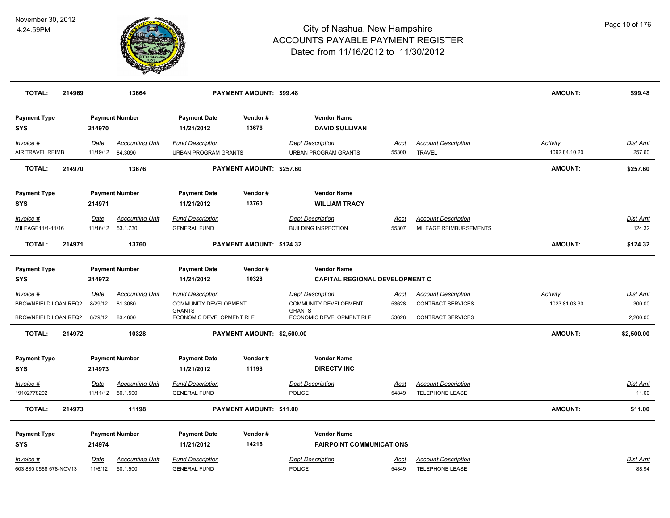

| <b>TOTAL:</b><br>214969                                     |                        | 13664                                                |                                                                                               | <b>PAYMENT AMOUNT: \$99.48</b> |                                                                                               |                               |                                                                             | <b>AMOUNT:</b>                   | \$99.48                               |
|-------------------------------------------------------------|------------------------|------------------------------------------------------|-----------------------------------------------------------------------------------------------|--------------------------------|-----------------------------------------------------------------------------------------------|-------------------------------|-----------------------------------------------------------------------------|----------------------------------|---------------------------------------|
| <b>Payment Type</b><br><b>SYS</b>                           | 214970                 | <b>Payment Number</b>                                | <b>Payment Date</b><br>11/21/2012                                                             | Vendor#<br>13676               | <b>Vendor Name</b><br><b>DAVID SULLIVAN</b>                                                   |                               |                                                                             |                                  |                                       |
| Invoice #<br>AIR TRAVEL REIMB                               | <u>Date</u>            | <b>Accounting Unit</b><br>11/19/12 84.3090           | <b>Fund Description</b><br><b>URBAN PROGRAM GRANTS</b>                                        |                                | <b>Dept Description</b><br><b>URBAN PROGRAM GRANTS</b>                                        | Acct<br>55300                 | <b>Account Description</b><br><b>TRAVEL</b>                                 | <b>Activity</b><br>1092.84.10.20 | Dist Amt<br>257.60                    |
| <b>TOTAL:</b><br>214970                                     |                        | 13676                                                |                                                                                               | PAYMENT AMOUNT: \$257.60       |                                                                                               |                               |                                                                             | <b>AMOUNT:</b>                   | \$257.60                              |
| <b>Payment Type</b><br><b>SYS</b>                           | 214971                 | <b>Payment Number</b>                                | <b>Payment Date</b><br>11/21/2012                                                             | Vendor#<br>13760               | <b>Vendor Name</b><br><b>WILLIAM TRACY</b>                                                    |                               |                                                                             |                                  |                                       |
| $Invoice$ #<br>MILEAGE11/1-11/16                            | Date                   | <b>Accounting Unit</b><br>11/16/12  53.1.730         | <b>Fund Description</b><br><b>GENERAL FUND</b>                                                |                                | <b>Dept Description</b><br><b>BUILDING INSPECTION</b>                                         | Acct<br>55307                 | <b>Account Description</b><br>MILEAGE REIMBURSEMENTS                        |                                  | Dist Amt<br>124.32                    |
| <b>TOTAL:</b><br>214971                                     |                        | 13760                                                |                                                                                               | PAYMENT AMOUNT: \$124.32       |                                                                                               |                               |                                                                             | <b>AMOUNT:</b>                   | \$124.32                              |
| <b>Payment Type</b><br><b>SYS</b>                           | 214972                 | <b>Payment Number</b>                                | <b>Payment Date</b><br>11/21/2012                                                             | Vendor#<br>10328               | <b>Vendor Name</b><br><b>CAPITAL REGIONAL DEVELOPMENT C</b>                                   |                               |                                                                             |                                  |                                       |
| $Invoice$ #<br>BROWNFIELD LOAN REQ2<br>BROWNFIELD LOAN REQ2 | <b>Date</b><br>8/29/12 | <b>Accounting Unit</b><br>81.3080<br>8/29/12 83.4600 | <b>Fund Description</b><br>COMMUNITY DEVELOPMENT<br><b>GRANTS</b><br>ECONOMIC DEVELOPMENT RLF |                                | <b>Dept Description</b><br>COMMUNITY DEVELOPMENT<br><b>GRANTS</b><br>ECONOMIC DEVELOPMENT RLF | <u>Acct</u><br>53628<br>53628 | <b>Account Description</b><br>CONTRACT SERVICES<br><b>CONTRACT SERVICES</b> | <u>Activity</u><br>1023.81.03.30 | <b>Dist Amt</b><br>300.00<br>2,200.00 |
| <b>TOTAL:</b><br>214972                                     |                        | 10328                                                |                                                                                               | PAYMENT AMOUNT: \$2,500.00     |                                                                                               |                               |                                                                             | <b>AMOUNT:</b>                   | \$2,500.00                            |
| <b>Payment Type</b><br><b>SYS</b>                           | 214973                 | <b>Payment Number</b>                                | <b>Payment Date</b><br>11/21/2012                                                             | Vendor#<br>11198               | <b>Vendor Name</b><br><b>DIRECTV INC</b>                                                      |                               |                                                                             |                                  |                                       |
| <u>Invoice #</u><br>19102778202                             | <u>Date</u>            | <b>Accounting Unit</b><br>11/11/12 50.1.500          | <u>Fund Description</u><br><b>GENERAL FUND</b>                                                |                                | <b>Dept Description</b><br><b>POLICE</b>                                                      | <u>Acct</u><br>54849          | <b>Account Description</b><br>TELEPHONE LEASE                               |                                  | <u>Dist Amt</u><br>11.00              |
| <b>TOTAL:</b><br>214973                                     |                        | 11198                                                |                                                                                               | PAYMENT AMOUNT: \$11.00        |                                                                                               |                               |                                                                             | <b>AMOUNT:</b>                   | \$11.00                               |
| <b>Payment Type</b><br><b>SYS</b><br>Invoice #              | 214974<br><u>Date</u>  | <b>Payment Number</b><br><b>Accounting Unit</b>      | <b>Payment Date</b><br>11/21/2012<br><b>Fund Description</b>                                  | Vendor#<br>14216               | <b>Vendor Name</b><br><b>FAIRPOINT COMMUNICATIONS</b><br><b>Dept Description</b>              | Acct                          | <b>Account Description</b>                                                  |                                  | Dist Amt                              |
| 603 880 0568 578-NOV13                                      | 11/6/12                | 50.1.500                                             | <b>GENERAL FUND</b>                                                                           |                                | POLICE                                                                                        | 54849                         | TELEPHONE LEASE                                                             |                                  | 88.94                                 |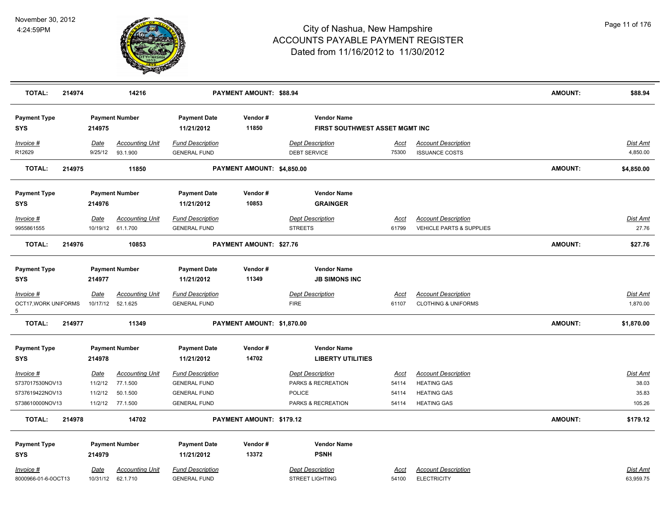

| <b>TOTAL:</b>                                                      | 214974 |                                              | 14216                                                      |                                                                                              | PAYMENT AMOUNT: \$88.94        |                                                                                      |                                        |                                                                                              | <b>AMOUNT:</b> | \$88.94                                     |
|--------------------------------------------------------------------|--------|----------------------------------------------|------------------------------------------------------------|----------------------------------------------------------------------------------------------|--------------------------------|--------------------------------------------------------------------------------------|----------------------------------------|----------------------------------------------------------------------------------------------|----------------|---------------------------------------------|
| <b>Payment Type</b><br><b>SYS</b>                                  |        | 214975                                       | <b>Payment Number</b>                                      | <b>Payment Date</b><br>11/21/2012                                                            | Vendor#<br>11850               | <b>Vendor Name</b><br>FIRST SOUTHWEST ASSET MGMT INC                                 |                                        |                                                                                              |                |                                             |
| Invoice #<br>R12629                                                |        | Date<br>9/25/12                              | <b>Accounting Unit</b><br>93.1.900                         | <b>Fund Description</b><br><b>GENERAL FUND</b>                                               |                                | <b>Dept Description</b><br><b>DEBT SERVICE</b>                                       | <u>Acct</u><br>75300                   | <b>Account Description</b><br><b>ISSUANCE COSTS</b>                                          |                | Dist Amt<br>4,850.00                        |
| <b>TOTAL:</b>                                                      | 214975 |                                              | 11850                                                      |                                                                                              | PAYMENT AMOUNT: \$4,850.00     |                                                                                      |                                        |                                                                                              | <b>AMOUNT:</b> | \$4,850.00                                  |
| <b>Payment Type</b><br><b>SYS</b>                                  |        | 214976                                       | <b>Payment Number</b>                                      | <b>Payment Date</b><br>11/21/2012                                                            | Vendor#<br>10853               | <b>Vendor Name</b><br><b>GRAINGER</b>                                                |                                        |                                                                                              |                |                                             |
| Invoice #<br>9955861555                                            |        | Date                                         | <b>Accounting Unit</b><br>10/19/12 61.1.700                | <b>Fund Description</b><br><b>GENERAL FUND</b>                                               |                                | <b>Dept Description</b><br><b>STREETS</b>                                            | <u>Acct</u><br>61799                   | <b>Account Description</b><br>VEHICLE PARTS & SUPPLIES                                       |                | <b>Dist Amt</b><br>27.76                    |
| <b>TOTAL:</b>                                                      | 214976 |                                              | 10853                                                      |                                                                                              | <b>PAYMENT AMOUNT: \$27.76</b> |                                                                                      |                                        |                                                                                              | <b>AMOUNT:</b> | \$27.76                                     |
| <b>Payment Type</b><br><b>SYS</b>                                  |        | 214977                                       | <b>Payment Number</b>                                      | <b>Payment Date</b><br>11/21/2012                                                            | Vendor#<br>11349               | <b>Vendor Name</b><br><b>JB SIMONS INC</b>                                           |                                        |                                                                                              |                |                                             |
| $Invoice$ #<br>OCT17, WORK UNIFORMS<br>5 <sup>5</sup>              |        | <u>Date</u>                                  | <b>Accounting Unit</b><br>10/17/12 52.1.625                | <b>Fund Description</b><br><b>GENERAL FUND</b>                                               |                                | <b>Dept Description</b><br><b>FIRE</b>                                               | <u>Acct</u><br>61107                   | <b>Account Description</b><br><b>CLOTHING &amp; UNIFORMS</b>                                 |                | <b>Dist Amt</b><br>1,870.00                 |
| <b>TOTAL:</b>                                                      | 214977 |                                              | 11349                                                      |                                                                                              | PAYMENT AMOUNT: \$1,870.00     |                                                                                      |                                        |                                                                                              | <b>AMOUNT:</b> | \$1,870.00                                  |
| <b>Payment Type</b><br><b>SYS</b>                                  |        | 214978                                       | <b>Payment Number</b>                                      | <b>Payment Date</b><br>11/21/2012                                                            | Vendor#<br>14702               | <b>Vendor Name</b><br><b>LIBERTY UTILITIES</b>                                       |                                        |                                                                                              |                |                                             |
| Invoice #<br>5737017530NOV13<br>5737619422NOV13<br>5738610000NOV13 |        | <u>Date</u><br>11/2/12<br>11/2/12<br>11/2/12 | <b>Accounting Unit</b><br>77.1.500<br>50.1.500<br>77.1.500 | <b>Fund Description</b><br><b>GENERAL FUND</b><br><b>GENERAL FUND</b><br><b>GENERAL FUND</b> |                                | <b>Dept Description</b><br>PARKS & RECREATION<br><b>POLICE</b><br>PARKS & RECREATION | <u>Acct</u><br>54114<br>54114<br>54114 | <b>Account Description</b><br><b>HEATING GAS</b><br><b>HEATING GAS</b><br><b>HEATING GAS</b> |                | <b>Dist Amt</b><br>38.03<br>35.83<br>105.26 |
| <b>TOTAL:</b>                                                      | 214978 |                                              | 14702                                                      |                                                                                              | PAYMENT AMOUNT: \$179.12       |                                                                                      |                                        |                                                                                              | <b>AMOUNT:</b> | \$179.12                                    |
| <b>Payment Type</b><br><b>SYS</b><br>Invoice #                     |        | 214979<br><u>Date</u>                        | <b>Payment Number</b><br><b>Accounting Unit</b>            | <b>Payment Date</b><br>11/21/2012<br><b>Fund Description</b>                                 | Vendor#<br>13372               | <b>Vendor Name</b><br><b>PSNH</b><br><b>Dept Description</b>                         | Acct                                   | <b>Account Description</b>                                                                   |                | <b>Dist Amt</b>                             |
| 8000966-01-6-0OCT13                                                |        |                                              | 10/31/12 62.1.710                                          | <b>GENERAL FUND</b>                                                                          |                                | <b>STREET LIGHTING</b>                                                               | 54100                                  | <b>ELECTRICITY</b>                                                                           |                | 63,959.75                                   |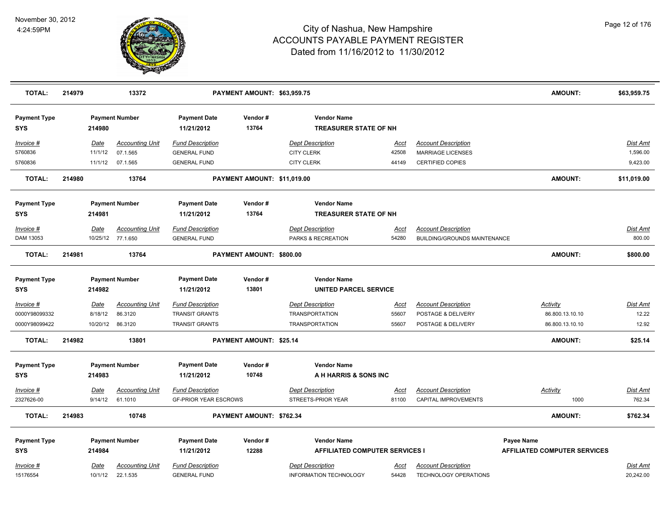

| <b>TOTAL:</b>                     | 214979 |          | 13372                  |                                   | PAYMENT AMOUNT: \$63,959.75    |                                                    |             |                              | <b>AMOUNT:</b>                      | \$63,959.75     |
|-----------------------------------|--------|----------|------------------------|-----------------------------------|--------------------------------|----------------------------------------------------|-------------|------------------------------|-------------------------------------|-----------------|
| <b>Payment Type</b><br><b>SYS</b> |        | 214980   | <b>Payment Number</b>  | <b>Payment Date</b><br>11/21/2012 | Vendor#<br>13764               | <b>Vendor Name</b><br><b>TREASURER STATE OF NH</b> |             |                              |                                     |                 |
| Invoice #                         |        | Date     | <b>Accounting Unit</b> | <b>Fund Description</b>           |                                | <b>Dept Description</b>                            | Acct        | <b>Account Description</b>   |                                     | Dist Amt        |
| 5760836                           |        | 11/1/12  | 07.1.565               | <b>GENERAL FUND</b>               |                                | <b>CITY CLERK</b>                                  | 42508       | <b>MARRIAGE LICENSES</b>     |                                     | 1,596.00        |
| 5760836                           |        | 11/1/12  | 07.1.565               | <b>GENERAL FUND</b>               |                                | <b>CITY CLERK</b>                                  | 44149       | <b>CERTIFIED COPIES</b>      |                                     | 9,423.00        |
| TOTAL:                            | 214980 |          | 13764                  |                                   | PAYMENT AMOUNT: \$11,019.00    |                                                    |             |                              | <b>AMOUNT:</b>                      | \$11,019.00     |
| <b>Payment Type</b>               |        |          | <b>Payment Number</b>  | <b>Payment Date</b>               | Vendor#                        | <b>Vendor Name</b>                                 |             |                              |                                     |                 |
| <b>SYS</b>                        |        | 214981   |                        | 11/21/2012                        | 13764                          | <b>TREASURER STATE OF NH</b>                       |             |                              |                                     |                 |
| Invoice #                         |        | Date     | <b>Accounting Unit</b> | <b>Fund Description</b>           |                                | <b>Dept Description</b>                            | Acct        | <b>Account Description</b>   |                                     | Dist Amt        |
| DAM 13053                         |        |          | 10/25/12 77.1.650      | <b>GENERAL FUND</b>               |                                | PARKS & RECREATION                                 | 54280       | BUILDING/GROUNDS MAINTENANCE |                                     | 800.00          |
| <b>TOTAL:</b>                     | 214981 |          | 13764                  |                                   | PAYMENT AMOUNT: \$800.00       |                                                    |             |                              | <b>AMOUNT:</b>                      | \$800.00        |
| <b>Payment Type</b>               |        |          | <b>Payment Number</b>  | <b>Payment Date</b>               | Vendor#                        | <b>Vendor Name</b>                                 |             |                              |                                     |                 |
| <b>SYS</b>                        |        | 214982   |                        | 11/21/2012                        | 13801                          | <b>UNITED PARCEL SERVICE</b>                       |             |                              |                                     |                 |
| <u>Invoice #</u>                  |        | Date     | <b>Accounting Unit</b> | <b>Fund Description</b>           |                                | <b>Dept Description</b>                            | <u>Acct</u> | <b>Account Description</b>   | <b>Activity</b>                     | Dist Amt        |
| 0000Y98099332                     |        | 8/18/12  | 86.3120                | <b>TRANSIT GRANTS</b>             |                                | <b>TRANSPORTATION</b>                              | 55607       | POSTAGE & DELIVERY           | 86.800.13.10.10                     | 12.22           |
| 0000Y98099422                     |        | 10/20/12 | 86.3120                | <b>TRANSIT GRANTS</b>             |                                | <b>TRANSPORTATION</b>                              | 55607       | POSTAGE & DELIVERY           | 86.800.13.10.10                     | 12.92           |
| <b>TOTAL:</b>                     | 214982 |          | 13801                  |                                   | <b>PAYMENT AMOUNT: \$25.14</b> |                                                    |             |                              | <b>AMOUNT:</b>                      | \$25.14         |
| <b>Payment Type</b>               |        |          | <b>Payment Number</b>  | <b>Payment Date</b>               | Vendor#                        | <b>Vendor Name</b>                                 |             |                              |                                     |                 |
| <b>SYS</b>                        |        | 214983   |                        | 11/21/2012                        | 10748                          | A H HARRIS & SONS INC                              |             |                              |                                     |                 |
| Invoice #                         |        | Date     | <b>Accounting Unit</b> | <b>Fund Description</b>           |                                | <b>Dept Description</b>                            | <u>Acct</u> | <b>Account Description</b>   | Activity                            | <u>Dist Amt</u> |
| 2327626-00                        |        |          | 9/14/12 61.1010        | <b>GF-PRIOR YEAR ESCROWS</b>      |                                | STREETS-PRIOR YEAR                                 | 81100       | CAPITAL IMPROVEMENTS         | 1000                                | 762.34          |
| <b>TOTAL:</b>                     | 214983 |          | 10748                  |                                   | PAYMENT AMOUNT: \$762.34       |                                                    |             |                              | <b>AMOUNT:</b>                      | \$762.34        |
| <b>Payment Type</b>               |        |          | <b>Payment Number</b>  | <b>Payment Date</b>               | Vendor#                        | <b>Vendor Name</b>                                 |             |                              | <b>Payee Name</b>                   |                 |
| <b>SYS</b>                        |        | 214984   |                        | 11/21/2012                        | 12288                          | <b>AFFILIATED COMPUTER SERVICES I</b>              |             |                              | <b>AFFILIATED COMPUTER SERVICES</b> |                 |
| Invoice #                         |        | Date     | <b>Accounting Unit</b> | <b>Fund Description</b>           |                                | <b>Dept Description</b>                            | Acct        | <b>Account Description</b>   |                                     | Dist Amt        |
| 15176554                          |        | 10/1/12  | 22.1.535               | <b>GENERAL FUND</b>               |                                | <b>INFORMATION TECHNOLOGY</b>                      | 54428       | TECHNOLOGY OPERATIONS        |                                     | 20,242.00       |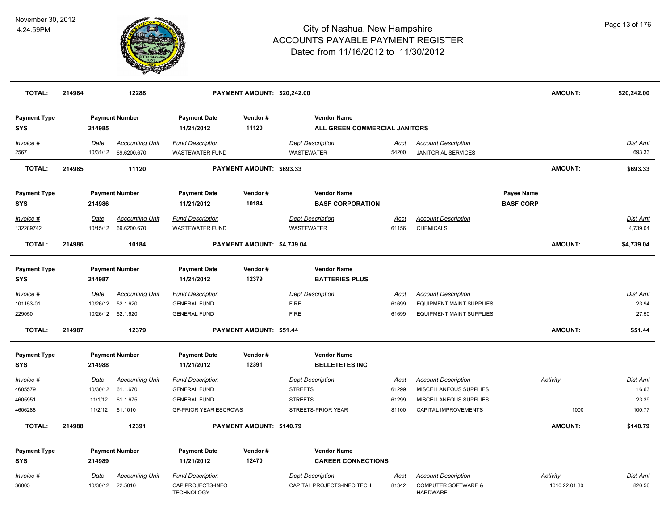

| <b>TOTAL:</b>                     | 214984 |                  | 12288                                 |                                                                   | PAYMENT AMOUNT: \$20,242.00    |                                                       |                      |                                                                                 |                                       | <b>AMOUNT:</b>            | \$20,242.00               |
|-----------------------------------|--------|------------------|---------------------------------------|-------------------------------------------------------------------|--------------------------------|-------------------------------------------------------|----------------------|---------------------------------------------------------------------------------|---------------------------------------|---------------------------|---------------------------|
| <b>Payment Type</b><br><b>SYS</b> |        | 214985           | <b>Payment Number</b>                 | <b>Payment Date</b><br>11/21/2012                                 | Vendor#<br>11120               | <b>Vendor Name</b><br>ALL GREEN COMMERCIAL JANITORS   |                      |                                                                                 |                                       |                           |                           |
| Invoice #<br>2567                 |        | Date<br>10/31/12 | <b>Accounting Unit</b><br>69.6200.670 | <b>Fund Description</b><br><b>WASTEWATER FUND</b>                 |                                | <b>Dept Description</b><br>WASTEWATER                 | <u>Acct</u><br>54200 | <b>Account Description</b><br><b>JANITORIAL SERVICES</b>                        |                                       |                           | <b>Dist Amt</b><br>693.33 |
| <b>TOTAL:</b>                     | 214985 |                  | 11120                                 |                                                                   | PAYMENT AMOUNT: \$693.33       |                                                       |                      |                                                                                 |                                       | <b>AMOUNT:</b>            | \$693.33                  |
| <b>Payment Type</b><br><b>SYS</b> |        | 214986           | <b>Payment Number</b>                 | <b>Payment Date</b><br>11/21/2012                                 | Vendor#<br>10184               | <b>Vendor Name</b><br><b>BASF CORPORATION</b>         |                      |                                                                                 | <b>Payee Name</b><br><b>BASF CORP</b> |                           |                           |
| Invoice #                         |        | Date             | <b>Accounting Unit</b>                | <b>Fund Description</b>                                           |                                | <b>Dept Description</b>                               | Acct                 | <b>Account Description</b>                                                      |                                       |                           | Dist Amt                  |
| 132289742                         |        |                  | 10/15/12 69.6200.670                  | <b>WASTEWATER FUND</b>                                            |                                | WASTEWATER                                            | 61156                | <b>CHEMICALS</b>                                                                |                                       |                           | 4,739.04                  |
| <b>TOTAL:</b>                     | 214986 |                  | 10184                                 |                                                                   | PAYMENT AMOUNT: \$4,739.04     |                                                       |                      |                                                                                 |                                       | <b>AMOUNT:</b>            | \$4,739.04                |
| <b>Payment Type</b><br><b>SYS</b> |        | 214987           | <b>Payment Number</b>                 | <b>Payment Date</b><br>11/21/2012                                 | Vendor#<br>12379               | <b>Vendor Name</b><br><b>BATTERIES PLUS</b>           |                      |                                                                                 |                                       |                           |                           |
| $Invoice$ #                       |        | Date             | <b>Accounting Unit</b>                | <b>Fund Description</b>                                           |                                | <b>Dept Description</b>                               | Acct                 | <b>Account Description</b>                                                      |                                       |                           | Dist Amt                  |
| 101153-01                         |        | 10/26/12         | 52.1.620                              | <b>GENERAL FUND</b>                                               |                                | <b>FIRE</b>                                           | 61699                | <b>EQUIPMENT MAINT SUPPLIES</b>                                                 |                                       |                           | 23.94                     |
| 229050                            |        |                  | 10/26/12 52.1.620                     | <b>GENERAL FUND</b>                                               |                                | <b>FIRE</b>                                           | 61699                | <b>EQUIPMENT MAINT SUPPLIES</b>                                                 |                                       |                           | 27.50                     |
| <b>TOTAL:</b>                     | 214987 |                  | 12379                                 |                                                                   | <b>PAYMENT AMOUNT: \$51.44</b> |                                                       |                      |                                                                                 |                                       | <b>AMOUNT:</b>            | \$51.44                   |
| <b>Payment Type</b>               |        |                  | <b>Payment Number</b>                 | <b>Payment Date</b>                                               | Vendor#                        | <b>Vendor Name</b>                                    |                      |                                                                                 |                                       |                           |                           |
| <b>SYS</b>                        |        | 214988           |                                       | 11/21/2012                                                        | 12391                          | <b>BELLETETES INC</b>                                 |                      |                                                                                 |                                       |                           |                           |
| Invoice #                         |        | Date             | <b>Accounting Unit</b>                | <b>Fund Description</b>                                           |                                | <b>Dept Description</b>                               | Acct                 | <b>Account Description</b>                                                      |                                       | Activity                  | Dist Amt                  |
| 4605579                           |        |                  | 10/30/12 61.1.670                     | <b>GENERAL FUND</b>                                               |                                | <b>STREETS</b>                                        | 61299                | MISCELLANEOUS SUPPLIES                                                          |                                       |                           | 16.63                     |
| 4605951                           |        | 11/1/12          | 61.1.675                              | <b>GENERAL FUND</b>                                               |                                | <b>STREETS</b>                                        | 61299                | MISCELLANEOUS SUPPLIES                                                          |                                       |                           | 23.39                     |
| 4606288                           |        | 11/2/12          | 61.1010                               | <b>GF-PRIOR YEAR ESCROWS</b>                                      |                                | STREETS-PRIOR YEAR                                    | 81100                | CAPITAL IMPROVEMENTS                                                            |                                       | 1000                      | 100.77                    |
| <b>TOTAL:</b>                     | 214988 |                  | 12391                                 |                                                                   | PAYMENT AMOUNT: \$140.79       |                                                       |                      |                                                                                 |                                       | <b>AMOUNT:</b>            | \$140.79                  |
| <b>Payment Type</b>               |        |                  | <b>Payment Number</b>                 | <b>Payment Date</b>                                               | Vendor#                        | <b>Vendor Name</b>                                    |                      |                                                                                 |                                       |                           |                           |
| <b>SYS</b>                        |        | 214989           |                                       | 11/21/2012                                                        | 12470                          | <b>CAREER CONNECTIONS</b>                             |                      |                                                                                 |                                       |                           |                           |
| Invoice #<br>36005                |        | Date<br>10/30/12 | <b>Accounting Unit</b><br>22.5010     | <b>Fund Description</b><br>CAP PROJECTS-INFO<br><b>TECHNOLOGY</b> |                                | <b>Dept Description</b><br>CAPITAL PROJECTS-INFO TECH | <u>Acct</u><br>81342 | <b>Account Description</b><br><b>COMPUTER SOFTWARE &amp;</b><br><b>HARDWARE</b> |                                       | Activity<br>1010.22.01.30 | <b>Dist Amt</b><br>820.56 |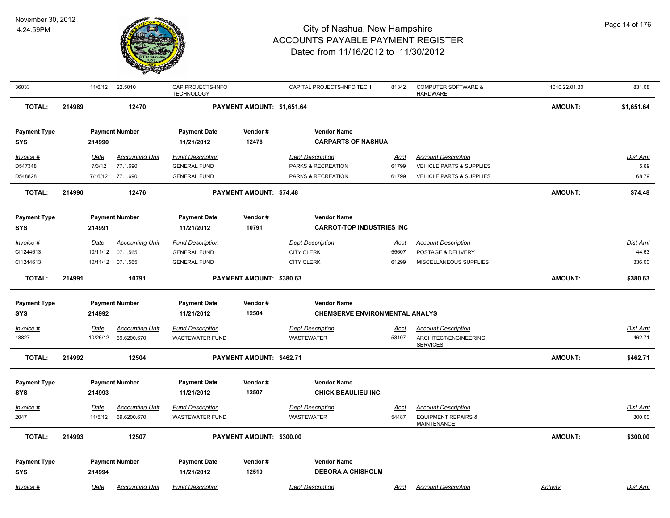

| 36033               |        | 11/6/12     | 22.5010                | CAP PROJECTS-INFO<br><b>TECHNOLOGY</b> |                            | CAPITAL PROJECTS-INFO TECH                      | 81342       | <b>COMPUTER SOFTWARE &amp;</b><br><b>HARDWARE</b>    | 1010.22.01.30  | 831.08          |
|---------------------|--------|-------------|------------------------|----------------------------------------|----------------------------|-------------------------------------------------|-------------|------------------------------------------------------|----------------|-----------------|
| <b>TOTAL:</b>       | 214989 |             | 12470                  |                                        | PAYMENT AMOUNT: \$1,651.64 |                                                 |             |                                                      | <b>AMOUNT:</b> | \$1,651.64      |
| <b>Payment Type</b> |        |             | <b>Payment Number</b>  | <b>Payment Date</b>                    | Vendor#                    | <b>Vendor Name</b>                              |             |                                                      |                |                 |
| <b>SYS</b>          |        | 214990      |                        | 11/21/2012                             | 12476                      | <b>CARPARTS OF NASHUA</b>                       |             |                                                      |                |                 |
| Invoice #           |        | Date        | <b>Accounting Unit</b> | <b>Fund Description</b>                |                            | <b>Dept Description</b>                         | <u>Acct</u> | <b>Account Description</b>                           |                | <b>Dist Amt</b> |
| D547348             |        | 7/3/12      | 77.1.690               | <b>GENERAL FUND</b>                    |                            | PARKS & RECREATION                              | 61799       | VEHICLE PARTS & SUPPLIES                             |                | 5.69            |
| D548828             |        | 7/16/12     | 77.1.690               | <b>GENERAL FUND</b>                    |                            | PARKS & RECREATION                              | 61799       | VEHICLE PARTS & SUPPLIES                             |                | 68.79           |
| <b>TOTAL:</b>       | 214990 |             | 12476                  |                                        | PAYMENT AMOUNT: \$74.48    |                                                 |             |                                                      | <b>AMOUNT:</b> | \$74.48         |
| <b>Payment Type</b> |        |             | <b>Payment Number</b>  | <b>Payment Date</b>                    | Vendor#                    | <b>Vendor Name</b>                              |             |                                                      |                |                 |
| <b>SYS</b>          |        | 214991      |                        | 11/21/2012                             | 10791                      | <b>CARROT-TOP INDUSTRIES INC</b>                |             |                                                      |                |                 |
| Invoice #           |        | <u>Date</u> | <b>Accounting Unit</b> | <b>Fund Description</b>                |                            | <b>Dept Description</b>                         | <u>Acct</u> | <b>Account Description</b>                           |                | <b>Dist Amt</b> |
| CI1244613           |        |             | 10/11/12 07.1.565      | <b>GENERAL FUND</b>                    |                            | <b>CITY CLERK</b>                               | 55607       | POSTAGE & DELIVERY                                   |                | 44.63           |
| CI1244613           |        |             | 10/11/12 07.1.565      | <b>GENERAL FUND</b>                    |                            | <b>CITY CLERK</b>                               | 61299       | MISCELLANEOUS SUPPLIES                               |                | 336.00          |
| <b>TOTAL:</b>       | 214991 |             | 10791                  |                                        | PAYMENT AMOUNT: \$380.63   |                                                 |             |                                                      | <b>AMOUNT:</b> | \$380.63        |
| <b>Payment Type</b> |        |             | <b>Payment Number</b>  | <b>Payment Date</b>                    | Vendor#                    | <b>Vendor Name</b>                              |             |                                                      |                |                 |
| SYS                 |        | 214992      |                        | 11/21/2012                             | 12504                      | <b>CHEMSERVE ENVIRONMENTAL ANALYS</b>           |             |                                                      |                |                 |
| Invoice #           |        | Date        | <b>Accounting Unit</b> | <b>Fund Description</b>                |                            | <b>Dept Description</b>                         | Acct        | <b>Account Description</b>                           |                | Dist Amt        |
| 48827               |        | 10/26/12    | 69.6200.670            | <b>WASTEWATER FUND</b>                 |                            | <b>WASTEWATER</b>                               | 53107       | ARCHITECT/ENGINEERING<br><b>SERVICES</b>             |                | 462.71          |
| <b>TOTAL:</b>       | 214992 |             | 12504                  |                                        | PAYMENT AMOUNT: \$462.71   |                                                 |             |                                                      | <b>AMOUNT:</b> | \$462.71        |
|                     |        |             |                        |                                        |                            |                                                 |             |                                                      |                |                 |
| <b>Payment Type</b> |        |             | <b>Payment Number</b>  | <b>Payment Date</b>                    | Vendor#<br>12507           | <b>Vendor Name</b><br><b>CHICK BEAULIEU INC</b> |             |                                                      |                |                 |
| <b>SYS</b>          |        | 214993      |                        | 11/21/2012                             |                            |                                                 |             |                                                      |                |                 |
| Invoice #           |        | Date        | <b>Accounting Unit</b> | <b>Fund Description</b>                |                            | <b>Dept Description</b>                         | Acct        | <b>Account Description</b>                           |                | <b>Dist Amt</b> |
| 2047                |        | 11/5/12     | 69.6200.670            | <b>WASTEWATER FUND</b>                 |                            | <b>WASTEWATER</b>                               | 54487       | <b>EQUIPMENT REPAIRS &amp;</b><br><b>MAINTENANCE</b> |                | 300.00          |
| <b>TOTAL:</b>       | 214993 |             | 12507                  |                                        | PAYMENT AMOUNT: \$300.00   |                                                 |             |                                                      | <b>AMOUNT:</b> | \$300.00        |
| <b>Payment Type</b> |        |             | <b>Payment Number</b>  | <b>Payment Date</b>                    | Vendor#                    | <b>Vendor Name</b>                              |             |                                                      |                |                 |
| <b>SYS</b>          |        | 214994      |                        | 11/21/2012                             | 12510                      | <b>DEBORA A CHISHOLM</b>                        |             |                                                      |                |                 |
| Invoice #           |        | Date        | <b>Accounting Unit</b> | <b>Fund Description</b>                |                            | <b>Dept Description</b>                         | Acct        | <b>Account Description</b>                           | Activity       | Dist Amt        |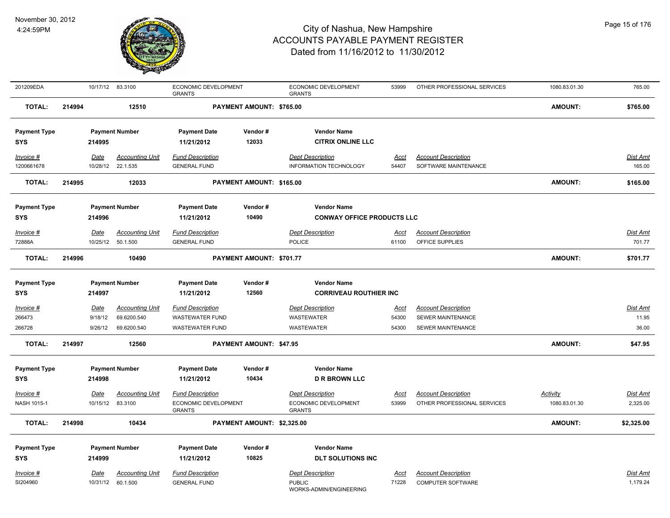

| 201209EDA                         |        |                  | 10/17/12 83.3100                      | ECONOMIC DEVELOPMENT<br><b>GRANTS</b>             |                                | ECONOMIC DEVELOPMENT<br><b>GRANTS</b>               | 53999                | OTHER PROFESSIONAL SERVICES                               | 1080.83.01.30             | 765.00                   |
|-----------------------------------|--------|------------------|---------------------------------------|---------------------------------------------------|--------------------------------|-----------------------------------------------------|----------------------|-----------------------------------------------------------|---------------------------|--------------------------|
| <b>TOTAL:</b>                     | 214994 |                  | 12510                                 |                                                   | PAYMENT AMOUNT: \$765.00       |                                                     |                      |                                                           | <b>AMOUNT:</b>            | \$765.00                 |
| <b>Payment Type</b>               |        |                  | <b>Payment Number</b>                 | <b>Payment Date</b>                               | Vendor#                        | <b>Vendor Name</b>                                  |                      |                                                           |                           |                          |
| <b>SYS</b>                        |        | 214995           |                                       | 11/21/2012                                        | 12033                          | <b>CITRIX ONLINE LLC</b>                            |                      |                                                           |                           |                          |
| Invoice #                         |        | <b>Date</b>      | <b>Accounting Unit</b>                | <b>Fund Description</b>                           |                                | <b>Dept Description</b>                             | <u>Acct</u>          | <b>Account Description</b>                                |                           | Dist Amt                 |
| 1200661678                        |        | 10/28/12         | 22.1.535                              | <b>GENERAL FUND</b>                               |                                | <b>INFORMATION TECHNOLOGY</b>                       | 54407                | SOFTWARE MAINTENANCE                                      |                           | 165.00                   |
| <b>TOTAL:</b>                     | 214995 |                  | 12033                                 |                                                   | PAYMENT AMOUNT: \$165.00       |                                                     |                      |                                                           | AMOUNT:                   | \$165.00                 |
| <b>Payment Type</b>               |        |                  | <b>Payment Number</b>                 | <b>Payment Date</b>                               | Vendor#                        | <b>Vendor Name</b>                                  |                      |                                                           |                           |                          |
| <b>SYS</b>                        |        | 214996           |                                       | 11/21/2012                                        | 10490                          | <b>CONWAY OFFICE PRODUCTS LLC</b>                   |                      |                                                           |                           |                          |
| Invoice #                         |        | <u>Date</u>      | <b>Accounting Unit</b>                | <b>Fund Description</b>                           |                                | <b>Dept Description</b>                             | <u>Acct</u>          | <b>Account Description</b>                                |                           | <u>Dist Amt</u>          |
| 72888A                            |        | 10/25/12         | 50.1.500                              | <b>GENERAL FUND</b>                               |                                | POLICE                                              | 61100                | OFFICE SUPPLIES                                           |                           | 701.77                   |
| <b>TOTAL:</b>                     | 214996 |                  | 10490                                 |                                                   | PAYMENT AMOUNT: \$701.77       |                                                     |                      |                                                           | <b>AMOUNT:</b>            | \$701.77                 |
|                                   |        |                  |                                       |                                                   |                                |                                                     |                      |                                                           |                           |                          |
| <b>Payment Type</b><br><b>SYS</b> |        | 214997           | <b>Payment Number</b>                 | <b>Payment Date</b><br>11/21/2012                 | Vendor#<br>12560               | <b>Vendor Name</b><br><b>CORRIVEAU ROUTHIER INC</b> |                      |                                                           |                           |                          |
|                                   |        |                  |                                       |                                                   |                                |                                                     |                      |                                                           |                           |                          |
| Invoice #<br>266473               |        | Date<br>9/18/12  | <b>Accounting Unit</b><br>69.6200.540 | <b>Fund Description</b><br><b>WASTEWATER FUND</b> |                                | <b>Dept Description</b><br><b>WASTEWATER</b>        | <u>Acct</u><br>54300 | <b>Account Description</b><br>SEWER MAINTENANCE           |                           | <b>Dist Amt</b><br>11.95 |
| 266728                            |        | 9/26/12          | 69.6200.540                           | <b>WASTEWATER FUND</b>                            |                                | <b>WASTEWATER</b>                                   | 54300                | <b>SEWER MAINTENANCE</b>                                  |                           | 36.00                    |
|                                   |        |                  |                                       |                                                   |                                |                                                     |                      |                                                           |                           |                          |
| <b>TOTAL:</b>                     | 214997 |                  | 12560                                 |                                                   | <b>PAYMENT AMOUNT: \$47.95</b> |                                                     |                      |                                                           | <b>AMOUNT:</b>            | \$47.95                  |
| <b>Payment Type</b>               |        |                  | <b>Payment Number</b>                 | <b>Payment Date</b>                               | Vendor#                        | <b>Vendor Name</b>                                  |                      |                                                           |                           |                          |
| SYS                               |        | 214998           |                                       | 11/21/2012                                        | 10434                          | <b>D R BROWN LLC</b>                                |                      |                                                           |                           |                          |
|                                   |        |                  |                                       |                                                   |                                |                                                     |                      |                                                           |                           |                          |
| $Invoice$ #<br>NASH 1015-1        |        | Date<br>10/15/12 | <b>Accounting Unit</b><br>83.3100     | <b>Fund Description</b><br>ECONOMIC DEVELOPMENT   |                                | <b>Dept Description</b><br>ECONOMIC DEVELOPMENT     | <u>Acct</u><br>53999 | <b>Account Description</b><br>OTHER PROFESSIONAL SERVICES | Activity<br>1080.83.01.30 | Dist Amt<br>2,325.00     |
|                                   |        |                  |                                       | <b>GRANTS</b>                                     |                                | <b>GRANTS</b>                                       |                      |                                                           |                           |                          |
| <b>TOTAL:</b>                     | 214998 |                  | 10434                                 |                                                   | PAYMENT AMOUNT: \$2,325.00     |                                                     |                      |                                                           | <b>AMOUNT:</b>            | \$2,325.00               |
| <b>Payment Type</b>               |        |                  | <b>Payment Number</b>                 | <b>Payment Date</b>                               | Vendor#                        | <b>Vendor Name</b>                                  |                      |                                                           |                           |                          |
| SYS                               |        | 214999           |                                       | 11/21/2012                                        | 10825                          | <b>DLT SOLUTIONS INC</b>                            |                      |                                                           |                           |                          |
| <b>Invoice #</b>                  |        | Date             | <b>Accounting Unit</b>                | <b>Fund Description</b>                           |                                | <b>Dept Description</b>                             | Acct                 | <b>Account Description</b>                                |                           | Dist Amt                 |
| SI204960                          |        |                  | 10/31/12 60.1.500                     | <b>GENERAL FUND</b>                               |                                | <b>PUBLIC</b><br>WORKS-ADMIN/ENGINEERING            | 71228                | <b>COMPUTER SOFTWARE</b>                                  |                           | 1,179.24                 |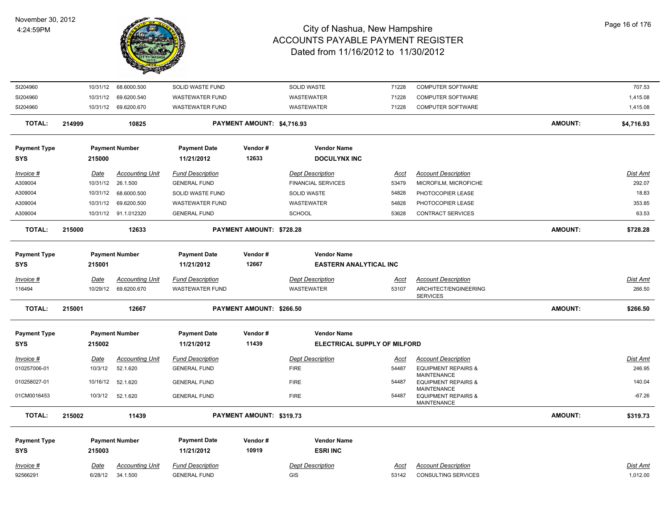

| SI204960            |        |             | 10/31/12 68.6000.500   | SOLID WASTE FUND        |                                 | SOLID WASTE                   | 71228       | COMPUTER SOFTWARE                                            |                | 707.53          |
|---------------------|--------|-------------|------------------------|-------------------------|---------------------------------|-------------------------------|-------------|--------------------------------------------------------------|----------------|-----------------|
| SI204960            |        |             | 10/31/12 69.6200.540   | <b>WASTEWATER FUND</b>  |                                 | WASTEWATER                    | 71228       | COMPUTER SOFTWARE                                            |                | 1,415.08        |
| SI204960            |        |             | 10/31/12 69.6200.670   | <b>WASTEWATER FUND</b>  |                                 | WASTEWATER                    | 71228       | <b>COMPUTER SOFTWARE</b>                                     |                | 1,415.08        |
| <b>TOTAL:</b>       | 214999 |             | 10825                  |                         | PAYMENT AMOUNT: \$4,716.93      |                               |             |                                                              | <b>AMOUNT:</b> | \$4,716.93      |
| <b>Payment Type</b> |        |             | <b>Payment Number</b>  | <b>Payment Date</b>     | Vendor#                         | <b>Vendor Name</b>            |             |                                                              |                |                 |
| <b>SYS</b>          |        | 215000      |                        | 11/21/2012              | 12633                           | <b>DOCULYNX INC</b>           |             |                                                              |                |                 |
| Invoice #           |        | Date        | <b>Accounting Unit</b> | <b>Fund Description</b> |                                 | <b>Dept Description</b>       | <u>Acct</u> | <b>Account Description</b>                                   |                | Dist Amt        |
| A309004             |        | 10/31/12    | 26.1.500               | <b>GENERAL FUND</b>     |                                 | <b>FINANCIAL SERVICES</b>     | 53479       | MICROFILM, MICROFICHE                                        |                | 292.07          |
| A309004             |        | 10/31/12    | 68.6000.500            | SOLID WASTE FUND        |                                 | SOLID WASTE                   | 54828       | PHOTOCOPIER LEASE                                            |                | 18.83           |
| A309004             |        | 10/31/12    | 69.6200.500            | <b>WASTEWATER FUND</b>  |                                 | WASTEWATER                    | 54828       | PHOTOCOPIER LEASE                                            |                | 353.85          |
| A309004             |        |             | 10/31/12 91.1.012320   | <b>GENERAL FUND</b>     |                                 | <b>SCHOOL</b>                 | 53628       | CONTRACT SERVICES                                            |                | 63.53           |
| TOTAL:              | 215000 |             | 12633                  |                         | PAYMENT AMOUNT: \$728.28        |                               |             |                                                              | <b>AMOUNT:</b> | \$728.28        |
| <b>Payment Type</b> |        |             | <b>Payment Number</b>  | <b>Payment Date</b>     | Vendor#                         | <b>Vendor Name</b>            |             |                                                              |                |                 |
| <b>SYS</b>          |        | 215001      |                        | 11/21/2012              | 12667                           | <b>EASTERN ANALYTICAL INC</b> |             |                                                              |                |                 |
| Invoice #           |        | <b>Date</b> | <b>Accounting Unit</b> | <b>Fund Description</b> |                                 | <b>Dept Description</b>       | Acct        | <b>Account Description</b>                                   |                | Dist Amt        |
| 116494              |        | 10/29/12    | 69.6200.670            | <b>WASTEWATER FUND</b>  |                                 | WASTEWATER                    | 53107       | ARCHITECT/ENGINEERING<br><b>SERVICES</b>                     |                | 266.50          |
| <b>TOTAL:</b>       | 215001 |             | 12667                  |                         | <b>PAYMENT AMOUNT: \$266.50</b> |                               |             |                                                              | <b>AMOUNT:</b> | \$266.50        |
| <b>Payment Type</b> |        |             | <b>Payment Number</b>  | <b>Payment Date</b>     | Vendor#                         | <b>Vendor Name</b>            |             |                                                              |                |                 |
| <b>SYS</b>          |        | 215002      |                        | 11/21/2012              | 11439                           | ELECTRICAL SUPPLY OF MILFORD  |             |                                                              |                |                 |
| Invoice #           |        | Date        | <b>Accounting Unit</b> | <b>Fund Description</b> |                                 | <b>Dept Description</b>       | Acct        | <b>Account Description</b>                                   |                | Dist Amt        |
| 010257006-01        |        | 10/3/12     | 52.1.620               | <b>GENERAL FUND</b>     |                                 | <b>FIRE</b>                   | 54487       | <b>EQUIPMENT REPAIRS &amp;</b><br><b>MAINTENANCE</b>         |                | 246.95          |
| 010258027-01        |        | 10/16/12    | 52.1.620               | <b>GENERAL FUND</b>     |                                 | <b>FIRE</b>                   | 54487       | <b>EQUIPMENT REPAIRS &amp;</b>                               |                | 140.04          |
| 01CM0016453         |        | 10/3/12     | 52.1.620               | <b>GENERAL FUND</b>     |                                 | <b>FIRE</b>                   | 54487       | MAINTENANCE<br><b>EQUIPMENT REPAIRS &amp;</b><br>MAINTENANCE |                | $-67.26$        |
| TOTAL:              | 215002 |             | 11439                  |                         | PAYMENT AMOUNT: \$319.73        |                               |             |                                                              | <b>AMOUNT:</b> | \$319.73        |
| <b>Payment Type</b> |        |             | <b>Payment Number</b>  | <b>Payment Date</b>     | Vendor#                         | <b>Vendor Name</b>            |             |                                                              |                |                 |
| <b>SYS</b>          |        | 215003      |                        | 11/21/2012              | 10919                           | <b>ESRI INC</b>               |             |                                                              |                |                 |
| Invoice #           |        | Date        | <b>Accounting Unit</b> | <b>Fund Description</b> |                                 | <b>Dept Description</b>       | <u>Acct</u> | <b>Account Description</b>                                   |                | <b>Dist Amt</b> |
| 92566291            |        | 6/28/12     | 34.1.500               | <b>GENERAL FUND</b>     |                                 | <b>GIS</b>                    | 53142       | <b>CONSULTING SERVICES</b>                                   |                | 1,012.00        |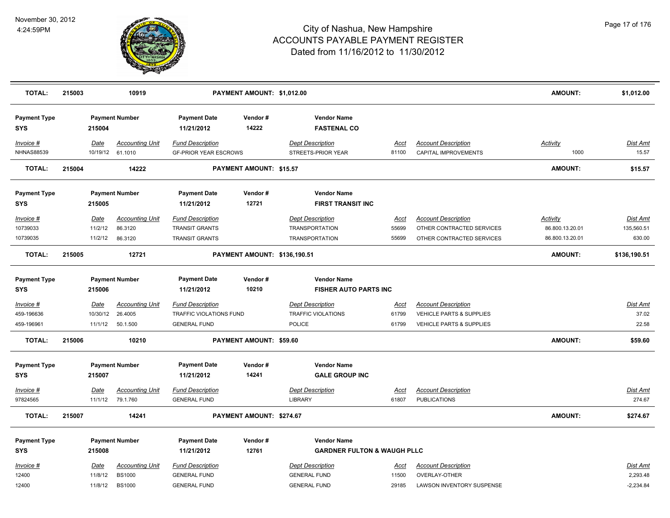

| <b>TOTAL:</b>                     | 215003 |             | 10919                                      |                                                         | PAYMENT AMOUNT: \$1,012.00     |                                                |                      |                                                           | <b>AMOUNT:</b>          | \$1,012.00               |
|-----------------------------------|--------|-------------|--------------------------------------------|---------------------------------------------------------|--------------------------------|------------------------------------------------|----------------------|-----------------------------------------------------------|-------------------------|--------------------------|
| <b>Payment Type</b><br><b>SYS</b> |        | 215004      | <b>Payment Number</b>                      | <b>Payment Date</b><br>11/21/2012                       | Vendor#<br>14222               | <b>Vendor Name</b><br><b>FASTENAL CO</b>       |                      |                                                           |                         |                          |
| Invoice #<br><b>NHNAS88539</b>    |        | Date        | <b>Accounting Unit</b><br>10/19/12 61.1010 | <b>Fund Description</b><br><b>GF-PRIOR YEAR ESCROWS</b> |                                | <b>Dept Description</b><br>STREETS-PRIOR YEAR  | <u>Acct</u><br>81100 | <b>Account Description</b><br><b>CAPITAL IMPROVEMENTS</b> | <b>Activity</b><br>1000 | <b>Dist Amt</b><br>15.57 |
| <b>TOTAL:</b>                     | 215004 |             | 14222                                      |                                                         | <b>PAYMENT AMOUNT: \$15.57</b> |                                                |                      |                                                           | <b>AMOUNT:</b>          | \$15.57                  |
| <b>Payment Type</b><br><b>SYS</b> |        | 215005      | <b>Payment Number</b>                      | <b>Payment Date</b><br>11/21/2012                       | Vendor#<br>12721               | <b>Vendor Name</b><br><b>FIRST TRANSIT INC</b> |                      |                                                           |                         |                          |
| Invoice #                         |        | Date        | <b>Accounting Unit</b>                     | <b>Fund Description</b>                                 |                                | <b>Dept Description</b>                        | Acct                 | <b>Account Description</b>                                | Activity                | <b>Dist Amt</b>          |
| 10739033                          |        | 11/2/12     | 86.3120                                    | <b>TRANSIT GRANTS</b>                                   |                                | <b>TRANSPORTATION</b>                          | 55699                | OTHER CONTRACTED SERVICES                                 | 86.800.13.20.01         | 135,560.51               |
| 10739035                          |        | 11/2/12     | 86.3120                                    | <b>TRANSIT GRANTS</b>                                   |                                | <b>TRANSPORTATION</b>                          | 55699                | OTHER CONTRACTED SERVICES                                 | 86.800.13.20.01         | 630.00                   |
| <b>TOTAL:</b>                     | 215005 |             | 12721                                      |                                                         | PAYMENT AMOUNT: \$136,190.51   |                                                |                      |                                                           | <b>AMOUNT:</b>          | \$136,190.51             |
| <b>Payment Type</b>               |        |             | <b>Payment Number</b>                      | <b>Payment Date</b>                                     | Vendor#                        | <b>Vendor Name</b>                             |                      |                                                           |                         |                          |
| <b>SYS</b>                        |        | 215006      |                                            | 11/21/2012                                              | 10210                          | <b>FISHER AUTO PARTS INC</b>                   |                      |                                                           |                         |                          |
| Invoice #                         |        | <u>Date</u> | <b>Accounting Unit</b>                     | <b>Fund Description</b>                                 |                                | <b>Dept Description</b>                        | <u>Acct</u>          | <b>Account Description</b>                                |                         | <u>Dist Amt</u>          |
| 459-196636                        |        | 10/30/12    | 26.4005                                    | TRAFFIC VIOLATIONS FUND                                 |                                | <b>TRAFFIC VIOLATIONS</b>                      | 61799                | VEHICLE PARTS & SUPPLIES                                  |                         | 37.02                    |
| 459-196961                        |        | 11/1/12     | 50.1.500                                   | <b>GENERAL FUND</b>                                     |                                | POLICE                                         | 61799                | VEHICLE PARTS & SUPPLIES                                  |                         | 22.58                    |
| <b>TOTAL:</b>                     | 215006 |             | 10210                                      |                                                         | PAYMENT AMOUNT: \$59.60        |                                                |                      |                                                           | <b>AMOUNT:</b>          | \$59.60                  |
| <b>Payment Type</b>               |        |             | <b>Payment Number</b>                      | <b>Payment Date</b>                                     | Vendor#                        | <b>Vendor Name</b>                             |                      |                                                           |                         |                          |
| <b>SYS</b>                        |        | 215007      |                                            | 11/21/2012                                              | 14241                          | <b>GALE GROUP INC</b>                          |                      |                                                           |                         |                          |
| $Invoice$ #                       |        | Date        | <b>Accounting Unit</b>                     | <b>Fund Description</b>                                 |                                | <b>Dept Description</b>                        | <u>Acct</u>          | <b>Account Description</b>                                |                         | <b>Dist Amt</b>          |
| 97824565                          |        | 11/1/12     | 79.1.760                                   | <b>GENERAL FUND</b>                                     |                                | <b>LIBRARY</b>                                 | 61807                | <b>PUBLICATIONS</b>                                       |                         | 274.67                   |
| <b>TOTAL:</b>                     | 215007 |             | 14241                                      |                                                         | PAYMENT AMOUNT: \$274.67       |                                                |                      |                                                           | <b>AMOUNT:</b>          | \$274.67                 |
|                                   |        |             |                                            |                                                         |                                |                                                |                      |                                                           |                         |                          |
| <b>Payment Type</b>               |        |             | <b>Payment Number</b>                      | <b>Payment Date</b>                                     | Vendor#                        | <b>Vendor Name</b>                             |                      |                                                           |                         |                          |
| <b>SYS</b>                        |        | 215008      |                                            | 11/21/2012                                              | 12761                          | <b>GARDNER FULTON &amp; WAUGH PLLC</b>         |                      |                                                           |                         |                          |
| Invoice #                         |        | Date        | <b>Accounting Unit</b>                     | <b>Fund Description</b>                                 |                                | <b>Dept Description</b>                        | Acct                 | <b>Account Description</b>                                |                         | Dist Amt                 |
| 12400                             |        | 11/8/12     | <b>BS1000</b>                              | <b>GENERAL FUND</b>                                     |                                | <b>GENERAL FUND</b>                            | 11500                | OVERLAY-OTHER                                             |                         | 2,293.48                 |
| 12400                             |        | 11/8/12     | <b>BS1000</b>                              | <b>GENERAL FUND</b>                                     |                                | <b>GENERAL FUND</b>                            | 29185                | LAWSON INVENTORY SUSPENSE                                 |                         | $-2,234.84$              |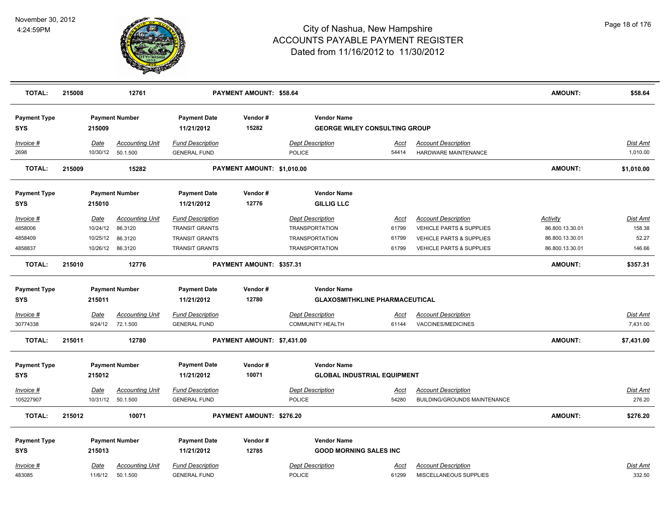

| <b>TOTAL:</b>                                              | 215008 |                                  | 12761                                                            |                                                                                                    | PAYMENT AMOUNT: \$58.64    |                                                                                                    |                                                               |                                                                                                                | <b>AMOUNT:</b>                                                    | \$58.64                               |
|------------------------------------------------------------|--------|----------------------------------|------------------------------------------------------------------|----------------------------------------------------------------------------------------------------|----------------------------|----------------------------------------------------------------------------------------------------|---------------------------------------------------------------|----------------------------------------------------------------------------------------------------------------|-------------------------------------------------------------------|---------------------------------------|
| <b>Payment Type</b><br><b>SYS</b>                          |        | 215009                           | <b>Payment Number</b>                                            | <b>Payment Date</b><br>11/21/2012                                                                  | Vendor#<br>15282           | <b>Vendor Name</b>                                                                                 | <b>GEORGE WILEY CONSULTING GROUP</b>                          |                                                                                                                |                                                                   |                                       |
| Invoice #<br>2698                                          |        | Date                             | <b>Accounting Unit</b><br>10/30/12  50.1.500                     | <b>Fund Description</b><br><b>GENERAL FUND</b>                                                     |                            | <b>Dept Description</b><br><b>POLICE</b>                                                           | Acct<br>54414                                                 | <b>Account Description</b><br>HARDWARE MAINTENANCE                                                             |                                                                   | Dist Amt<br>1,010.00                  |
| <b>TOTAL:</b>                                              | 215009 |                                  | 15282                                                            |                                                                                                    | PAYMENT AMOUNT: \$1,010.00 |                                                                                                    |                                                               |                                                                                                                | <b>AMOUNT:</b>                                                    | \$1,010.00                            |
| <b>Payment Type</b><br><b>SYS</b>                          |        | 215010                           | <b>Payment Number</b>                                            | <b>Payment Date</b><br>11/21/2012                                                                  | Vendor#<br>12776           | <b>Vendor Name</b><br><b>GILLIG LLC</b>                                                            |                                                               |                                                                                                                |                                                                   |                                       |
| Invoice #<br>4858006<br>4858409<br>4858837                 |        | Date<br>10/24/12<br>10/25/12     | <b>Accounting Unit</b><br>86.3120<br>86.3120<br>10/26/12 86.3120 | <b>Fund Description</b><br><b>TRANSIT GRANTS</b><br><b>TRANSIT GRANTS</b><br><b>TRANSIT GRANTS</b> |                            | <b>Dept Description</b><br><b>TRANSPORTATION</b><br><b>TRANSPORTATION</b><br><b>TRANSPORTATION</b> | Acct<br>61799<br>61799<br>61799                               | <b>Account Description</b><br>VEHICLE PARTS & SUPPLIES<br>VEHICLE PARTS & SUPPLIES<br>VEHICLE PARTS & SUPPLIES | Activity<br>86.800.13.30.01<br>86.800.13.30.01<br>86.800.13.30.01 | Dist Amt<br>158.38<br>52.27<br>146.66 |
| <b>TOTAL:</b>                                              | 215010 |                                  | 12776                                                            |                                                                                                    | PAYMENT AMOUNT: \$357.31   |                                                                                                    |                                                               |                                                                                                                | <b>AMOUNT:</b>                                                    | \$357.31                              |
| <b>Payment Type</b><br><b>SYS</b><br>Invoice #<br>30774338 |        | 215011<br><u>Date</u><br>9/24/12 | <b>Payment Number</b><br><b>Accounting Unit</b><br>72.1.500      | <b>Payment Date</b><br>11/21/2012<br><b>Fund Description</b><br><b>GENERAL FUND</b>                | Vendor#<br>12780           | <b>Vendor Name</b><br><b>Dept Description</b><br><b>COMMUNITY HEALTH</b>                           | <b>GLAXOSMITHKLINE PHARMACEUTICAL</b><br><u>Acct</u><br>61144 | <b>Account Description</b><br>VACCINES/MEDICINES                                                               |                                                                   | <b>Dist Amt</b><br>7,431.00           |
| <b>TOTAL:</b>                                              | 215011 |                                  | 12780                                                            |                                                                                                    | PAYMENT AMOUNT: \$7,431.00 |                                                                                                    |                                                               |                                                                                                                | <b>AMOUNT:</b>                                                    | \$7,431.00                            |
| <b>Payment Type</b><br><b>SYS</b><br>Invoice #             |        | 215012<br>Date                   | <b>Payment Number</b><br>Accounting Unit                         | <b>Payment Date</b><br>11/21/2012<br><b>Fund Description</b>                                       | Vendor#<br>10071           | <b>Vendor Name</b><br><b>Dept Description</b>                                                      | <b>GLOBAL INDUSTRIAL EQUIPMENT</b><br><u>Acct</u>             | <b>Account Description</b>                                                                                     |                                                                   | <u>Dist Amt</u>                       |
| 105227907<br><b>TOTAL:</b>                                 | 215012 |                                  | 10/31/12 50.1.500<br>10071                                       | <b>GENERAL FUND</b>                                                                                | PAYMENT AMOUNT: \$276.20   | <b>POLICE</b>                                                                                      | 54280                                                         | <b>BUILDING/GROUNDS MAINTENANCE</b>                                                                            | <b>AMOUNT:</b>                                                    | 276.20<br>\$276.20                    |
| <b>Payment Type</b><br><b>SYS</b><br>Invoice #             |        | 215013<br>Date                   | <b>Payment Number</b><br><b>Accounting Unit</b>                  | <b>Payment Date</b><br>11/21/2012<br><b>Fund Description</b>                                       | Vendor#<br>12785           | <b>Vendor Name</b><br><b>GOOD MORNING SALES INC</b><br><b>Dept Description</b>                     | Acct                                                          | <b>Account Description</b>                                                                                     |                                                                   | <b>Dist Amt</b>                       |
| 483085                                                     |        | 11/6/12                          | 50.1.500                                                         | <b>GENERAL FUND</b>                                                                                |                            | <b>POLICE</b>                                                                                      | 61299                                                         | MISCELLANEOUS SUPPLIES                                                                                         |                                                                   | 332.50                                |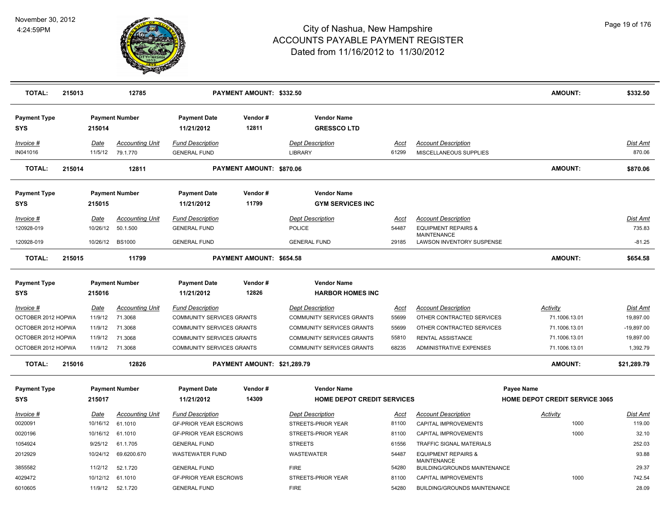

| <b>TOTAL:</b>                     | 215013 |             | 12785                  |                                   | PAYMENT AMOUNT: \$332.50    |                                                         |             |                                                      | <b>AMOUNT:</b>                                      | \$332.50        |
|-----------------------------------|--------|-------------|------------------------|-----------------------------------|-----------------------------|---------------------------------------------------------|-------------|------------------------------------------------------|-----------------------------------------------------|-----------------|
| <b>Payment Type</b><br><b>SYS</b> |        | 215014      | <b>Payment Number</b>  | <b>Payment Date</b><br>11/21/2012 | Vendor#<br>12811            | <b>Vendor Name</b><br><b>GRESSCOLTD</b>                 |             |                                                      |                                                     |                 |
| Invoice #                         |        | Date        | <b>Accounting Unit</b> | <b>Fund Description</b>           |                             | <b>Dept Description</b>                                 | Acct        | <b>Account Description</b>                           |                                                     | Dist Amt        |
| IN041016                          |        | 11/5/12     | 79.1.770               | <b>GENERAL FUND</b>               |                             | LIBRARY                                                 | 61299       | MISCELLANEOUS SUPPLIES                               |                                                     | 870.06          |
| <b>TOTAL:</b>                     | 215014 |             | 12811                  |                                   | PAYMENT AMOUNT: \$870.06    |                                                         |             |                                                      | <b>AMOUNT:</b>                                      | \$870.06        |
| <b>Payment Type</b><br><b>SYS</b> |        | 215015      | <b>Payment Number</b>  | <b>Payment Date</b><br>11/21/2012 | Vendor#<br>11799            | <b>Vendor Name</b><br><b>GYM SERVICES INC</b>           |             |                                                      |                                                     |                 |
| Invoice #                         |        | Date        | <b>Accounting Unit</b> | <b>Fund Description</b>           |                             | <b>Dept Description</b>                                 | Acct        | <b>Account Description</b>                           |                                                     | Dist Amt        |
| 120928-019                        |        | 10/26/12    | 50.1.500               | <b>GENERAL FUND</b>               |                             | <b>POLICE</b>                                           | 54487       | <b>EQUIPMENT REPAIRS &amp;</b>                       |                                                     | 735.83          |
| 120928-019                        |        | 10/26/12    | <b>BS1000</b>          | <b>GENERAL FUND</b>               |                             | <b>GENERAL FUND</b>                                     | 29185       | <b>MAINTENANCE</b><br>LAWSON INVENTORY SUSPENSE      |                                                     | $-81.25$        |
|                                   |        |             |                        |                                   |                             |                                                         |             |                                                      |                                                     |                 |
| <b>TOTAL:</b>                     | 215015 |             | 11799                  |                                   | PAYMENT AMOUNT: \$654.58    |                                                         |             |                                                      | <b>AMOUNT:</b>                                      | \$654.58        |
| <b>Payment Type</b>               |        |             | <b>Payment Number</b>  | <b>Payment Date</b>               | Vendor#                     | <b>Vendor Name</b>                                      |             |                                                      |                                                     |                 |
| <b>SYS</b>                        |        | 215016      |                        | 11/21/2012                        | 12826                       | <b>HARBOR HOMES INC</b>                                 |             |                                                      |                                                     |                 |
| Invoice #                         |        | Date        | <b>Accounting Unit</b> | <b>Fund Description</b>           |                             | <b>Dept Description</b>                                 | <u>Acct</u> | <b>Account Description</b>                           | Activity                                            | <b>Dist Amt</b> |
| OCTOBER 2012 HOPWA                |        | 11/9/12     | 71.3068                | COMMUNITY SERVICES GRANTS         |                             | COMMUNITY SERVICES GRANTS                               | 55699       | OTHER CONTRACTED SERVICES                            | 71.1006.13.01                                       | 19,897.00       |
| OCTOBER 2012 HOPWA                |        | 11/9/12     | 71.3068                | <b>COMMUNITY SERVICES GRANTS</b>  |                             | <b>COMMUNITY SERVICES GRANTS</b>                        | 55699       | OTHER CONTRACTED SERVICES                            | 71.1006.13.01                                       | $-19,897.00$    |
| OCTOBER 2012 HOPWA                |        | 11/9/12     | 71.3068                | <b>COMMUNITY SERVICES GRANTS</b>  |                             | <b>COMMUNITY SERVICES GRANTS</b>                        | 55810       | <b>RENTAL ASSISTANCE</b>                             | 71.1006.13.01                                       | 19,897.00       |
| OCTOBER 2012 HOPWA                |        | 11/9/12     | 71.3068                | <b>COMMUNITY SERVICES GRANTS</b>  |                             | <b>COMMUNITY SERVICES GRANTS</b>                        | 68235       | <b>ADMINISTRATIVE EXPENSES</b>                       | 71.1006.13.01                                       | 1,392.79        |
| <b>TOTAL:</b>                     | 215016 |             | 12826                  |                                   | PAYMENT AMOUNT: \$21,289.79 |                                                         |             |                                                      | <b>AMOUNT:</b>                                      | \$21,289.79     |
|                                   |        |             |                        |                                   |                             |                                                         |             |                                                      |                                                     |                 |
| <b>Payment Type</b><br><b>SYS</b> |        | 215017      | <b>Payment Number</b>  | <b>Payment Date</b><br>11/21/2012 | Vendor#<br>14309            | <b>Vendor Name</b><br><b>HOME DEPOT CREDIT SERVICES</b> |             |                                                      | Payee Name<br><b>HOME DEPOT CREDIT SERVICE 3065</b> |                 |
|                                   |        |             |                        |                                   |                             |                                                         |             |                                                      |                                                     |                 |
| $Invoice$ #                       |        | <u>Date</u> | <b>Accounting Unit</b> | <b>Fund Description</b>           |                             | <b>Dept Description</b>                                 | <u>Acct</u> | <b>Account Description</b>                           | <b>Activity</b>                                     | <b>Dist Amt</b> |
| 0020091                           |        | 10/16/12    | 61.1010                | <b>GF-PRIOR YEAR ESCROWS</b>      |                             | STREETS-PRIOR YEAR                                      | 81100       | CAPITAL IMPROVEMENTS                                 | 1000                                                | 119.00          |
| 0020196                           |        | 10/16/12    | 61.1010                | <b>GF-PRIOR YEAR ESCROWS</b>      |                             | STREETS-PRIOR YEAR                                      | 81100       | CAPITAL IMPROVEMENTS                                 | 1000                                                | 32.10           |
| 1054924                           |        | 9/25/12     | 61.1.705               | <b>GENERAL FUND</b>               |                             | <b>STREETS</b>                                          | 61556       | TRAFFIC SIGNAL MATERIALS                             |                                                     | 252.03          |
| 2012929                           |        | 10/24/12    | 69.6200.670            | <b>WASTEWATER FUND</b>            |                             | <b>WASTEWATER</b>                                       | 54487       | <b>EQUIPMENT REPAIRS &amp;</b><br><b>MAINTENANCE</b> |                                                     | 93.88           |
| 3855582                           |        | 11/2/12     | 52.1.720               | <b>GENERAL FUND</b>               |                             | <b>FIRE</b>                                             | 54280       | BUILDING/GROUNDS MAINTENANCE                         |                                                     | 29.37           |
| 4029472                           |        | 10/12/12    | 61.1010                | <b>GF-PRIOR YEAR ESCROWS</b>      |                             | STREETS-PRIOR YEAR                                      | 81100       | CAPITAL IMPROVEMENTS                                 | 1000                                                | 742.54          |
| 6010605                           |        | 11/9/12     | 52.1.720               | <b>GENERAL FUND</b>               |                             | <b>FIRE</b>                                             | 54280       | BUILDING/GROUNDS MAINTENANCE                         |                                                     | 28.09           |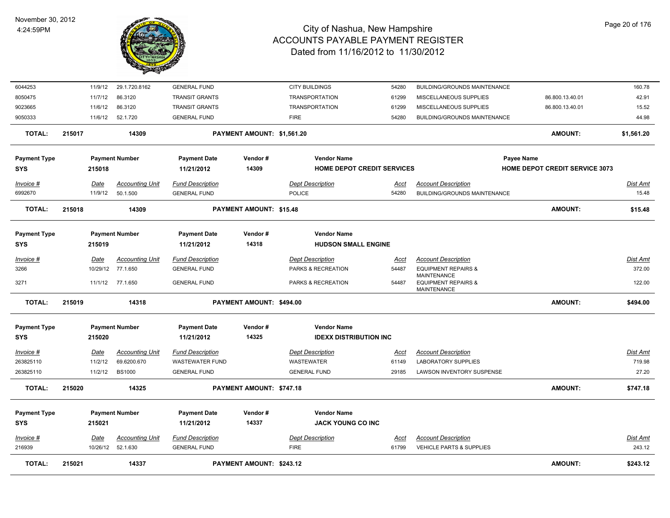

| <b>TOTAL:</b>                     | 215021 |                         | 14337                              |                                                | PAYMENT AMOUNT: \$243.12   |                                        |                                                |               |                                                                   |                                       | <b>AMOUNT:</b>  | \$243.12           |
|-----------------------------------|--------|-------------------------|------------------------------------|------------------------------------------------|----------------------------|----------------------------------------|------------------------------------------------|---------------|-------------------------------------------------------------------|---------------------------------------|-----------------|--------------------|
| Invoice #<br>216939               |        | <u>Date</u><br>10/26/12 | <b>Accounting Unit</b><br>52.1.630 | <b>Fund Description</b><br><b>GENERAL FUND</b> |                            | <b>Dept Description</b><br><b>FIRE</b> |                                                | Acct<br>61799 | <b>Account Description</b><br><b>VEHICLE PARTS &amp; SUPPLIES</b> |                                       |                 | Dist Amt<br>243.12 |
| <b>Payment Type</b><br><b>SYS</b> |        | 215021                  | <b>Payment Number</b>              | <b>Payment Date</b><br>11/21/2012              | Vendor#<br>14337           |                                        | <b>Vendor Name</b><br><b>JACK YOUNG CO INC</b> |               |                                                                   |                                       |                 |                    |
| <b>TOTAL:</b>                     | 215020 |                         | 14325                              |                                                | PAYMENT AMOUNT: \$747.18   |                                        |                                                |               |                                                                   |                                       | <b>AMOUNT:</b>  | \$747.18           |
| 263825110                         |        | 11/2/12                 | <b>BS1000</b>                      | <b>GENERAL FUND</b>                            |                            | <b>GENERAL FUND</b>                    |                                                | 29185         | LAWSON INVENTORY SUSPENSE                                         |                                       |                 | 27.20              |
| 263825110                         |        | 11/2/12                 | 69.6200.670                        | <b>WASTEWATER FUND</b>                         |                            | <b>WASTEWATER</b>                      |                                                | 61149         | <b>LABORATORY SUPPLIES</b>                                        |                                       |                 | 719.98             |
| Invoice #                         |        | <b>Date</b>             | <b>Accounting Unit</b>             | <b>Fund Description</b>                        |                            | <b>Dept Description</b>                |                                                | <u>Acct</u>   | <b>Account Description</b>                                        |                                       |                 | Dist Amt           |
| <b>SYS</b>                        |        | 215020                  |                                    | 11/21/2012                                     | 14325                      |                                        | <b>IDEXX DISTRIBUTION INC</b>                  |               |                                                                   |                                       |                 |                    |
| <b>Payment Type</b>               |        |                         | <b>Payment Number</b>              | <b>Payment Date</b>                            | Vendor#                    |                                        | <b>Vendor Name</b>                             |               |                                                                   |                                       |                 |                    |
| <b>TOTAL:</b>                     | 215019 |                         | 14318                              |                                                | PAYMENT AMOUNT: \$494.00   |                                        |                                                |               |                                                                   |                                       | <b>AMOUNT:</b>  | \$494.00           |
| 3271                              |        |                         | 11/1/12 77.1.650                   | <b>GENERAL FUND</b>                            |                            | PARKS & RECREATION                     |                                                | 54487         | <b>EQUIPMENT REPAIRS &amp;</b><br>MAINTENANCE                     |                                       |                 | 122.00             |
| 3266                              |        |                         | 10/29/12 77.1.650                  | <b>GENERAL FUND</b>                            |                            | PARKS & RECREATION                     |                                                | 54487         | <b>EQUIPMENT REPAIRS &amp;</b><br><b>MAINTENANCE</b>              |                                       |                 | 372.00             |
| Invoice #                         |        | Date                    | <b>Accounting Unit</b>             | <u>Fund Description</u>                        |                            | <b>Dept Description</b>                |                                                | <u>Acct</u>   | <b>Account Description</b>                                        |                                       |                 | Dist Amt           |
| <b>SYS</b>                        |        | 215019                  |                                    | 11/21/2012                                     | 14318                      |                                        | <b>HUDSON SMALL ENGINE</b>                     |               |                                                                   |                                       |                 |                    |
| <b>Payment Type</b>               |        |                         | <b>Payment Number</b>              | <b>Payment Date</b>                            | Vendor#                    |                                        | <b>Vendor Name</b>                             |               |                                                                   |                                       |                 |                    |
| <b>TOTAL:</b>                     | 215018 |                         | 14309                              |                                                | PAYMENT AMOUNT: \$15.48    |                                        |                                                |               |                                                                   |                                       | <b>AMOUNT:</b>  | \$15.48            |
| 6992670                           |        | 11/9/12                 | 50.1.500                           | <b>GENERAL FUND</b>                            |                            | <b>POLICE</b>                          |                                                | 54280         | <b>BUILDING/GROUNDS MAINTENANCE</b>                               |                                       |                 | 15.48              |
| Invoice #                         |        | Date                    | <b>Accounting Unit</b>             | <b>Fund Description</b>                        |                            | <b>Dept Description</b>                |                                                | Acct          | <b>Account Description</b>                                        |                                       |                 | Dist Amt           |
| <b>SYS</b>                        |        | 215018                  |                                    | 11/21/2012                                     | 14309                      |                                        | <b>HOME DEPOT CREDIT SERVICES</b>              |               |                                                                   | <b>HOME DEPOT CREDIT SERVICE 3073</b> |                 |                    |
| <b>Payment Type</b>               |        |                         | <b>Payment Number</b>              | <b>Payment Date</b>                            | Vendor#                    |                                        | <b>Vendor Name</b>                             |               |                                                                   | <b>Payee Name</b>                     |                 |                    |
| <b>TOTAL:</b>                     | 215017 |                         | 14309                              |                                                | PAYMENT AMOUNT: \$1,561.20 |                                        |                                                |               |                                                                   |                                       | <b>AMOUNT:</b>  | \$1,561.20         |
| 9050333                           |        | 11/6/12                 | 52.1.720                           | <b>GENERAL FUND</b>                            |                            | <b>FIRE</b>                            |                                                | 54280         | BUILDING/GROUNDS MAINTENANCE                                      |                                       |                 | 44.98              |
| 9023665                           |        | 11/6/12                 | 86.3120                            | <b>TRANSIT GRANTS</b>                          |                            | <b>TRANSPORTATION</b>                  |                                                | 61299         | MISCELLANEOUS SUPPLIES                                            |                                       | 86.800.13.40.01 | 15.52              |
| 8050475                           |        | 11/7/12                 | 86.3120                            | <b>TRANSIT GRANTS</b>                          |                            | <b>TRANSPORTATION</b>                  |                                                | 61299         | MISCELLANEOUS SUPPLIES                                            |                                       | 86.800.13.40.01 | 42.91              |
| 6044253                           |        | 11/9/12                 | 29.1.720.8162                      | <b>GENERAL FUND</b>                            |                            | <b>CITY BUILDINGS</b>                  |                                                | 54280         | <b>BUILDING/GROUNDS MAINTENANCE</b>                               |                                       |                 | 160.78             |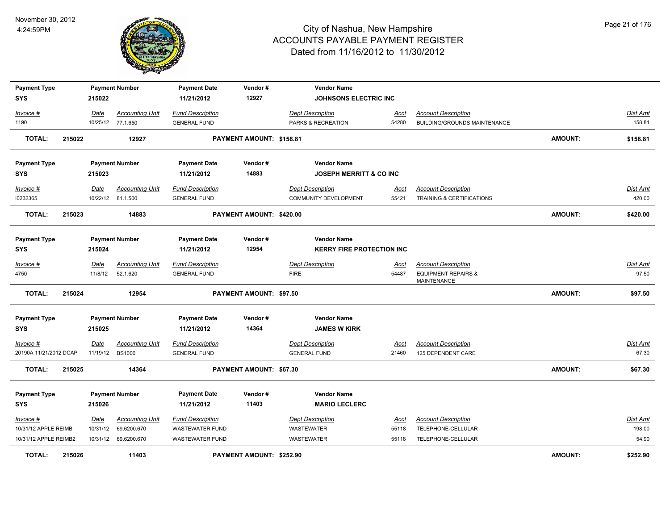

| <b>Payment Type</b>    |        |          | <b>Payment Number</b>  | <b>Payment Date</b>     | Vendor#                  | <b>Vendor Name</b>                 |             |                                                      |                |                 |
|------------------------|--------|----------|------------------------|-------------------------|--------------------------|------------------------------------|-------------|------------------------------------------------------|----------------|-----------------|
| <b>SYS</b>             |        | 215022   |                        | 11/21/2012              | 12927                    | <b>JOHNSONS ELECTRIC INC</b>       |             |                                                      |                |                 |
| Invoice #              |        | Date     | <b>Accounting Unit</b> | <b>Fund Description</b> |                          | <b>Dept Description</b>            | <u>Acct</u> | <b>Account Description</b>                           |                | Dist Amt        |
| 1190                   |        |          | 10/25/12 77.1.650      | <b>GENERAL FUND</b>     |                          | PARKS & RECREATION                 | 54280       | BUILDING/GROUNDS MAINTENANCE                         |                | 158.81          |
| TOTAL:                 | 215022 |          | 12927                  |                         | PAYMENT AMOUNT: \$158.81 |                                    |             |                                                      | <b>AMOUNT:</b> | \$158.81        |
| <b>Payment Type</b>    |        |          | <b>Payment Number</b>  | <b>Payment Date</b>     | Vendor#                  | <b>Vendor Name</b>                 |             |                                                      |                |                 |
| <b>SYS</b>             |        | 215023   |                        | 11/21/2012              | 14883                    | <b>JOSEPH MERRITT &amp; CO INC</b> |             |                                                      |                |                 |
| Invoice #              |        | Date     | <b>Accounting Unit</b> | <b>Fund Description</b> |                          | <b>Dept Description</b>            | Acct        | <b>Account Description</b>                           |                | Dist Amt        |
| 10232365               |        |          | 10/22/12 81.1.500      | <b>GENERAL FUND</b>     |                          | <b>COMMUNITY DEVELOPMENT</b>       | 55421       | <b>TRAINING &amp; CERTIFICATIONS</b>                 |                | 420.00          |
| <b>TOTAL:</b>          | 215023 |          | 14883                  |                         | PAYMENT AMOUNT: \$420.00 |                                    |             |                                                      | <b>AMOUNT:</b> | \$420.00        |
| <b>Payment Type</b>    |        |          | <b>Payment Number</b>  | <b>Payment Date</b>     | Vendor#                  | <b>Vendor Name</b>                 |             |                                                      |                |                 |
| <b>SYS</b>             |        | 215024   |                        | 11/21/2012              | 12954                    | <b>KERRY FIRE PROTECTION INC</b>   |             |                                                      |                |                 |
| Invoice #              |        | Date     | <b>Accounting Unit</b> | <b>Fund Description</b> |                          | <b>Dept Description</b>            | Acct        | <b>Account Description</b>                           |                | Dist Amt        |
| 4750                   |        | 11/8/12  | 52.1.620               | <b>GENERAL FUND</b>     |                          | <b>FIRE</b>                        | 54487       | <b>EQUIPMENT REPAIRS &amp;</b><br><b>MAINTENANCE</b> |                | 97.50           |
| <b>TOTAL:</b>          | 215024 |          | 12954                  |                         | PAYMENT AMOUNT: \$97.50  |                                    |             |                                                      | <b>AMOUNT:</b> | \$97.50         |
| <b>Payment Type</b>    |        |          | <b>Payment Number</b>  | <b>Payment Date</b>     | Vendor#                  | <b>Vendor Name</b>                 |             |                                                      |                |                 |
| <b>SYS</b>             |        | 215025   |                        | 11/21/2012              | 14364                    | <b>JAMES W KIRK</b>                |             |                                                      |                |                 |
| Invoice #              |        | Date     | <b>Accounting Unit</b> | <b>Fund Description</b> |                          | <b>Dept Description</b>            | <u>Acct</u> | <b>Account Description</b>                           |                | Dist Amt        |
| 20190A 11/21/2012 DCAP |        | 11/19/12 | <b>BS1000</b>          | <b>GENERAL FUND</b>     |                          | <b>GENERAL FUND</b>                | 21460       | 125 DEPENDENT CARE                                   |                | 67.30           |
| <b>TOTAL:</b>          | 215025 |          | 14364                  |                         | PAYMENT AMOUNT: \$67.30  |                                    |             |                                                      | AMOUNT:        | \$67.30         |
| <b>Payment Type</b>    |        |          | <b>Payment Number</b>  | <b>Payment Date</b>     | Vendor#                  | <b>Vendor Name</b>                 |             |                                                      |                |                 |
| <b>SYS</b>             |        | 215026   |                        | 11/21/2012              | 11403                    | <b>MARIO LECLERC</b>               |             |                                                      |                |                 |
| Invoice #              |        | Date     | <b>Accounting Unit</b> | <b>Fund Description</b> |                          | <b>Dept Description</b>            | <b>Acct</b> | <b>Account Description</b>                           |                | <b>Dist Amt</b> |
| 10/31/12 APPLE REIMB   |        | 10/31/12 | 69.6200.670            | <b>WASTEWATER FUND</b>  |                          | <b>WASTEWATER</b>                  | 55118       | TELEPHONE-CELLULAR                                   |                | 198.00          |
| 10/31/12 APPLE REIMB2  |        |          | 10/31/12 69.6200.670   | <b>WASTEWATER FUND</b>  |                          | WASTEWATER                         | 55118       | TELEPHONE-CELLULAR                                   |                | 54.90           |
| <b>TOTAL:</b>          | 215026 |          | 11403                  |                         | PAYMENT AMOUNT: \$252.90 |                                    |             |                                                      | AMOUNT:        | \$252.90        |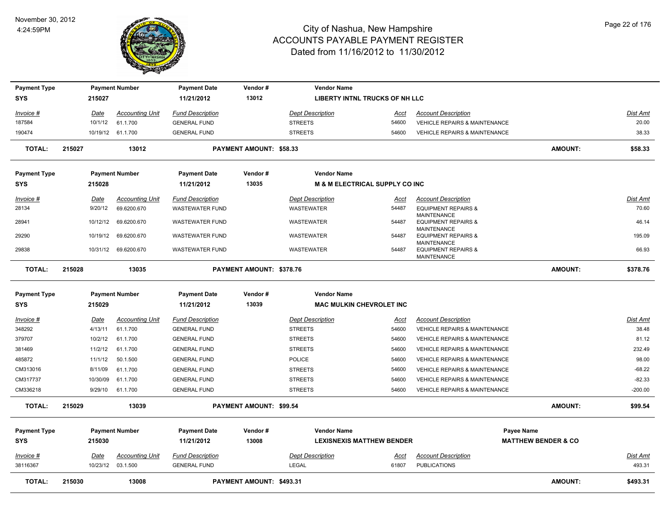

| <b>Payment Type</b>        |        |                        | <b>Payment Number</b>                       | <b>Payment Date</b>                            | Vendor#                         | <b>Vendor Name</b>                        |                      |                                                             |                                |                           |
|----------------------------|--------|------------------------|---------------------------------------------|------------------------------------------------|---------------------------------|-------------------------------------------|----------------------|-------------------------------------------------------------|--------------------------------|---------------------------|
| <b>SYS</b>                 |        | 215027                 |                                             | 11/21/2012                                     | 13012                           | LIBERTY INTNL TRUCKS OF NH LLC            |                      |                                                             |                                |                           |
| Invoice #                  |        | Date                   | <b>Accounting Unit</b>                      | <b>Fund Description</b>                        |                                 | <b>Dept Description</b>                   | Acct                 | <b>Account Description</b>                                  |                                | Dist Amt                  |
| 187584                     |        | 10/1/12                | 61.1.700                                    | <b>GENERAL FUND</b>                            |                                 | <b>STREETS</b>                            | 54600                | <b>VEHICLE REPAIRS &amp; MAINTENANCE</b>                    |                                | 20.00                     |
| 190474                     |        |                        | 10/19/12 61.1.700                           | <b>GENERAL FUND</b>                            |                                 | <b>STREETS</b>                            | 54600                | <b>VEHICLE REPAIRS &amp; MAINTENANCE</b>                    |                                | 38.33                     |
| <b>TOTAL:</b>              | 215027 |                        | 13012                                       |                                                | PAYMENT AMOUNT: \$58.33         |                                           |                      |                                                             | <b>AMOUNT:</b>                 | \$58.33                   |
| <b>Payment Type</b>        |        |                        | <b>Payment Number</b>                       | <b>Payment Date</b>                            | Vendor#                         | <b>Vendor Name</b>                        |                      |                                                             |                                |                           |
| <b>SYS</b>                 |        | 215028                 |                                             | 11/21/2012                                     | 13035                           | <b>M &amp; M ELECTRICAL SUPPLY CO INC</b> |                      |                                                             |                                |                           |
| Invoice #                  |        | <u>Date</u>            | <b>Accounting Unit</b>                      | <b>Fund Description</b>                        |                                 | <b>Dept Description</b>                   | <u>Acct</u>          | <b>Account Description</b>                                  |                                | Dist Amt                  |
| 28134                      |        | 9/20/12                | 69.6200.670                                 | WASTEWATER FUND                                |                                 | WASTEWATER                                | 54487                | <b>EQUIPMENT REPAIRS &amp;</b>                              |                                | 70.60                     |
| 28941                      |        | 10/12/12               | 69.6200.670                                 | <b>WASTEWATER FUND</b>                         |                                 | WASTEWATER                                | 54487                | <b>MAINTENANCE</b><br><b>EQUIPMENT REPAIRS &amp;</b>        |                                | 46.14                     |
| 29290                      |        |                        | 10/19/12 69.6200.670                        | <b>WASTEWATER FUND</b>                         |                                 | WASTEWATER                                | 54487                | <b>MAINTENANCE</b><br><b>EQUIPMENT REPAIRS &amp;</b>        |                                | 195.09                    |
|                            |        |                        |                                             |                                                |                                 |                                           |                      | <b>MAINTENANCE</b>                                          |                                |                           |
| 29838                      |        |                        | 10/31/12 69.6200.670                        | <b>WASTEWATER FUND</b>                         |                                 | WASTEWATER                                | 54487                | <b>EQUIPMENT REPAIRS &amp;</b><br><b>MAINTENANCE</b>        |                                | 66.93                     |
| <b>TOTAL:</b>              | 215028 |                        | 13035                                       |                                                | PAYMENT AMOUNT: \$378.76        |                                           |                      |                                                             | <b>AMOUNT:</b>                 | \$378.76                  |
| <b>Payment Type</b>        |        |                        | <b>Payment Number</b>                       | <b>Payment Date</b>                            | Vendor#                         | <b>Vendor Name</b>                        |                      |                                                             |                                |                           |
| <b>SYS</b>                 |        | 215029                 |                                             | 11/21/2012                                     | 13039                           | <b>MAC MULKIN CHEVROLET INC</b>           |                      |                                                             |                                |                           |
|                            |        |                        |                                             |                                                |                                 |                                           |                      |                                                             |                                |                           |
| <u>Invoice #</u><br>348292 |        | <u>Date</u><br>4/13/11 | <b>Accounting Unit</b><br>61.1.700          | <b>Fund Description</b><br><b>GENERAL FUND</b> |                                 | <b>Dept Description</b><br><b>STREETS</b> | <u>Acct</u><br>54600 | <b>Account Description</b><br>VEHICLE REPAIRS & MAINTENANCE |                                | Dist Amt<br>38.48         |
| 379707                     |        | 10/2/12                | 61.1.700                                    | <b>GENERAL FUND</b>                            |                                 | <b>STREETS</b>                            | 54600                | VEHICLE REPAIRS & MAINTENANCE                               |                                | 81.12                     |
| 381469                     |        | 11/2/12                | 61.1.700                                    | <b>GENERAL FUND</b>                            |                                 | <b>STREETS</b>                            | 54600                | VEHICLE REPAIRS & MAINTENANCE                               |                                | 232.49                    |
| 485872                     |        | 11/1/12                | 50.1.500                                    | <b>GENERAL FUND</b>                            |                                 | <b>POLICE</b>                             | 54600                | VEHICLE REPAIRS & MAINTENANCE                               |                                | 98.00                     |
| CM313016                   |        | 8/11/09                | 61.1.700                                    | <b>GENERAL FUND</b>                            |                                 | <b>STREETS</b>                            | 54600                | <b>VEHICLE REPAIRS &amp; MAINTENANCE</b>                    |                                | $-68.22$                  |
| CM317737                   |        | 10/30/09               | 61.1.700                                    | <b>GENERAL FUND</b>                            |                                 | <b>STREETS</b>                            | 54600                | <b>VEHICLE REPAIRS &amp; MAINTENANCE</b>                    |                                | $-82.33$                  |
| CM336218                   |        | 9/29/10                | 61.1.700                                    | <b>GENERAL FUND</b>                            |                                 | <b>STREETS</b>                            | 54600                | VEHICLE REPAIRS & MAINTENANCE                               |                                | $-200.00$                 |
| <b>TOTAL:</b>              | 215029 |                        | 13039                                       |                                                | PAYMENT AMOUNT: \$99.54         |                                           |                      |                                                             | <b>AMOUNT:</b>                 | \$99.54                   |
|                            |        |                        |                                             |                                                |                                 |                                           |                      |                                                             |                                |                           |
| <b>Payment Type</b>        |        |                        | <b>Payment Number</b>                       | <b>Payment Date</b>                            | Vendor#                         | <b>Vendor Name</b>                        |                      |                                                             | Payee Name                     |                           |
| SYS                        |        | 215030                 |                                             | 11/21/2012                                     | 13008                           | <b>LEXISNEXIS MATTHEW BENDER</b>          |                      |                                                             | <b>MATTHEW BENDER &amp; CO</b> |                           |
| $Invoice$ #<br>38116367    |        | <u>Date</u>            | <b>Accounting Unit</b><br>10/23/12 03.1.500 | <b>Fund Description</b><br><b>GENERAL FUND</b> |                                 | <b>Dept Description</b><br><b>LEGAL</b>   | <u>Acct</u><br>61807 | <b>Account Description</b><br><b>PUBLICATIONS</b>           |                                | <b>Dist Amt</b><br>493.31 |
| <b>TOTAL:</b>              | 215030 |                        | 13008                                       |                                                | <b>PAYMENT AMOUNT: \$493.31</b> |                                           |                      |                                                             | AMOUNT:                        | \$493.31                  |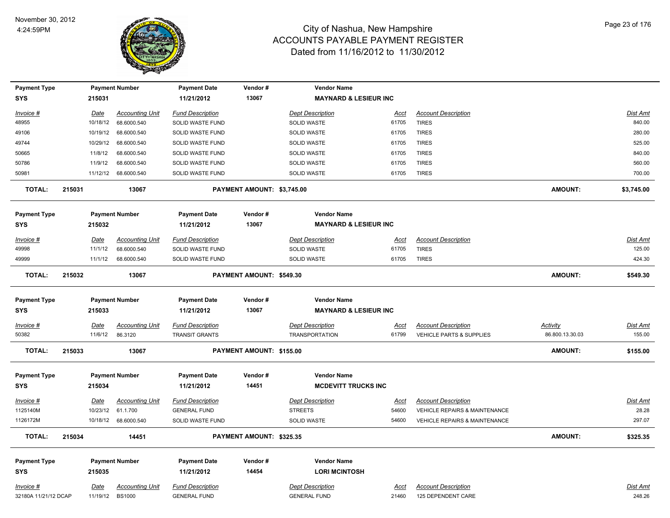

| <b>Payment Type</b>  |        |             | <b>Payment Number</b>  | Payment Date            | Vendor#                    | <b>Vendor Name</b>               |             |                                          |                 |                 |
|----------------------|--------|-------------|------------------------|-------------------------|----------------------------|----------------------------------|-------------|------------------------------------------|-----------------|-----------------|
| <b>SYS</b>           |        | 215031      |                        | 11/21/2012              | 13067                      | <b>MAYNARD &amp; LESIEUR INC</b> |             |                                          |                 |                 |
| Invoice #            |        | Date        | <b>Accounting Unit</b> | <b>Fund Description</b> |                            | <b>Dept Description</b>          | Acct        | <b>Account Description</b>               |                 | Dist Amt        |
| 48955                |        | 10/18/12    | 68.6000.540            | SOLID WASTE FUND        |                            | SOLID WASTE                      | 61705       | <b>TIRES</b>                             |                 | 840.00          |
| 49106                |        | 10/19/12    | 68.6000.540            | SOLID WASTE FUND        |                            | SOLID WASTE                      | 61705       | <b>TIRES</b>                             |                 | 280.00          |
| 49744                |        | 10/29/12    | 68.6000.540            | SOLID WASTE FUND        |                            | SOLID WASTE                      | 61705       | <b>TIRES</b>                             |                 | 525.00          |
| 50665                |        | 11/8/12     | 68.6000.540            | SOLID WASTE FUND        |                            | SOLID WASTE                      | 61705       | <b>TIRES</b>                             |                 | 840.00          |
| 50786                |        | 11/9/12     | 68.6000.540            | SOLID WASTE FUND        |                            | SOLID WASTE                      | 61705       | <b>TIRES</b>                             |                 | 560.00          |
| 50981                |        | 11/12/12    | 68.6000.540            | SOLID WASTE FUND        |                            | <b>SOLID WASTE</b>               | 61705       | <b>TIRES</b>                             |                 | 700.00          |
| <b>TOTAL:</b>        | 215031 |             | 13067                  |                         | PAYMENT AMOUNT: \$3,745.00 |                                  |             |                                          | <b>AMOUNT:</b>  | \$3,745.00      |
| <b>Payment Type</b>  |        |             | <b>Payment Number</b>  | <b>Payment Date</b>     | Vendor#                    | <b>Vendor Name</b>               |             |                                          |                 |                 |
| <b>SYS</b>           |        | 215032      |                        | 11/21/2012              | 13067                      | <b>MAYNARD &amp; LESIEUR INC</b> |             |                                          |                 |                 |
| Invoice #            |        | Date        | <b>Accounting Unit</b> | <b>Fund Description</b> |                            | <b>Dept Description</b>          | Acct        | <b>Account Description</b>               |                 | Dist Amt        |
| 49998                |        | 11/1/12     | 68.6000.540            | SOLID WASTE FUND        |                            | SOLID WASTE                      | 61705       | <b>TIRES</b>                             |                 | 125.00          |
| 49999                |        | 11/1/12     | 68.6000.540            | SOLID WASTE FUND        |                            | <b>SOLID WASTE</b>               | 61705       | <b>TIRES</b>                             |                 | 424.30          |
| <b>TOTAL:</b>        | 215032 |             | 13067                  |                         | PAYMENT AMOUNT: \$549.30   |                                  |             |                                          | <b>AMOUNT:</b>  | \$549.30        |
| <b>Payment Type</b>  |        |             | <b>Payment Number</b>  | <b>Payment Date</b>     | Vendor#                    | <b>Vendor Name</b>               |             |                                          |                 |                 |
| <b>SYS</b>           |        | 215033      |                        | 11/21/2012              | 13067                      | <b>MAYNARD &amp; LESIEUR INC</b> |             |                                          |                 |                 |
| $Invoice$ #          |        | <u>Date</u> | <b>Accounting Unit</b> | <b>Fund Description</b> |                            | <b>Dept Description</b>          | Acct        | <b>Account Description</b>               | Activity        | Dist Amt        |
| 50382                |        | 11/6/12     | 86.3120                | <b>TRANSIT GRANTS</b>   |                            | <b>TRANSPORTATION</b>            | 61799       | VEHICLE PARTS & SUPPLIES                 | 86.800.13.30.03 | 155.00          |
| <b>TOTAL:</b>        | 215033 |             | 13067                  |                         | PAYMENT AMOUNT: \$155.00   |                                  |             |                                          | <b>AMOUNT:</b>  | \$155.00        |
| <b>Payment Type</b>  |        |             | <b>Payment Number</b>  | <b>Payment Date</b>     | Vendor#                    | <b>Vendor Name</b>               |             |                                          |                 |                 |
| SYS                  |        | 215034      |                        | 11/21/2012              | 14451                      | <b>MCDEVITT TRUCKS INC</b>       |             |                                          |                 |                 |
| <u>Invoice #</u>     |        | <u>Date</u> | <u>Accounting Unit</u> | <b>Fund Description</b> |                            | <b>Dept Description</b>          | <u>Acct</u> | <b>Account Description</b>               |                 | <u>Dist Amt</u> |
| 1125140M             |        | 10/23/12    | 61.1.700               | <b>GENERAL FUND</b>     |                            | <b>STREETS</b>                   | 54600       | VEHICLE REPAIRS & MAINTENANCE            |                 | 28.28           |
| 1126172M             |        |             | 10/18/12 68.6000.540   | SOLID WASTE FUND        |                            | <b>SOLID WASTE</b>               | 54600       | <b>VEHICLE REPAIRS &amp; MAINTENANCE</b> |                 | 297.07          |
| <b>TOTAL:</b>        | 215034 |             | 14451                  |                         | PAYMENT AMOUNT: \$325.35   |                                  |             |                                          | <b>AMOUNT:</b>  | \$325.35        |
| <b>Payment Type</b>  |        |             | <b>Payment Number</b>  | <b>Payment Date</b>     | Vendor#                    | <b>Vendor Name</b>               |             |                                          |                 |                 |
| <b>SYS</b>           |        | 215035      |                        | 11/21/2012              | 14454                      | <b>LORI MCINTOSH</b>             |             |                                          |                 |                 |
| Invoice #            |        | <u>Date</u> | <b>Accounting Unit</b> | <b>Fund Description</b> |                            | <b>Dept Description</b>          | Acct        | <b>Account Description</b>               |                 | <b>Dist Amt</b> |
| 32180A 11/21/12 DCAP |        | 11/19/12    | <b>BS1000</b>          | <b>GENERAL FUND</b>     |                            | <b>GENERAL FUND</b>              | 21460       | 125 DEPENDENT CARE                       |                 | 248.26          |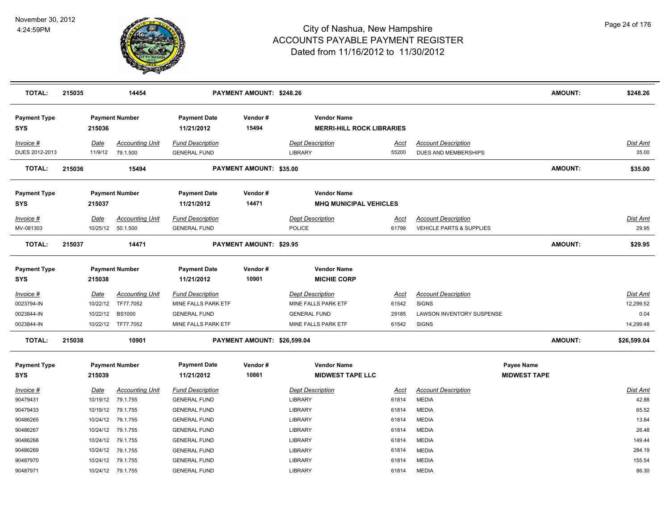

| <b>TOTAL:</b>                     | 215035 |                  | 14454                               |                                                | PAYMENT AMOUNT: \$248.26       |                                                        |                      |                                                                   | <b>AMOUNT:</b>      | \$248.26                     |
|-----------------------------------|--------|------------------|-------------------------------------|------------------------------------------------|--------------------------------|--------------------------------------------------------|----------------------|-------------------------------------------------------------------|---------------------|------------------------------|
| <b>Payment Type</b><br>SYS        |        | 215036           | <b>Payment Number</b>               | <b>Payment Date</b><br>11/21/2012              | Vendor#<br>15494               | <b>Vendor Name</b><br><b>MERRI-HILL ROCK LIBRARIES</b> |                      |                                                                   |                     |                              |
| Invoice #<br>DUES 2012-2013       |        | Date<br>11/9/12  | <b>Accounting Unit</b><br>79.1.500  | <b>Fund Description</b><br><b>GENERAL FUND</b> |                                | <b>Dept Description</b><br><b>LIBRARY</b>              | <u>Acct</u><br>55200 | <b>Account Description</b><br><b>DUES AND MEMBERSHIPS</b>         |                     | Dist Amt<br>35.00            |
| <b>TOTAL:</b>                     | 215036 |                  | 15494                               |                                                | PAYMENT AMOUNT: \$35.00        |                                                        |                      |                                                                   | <b>AMOUNT:</b>      | \$35.00                      |
| <b>Payment Type</b>               |        |                  | <b>Payment Number</b>               | <b>Payment Date</b>                            | Vendor#                        | <b>Vendor Name</b>                                     |                      |                                                                   |                     |                              |
| <b>SYS</b>                        |        | 215037           |                                     | 11/21/2012                                     | 14471                          | <b>MHQ MUNICIPAL VEHICLES</b>                          |                      |                                                                   |                     |                              |
| Invoice #<br>MV-081303            |        | Date<br>10/25/12 | <b>Accounting Unit</b><br>50.1.500  | <b>Fund Description</b><br><b>GENERAL FUND</b> |                                | <b>Dept Description</b><br>POLICE                      | Acct<br>61799        | <b>Account Description</b><br><b>VEHICLE PARTS &amp; SUPPLIES</b> |                     | Dist Amt<br>29.95            |
| <b>TOTAL:</b>                     | 215037 |                  | 14471                               |                                                | <b>PAYMENT AMOUNT: \$29.95</b> |                                                        |                      |                                                                   | <b>AMOUNT:</b>      | \$29.95                      |
| <b>Payment Type</b><br><b>SYS</b> |        | 215038           | <b>Payment Number</b>               | <b>Payment Date</b><br>11/21/2012              | Vendor#<br>10901               | <b>Vendor Name</b><br><b>MICHIE CORP</b>               |                      |                                                                   |                     |                              |
| $Invoice$ #<br>0023794-IN         |        | Date<br>10/22/12 | <b>Accounting Unit</b><br>TF77.7052 | <b>Fund Description</b><br>MINE FALLS PARK ETF |                                | <b>Dept Description</b><br>MINE FALLS PARK ETF         | <b>Acct</b><br>61542 | <b>Account Description</b><br><b>SIGNS</b>                        |                     | <b>Dist Amt</b><br>12,299.52 |
| 0023844-IN                        |        | 10/22/12         | <b>BS1000</b>                       | <b>GENERAL FUND</b>                            |                                | <b>GENERAL FUND</b>                                    | 29185                | LAWSON INVENTORY SUSPENSE                                         |                     | 0.04                         |
| 0023844-IN                        |        | 10/22/12         | TF77.7052                           | MINE FALLS PARK ETF                            |                                | MINE FALLS PARK ETF                                    | 61542                | <b>SIGNS</b>                                                      |                     | 14,299.48                    |
| <b>TOTAL:</b>                     | 215038 |                  | 10901                               |                                                | PAYMENT AMOUNT: \$26,599.04    |                                                        |                      |                                                                   | <b>AMOUNT:</b>      | \$26,599.04                  |
| <b>Payment Type</b>               |        |                  | <b>Payment Number</b>               | <b>Payment Date</b>                            | Vendor#                        | <b>Vendor Name</b>                                     |                      |                                                                   | Payee Name          |                              |
| <b>SYS</b>                        |        | 215039           |                                     | 11/21/2012                                     | 10861                          | <b>MIDWEST TAPE LLC</b>                                |                      |                                                                   | <b>MIDWEST TAPE</b> |                              |
| Invoice #                         |        | Date             | <b>Accounting Unit</b>              | <b>Fund Description</b>                        |                                | <b>Dept Description</b>                                | <u>Acct</u>          | <b>Account Description</b>                                        |                     | Dist Amt                     |
| 90479431                          |        | 10/19/12         | 79.1.755                            | <b>GENERAL FUND</b>                            |                                | <b>LIBRARY</b>                                         | 61814                | <b>MEDIA</b>                                                      |                     | 42.88                        |
| 90479433                          |        | 10/19/12         | 79.1.755                            | <b>GENERAL FUND</b>                            |                                | <b>LIBRARY</b>                                         | 61814                | <b>MEDIA</b>                                                      |                     | 65.52                        |
| 90486265                          |        | 10/24/12         | 79.1.755                            | <b>GENERAL FUND</b>                            |                                | LIBRARY                                                | 61814                | <b>MEDIA</b>                                                      |                     | 13.84                        |
| 90486267                          |        | 10/24/12         | 79.1.755                            | <b>GENERAL FUND</b>                            |                                | <b>LIBRARY</b>                                         | 61814                | <b>MEDIA</b>                                                      |                     | 26.48                        |
| 90486268                          |        | 10/24/12         | 79.1.755                            | <b>GENERAL FUND</b>                            |                                | <b>LIBRARY</b>                                         | 61814                | <b>MEDIA</b>                                                      |                     | 149.44                       |
| 90486269                          |        | 10/24/12         | 79.1.755                            | <b>GENERAL FUND</b>                            |                                | <b>LIBRARY</b>                                         | 61814                | <b>MEDIA</b>                                                      |                     | 284.19                       |
| 90487970                          |        | 10/24/12         | 79.1.755                            | <b>GENERAL FUND</b>                            |                                | <b>LIBRARY</b>                                         | 61814                | <b>MEDIA</b>                                                      |                     | 155.54                       |
| 90487971                          |        |                  | 10/24/12 79.1.755                   | <b>GENERAL FUND</b>                            |                                | <b>LIBRARY</b>                                         | 61814                | <b>MEDIA</b>                                                      |                     | 86.30                        |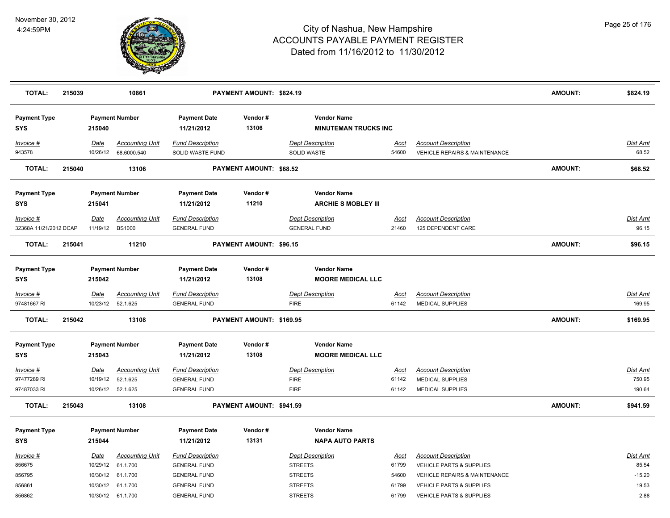

| <b>TOTAL:</b>                     | 215039 |                  | 10861                                       |                                                | PAYMENT AMOUNT: \$824.19       |                                                   |                      |                                                                        | <b>AMOUNT:</b> | \$824.19                 |
|-----------------------------------|--------|------------------|---------------------------------------------|------------------------------------------------|--------------------------------|---------------------------------------------------|----------------------|------------------------------------------------------------------------|----------------|--------------------------|
| <b>Payment Type</b><br><b>SYS</b> |        | 215040           | <b>Payment Number</b>                       | <b>Payment Date</b><br>11/21/2012              | Vendor#<br>13106               | <b>Vendor Name</b><br><b>MINUTEMAN TRUCKS INC</b> |                      |                                                                        |                |                          |
| Invoice #<br>943578               |        | Date<br>10/26/12 | <b>Accounting Unit</b><br>68.6000.540       | <b>Fund Description</b><br>SOLID WASTE FUND    |                                | <b>Dept Description</b><br>SOLID WASTE            | Acct<br>54600        | <b>Account Description</b><br><b>VEHICLE REPAIRS &amp; MAINTENANCE</b> |                | <b>Dist Amt</b><br>68.52 |
| <b>TOTAL:</b>                     | 215040 |                  | 13106                                       |                                                | PAYMENT AMOUNT: \$68.52        |                                                   |                      |                                                                        | <b>AMOUNT:</b> | \$68.52                  |
| <b>Payment Type</b><br><b>SYS</b> |        | 215041           | <b>Payment Number</b>                       | <b>Payment Date</b><br>11/21/2012              | Vendor#<br>11210               | <b>Vendor Name</b><br><b>ARCHIE S MOBLEY III</b>  |                      |                                                                        |                |                          |
| Invoice #                         |        | Date             | <b>Accounting Unit</b>                      | <b>Fund Description</b>                        |                                | <b>Dept Description</b>                           | Acct                 | <b>Account Description</b>                                             |                | Dist Amt                 |
| 32368A 11/21/2012 DCAP            |        | 11/19/12         | <b>BS1000</b>                               | <b>GENERAL FUND</b>                            |                                | <b>GENERAL FUND</b>                               | 21460                | 125 DEPENDENT CARE                                                     |                | 96.15                    |
| <b>TOTAL:</b>                     | 215041 |                  | 11210                                       |                                                | <b>PAYMENT AMOUNT: \$96.15</b> |                                                   |                      |                                                                        | <b>AMOUNT:</b> | \$96.15                  |
| <b>Payment Type</b><br><b>SYS</b> |        | 215042           | <b>Payment Number</b>                       | <b>Payment Date</b><br>11/21/2012              | Vendor#<br>13108               | <b>Vendor Name</b><br><b>MOORE MEDICAL LLC</b>    |                      |                                                                        |                |                          |
| Invoice #<br>97481667 RI          |        | <b>Date</b>      | <b>Accounting Unit</b><br>10/23/12 52.1.625 | <b>Fund Description</b><br><b>GENERAL FUND</b> |                                | <b>Dept Description</b><br><b>FIRE</b>            | <u>Acct</u><br>61142 | <b>Account Description</b><br><b>MEDICAL SUPPLIES</b>                  |                | Dist Amt<br>169.95       |
| <b>TOTAL:</b>                     | 215042 |                  | 13108                                       |                                                | PAYMENT AMOUNT: \$169.95       |                                                   |                      |                                                                        | <b>AMOUNT:</b> | \$169.95                 |
| <b>Payment Type</b><br><b>SYS</b> |        | 215043           | <b>Payment Number</b>                       | <b>Payment Date</b><br>11/21/2012              | Vendor#<br>13108               | <b>Vendor Name</b><br><b>MOORE MEDICAL LLC</b>    |                      |                                                                        |                |                          |
| Invoice #<br>97477289 RI          |        | Date<br>10/19/12 | <b>Accounting Unit</b><br>52.1.625          | <b>Fund Description</b><br><b>GENERAL FUND</b> |                                | <b>Dept Description</b><br><b>FIRE</b>            | <u>Acct</u><br>61142 | <b>Account Description</b><br><b>MEDICAL SUPPLIES</b>                  |                | Dist Amt<br>750.95       |
| 97487033 RI                       |        |                  | 10/26/12 52.1.625                           | <b>GENERAL FUND</b>                            |                                | <b>FIRE</b>                                       | 61142                | <b>MEDICAL SUPPLIES</b>                                                |                | 190.64                   |
| <b>TOTAL:</b>                     | 215043 |                  | 13108                                       |                                                | PAYMENT AMOUNT: \$941.59       |                                                   |                      |                                                                        | <b>AMOUNT:</b> | \$941.59                 |
| <b>Payment Type</b><br><b>SYS</b> |        | 215044           | <b>Payment Number</b>                       | <b>Payment Date</b><br>11/21/2012              | Vendor#<br>13131               | <b>Vendor Name</b><br><b>NAPA AUTO PARTS</b>      |                      |                                                                        |                |                          |
| Invoice #                         |        | Date             | <b>Accounting Unit</b>                      | <b>Fund Description</b>                        |                                | <b>Dept Description</b>                           | <u>Acct</u>          | <b>Account Description</b>                                             |                | <b>Dist Amt</b>          |
| 856675                            |        | 10/29/12         | 61.1.700                                    | <b>GENERAL FUND</b>                            |                                | <b>STREETS</b>                                    | 61799                | VEHICLE PARTS & SUPPLIES                                               |                | 85.54                    |
| 856795                            |        | 10/30/12         | 61.1.700                                    | <b>GENERAL FUND</b>                            |                                | <b>STREETS</b>                                    | 54600                | VEHICLE REPAIRS & MAINTENANCE                                          |                | $-15.20$                 |
| 856861                            |        | 10/30/12         | 61.1.700                                    | <b>GENERAL FUND</b>                            |                                | <b>STREETS</b>                                    | 61799                | <b>VEHICLE PARTS &amp; SUPPLIES</b>                                    |                | 19.53                    |
| 856862                            |        |                  | 10/30/12 61.1.700                           | <b>GENERAL FUND</b>                            |                                | <b>STREETS</b>                                    | 61799                | VEHICLE PARTS & SUPPLIES                                               |                | 2.88                     |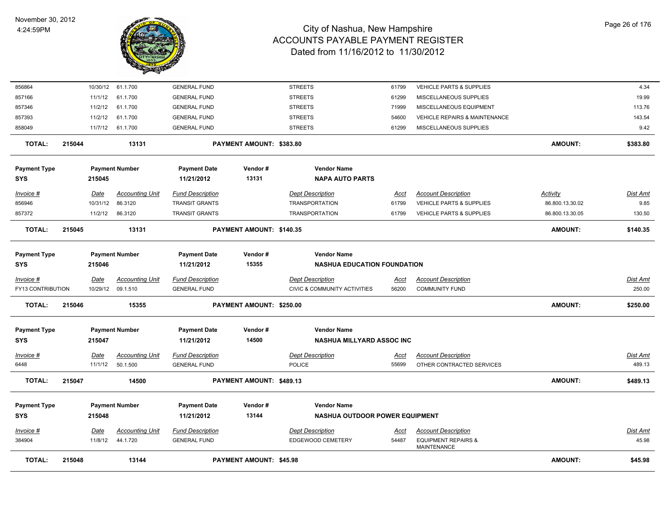

| <b>TOTAL:</b>       | 215048 |                  | 13144                              |                                                  | <b>PAYMENT AMOUNT: \$45.98</b> |                                                  |                      |                                                         | <b>AMOUNT:</b>              | \$45.98                 |
|---------------------|--------|------------------|------------------------------------|--------------------------------------------------|--------------------------------|--------------------------------------------------|----------------------|---------------------------------------------------------|-----------------------------|-------------------------|
| 384904              |        | 11/8/12          | 44.1.720                           | <b>GENERAL FUND</b>                              |                                | EDGEWOOD CEMETERY                                | 54487                | <b>EQUIPMENT REPAIRS &amp;</b><br>MAINTENANCE           |                             | 45.98                   |
| <u>Invoice #</u>    |        | <b>Date</b>      | Accounting Unit                    | <b>Fund Description</b>                          |                                | <b>Dept Description</b>                          | <u>Acct</u>          | <b>Account Description</b>                              |                             | <b>Dist Amt</b>         |
| <b>SYS</b>          |        | 215048           |                                    | 11/21/2012                                       | 13144                          | NASHUA OUTDOOR POWER EQUIPMENT                   |                      |                                                         |                             |                         |
| <b>Payment Type</b> |        |                  | <b>Payment Number</b>              | <b>Payment Date</b>                              | Vendor#                        | <b>Vendor Name</b>                               |                      |                                                         |                             |                         |
| <b>TOTAL:</b>       | 215047 |                  | 14500                              |                                                  | PAYMENT AMOUNT: \$489.13       |                                                  |                      |                                                         | <b>AMOUNT:</b>              | \$489.13                |
| Invoice #<br>6448   |        | Date<br>11/1/12  | <b>Accounting Unit</b><br>50.1.500 | <b>Fund Description</b><br><b>GENERAL FUND</b>   |                                | <b>Dept Description</b><br>POLICE                | <u>Acct</u><br>55699 | <b>Account Description</b><br>OTHER CONTRACTED SERVICES |                             | Dist Amt<br>489.13      |
| <b>SYS</b>          |        | 215047           |                                    | 11/21/2012                                       | 14500                          | <b>NASHUA MILLYARD ASSOC INC</b>                 |                      |                                                         |                             |                         |
| <b>Payment Type</b> |        |                  | <b>Payment Number</b>              | <b>Payment Date</b>                              | Vendor#                        | <b>Vendor Name</b>                               |                      |                                                         |                             |                         |
| <b>TOTAL:</b>       | 215046 |                  | 15355                              |                                                  | PAYMENT AMOUNT: \$250.00       |                                                  |                      |                                                         | <b>AMOUNT:</b>              | \$250.00                |
| FY13 CONTRIBUTION   |        | 10/29/12         | 09.1.510                           | <b>GENERAL FUND</b>                              |                                | CIVIC & COMMUNITY ACTIVITIES                     | 56200                | <b>COMMUNITY FUND</b>                                   |                             | 250.00                  |
| Invoice #           |        | Date             | <b>Accounting Unit</b>             | <b>Fund Description</b>                          |                                | <b>Dept Description</b>                          | Acct                 | <b>Account Description</b>                              |                             | Dist Amt                |
| <b>SYS</b>          |        | 215046           |                                    | 11/21/2012                                       | 15355                          | <b>NASHUA EDUCATION FOUNDATION</b>               |                      |                                                         |                             |                         |
| <b>Payment Type</b> |        |                  | <b>Payment Number</b>              | <b>Payment Date</b>                              | Vendor#                        | <b>Vendor Name</b>                               |                      |                                                         |                             |                         |
| <b>TOTAL:</b>       | 215045 |                  | 13131                              |                                                  | PAYMENT AMOUNT: \$140.35       |                                                  |                      |                                                         | <b>AMOUNT:</b>              | \$140.35                |
| 857372              |        | 11/2/12          | 86.3120                            | <b>TRANSIT GRANTS</b>                            |                                | TRANSPORTATION                                   | 61799                | <b>VEHICLE PARTS &amp; SUPPLIES</b>                     | 86.800.13.30.05             | 130.50                  |
| Invoice #<br>856946 |        | Date<br>10/31/12 | <b>Accounting Unit</b><br>86.3120  | <b>Fund Description</b><br><b>TRANSIT GRANTS</b> |                                | <b>Dept Description</b><br><b>TRANSPORTATION</b> | Acct<br>61799        | <b>Account Description</b><br>VEHICLE PARTS & SUPPLIES  | Activity<br>86.800.13.30.02 | <b>Dist Amt</b><br>9.85 |
| <b>SYS</b>          |        | 215045           |                                    | 11/21/2012                                       | 13131                          | <b>NAPA AUTO PARTS</b>                           |                      |                                                         |                             |                         |
| <b>Payment Type</b> |        |                  | <b>Payment Number</b>              | <b>Payment Date</b>                              | Vendor#                        | <b>Vendor Name</b>                               |                      |                                                         |                             |                         |
| TOTAL:              | 215044 |                  | 13131                              |                                                  | PAYMENT AMOUNT: \$383.80       |                                                  |                      |                                                         | <b>AMOUNT:</b>              | \$383.80                |
| 858049              |        | 11/7/12          | 61.1.700                           | <b>GENERAL FUND</b>                              |                                | <b>STREETS</b>                                   | 61299                | MISCELLANEOUS SUPPLIES                                  |                             | 9.42                    |
| 857393              |        | 11/2/12          | 61.1.700                           | <b>GENERAL FUND</b>                              |                                | <b>STREETS</b>                                   | 54600                | VEHICLE REPAIRS & MAINTENANCE                           |                             | 143.54                  |
| 857346              |        | 11/2/12          | 61.1.700                           | <b>GENERAL FUND</b>                              |                                | <b>STREETS</b>                                   | 71999                | MISCELLANEOUS EQUIPMENT                                 |                             | 113.76                  |
| 857166              |        | 11/1/12          | 61.1.700                           | <b>GENERAL FUND</b>                              |                                | <b>STREETS</b>                                   | 61299                | MISCELLANEOUS SUPPLIES                                  |                             | 19.99                   |
| 856864              |        | 10/30/12         | 61.1.700                           | <b>GENERAL FUND</b>                              |                                | <b>STREETS</b>                                   | 61799                | VEHICLE PARTS & SUPPLIES                                |                             | 4.34                    |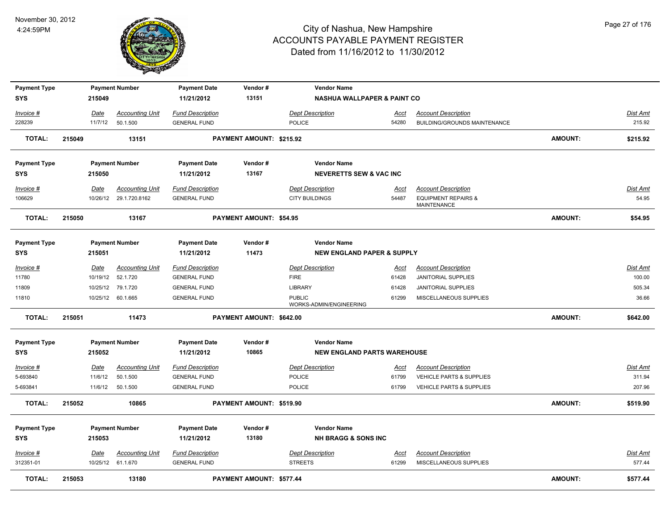

| <b>Payment Type</b>               |        |             | <b>Payment Number</b>                            | <b>Payment Date</b>                            | Vendor#                  | <b>Vendor Name</b>                               |                                        |                                                                                    |                |                   |
|-----------------------------------|--------|-------------|--------------------------------------------------|------------------------------------------------|--------------------------|--------------------------------------------------|----------------------------------------|------------------------------------------------------------------------------------|----------------|-------------------|
| SYS                               |        | 215049      |                                                  | 11/21/2012                                     | 13151                    |                                                  | <b>NASHUA WALLPAPER &amp; PAINT CO</b> |                                                                                    |                |                   |
| Invoice #                         |        | Date        | <b>Accounting Unit</b>                           | <b>Fund Description</b>                        |                          | <b>Dept Description</b>                          | Acct                                   | <b>Account Description</b>                                                         |                | Dist Amt          |
| 228239                            |        | 11/7/12     | 50.1.500                                         | <b>GENERAL FUND</b>                            |                          | POLICE                                           | 54280                                  | BUILDING/GROUNDS MAINTENANCE                                                       |                | 215.92            |
| <b>TOTAL:</b>                     | 215049 |             | 13151                                            |                                                | PAYMENT AMOUNT: \$215.92 |                                                  |                                        |                                                                                    | AMOUNT:        | \$215.92          |
| <b>Payment Type</b>               |        |             | <b>Payment Number</b>                            | <b>Payment Date</b>                            | Vendor#                  | <b>Vendor Name</b>                               |                                        |                                                                                    |                |                   |
| <b>SYS</b>                        |        | 215050      |                                                  | 11/21/2012                                     | 13167                    | <b>NEVERETTS SEW &amp; VAC INC</b>               |                                        |                                                                                    |                |                   |
| <b>Invoice #</b><br>106629        |        | Date        | <b>Accounting Unit</b><br>10/26/12 29.1.720.8162 | <b>Fund Description</b><br><b>GENERAL FUND</b> |                          | <b>Dept Description</b><br><b>CITY BUILDINGS</b> | <u>Acct</u><br>54487                   | <b>Account Description</b><br><b>EQUIPMENT REPAIRS &amp;</b><br><b>MAINTENANCE</b> |                | Dist Amt<br>54.95 |
| <b>TOTAL:</b>                     | 215050 |             | 13167                                            |                                                | PAYMENT AMOUNT: \$54.95  |                                                  |                                        |                                                                                    | AMOUNT:        | \$54.95           |
|                                   |        |             |                                                  |                                                |                          |                                                  |                                        |                                                                                    |                |                   |
| <b>Payment Type</b><br><b>SYS</b> |        | 215051      | <b>Payment Number</b>                            | <b>Payment Date</b><br>11/21/2012              | Vendor#<br>11473         | <b>Vendor Name</b>                               | <b>NEW ENGLAND PAPER &amp; SUPPLY</b>  |                                                                                    |                |                   |
|                                   |        |             |                                                  |                                                |                          |                                                  |                                        |                                                                                    |                |                   |
| $Invoice$ #                       |        | Date        | <b>Accounting Unit</b>                           | <b>Fund Description</b>                        |                          | <b>Dept Description</b>                          | <u>Acct</u>                            | <b>Account Description</b>                                                         |                | <b>Dist Amt</b>   |
| 11780                             |        | 10/19/12    | 52.1.720                                         | <b>GENERAL FUND</b>                            |                          | <b>FIRE</b>                                      | 61428                                  | <b>JANITORIAL SUPPLIES</b>                                                         |                | 100.00            |
| 11809                             |        | 10/25/12    | 79.1.720                                         | <b>GENERAL FUND</b>                            |                          | <b>LIBRARY</b>                                   | 61428                                  | <b>JANITORIAL SUPPLIES</b>                                                         |                | 505.34            |
| 11810                             |        |             | 10/25/12 60.1.665                                | <b>GENERAL FUND</b>                            |                          | <b>PUBLIC</b><br>WORKS-ADMIN/ENGINEERING         | 61299                                  | MISCELLANEOUS SUPPLIES                                                             |                | 36.66             |
| <b>TOTAL:</b>                     | 215051 |             | 11473                                            |                                                | PAYMENT AMOUNT: \$642.00 |                                                  |                                        |                                                                                    | <b>AMOUNT:</b> | \$642.00          |
| <b>Payment Type</b>               |        |             | <b>Payment Number</b>                            | <b>Payment Date</b>                            | Vendor#                  | <b>Vendor Name</b>                               |                                        |                                                                                    |                |                   |
| <b>SYS</b>                        |        | 215052      |                                                  | 11/21/2012                                     | 10865                    |                                                  | <b>NEW ENGLAND PARTS WAREHOUSE</b>     |                                                                                    |                |                   |
| <u>Invoice #</u>                  |        | <u>Date</u> | <b>Accounting Unit</b>                           | <b>Fund Description</b>                        |                          | <b>Dept Description</b>                          | <u>Acct</u>                            | <b>Account Description</b>                                                         |                | <u>Dist Amt</u>   |
| 5-693840                          |        | 11/6/12     | 50.1.500                                         | <b>GENERAL FUND</b>                            |                          | POLICE                                           | 61799                                  | VEHICLE PARTS & SUPPLIES                                                           |                | 311.94            |
| 5-693841                          |        | 11/6/12     | 50.1.500                                         | <b>GENERAL FUND</b>                            |                          | <b>POLICE</b>                                    | 61799                                  | <b>VEHICLE PARTS &amp; SUPPLIES</b>                                                |                | 207.96            |
| <b>TOTAL:</b>                     | 215052 |             | 10865                                            |                                                | PAYMENT AMOUNT: \$519.90 |                                                  |                                        |                                                                                    | <b>AMOUNT:</b> | \$519.90          |
| <b>Payment Type</b>               |        |             | <b>Payment Number</b>                            | <b>Payment Date</b>                            | Vendor#                  | <b>Vendor Name</b>                               |                                        |                                                                                    |                |                   |
| <b>SYS</b>                        |        | 215053      |                                                  | 11/21/2012                                     | 13180                    | <b>NH BRAGG &amp; SONS INC</b>                   |                                        |                                                                                    |                |                   |
| Invoice #                         |        | Date        | <b>Accounting Unit</b>                           | <b>Fund Description</b>                        |                          | <b>Dept Description</b>                          | <u>Acct</u>                            | <b>Account Description</b>                                                         |                | Dist Amt          |
| 312351-01                         |        |             | 10/25/12 61.1.670                                | <b>GENERAL FUND</b>                            |                          | <b>STREETS</b>                                   | 61299                                  | MISCELLANEOUS SUPPLIES                                                             |                | 577.44            |
| <b>TOTAL:</b>                     | 215053 |             | 13180                                            |                                                | PAYMENT AMOUNT: \$577.44 |                                                  |                                        |                                                                                    | <b>AMOUNT:</b> | \$577.44          |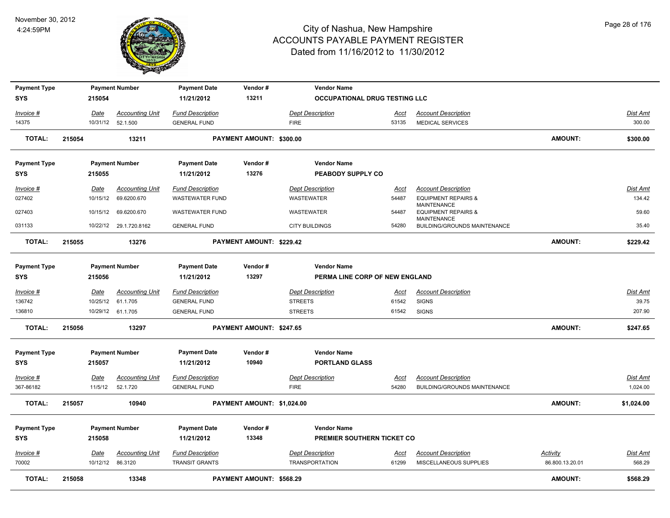

| <b>Payment Type</b> |        |                  | <b>Payment Number</b>  | <b>Payment Date</b>     | Vendor#                    | <b>Vendor Name</b>                   |             |                                                      |                 |                 |
|---------------------|--------|------------------|------------------------|-------------------------|----------------------------|--------------------------------------|-------------|------------------------------------------------------|-----------------|-----------------|
| <b>SYS</b>          |        | 215054           |                        | 11/21/2012              | 13211                      | <b>OCCUPATIONAL DRUG TESTING LLC</b> |             |                                                      |                 |                 |
| Invoice #           |        | Date             | <b>Accounting Unit</b> | <b>Fund Description</b> |                            | <b>Dept Description</b>              | Acct        | <b>Account Description</b>                           |                 | Dist Amt        |
| 14375               |        |                  | 10/31/12  52.1.500     | <b>GENERAL FUND</b>     |                            | <b>FIRE</b>                          | 53135       | <b>MEDICAL SERVICES</b>                              |                 | 300.00          |
| <b>TOTAL:</b>       | 215054 |                  | 13211                  |                         | PAYMENT AMOUNT: \$300.00   |                                      |             |                                                      | <b>AMOUNT:</b>  | \$300.00        |
| <b>Payment Type</b> |        |                  | <b>Payment Number</b>  | <b>Payment Date</b>     | Vendor#                    | <b>Vendor Name</b>                   |             |                                                      |                 |                 |
| <b>SYS</b>          |        | 215055           |                        | 11/21/2012              | 13276                      | PEABODY SUPPLY CO                    |             |                                                      |                 |                 |
| Invoice #           |        | Date             | <b>Accounting Unit</b> | <b>Fund Description</b> |                            | <b>Dept Description</b>              | Acct        | <b>Account Description</b>                           |                 | Dist Amt        |
| 027402              |        |                  | 10/15/12 69.6200.670   | <b>WASTEWATER FUND</b>  |                            | <b>WASTEWATER</b>                    | 54487       | <b>EQUIPMENT REPAIRS &amp;</b>                       |                 | 134.42          |
| 027403              |        |                  | 10/15/12 69.6200.670   | <b>WASTEWATER FUND</b>  |                            | WASTEWATER                           | 54487       | <b>MAINTENANCE</b><br><b>EQUIPMENT REPAIRS &amp;</b> |                 | 59.60           |
| 031133              |        |                  | 10/22/12 29.1.720.8162 | <b>GENERAL FUND</b>     |                            | <b>CITY BUILDINGS</b>                | 54280       | <b>MAINTENANCE</b><br>BUILDING/GROUNDS MAINTENANCE   |                 | 35.40           |
| <b>TOTAL:</b>       | 215055 |                  | 13276                  |                         | PAYMENT AMOUNT: \$229.42   |                                      |             |                                                      | <b>AMOUNT:</b>  | \$229.42        |
| <b>Payment Type</b> |        |                  | <b>Payment Number</b>  | <b>Payment Date</b>     | Vendor#                    | <b>Vendor Name</b>                   |             |                                                      |                 |                 |
| <b>SYS</b>          |        | 215056           |                        | 11/21/2012              | 13297                      | PERMA LINE CORP OF NEW ENGLAND       |             |                                                      |                 |                 |
| Invoice #           |        | Date             | <b>Accounting Unit</b> | <b>Fund Description</b> |                            | <b>Dept Description</b>              | Acct        | <b>Account Description</b>                           |                 | Dist Amt        |
| 136742              |        |                  | 10/25/12 61.1.705      | <b>GENERAL FUND</b>     |                            | <b>STREETS</b>                       | 61542       | <b>SIGNS</b>                                         |                 | 39.75           |
| 136810              |        |                  | 10/29/12 61.1.705      | <b>GENERAL FUND</b>     |                            | <b>STREETS</b>                       | 61542       | <b>SIGNS</b>                                         |                 | 207.90          |
| <b>TOTAL:</b>       | 215056 |                  | 13297                  |                         | PAYMENT AMOUNT: \$247.65   |                                      |             |                                                      | <b>AMOUNT:</b>  | \$247.65        |
| <b>Payment Type</b> |        |                  | <b>Payment Number</b>  | <b>Payment Date</b>     | Vendor#                    | <b>Vendor Name</b>                   |             |                                                      |                 |                 |
| <b>SYS</b>          |        | 215057           |                        | 11/21/2012              | 10940                      | <b>PORTLAND GLASS</b>                |             |                                                      |                 |                 |
| <u>Invoice #</u>    |        | <b>Date</b>      | <b>Accounting Unit</b> | <b>Fund Description</b> |                            | <b>Dept Description</b>              | <u>Acct</u> | <b>Account Description</b>                           |                 | <u>Dist Amt</u> |
| 367-86182           |        | 11/5/12          | 52.1.720               | <b>GENERAL FUND</b>     |                            | <b>FIRE</b>                          | 54280       | BUILDING/GROUNDS MAINTENANCE                         |                 | 1,024.00        |
| <b>TOTAL:</b>       | 215057 |                  | 10940                  |                         | PAYMENT AMOUNT: \$1,024.00 |                                      |             |                                                      | <b>AMOUNT:</b>  | \$1,024.00      |
| <b>Payment Type</b> |        |                  | <b>Payment Number</b>  | <b>Payment Date</b>     | Vendor#                    | <b>Vendor Name</b>                   |             |                                                      |                 |                 |
| <b>SYS</b>          |        | 215058           |                        | 11/21/2012              | 13348                      | PREMIER SOUTHERN TICKET CO           |             |                                                      |                 |                 |
| Invoice #           |        | Date             | <b>Accounting Unit</b> | <b>Fund Description</b> |                            | <b>Dept Description</b>              | <u>Acct</u> | <b>Account Description</b>                           | <b>Activity</b> | Dist Amt        |
| 70002               |        | 10/12/12 86.3120 |                        | <b>TRANSIT GRANTS</b>   |                            | <b>TRANSPORTATION</b>                | 61299       | MISCELLANEOUS SUPPLIES                               | 86.800.13.20.01 | 568.29          |
| <b>TOTAL:</b>       | 215058 |                  | 13348                  |                         | PAYMENT AMOUNT: \$568.29   |                                      |             |                                                      | <b>AMOUNT:</b>  | \$568.29        |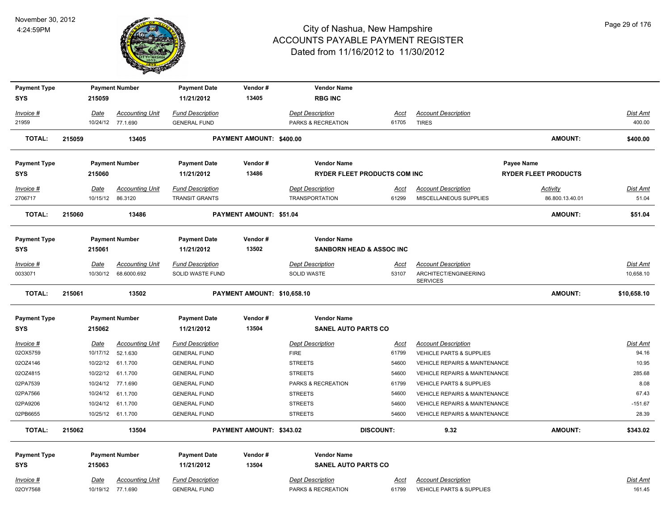

| <b>Payment Type</b> |        |             | <b>Payment Number</b>  | <b>Payment Date</b>     | Vendor#                     | <b>Vendor Name</b>                               |                                     |                                          |                             |                 |
|---------------------|--------|-------------|------------------------|-------------------------|-----------------------------|--------------------------------------------------|-------------------------------------|------------------------------------------|-----------------------------|-----------------|
| <b>SYS</b>          |        | 215059      |                        | 11/21/2012              | 13405                       | <b>RBG INC</b>                                   |                                     |                                          |                             |                 |
| Invoice #           |        | Date        | <b>Accounting Unit</b> | <b>Fund Description</b> |                             | <b>Dept Description</b>                          | <u>Acct</u>                         | <b>Account Description</b>               |                             | <b>Dist Amt</b> |
| 21959               |        |             | 10/24/12 77.1.690      | <b>GENERAL FUND</b>     |                             | PARKS & RECREATION                               | 61705                               | <b>TIRES</b>                             |                             | 400.00          |
|                     |        |             |                        |                         |                             |                                                  |                                     |                                          |                             |                 |
| <b>TOTAL:</b>       | 215059 |             | 13405                  |                         | PAYMENT AMOUNT: \$400.00    |                                                  |                                     |                                          | <b>AMOUNT:</b>              | \$400.00        |
| <b>Payment Type</b> |        |             | <b>Payment Number</b>  | <b>Payment Date</b>     | Vendor#                     | <b>Vendor Name</b>                               |                                     |                                          | Payee Name                  |                 |
| <b>SYS</b>          |        | 215060      |                        | 11/21/2012              | 13486                       |                                                  | <b>RYDER FLEET PRODUCTS COM INC</b> |                                          | <b>RYDER FLEET PRODUCTS</b> |                 |
| Invoice #           |        | Date        | <b>Accounting Unit</b> | <b>Fund Description</b> |                             | <b>Dept Description</b>                          | Acct                                | <b>Account Description</b>               | Activity                    | Dist Amt        |
| 2706717             |        | 10/15/12    | 86.3120                | <b>TRANSIT GRANTS</b>   |                             | <b>TRANSPORTATION</b>                            | 61299                               | MISCELLANEOUS SUPPLIES                   | 86.800.13.40.01             | 51.04           |
|                     |        |             |                        |                         |                             |                                                  |                                     |                                          |                             |                 |
| <b>TOTAL:</b>       | 215060 |             | 13486                  |                         | PAYMENT AMOUNT: \$51.04     |                                                  |                                     |                                          | <b>AMOUNT:</b>              | \$51.04         |
| <b>Payment Type</b> |        |             | <b>Payment Number</b>  | <b>Payment Date</b>     | Vendor#                     | <b>Vendor Name</b>                               |                                     |                                          |                             |                 |
| SYS                 |        | 215061      |                        | 11/21/2012              | 13502                       |                                                  | <b>SANBORN HEAD &amp; ASSOC INC</b> |                                          |                             |                 |
| Invoice #           |        | Date        | <b>Accounting Unit</b> | <b>Fund Description</b> |                             | <b>Dept Description</b>                          | <u>Acct</u>                         | <b>Account Description</b>               |                             | Dist Amt        |
| 0033071             |        | 10/30/12    | 68.6000.692            | SOLID WASTE FUND        |                             | SOLID WASTE                                      | 53107                               | ARCHITECT/ENGINEERING                    |                             | 10,658.10       |
|                     |        |             |                        |                         |                             |                                                  |                                     | <b>SERVICES</b>                          |                             |                 |
|                     |        |             |                        |                         |                             |                                                  |                                     |                                          |                             |                 |
| <b>TOTAL:</b>       | 215061 |             | 13502                  |                         | PAYMENT AMOUNT: \$10,658.10 |                                                  |                                     |                                          | <b>AMOUNT:</b>              | \$10,658.10     |
|                     |        |             |                        |                         |                             |                                                  |                                     |                                          |                             |                 |
| <b>Payment Type</b> |        |             | <b>Payment Number</b>  | <b>Payment Date</b>     | Vendor#<br>13504            | <b>Vendor Name</b><br><b>SANEL AUTO PARTS CO</b> |                                     |                                          |                             |                 |
| <b>SYS</b>          |        | 215062      |                        | 11/21/2012              |                             |                                                  |                                     |                                          |                             |                 |
| $Invoice$ #         |        | Date        | <b>Accounting Unit</b> | <b>Fund Description</b> |                             | <b>Dept Description</b>                          | <u>Acct</u>                         | <b>Account Description</b>               |                             | Dist Amt        |
| 02OX5759            |        | 10/17/12    | 52.1.630               | <b>GENERAL FUND</b>     |                             | <b>FIRE</b>                                      | 61799                               | <b>VEHICLE PARTS &amp; SUPPLIES</b>      |                             | 94.16           |
| 02OZ4146            |        | 10/22/12    | 61.1.700               | <b>GENERAL FUND</b>     |                             | <b>STREETS</b>                                   | 54600                               | VEHICLE REPAIRS & MAINTENANCE            |                             | 10.95           |
| 02OZ4815            |        | 10/22/12    | 61.1.700               | <b>GENERAL FUND</b>     |                             | <b>STREETS</b>                                   | 54600                               | VEHICLE REPAIRS & MAINTENANCE            |                             | 285.68          |
| 02PA7539            |        | 10/24/12    | 77.1.690               | <b>GENERAL FUND</b>     |                             | PARKS & RECREATION                               | 61799                               | <b>VEHICLE PARTS &amp; SUPPLIES</b>      |                             | 8.08            |
| 02PA7566            |        | 10/24/12    | 61.1.700               | <b>GENERAL FUND</b>     |                             | <b>STREETS</b>                                   | 54600                               | VEHICLE REPAIRS & MAINTENANCE            |                             | 67.43           |
| 02PA9206            |        | 10/24/12    | 61.1.700               | <b>GENERAL FUND</b>     |                             | <b>STREETS</b>                                   | 54600                               | <b>VEHICLE REPAIRS &amp; MAINTENANCE</b> |                             | $-151.67$       |
| 02PB6655            |        |             | 10/25/12 61.1.700      | <b>GENERAL FUND</b>     |                             | <b>STREETS</b>                                   | 54600                               | VEHICLE REPAIRS & MAINTENANCE            |                             | 28.39           |
| <b>TOTAL:</b>       | 215062 |             | 13504                  |                         | PAYMENT AMOUNT: \$343.02    |                                                  | <b>DISCOUNT:</b>                    | 9.32                                     | AMOUNT:                     | \$343.02        |
| <b>Payment Type</b> |        |             | <b>Payment Number</b>  | Payment Date            | Vendor#                     | <b>Vendor Name</b>                               |                                     |                                          |                             |                 |
| SYS                 |        | 215063      |                        | 11/21/2012              | 13504                       | <b>SANEL AUTO PARTS CO</b>                       |                                     |                                          |                             |                 |
| Invoice #           |        | <u>Date</u> | <b>Accounting Unit</b> | <b>Fund Description</b> |                             | <b>Dept Description</b>                          | <u>Acct</u>                         | <b>Account Description</b>               |                             | <b>Dist Amt</b> |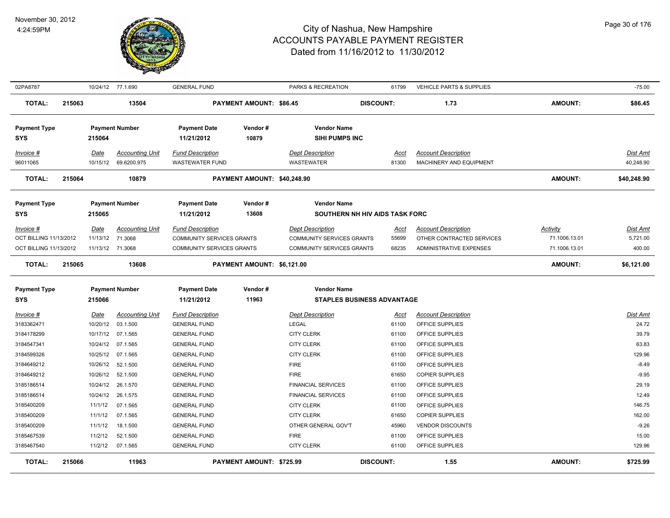

| 02PA8787               |        |                  | 10/24/12 77.1.690      | <b>GENERAL FUND</b>              |                                | PARKS & RECREATION               | 61799                             | VEHICLE PARTS & SUPPLIES       |                 | $-75.00$        |
|------------------------|--------|------------------|------------------------|----------------------------------|--------------------------------|----------------------------------|-----------------------------------|--------------------------------|-----------------|-----------------|
| <b>TOTAL:</b>          | 215063 |                  | 13504                  |                                  | <b>PAYMENT AMOUNT: \$86.45</b> |                                  | <b>DISCOUNT:</b>                  | 1.73                           | <b>AMOUNT:</b>  | \$86.45         |
| <b>Payment Type</b>    |        |                  | <b>Payment Number</b>  | <b>Payment Date</b>              | Vendor#                        | <b>Vendor Name</b>               |                                   |                                |                 |                 |
| <b>SYS</b>             |        | 215064           |                        | 11/21/2012                       | 10879                          | <b>SIHI PUMPS INC</b>            |                                   |                                |                 |                 |
| Invoice #              |        | Date             | <b>Accounting Unit</b> | <b>Fund Description</b>          |                                | <b>Dept Description</b>          | Acct                              | <b>Account Description</b>     |                 | <b>Dist Amt</b> |
| 96011065               |        |                  | 10/15/12 69.6200.975   | <b>WASTEWATER FUND</b>           |                                | WASTEWATER                       | 81300                             | MACHINERY AND EQUIPMENT        |                 | 40,248.90       |
| <b>TOTAL:</b>          | 215064 |                  | 10879                  |                                  | PAYMENT AMOUNT: \$40,248.90    |                                  |                                   |                                | <b>AMOUNT:</b>  | \$40,248.90     |
| <b>Payment Type</b>    |        |                  | <b>Payment Number</b>  | <b>Payment Date</b>              | Vendor#                        | <b>Vendor Name</b>               |                                   |                                |                 |                 |
| <b>SYS</b>             |        | 215065           |                        | 11/21/2012                       | 13608                          |                                  | SOUTHERN NH HIV AIDS TASK FORC    |                                |                 |                 |
| Invoice #              |        | Date             | <b>Accounting Unit</b> | <b>Fund Description</b>          |                                | <b>Dept Description</b>          | <u>Acct</u>                       | <b>Account Description</b>     | <b>Activity</b> | <b>Dist Amt</b> |
| OCT BILLING 11/13/2012 |        | 11/13/12 71.3068 |                        | <b>COMMUNITY SERVICES GRANTS</b> |                                | <b>COMMUNITY SERVICES GRANTS</b> | 55699                             | OTHER CONTRACTED SERVICES      | 71.1006.13.01   | 5,721.00        |
| OCT BILLING 11/13/2012 |        | 11/13/12 71.3068 |                        | <b>COMMUNITY SERVICES GRANTS</b> |                                | <b>COMMUNITY SERVICES GRANTS</b> | 68235                             | <b>ADMINISTRATIVE EXPENSES</b> | 71.1006.13.01   | 400.00          |
| <b>TOTAL:</b>          | 215065 |                  | 13608                  |                                  | PAYMENT AMOUNT: \$6,121.00     |                                  |                                   |                                | <b>AMOUNT:</b>  | \$6,121.00      |
| <b>Payment Type</b>    |        |                  | <b>Payment Number</b>  | <b>Payment Date</b>              | Vendor#                        | <b>Vendor Name</b>               |                                   |                                |                 |                 |
| <b>SYS</b>             |        | 215066           |                        | 11/21/2012                       | 11963                          |                                  | <b>STAPLES BUSINESS ADVANTAGE</b> |                                |                 |                 |
| $Invoice$ #            |        | <u>Date</u>      | <b>Accounting Unit</b> | <b>Fund Description</b>          |                                | <b>Dept Description</b>          | <u>Acct</u>                       | <b>Account Description</b>     |                 | <b>Dist Amt</b> |
| 3183362471             |        | 10/20/12         | 03.1.500               | <b>GENERAL FUND</b>              |                                | <b>LEGAL</b>                     | 61100                             | OFFICE SUPPLIES                |                 | 24.72           |
| 3184178299             |        |                  | 10/17/12 07.1.565      | <b>GENERAL FUND</b>              |                                | <b>CITY CLERK</b>                | 61100                             | OFFICE SUPPLIES                |                 | 39.79           |
| 3184547341             |        |                  | 10/24/12 07.1.565      | <b>GENERAL FUND</b>              |                                | <b>CITY CLERK</b>                | 61100                             | OFFICE SUPPLIES                |                 | 63.83           |
| 3184599326             |        |                  | 10/25/12 07.1.565      | <b>GENERAL FUND</b>              |                                | <b>CITY CLERK</b>                | 61100                             | OFFICE SUPPLIES                |                 | 129.96          |
| 3184649212             |        | 10/26/12         | 52.1.500               | <b>GENERAL FUND</b>              |                                | <b>FIRE</b>                      | 61100                             | OFFICE SUPPLIES                |                 | $-8.49$         |
| 3184649212             |        | 10/26/12         | 52.1.500               | <b>GENERAL FUND</b>              |                                | <b>FIRE</b>                      | 61650                             | <b>COPIER SUPPLIES</b>         |                 | $-9.95$         |
| 3185186514             |        | 10/24/12         | 26.1.570               | <b>GENERAL FUND</b>              |                                | <b>FINANCIAL SERVICES</b>        | 61100                             | OFFICE SUPPLIES                |                 | 29.19           |
| 3185186514             |        | 10/24/12         | 26.1.575               | <b>GENERAL FUND</b>              |                                | <b>FINANCIAL SERVICES</b>        | 61100                             | OFFICE SUPPLIES                |                 | 12.49           |
| 3185400209             |        | 11/1/12          | 07.1.565               | <b>GENERAL FUND</b>              |                                | <b>CITY CLERK</b>                | 61100                             | OFFICE SUPPLIES                |                 | 146.75          |
| 3185400209             |        | 11/1/12          | 07.1.565               | <b>GENERAL FUND</b>              |                                | <b>CITY CLERK</b>                | 61650                             | <b>COPIER SUPPLIES</b>         |                 | 162.00          |
| 3185400209             |        | 11/1/12          | 18.1.500               | <b>GENERAL FUND</b>              |                                | OTHER GENERAL GOV'T              | 45960                             | <b>VENDOR DISCOUNTS</b>        |                 | $-9.26$         |
| 3185467539             |        | 11/2/12          | 52.1.500               | <b>GENERAL FUND</b>              |                                | <b>FIRE</b>                      | 61100                             | OFFICE SUPPLIES                |                 | 15.00           |
| 3185467540             |        | 11/2/12          | 07.1.565               | <b>GENERAL FUND</b>              |                                | <b>CITY CLERK</b>                | 61100                             | OFFICE SUPPLIES                |                 | 129.96          |
| <b>TOTAL:</b>          | 215066 |                  | 11963                  |                                  | PAYMENT AMOUNT: \$725.99       |                                  | <b>DISCOUNT:</b>                  | 1.55                           | <b>AMOUNT:</b>  | \$725.99        |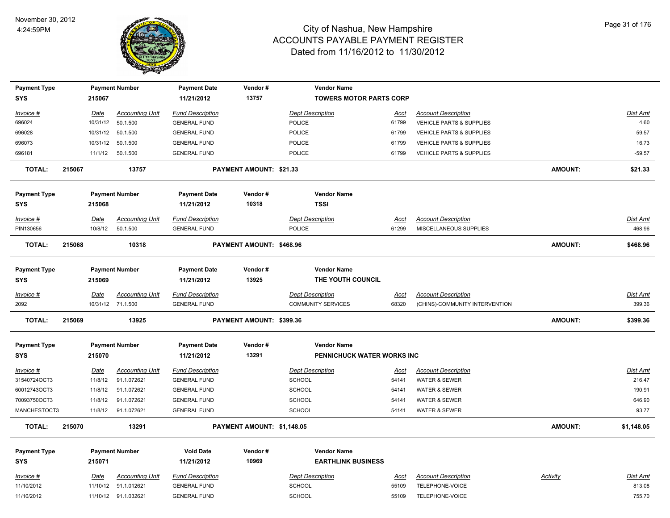

| <b>Payment Type</b> |        |             | <b>Payment Number</b>  | <b>Payment Date</b>     | Vendor#                    | <b>Vendor Name</b>             |             |                                |                |            |
|---------------------|--------|-------------|------------------------|-------------------------|----------------------------|--------------------------------|-------------|--------------------------------|----------------|------------|
| <b>SYS</b>          |        | 215067      |                        | 11/21/2012              | 13757                      | <b>TOWERS MOTOR PARTS CORP</b> |             |                                |                |            |
| Invoice #           |        | <u>Date</u> | <b>Accounting Unit</b> | <b>Fund Description</b> |                            | <b>Dept Description</b>        | Acct        | <b>Account Description</b>     |                | Dist Amt   |
| 696024              |        | 10/31/12    | 50.1.500               | <b>GENERAL FUND</b>     |                            | POLICE                         | 61799       | VEHICLE PARTS & SUPPLIES       |                | 4.60       |
| 696028              |        | 10/31/12    | 50.1.500               | <b>GENERAL FUND</b>     |                            | <b>POLICE</b>                  | 61799       | VEHICLE PARTS & SUPPLIES       |                | 59.57      |
| 696073              |        | 10/31/12    | 50.1.500               | <b>GENERAL FUND</b>     |                            | POLICE                         | 61799       | VEHICLE PARTS & SUPPLIES       |                | 16.73      |
| 696181              |        | 11/1/12     | 50.1.500               | <b>GENERAL FUND</b>     |                            | <b>POLICE</b>                  | 61799       | VEHICLE PARTS & SUPPLIES       |                | $-59.57$   |
| <b>TOTAL:</b>       | 215067 |             | 13757                  |                         | PAYMENT AMOUNT: \$21.33    |                                |             |                                | <b>AMOUNT:</b> | \$21.33    |
| <b>Payment Type</b> |        |             | <b>Payment Number</b>  | <b>Payment Date</b>     | Vendor#                    | <b>Vendor Name</b>             |             |                                |                |            |
| <b>SYS</b>          |        | 215068      |                        | 11/21/2012              | 10318                      | <b>TSSI</b>                    |             |                                |                |            |
| Invoice #           |        | Date        | <b>Accounting Unit</b> | <b>Fund Description</b> |                            | <b>Dept Description</b>        | <u>Acct</u> | <b>Account Description</b>     |                | Dist Amt   |
| PIN130656           |        | 10/8/12     | 50.1.500               | <b>GENERAL FUND</b>     |                            | POLICE                         | 61299       | MISCELLANEOUS SUPPLIES         |                | 468.96     |
| <b>TOTAL:</b>       | 215068 |             | 10318                  |                         | PAYMENT AMOUNT: \$468.96   |                                |             |                                | AMOUNT:        | \$468.96   |
| <b>Payment Type</b> |        |             | <b>Payment Number</b>  | <b>Payment Date</b>     | Vendor#                    | <b>Vendor Name</b>             |             |                                |                |            |
| <b>SYS</b>          |        | 215069      |                        | 11/21/2012              | 13925                      | THE YOUTH COUNCIL              |             |                                |                |            |
| Invoice #           |        | Date        | <b>Accounting Unit</b> | <b>Fund Description</b> |                            | <b>Dept Description</b>        | Acct        | <b>Account Description</b>     |                | Dist Amt   |
| 2092                |        |             | 10/31/12 71.1.500      | <b>GENERAL FUND</b>     |                            | <b>COMMUNITY SERVICES</b>      | 68320       | (CHINS)-COMMUNITY INTERVENTION |                | 399.36     |
| <b>TOTAL:</b>       | 215069 |             | 13925                  |                         | PAYMENT AMOUNT: \$399.36   |                                |             |                                | <b>AMOUNT:</b> | \$399.36   |
| <b>Payment Type</b> |        |             | <b>Payment Number</b>  | <b>Payment Date</b>     | Vendor#                    | <b>Vendor Name</b>             |             |                                |                |            |
| <b>SYS</b>          |        | 215070      |                        | 11/21/2012              | 13291                      | PENNICHUCK WATER WORKS INC     |             |                                |                |            |
| $Invoice$ #         |        | <u>Date</u> | <b>Accounting Unit</b> | <b>Fund Description</b> |                            | <b>Dept Description</b>        | <u>Acct</u> | <b>Account Description</b>     |                | Dist Amt   |
| 31540724OCT3        |        | 11/8/12     | 91.1.072621            | <b>GENERAL FUND</b>     |                            | SCHOOL                         | 54141       | WATER & SEWER                  |                | 216.47     |
| 60012743OCT3        |        | 11/8/12     | 91.1.072621            | <b>GENERAL FUND</b>     |                            | SCHOOL                         | 54141       | WATER & SEWER                  |                | 190.91     |
| 70093750OCT3        |        | 11/8/12     | 91.1.072621            | <b>GENERAL FUND</b>     |                            | SCHOOL                         | 54141       | WATER & SEWER                  |                | 646.90     |
| MANCHESTOCT3        |        | 11/8/12     | 91.1.072621            | <b>GENERAL FUND</b>     |                            | SCHOOL                         | 54141       | <b>WATER &amp; SEWER</b>       |                | 93.77      |
| <b>TOTAL:</b>       | 215070 |             | 13291                  |                         | PAYMENT AMOUNT: \$1,148.05 |                                |             |                                | <b>AMOUNT:</b> | \$1,148.05 |
| <b>Payment Type</b> |        |             | <b>Payment Number</b>  | <b>Void Date</b>        | Vendor#                    | <b>Vendor Name</b>             |             |                                |                |            |
| <b>SYS</b>          |        | 215071      |                        | 11/21/2012              | 10969                      | <b>EARTHLINK BUSINESS</b>      |             |                                |                |            |
| Invoice #           |        | Date        | <b>Accounting Unit</b> | <b>Fund Description</b> |                            | <b>Dept Description</b>        | Acct        | <b>Account Description</b>     | Activity       | Dist Amt   |
| 11/10/2012          |        | 11/10/12    | 91.1.012621            | <b>GENERAL FUND</b>     |                            | <b>SCHOOL</b>                  | 55109       | TELEPHONE-VOICE                |                | 813.08     |
| 11/10/2012          |        |             | 11/10/12 91.1.032621   | <b>GENERAL FUND</b>     |                            | SCHOOL                         | 55109       | TELEPHONE-VOICE                |                | 755.70     |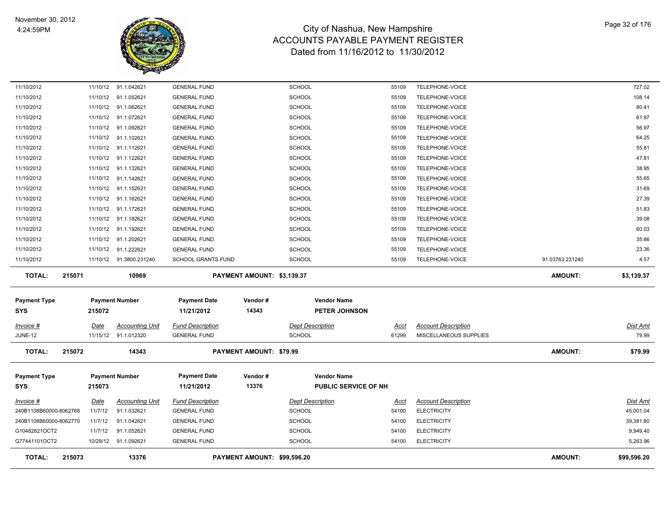

| 11/10/2012                        |        |          | 11/10/12 91.1.042621    | <b>GENERAL FUND</b>               |                             | <b>SCHOOL</b>           |                                            | 55109       | TELEPHONE-VOICE            |                 | 727.02      |
|-----------------------------------|--------|----------|-------------------------|-----------------------------------|-----------------------------|-------------------------|--------------------------------------------|-------------|----------------------------|-----------------|-------------|
| 11/10/2012                        |        | 11/10/12 | 91.1.052621             | <b>GENERAL FUND</b>               |                             | SCHOOL                  |                                            | 55109       | TELEPHONE-VOICE            |                 | 108.14      |
| 11/10/2012                        |        |          | 11/10/12 91.1.062621    | <b>GENERAL FUND</b>               |                             | SCHOOL                  |                                            | 55109       | TELEPHONE-VOICE            |                 | 80.41       |
| 11/10/2012                        |        |          | 11/10/12 91.1.072621    | <b>GENERAL FUND</b>               |                             | SCHOOL                  |                                            | 55109       | TELEPHONE-VOICE            |                 | 61.97       |
| 11/10/2012                        |        |          | 11/10/12 91.1.092621    | <b>GENERAL FUND</b>               |                             | <b>SCHOOL</b>           |                                            | 55109       | TELEPHONE-VOICE            |                 | 56.97       |
| 11/10/2012                        |        |          | 11/10/12 91.1.102621    | <b>GENERAL FUND</b>               |                             | SCHOOL                  |                                            | 55109       | TELEPHONE-VOICE            |                 | 64.25       |
| 11/10/2012                        |        |          | 11/10/12 91.1.112621    | <b>GENERAL FUND</b>               |                             | SCHOOL                  |                                            | 55109       | TELEPHONE-VOICE            |                 | 55.81       |
| 11/10/2012                        |        |          | 11/10/12 91.1.122621    | <b>GENERAL FUND</b>               |                             | <b>SCHOOL</b>           |                                            | 55109       | TELEPHONE-VOICE            |                 | 47.81       |
| 11/10/2012                        |        | 11/10/12 | 91.1.132621             | <b>GENERAL FUND</b>               |                             | <b>SCHOOL</b>           |                                            | 55109       | TELEPHONE-VOICE            |                 | 38.95       |
| 11/10/2012                        |        | 11/10/12 | 91.1.142621             | <b>GENERAL FUND</b>               |                             | SCHOOL                  |                                            | 55109       | TELEPHONE-VOICE            |                 | 55.65       |
| 11/10/2012                        |        | 11/10/12 | 91.1.152621             | <b>GENERAL FUND</b>               |                             | SCHOOL                  |                                            | 55109       | TELEPHONE-VOICE            |                 | 31.69       |
| 11/10/2012                        |        | 11/10/12 | 91.1.162621             | <b>GENERAL FUND</b>               |                             | <b>SCHOOL</b>           |                                            | 55109       | TELEPHONE-VOICE            |                 | 27.39       |
| 11/10/2012                        |        |          | 11/10/12 91.1.172621    | <b>GENERAL FUND</b>               |                             | SCHOOL                  |                                            | 55109       | TELEPHONE-VOICE            |                 | 51.83       |
| 11/10/2012                        |        |          | 11/10/12 91.1.182621    | <b>GENERAL FUND</b>               |                             | <b>SCHOOL</b>           |                                            | 55109       | TELEPHONE-VOICE            |                 | 39.08       |
| 11/10/2012                        |        | 11/10/12 | 91.1.192621             | <b>GENERAL FUND</b>               |                             | <b>SCHOOL</b>           |                                            | 55109       | TELEPHONE-VOICE            |                 | 60.03       |
| 11/10/2012                        |        |          | 11/10/12 91.1.202621    | <b>GENERAL FUND</b>               |                             | <b>SCHOOL</b>           |                                            | 55109       | TELEPHONE-VOICE            |                 | 35.66       |
| 11/10/2012                        |        |          | 11/10/12 91.1.222621    | <b>GENERAL FUND</b>               |                             | <b>SCHOOL</b>           |                                            | 55109       | TELEPHONE-VOICE            |                 | 23.36       |
| 11/10/2012                        |        |          | 11/10/12 91.3800.231240 | <b>SCHOOL GRANTS FUND</b>         |                             | <b>SCHOOL</b>           |                                            | 55109       | TELEPHONE-VOICE            | 91.03763.231240 | 4.57        |
| <b>TOTAL:</b>                     | 215071 |          | 10969                   |                                   | PAYMENT AMOUNT: \$3,139.37  |                         |                                            |             |                            | <b>AMOUNT:</b>  | \$3,139.37  |
| <b>Payment Type</b>               |        |          | <b>Payment Number</b>   | <b>Payment Date</b>               | Vendor#                     |                         | <b>Vendor Name</b>                         |             |                            |                 |             |
| <b>SYS</b>                        |        | 215072   |                         | 11/21/2012                        | 14343                       |                         | <b>PETER JOHNSON</b>                       |             |                            |                 |             |
| <u>Invoice #</u>                  |        | Date     | <b>Accounting Unit</b>  | <b>Fund Description</b>           |                             | <b>Dept Description</b> |                                            | <u>Acct</u> | <b>Account Description</b> |                 | Dist Amt    |
| <b>JUNE-12</b>                    |        |          | 11/15/12 91.1.012320    | <b>GENERAL FUND</b>               |                             | <b>SCHOOL</b>           |                                            | 61299       | MISCELLANEOUS SUPPLIES     |                 | 79.99       |
| <b>TOTAL:</b>                     | 215072 |          | 14343                   |                                   | PAYMENT AMOUNT: \$79.99     |                         |                                            |             |                            | <b>AMOUNT:</b>  | \$79.99     |
| <b>Payment Type</b><br><b>SYS</b> |        | 215073   | <b>Payment Number</b>   | <b>Payment Date</b><br>11/21/2012 | Vendor#<br>13376            |                         | <b>Vendor Name</b><br>PUBLIC SERVICE OF NH |             |                            |                 |             |
| Invoice #                         |        | Date     | <b>Accounting Unit</b>  | <b>Fund Description</b>           |                             | <b>Dept Description</b> |                                            | Acct        | <b>Account Description</b> |                 | Dist Amt    |
| 240B1108B60000-8062768            |        | 11/7/12  | 91.1.032621             | <b>GENERAL FUND</b>               |                             | SCHOOL                  |                                            | 54100       | <b>ELECTRICITY</b>         |                 | 45,001.04   |
| 240B1108B60000-8062770            |        | 11/7/12  | 91.1.042621             | <b>GENERAL FUND</b>               |                             | <b>SCHOOL</b>           |                                            | 54100       | <b>ELECTRICITY</b>         |                 | 39,381.80   |
| G10482821OCT2                     |        | 11/7/12  | 91.1.052621             | <b>GENERAL FUND</b>               |                             | <b>SCHOOL</b>           |                                            | 54100       | <b>ELECTRICITY</b>         |                 | 9,949.40    |
| G77441101OCT2                     |        |          | 10/29/12 91.1.092621    | <b>GENERAL FUND</b>               |                             | SCHOOL                  |                                            | 54100       | <b>ELECTRICITY</b>         |                 | 5,263.96    |
| <b>TOTAL:</b>                     | 215073 |          | 13376                   |                                   | PAYMENT AMOUNT: \$99,596.20 |                         |                                            |             |                            | <b>AMOUNT:</b>  | \$99,596.20 |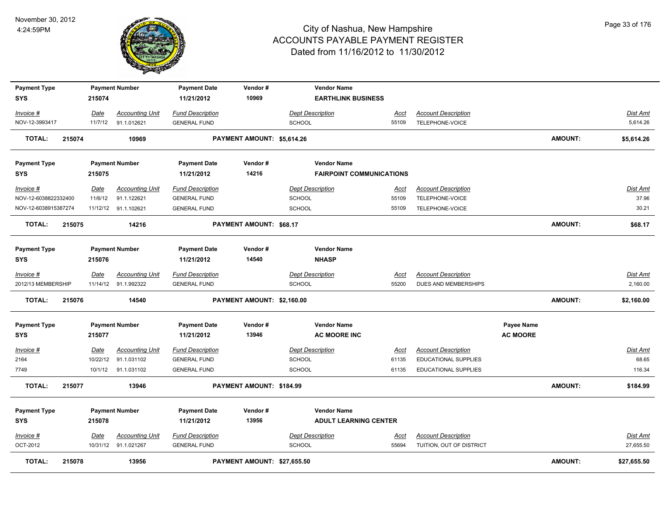

| <b>Payment Type</b>               |        |             | <b>Payment Number</b>  | <b>Payment Date</b>               | Vendor#                     | <b>Vendor Name</b>                                 |             |                             |                                      |                |                 |
|-----------------------------------|--------|-------------|------------------------|-----------------------------------|-----------------------------|----------------------------------------------------|-------------|-----------------------------|--------------------------------------|----------------|-----------------|
| <b>SYS</b>                        |        | 215074      |                        | 11/21/2012                        | 10969                       | <b>EARTHLINK BUSINESS</b>                          |             |                             |                                      |                |                 |
| Invoice #                         |        | Date        | <b>Accounting Unit</b> | <b>Fund Description</b>           |                             | <b>Dept Description</b>                            | Acct        | <b>Account Description</b>  |                                      |                | <b>Dist Amt</b> |
| NOV-12-3993417                    |        | 11/7/12     | 91.1.012621            | <b>GENERAL FUND</b>               |                             | <b>SCHOOL</b>                                      | 55109       | TELEPHONE-VOICE             |                                      |                | 5,614.26        |
| <b>TOTAL:</b>                     | 215074 |             | 10969                  |                                   | PAYMENT AMOUNT: \$5,614.26  |                                                    |             |                             |                                      | <b>AMOUNT:</b> | \$5,614.26      |
| <b>Payment Type</b>               |        |             | <b>Payment Number</b>  | <b>Payment Date</b>               | Vendor#                     | <b>Vendor Name</b>                                 |             |                             |                                      |                |                 |
| <b>SYS</b>                        |        | 215075      |                        | 11/21/2012                        | 14216                       | <b>FAIRPOINT COMMUNICATIONS</b>                    |             |                             |                                      |                |                 |
| Invoice #                         |        | Date        | <b>Accounting Unit</b> | <b>Fund Description</b>           |                             | <b>Dept Description</b>                            | <u>Acct</u> | <b>Account Description</b>  |                                      |                | Dist Amt        |
| NOV-12-6038822332400              |        | 11/6/12     | 91.1.122621            | <b>GENERAL FUND</b>               |                             | <b>SCHOOL</b>                                      | 55109       | TELEPHONE-VOICE             |                                      |                | 37.96           |
| NOV-12-6038915387274              |        |             | 11/12/12 91.1.102621   | <b>GENERAL FUND</b>               |                             | <b>SCHOOL</b>                                      | 55109       | TELEPHONE-VOICE             |                                      |                | 30.21           |
| <b>TOTAL:</b>                     | 215075 |             | 14216                  |                                   | PAYMENT AMOUNT: \$68.17     |                                                    |             |                             |                                      | <b>AMOUNT:</b> | \$68.17         |
| <b>Payment Type</b><br><b>SYS</b> |        | 215076      | <b>Payment Number</b>  | <b>Payment Date</b><br>11/21/2012 | Vendor#<br>14540            | <b>Vendor Name</b><br><b>NHASP</b>                 |             |                             |                                      |                |                 |
| Invoice #                         |        | Date        | <b>Accounting Unit</b> | <b>Fund Description</b>           |                             | <b>Dept Description</b>                            | <u>Acct</u> | <b>Account Description</b>  |                                      |                | <b>Dist Amt</b> |
| 2012/13 MEMBERSHIP                |        |             | 11/14/12 91.1.992322   | <b>GENERAL FUND</b>               |                             | <b>SCHOOL</b>                                      | 55200       | DUES AND MEMBERSHIPS        |                                      |                | 2,160.00        |
| <b>TOTAL:</b>                     | 215076 |             | 14540                  |                                   | PAYMENT AMOUNT: \$2,160.00  |                                                    |             |                             |                                      | <b>AMOUNT:</b> | \$2,160.00      |
| <b>Payment Type</b><br><b>SYS</b> |        | 215077      | <b>Payment Number</b>  | <b>Payment Date</b><br>11/21/2012 | Vendor#<br>13946            | <b>Vendor Name</b><br><b>AC MOORE INC</b>          |             |                             | <b>Payee Name</b><br><b>AC MOORE</b> |                |                 |
| $Invoice$ #                       |        | <b>Date</b> | <b>Accounting Unit</b> | <b>Fund Description</b>           |                             | <b>Dept Description</b>                            | <u>Acct</u> | <b>Account Description</b>  |                                      |                | <b>Dist Amt</b> |
| 2164                              |        | 10/22/12    | 91.1.031102            | <b>GENERAL FUND</b>               |                             | SCHOOL                                             | 61135       | EDUCATIONAL SUPPLIES        |                                      |                | 68.65           |
| 7749                              |        | 10/1/12     | 91.1.031102            | <b>GENERAL FUND</b>               |                             | <b>SCHOOL</b>                                      | 61135       | <b>EDUCATIONAL SUPPLIES</b> |                                      |                | 116.34          |
| TOTAL:                            | 215077 |             | 13946                  |                                   | PAYMENT AMOUNT: \$184.99    |                                                    |             |                             |                                      | <b>AMOUNT:</b> | \$184.99        |
| <b>Payment Type</b><br><b>SYS</b> |        | 215078      | <b>Payment Number</b>  | <b>Payment Date</b><br>11/21/2012 | Vendor#<br>13956            | <b>Vendor Name</b><br><b>ADULT LEARNING CENTER</b> |             |                             |                                      |                |                 |
| Invoice #                         |        | Date        | <b>Accounting Unit</b> | <b>Fund Description</b>           |                             | <b>Dept Description</b>                            | Acct        | <b>Account Description</b>  |                                      |                | <u>Dist Amt</u> |
| OCT-2012                          |        |             | 10/31/12 91.1.021267   | <b>GENERAL FUND</b>               |                             | SCHOOL                                             | 55694       | TUITION, OUT OF DISTRICT    |                                      |                | 27,655.50       |
| <b>TOTAL:</b>                     | 215078 |             | 13956                  |                                   | PAYMENT AMOUNT: \$27,655.50 |                                                    |             |                             |                                      | <b>AMOUNT:</b> | \$27,655.50     |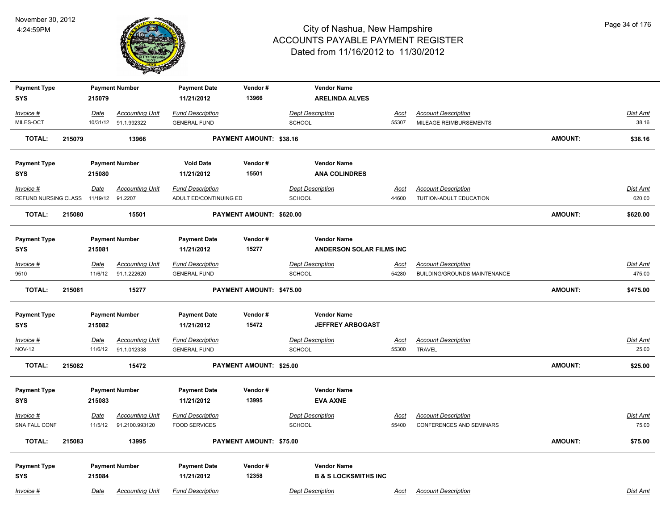

| <b>Payment Type</b>  |        |                  | <b>Payment Number</b>  | <b>Payment Date</b>     | Vendor#                  | <b>Vendor Name</b>              |             |                                     |                |                 |
|----------------------|--------|------------------|------------------------|-------------------------|--------------------------|---------------------------------|-------------|-------------------------------------|----------------|-----------------|
| <b>SYS</b>           |        | 215079           |                        | 11/21/2012              | 13966                    | <b>ARELINDA ALVES</b>           |             |                                     |                |                 |
| Invoice #            |        | Date             | <b>Accounting Unit</b> | <b>Fund Description</b> |                          | <b>Dept Description</b>         | <u>Acct</u> | <b>Account Description</b>          |                | Dist Amt        |
| MILES-OCT            |        |                  | 10/31/12 91.1.992322   | <b>GENERAL FUND</b>     |                          | <b>SCHOOL</b>                   | 55307       | MILEAGE REIMBURSEMENTS              |                | 38.16           |
| <b>TOTAL:</b>        | 215079 |                  | 13966                  |                         | PAYMENT AMOUNT: \$38.16  |                                 |             |                                     | <b>AMOUNT:</b> | \$38.16         |
| <b>Payment Type</b>  |        |                  | <b>Payment Number</b>  | <b>Void Date</b>        | Vendor#                  | <b>Vendor Name</b>              |             |                                     |                |                 |
| <b>SYS</b>           |        | 215080           |                        | 11/21/2012              | 15501                    | <b>ANA COLINDRES</b>            |             |                                     |                |                 |
| Invoice #            |        | <u>Date</u>      | <b>Accounting Unit</b> | <b>Fund Description</b> |                          | <b>Dept Description</b>         | Acct        | <b>Account Description</b>          |                | Dist Amt        |
| REFUND NURSING CLASS |        | 11/19/12 91.2207 |                        | ADULT ED/CONTINUING ED  |                          | <b>SCHOOL</b>                   | 44600       | TUITION-ADULT EDUCATION             |                | 620.00          |
| TOTAL:               | 215080 |                  | 15501                  |                         | PAYMENT AMOUNT: \$620.00 |                                 |             |                                     | <b>AMOUNT:</b> | \$620.00        |
| <b>Payment Type</b>  |        |                  | <b>Payment Number</b>  | <b>Payment Date</b>     | Vendor#                  | <b>Vendor Name</b>              |             |                                     |                |                 |
| <b>SYS</b>           |        | 215081           |                        | 11/21/2012              | 15277                    | <b>ANDERSON SOLAR FILMS INC</b> |             |                                     |                |                 |
| $Invoice$ #          |        | <b>Date</b>      | <b>Accounting Unit</b> | <b>Fund Description</b> |                          | <b>Dept Description</b>         | <u>Acct</u> | <b>Account Description</b>          |                | <u>Dist Amt</u> |
| 9510                 |        | 11/6/12          | 91.1.222620            | <b>GENERAL FUND</b>     |                          | SCHOOL                          | 54280       | <b>BUILDING/GROUNDS MAINTENANCE</b> |                | 475.00          |
| <b>TOTAL:</b>        | 215081 |                  | 15277                  |                         | PAYMENT AMOUNT: \$475.00 |                                 |             |                                     | <b>AMOUNT:</b> | \$475.00        |
| <b>Payment Type</b>  |        |                  | <b>Payment Number</b>  | <b>Payment Date</b>     | Vendor#                  | <b>Vendor Name</b>              |             |                                     |                |                 |
| <b>SYS</b>           |        | 215082           |                        | 11/21/2012              | 15472                    | <b>JEFFREY ARBOGAST</b>         |             |                                     |                |                 |
| Invoice #            |        | <b>Date</b>      | <b>Accounting Unit</b> | <b>Fund Description</b> |                          | <b>Dept Description</b>         | <u>Acct</u> | <b>Account Description</b>          |                | <u>Dist Amt</u> |
| <b>NOV-12</b>        |        | 11/6/12          | 91.1.012338            | <b>GENERAL FUND</b>     |                          | SCHOOL                          | 55300       | <b>TRAVEL</b>                       |                | 25.00           |
| <b>TOTAL:</b>        | 215082 |                  | 15472                  |                         | PAYMENT AMOUNT: \$25.00  |                                 |             |                                     | <b>AMOUNT:</b> | \$25.00         |
| <b>Payment Type</b>  |        |                  | <b>Payment Number</b>  | <b>Payment Date</b>     | Vendor#                  | <b>Vendor Name</b>              |             |                                     |                |                 |
| <b>SYS</b>           |        | 215083           |                        | 11/21/2012              | 13995                    | <b>EVA AXNE</b>                 |             |                                     |                |                 |
| $Invoice$ #          |        | Date             | <b>Accounting Unit</b> | <b>Fund Description</b> |                          | <b>Dept Description</b>         | <u>Acct</u> | <b>Account Description</b>          |                | Dist Amt        |
| SNA FALL CONF        |        | 11/5/12          | 91.2100.993120         | <b>FOOD SERVICES</b>    |                          | <b>SCHOOL</b>                   | 55400       | <b>CONFERENCES AND SEMINARS</b>     |                | 75.00           |
| <b>TOTAL:</b>        | 215083 |                  | 13995                  |                         | PAYMENT AMOUNT: \$75.00  |                                 |             |                                     | AMOUNT:        | \$75.00         |
| <b>Payment Type</b>  |        |                  | <b>Payment Number</b>  | <b>Payment Date</b>     | Vendor #                 | <b>Vendor Name</b>              |             |                                     |                |                 |
| <b>SYS</b>           |        | 215084           |                        | 11/21/2012              | 12358                    | <b>B &amp; S LOCKSMITHS INC</b> |             |                                     |                |                 |
| Invoice #            |        | Date             | <b>Accounting Unit</b> | <b>Fund Description</b> |                          | <b>Dept Description</b>         | Acct        | <b>Account Description</b>          |                | Dist Amt        |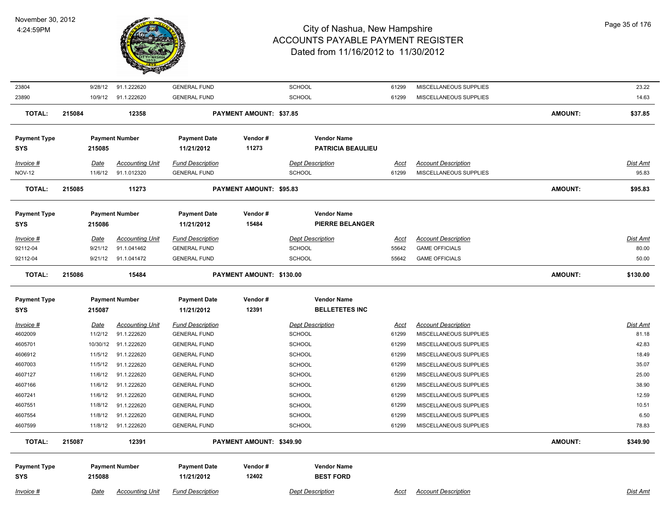

| 23804                             | 9/28/12     | 91.1.222620            | <b>GENERAL FUND</b>               |                                | <b>SCHOOL</b>                          | 61299       | MISCELLANEOUS SUPPLIES     |                | 23.22           |
|-----------------------------------|-------------|------------------------|-----------------------------------|--------------------------------|----------------------------------------|-------------|----------------------------|----------------|-----------------|
| 23890                             |             | 10/9/12 91.1.222620    | <b>GENERAL FUND</b>               |                                | <b>SCHOOL</b>                          | 61299       | MISCELLANEOUS SUPPLIES     |                | 14.63           |
| <b>TOTAL:</b>                     | 215084      | 12358                  |                                   | <b>PAYMENT AMOUNT: \$37.85</b> |                                        |             |                            | <b>AMOUNT:</b> | \$37.85         |
| <b>Payment Type</b>               |             | <b>Payment Number</b>  | <b>Payment Date</b>               | Vendor#                        | <b>Vendor Name</b>                     |             |                            |                |                 |
| <b>SYS</b>                        | 215085      |                        | 11/21/2012                        | 11273                          | <b>PATRICIA BEAULIEU</b>               |             |                            |                |                 |
| Invoice #                         | Date        | <b>Accounting Unit</b> | <b>Fund Description</b>           |                                | <b>Dept Description</b>                | Acct        | <b>Account Description</b> |                | <b>Dist Amt</b> |
| <b>NOV-12</b>                     | 11/6/12     | 91.1.012320            | <b>GENERAL FUND</b>               |                                | <b>SCHOOL</b>                          | 61299       | MISCELLANEOUS SUPPLIES     |                | 95.83           |
| <b>TOTAL:</b>                     | 215085      | 11273                  |                                   | PAYMENT AMOUNT: \$95.83        |                                        |             |                            | <b>AMOUNT:</b> | \$95.83         |
| <b>Payment Type</b>               |             | <b>Payment Number</b>  | <b>Payment Date</b>               | Vendor#                        | <b>Vendor Name</b>                     |             |                            |                |                 |
| <b>SYS</b>                        | 215086      |                        | 11/21/2012                        | 15484                          | <b>PIERRE BELANGER</b>                 |             |                            |                |                 |
| Invoice #                         | <b>Date</b> | <b>Accounting Unit</b> | <b>Fund Description</b>           |                                | <b>Dept Description</b>                | <u>Acct</u> | <b>Account Description</b> |                | <b>Dist Amt</b> |
| 92112-04                          | 9/21/12     | 91.1.041462            | <b>GENERAL FUND</b>               |                                | <b>SCHOOL</b>                          | 55642       | <b>GAME OFFICIALS</b>      |                | 80.00           |
| 92112-04                          | 9/21/12     | 91.1.041472            | <b>GENERAL FUND</b>               |                                | <b>SCHOOL</b>                          | 55642       | <b>GAME OFFICIALS</b>      |                | 50.00           |
| <b>TOTAL:</b>                     | 215086      | 15484                  |                                   | PAYMENT AMOUNT: \$130.00       |                                        |             |                            | <b>AMOUNT:</b> | \$130.00        |
| <b>Payment Type</b>               |             | <b>Payment Number</b>  | <b>Payment Date</b>               | Vendor#                        | <b>Vendor Name</b>                     |             |                            |                |                 |
| <b>SYS</b>                        | 215087      |                        | 11/21/2012                        | 12391                          | <b>BELLETETES INC</b>                  |             |                            |                |                 |
| <b>Invoice #</b>                  | <u>Date</u> | <u>Accounting Unit</u> | <b>Fund Description</b>           |                                | <b>Dept Description</b>                | <u>Acct</u> | <b>Account Description</b> |                | <b>Dist Amt</b> |
| 4602009                           | 11/2/12     | 91.1.222620            | <b>GENERAL FUND</b>               |                                | <b>SCHOOL</b>                          | 61299       | MISCELLANEOUS SUPPLIES     |                | 81.18           |
| 4605701                           | 10/30/12    | 91.1.222620            | <b>GENERAL FUND</b>               |                                | <b>SCHOOL</b>                          | 61299       | MISCELLANEOUS SUPPLIES     |                | 42.83           |
| 4606912                           | 11/5/12     | 91.1.222620            | <b>GENERAL FUND</b>               |                                | <b>SCHOOL</b>                          | 61299       | MISCELLANEOUS SUPPLIES     |                | 18.49           |
| 4607003                           | 11/5/12     | 91.1.222620            | <b>GENERAL FUND</b>               |                                | <b>SCHOOL</b>                          | 61299       | MISCELLANEOUS SUPPLIES     |                | 35.07           |
| 4607127                           | 11/6/12     | 91.1.222620            | <b>GENERAL FUND</b>               |                                | <b>SCHOOL</b>                          | 61299       | MISCELLANEOUS SUPPLIES     |                | 25.00           |
| 4607166                           | 11/6/12     | 91.1.222620            | <b>GENERAL FUND</b>               |                                | SCHOOL                                 | 61299       | MISCELLANEOUS SUPPLIES     |                | 38.90           |
| 4607241                           | 11/6/12     | 91.1.222620            | <b>GENERAL FUND</b>               |                                | <b>SCHOOL</b>                          | 61299       | MISCELLANEOUS SUPPLIES     |                | 12.59           |
| 4607551                           | 11/8/12     | 91.1.222620            | <b>GENERAL FUND</b>               |                                | <b>SCHOOL</b>                          | 61299       | MISCELLANEOUS SUPPLIES     |                | 10.51           |
| 4607554                           | 11/8/12     | 91.1.222620            | <b>GENERAL FUND</b>               |                                | SCHOOL                                 | 61299       | MISCELLANEOUS SUPPLIES     |                | 6.50            |
| 4607599                           | 11/8/12     | 91.1.222620            | <b>GENERAL FUND</b>               |                                | SCHOOL                                 | 61299       | MISCELLANEOUS SUPPLIES     |                | 78.83           |
| <b>TOTAL:</b>                     | 215087      | 12391                  |                                   | PAYMENT AMOUNT: \$349.90       |                                        |             |                            | <b>AMOUNT:</b> | \$349.90        |
|                                   |             |                        |                                   |                                |                                        |             |                            |                |                 |
| <b>Payment Type</b><br><b>SYS</b> | 215088      | <b>Payment Number</b>  | <b>Payment Date</b><br>11/21/2012 | Vendor#<br>12402               | <b>Vendor Name</b><br><b>BEST FORD</b> |             |                            |                |                 |
| Invoice #                         | Date        | <b>Accounting Unit</b> | <b>Fund Description</b>           |                                | <b>Dept Description</b>                | Acct        | <b>Account Description</b> |                | <b>Dist Amt</b> |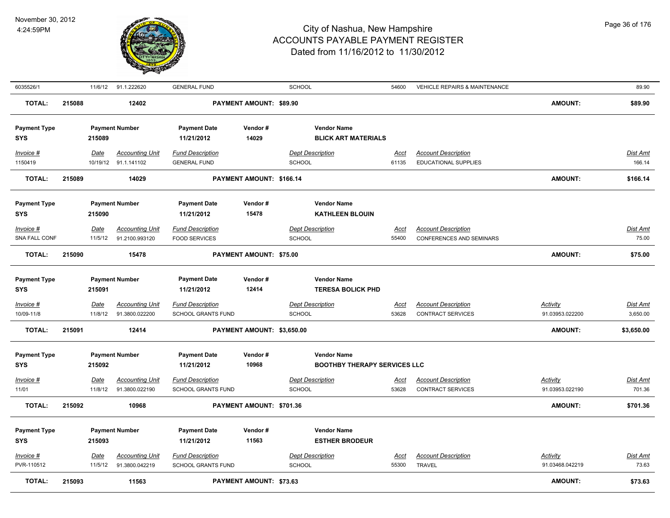

| 6035526/1                         |        | 11/6/12                | 91.1.222620                                    | <b>GENERAL FUND</b>                            |                                | SCHOOL                                                    | 54600                | VEHICLE REPAIRS & MAINTENANCE                             |                                    | 89.90                       |
|-----------------------------------|--------|------------------------|------------------------------------------------|------------------------------------------------|--------------------------------|-----------------------------------------------------------|----------------------|-----------------------------------------------------------|------------------------------------|-----------------------------|
| <b>TOTAL:</b>                     | 215088 |                        | 12402                                          |                                                | PAYMENT AMOUNT: \$89.90        |                                                           |                      |                                                           | <b>AMOUNT:</b>                     | \$89.90                     |
| <b>Payment Type</b><br><b>SYS</b> |        | 215089                 | <b>Payment Number</b>                          | <b>Payment Date</b><br>11/21/2012              | Vendor#<br>14029               | <b>Vendor Name</b><br><b>BLICK ART MATERIALS</b>          |                      |                                                           |                                    |                             |
| Invoice #<br>1150419              |        | Date                   | <b>Accounting Unit</b><br>10/19/12 91.1.141102 | <b>Fund Description</b><br><b>GENERAL FUND</b> |                                | <b>Dept Description</b><br><b>SCHOOL</b>                  | Acct<br>61135        | <b>Account Description</b><br><b>EDUCATIONAL SUPPLIES</b> |                                    | Dist Amt<br>166.14          |
| <b>TOTAL:</b>                     | 215089 |                        | 14029                                          |                                                | PAYMENT AMOUNT: \$166.14       |                                                           |                      |                                                           | <b>AMOUNT:</b>                     | \$166.14                    |
| <b>Payment Type</b><br><b>SYS</b> |        | 215090                 | <b>Payment Number</b>                          | <b>Payment Date</b><br>11/21/2012              | Vendor#<br>15478               | <b>Vendor Name</b><br><b>KATHLEEN BLOUIN</b>              |                      |                                                           |                                    |                             |
| $Invoice$ #                       |        | <b>Date</b>            | <b>Accounting Unit</b>                         | <b>Fund Description</b>                        |                                | <b>Dept Description</b>                                   | <u>Acct</u>          | <b>Account Description</b>                                |                                    | <u>Dist Amt</u>             |
| SNA FALL CONF                     |        | 11/5/12                | 91.2100.993120                                 | <b>FOOD SERVICES</b>                           |                                | SCHOOL                                                    | 55400                | <b>CONFERENCES AND SEMINARS</b>                           |                                    | 75.00                       |
| <b>TOTAL:</b>                     | 215090 |                        | 15478                                          |                                                | PAYMENT AMOUNT: \$75.00        |                                                           |                      |                                                           | <b>AMOUNT:</b>                     | \$75.00                     |
| <b>Payment Type</b><br><b>SYS</b> |        | 215091                 | <b>Payment Number</b>                          | <b>Payment Date</b><br>11/21/2012              | Vendor#<br>12414               | <b>Vendor Name</b><br><b>TERESA BOLICK PHD</b>            |                      |                                                           |                                    |                             |
| Invoice #<br>10/09-11/8           |        | Date<br>11/8/12        | <b>Accounting Unit</b><br>91.3800.022200       | <b>Fund Description</b><br>SCHOOL GRANTS FUND  |                                | <b>Dept Description</b><br><b>SCHOOL</b>                  | <u>Acct</u><br>53628 | <b>Account Description</b><br><b>CONTRACT SERVICES</b>    | <b>Activity</b><br>91.03953.022200 | <u>Dist Amt</u><br>3,650.00 |
| <b>TOTAL:</b>                     | 215091 |                        | 12414                                          |                                                | PAYMENT AMOUNT: \$3,650.00     |                                                           |                      |                                                           | <b>AMOUNT:</b>                     | \$3,650.00                  |
| <b>Payment Type</b><br><b>SYS</b> |        | 215092                 | <b>Payment Number</b>                          | <b>Payment Date</b><br>11/21/2012              | Vendor#<br>10968               | <b>Vendor Name</b><br><b>BOOTHBY THERAPY SERVICES LLC</b> |                      |                                                           |                                    |                             |
| $Invoice$ #                       |        | <b>Date</b>            | <b>Accounting Unit</b>                         | <b>Fund Description</b>                        |                                | <b>Dept Description</b>                                   | <u>Acct</u>          | <b>Account Description</b>                                | <b>Activity</b>                    | <u>Dist Amt</u>             |
| 11/01                             |        | 11/8/12                | 91.3800.022190                                 | SCHOOL GRANTS FUND                             |                                | SCHOOL                                                    | 53628                | CONTRACT SERVICES                                         | 91.03953.022190                    | 701.36                      |
| <b>TOTAL:</b>                     | 215092 |                        | 10968                                          |                                                | PAYMENT AMOUNT: \$701.36       |                                                           |                      |                                                           | <b>AMOUNT:</b>                     | \$701.36                    |
| <b>Payment Type</b><br><b>SYS</b> |        | 215093                 | <b>Payment Number</b>                          | <b>Payment Date</b><br>11/21/2012              | Vendor#<br>11563               | <b>Vendor Name</b><br><b>ESTHER BRODEUR</b>               |                      |                                                           |                                    |                             |
| $Invoice$ #<br>PVR-110512         |        | <u>Date</u><br>11/5/12 | <u>Accounting Unit</u><br>91.3800.042219       | <b>Fund Description</b><br>SCHOOL GRANTS FUND  |                                | <b>Dept Description</b><br><b>SCHOOL</b>                  | <u>Acct</u><br>55300 | <b>Account Description</b><br><b>TRAVEL</b>               | <b>Activity</b><br>91.03468.042219 | <u>Dist Amt</u><br>73.63    |
| <b>TOTAL:</b>                     | 215093 |                        | 11563                                          |                                                | <b>PAYMENT AMOUNT: \$73.63</b> |                                                           |                      |                                                           | <b>AMOUNT:</b>                     | \$73.63                     |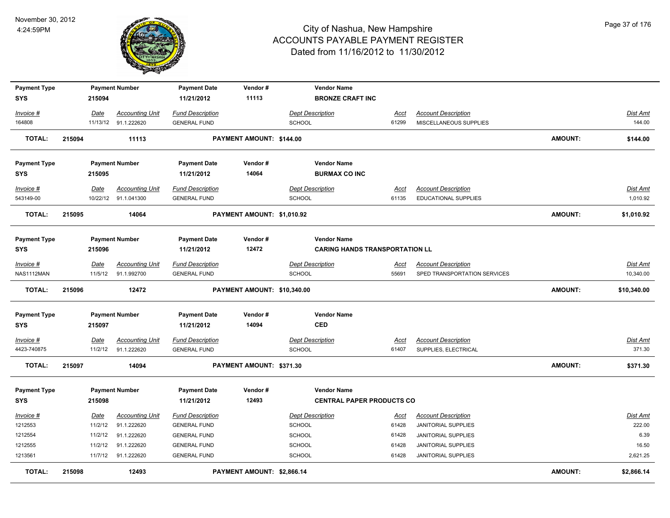

| <b>Payment Type</b><br><b>SYS</b>                     |        | 215094                                | <b>Payment Number</b>                                                                      | <b>Payment Date</b><br>11/21/2012                                                                                   | Vendor#<br>11113            |                                                                               | <b>Vendor Name</b><br><b>BRONZE CRAFT INC</b>               |                                          |                                                                                                                                                    |                |                                                        |
|-------------------------------------------------------|--------|---------------------------------------|--------------------------------------------------------------------------------------------|---------------------------------------------------------------------------------------------------------------------|-----------------------------|-------------------------------------------------------------------------------|-------------------------------------------------------------|------------------------------------------|----------------------------------------------------------------------------------------------------------------------------------------------------|----------------|--------------------------------------------------------|
| Invoice #                                             |        | Date                                  | <b>Accounting Unit</b>                                                                     | <b>Fund Description</b>                                                                                             |                             | <b>Dept Description</b>                                                       |                                                             | Acct                                     | <b>Account Description</b>                                                                                                                         |                | <b>Dist Amt</b>                                        |
| 164808                                                |        |                                       | 11/13/12 91.1.222620                                                                       | <b>GENERAL FUND</b>                                                                                                 |                             | <b>SCHOOL</b>                                                                 |                                                             | 61299                                    | MISCELLANEOUS SUPPLIES                                                                                                                             |                | 144.00                                                 |
| <b>TOTAL:</b>                                         | 215094 |                                       | 11113                                                                                      |                                                                                                                     | PAYMENT AMOUNT: \$144.00    |                                                                               |                                                             |                                          |                                                                                                                                                    | <b>AMOUNT:</b> | \$144.00                                               |
| <b>Payment Type</b><br>SYS                            |        | 215095                                | <b>Payment Number</b>                                                                      | <b>Payment Date</b><br>11/21/2012                                                                                   | Vendor#<br>14064            |                                                                               | <b>Vendor Name</b><br><b>BURMAX CO INC</b>                  |                                          |                                                                                                                                                    |                |                                                        |
| Invoice #<br>543149-00                                |        | Date                                  | <b>Accounting Unit</b><br>10/22/12 91.1.041300                                             | <b>Fund Description</b><br><b>GENERAL FUND</b>                                                                      |                             | <b>Dept Description</b><br><b>SCHOOL</b>                                      |                                                             | Acct<br>61135                            | <b>Account Description</b><br><b>EDUCATIONAL SUPPLIES</b>                                                                                          |                | Dist Amt<br>1,010.92                                   |
| <b>TOTAL:</b>                                         | 215095 |                                       | 14064                                                                                      |                                                                                                                     | PAYMENT AMOUNT: \$1,010.92  |                                                                               |                                                             |                                          |                                                                                                                                                    | <b>AMOUNT:</b> | \$1,010.92                                             |
| <b>Payment Type</b><br><b>SYS</b>                     |        | 215096                                | <b>Payment Number</b>                                                                      | <b>Payment Date</b><br>11/21/2012                                                                                   | Vendor#<br>12472            |                                                                               | <b>Vendor Name</b><br><b>CARING HANDS TRANSPORTATION LL</b> |                                          |                                                                                                                                                    |                |                                                        |
| Invoice #<br>NAS1112MAN                               |        | Date<br>11/5/12                       | <b>Accounting Unit</b><br>91.1.992700                                                      | <b>Fund Description</b><br><b>GENERAL FUND</b>                                                                      |                             | <b>Dept Description</b><br><b>SCHOOL</b>                                      |                                                             | Acct<br>55691                            | <b>Account Description</b><br>SPED TRANSPORTATION SERVICES                                                                                         |                | <b>Dist Amt</b><br>10,340.00                           |
| <b>TOTAL:</b>                                         | 215096 |                                       | 12472                                                                                      |                                                                                                                     | PAYMENT AMOUNT: \$10,340.00 |                                                                               |                                                             |                                          |                                                                                                                                                    | <b>AMOUNT:</b> | \$10,340.00                                            |
| <b>Payment Type</b><br><b>SYS</b>                     |        | 215097                                | <b>Payment Number</b>                                                                      | <b>Payment Date</b><br>11/21/2012                                                                                   | Vendor#<br>14094            | <b>CED</b>                                                                    | <b>Vendor Name</b>                                          |                                          |                                                                                                                                                    |                |                                                        |
| $Invoice$ #<br>4423-740875                            |        | Date<br>11/2/12                       | <b>Accounting Unit</b><br>91.1.222620                                                      | <b>Fund Description</b><br><b>GENERAL FUND</b>                                                                      |                             | <b>Dept Description</b><br><b>SCHOOL</b>                                      |                                                             | <u>Acct</u><br>61407                     | <b>Account Description</b><br>SUPPLIES, ELECTRICAL                                                                                                 |                | Dist Amt<br>371.30                                     |
| <b>TOTAL:</b>                                         | 215097 |                                       | 14094                                                                                      |                                                                                                                     | PAYMENT AMOUNT: \$371.30    |                                                                               |                                                             |                                          |                                                                                                                                                    | <b>AMOUNT:</b> | \$371.30                                               |
| <b>Payment Type</b><br><b>SYS</b>                     |        | 215098                                | <b>Payment Number</b>                                                                      | <b>Payment Date</b><br>11/21/2012                                                                                   | Vendor#<br>12493            |                                                                               | <b>Vendor Name</b><br><b>CENTRAL PAPER PRODUCTS CO</b>      |                                          |                                                                                                                                                    |                |                                                        |
| Invoice #<br>1212553<br>1212554<br>1212555<br>1213561 |        | Date<br>11/2/12<br>11/2/12<br>11/2/12 | <b>Accounting Unit</b><br>91.1.222620<br>91.1.222620<br>91.1.222620<br>11/7/12 91.1.222620 | <b>Fund Description</b><br><b>GENERAL FUND</b><br><b>GENERAL FUND</b><br><b>GENERAL FUND</b><br><b>GENERAL FUND</b> |                             | <b>Dept Description</b><br>SCHOOL<br><b>SCHOOL</b><br><b>SCHOOL</b><br>SCHOOL |                                                             | Acct<br>61428<br>61428<br>61428<br>61428 | <b>Account Description</b><br><b>JANITORIAL SUPPLIES</b><br><b>JANITORIAL SUPPLIES</b><br><b>JANITORIAL SUPPLIES</b><br><b>JANITORIAL SUPPLIES</b> |                | <b>Dist Amt</b><br>222.00<br>6.39<br>16.50<br>2,621.25 |
| <b>TOTAL:</b>                                         | 215098 |                                       | 12493                                                                                      |                                                                                                                     | PAYMENT AMOUNT: \$2,866.14  |                                                                               |                                                             |                                          |                                                                                                                                                    | <b>AMOUNT:</b> | \$2,866.14                                             |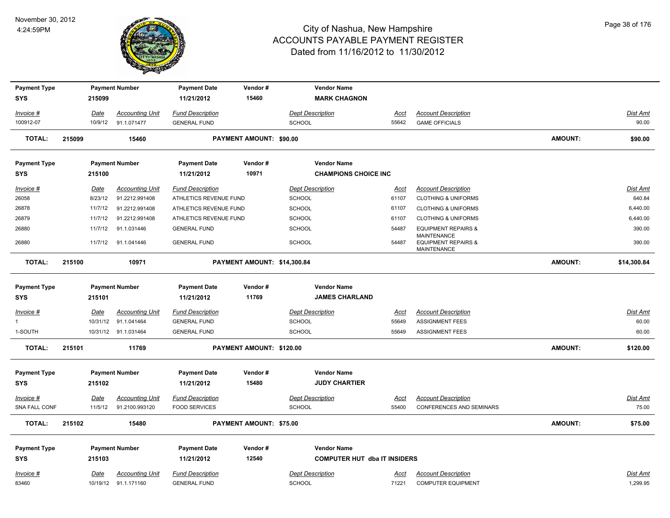

| <b>Payment Type</b> |        |                 | <b>Payment Number</b>                    | <b>Payment Date</b>                               | Vendor#                     | <b>Vendor Name</b>                       |               |                                                                            |                |                    |
|---------------------|--------|-----------------|------------------------------------------|---------------------------------------------------|-----------------------------|------------------------------------------|---------------|----------------------------------------------------------------------------|----------------|--------------------|
| <b>SYS</b>          |        | 215099          |                                          | 11/21/2012                                        | 15460                       | <b>MARK CHAGNON</b>                      |               |                                                                            |                |                    |
| Invoice #           |        | Date            | <b>Accounting Unit</b>                   | <b>Fund Description</b>                           |                             | <b>Dept Description</b>                  | Acct          | <b>Account Description</b>                                                 |                | Dist Amt           |
| 100912-07           |        | 10/9/12         | 91.1.071477                              | <b>GENERAL FUND</b>                               |                             | SCHOOL                                   | 55642         | <b>GAME OFFICIALS</b>                                                      |                | 90.00              |
| <b>TOTAL:</b>       | 215099 |                 | 15460                                    |                                                   | PAYMENT AMOUNT: \$90.00     |                                          |               |                                                                            | <b>AMOUNT:</b> | \$90.00            |
| <b>Payment Type</b> |        |                 | <b>Payment Number</b>                    | <b>Payment Date</b>                               | Vendor#                     | <b>Vendor Name</b>                       |               |                                                                            |                |                    |
| <b>SYS</b>          |        | 215100          |                                          | 11/21/2012                                        | 10971                       | <b>CHAMPIONS CHOICE INC</b>              |               |                                                                            |                |                    |
| Invoice #<br>26058  |        | Date<br>8/23/12 | <b>Accounting Unit</b><br>91.2212.991408 | <b>Fund Description</b><br>ATHLETICS REVENUE FUND |                             | <b>Dept Description</b><br><b>SCHOOL</b> | Acct<br>61107 | <b>Account Description</b><br><b>CLOTHING &amp; UNIFORMS</b>               |                | Dist Amt<br>640.84 |
| 26878               |        | 11/7/12         | 91.2212.991408                           | ATHLETICS REVENUE FUND                            |                             | SCHOOL                                   | 61107         | <b>CLOTHING &amp; UNIFORMS</b>                                             |                | 6,440.00           |
| 26879               |        | 11/7/12         | 91.2212.991408                           | ATHLETICS REVENUE FUND                            |                             | <b>SCHOOL</b>                            | 61107         | <b>CLOTHING &amp; UNIFORMS</b>                                             |                | 6,440.00           |
| 26880               |        | 11/7/12         | 91.1.031446                              | <b>GENERAL FUND</b>                               |                             | SCHOOL                                   | 54487         | <b>EQUIPMENT REPAIRS &amp;</b>                                             |                | 390.00             |
| 26880               |        | 11/7/12         | 91.1.041446                              | <b>GENERAL FUND</b>                               |                             | SCHOOL                                   | 54487         | <b>MAINTENANCE</b><br><b>EQUIPMENT REPAIRS &amp;</b><br><b>MAINTENANCE</b> |                | 390.00             |
| <b>TOTAL:</b>       | 215100 |                 | 10971                                    |                                                   | PAYMENT AMOUNT: \$14,300.84 |                                          |               |                                                                            | AMOUNT:        | \$14,300.84        |
| <b>Payment Type</b> |        |                 | <b>Payment Number</b>                    | <b>Payment Date</b>                               | Vendor#                     | <b>Vendor Name</b>                       |               |                                                                            |                |                    |
| <b>SYS</b>          |        | 215101          |                                          | 11/21/2012                                        | 11769                       | <b>JAMES CHARLAND</b>                    |               |                                                                            |                |                    |
| Invoice #           |        | Date            | <b>Accounting Unit</b>                   | <b>Fund Description</b>                           |                             | <b>Dept Description</b>                  | <u>Acct</u>   | <b>Account Description</b>                                                 |                | Dist Amt           |
| $\mathbf{1}$        |        |                 | 10/31/12 91.1.041464                     | <b>GENERAL FUND</b>                               |                             | SCHOOL                                   | 55649         | <b>ASSIGNMENT FEES</b>                                                     |                | 60.00              |
| 1-SOUTH             |        |                 | 10/31/12 91.1.031464                     | <b>GENERAL FUND</b>                               |                             | SCHOOL                                   | 55649         | <b>ASSIGNMENT FEES</b>                                                     |                | 60.00              |
| <b>TOTAL:</b>       | 215101 |                 | 11769                                    |                                                   | PAYMENT AMOUNT: \$120.00    |                                          |               |                                                                            | <b>AMOUNT:</b> | \$120.00           |
| <b>Payment Type</b> |        |                 | <b>Payment Number</b>                    | <b>Payment Date</b>                               | Vendor#                     | <b>Vendor Name</b>                       |               |                                                                            |                |                    |
| <b>SYS</b>          |        | 215102          |                                          | 11/21/2012                                        | 15480                       | <b>JUDY CHARTIER</b>                     |               |                                                                            |                |                    |
| Invoice #           |        | <u>Date</u>     | <b>Accounting Unit</b>                   | <b>Fund Description</b>                           |                             | <b>Dept Description</b>                  | <b>Acct</b>   | <b>Account Description</b>                                                 |                | Dist Amt           |
| SNA FALL CONF       |        | 11/5/12         | 91.2100.993120                           | <b>FOOD SERVICES</b>                              |                             | SCHOOL                                   | 55400         | CONFERENCES AND SEMINARS                                                   |                | 75.00              |
| <b>TOTAL:</b>       | 215102 |                 | 15480                                    |                                                   | PAYMENT AMOUNT: \$75.00     |                                          |               |                                                                            | <b>AMOUNT:</b> | \$75.00            |
| <b>Payment Type</b> |        |                 | <b>Payment Number</b>                    | <b>Payment Date</b>                               | Vendor#                     | <b>Vendor Name</b>                       |               |                                                                            |                |                    |
| <b>SYS</b>          |        | 215103          |                                          | 11/21/2012                                        | 12540                       | <b>COMPUTER HUT dba IT INSIDERS</b>      |               |                                                                            |                |                    |
| Invoice #           |        | Date            | <b>Accounting Unit</b>                   | <b>Fund Description</b>                           |                             | <b>Dept Description</b>                  | Acct          | <b>Account Description</b>                                                 |                | Dist Amt           |
| 83460               |        |                 | 10/19/12 91.1.171160                     | <b>GENERAL FUND</b>                               |                             | SCHOOL                                   | 71221         | <b>COMPUTER EQUIPMENT</b>                                                  |                | 1,299.95           |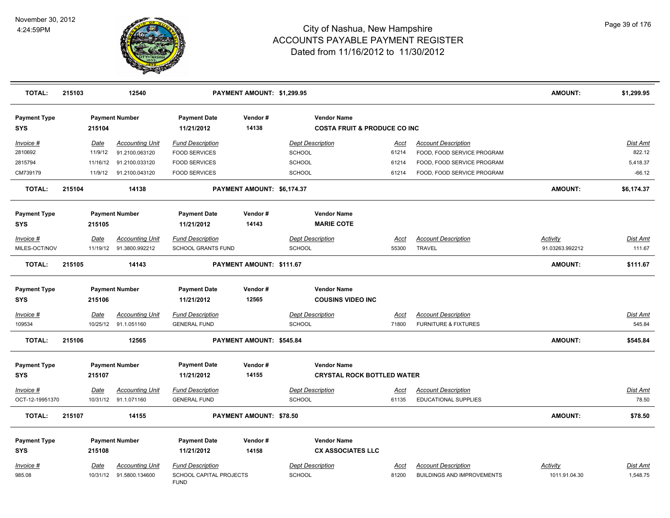

| <b>TOTAL:</b>                     | 215103 |          | 12540                   |                                        | PAYMENT AMOUNT: \$1,299.95 |                                                               |             |                                   | <b>AMOUNT:</b>  | \$1,299.95      |
|-----------------------------------|--------|----------|-------------------------|----------------------------------------|----------------------------|---------------------------------------------------------------|-------------|-----------------------------------|-----------------|-----------------|
| <b>Payment Type</b><br><b>SYS</b> |        | 215104   | <b>Payment Number</b>   | <b>Payment Date</b><br>11/21/2012      | Vendor#<br>14138           | <b>Vendor Name</b><br><b>COSTA FRUIT &amp; PRODUCE CO INC</b> |             |                                   |                 |                 |
| Invoice #                         |        | Date     | <b>Accounting Unit</b>  | <b>Fund Description</b>                |                            | <b>Dept Description</b>                                       | Acct        | <b>Account Description</b>        |                 | Dist Amt        |
| 2810692                           |        | 11/9/12  | 91.2100.063120          | <b>FOOD SERVICES</b>                   |                            | <b>SCHOOL</b>                                                 | 61214       | FOOD, FOOD SERVICE PROGRAM        |                 | 822.12          |
| 2815794                           |        | 11/16/12 | 91.2100.033120          | <b>FOOD SERVICES</b>                   |                            | SCHOOL                                                        | 61214       | FOOD, FOOD SERVICE PROGRAM        |                 | 5,418.37        |
| CM739179                          |        |          | 11/9/12 91.2100.043120  | <b>FOOD SERVICES</b>                   |                            | SCHOOL                                                        | 61214       | FOOD, FOOD SERVICE PROGRAM        |                 | $-66.12$        |
| <b>TOTAL:</b>                     | 215104 |          | 14138                   |                                        | PAYMENT AMOUNT: \$6,174.37 |                                                               |             |                                   | <b>AMOUNT:</b>  | \$6,174.37      |
| <b>Payment Type</b>               |        |          | <b>Payment Number</b>   | <b>Payment Date</b>                    | Vendor#                    | <b>Vendor Name</b>                                            |             |                                   |                 |                 |
| <b>SYS</b>                        |        | 215105   |                         | 11/21/2012                             | 14143                      | <b>MARIE COTE</b>                                             |             |                                   |                 |                 |
| Invoice #                         |        | Date     | <b>Accounting Unit</b>  | <b>Fund Description</b>                |                            | <b>Dept Description</b>                                       | Acct        | <b>Account Description</b>        | <b>Activity</b> | Dist Amt        |
| MILES-OCT/NOV                     |        |          | 11/19/12 91.3800.992212 | <b>SCHOOL GRANTS FUND</b>              |                            | <b>SCHOOL</b>                                                 | 55300       | <b>TRAVEL</b>                     | 91.03263.992212 | 111.67          |
| <b>TOTAL:</b>                     | 215105 |          | 14143                   |                                        | PAYMENT AMOUNT: \$111.67   |                                                               |             |                                   | <b>AMOUNT:</b>  | \$111.67        |
| <b>Payment Type</b>               |        |          | <b>Payment Number</b>   | <b>Payment Date</b>                    | Vendor#                    | <b>Vendor Name</b>                                            |             |                                   |                 |                 |
| <b>SYS</b>                        |        | 215106   |                         | 11/21/2012                             | 12565                      | <b>COUSINS VIDEO INC</b>                                      |             |                                   |                 |                 |
| $Invoice$ #                       |        | Date     | <b>Accounting Unit</b>  | <b>Fund Description</b>                |                            | <b>Dept Description</b>                                       | Acct        | <b>Account Description</b>        |                 | <b>Dist Amt</b> |
| 109534                            |        |          | 10/25/12 91.1.051160    | <b>GENERAL FUND</b>                    |                            | <b>SCHOOL</b>                                                 | 71800       | <b>FURNITURE &amp; FIXTURES</b>   |                 | 545.84          |
| <b>TOTAL:</b>                     | 215106 |          | 12565                   |                                        | PAYMENT AMOUNT: \$545.84   |                                                               |             |                                   | <b>AMOUNT:</b>  | \$545.84        |
| <b>Payment Type</b>               |        |          | <b>Payment Number</b>   | <b>Payment Date</b>                    | Vendor#                    | <b>Vendor Name</b>                                            |             |                                   |                 |                 |
| SYS                               |        | 215107   |                         | 11/21/2012                             | 14155                      | <b>CRYSTAL ROCK BOTTLED WATER</b>                             |             |                                   |                 |                 |
| Invoice #                         |        | Date     | <b>Accounting Unit</b>  | <b>Fund Description</b>                |                            | <b>Dept Description</b>                                       | <u>Acct</u> | <b>Account Description</b>        |                 | Dist Amt        |
| OCT-12-19951370                   |        |          | 10/31/12 91.1.071160    | <b>GENERAL FUND</b>                    |                            | <b>SCHOOL</b>                                                 | 61135       | <b>EDUCATIONAL SUPPLIES</b>       |                 | 78.50           |
| <b>TOTAL:</b>                     | 215107 |          | 14155                   |                                        | PAYMENT AMOUNT: \$78.50    |                                                               |             |                                   | <b>AMOUNT:</b>  | \$78.50         |
| <b>Payment Type</b>               |        |          | <b>Payment Number</b>   | <b>Payment Date</b>                    | Vendor#                    | <b>Vendor Name</b>                                            |             |                                   |                 |                 |
| <b>SYS</b>                        |        | 215108   |                         | 11/21/2012                             | 14158                      | <b>CX ASSOCIATES LLC</b>                                      |             |                                   |                 |                 |
| <b>Invoice #</b>                  |        | Date     | <b>Accounting Unit</b>  | <b>Fund Description</b>                |                            | <b>Dept Description</b>                                       | Acct        | <b>Account Description</b>        | <b>Activity</b> | Dist Amt        |
| 985.08                            |        |          | 10/31/12 91.5800.134600 | SCHOOL CAPITAL PROJECTS<br><b>FUND</b> |                            | <b>SCHOOL</b>                                                 | 81200       | <b>BUILDINGS AND IMPROVEMENTS</b> | 1011.91.04.30   | 1,548.75        |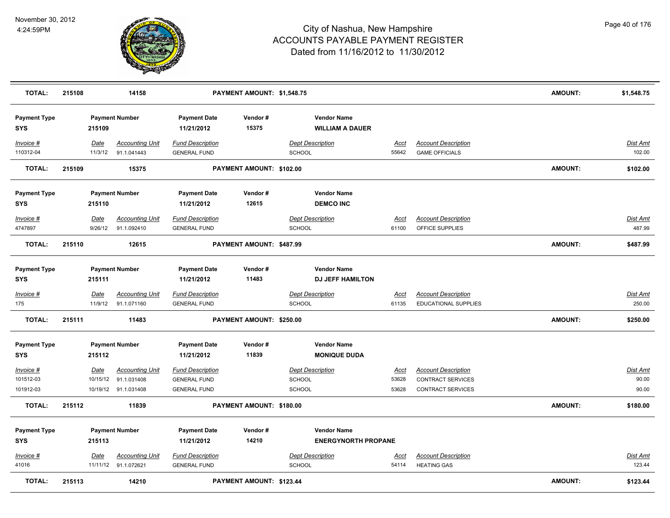

| <b>TOTAL:</b>                     | 215108 |                 | 14158                                 |                                                | PAYMENT AMOUNT: \$1,548.75 |                                                  |               |                                                     | <b>AMOUNT:</b> | \$1,548.75         |
|-----------------------------------|--------|-----------------|---------------------------------------|------------------------------------------------|----------------------------|--------------------------------------------------|---------------|-----------------------------------------------------|----------------|--------------------|
| <b>Payment Type</b><br><b>SYS</b> |        | 215109          | <b>Payment Number</b>                 | <b>Payment Date</b><br>11/21/2012              | Vendor#<br>15375           | <b>Vendor Name</b><br><b>WILLIAM A DAUER</b>     |               |                                                     |                |                    |
| Invoice #<br>110312-04            |        | Date<br>11/3/12 | <b>Accounting Unit</b><br>91.1.041443 | <b>Fund Description</b><br><b>GENERAL FUND</b> |                            | <b>Dept Description</b><br><b>SCHOOL</b>         | Acct<br>55642 | <b>Account Description</b><br><b>GAME OFFICIALS</b> |                | Dist Amt<br>102.00 |
| TOTAL:                            | 215109 |                 | 15375                                 |                                                | PAYMENT AMOUNT: \$102.00   |                                                  |               |                                                     | <b>AMOUNT:</b> | \$102.00           |
| <b>Payment Type</b><br><b>SYS</b> |        | 215110          | <b>Payment Number</b>                 | <b>Payment Date</b><br>11/21/2012              | Vendor#<br>12615           | <b>Vendor Name</b><br><b>DEMCO INC</b>           |               |                                                     |                |                    |
| Invoice #                         |        | Date            | <b>Accounting Unit</b>                | <b>Fund Description</b>                        |                            | <b>Dept Description</b>                          | Acct          | <b>Account Description</b>                          |                | Dist Amt           |
| 4747897                           |        | 9/26/12         | 91.1.092410                           | <b>GENERAL FUND</b>                            |                            | <b>SCHOOL</b>                                    | 61100         | OFFICE SUPPLIES                                     |                | 487.99             |
| <b>TOTAL:</b>                     | 215110 |                 | 12615                                 |                                                | PAYMENT AMOUNT: \$487.99   |                                                  |               |                                                     | <b>AMOUNT:</b> | \$487.99           |
| <b>Payment Type</b><br><b>SYS</b> |        | 215111          | <b>Payment Number</b>                 | <b>Payment Date</b><br>11/21/2012              | Vendor#<br>11483           | <b>Vendor Name</b><br><b>DJ JEFF HAMILTON</b>    |               |                                                     |                |                    |
| Invoice #                         |        | <b>Date</b>     | <b>Accounting Unit</b>                | <b>Fund Description</b>                        |                            | <b>Dept Description</b>                          | <u>Acct</u>   | <b>Account Description</b>                          |                | <u>Dist Amt</u>    |
| 175                               |        | 11/9/12         | 91.1.071160                           | <b>GENERAL FUND</b>                            |                            | <b>SCHOOL</b>                                    | 61135         | <b>EDUCATIONAL SUPPLIES</b>                         |                | 250.00             |
| <b>TOTAL:</b>                     | 215111 |                 | 11483                                 |                                                | PAYMENT AMOUNT: \$250.00   |                                                  |               |                                                     | <b>AMOUNT:</b> | \$250.00           |
| <b>Payment Type</b><br><b>SYS</b> |        | 215112          | <b>Payment Number</b>                 | <b>Payment Date</b><br>11/21/2012              | Vendor#<br>11839           | <b>Vendor Name</b><br><b>MONIQUE DUDA</b>        |               |                                                     |                |                    |
| Invoice #                         |        | Date            | <b>Accounting Unit</b>                | <b>Fund Description</b>                        |                            | <b>Dept Description</b>                          | Acct          | <b>Account Description</b>                          |                | Dist Amt           |
| 101512-03                         |        |                 | 10/15/12 91.1.031408                  | <b>GENERAL FUND</b>                            |                            | <b>SCHOOL</b>                                    | 53628         | <b>CONTRACT SERVICES</b>                            |                | 90.00              |
| 101912-03                         |        |                 | 10/19/12 91.1.031408                  | <b>GENERAL FUND</b>                            |                            | <b>SCHOOL</b>                                    | 53628         | <b>CONTRACT SERVICES</b>                            |                | 90.00              |
| <b>TOTAL:</b>                     | 215112 |                 | 11839                                 |                                                | PAYMENT AMOUNT: \$180.00   |                                                  |               |                                                     | <b>AMOUNT:</b> | \$180.00           |
| <b>Payment Type</b><br><b>SYS</b> |        | 215113          | <b>Payment Number</b>                 | <b>Payment Date</b><br>11/21/2012              | Vendor#<br>14210           | <b>Vendor Name</b><br><b>ENERGYNORTH PROPANE</b> |               |                                                     |                |                    |
| Invoice #                         |        | Date            | <b>Accounting Unit</b>                | <b>Fund Description</b>                        |                            | <b>Dept Description</b>                          | <u>Acct</u>   | <b>Account Description</b>                          |                | <b>Dist Amt</b>    |
| 41016                             |        |                 | 11/11/12 91.1.072621                  | <b>GENERAL FUND</b>                            |                            | <b>SCHOOL</b>                                    | 54114         | <b>HEATING GAS</b>                                  |                | 123.44             |
| <b>TOTAL:</b>                     | 215113 |                 | 14210                                 |                                                | PAYMENT AMOUNT: \$123.44   |                                                  |               |                                                     | AMOUNT:        | \$123.44           |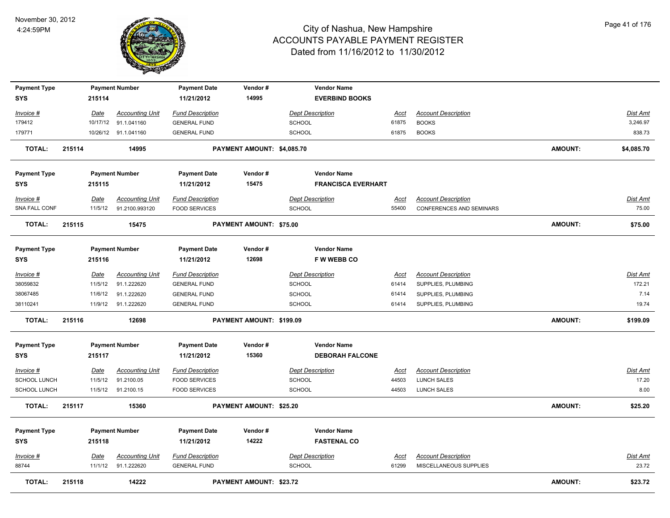

| <b>Payment Type</b>               |        |             | <b>Payment Number</b>  | <b>Payment Date</b>               | Vendor#                        | <b>Vendor Name</b>        |             |                            |                |                 |
|-----------------------------------|--------|-------------|------------------------|-----------------------------------|--------------------------------|---------------------------|-------------|----------------------------|----------------|-----------------|
| <b>SYS</b>                        |        | 215114      |                        | 11/21/2012                        | 14995                          | <b>EVERBIND BOOKS</b>     |             |                            |                |                 |
| <u> Invoice #</u>                 |        | <b>Date</b> | <b>Accounting Unit</b> | <b>Fund Description</b>           |                                | <b>Dept Description</b>   | <u>Acct</u> | <b>Account Description</b> |                | Dist Amt        |
| 179412                            |        | 10/17/12    | 91.1.041160            | <b>GENERAL FUND</b>               |                                | <b>SCHOOL</b>             | 61875       | <b>BOOKS</b>               |                | 3,246.97        |
| 179771                            |        |             | 10/26/12 91.1.041160   | <b>GENERAL FUND</b>               |                                | <b>SCHOOL</b>             | 61875       | <b>BOOKS</b>               |                | 838.73          |
| <b>TOTAL:</b>                     | 215114 |             | 14995                  |                                   | PAYMENT AMOUNT: \$4,085.70     |                           |             |                            | <b>AMOUNT:</b> | \$4,085.70      |
| <b>Payment Type</b>               |        |             | <b>Payment Number</b>  | <b>Payment Date</b>               | Vendor#                        | <b>Vendor Name</b>        |             |                            |                |                 |
| <b>SYS</b>                        |        | 215115      |                        | 11/21/2012                        | 15475                          | <b>FRANCISCA EVERHART</b> |             |                            |                |                 |
| Invoice #                         |        | Date        | <b>Accounting Unit</b> | <b>Fund Description</b>           |                                | <b>Dept Description</b>   | <u>Acct</u> | <b>Account Description</b> |                | <u>Dist Amt</u> |
| SNA FALL CONF                     |        | 11/5/12     | 91.2100.993120         | <b>FOOD SERVICES</b>              |                                | <b>SCHOOL</b>             | 55400       | CONFERENCES AND SEMINARS   |                | 75.00           |
| <b>TOTAL:</b>                     | 215115 |             | 15475                  |                                   | PAYMENT AMOUNT: \$75.00        |                           |             |                            | <b>AMOUNT:</b> | \$75.00         |
|                                   |        |             |                        |                                   |                                | <b>Vendor Name</b>        |             |                            |                |                 |
| <b>Payment Type</b><br><b>SYS</b> |        | 215116      | <b>Payment Number</b>  | <b>Payment Date</b><br>11/21/2012 | Vendor#<br>12698               | <b>FWWEBBCO</b>           |             |                            |                |                 |
| Invoice #                         |        | Date        | <b>Accounting Unit</b> | <b>Fund Description</b>           |                                | <b>Dept Description</b>   | <u>Acct</u> | <b>Account Description</b> |                | Dist Amt        |
| 38059832                          |        | 11/5/12     | 91.1.222620            | <b>GENERAL FUND</b>               |                                | <b>SCHOOL</b>             | 61414       | SUPPLIES, PLUMBING         |                | 172.21          |
| 38067485                          |        | 11/6/12     | 91.1.222620            | <b>GENERAL FUND</b>               |                                | <b>SCHOOL</b>             | 61414       | SUPPLIES, PLUMBING         |                | 7.14            |
| 38110241                          |        | 11/9/12     | 91.1.222620            | <b>GENERAL FUND</b>               |                                | <b>SCHOOL</b>             | 61414       | SUPPLIES, PLUMBING         |                | 19.74           |
| <b>TOTAL:</b>                     | 215116 |             | 12698                  |                                   | PAYMENT AMOUNT: \$199.09       |                           |             |                            | <b>AMOUNT:</b> | \$199.09        |
| <b>Payment Type</b>               |        |             | <b>Payment Number</b>  | <b>Payment Date</b>               | Vendor#                        | <b>Vendor Name</b>        |             |                            |                |                 |
| <b>SYS</b>                        |        | 215117      |                        | 11/21/2012                        | 15360                          | <b>DEBORAH FALCONE</b>    |             |                            |                |                 |
| $Invoice$ #                       |        | Date        | <b>Accounting Unit</b> | <b>Fund Description</b>           |                                | <b>Dept Description</b>   | <b>Acct</b> | <b>Account Description</b> |                | Dist Amt        |
| SCHOOL LUNCH                      |        | 11/5/12     | 91.2100.05             | <b>FOOD SERVICES</b>              |                                | <b>SCHOOL</b>             | 44503       | LUNCH SALES                |                | 17.20           |
| SCHOOL LUNCH                      |        | 11/5/12     | 91.2100.15             | <b>FOOD SERVICES</b>              |                                | <b>SCHOOL</b>             | 44503       | <b>LUNCH SALES</b>         |                | 8.00            |
| <b>TOTAL:</b>                     | 215117 |             | 15360                  |                                   | <b>PAYMENT AMOUNT: \$25.20</b> |                           |             |                            | <b>AMOUNT:</b> | \$25.20         |
| <b>Payment Type</b>               |        |             | <b>Payment Number</b>  | <b>Payment Date</b>               | Vendor#                        | <b>Vendor Name</b>        |             |                            |                |                 |
| <b>SYS</b>                        |        | 215118      |                        | 11/21/2012                        | 14222                          | <b>FASTENAL CO</b>        |             |                            |                |                 |
| Invoice #                         |        | <b>Date</b> | <b>Accounting Unit</b> | <b>Fund Description</b>           |                                | <b>Dept Description</b>   | <u>Acct</u> | <b>Account Description</b> |                | <u>Dist Amt</u> |
| 88744                             |        | 11/1/12     | 91.1.222620            | <b>GENERAL FUND</b>               |                                | <b>SCHOOL</b>             | 61299       | MISCELLANEOUS SUPPLIES     |                | 23.72           |
| <b>TOTAL:</b>                     | 215118 |             | 14222                  |                                   | <b>PAYMENT AMOUNT: \$23.72</b> |                           |             |                            | <b>AMOUNT:</b> | \$23.72         |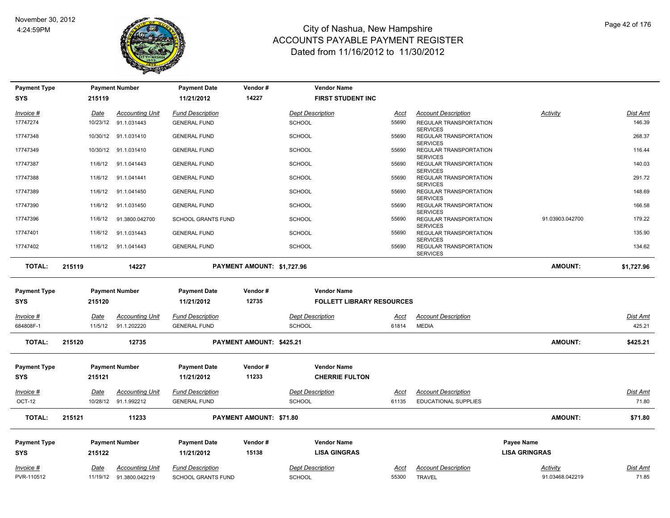

| <b>Payment Type</b> |             | <b>Payment Number</b>  | <b>Payment Date</b>       | Vendor#                         | <b>Vendor Name</b>               |             |                                                                     |                      |                 |
|---------------------|-------------|------------------------|---------------------------|---------------------------------|----------------------------------|-------------|---------------------------------------------------------------------|----------------------|-----------------|
| <b>SYS</b>          | 215119      |                        | 11/21/2012                | 14227                           | <b>FIRST STUDENT INC</b>         |             |                                                                     |                      |                 |
| Invoice #           | Date        | <b>Accounting Unit</b> | <b>Fund Description</b>   |                                 | <b>Dept Description</b>          | Acct        | <b>Account Description</b>                                          | Activity             | <b>Dist Amt</b> |
| 17747274            | 10/23/12    | 91.1.031443            | <b>GENERAL FUND</b>       |                                 | <b>SCHOOL</b>                    | 55690       | REGULAR TRANSPORTATION<br><b>SERVICES</b>                           |                      | 146.39          |
| 17747348            | 10/30/12    | 91.1.031410            | <b>GENERAL FUND</b>       |                                 | <b>SCHOOL</b>                    | 55690       | REGULAR TRANSPORTATION                                              |                      | 268.37          |
| 17747349            | 10/30/12    | 91.1.031410            | <b>GENERAL FUND</b>       |                                 | <b>SCHOOL</b>                    | 55690       | <b>SERVICES</b><br>REGULAR TRANSPORTATION                           |                      | 116.44          |
| 17747387            | 11/6/12     | 91.1.041443            | <b>GENERAL FUND</b>       |                                 | <b>SCHOOL</b>                    | 55690       | <b>SERVICES</b><br>REGULAR TRANSPORTATION                           |                      | 140.03          |
| 17747388            | 11/6/12     | 91.1.041441            | <b>GENERAL FUND</b>       |                                 | <b>SCHOOL</b>                    | 55690       | <b>SERVICES</b><br>REGULAR TRANSPORTATION                           |                      | 291.72          |
| 17747389            | 11/6/12     | 91.1.041450            | <b>GENERAL FUND</b>       |                                 | SCHOOL                           | 55690       | <b>SERVICES</b><br>REGULAR TRANSPORTATION                           |                      | 148.69          |
| 17747390            | 11/6/12     | 91.1.031450            | <b>GENERAL FUND</b>       |                                 | <b>SCHOOL</b>                    | 55690       | <b>SERVICES</b><br>REGULAR TRANSPORTATION<br><b>SERVICES</b>        |                      | 166.58          |
| 17747396            | 11/6/12     | 91.3800.042700         | <b>SCHOOL GRANTS FUND</b> |                                 | <b>SCHOOL</b>                    | 55690       | REGULAR TRANSPORTATION                                              | 91.03903.042700      | 179.22          |
| 17747401            | 11/6/12     | 91.1.031443            | <b>GENERAL FUND</b>       |                                 | <b>SCHOOL</b>                    | 55690       | <b>SERVICES</b><br><b>REGULAR TRANSPORTATION</b><br><b>SERVICES</b> |                      | 135.90          |
| 17747402            | 11/6/12     | 91.1.041443            | <b>GENERAL FUND</b>       |                                 | <b>SCHOOL</b>                    | 55690       | REGULAR TRANSPORTATION<br><b>SERVICES</b>                           |                      | 134.62          |
| <b>TOTAL:</b>       | 215119      | 14227                  |                           | PAYMENT AMOUNT: \$1,727.96      |                                  |             |                                                                     | <b>AMOUNT:</b>       | \$1,727.96      |
|                     |             |                        |                           |                                 |                                  |             |                                                                     |                      |                 |
| <b>Payment Type</b> |             | <b>Payment Number</b>  | <b>Payment Date</b>       | Vendor#                         | <b>Vendor Name</b>               |             |                                                                     |                      |                 |
| <b>SYS</b>          | 215120      |                        | 11/21/2012                | 12735                           | <b>FOLLETT LIBRARY RESOURCES</b> |             |                                                                     |                      |                 |
| $Invoice$ #         | <u>Date</u> | <b>Accounting Unit</b> | <b>Fund Description</b>   |                                 | <b>Dept Description</b>          | <u>Acct</u> | <b>Account Description</b>                                          |                      | <b>Dist Amt</b> |
| 684808F-1           | 11/5/12     | 91.1.202220            | <b>GENERAL FUND</b>       |                                 | <b>SCHOOL</b>                    | 61814       | <b>MEDIA</b>                                                        |                      | 425.21          |
| <b>TOTAL:</b>       | 215120      | 12735                  |                           | <b>PAYMENT AMOUNT: \$425.21</b> |                                  |             |                                                                     | <b>AMOUNT:</b>       | \$425.21        |
|                     |             |                        |                           |                                 |                                  |             |                                                                     |                      |                 |
| <b>Payment Type</b> |             | <b>Payment Number</b>  | <b>Payment Date</b>       | Vendor#                         | <b>Vendor Name</b>               |             |                                                                     |                      |                 |
| <b>SYS</b>          | 215121      |                        | 11/21/2012                | 11233                           | <b>CHERRIE FULTON</b>            |             |                                                                     |                      |                 |
| Invoice #           | Date        | <b>Accounting Unit</b> | <b>Fund Description</b>   |                                 | <b>Dept Description</b>          | Acct        | <b>Account Description</b>                                          |                      | <b>Dist Amt</b> |
| OCT-12              | 10/28/12    | 91.1.992212            | <b>GENERAL FUND</b>       |                                 | <b>SCHOOL</b>                    | 61135       | <b>EDUCATIONAL SUPPLIES</b>                                         |                      | 71.80           |
| <b>TOTAL:</b>       | 215121      | 11233                  |                           | <b>PAYMENT AMOUNT: \$71.80</b>  |                                  |             |                                                                     | <b>AMOUNT:</b>       | \$71.80         |
| <b>Payment Type</b> |             | <b>Payment Number</b>  | <b>Payment Date</b>       | Vendor#                         | <b>Vendor Name</b>               |             |                                                                     | <b>Payee Name</b>    |                 |
| <b>SYS</b>          | 215122      |                        | 11/21/2012                | 15138                           | <b>LISA GINGRAS</b>              |             |                                                                     | <b>LISA GRINGRAS</b> |                 |
| Invoice #           | Date        | <b>Accounting Unit</b> | <b>Fund Description</b>   |                                 | <b>Dept Description</b>          | Acct        | <b>Account Description</b>                                          | Activity             | Dist Amt        |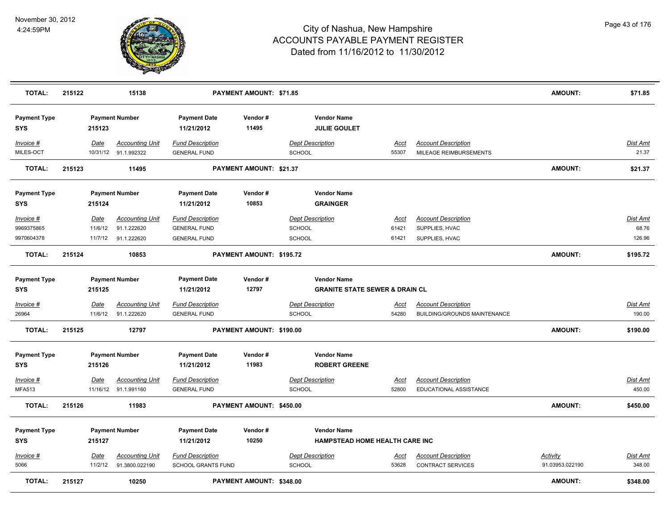

| <b>TOTAL:</b>                     | 215122 |             | 15138                                          |                                                | PAYMENT AMOUNT: \$71.85  |                                                                 |                      |                                                            | <b>AMOUNT:</b>  | \$71.85                   |
|-----------------------------------|--------|-------------|------------------------------------------------|------------------------------------------------|--------------------------|-----------------------------------------------------------------|----------------------|------------------------------------------------------------|-----------------|---------------------------|
| <b>Payment Type</b><br><b>SYS</b> |        | 215123      | <b>Payment Number</b>                          | <b>Payment Date</b><br>11/21/2012              | Vendor#<br>11495         | <b>Vendor Name</b><br><b>JULIE GOULET</b>                       |                      |                                                            |                 |                           |
| Invoice #<br>MILES-OCT            |        | Date        | <b>Accounting Unit</b><br>10/31/12 91.1.992322 | <b>Fund Description</b><br><b>GENERAL FUND</b> |                          | <b>Dept Description</b><br><b>SCHOOL</b>                        | Acct<br>55307        | <b>Account Description</b><br>MILEAGE REIMBURSEMENTS       |                 | Dist Amt<br>21.37         |
| <b>TOTAL:</b>                     | 215123 |             | 11495                                          |                                                | PAYMENT AMOUNT: \$21.37  |                                                                 |                      |                                                            | <b>AMOUNT:</b>  | \$21.37                   |
| <b>Payment Type</b><br><b>SYS</b> |        | 215124      | <b>Payment Number</b>                          | <b>Payment Date</b><br>11/21/2012              | Vendor#<br>10853         | <b>Vendor Name</b><br><b>GRAINGER</b>                           |                      |                                                            |                 |                           |
| Invoice #                         |        | <u>Date</u> | <b>Accounting Unit</b>                         | <b>Fund Description</b>                        |                          | <b>Dept Description</b>                                         | <u>Acct</u>          | <b>Account Description</b>                                 |                 | Dist Amt                  |
| 9969375865<br>9970604378          |        | 11/6/12     | 91.1.222620<br>11/7/12 91.1.222620             | <b>GENERAL FUND</b><br><b>GENERAL FUND</b>     |                          | SCHOOL<br><b>SCHOOL</b>                                         | 61421<br>61421       | SUPPLIES, HVAC<br>SUPPLIES, HVAC                           |                 | 68.76<br>126.96           |
| <b>TOTAL:</b>                     | 215124 |             | 10853                                          |                                                | PAYMENT AMOUNT: \$195.72 |                                                                 |                      |                                                            | <b>AMOUNT:</b>  | \$195.72                  |
| <b>Payment Type</b><br><b>SYS</b> |        | 215125      | <b>Payment Number</b>                          | <b>Payment Date</b><br>11/21/2012              | Vendor#<br>12797         | <b>Vendor Name</b><br><b>GRANITE STATE SEWER &amp; DRAIN CL</b> |                      |                                                            |                 |                           |
| $Invoice$ #<br>26964              |        | Date        | <b>Accounting Unit</b><br>11/6/12 91.1.222620  | <b>Fund Description</b><br><b>GENERAL FUND</b> |                          | <b>Dept Description</b><br>SCHOOL                               | <u>Acct</u><br>54280 | <b>Account Description</b><br>BUILDING/GROUNDS MAINTENANCE |                 | <u>Dist Amt</u><br>190.00 |
| <b>TOTAL:</b>                     | 215125 |             | 12797                                          |                                                | PAYMENT AMOUNT: \$190.00 |                                                                 |                      |                                                            | <b>AMOUNT:</b>  | \$190.00                  |
| <b>Payment Type</b><br><b>SYS</b> |        | 215126      | <b>Payment Number</b>                          | <b>Payment Date</b><br>11/21/2012              | Vendor#<br>11983         | <b>Vendor Name</b><br><b>ROBERT GREENE</b>                      |                      |                                                            |                 |                           |
| $Invoice$ #<br><b>MFA513</b>      |        | Date        | <b>Accounting Unit</b><br>11/16/12 91.1.991160 | <b>Fund Description</b><br><b>GENERAL FUND</b> |                          | <b>Dept Description</b><br>SCHOOL                               | <u>Acct</u><br>52800 | <b>Account Description</b><br>EDUCATIONAL ASSISTANCE       |                 | <b>Dist Amt</b><br>450.00 |
| TOTAL:                            | 215126 |             | 11983                                          |                                                | PAYMENT AMOUNT: \$450.00 |                                                                 |                      |                                                            | <b>AMOUNT:</b>  | \$450.00                  |
| <b>Payment Type</b><br><b>SYS</b> |        | 215127      | <b>Payment Number</b>                          | <b>Payment Date</b><br>11/21/2012              | Vendor#<br>10250         | <b>Vendor Name</b><br>HAMPSTEAD HOME HEALTH CARE INC            |                      |                                                            |                 |                           |
| Invoice #                         |        | Date        | <b>Accounting Unit</b>                         | <b>Fund Description</b>                        |                          | <b>Dept Description</b>                                         | Acct                 | <b>Account Description</b>                                 | Activity        | Dist Amt                  |
| 5066                              |        | 11/2/12     | 91.3800.022190                                 | <b>SCHOOL GRANTS FUND</b>                      |                          | SCHOOL                                                          | 53628                | <b>CONTRACT SERVICES</b>                                   | 91.03953.022190 | 348.00                    |
| <b>TOTAL:</b>                     | 215127 |             | 10250                                          |                                                | PAYMENT AMOUNT: \$348.00 |                                                                 |                      |                                                            | <b>AMOUNT:</b>  | \$348.00                  |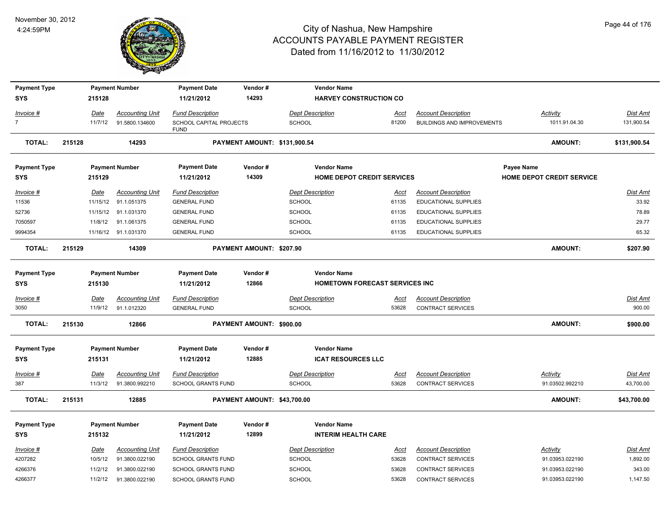

| <b>Payment Type</b>               |                 | <b>Payment Number</b>  | <b>Payment Date</b>                    | Vendor#                     | <b>Vendor Name</b>                                   |                      |                                   |                                  |                       |
|-----------------------------------|-----------------|------------------------|----------------------------------------|-----------------------------|------------------------------------------------------|----------------------|-----------------------------------|----------------------------------|-----------------------|
| <b>SYS</b>                        | 215128          |                        | 11/21/2012                             | 14293                       | <b>HARVEY CONSTRUCTION CO</b>                        |                      |                                   |                                  |                       |
| Invoice #                         | Date            | <b>Accounting Unit</b> | <b>Fund Description</b>                |                             | <b>Dept Description</b>                              | Acct                 | <b>Account Description</b>        | <b>Activity</b>                  | Dist Amt              |
| $\overline{7}$                    | 11/7/12         | 91.5800.134600         | SCHOOL CAPITAL PROJECTS<br><b>FUND</b> |                             | <b>SCHOOL</b>                                        | 81200                | <b>BUILDINGS AND IMPROVEMENTS</b> | 1011.91.04.30                    | 131,900.54            |
| <b>TOTAL:</b>                     | 215128          | 14293                  |                                        |                             | PAYMENT AMOUNT: \$131,900.54                         |                      |                                   | <b>AMOUNT:</b>                   | \$131,900.54          |
| <b>Payment Type</b>               |                 | <b>Payment Number</b>  | <b>Payment Date</b>                    | Vendor#                     | <b>Vendor Name</b>                                   |                      |                                   | Payee Name                       |                       |
| <b>SYS</b>                        | 215129          |                        | 11/21/2012                             | 14309                       | <b>HOME DEPOT CREDIT SERVICES</b>                    |                      |                                   | <b>HOME DEPOT CREDIT SERVICE</b> |                       |
| Invoice #                         | Date            | <b>Accounting Unit</b> | <b>Fund Description</b>                |                             | <b>Dept Description</b>                              | Acct                 | <b>Account Description</b>        |                                  | <b>Dist Amt</b>       |
| 11536                             | 11/15/12        | 91.1.051375            | <b>GENERAL FUND</b>                    |                             | SCHOOL                                               | 61135                | EDUCATIONAL SUPPLIES              |                                  | 33.92                 |
| 52736                             |                 | 11/15/12 91.1.031370   | <b>GENERAL FUND</b>                    |                             | <b>SCHOOL</b>                                        | 61135                | EDUCATIONAL SUPPLIES              |                                  | 78.89                 |
| 7050597                           | 11/8/12         | 91.1.061375            | <b>GENERAL FUND</b>                    |                             | SCHOOL                                               | 61135                | EDUCATIONAL SUPPLIES              |                                  | 29.77                 |
| 9994354                           |                 | 11/16/12 91.1.031370   | <b>GENERAL FUND</b>                    |                             | SCHOOL                                               | 61135                | EDUCATIONAL SUPPLIES              |                                  | 65.32                 |
| <b>TOTAL:</b>                     | 215129          | 14309                  |                                        | PAYMENT AMOUNT: \$207.90    |                                                      |                      |                                   | <b>AMOUNT:</b>                   | \$207.90              |
| <b>Payment Type</b><br><b>SYS</b> | 215130          | <b>Payment Number</b>  | <b>Payment Date</b><br>11/21/2012      | Vendor#<br>12866            | <b>Vendor Name</b><br>HOMETOWN FORECAST SERVICES INC |                      |                                   |                                  |                       |
|                                   |                 |                        |                                        |                             |                                                      |                      |                                   |                                  |                       |
| $Invoice$ #                       | Date            | <b>Accounting Unit</b> | <b>Fund Description</b>                |                             | <b>Dept Description</b>                              | <u>Acct</u>          | <b>Account Description</b>        |                                  | <u>Dist Amt</u>       |
| 3050                              | 11/9/12         | 91.1.012320            | <b>GENERAL FUND</b>                    |                             | <b>SCHOOL</b>                                        | 53628                | <b>CONTRACT SERVICES</b>          |                                  | 900.00                |
| <b>TOTAL:</b>                     | 215130          | 12866                  |                                        | PAYMENT AMOUNT: \$900.00    |                                                      |                      |                                   | <b>AMOUNT:</b>                   | \$900.00              |
| <b>Payment Type</b><br><b>SYS</b> | 215131          | <b>Payment Number</b>  | <b>Payment Date</b><br>11/21/2012      | Vendor#<br>12885            | <b>Vendor Name</b><br><b>ICAT RESOURCES LLC</b>      |                      |                                   |                                  |                       |
|                                   |                 | <b>Accounting Unit</b> | <b>Fund Description</b>                |                             | <b>Dept Description</b>                              |                      | <b>Account Description</b>        | Activity                         |                       |
| Invoice #<br>387                  | Date<br>11/3/12 | 91.3800.992210         | <b>SCHOOL GRANTS FUND</b>              |                             | <b>SCHOOL</b>                                        | <u>Acct</u><br>53628 | <b>CONTRACT SERVICES</b>          | 91.03502.992210                  | Dist Amt<br>43,700.00 |
| <b>TOTAL:</b>                     | 215131          | 12885                  |                                        | PAYMENT AMOUNT: \$43,700.00 |                                                      |                      |                                   | <b>AMOUNT:</b>                   | \$43,700.00           |
|                                   |                 |                        |                                        |                             |                                                      |                      |                                   |                                  |                       |
| <b>Payment Type</b>               |                 | <b>Payment Number</b>  | <b>Payment Date</b>                    | Vendor#                     | <b>Vendor Name</b>                                   |                      |                                   |                                  |                       |
| <b>SYS</b>                        | 215132          |                        | 11/21/2012                             | 12899                       | <b>INTERIM HEALTH CARE</b>                           |                      |                                   |                                  |                       |
| Invoice #                         | <b>Date</b>     | <b>Accounting Unit</b> | <b>Fund Description</b>                |                             | <b>Dept Description</b>                              | <u>Acct</u>          | <b>Account Description</b>        | <b>Activity</b>                  | <u>Dist Amt</u>       |
| 4207282                           | 10/5/12         | 91.3800.022190         | <b>SCHOOL GRANTS FUND</b>              |                             | SCHOOL                                               | 53628                | <b>CONTRACT SERVICES</b>          | 91.03953.022190                  | 1,892.00              |
| 4266376                           | 11/2/12         | 91.3800.022190         | SCHOOL GRANTS FUND                     |                             | SCHOOL                                               | 53628                | <b>CONTRACT SERVICES</b>          | 91.03953.022190                  | 343.00                |
| 4266377                           | 11/2/12         | 91.3800.022190         | <b>SCHOOL GRANTS FUND</b>              |                             | <b>SCHOOL</b>                                        | 53628                | <b>CONTRACT SERVICES</b>          | 91.03953.022190                  | 1,147.50              |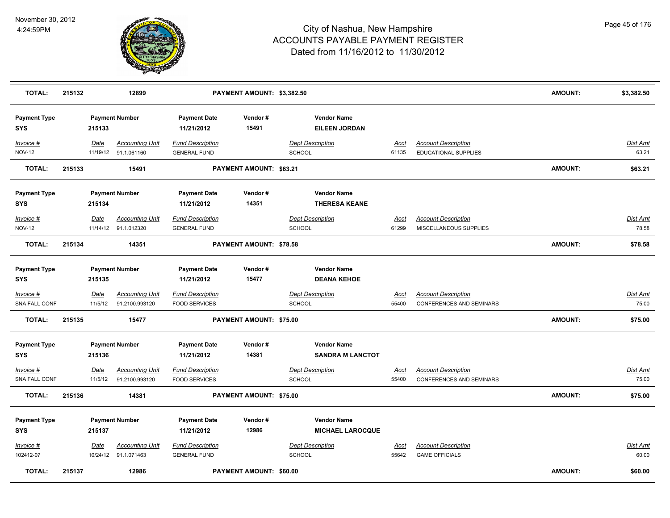

| <b>TOTAL:</b>                     | 215132 |                        | 12899                                          |                                                 | PAYMENT AMOUNT: \$3,382.50     |                                               |                      |                                                               | <b>AMOUNT:</b> | \$3,382.50               |
|-----------------------------------|--------|------------------------|------------------------------------------------|-------------------------------------------------|--------------------------------|-----------------------------------------------|----------------------|---------------------------------------------------------------|----------------|--------------------------|
| <b>Payment Type</b><br><b>SYS</b> |        | 215133                 | <b>Payment Number</b>                          | <b>Payment Date</b><br>11/21/2012               | Vendor#<br>15491               | <b>Vendor Name</b><br><b>EILEEN JORDAN</b>    |                      |                                                               |                |                          |
| Invoice #<br><b>NOV-12</b>        |        | Date                   | <b>Accounting Unit</b><br>11/19/12 91.1.061160 | <b>Fund Description</b><br><b>GENERAL FUND</b>  |                                | <b>Dept Description</b><br><b>SCHOOL</b>      | Acct<br>61135        | <b>Account Description</b><br>EDUCATIONAL SUPPLIES            |                | <b>Dist Amt</b><br>63.21 |
| <b>TOTAL:</b>                     | 215133 |                        | 15491                                          |                                                 | PAYMENT AMOUNT: \$63.21        |                                               |                      |                                                               | <b>AMOUNT:</b> | \$63.21                  |
| <b>Payment Type</b><br>SYS        |        | 215134                 | <b>Payment Number</b>                          | <b>Payment Date</b><br>11/21/2012               | Vendor#<br>14351               | <b>Vendor Name</b><br><b>THERESA KEANE</b>    |                      |                                                               |                |                          |
| Invoice #<br><b>NOV-12</b>        |        | Date                   | <b>Accounting Unit</b><br>11/14/12 91.1.012320 | <b>Fund Description</b><br><b>GENERAL FUND</b>  |                                | <b>Dept Description</b><br>SCHOOL             | Acct<br>61299        | <b>Account Description</b><br>MISCELLANEOUS SUPPLIES          |                | Dist Amt<br>78.58        |
| <b>TOTAL:</b>                     | 215134 |                        | 14351                                          |                                                 | <b>PAYMENT AMOUNT: \$78.58</b> |                                               |                      |                                                               | <b>AMOUNT:</b> | \$78.58                  |
| <b>Payment Type</b><br>SYS        |        | 215135                 | <b>Payment Number</b>                          | <b>Payment Date</b><br>11/21/2012               | Vendor#<br>15477               | <b>Vendor Name</b><br><b>DEANA KEHOE</b>      |                      |                                                               |                |                          |
| <u>Invoice #</u><br>SNA FALL CONF |        | <u>Date</u><br>11/5/12 | <b>Accounting Unit</b><br>91.2100.993120       | <b>Fund Description</b><br><b>FOOD SERVICES</b> |                                | <b>Dept Description</b><br>SCHOOL             | <u>Acct</u><br>55400 | <b>Account Description</b><br>CONFERENCES AND SEMINARS        |                | <u>Dist Amt</u><br>75.00 |
| <b>TOTAL:</b>                     | 215135 |                        | 15477                                          |                                                 | <b>PAYMENT AMOUNT: \$75.00</b> |                                               |                      |                                                               | <b>AMOUNT:</b> | \$75.00                  |
| <b>Payment Type</b><br><b>SYS</b> |        | 215136                 | <b>Payment Number</b>                          | <b>Payment Date</b><br>11/21/2012               | Vendor#<br>14381               | <b>Vendor Name</b><br><b>SANDRA M LANCTOT</b> |                      |                                                               |                |                          |
| Invoice #<br>SNA FALL CONF        |        | Date<br>11/5/12        | <b>Accounting Unit</b><br>91.2100.993120       | <b>Fund Description</b><br><b>FOOD SERVICES</b> |                                | <b>Dept Description</b><br><b>SCHOOL</b>      | <u>Acct</u><br>55400 | <b>Account Description</b><br><b>CONFERENCES AND SEMINARS</b> |                | Dist Amt<br>75.00        |
| <b>TOTAL:</b>                     | 215136 |                        | 14381                                          |                                                 | PAYMENT AMOUNT: \$75.00        |                                               |                      |                                                               | <b>AMOUNT:</b> | \$75.00                  |
| <b>Payment Type</b><br><b>SYS</b> |        | 215137                 | <b>Payment Number</b>                          | <b>Payment Date</b><br>11/21/2012               | Vendor#<br>12986               | <b>Vendor Name</b><br><b>MICHAEL LAROCQUE</b> |                      |                                                               |                |                          |
| Invoice #<br>102412-07            |        | <u>Date</u>            | <b>Accounting Unit</b><br>10/24/12 91.1.071463 | <b>Fund Description</b><br><b>GENERAL FUND</b>  |                                | <b>Dept Description</b><br><b>SCHOOL</b>      | <u>Acct</u><br>55642 | <b>Account Description</b><br><b>GAME OFFICIALS</b>           |                | Dist Amt<br>60.00        |
| <b>TOTAL:</b>                     | 215137 |                        | 12986                                          |                                                 | <b>PAYMENT AMOUNT: \$60.00</b> |                                               |                      |                                                               | <b>AMOUNT:</b> | \$60.00                  |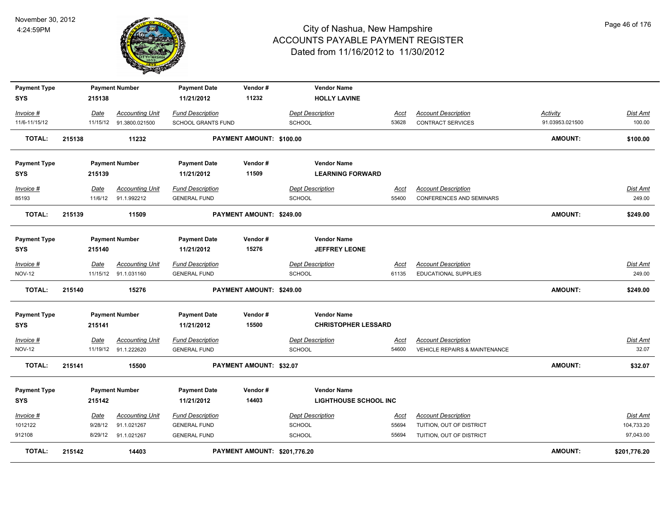

| <b>Payment Type</b> |        |         | <b>Payment Number</b>    | <b>Payment Date</b>       | Vendor#                      | <b>Vendor Name</b>           |             |                               |                 |                 |
|---------------------|--------|---------|--------------------------|---------------------------|------------------------------|------------------------------|-------------|-------------------------------|-----------------|-----------------|
| <b>SYS</b>          |        | 215138  |                          | 11/21/2012                | 11232                        | <b>HOLLY LAVINE</b>          |             |                               |                 |                 |
| Invoice #           |        | Date    | <b>Accounting Unit</b>   | <b>Fund Description</b>   |                              | <b>Dept Description</b>      | Acct        | <b>Account Description</b>    | Activity        | Dist Amt        |
| 11/6-11/15/12       |        |         | 11/15/12  91.3800.021500 | <b>SCHOOL GRANTS FUND</b> |                              | <b>SCHOOL</b>                | 53628       | <b>CONTRACT SERVICES</b>      | 91.03953.021500 | 100.00          |
| <b>TOTAL:</b>       | 215138 |         | 11232                    |                           | PAYMENT AMOUNT: \$100.00     |                              |             |                               | AMOUNT:         | \$100.00        |
| <b>Payment Type</b> |        |         | <b>Payment Number</b>    | <b>Payment Date</b>       | Vendor#                      | <b>Vendor Name</b>           |             |                               |                 |                 |
| SYS                 |        | 215139  |                          | 11/21/2012                | 11509                        | <b>LEARNING FORWARD</b>      |             |                               |                 |                 |
| Invoice #           |        | Date    | <b>Accounting Unit</b>   | <b>Fund Description</b>   |                              | <b>Dept Description</b>      | Acct        | <b>Account Description</b>    |                 | Dist Amt        |
| 85193               |        |         | 11/6/12 91.1.992212      | <b>GENERAL FUND</b>       |                              | <b>SCHOOL</b>                | 55400       | CONFERENCES AND SEMINARS      |                 | 249.00          |
| <b>TOTAL:</b>       | 215139 |         | 11509                    |                           | PAYMENT AMOUNT: \$249.00     |                              |             |                               | <b>AMOUNT:</b>  | \$249.00        |
| <b>Payment Type</b> |        |         | <b>Payment Number</b>    | <b>Payment Date</b>       | Vendor#                      | <b>Vendor Name</b>           |             |                               |                 |                 |
| <b>SYS</b>          |        | 215140  |                          | 11/21/2012                | 15276                        | <b>JEFFREY LEONE</b>         |             |                               |                 |                 |
| Invoice #           |        | Date    | <b>Accounting Unit</b>   | <b>Fund Description</b>   |                              | <b>Dept Description</b>      | <u>Acct</u> | <b>Account Description</b>    |                 | <b>Dist Amt</b> |
| <b>NOV-12</b>       |        |         | 11/15/12 91.1.031160     | <b>GENERAL FUND</b>       |                              | <b>SCHOOL</b>                | 61135       | <b>EDUCATIONAL SUPPLIES</b>   |                 | 249.00          |
| <b>TOTAL:</b>       | 215140 |         | 15276                    |                           | PAYMENT AMOUNT: \$249.00     |                              |             |                               | <b>AMOUNT:</b>  | \$249.00        |
| <b>Payment Type</b> |        |         | <b>Payment Number</b>    | <b>Payment Date</b>       | Vendor#                      | <b>Vendor Name</b>           |             |                               |                 |                 |
| SYS                 |        | 215141  |                          | 11/21/2012                | 15500                        | <b>CHRISTOPHER LESSARD</b>   |             |                               |                 |                 |
| Invoice #           |        | Date    | <b>Accounting Unit</b>   | <b>Fund Description</b>   |                              | <b>Dept Description</b>      | <u>Acct</u> | <b>Account Description</b>    |                 | Dist Amt        |
| <b>NOV-12</b>       |        |         | 11/19/12 91.1.222620     | <b>GENERAL FUND</b>       |                              | <b>SCHOOL</b>                | 54600       | VEHICLE REPAIRS & MAINTENANCE |                 | 32.07           |
| <b>TOTAL:</b>       | 215141 |         | 15500                    |                           | PAYMENT AMOUNT: \$32.07      |                              |             |                               | <b>AMOUNT:</b>  | \$32.07         |
| <b>Payment Type</b> |        |         | <b>Payment Number</b>    | <b>Payment Date</b>       | Vendor#                      | <b>Vendor Name</b>           |             |                               |                 |                 |
| <b>SYS</b>          |        | 215142  |                          | 11/21/2012                | 14403                        | <b>LIGHTHOUSE SCHOOL INC</b> |             |                               |                 |                 |
| Invoice #           |        | Date    | <b>Accounting Unit</b>   | <b>Fund Description</b>   |                              | <b>Dept Description</b>      | <u>Acct</u> | <b>Account Description</b>    |                 | Dist Amt        |
| 1012122             |        | 9/28/12 | 91.1.021267              | <b>GENERAL FUND</b>       |                              | <b>SCHOOL</b>                | 55694       | TUITION, OUT OF DISTRICT      |                 | 104,733.20      |
| 912108              |        | 8/29/12 | 91.1.021267              | <b>GENERAL FUND</b>       |                              | <b>SCHOOL</b>                | 55694       | TUITION, OUT OF DISTRICT      |                 | 97,043.00       |
| TOTAL:              | 215142 |         | 14403                    |                           | PAYMENT AMOUNT: \$201,776.20 |                              |             |                               | <b>AMOUNT:</b>  | \$201,776.20    |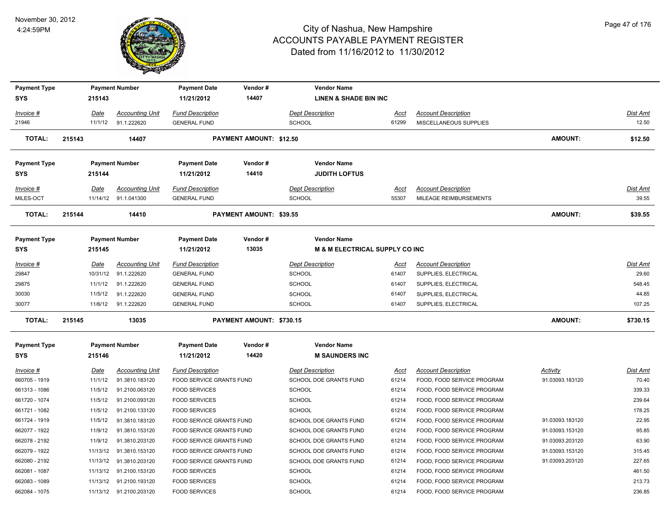

| <b>Payment Type</b> |             | <b>Payment Number</b>   | <b>Payment Date</b>      | Vendor#                        | <b>Vendor Name</b>               |             |                            |                 |                 |
|---------------------|-------------|-------------------------|--------------------------|--------------------------------|----------------------------------|-------------|----------------------------|-----------------|-----------------|
| <b>SYS</b>          | 215143      |                         | 11/21/2012               | 14407                          | <b>LINEN &amp; SHADE BIN INC</b> |             |                            |                 |                 |
| Invoice #           | Date        | <b>Accounting Unit</b>  | <b>Fund Description</b>  |                                | <b>Dept Description</b>          | <u>Acct</u> | <b>Account Description</b> |                 | Dist Amt        |
| 21946               | 11/1/12     | 91.1.222620             | <b>GENERAL FUND</b>      |                                | <b>SCHOOL</b>                    | 61299       | MISCELLANEOUS SUPPLIES     |                 | 12.50           |
| <b>TOTAL:</b>       | 215143      | 14407                   |                          | <b>PAYMENT AMOUNT: \$12.50</b> |                                  |             |                            | <b>AMOUNT:</b>  | \$12.50         |
| <b>Payment Type</b> |             | <b>Payment Number</b>   | <b>Payment Date</b>      | Vendor#                        | <b>Vendor Name</b>               |             |                            |                 |                 |
| <b>SYS</b>          | 215144      |                         | 11/21/2012               | 14410                          | <b>JUDITH LOFTUS</b>             |             |                            |                 |                 |
| Invoice #           | Date        | <b>Accounting Unit</b>  | <b>Fund Description</b>  |                                | <b>Dept Description</b>          | Acct        | <b>Account Description</b> |                 | Dist Amt        |
| MILES-OCT           |             | 11/14/12 91.1.041300    | <b>GENERAL FUND</b>      |                                | SCHOOL                           | 55307       | MILEAGE REIMBURSEMENTS     |                 | 39.55           |
| <b>TOTAL:</b>       | 215144      | 14410                   |                          | PAYMENT AMOUNT: \$39.55        |                                  |             |                            | <b>AMOUNT:</b>  | \$39.55         |
| <b>Payment Type</b> |             | <b>Payment Number</b>   | <b>Payment Date</b>      | Vendor#                        | <b>Vendor Name</b>               |             |                            |                 |                 |
| <b>SYS</b>          | 215145      |                         | 11/21/2012               | 13035                          | M & M ELECTRICAL SUPPLY CO INC   |             |                            |                 |                 |
| Invoice #           | Date        | <b>Accounting Unit</b>  | <b>Fund Description</b>  |                                | <b>Dept Description</b>          | <u>Acct</u> | <b>Account Description</b> |                 | Dist Amt        |
| 29847               | 10/31/12    | 91.1.222620             | <b>GENERAL FUND</b>      |                                | SCHOOL                           | 61407       | SUPPLIES, ELECTRICAL       |                 | 29.60           |
| 29875               | 11/1/12     | 91.1.222620             | <b>GENERAL FUND</b>      |                                | <b>SCHOOL</b>                    | 61407       | SUPPLIES, ELECTRICAL       |                 | 548.45          |
| 30030               | 11/5/12     | 91.1.222620             | <b>GENERAL FUND</b>      |                                | <b>SCHOOL</b>                    | 61407       | SUPPLIES, ELECTRICAL       |                 | 44.85           |
| 30077               |             | 11/6/12 91.1.222620     | <b>GENERAL FUND</b>      |                                | SCHOOL                           | 61407       | SUPPLIES, ELECTRICAL       |                 | 107.25          |
| <b>TOTAL:</b>       | 215145      | 13035                   |                          | PAYMENT AMOUNT: \$730.15       |                                  |             |                            | <b>AMOUNT:</b>  | \$730.15        |
| <b>Payment Type</b> |             | <b>Payment Number</b>   | <b>Payment Date</b>      | Vendor#                        | <b>Vendor Name</b>               |             |                            |                 |                 |
| <b>SYS</b>          | 215146      |                         | 11/21/2012               | 14420                          | <b>M SAUNDERS INC</b>            |             |                            |                 |                 |
| <b>Invoice #</b>    | <u>Date</u> | <b>Accounting Unit</b>  | <b>Fund Description</b>  |                                | <b>Dept Description</b>          | <u>Acct</u> | <b>Account Description</b> | <b>Activity</b> | <u>Dist Amt</u> |
| 660705 - 1919       | 11/1/12     | 91.3810.183120          | FOOD SERVICE GRANTS FUND |                                | SCHOOL DOE GRANTS FUND           | 61214       | FOOD, FOOD SERVICE PROGRAM | 91.03093.183120 | 70.40           |
| 661313 - 1086       | 11/5/12     | 91.2100.063120          | <b>FOOD SERVICES</b>     |                                | <b>SCHOOL</b>                    | 61214       | FOOD, FOOD SERVICE PROGRAM |                 | 339.33          |
| 661720 - 1074       | 11/5/12     | 91.2100.093120          | <b>FOOD SERVICES</b>     |                                | <b>SCHOOL</b>                    | 61214       | FOOD, FOOD SERVICE PROGRAM |                 | 239.64          |
| 661721 - 1082       | 11/5/12     | 91.2100.133120          | <b>FOOD SERVICES</b>     |                                | <b>SCHOOL</b>                    | 61214       | FOOD, FOOD SERVICE PROGRAM |                 | 178.25          |
| 661724 - 1919       | 11/5/12     | 91.3810.183120          | FOOD SERVICE GRANTS FUND |                                | SCHOOL DOE GRANTS FUND           | 61214       | FOOD, FOOD SERVICE PROGRAM | 91.03093.183120 | 22.95           |
| 662077 - 1922       | 11/9/12     | 91.3810.153120          | FOOD SERVICE GRANTS FUND |                                | SCHOOL DOE GRANTS FUND           | 61214       | FOOD, FOOD SERVICE PROGRAM | 91.03093.153120 | 95.85           |
| 662078 - 2192       | 11/9/12     | 91.3810.203120          | FOOD SERVICE GRANTS FUND |                                | SCHOOL DOE GRANTS FUND           | 61214       | FOOD, FOOD SERVICE PROGRAM | 91.03093.203120 | 63.90           |
| 662079 - 1922       |             | 11/13/12 91.3810.153120 | FOOD SERVICE GRANTS FUND |                                | SCHOOL DOE GRANTS FUND           | 61214       | FOOD, FOOD SERVICE PROGRAM | 91.03093.153120 | 315.45          |
| 662080 - 2192       | 11/13/12    | 91.3810.203120          | FOOD SERVICE GRANTS FUND |                                | SCHOOL DOE GRANTS FUND           | 61214       | FOOD, FOOD SERVICE PROGRAM | 91.03093.203120 | 227.65          |
| 662081 - 1087       | 11/13/12    | 91.2100.153120          | <b>FOOD SERVICES</b>     |                                | <b>SCHOOL</b>                    | 61214       | FOOD, FOOD SERVICE PROGRAM |                 | 461.50          |
| 662083 - 1089       |             | 11/13/12 91.2100.193120 | <b>FOOD SERVICES</b>     |                                | <b>SCHOOL</b>                    | 61214       | FOOD, FOOD SERVICE PROGRAM |                 | 213.73          |
| 662084 - 1075       |             | 11/13/12 91.2100.203120 | <b>FOOD SERVICES</b>     |                                | SCHOOL                           | 61214       | FOOD, FOOD SERVICE PROGRAM |                 | 236.85          |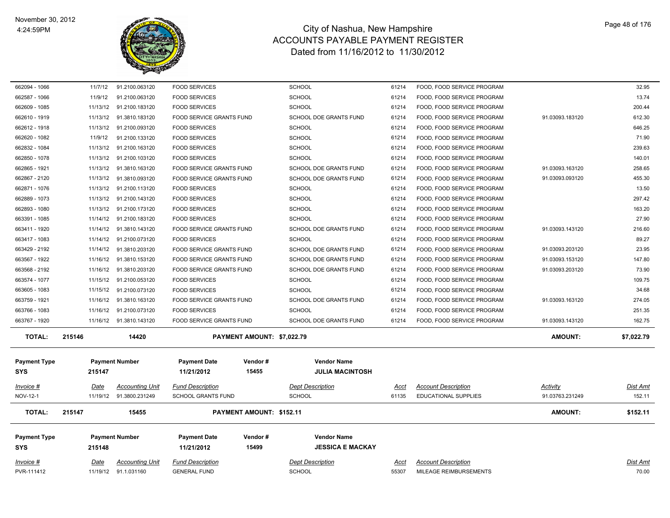

| 662094 - 1066       | 11/7/12  | 91.2100.063120           | <b>FOOD SERVICES</b>      |                            | <b>SCHOOL</b>                 | 61214 | FOOD, FOOD SERVICE PROGRAM  |                 | 32.95      |
|---------------------|----------|--------------------------|---------------------------|----------------------------|-------------------------------|-------|-----------------------------|-----------------|------------|
| 662587 - 1066       | 11/9/12  | 91.2100.063120           | <b>FOOD SERVICES</b>      |                            | <b>SCHOOL</b>                 | 61214 | FOOD, FOOD SERVICE PROGRAM  |                 | 13.74      |
| 662609 - 1085       |          | 11/13/12 91.2100.183120  | <b>FOOD SERVICES</b>      |                            | <b>SCHOOL</b>                 | 61214 | FOOD, FOOD SERVICE PROGRAM  |                 | 200.44     |
| 662610 - 1919       |          | 11/13/12 91.3810.183120  | FOOD SERVICE GRANTS FUND  |                            | SCHOOL DOE GRANTS FUND        | 61214 | FOOD, FOOD SERVICE PROGRAM  | 91.03093.183120 | 612.30     |
| 662612 - 1918       |          | 11/13/12 91.2100.093120  | <b>FOOD SERVICES</b>      |                            | <b>SCHOOL</b>                 | 61214 | FOOD, FOOD SERVICE PROGRAM  |                 | 646.25     |
| 662620 - 1082       | 11/9/12  | 91.2100.133120           | <b>FOOD SERVICES</b>      |                            | <b>SCHOOL</b>                 | 61214 | FOOD, FOOD SERVICE PROGRAM  |                 | 71.90      |
| 662832 - 1084       |          | 11/13/12 91.2100.163120  | <b>FOOD SERVICES</b>      |                            | <b>SCHOOL</b>                 | 61214 | FOOD, FOOD SERVICE PROGRAM  |                 | 239.63     |
| 662850 - 1078       |          | 11/13/12 91.2100.103120  | <b>FOOD SERVICES</b>      |                            | <b>SCHOOL</b>                 | 61214 | FOOD, FOOD SERVICE PROGRAM  |                 | 140.01     |
| 662865 - 1921       |          | 11/13/12 91.3810.163120  | FOOD SERVICE GRANTS FUND  |                            | SCHOOL DOE GRANTS FUND        | 61214 | FOOD, FOOD SERVICE PROGRAM  | 91.03093.163120 | 258.65     |
| 662867 - 2120       |          | 11/13/12  91.3810.093120 | FOOD SERVICE GRANTS FUND  |                            | SCHOOL DOE GRANTS FUND        | 61214 | FOOD, FOOD SERVICE PROGRAM  | 91.03093.093120 | 455.30     |
| 662871 - 1076       |          | 11/13/12 91.2100.113120  | <b>FOOD SERVICES</b>      |                            | <b>SCHOOL</b>                 | 61214 | FOOD, FOOD SERVICE PROGRAM  |                 | 13.50      |
| 662889 - 1073       |          | 11/13/12 91.2100.143120  | <b>FOOD SERVICES</b>      |                            | <b>SCHOOL</b>                 | 61214 | FOOD, FOOD SERVICE PROGRAM  |                 | 297.42     |
| 662893 - 1080       |          | 11/13/12 91.2100.173120  | <b>FOOD SERVICES</b>      |                            | <b>SCHOOL</b>                 | 61214 | FOOD, FOOD SERVICE PROGRAM  |                 | 163.20     |
| 663391 - 1085       |          | 11/14/12 91.2100.183120  | <b>FOOD SERVICES</b>      |                            | <b>SCHOOL</b>                 | 61214 | FOOD, FOOD SERVICE PROGRAM  |                 | 27.90      |
| 663411 - 1920       |          | 11/14/12 91.3810.143120  | FOOD SERVICE GRANTS FUND  |                            | SCHOOL DOE GRANTS FUND        | 61214 | FOOD, FOOD SERVICE PROGRAM  | 91.03093.143120 | 216.60     |
| 663417 - 1083       |          | 11/14/12 91.2100.073120  | <b>FOOD SERVICES</b>      |                            | <b>SCHOOL</b>                 | 61214 | FOOD, FOOD SERVICE PROGRAM  |                 | 89.27      |
| 663429 - 2192       |          | 11/14/12 91.3810.203120  | FOOD SERVICE GRANTS FUND  |                            | SCHOOL DOE GRANTS FUND        | 61214 | FOOD, FOOD SERVICE PROGRAM  | 91.03093.203120 | 23.95      |
| 663567 - 1922       |          | 11/16/12 91.3810.153120  | FOOD SERVICE GRANTS FUND  |                            | SCHOOL DOE GRANTS FUND        | 61214 | FOOD, FOOD SERVICE PROGRAM  | 91.03093.153120 | 147.80     |
| 663568 - 2192       |          | 11/16/12  91.3810.203120 | FOOD SERVICE GRANTS FUND  |                            | <b>SCHOOL DOE GRANTS FUND</b> | 61214 | FOOD, FOOD SERVICE PROGRAM  | 91.03093.203120 | 73.90      |
| 663574 - 1077       |          | 11/15/12 91.2100.053120  | <b>FOOD SERVICES</b>      |                            | <b>SCHOOL</b>                 | 61214 | FOOD, FOOD SERVICE PROGRAM  |                 | 109.75     |
| 663605 - 1083       |          | 11/15/12 91.2100.073120  | <b>FOOD SERVICES</b>      |                            | <b>SCHOOL</b>                 | 61214 | FOOD, FOOD SERVICE PROGRAM  |                 | 34.68      |
| 663759 - 1921       | 11/16/12 | 91.3810.163120           | FOOD SERVICE GRANTS FUND  |                            | SCHOOL DOE GRANTS FUND        | 61214 | FOOD, FOOD SERVICE PROGRAM  | 91.03093.163120 | 274.05     |
| 663766 - 1083       | 11/16/12 | 91.2100.073120           | <b>FOOD SERVICES</b>      |                            | <b>SCHOOL</b>                 | 61214 | FOOD, FOOD SERVICE PROGRAM  |                 | 251.35     |
| 663767 - 1920       |          | 11/16/12  91.3810.143120 | FOOD SERVICE GRANTS FUND  |                            | SCHOOL DOE GRANTS FUND        | 61214 | FOOD, FOOD SERVICE PROGRAM  | 91.03093.143120 | 162.75     |
| <b>TOTAL:</b>       | 215146   | 14420                    |                           | PAYMENT AMOUNT: \$7,022.79 |                               |       |                             | <b>AMOUNT:</b>  | \$7,022.79 |
|                     |          |                          |                           |                            | <b>Vendor Name</b>            |       |                             |                 |            |
| <b>Payment Type</b> |          | <b>Payment Number</b>    | <b>Payment Date</b>       | Vendor#                    |                               |       |                             |                 |            |
| <b>SYS</b>          | 215147   |                          | 11/21/2012                | 15455                      | <b>JULIA MACINTOSH</b>        |       |                             |                 |            |
| Invoice #           | Date     | <b>Accounting Unit</b>   | <b>Fund Description</b>   |                            | <b>Dept Description</b>       | Acct  | <b>Account Description</b>  | <b>Activity</b> | Dist Amt   |
| NOV-12-1            |          | 11/19/12 91.3800.231249  | <b>SCHOOL GRANTS FUND</b> |                            | <b>SCHOOL</b>                 | 61135 | <b>EDUCATIONAL SUPPLIES</b> | 91.03763.231249 | 152.11     |
| <b>TOTAL:</b>       | 215147   | 15455                    |                           | PAYMENT AMOUNT: \$152.11   |                               |       |                             | <b>AMOUNT:</b>  | \$152.11   |
| <b>Payment Type</b> |          | <b>Payment Number</b>    | <b>Payment Date</b>       | Vendor#                    | <b>Vendor Name</b>            |       |                             |                 |            |
| <b>SYS</b>          | 215148   |                          | 11/21/2012                | 15499                      | <b>JESSICA E MACKAY</b>       |       |                             |                 |            |
|                     |          |                          |                           |                            |                               |       |                             |                 |            |
| Invoice #           | Date     | Accounting Unit          | <b>Fund Description</b>   |                            | <b>Dept Description</b>       | Acct  | <b>Account Description</b>  |                 | Dist Amt   |
| PVR-111412          |          | 11/19/12 91.1.031160     | <b>GENERAL FUND</b>       |                            | <b>SCHOOL</b>                 | 55307 | MILEAGE REIMBURSEMENTS      |                 | 70.00      |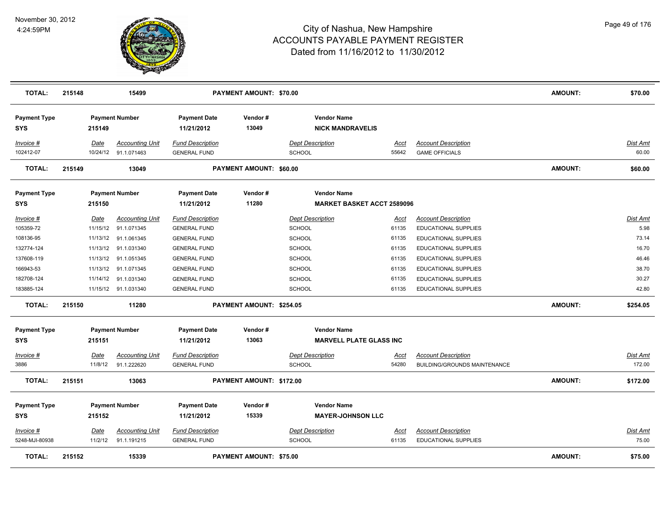

| <b>TOTAL:</b>                                       | 215148                                   | 15499                                                               | <b>PAYMENT AMOUNT: \$70.00</b>                                                               |                                |                                                                                   |                                  | <b>AMOUNT:</b>                                                                                     | \$70.00        |                                    |
|-----------------------------------------------------|------------------------------------------|---------------------------------------------------------------------|----------------------------------------------------------------------------------------------|--------------------------------|-----------------------------------------------------------------------------------|----------------------------------|----------------------------------------------------------------------------------------------------|----------------|------------------------------------|
| <b>Payment Type</b><br><b>SYS</b>                   | 215149                                   | <b>Payment Number</b>                                               | <b>Payment Date</b><br>11/21/2012                                                            | Vendor#<br>13049               | <b>Vendor Name</b><br><b>NICK MANDRAVELIS</b>                                     |                                  |                                                                                                    |                |                                    |
| Invoice #<br>102412-07                              | Date                                     | <b>Accounting Unit</b><br>10/24/12 91.1.071463                      | <b>Fund Description</b><br><b>GENERAL FUND</b>                                               |                                | <b>Dept Description</b><br>SCHOOL                                                 | <u>Acct</u><br>55642             | <b>Account Description</b><br><b>GAME OFFICIALS</b>                                                |                | <u>Dist Amt</u><br>60.00           |
| <b>TOTAL:</b>                                       | 215149                                   | 13049                                                               |                                                                                              | <b>PAYMENT AMOUNT: \$60.00</b> |                                                                                   |                                  |                                                                                                    | <b>AMOUNT:</b> | \$60.00                            |
| <b>Payment Type</b><br>SYS                          | 215150                                   | <b>Payment Number</b>                                               | <b>Payment Date</b><br>11/21/2012                                                            | Vendor#<br>11280               | <b>Vendor Name</b><br><b>MARKET BASKET ACCT 2589096</b>                           |                                  |                                                                                                    |                |                                    |
| Invoice #<br>105359-72<br>108136-95<br>132774-124   | Date<br>11/15/12<br>11/13/12<br>11/13/12 | <b>Accounting Unit</b><br>91.1.071345<br>91.1.061345<br>91.1.031340 | <b>Fund Description</b><br><b>GENERAL FUND</b><br><b>GENERAL FUND</b><br><b>GENERAL FUND</b> |                                | <b>Dept Description</b><br><b>SCHOOL</b><br><b>SCHOOL</b>                         | Acct<br>61135<br>61135<br>61135  | <b>Account Description</b><br>EDUCATIONAL SUPPLIES<br>EDUCATIONAL SUPPLIES<br>EDUCATIONAL SUPPLIES |                | Dist Amt<br>5.98<br>73.14<br>16.70 |
| 137608-119<br>166943-53<br>182708-124<br>183885-124 | 11/13/12<br>11/13/12<br>11/14/12         | 91.1.051345<br>91.1.071345<br>91.1.031340<br>11/15/12 91.1.031340   | <b>GENERAL FUND</b><br><b>GENERAL FUND</b><br><b>GENERAL FUND</b><br><b>GENERAL FUND</b>     |                                | <b>SCHOOL</b><br><b>SCHOOL</b><br><b>SCHOOL</b><br><b>SCHOOL</b><br><b>SCHOOL</b> | 61135<br>61135<br>61135<br>61135 | EDUCATIONAL SUPPLIES<br>EDUCATIONAL SUPPLIES<br>EDUCATIONAL SUPPLIES<br>EDUCATIONAL SUPPLIES       |                | 46.46<br>38.70<br>30.27<br>42.80   |
| <b>TOTAL:</b>                                       | 215150                                   | 11280                                                               |                                                                                              | PAYMENT AMOUNT: \$254.05       |                                                                                   |                                  |                                                                                                    | <b>AMOUNT:</b> | \$254.05                           |
| <b>Payment Type</b><br><b>SYS</b>                   | 215151                                   | <b>Payment Number</b>                                               | <b>Payment Date</b><br>11/21/2012                                                            | Vendor#<br>13063               | <b>Vendor Name</b><br><b>MARVELL PLATE GLASS INC</b>                              |                                  |                                                                                                    |                |                                    |
| <u> Invoice #</u><br>3886                           | <u>Date</u><br>11/8/12                   | <b>Accounting Unit</b><br>91.1.222620                               | <b>Fund Description</b><br><b>GENERAL FUND</b>                                               |                                | <b>Dept Description</b><br><b>SCHOOL</b>                                          | <u>Acct</u><br>54280             | <b>Account Description</b><br>BUILDING/GROUNDS MAINTENANCE                                         |                | <b>Dist Amt</b><br>172.00          |
| <b>TOTAL:</b>                                       | 215151                                   | 13063                                                               |                                                                                              | PAYMENT AMOUNT: \$172.00       |                                                                                   |                                  |                                                                                                    | <b>AMOUNT:</b> | \$172.00                           |
| <b>Payment Type</b><br><b>SYS</b>                   | 215152                                   | <b>Payment Number</b>                                               | <b>Payment Date</b><br>11/21/2012                                                            | Vendor#<br>15339               | <b>Vendor Name</b><br><b>MAYER-JOHNSON LLC</b>                                    |                                  |                                                                                                    |                |                                    |
| Invoice #<br>5248-MJI-80938                         | Date<br>11/2/12                          | <b>Accounting Unit</b><br>91.1.191215                               | <b>Fund Description</b><br><b>GENERAL FUND</b>                                               |                                | <b>Dept Description</b><br>SCHOOL                                                 | Acct<br>61135                    | <b>Account Description</b><br>EDUCATIONAL SUPPLIES                                                 |                | Dist Amt<br>75.00                  |
| <b>TOTAL:</b>                                       | 215152                                   | 15339                                                               |                                                                                              | <b>PAYMENT AMOUNT: \$75.00</b> |                                                                                   |                                  |                                                                                                    | <b>AMOUNT:</b> | \$75.00                            |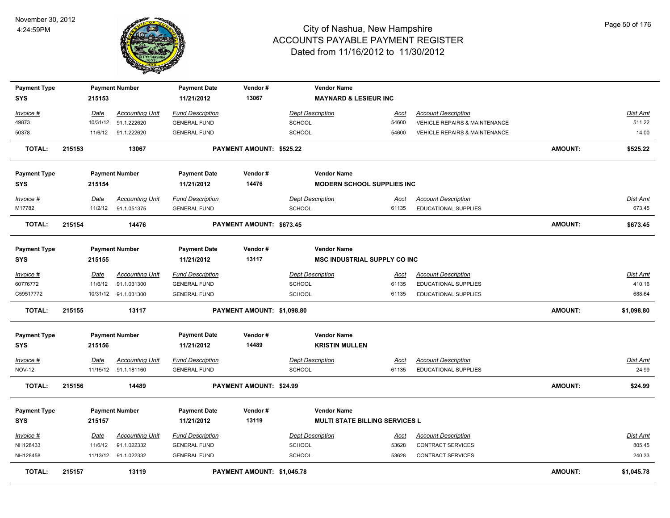

| <b>Payment Type</b><br><b>SYS</b> |        | 215153      | <b>Payment Number</b>                          | <b>Payment Date</b><br>11/21/2012              | Vendor#<br>13067                | <b>Vendor Name</b><br><b>MAYNARD &amp; LESIEUR INC</b> |                      |                                                           |                |                          |
|-----------------------------------|--------|-------------|------------------------------------------------|------------------------------------------------|---------------------------------|--------------------------------------------------------|----------------------|-----------------------------------------------------------|----------------|--------------------------|
| Invoice #                         |        | Date        | <b>Accounting Unit</b>                         | <b>Fund Description</b>                        |                                 | <b>Dept Description</b>                                | Acct                 | <b>Account Description</b>                                |                | Dist Amt                 |
| 49873                             |        | 10/31/12    | 91.1.222620                                    | <b>GENERAL FUND</b>                            |                                 | SCHOOL                                                 | 54600                | <b>VEHICLE REPAIRS &amp; MAINTENANCE</b>                  |                | 511.22                   |
| 50378                             |        | 11/6/12     | 91.1.222620                                    | <b>GENERAL FUND</b>                            |                                 | SCHOOL                                                 | 54600                | <b>VEHICLE REPAIRS &amp; MAINTENANCE</b>                  |                | 14.00                    |
| <b>TOTAL:</b>                     | 215153 |             | 13067                                          |                                                | <b>PAYMENT AMOUNT: \$525.22</b> |                                                        |                      |                                                           | <b>AMOUNT:</b> | \$525.22                 |
| <b>Payment Type</b>               |        |             | <b>Payment Number</b>                          | <b>Payment Date</b>                            | Vendor#                         | <b>Vendor Name</b>                                     |                      |                                                           |                |                          |
| <b>SYS</b>                        |        | 215154      |                                                | 11/21/2012                                     | 14476                           | <b>MODERN SCHOOL SUPPLIES INC</b>                      |                      |                                                           |                |                          |
| Invoice #                         |        | Date        | <b>Accounting Unit</b>                         | <b>Fund Description</b>                        |                                 | <b>Dept Description</b>                                | Acct                 | <b>Account Description</b>                                |                | <b>Dist Amt</b>          |
| M17782                            |        | 11/2/12     | 91.1.051375                                    | <b>GENERAL FUND</b>                            |                                 | SCHOOL                                                 | 61135                | EDUCATIONAL SUPPLIES                                      |                | 673.45                   |
| <b>TOTAL:</b>                     | 215154 |             | 14476                                          |                                                | PAYMENT AMOUNT: \$673.45        |                                                        |                      |                                                           | <b>AMOUNT:</b> | \$673.45                 |
| <b>Payment Type</b>               |        |             | <b>Payment Number</b>                          | <b>Payment Date</b>                            | Vendor#                         | <b>Vendor Name</b>                                     |                      |                                                           |                |                          |
| <b>SYS</b>                        |        | 215155      |                                                | 11/21/2012                                     | 13117                           | <b>MSC INDUSTRIAL SUPPLY CO INC</b>                    |                      |                                                           |                |                          |
| Invoice #                         |        | Date        | <b>Accounting Unit</b>                         | <b>Fund Description</b>                        |                                 | <b>Dept Description</b>                                | Acct                 | <b>Account Description</b>                                |                | <b>Dist Amt</b>          |
| 60776772                          |        | 11/6/12     | 91.1.031300                                    | <b>GENERAL FUND</b>                            |                                 | SCHOOL                                                 | 61135                | <b>EDUCATIONAL SUPPLIES</b>                               |                | 410.16                   |
| C59517772                         |        |             | 10/31/12 91.1.031300                           | <b>GENERAL FUND</b>                            |                                 | SCHOOL                                                 | 61135                | <b>EDUCATIONAL SUPPLIES</b>                               |                | 688.64                   |
| <b>TOTAL:</b>                     | 215155 |             | 13117                                          |                                                | PAYMENT AMOUNT: \$1,098.80      |                                                        |                      |                                                           | <b>AMOUNT:</b> | \$1,098.80               |
| <b>Payment Type</b><br><b>SYS</b> |        | 215156      | <b>Payment Number</b>                          | <b>Payment Date</b><br>11/21/2012              | Vendor#<br>14489                | <b>Vendor Name</b><br><b>KRISTIN MULLEN</b>            |                      |                                                           |                |                          |
| Invoice #<br><b>NOV-12</b>        |        | <b>Date</b> | <b>Accounting Unit</b><br>11/15/12 91.1.181160 | <b>Fund Description</b><br><b>GENERAL FUND</b> |                                 | <b>Dept Description</b><br>SCHOOL                      | <b>Acct</b><br>61135 | <b>Account Description</b><br><b>EDUCATIONAL SUPPLIES</b> |                | <b>Dist Amt</b><br>24.99 |
| <b>TOTAL:</b>                     | 215156 |             | 14489                                          |                                                | PAYMENT AMOUNT: \$24.99         |                                                        |                      |                                                           | AMOUNT:        | \$24.99                  |
| <b>Payment Type</b>               |        |             | <b>Payment Number</b>                          | <b>Payment Date</b>                            | Vendor#                         | <b>Vendor Name</b>                                     |                      |                                                           |                |                          |
| <b>SYS</b>                        |        | 215157      |                                                | 11/21/2012                                     | 13119                           | <b>MULTI STATE BILLING SERVICES L</b>                  |                      |                                                           |                |                          |
| Invoice #                         |        | Date        | <b>Accounting Unit</b>                         | <b>Fund Description</b>                        |                                 | <b>Dept Description</b>                                | Acct                 | <b>Account Description</b>                                |                | Dist Amt                 |
| NH128433                          |        | 11/6/12     | 91.1.022332                                    | <b>GENERAL FUND</b>                            |                                 | <b>SCHOOL</b>                                          | 53628                | CONTRACT SERVICES                                         |                | 805.45                   |
| NH128458                          |        |             | 11/13/12 91.1.022332                           | <b>GENERAL FUND</b>                            |                                 | <b>SCHOOL</b>                                          | 53628                | <b>CONTRACT SERVICES</b>                                  |                | 240.33                   |
| <b>TOTAL:</b>                     | 215157 |             | 13119                                          |                                                | PAYMENT AMOUNT: \$1,045.78      |                                                        |                      |                                                           | <b>AMOUNT:</b> | \$1,045.78               |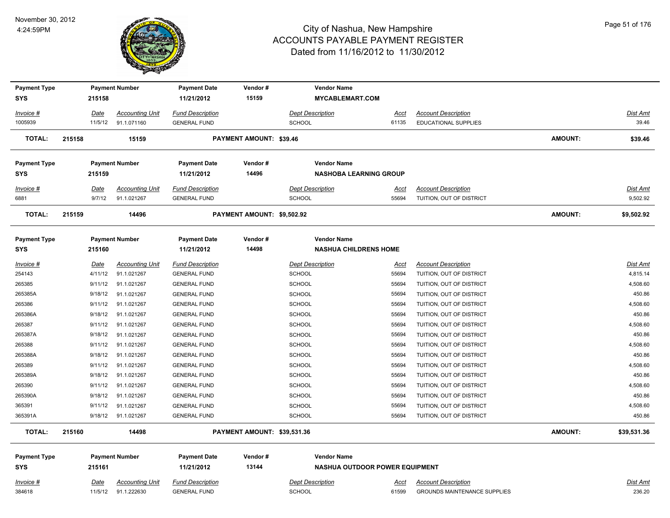

| <b>Payment Type</b> |             | <b>Payment Number</b>  | <b>Payment Date</b>     | Vendor#                        | <b>Vendor Name</b>                    |             |                                     |                |                 |
|---------------------|-------------|------------------------|-------------------------|--------------------------------|---------------------------------------|-------------|-------------------------------------|----------------|-----------------|
| <b>SYS</b>          | 215158      |                        | 11/21/2012              | 15159                          | <b>MYCABLEMART.COM</b>                |             |                                     |                |                 |
| Invoice #           | Date        | <b>Accounting Unit</b> | <b>Fund Description</b> |                                | <b>Dept Description</b>               | <u>Acct</u> | <b>Account Description</b>          |                | <b>Dist Amt</b> |
| 1005939             | 11/5/12     | 91.1.071160            | <b>GENERAL FUND</b>     |                                | SCHOOL                                | 61135       | <b>EDUCATIONAL SUPPLIES</b>         |                | 39.46           |
| <b>TOTAL:</b>       | 215158      | 15159                  |                         | <b>PAYMENT AMOUNT: \$39.46</b> |                                       |             |                                     | <b>AMOUNT:</b> | \$39.46         |
| <b>Payment Type</b> |             | <b>Payment Number</b>  | <b>Payment Date</b>     | Vendor#                        | <b>Vendor Name</b>                    |             |                                     |                |                 |
| <b>SYS</b>          | 215159      |                        | 11/21/2012              | 14496                          | <b>NASHOBA LEARNING GROUP</b>         |             |                                     |                |                 |
| Invoice #           | Date        | <b>Accounting Unit</b> | <b>Fund Description</b> |                                | <b>Dept Description</b>               | Acct        | <b>Account Description</b>          |                | Dist Amt        |
| 6881                | 9/7/12      | 91.1.021267            | <b>GENERAL FUND</b>     |                                | <b>SCHOOL</b>                         | 55694       | TUITION, OUT OF DISTRICT            |                | 9,502.92        |
| <b>TOTAL:</b>       | 215159      | 14496                  |                         | PAYMENT AMOUNT: \$9,502.92     |                                       |             |                                     | <b>AMOUNT:</b> | \$9,502.92      |
| <b>Payment Type</b> |             | <b>Payment Number</b>  | <b>Payment Date</b>     | Vendor#                        | <b>Vendor Name</b>                    |             |                                     |                |                 |
| <b>SYS</b>          | 215160      |                        | 11/21/2012              | 14498                          | <b>NASHUA CHILDRENS HOME</b>          |             |                                     |                |                 |
| Invoice #           | <u>Date</u> | <b>Accounting Unit</b> | <b>Fund Description</b> |                                | <b>Dept Description</b>               | Acct        | <b>Account Description</b>          |                | Dist Amt        |
| 254143              | 4/11/12     | 91.1.021267            | <b>GENERAL FUND</b>     |                                | <b>SCHOOL</b>                         | 55694       | TUITION, OUT OF DISTRICT            |                | 4,815.14        |
| 265385              | 9/11/12     | 91.1.021267            | <b>GENERAL FUND</b>     |                                | <b>SCHOOL</b>                         | 55694       | TUITION, OUT OF DISTRICT            |                | 4,508.60        |
| 265385A             | 9/18/12     | 91.1.021267            | <b>GENERAL FUND</b>     |                                | SCHOOL                                | 55694       | TUITION, OUT OF DISTRICT            |                | 450.86          |
| 265386              | 9/11/12     | 91.1.021267            | <b>GENERAL FUND</b>     |                                | SCHOOL                                | 55694       | TUITION, OUT OF DISTRICT            |                | 4,508.60        |
| 265386A             | 9/18/12     | 91.1.021267            | <b>GENERAL FUND</b>     |                                | SCHOOL                                | 55694       | TUITION, OUT OF DISTRICT            |                | 450.86          |
| 265387              | 9/11/12     | 91.1.021267            | <b>GENERAL FUND</b>     |                                | <b>SCHOOL</b>                         | 55694       | TUITION, OUT OF DISTRICT            |                | 4,508.60        |
| 265387A             | 9/18/12     | 91.1.021267            | <b>GENERAL FUND</b>     |                                | <b>SCHOOL</b>                         | 55694       | TUITION, OUT OF DISTRICT            |                | 450.86          |
| 265388              | 9/11/12     | 91.1.021267            | <b>GENERAL FUND</b>     |                                | SCHOOL                                | 55694       | TUITION, OUT OF DISTRICT            |                | 4,508.60        |
| 265388A             | 9/18/12     | 91.1.021267            | <b>GENERAL FUND</b>     |                                | SCHOOL                                | 55694       | TUITION, OUT OF DISTRICT            |                | 450.86          |
| 265389              | 9/11/12     | 91.1.021267            | <b>GENERAL FUND</b>     |                                | <b>SCHOOL</b>                         | 55694       | TUITION, OUT OF DISTRICT            |                | 4,508.60        |
| 265389A             | 9/18/12     | 91.1.021267            | <b>GENERAL FUND</b>     |                                | <b>SCHOOL</b>                         | 55694       | TUITION, OUT OF DISTRICT            |                | 450.86          |
| 265390              | 9/11/12     | 91.1.021267            | <b>GENERAL FUND</b>     |                                | <b>SCHOOL</b>                         | 55694       | TUITION, OUT OF DISTRICT            |                | 4,508.60        |
| 265390A             | 9/18/12     | 91.1.021267            | <b>GENERAL FUND</b>     |                                | <b>SCHOOL</b>                         | 55694       | TUITION, OUT OF DISTRICT            |                | 450.86          |
| 365391              | 9/11/12     | 91.1.021267            | <b>GENERAL FUND</b>     |                                | <b>SCHOOL</b>                         | 55694       | TUITION, OUT OF DISTRICT            |                | 4,508.60        |
| 365391A             | 9/18/12     | 91.1.021267            | <b>GENERAL FUND</b>     |                                | SCHOOL                                | 55694       | TUITION, OUT OF DISTRICT            |                | 450.86          |
| <b>TOTAL:</b>       | 215160      | 14498                  |                         | PAYMENT AMOUNT: \$39,531.36    |                                       |             |                                     | <b>AMOUNT:</b> | \$39,531.36     |
| <b>Payment Type</b> |             | <b>Payment Number</b>  | <b>Payment Date</b>     | Vendor#                        | <b>Vendor Name</b>                    |             |                                     |                |                 |
| <b>SYS</b>          | 215161      |                        | 11/21/2012              | 13144                          | <b>NASHUA OUTDOOR POWER EQUIPMENT</b> |             |                                     |                |                 |
| $Invoice$ #         | <u>Date</u> | <b>Accounting Unit</b> | <b>Fund Description</b> |                                | <b>Dept Description</b>               | <u>Acct</u> | <b>Account Description</b>          |                | <u>Dist Amt</u> |
| 384618              | 11/5/12     | 91.1.222630            | <b>GENERAL FUND</b>     |                                | <b>SCHOOL</b>                         | 61599       | <b>GROUNDS MAINTENANCE SUPPLIES</b> |                | 236.20          |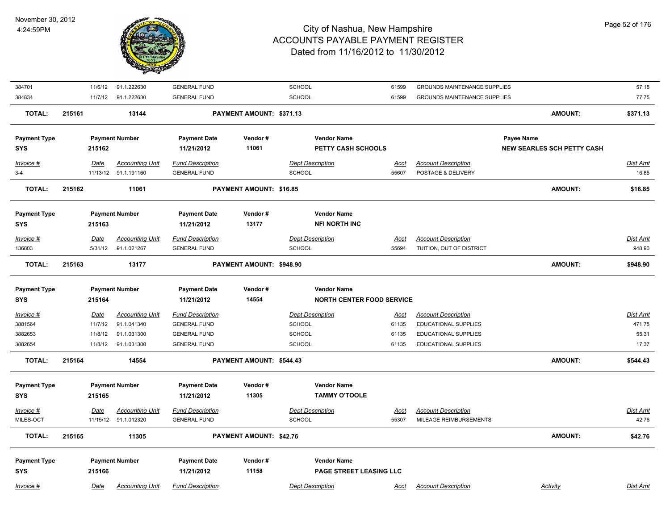

| 384701              | 11/6/12     | 91.1.222630            | <b>GENERAL FUND</b>     |                          | SCHOOL                           | 61599       | <b>GROUNDS MAINTENANCE SUPPLIES</b> |                                   | 57.18           |
|---------------------|-------------|------------------------|-------------------------|--------------------------|----------------------------------|-------------|-------------------------------------|-----------------------------------|-----------------|
| 384834              | 11/7/12     | 91.1.222630            | <b>GENERAL FUND</b>     |                          | SCHOOL                           | 61599       | <b>GROUNDS MAINTENANCE SUPPLIES</b> |                                   | 77.75           |
| <b>TOTAL:</b>       | 215161      | 13144                  |                         | PAYMENT AMOUNT: \$371.13 |                                  |             |                                     | <b>AMOUNT:</b>                    | \$371.13        |
| <b>Payment Type</b> |             | <b>Payment Number</b>  | <b>Payment Date</b>     | Vendor#                  | <b>Vendor Name</b>               |             |                                     | Payee Name                        |                 |
| <b>SYS</b>          | 215162      |                        | 11/21/2012              | 11061                    | PETTY CASH SCHOOLS               |             |                                     | <b>NEW SEARLES SCH PETTY CASH</b> |                 |
| Invoice #           | Date        | <b>Accounting Unit</b> | <b>Fund Description</b> |                          | <b>Dept Description</b>          | <u>Acct</u> | <b>Account Description</b>          |                                   | <u>Dist Amt</u> |
| $3-4$               |             | 11/13/12 91.1.191160   | <b>GENERAL FUND</b>     |                          | <b>SCHOOL</b>                    | 55607       | POSTAGE & DELIVERY                  |                                   | 16.85           |
| <b>TOTAL:</b>       | 215162      | 11061                  |                         | PAYMENT AMOUNT: \$16.85  |                                  |             |                                     | <b>AMOUNT:</b>                    | \$16.85         |
| <b>Payment Type</b> |             | <b>Payment Number</b>  | <b>Payment Date</b>     | Vendor#                  | <b>Vendor Name</b>               |             |                                     |                                   |                 |
| <b>SYS</b>          | 215163      |                        | 11/21/2012              | 13177                    | <b>NFI NORTH INC</b>             |             |                                     |                                   |                 |
| Invoice #           | Date        | <b>Accounting Unit</b> | <b>Fund Description</b> |                          | <b>Dept Description</b>          | <b>Acct</b> | <b>Account Description</b>          |                                   | <b>Dist Amt</b> |
| 136803              | 5/31/12     | 91.1.021267            | <b>GENERAL FUND</b>     |                          | <b>SCHOOL</b>                    | 55694       | TUITION, OUT OF DISTRICT            |                                   | 948.90          |
| <b>TOTAL:</b>       | 215163      | 13177                  |                         | PAYMENT AMOUNT: \$948.90 |                                  |             |                                     | <b>AMOUNT:</b>                    | \$948.90        |
| <b>Payment Type</b> |             | <b>Payment Number</b>  | <b>Payment Date</b>     | Vendor#                  | <b>Vendor Name</b>               |             |                                     |                                   |                 |
| <b>SYS</b>          | 215164      |                        | 11/21/2012              | 14554                    | <b>NORTH CENTER FOOD SERVICE</b> |             |                                     |                                   |                 |
| $Invoice$ #         | <u>Date</u> | <b>Accounting Unit</b> | <b>Fund Description</b> |                          | <b>Dept Description</b>          | <u>Acct</u> | <b>Account Description</b>          |                                   | <b>Dist Amt</b> |
| 3881564             | 11/7/12     | 91.1.041340            | <b>GENERAL FUND</b>     |                          | <b>SCHOOL</b>                    | 61135       | <b>EDUCATIONAL SUPPLIES</b>         |                                   | 471.75          |
| 3882653             | 11/8/12     | 91.1.031300            | <b>GENERAL FUND</b>     |                          | SCHOOL                           | 61135       | EDUCATIONAL SUPPLIES                |                                   | 55.31           |
| 3882654             | 11/8/12     | 91.1.031300            | <b>GENERAL FUND</b>     |                          | <b>SCHOOL</b>                    | 61135       | <b>EDUCATIONAL SUPPLIES</b>         |                                   | 17.37           |
| <b>TOTAL:</b>       | 215164      | 14554                  |                         | PAYMENT AMOUNT: \$544.43 |                                  |             |                                     | <b>AMOUNT:</b>                    | \$544.43        |
| <b>Payment Type</b> |             | <b>Payment Number</b>  | <b>Payment Date</b>     | Vendor#                  | <b>Vendor Name</b>               |             |                                     |                                   |                 |
| <b>SYS</b>          | 215165      |                        | 11/21/2012              | 11305                    | <b>TAMMY O'TOOLE</b>             |             |                                     |                                   |                 |
| Invoice #           | <b>Date</b> | <b>Accounting Unit</b> | <b>Fund Description</b> |                          | <b>Dept Description</b>          | <u>Acct</u> | <b>Account Description</b>          |                                   | Dist Amt        |
| MILES-OCT           |             | 11/15/12 91.1.012320   | <b>GENERAL FUND</b>     |                          | <b>SCHOOL</b>                    | 55307       | MILEAGE REIMBURSEMENTS              |                                   | 42.76           |
| <b>TOTAL:</b>       | 215165      | 11305                  |                         | PAYMENT AMOUNT: \$42.76  |                                  |             |                                     | <b>AMOUNT:</b>                    | \$42.76         |
| <b>Payment Type</b> |             | <b>Payment Number</b>  | <b>Payment Date</b>     | Vendor#                  | <b>Vendor Name</b>               |             |                                     |                                   |                 |
| <b>SYS</b>          | 215166      |                        | 11/21/2012              | 11158                    | PAGE STREET LEASING LLC          |             |                                     |                                   |                 |
| Invoice #           | Date        | <b>Accounting Unit</b> | <b>Fund Description</b> |                          | <b>Dept Description</b>          | <u>Acct</u> | <b>Account Description</b>          | <b>Activity</b>                   | Dist Amt        |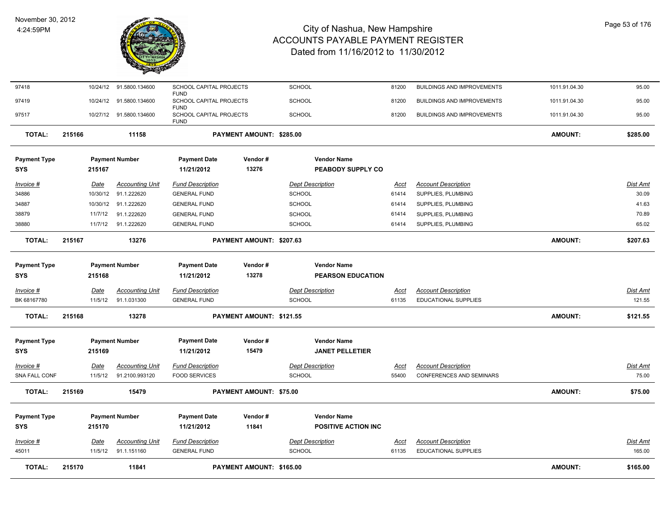

| <b>TOTAL:</b>                     | 215170                 | 11841                                    |                                                       | <b>PAYMENT AMOUNT: \$165.00</b> |                                                  |                      |                                                               | <b>AMOUNT:</b> | \$165.00                  |
|-----------------------------------|------------------------|------------------------------------------|-------------------------------------------------------|---------------------------------|--------------------------------------------------|----------------------|---------------------------------------------------------------|----------------|---------------------------|
| Invoice #<br>45011                | Date<br>11/5/12        | <b>Accounting Unit</b><br>91.1.151160    | <b>Fund Description</b><br><b>GENERAL FUND</b>        |                                 | <b>Dept Description</b><br><b>SCHOOL</b>         | Acct<br>61135        | <b>Account Description</b><br><b>EDUCATIONAL SUPPLIES</b>     |                | Dist Amt<br>165.00        |
| <b>Payment Type</b><br><b>SYS</b> | 215170                 | <b>Payment Number</b>                    | <b>Payment Date</b><br>11/21/2012                     | Vendor#<br>11841                | <b>Vendor Name</b><br><b>POSITIVE ACTION INC</b> |                      |                                                               |                |                           |
| <b>TOTAL:</b>                     | 215169                 | 15479                                    |                                                       | PAYMENT AMOUNT: \$75.00         |                                                  |                      |                                                               | <b>AMOUNT:</b> | \$75.00                   |
| Invoice #<br>SNA FALL CONF        | Date<br>11/5/12        | <b>Accounting Unit</b><br>91.2100.993120 | <b>Fund Description</b><br><b>FOOD SERVICES</b>       |                                 | <b>Dept Description</b><br><b>SCHOOL</b>         | Acct<br>55400        | <b>Account Description</b><br><b>CONFERENCES AND SEMINARS</b> |                | Dist Amt<br>75.00         |
| <b>Payment Type</b><br><b>SYS</b> | 215169                 | <b>Payment Number</b>                    | <b>Payment Date</b><br>11/21/2012                     | Vendor#<br>15479                | <b>Vendor Name</b><br><b>JANET PELLETIER</b>     |                      |                                                               |                |                           |
| <b>TOTAL:</b>                     | 215168                 | 13278                                    |                                                       | PAYMENT AMOUNT: \$121.55        |                                                  |                      |                                                               | <b>AMOUNT:</b> | \$121.55                  |
| $Invoice$ #<br>BK 68167780        | <b>Date</b><br>11/5/12 | <b>Accounting Unit</b><br>91.1.031300    | <b>Fund Description</b><br><b>GENERAL FUND</b>        |                                 | <b>Dept Description</b><br>SCHOOL                | <b>Acct</b><br>61135 | <b>Account Description</b><br><b>EDUCATIONAL SUPPLIES</b>     |                | <b>Dist Amt</b><br>121.55 |
| <b>Payment Type</b><br><b>SYS</b> | 215168                 | <b>Payment Number</b>                    | <b>Payment Date</b><br>11/21/2012                     | Vendor#<br>13278                | <b>Vendor Name</b><br><b>PEARSON EDUCATION</b>   |                      |                                                               |                |                           |
| <b>TOTAL:</b>                     | 215167                 | 13276                                    |                                                       | PAYMENT AMOUNT: \$207.63        |                                                  |                      |                                                               | <b>AMOUNT:</b> | \$207.63                  |
| 38880                             | 11/7/12                | 91.1.222620                              | <b>GENERAL FUND</b>                                   |                                 | <b>SCHOOL</b>                                    | 61414                | SUPPLIES, PLUMBING                                            |                | 65.02                     |
| 38879                             | 11/7/12                | 91.1.222620                              | <b>GENERAL FUND</b>                                   |                                 | <b>SCHOOL</b>                                    | 61414                | SUPPLIES, PLUMBING                                            |                | 70.89                     |
| 34886<br>34887                    | 10/30/12<br>10/30/12   | 91.1.222620<br>91.1.222620               | <b>GENERAL FUND</b><br><b>GENERAL FUND</b>            |                                 | <b>SCHOOL</b><br><b>SCHOOL</b>                   | 61414<br>61414       | SUPPLIES, PLUMBING<br>SUPPLIES, PLUMBING                      |                | 41.63                     |
| Invoice #                         | Date                   | <b>Accounting Unit</b>                   | <b>Fund Description</b>                               |                                 | <b>Dept Description</b>                          | <u>Acct</u>          | <b>Account Description</b>                                    |                | <b>Dist Amt</b><br>30.09  |
| <b>Payment Type</b><br><b>SYS</b> | 215167                 | <b>Payment Number</b>                    | <b>Payment Date</b><br>11/21/2012                     | Vendor#<br>13276                | <b>Vendor Name</b><br>PEABODY SUPPLY CO          |                      |                                                               |                |                           |
| <b>TOTAL:</b>                     | 215166                 | 11158                                    |                                                       | PAYMENT AMOUNT: \$285.00        |                                                  |                      |                                                               | <b>AMOUNT:</b> | \$285.00                  |
| 97517                             |                        | 10/27/12 91.5800.134600                  | SCHOOL CAPITAL PROJECTS<br><b>FUND</b>                |                                 | <b>SCHOOL</b>                                    | 81200                | <b>BUILDINGS AND IMPROVEMENTS</b>                             | 1011.91.04.30  | 95.00                     |
| 97419                             | 10/24/12               | 91.5800.134600                           | <b>FUND</b><br>SCHOOL CAPITAL PROJECTS<br><b>FUND</b> |                                 | <b>SCHOOL</b>                                    | 81200                | <b>BUILDINGS AND IMPROVEMENTS</b>                             | 1011.91.04.30  | 95.00                     |
| 97418                             |                        | 10/24/12 91.5800.134600                  | SCHOOL CAPITAL PROJECTS                               |                                 | SCHOOL                                           | 81200                | <b>BUILDINGS AND IMPROVEMENTS</b>                             | 1011.91.04.30  | 95.00                     |
|                                   |                        |                                          |                                                       |                                 |                                                  |                      |                                                               |                |                           |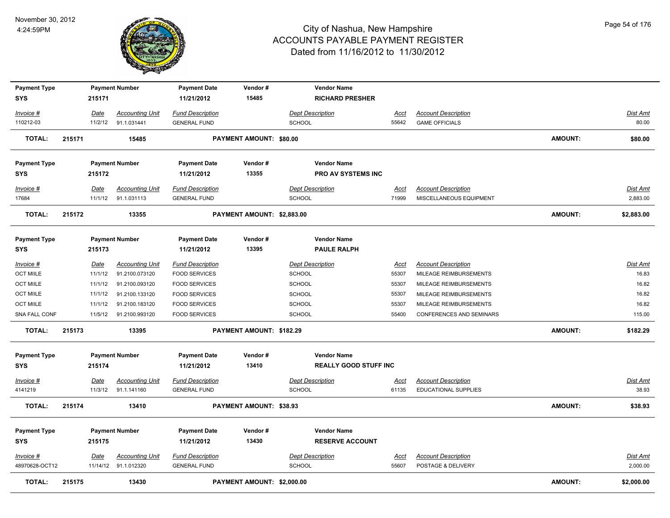

| <b>Payment Type</b>         |             | <b>Payment Number</b>                          | <b>Payment Date</b>                            | Vendor#                        | <b>Vendor Name</b>                       |                      |                                                  |                |                      |
|-----------------------------|-------------|------------------------------------------------|------------------------------------------------|--------------------------------|------------------------------------------|----------------------|--------------------------------------------------|----------------|----------------------|
| <b>SYS</b>                  | 215171      |                                                | 11/21/2012                                     | 15485                          | <b>RICHARD PRESHER</b>                   |                      |                                                  |                |                      |
| <u>Invoice #</u>            | <u>Date</u> | <b>Accounting Unit</b>                         | <b>Fund Description</b>                        |                                | <b>Dept Description</b>                  | <u>Acct</u>          | <b>Account Description</b>                       |                | <b>Dist Amt</b>      |
| 110212-03                   | 11/2/12     | 91.1.031441                                    | <b>GENERAL FUND</b>                            |                                | <b>SCHOOL</b>                            | 55642                | <b>GAME OFFICIALS</b>                            |                | 80.00                |
|                             |             |                                                |                                                |                                |                                          |                      |                                                  |                |                      |
| <b>TOTAL:</b>               | 215171      | 15485                                          |                                                | <b>PAYMENT AMOUNT: \$80.00</b> |                                          |                      |                                                  | <b>AMOUNT:</b> | \$80.00              |
|                             |             |                                                |                                                |                                |                                          |                      |                                                  |                |                      |
| <b>Payment Type</b>         |             | <b>Payment Number</b>                          | <b>Payment Date</b>                            | Vendor#                        | <b>Vendor Name</b>                       |                      |                                                  |                |                      |
| <b>SYS</b>                  | 215172      |                                                | 11/21/2012                                     | 13355                          | <b>PRO AV SYSTEMS INC</b>                |                      |                                                  |                |                      |
| <u>Invoice #</u>            | Date        | <b>Accounting Unit</b>                         | <b>Fund Description</b>                        |                                | <b>Dept Description</b>                  | <u>Acct</u>          | <b>Account Description</b>                       |                | <b>Dist Amt</b>      |
| 17684                       | 11/1/12     | 91.1.031113                                    | <b>GENERAL FUND</b>                            |                                | SCHOOL                                   | 71999                | MISCELLANEOUS EQUIPMENT                          |                | 2,883.00             |
| <b>TOTAL:</b>               | 215172      | 13355                                          |                                                | PAYMENT AMOUNT: \$2,883.00     |                                          |                      |                                                  | <b>AMOUNT:</b> | \$2,883.00           |
|                             |             |                                                |                                                |                                |                                          |                      |                                                  |                |                      |
| <b>Payment Type</b>         |             | <b>Payment Number</b>                          | <b>Payment Date</b>                            | Vendor#                        | <b>Vendor Name</b>                       |                      |                                                  |                |                      |
| SYS                         | 215173      |                                                | 11/21/2012                                     | 13395                          | <b>PAULE RALPH</b>                       |                      |                                                  |                |                      |
| <u>Invoice #</u>            | <u>Date</u> | <b>Accounting Unit</b>                         | <b>Fund Description</b>                        |                                | <b>Dept Description</b>                  | <u>Acct</u>          | <b>Account Description</b>                       |                | <b>Dist Amt</b>      |
| <b>OCT MIILE</b>            | 11/1/12     | 91.2100.073120                                 | <b>FOOD SERVICES</b>                           |                                | <b>SCHOOL</b>                            | 55307                | MILEAGE REIMBURSEMENTS                           |                | 16.83                |
| <b>OCT MIILE</b>            | 11/1/12     | 91.2100.093120                                 | <b>FOOD SERVICES</b>                           |                                | <b>SCHOOL</b>                            | 55307                | MILEAGE REIMBURSEMENTS                           |                | 16.82                |
| <b>OCT MIILE</b>            | 11/1/12     | 91.2100.133120                                 | <b>FOOD SERVICES</b>                           |                                | <b>SCHOOL</b>                            | 55307                | MILEAGE REIMBURSEMENTS                           |                | 16.82                |
| <b>OCT MIILE</b>            | 11/1/12     | 91.2100.183120                                 | <b>FOOD SERVICES</b>                           |                                | <b>SCHOOL</b>                            | 55307                | MILEAGE REIMBURSEMENTS                           |                | 16.82                |
| SNA FALL CONF               |             | 11/5/12  91.2100.993120                        | <b>FOOD SERVICES</b>                           |                                | <b>SCHOOL</b>                            | 55400                | CONFERENCES AND SEMINARS                         |                | 115.00               |
| <b>TOTAL:</b>               | 215173      | 13395                                          |                                                | PAYMENT AMOUNT: \$182.29       |                                          |                      |                                                  | <b>AMOUNT:</b> | \$182.29             |
| <b>Payment Type</b>         |             | <b>Payment Number</b>                          | <b>Payment Date</b>                            | Vendor#                        | <b>Vendor Name</b>                       |                      |                                                  |                |                      |
| SYS                         | 215174      |                                                | 11/21/2012                                     | 13410                          | <b>REALLY GOOD STUFF INC</b>             |                      |                                                  |                |                      |
| <b>Invoice #</b>            | <b>Date</b> | <b>Accounting Unit</b>                         | <b>Fund Description</b>                        |                                | <b>Dept Description</b>                  | <u>Acct</u>          | <b>Account Description</b>                       |                | Dist Amt             |
| 4141219                     |             | 11/3/12 91.1.141160                            | <b>GENERAL FUND</b>                            |                                | <b>SCHOOL</b>                            | 61135                | EDUCATIONAL SUPPLIES                             |                | 38.93                |
| <b>TOTAL:</b>               | 215174      | 13410                                          |                                                | PAYMENT AMOUNT: \$38.93        |                                          |                      |                                                  | <b>AMOUNT:</b> | \$38.93              |
|                             |             |                                                |                                                |                                |                                          |                      |                                                  |                |                      |
| <b>Payment Type</b>         |             | <b>Payment Number</b>                          | <b>Payment Date</b>                            | Vendor#                        | <b>Vendor Name</b>                       |                      |                                                  |                |                      |
| SYS                         | 215175      |                                                | 11/21/2012                                     | 13430                          | <b>RESERVE ACCOUNT</b>                   |                      |                                                  |                |                      |
|                             |             |                                                |                                                |                                |                                          |                      |                                                  |                |                      |
| Invoice #<br>48970628-OCT12 | <b>Date</b> | <b>Accounting Unit</b><br>11/14/12 91.1.012320 | <b>Fund Description</b><br><b>GENERAL FUND</b> |                                | <b>Dept Description</b><br><b>SCHOOL</b> | <u>Acct</u><br>55607 | <b>Account Description</b><br>POSTAGE & DELIVERY |                | Dist Amt<br>2,000.00 |
|                             |             |                                                |                                                |                                |                                          |                      |                                                  |                |                      |
| <b>TOTAL:</b>               | 215175      | 13430                                          |                                                | PAYMENT AMOUNT: \$2,000.00     |                                          |                      |                                                  | <b>AMOUNT:</b> | \$2,000.00           |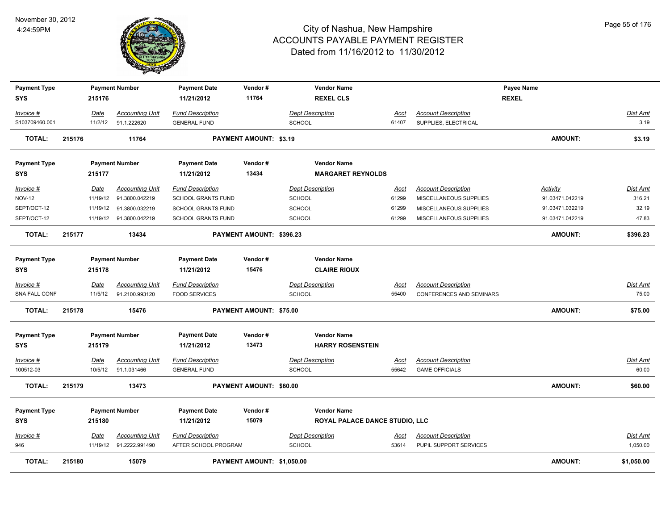

| <b>Payment Type</b> |        |             | <b>Payment Number</b>  | <b>Payment Date</b>       | Vendor#                        | <b>Vendor Name</b>             |             |                            | Payee Name      |                 |
|---------------------|--------|-------------|------------------------|---------------------------|--------------------------------|--------------------------------|-------------|----------------------------|-----------------|-----------------|
| <b>SYS</b>          |        | 215176      |                        | 11/21/2012                | 11764                          | <b>REXEL CLS</b>               |             |                            | <b>REXEL</b>    |                 |
| Invoice #           |        | Date        | <b>Accounting Unit</b> | <b>Fund Description</b>   |                                | <b>Dept Description</b>        | Acct        | <b>Account Description</b> |                 | Dist Amt        |
| S103709460.001      |        | 11/2/12     | 91.1.222620            | <b>GENERAL FUND</b>       |                                | <b>SCHOOL</b>                  | 61407       | SUPPLIES, ELECTRICAL       |                 | 3.19            |
| <b>TOTAL:</b>       | 215176 |             | 11764                  |                           | PAYMENT AMOUNT: \$3.19         |                                |             |                            | <b>AMOUNT:</b>  | \$3.19          |
| <b>Payment Type</b> |        |             | <b>Payment Number</b>  | <b>Payment Date</b>       | Vendor#                        | <b>Vendor Name</b>             |             |                            |                 |                 |
| <b>SYS</b>          |        | 215177      |                        | 11/21/2012                | 13434                          | <b>MARGARET REYNOLDS</b>       |             |                            |                 |                 |
| Invoice #           |        | Date        | <b>Accounting Unit</b> | <b>Fund Description</b>   |                                | <b>Dept Description</b>        | <u>Acct</u> | <b>Account Description</b> | <b>Activity</b> | Dist Amt        |
| <b>NOV-12</b>       |        | 11/19/12    | 91.3800.042219         | <b>SCHOOL GRANTS FUND</b> |                                | <b>SCHOOL</b>                  | 61299       | MISCELLANEOUS SUPPLIES     | 91.03471.042219 | 316.21          |
| SEPT/OCT-12         |        | 11/19/12    | 91.3800.032219         | <b>SCHOOL GRANTS FUND</b> |                                | <b>SCHOOL</b>                  | 61299       | MISCELLANEOUS SUPPLIES     | 91.03471.032219 | 32.19           |
| SEPT/OCT-12         |        | 11/19/12    | 91.3800.042219         | SCHOOL GRANTS FUND        |                                | <b>SCHOOL</b>                  | 61299       | MISCELLANEOUS SUPPLIES     | 91.03471.042219 | 47.83           |
| <b>TOTAL:</b>       | 215177 |             | 13434                  |                           | PAYMENT AMOUNT: \$396.23       |                                |             |                            | <b>AMOUNT:</b>  | \$396.23        |
| <b>Payment Type</b> |        |             | <b>Payment Number</b>  | <b>Payment Date</b>       | Vendor#                        | <b>Vendor Name</b>             |             |                            |                 |                 |
| <b>SYS</b>          |        | 215178      |                        | 11/21/2012                | 15476                          | <b>CLAIRE RIOUX</b>            |             |                            |                 |                 |
| Invoice #           |        | Date        | <b>Accounting Unit</b> | <b>Fund Description</b>   |                                | <b>Dept Description</b>        | Acct        | <b>Account Description</b> |                 | <b>Dist Amt</b> |
| SNA FALL CONF       |        | 11/5/12     | 91.2100.993120         | <b>FOOD SERVICES</b>      |                                | <b>SCHOOL</b>                  | 55400       | CONFERENCES AND SEMINARS   |                 | 75.00           |
| <b>TOTAL:</b>       | 215178 |             | 15476                  |                           | <b>PAYMENT AMOUNT: \$75.00</b> |                                |             |                            | <b>AMOUNT:</b>  | \$75.00         |
|                     |        |             |                        |                           |                                |                                |             |                            |                 |                 |
| <b>Payment Type</b> |        |             | <b>Payment Number</b>  | <b>Payment Date</b>       | Vendor#                        | <b>Vendor Name</b>             |             |                            |                 |                 |
| <b>SYS</b>          |        | 215179      |                        | 11/21/2012                | 13473                          | <b>HARRY ROSENSTEIN</b>        |             |                            |                 |                 |
| <u> Invoice #</u>   |        | <b>Date</b> | <b>Accounting Unit</b> | <b>Fund Description</b>   |                                | <b>Dept Description</b>        | <u>Acct</u> | <b>Account Description</b> |                 | <u>Dist Amt</u> |
| 100512-03           |        | 10/5/12     | 91.1.031466            | <b>GENERAL FUND</b>       |                                | <b>SCHOOL</b>                  | 55642       | <b>GAME OFFICIALS</b>      |                 | 60.00           |
| <b>TOTAL:</b>       | 215179 |             | 13473                  |                           | PAYMENT AMOUNT: \$60.00        |                                |             |                            | <b>AMOUNT:</b>  | \$60.00         |
|                     |        |             |                        |                           |                                |                                |             |                            |                 |                 |
| <b>Payment Type</b> |        |             | <b>Payment Number</b>  | <b>Payment Date</b>       | Vendor#                        | <b>Vendor Name</b>             |             |                            |                 |                 |
| <b>SYS</b>          |        | 215180      |                        | 11/21/2012                | 15079                          | ROYAL PALACE DANCE STUDIO, LLC |             |                            |                 |                 |
| Invoice #           |        | Date        | <b>Accounting Unit</b> | <b>Fund Description</b>   |                                | <b>Dept Description</b>        | Acct        | <b>Account Description</b> |                 | Dist Amt        |
| 946                 |        | 11/19/12    | 91.2222.991490         | AFTER SCHOOL PROGRAM      |                                | <b>SCHOOL</b>                  | 53614       | PUPIL SUPPORT SERVICES     |                 | 1,050.00        |
| <b>TOTAL:</b>       | 215180 |             | 15079                  |                           | PAYMENT AMOUNT: \$1,050.00     |                                |             |                            | <b>AMOUNT:</b>  | \$1,050.00      |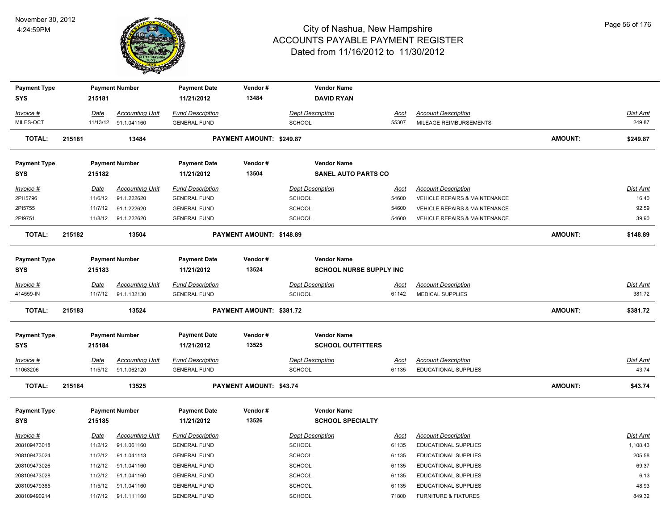

| <b>Payment Type</b> |        |             | <b>Payment Number</b>  | <b>Payment Date</b>     | Vendor#                  | <b>Vendor Name</b>             |             |                                          |                |                 |
|---------------------|--------|-------------|------------------------|-------------------------|--------------------------|--------------------------------|-------------|------------------------------------------|----------------|-----------------|
| <b>SYS</b>          |        | 215181      |                        | 11/21/2012              | 13484                    | <b>DAVID RYAN</b>              |             |                                          |                |                 |
| Invoice #           |        | <u>Date</u> | <b>Accounting Unit</b> | <b>Fund Description</b> |                          | <b>Dept Description</b>        | Acct        | <b>Account Description</b>               |                | Dist Amt        |
| MILES-OCT           |        |             | 11/13/12 91.1.041160   | <b>GENERAL FUND</b>     |                          | SCHOOL                         | 55307       | MILEAGE REIMBURSEMENTS                   |                | 249.87          |
| <b>TOTAL:</b>       | 215181 |             | 13484                  |                         | PAYMENT AMOUNT: \$249.87 |                                |             |                                          | <b>AMOUNT:</b> | \$249.87        |
| <b>Payment Type</b> |        |             | <b>Payment Number</b>  | <b>Payment Date</b>     | Vendor#                  | <b>Vendor Name</b>             |             |                                          |                |                 |
| <b>SYS</b>          |        | 215182      |                        | 11/21/2012              | 13504                    | <b>SANEL AUTO PARTS CO</b>     |             |                                          |                |                 |
| Invoice #           |        | Date        | <b>Accounting Unit</b> | <b>Fund Description</b> |                          | <b>Dept Description</b>        | Acct        | <b>Account Description</b>               |                | Dist Amt        |
| 2PH5796             |        | 11/6/12     | 91.1.222620            | <b>GENERAL FUND</b>     |                          | <b>SCHOOL</b>                  | 54600       | VEHICLE REPAIRS & MAINTENANCE            |                | 16.40           |
| 2PI5755             |        | 11/7/12     | 91.1.222620            | <b>GENERAL FUND</b>     |                          | <b>SCHOOL</b>                  | 54600       | <b>VEHICLE REPAIRS &amp; MAINTENANCE</b> |                | 92.59           |
| 2PI9751             |        | 11/8/12     | 91.1.222620            | <b>GENERAL FUND</b>     |                          | <b>SCHOOL</b>                  | 54600       | <b>VEHICLE REPAIRS &amp; MAINTENANCE</b> |                | 39.90           |
| <b>TOTAL:</b>       | 215182 |             | 13504                  |                         | PAYMENT AMOUNT: \$148.89 |                                |             |                                          | <b>AMOUNT:</b> | \$148.89        |
| <b>Payment Type</b> |        |             | <b>Payment Number</b>  | <b>Payment Date</b>     | Vendor#                  | <b>Vendor Name</b>             |             |                                          |                |                 |
| <b>SYS</b>          |        | 215183      |                        | 11/21/2012              | 13524                    | <b>SCHOOL NURSE SUPPLY INC</b> |             |                                          |                |                 |
| Invoice #           |        | Date        | <b>Accounting Unit</b> | <b>Fund Description</b> |                          | <b>Dept Description</b>        | Acct        | <b>Account Description</b>               |                | <b>Dist Amt</b> |
| 414559-IN           |        | 11/7/12     | 91.1.132130            | <b>GENERAL FUND</b>     |                          | <b>SCHOOL</b>                  | 61142       | <b>MEDICAL SUPPLIES</b>                  |                | 381.72          |
| <b>TOTAL:</b>       | 215183 |             | 13524                  |                         | PAYMENT AMOUNT: \$381.72 |                                |             |                                          | AMOUNT:        | \$381.72        |
| <b>Payment Type</b> |        |             | <b>Payment Number</b>  | <b>Payment Date</b>     | Vendor#                  | <b>Vendor Name</b>             |             |                                          |                |                 |
| <b>SYS</b>          |        | 215184      |                        | 11/21/2012              | 13525                    | <b>SCHOOL OUTFITTERS</b>       |             |                                          |                |                 |
| Invoice #           |        | <b>Date</b> | <b>Accounting Unit</b> | <b>Fund Description</b> |                          | <b>Dept Description</b>        | <u>Acct</u> | <b>Account Description</b>               |                | <b>Dist Amt</b> |
| 11063206            |        | 11/5/12     | 91.1.062120            | <b>GENERAL FUND</b>     |                          | <b>SCHOOL</b>                  | 61135       | EDUCATIONAL SUPPLIES                     |                | 43.74           |
| <b>TOTAL:</b>       | 215184 |             | 13525                  |                         | PAYMENT AMOUNT: \$43.74  |                                |             |                                          | <b>AMOUNT:</b> | \$43.74         |
| <b>Payment Type</b> |        |             | <b>Payment Number</b>  | <b>Payment Date</b>     | Vendor#                  | <b>Vendor Name</b>             |             |                                          |                |                 |
| <b>SYS</b>          |        | 215185      |                        | 11/21/2012              | 13526                    | <b>SCHOOL SPECIALTY</b>        |             |                                          |                |                 |
| Invoice #           |        | <b>Date</b> | <b>Accounting Unit</b> | <b>Fund Description</b> |                          | <b>Dept Description</b>        | <u>Acct</u> | <b>Account Description</b>               |                | <b>Dist Amt</b> |
| 208109473018        |        | 11/2/12     | 91.1.061160            | <b>GENERAL FUND</b>     |                          | <b>SCHOOL</b>                  | 61135       | <b>EDUCATIONAL SUPPLIES</b>              |                | 1,108.43        |
| 208109473024        |        | 11/2/12     | 91.1.041113            | <b>GENERAL FUND</b>     |                          | <b>SCHOOL</b>                  | 61135       | <b>EDUCATIONAL SUPPLIES</b>              |                | 205.58          |
| 208109473026        |        | 11/2/12     | 91.1.041160            | <b>GENERAL FUND</b>     |                          | <b>SCHOOL</b>                  | 61135       | <b>EDUCATIONAL SUPPLIES</b>              |                | 69.37           |
| 208109473028        |        | 11/2/12     | 91.1.041160            | <b>GENERAL FUND</b>     |                          | <b>SCHOOL</b>                  | 61135       | EDUCATIONAL SUPPLIES                     |                | 6.13            |
| 208109479365        |        | 11/5/12     | 91.1.041160            | <b>GENERAL FUND</b>     |                          | <b>SCHOOL</b>                  | 61135       | <b>EDUCATIONAL SUPPLIES</b>              |                | 48.93           |
| 208109490214        |        | 11/7/12     | 91.1.111160            | <b>GENERAL FUND</b>     |                          | <b>SCHOOL</b>                  | 71800       | <b>FURNITURE &amp; FIXTURES</b>          |                | 849.32          |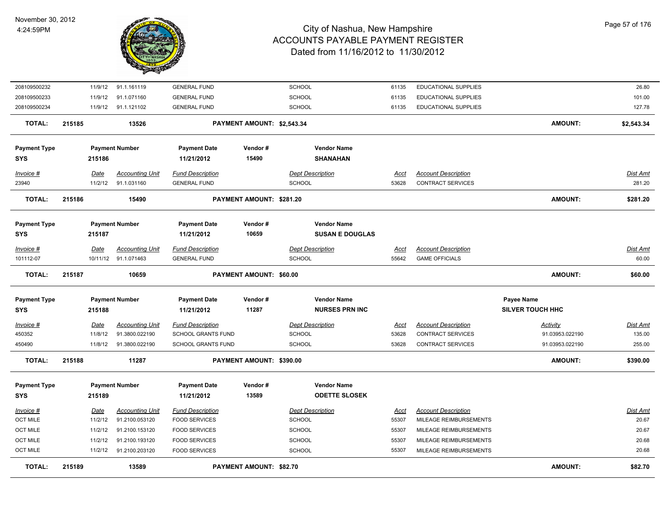

| 208109500232        | 11/9/12     | 91.1.161119            | <b>GENERAL FUND</b>       |                            | <b>SCHOOL</b>           | 61135       | <b>EDUCATIONAL SUPPLIES</b> |                         | 26.80           |
|---------------------|-------------|------------------------|---------------------------|----------------------------|-------------------------|-------------|-----------------------------|-------------------------|-----------------|
| 208109500233        | 11/9/12     | 91.1.071160            | <b>GENERAL FUND</b>       |                            | <b>SCHOOL</b>           | 61135       | EDUCATIONAL SUPPLIES        |                         | 101.00          |
| 208109500234        | 11/9/12     | 91.1.121102            | <b>GENERAL FUND</b>       |                            | <b>SCHOOL</b>           | 61135       | <b>EDUCATIONAL SUPPLIES</b> |                         | 127.78          |
| <b>TOTAL:</b>       | 215185      | 13526                  |                           | PAYMENT AMOUNT: \$2,543.34 |                         |             |                             | <b>AMOUNT:</b>          | \$2,543.34      |
| <b>Payment Type</b> |             | <b>Payment Number</b>  | <b>Payment Date</b>       | Vendor#                    | <b>Vendor Name</b>      |             |                             |                         |                 |
| <b>SYS</b>          | 215186      |                        | 11/21/2012                | 15490                      | <b>SHANAHAN</b>         |             |                             |                         |                 |
| $Invoice$ #         | <u>Date</u> | <b>Accounting Unit</b> | <b>Fund Description</b>   |                            | <b>Dept Description</b> | <u>Acct</u> | <b>Account Description</b>  |                         | <b>Dist Amt</b> |
| 23940               | 11/2/12     | 91.1.031160            | <b>GENERAL FUND</b>       |                            | SCHOOL                  | 53628       | CONTRACT SERVICES           |                         | 281.20          |
| <b>TOTAL:</b>       | 215186      | 15490                  |                           | PAYMENT AMOUNT: \$281.20   |                         |             |                             | <b>AMOUNT:</b>          | \$281.20        |
| <b>Payment Type</b> |             | <b>Payment Number</b>  | <b>Payment Date</b>       | Vendor#                    | <b>Vendor Name</b>      |             |                             |                         |                 |
| <b>SYS</b>          | 215187      |                        | 11/21/2012                | 10659                      | <b>SUSAN E DOUGLAS</b>  |             |                             |                         |                 |
|                     |             |                        |                           |                            |                         |             |                             |                         |                 |
| $Invoice$ #         | Date        | <b>Accounting Unit</b> | <b>Fund Description</b>   |                            | <b>Dept Description</b> | Acct        | <b>Account Description</b>  |                         | <b>Dist Amt</b> |
| 101112-07           | 10/11/12    | 91.1.071463            | <b>GENERAL FUND</b>       |                            | SCHOOL                  | 55642       | <b>GAME OFFICIALS</b>       |                         | 60.00           |
| <b>TOTAL:</b>       | 215187      | 10659                  |                           | PAYMENT AMOUNT: \$60.00    |                         |             |                             | <b>AMOUNT:</b>          | \$60.00         |
| <b>Payment Type</b> |             | <b>Payment Number</b>  | <b>Payment Date</b>       | Vendor#                    | <b>Vendor Name</b>      |             |                             | Payee Name              |                 |
| <b>SYS</b>          | 215188      |                        | 11/21/2012                | 11287                      | <b>NURSES PRN INC</b>   |             |                             | <b>SILVER TOUCH HHC</b> |                 |
| $Invoice$ #         | Date        | <b>Accounting Unit</b> | <b>Fund Description</b>   |                            | <b>Dept Description</b> | <u>Acct</u> | <b>Account Description</b>  | Activity                | <b>Dist Amt</b> |
| 450352              | 11/8/12     | 91.3800.022190         | <b>SCHOOL GRANTS FUND</b> |                            | <b>SCHOOL</b>           | 53628       | <b>CONTRACT SERVICES</b>    | 91.03953.022190         | 135.00          |
| 450490              | 11/8/12     | 91.3800.022190         | SCHOOL GRANTS FUND        |                            | <b>SCHOOL</b>           | 53628       | CONTRACT SERVICES           | 91.03953.022190         | 255.00          |
| <b>TOTAL:</b>       | 215188      | 11287                  |                           | PAYMENT AMOUNT: \$390.00   |                         |             |                             | <b>AMOUNT:</b>          | \$390.00        |
| <b>Payment Type</b> |             | <b>Payment Number</b>  | <b>Payment Date</b>       | Vendor#                    | <b>Vendor Name</b>      |             |                             |                         |                 |
| <b>SYS</b>          | 215189      |                        | 11/21/2012                | 13589                      | <b>ODETTE SLOSEK</b>    |             |                             |                         |                 |
| Invoice #           | Date        | <b>Accounting Unit</b> | <b>Fund Description</b>   |                            | <b>Dept Description</b> | Acct        | <b>Account Description</b>  |                         | Dist Amt        |
| <b>OCT MILE</b>     | 11/2/12     | 91.2100.053120         | <b>FOOD SERVICES</b>      |                            | <b>SCHOOL</b>           | 55307       | MILEAGE REIMBURSEMENTS      |                         | 20.67           |
| <b>OCT MILE</b>     | 11/2/12     | 91.2100.153120         | <b>FOOD SERVICES</b>      |                            | SCHOOL                  | 55307       | MILEAGE REIMBURSEMENTS      |                         | 20.67           |
| <b>OCT MILE</b>     | 11/2/12     | 91.2100.193120         | <b>FOOD SERVICES</b>      |                            | SCHOOL                  | 55307       | MILEAGE REIMBURSEMENTS      |                         | 20.68           |
| <b>OCT MILE</b>     | 11/2/12     | 91.2100.203120         | <b>FOOD SERVICES</b>      |                            | SCHOOL                  | 55307       | MILEAGE REIMBURSEMENTS      |                         | 20.68           |
| <b>TOTAL:</b>       | 215189      | 13589                  |                           | PAYMENT AMOUNT: \$82.70    |                         |             |                             | <b>AMOUNT:</b>          | \$82.70         |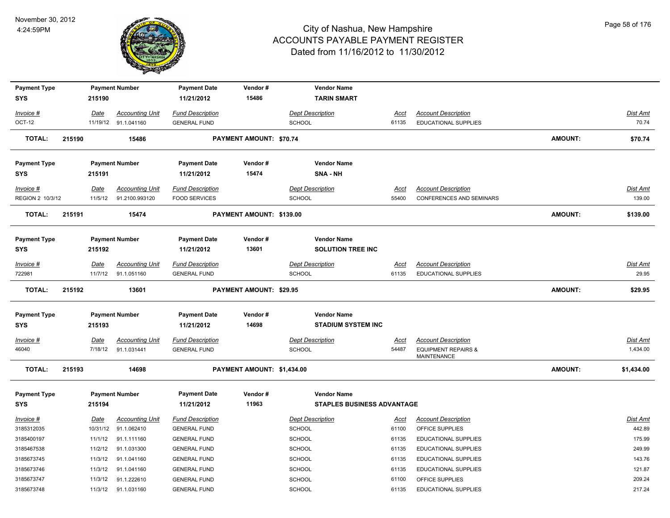

| <b>Payment Type</b> |        |             | <b>Payment Number</b>  | <b>Payment Date</b>     | Vendor#                        | <b>Vendor Name</b>                |             |                                                      |                |                 |
|---------------------|--------|-------------|------------------------|-------------------------|--------------------------------|-----------------------------------|-------------|------------------------------------------------------|----------------|-----------------|
| <b>SYS</b>          |        | 215190      |                        | 11/21/2012              | 15486                          | <b>TARIN SMART</b>                |             |                                                      |                |                 |
| Invoice #           |        | Date        | <b>Accounting Unit</b> | <b>Fund Description</b> |                                | <b>Dept Description</b>           | <u>Acct</u> | <b>Account Description</b>                           |                | <b>Dist Amt</b> |
| OCT-12              |        |             | 11/19/12 91.1.041160   | <b>GENERAL FUND</b>     |                                | SCHOOL                            | 61135       | <b>EDUCATIONAL SUPPLIES</b>                          |                | 70.74           |
| <b>TOTAL:</b>       | 215190 |             | 15486                  |                         | <b>PAYMENT AMOUNT: \$70.74</b> |                                   |             |                                                      | <b>AMOUNT:</b> | \$70.74         |
| <b>Payment Type</b> |        |             | <b>Payment Number</b>  | <b>Payment Date</b>     | Vendor#                        | <b>Vendor Name</b>                |             |                                                      |                |                 |
| <b>SYS</b>          |        | 215191      |                        | 11/21/2012              | 15474                          | SNA - NH                          |             |                                                      |                |                 |
| Invoice #           |        | Date        | <b>Accounting Unit</b> | <b>Fund Description</b> |                                | <b>Dept Description</b>           | <u>Acct</u> | <b>Account Description</b>                           |                | <b>Dist Amt</b> |
| REGION 2 10/3/12    |        | 11/5/12     | 91.2100.993120         | <b>FOOD SERVICES</b>    |                                | SCHOOL                            | 55400       | CONFERENCES AND SEMINARS                             |                | 139.00          |
| <b>TOTAL:</b>       | 215191 |             | 15474                  |                         | PAYMENT AMOUNT: \$139.00       |                                   |             |                                                      | <b>AMOUNT:</b> | \$139.00        |
| <b>Payment Type</b> |        |             | <b>Payment Number</b>  | <b>Payment Date</b>     | Vendor#                        | <b>Vendor Name</b>                |             |                                                      |                |                 |
| <b>SYS</b>          |        | 215192      |                        | 11/21/2012              | 13601                          | <b>SOLUTION TREE INC</b>          |             |                                                      |                |                 |
| Invoice #           |        | Date        | <b>Accounting Unit</b> | <b>Fund Description</b> |                                | <b>Dept Description</b>           | <u>Acct</u> | <b>Account Description</b>                           |                | <b>Dist Amt</b> |
| 722981              |        | 11/7/12     | 91.1.051160            | <b>GENERAL FUND</b>     |                                | SCHOOL                            | 61135       | <b>EDUCATIONAL SUPPLIES</b>                          |                | 29.95           |
| <b>TOTAL:</b>       | 215192 |             | 13601                  |                         | PAYMENT AMOUNT: \$29.95        |                                   |             |                                                      | <b>AMOUNT:</b> | \$29.95         |
| <b>Payment Type</b> |        |             | <b>Payment Number</b>  | <b>Payment Date</b>     | Vendor#                        | <b>Vendor Name</b>                |             |                                                      |                |                 |
| <b>SYS</b>          |        | 215193      |                        | 11/21/2012              | 14698                          | <b>STADIUM SYSTEM INC</b>         |             |                                                      |                |                 |
| $Invoice$ #         |        | Date        | <b>Accounting Unit</b> | <b>Fund Description</b> |                                | <b>Dept Description</b>           | <u>Acct</u> | <b>Account Description</b>                           |                | <b>Dist Amt</b> |
| 46040               |        | 7/18/12     | 91.1.031441            | <b>GENERAL FUND</b>     |                                | SCHOOL                            | 54487       | <b>EQUIPMENT REPAIRS &amp;</b><br><b>MAINTENANCE</b> |                | 1,434.00        |
| <b>TOTAL:</b>       | 215193 |             | 14698                  |                         | PAYMENT AMOUNT: \$1,434.00     |                                   |             |                                                      | <b>AMOUNT:</b> | \$1,434.00      |
| <b>Payment Type</b> |        |             | <b>Payment Number</b>  | <b>Payment Date</b>     | Vendor#                        | <b>Vendor Name</b>                |             |                                                      |                |                 |
| <b>SYS</b>          |        | 215194      |                        | 11/21/2012              | 11963                          | <b>STAPLES BUSINESS ADVANTAGE</b> |             |                                                      |                |                 |
| Invoice #           |        | <u>Date</u> | <b>Accounting Unit</b> | <b>Fund Description</b> |                                | <b>Dept Description</b>           | <u>Acct</u> | <b>Account Description</b>                           |                | <u>Dist Amt</u> |
| 3185312035          |        | 10/31/12    | 91.1.062410            | <b>GENERAL FUND</b>     |                                | SCHOOL                            | 61100       | OFFICE SUPPLIES                                      |                | 442.89          |
| 3185400197          |        | 11/1/12     | 91.1.111160            | <b>GENERAL FUND</b>     |                                | <b>SCHOOL</b>                     | 61135       | EDUCATIONAL SUPPLIES                                 |                | 175.99          |
| 3185467538          |        | 11/2/12     | 91.1.031300            | <b>GENERAL FUND</b>     |                                | SCHOOL                            | 61135       | EDUCATIONAL SUPPLIES                                 |                | 249.99          |
| 3185673745          |        | 11/3/12     | 91.1.041160            | <b>GENERAL FUND</b>     |                                | SCHOOL                            | 61135       | <b>EDUCATIONAL SUPPLIES</b>                          |                | 143.76          |
| 3185673746          |        | 11/3/12     | 91.1.041160            | <b>GENERAL FUND</b>     |                                | SCHOOL                            | 61135       | EDUCATIONAL SUPPLIES                                 |                | 121.87          |
| 3185673747          |        | 11/3/12     | 91.1.222610            | <b>GENERAL FUND</b>     |                                | SCHOOL                            | 61100       | OFFICE SUPPLIES                                      |                | 209.24          |
| 3185673748          |        | 11/3/12     | 91.1.031160            | <b>GENERAL FUND</b>     |                                | SCHOOL                            | 61135       | <b>EDUCATIONAL SUPPLIES</b>                          |                | 217.24          |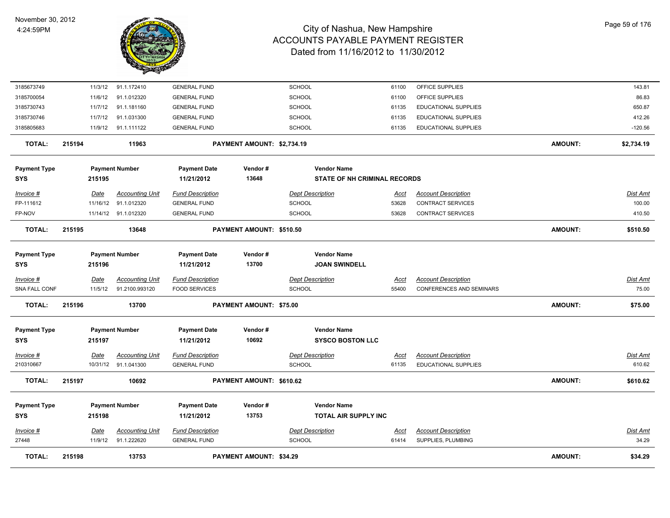

| <b>TOTAL:</b>                     | 215198 |                        | 13753                                           |                                                 | <b>PAYMENT AMOUNT: \$34.29</b> |                                          |                                                   |                      |                                                        | <b>AMOUNT:</b> | \$34.29                  |
|-----------------------------------|--------|------------------------|-------------------------------------------------|-------------------------------------------------|--------------------------------|------------------------------------------|---------------------------------------------------|----------------------|--------------------------------------------------------|----------------|--------------------------|
| Invoice #<br>27448                |        | <b>Date</b><br>11/9/12 | <b>Accounting Unit</b><br>91.1.222620           | <b>Fund Description</b><br><b>GENERAL FUND</b>  |                                | <b>Dept Description</b><br><b>SCHOOL</b> |                                                   | <u>Acct</u><br>61414 | <b>Account Description</b><br>SUPPLIES, PLUMBING       |                | Dist Amt<br>34.29        |
| <b>Payment Type</b><br><b>SYS</b> |        | 215198                 | <b>Payment Number</b>                           | <b>Payment Date</b><br>11/21/2012               | Vendor#<br>13753               |                                          | <b>Vendor Name</b><br><b>TOTAL AIR SUPPLY INC</b> |                      |                                                        |                |                          |
| <b>TOTAL:</b>                     | 215197 |                        | 10692                                           |                                                 | PAYMENT AMOUNT: \$610.62       |                                          |                                                   |                      |                                                        | <b>AMOUNT:</b> | \$610.62                 |
| Invoice #<br>210310667            |        | Date                   | <b>Accounting Unit</b><br>10/31/12 91.1.041300  | <b>Fund Description</b><br><b>GENERAL FUND</b>  |                                | <b>Dept Description</b><br><b>SCHOOL</b> |                                                   | <u>Acct</u><br>61135 | <b>Account Description</b><br>EDUCATIONAL SUPPLIES     |                | Dist Amt<br>610.62       |
| <b>SYS</b>                        |        | 215197                 |                                                 | 11/21/2012                                      | 10692                          |                                          | <b>SYSCO BOSTON LLC</b>                           |                      |                                                        |                |                          |
| <b>Payment Type</b>               |        |                        | <b>Payment Number</b>                           | <b>Payment Date</b>                             | Vendor#                        |                                          | <b>Vendor Name</b>                                |                      |                                                        |                |                          |
| <b>TOTAL:</b>                     | 215196 |                        | 13700                                           |                                                 | PAYMENT AMOUNT: \$75.00        |                                          |                                                   |                      |                                                        | <b>AMOUNT:</b> | \$75.00                  |
| Invoice #<br>SNA FALL CONF        |        | Date<br>11/5/12        | 91.2100.993120                                  | <b>Fund Description</b><br><b>FOOD SERVICES</b> |                                | <b>SCHOOL</b>                            |                                                   | Acct<br>55400        | CONFERENCES AND SEMINARS                               |                | <b>Dist Amt</b><br>75.00 |
| <b>Payment Type</b><br><b>SYS</b> |        | 215196                 | <b>Payment Number</b><br><b>Accounting Unit</b> | <b>Payment Date</b><br>11/21/2012               | Vendor#<br>13700               | <b>Dept Description</b>                  | <b>Vendor Name</b><br><b>JOAN SWINDELL</b>        |                      | <b>Account Description</b>                             |                |                          |
|                                   |        |                        |                                                 |                                                 |                                |                                          |                                                   |                      |                                                        |                |                          |
| <b>TOTAL:</b>                     | 215195 |                        | 13648                                           |                                                 | PAYMENT AMOUNT: \$510.50       |                                          |                                                   |                      |                                                        | <b>AMOUNT:</b> | \$510.50                 |
| FP-NOV                            |        |                        | 11/14/12 91.1.012320                            | <b>GENERAL FUND</b>                             |                                | <b>SCHOOL</b>                            |                                                   | 53628                | <b>CONTRACT SERVICES</b>                               |                | 410.50                   |
| Invoice #<br>FP-111612            |        | Date<br>11/16/12       | <b>Accounting Unit</b><br>91.1.012320           | <b>Fund Description</b><br><b>GENERAL FUND</b>  |                                | <b>Dept Description</b><br><b>SCHOOL</b> |                                                   | Acct<br>53628        | <b>Account Description</b><br><b>CONTRACT SERVICES</b> |                | Dist Amt<br>100.00       |
| <b>SYS</b>                        |        | 215195                 |                                                 | 11/21/2012                                      | 13648                          |                                          | <b>STATE OF NH CRIMINAL RECORDS</b>               |                      |                                                        |                |                          |
| <b>Payment Type</b>               |        |                        | <b>Payment Number</b>                           | <b>Payment Date</b>                             | Vendor#                        |                                          | <b>Vendor Name</b>                                |                      |                                                        |                |                          |
| <b>TOTAL:</b>                     | 215194 |                        | 11963                                           |                                                 | PAYMENT AMOUNT: \$2,734.19     |                                          |                                                   |                      |                                                        | <b>AMOUNT:</b> | \$2,734.19               |
| 3185805683                        |        |                        | 11/9/12 91.1.111122                             | <b>GENERAL FUND</b>                             |                                | <b>SCHOOL</b>                            |                                                   | 61135                | EDUCATIONAL SUPPLIES                                   |                | $-120.56$                |
| 3185730746                        |        | 11/7/12                | 91.1.031300                                     | <b>GENERAL FUND</b>                             |                                | <b>SCHOOL</b>                            |                                                   | 61135                | EDUCATIONAL SUPPLIES                                   |                | 412.26                   |
| 3185730743                        |        | 11/7/12                | 91.1.181160                                     | <b>GENERAL FUND</b>                             |                                | SCHOOL                                   |                                                   | 61135                | EDUCATIONAL SUPPLIES                                   |                | 650.87                   |
| 3185700054                        |        | 11/6/12                | 91.1.012320                                     | <b>GENERAL FUND</b>                             |                                | SCHOOL                                   |                                                   | 61100                | OFFICE SUPPLIES                                        |                | 86.83                    |
| 3185673749                        |        | 11/3/12                | 91.1.172410                                     | <b>GENERAL FUND</b>                             |                                | <b>SCHOOL</b>                            |                                                   | 61100                | OFFICE SUPPLIES                                        |                | 143.81                   |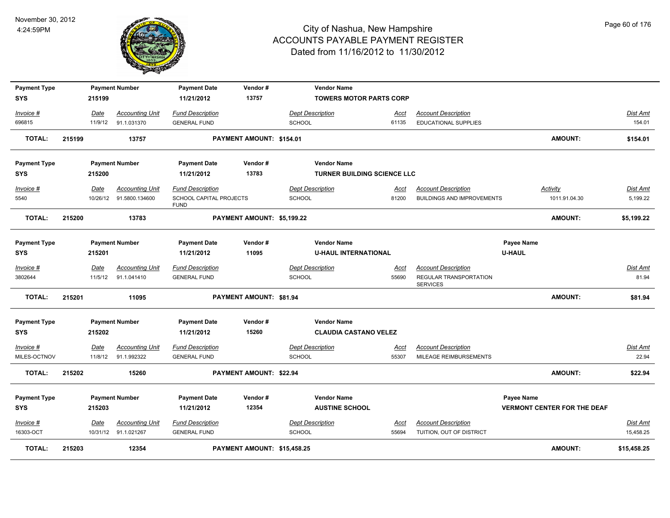

| <b>Payment Type</b><br><b>SYS</b> |        | 215199      | <b>Payment Number</b>   | <b>Payment Date</b><br>11/21/2012      | Vendor#<br>13757               | <b>Vendor Name</b>                                | <b>TOWERS MOTOR PARTS CORP</b>     |                                           |                             |                                    |                 |
|-----------------------------------|--------|-------------|-------------------------|----------------------------------------|--------------------------------|---------------------------------------------------|------------------------------------|-------------------------------------------|-----------------------------|------------------------------------|-----------------|
|                                   |        |             |                         |                                        |                                |                                                   |                                    |                                           |                             |                                    |                 |
| Invoice #                         |        | Date        | <b>Accounting Unit</b>  | <b>Fund Description</b>                |                                | <b>Dept Description</b>                           | Acct                               | <b>Account Description</b>                |                             |                                    | Dist Amt        |
| 696815                            |        | 11/9/12     | 91.1.031370             | <b>GENERAL FUND</b>                    |                                | <b>SCHOOL</b>                                     | 61135                              | <b>EDUCATIONAL SUPPLIES</b>               |                             |                                    | 154.01          |
| <b>TOTAL:</b>                     | 215199 |             | 13757                   |                                        | PAYMENT AMOUNT: \$154.01       |                                                   |                                    |                                           |                             | <b>AMOUNT:</b>                     | \$154.01        |
| <b>Payment Type</b>               |        |             | <b>Payment Number</b>   | <b>Payment Date</b>                    | Vendor#                        | <b>Vendor Name</b>                                |                                    |                                           |                             |                                    |                 |
| <b>SYS</b>                        |        | 215200      |                         | 11/21/2012                             | 13783                          |                                                   | <b>TURNER BUILDING SCIENCE LLC</b> |                                           |                             |                                    |                 |
| Invoice #                         |        | Date        | <b>Accounting Unit</b>  | <b>Fund Description</b>                |                                | <b>Dept Description</b>                           | Acct                               | <b>Account Description</b>                |                             | Activity                           | Dist Amt        |
| 5540                              |        |             | 10/26/12 91.5800.134600 | SCHOOL CAPITAL PROJECTS<br><b>FUND</b> |                                | <b>SCHOOL</b>                                     | 81200                              | <b>BUILDINGS AND IMPROVEMENTS</b>         |                             | 1011.91.04.30                      | 5,199.22        |
| <b>TOTAL:</b>                     | 215200 |             | 13783                   |                                        | PAYMENT AMOUNT: \$5,199.22     |                                                   |                                    |                                           |                             | <b>AMOUNT:</b>                     | \$5,199.22      |
| <b>Payment Type</b><br><b>SYS</b> |        | 215201      | <b>Payment Number</b>   | <b>Payment Date</b><br>11/21/2012      | Vendor#<br>11095               | <b>Vendor Name</b><br><b>U-HAUL INTERNATIONAL</b> |                                    |                                           | Payee Name<br><b>U-HAUL</b> |                                    |                 |
| Invoice #                         |        | <b>Date</b> | <b>Accounting Unit</b>  | <b>Fund Description</b>                |                                | <b>Dept Description</b>                           | <u>Acct</u>                        | <b>Account Description</b>                |                             |                                    | <b>Dist Amt</b> |
| 3802644                           |        | 11/5/12     | 91.1.041410             | <b>GENERAL FUND</b>                    |                                | <b>SCHOOL</b>                                     | 55690                              | REGULAR TRANSPORTATION<br><b>SERVICES</b> |                             |                                    | 81.94           |
| <b>TOTAL:</b>                     | 215201 |             | 11095                   |                                        | <b>PAYMENT AMOUNT: \$81.94</b> |                                                   |                                    |                                           |                             | <b>AMOUNT:</b>                     | \$81.94         |
| <b>Payment Type</b>               |        |             | <b>Payment Number</b>   | <b>Payment Date</b>                    | Vendor#                        | <b>Vendor Name</b>                                |                                    |                                           |                             |                                    |                 |
| <b>SYS</b>                        |        | 215202      |                         | 11/21/2012                             | 15260                          |                                                   | <b>CLAUDIA CASTANO VELEZ</b>       |                                           |                             |                                    |                 |
| Invoice #                         |        | <u>Date</u> | <b>Accounting Unit</b>  | <b>Fund Description</b>                |                                | <b>Dept Description</b>                           | <u>Acct</u>                        | <b>Account Description</b>                |                             |                                    | <b>Dist Amt</b> |
| MILES-OCTNOV                      |        | 11/8/12     | 91.1.992322             | <b>GENERAL FUND</b>                    |                                | <b>SCHOOL</b>                                     | 55307                              | MILEAGE REIMBURSEMENTS                    |                             |                                    | 22.94           |
| <b>TOTAL:</b>                     | 215202 |             | 15260                   |                                        | PAYMENT AMOUNT: \$22.94        |                                                   |                                    |                                           |                             | <b>AMOUNT:</b>                     | \$22.94         |
| <b>Payment Type</b>               |        |             | <b>Payment Number</b>   | <b>Payment Date</b>                    | Vendor#                        | <b>Vendor Name</b>                                |                                    |                                           | Payee Name                  |                                    |                 |
| <b>SYS</b>                        |        | 215203      |                         | 11/21/2012                             | 12354                          | <b>AUSTINE SCHOOL</b>                             |                                    |                                           |                             | <b>VERMONT CENTER FOR THE DEAF</b> |                 |
| Invoice #                         |        | Date        | <b>Accounting Unit</b>  | <b>Fund Description</b>                |                                | <b>Dept Description</b>                           | Acct                               | <b>Account Description</b>                |                             |                                    | Dist Amt        |
| 16303-OCT                         |        |             | 10/31/12 91.1.021267    | <b>GENERAL FUND</b>                    |                                | <b>SCHOOL</b>                                     | 55694                              | TUITION, OUT OF DISTRICT                  |                             |                                    | 15,458.25       |
| <b>TOTAL:</b>                     | 215203 |             | 12354                   |                                        | PAYMENT AMOUNT: \$15,458.25    |                                                   |                                    |                                           |                             | <b>AMOUNT:</b>                     | \$15,458.25     |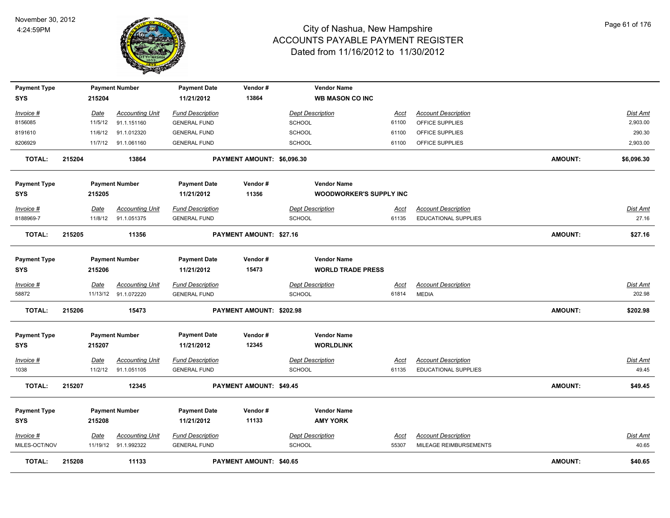

| <b>Payment Type</b> |        |         | <b>Payment Number</b>  | <b>Payment Date</b>     | Vendor#                        | <b>Vendor Name</b>             |             |                             |                |                 |
|---------------------|--------|---------|------------------------|-------------------------|--------------------------------|--------------------------------|-------------|-----------------------------|----------------|-----------------|
| <b>SYS</b>          |        | 215204  |                        | 11/21/2012              | 13864                          | <b>WB MASON CO INC</b>         |             |                             |                |                 |
| Invoice #           |        | Date    | <b>Accounting Unit</b> | <b>Fund Description</b> |                                | <b>Dept Description</b>        | <b>Acct</b> | <b>Account Description</b>  |                | <b>Dist Amt</b> |
| 8156085             |        | 11/5/12 | 91.1.151160            | <b>GENERAL FUND</b>     |                                | <b>SCHOOL</b>                  | 61100       | OFFICE SUPPLIES             |                | 2,903.00        |
| 8191610             |        | 11/6/12 | 91.1.012320            | <b>GENERAL FUND</b>     |                                | <b>SCHOOL</b>                  | 61100       | OFFICE SUPPLIES             |                | 290.30          |
| 8206929             |        | 11/7/12 | 91.1.061160            | <b>GENERAL FUND</b>     |                                | <b>SCHOOL</b>                  | 61100       | OFFICE SUPPLIES             |                | 2,903.00        |
| <b>TOTAL:</b>       | 215204 |         | 13864                  |                         | PAYMENT AMOUNT: \$6,096.30     |                                |             |                             | <b>AMOUNT:</b> | \$6,096.30      |
| <b>Payment Type</b> |        |         | <b>Payment Number</b>  | <b>Payment Date</b>     | Vendor#                        | <b>Vendor Name</b>             |             |                             |                |                 |
| <b>SYS</b>          |        | 215205  |                        | 11/21/2012              | 11356                          | <b>WOODWORKER'S SUPPLY INC</b> |             |                             |                |                 |
| Invoice #           |        | Date    | <b>Accounting Unit</b> | <b>Fund Description</b> |                                | <b>Dept Description</b>        | Acct        | <b>Account Description</b>  |                | Dist Amt        |
| 8188969-7           |        | 11/8/12 | 91.1.051375            | <b>GENERAL FUND</b>     |                                | <b>SCHOOL</b>                  | 61135       | <b>EDUCATIONAL SUPPLIES</b> |                | 27.16           |
| <b>TOTAL:</b>       | 215205 |         | 11356                  |                         | <b>PAYMENT AMOUNT: \$27.16</b> |                                |             |                             | <b>AMOUNT:</b> | \$27.16         |
| <b>Payment Type</b> |        |         | <b>Payment Number</b>  | <b>Payment Date</b>     | Vendor#                        | <b>Vendor Name</b>             |             |                             |                |                 |
| <b>SYS</b>          |        | 215206  |                        | 11/21/2012              | 15473                          | <b>WORLD TRADE PRESS</b>       |             |                             |                |                 |
| Invoice #           |        | Date    | <b>Accounting Unit</b> | <b>Fund Description</b> |                                | <b>Dept Description</b>        | <u>Acct</u> | <b>Account Description</b>  |                | Dist Amt        |
| 58872               |        |         | 11/13/12 91.1.072220   | <b>GENERAL FUND</b>     |                                | <b>SCHOOL</b>                  | 61814       | <b>MEDIA</b>                |                | 202.98          |
| <b>TOTAL:</b>       | 215206 |         | 15473                  |                         | PAYMENT AMOUNT: \$202.98       |                                |             |                             | <b>AMOUNT:</b> | \$202.98        |
| <b>Payment Type</b> |        |         | <b>Payment Number</b>  | <b>Payment Date</b>     | Vendor#                        | <b>Vendor Name</b>             |             |                             |                |                 |
| <b>SYS</b>          |        | 215207  |                        | 11/21/2012              | 12345                          | <b>WORLDLINK</b>               |             |                             |                |                 |
| Invoice #           |        | Date    | <b>Accounting Unit</b> | <b>Fund Description</b> |                                | <b>Dept Description</b>        | <u>Acct</u> | <b>Account Description</b>  |                | Dist Amt        |
| 1038                |        | 11/2/12 | 91.1.051105            | <b>GENERAL FUND</b>     |                                | <b>SCHOOL</b>                  | 61135       | <b>EDUCATIONAL SUPPLIES</b> |                | 49.45           |
| <b>TOTAL:</b>       | 215207 |         | 12345                  |                         | <b>PAYMENT AMOUNT: \$49.45</b> |                                |             |                             | <b>AMOUNT:</b> | \$49.45         |
| <b>Payment Type</b> |        |         | <b>Payment Number</b>  | <b>Payment Date</b>     | Vendor#                        | <b>Vendor Name</b>             |             |                             |                |                 |
| <b>SYS</b>          |        | 215208  |                        | 11/21/2012              | 11133                          | <b>AMY YORK</b>                |             |                             |                |                 |
| Invoice #           |        | Date    | <b>Accounting Unit</b> | <b>Fund Description</b> |                                | <b>Dept Description</b>        | <u>Acct</u> | <b>Account Description</b>  |                | Dist Amt        |
| MILES-OCT/NOV       |        |         | 11/19/12 91.1.992322   | <b>GENERAL FUND</b>     |                                | <b>SCHOOL</b>                  | 55307       | MILEAGE REIMBURSEMENTS      |                | 40.65           |
| <b>TOTAL:</b>       | 215208 |         | 11133                  |                         | PAYMENT AMOUNT: \$40.65        |                                |             |                             | <b>AMOUNT:</b> | \$40.65         |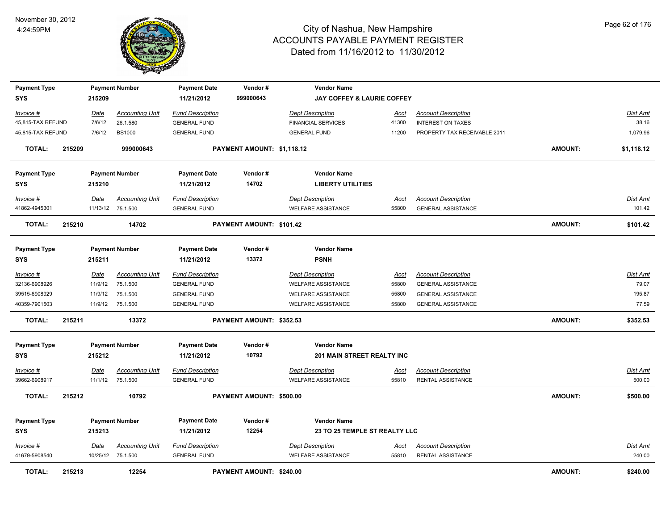

| <b>Payment Type</b>        |        |             | <b>Payment Number</b>                       | <b>Payment Date</b>                            | Vendor#                    | <b>Vendor Name</b>                                   |                      |                                                         |                |                           |
|----------------------------|--------|-------------|---------------------------------------------|------------------------------------------------|----------------------------|------------------------------------------------------|----------------------|---------------------------------------------------------|----------------|---------------------------|
| SYS                        |        | 215209      |                                             | 11/21/2012                                     | 999000643                  | <b>JAY COFFEY &amp; LAURIE COFFEY</b>                |                      |                                                         |                |                           |
| <u>Invoice #</u>           |        | <u>Date</u> | <b>Accounting Unit</b>                      | <b>Fund Description</b>                        |                            | <b>Dept Description</b>                              | <u>Acct</u>          | <b>Account Description</b>                              |                | <b>Dist Amt</b>           |
| 45,815-TAX REFUND          |        | 7/6/12      | 26.1.580                                    | <b>GENERAL FUND</b>                            |                            | <b>FINANCIAL SERVICES</b>                            | 41300                | <b>INTEREST ON TAXES</b>                                |                | 38.16                     |
| 45,815-TAX REFUND          |        | 7/6/12      | <b>BS1000</b>                               | <b>GENERAL FUND</b>                            |                            | <b>GENERAL FUND</b>                                  | 11200                | PROPERTY TAX RECEIVABLE 2011                            |                | 1,079.96                  |
| <b>TOTAL:</b>              | 215209 |             | 999000643                                   |                                                | PAYMENT AMOUNT: \$1,118.12 |                                                      |                      |                                                         | <b>AMOUNT:</b> | \$1,118.12                |
| <b>Payment Type</b>        |        |             | <b>Payment Number</b>                       | <b>Payment Date</b>                            | Vendor#                    | <b>Vendor Name</b>                                   |                      |                                                         |                |                           |
| SYS                        |        | 215210      |                                             | 11/21/2012                                     | 14702                      | <b>LIBERTY UTILITIES</b>                             |                      |                                                         |                |                           |
| Invoice #<br>41862-4945301 |        | Date        | <b>Accounting Unit</b><br>11/13/12 75.1.500 | <b>Fund Description</b><br><b>GENERAL FUND</b> |                            | <b>Dept Description</b><br><b>WELFARE ASSISTANCE</b> | Acct<br>55800        | <b>Account Description</b><br><b>GENERAL ASSISTANCE</b> |                | <u>Dist Amt</u><br>101.42 |
|                            |        |             |                                             |                                                |                            |                                                      |                      |                                                         |                |                           |
| <b>TOTAL:</b>              | 215210 |             | 14702                                       |                                                | PAYMENT AMOUNT: \$101.42   |                                                      |                      |                                                         | <b>AMOUNT:</b> | \$101.42                  |
| <b>Payment Type</b>        |        |             | <b>Payment Number</b>                       | <b>Payment Date</b>                            | Vendor#                    | <b>Vendor Name</b>                                   |                      |                                                         |                |                           |
| <b>SYS</b>                 |        | 215211      |                                             | 11/21/2012                                     | 13372                      | <b>PSNH</b>                                          |                      |                                                         |                |                           |
| Invoice #                  |        | Date        | <b>Accounting Unit</b>                      | <b>Fund Description</b>                        |                            | <b>Dept Description</b>                              | Acct                 | <b>Account Description</b>                              |                | Dist Amt                  |
| 32136-6908926              |        | 11/9/12     | 75.1.500                                    | <b>GENERAL FUND</b>                            |                            | <b>WELFARE ASSISTANCE</b>                            | 55800                | <b>GENERAL ASSISTANCE</b>                               |                | 79.07                     |
| 39515-6908929              |        | 11/9/12     | 75.1.500                                    | <b>GENERAL FUND</b>                            |                            | <b>WELFARE ASSISTANCE</b>                            | 55800                | <b>GENERAL ASSISTANCE</b>                               |                | 195.87                    |
| 40359-7901503              |        |             | 11/9/12 75.1.500                            | <b>GENERAL FUND</b>                            |                            | <b>WELFARE ASSISTANCE</b>                            | 55800                | <b>GENERAL ASSISTANCE</b>                               |                | 77.59                     |
| <b>TOTAL:</b>              | 215211 |             | 13372                                       |                                                | PAYMENT AMOUNT: \$352.53   |                                                      |                      |                                                         | <b>AMOUNT:</b> | \$352.53                  |
| <b>Payment Type</b>        |        |             | <b>Payment Number</b>                       | <b>Payment Date</b>                            | Vendor#                    | <b>Vendor Name</b>                                   |                      |                                                         |                |                           |
| <b>SYS</b>                 |        | 215212      |                                             | 11/21/2012                                     | 10792                      | 201 MAIN STREET REALTY INC                           |                      |                                                         |                |                           |
| Invoice #                  |        | <b>Date</b> | <b>Accounting Unit</b>                      | <b>Fund Description</b>                        |                            | <b>Dept Description</b>                              | <u>Acct</u>          | <b>Account Description</b>                              |                | Dist Amt                  |
| 39662-6908917              |        | 11/1/12     | 75.1.500                                    | <b>GENERAL FUND</b>                            |                            | <b>WELFARE ASSISTANCE</b>                            | 55810                | <b>RENTAL ASSISTANCE</b>                                |                | 500.00                    |
| <b>TOTAL:</b>              | 215212 |             | 10792                                       |                                                | PAYMENT AMOUNT: \$500.00   |                                                      |                      |                                                         | <b>AMOUNT:</b> | \$500.00                  |
| <b>Payment Type</b>        |        |             | <b>Payment Number</b>                       | <b>Payment Date</b>                            | Vendor#                    | <b>Vendor Name</b>                                   |                      |                                                         |                |                           |
| <b>SYS</b>                 |        | 215213      |                                             | 11/21/2012                                     | 12254                      | 23 TO 25 TEMPLE ST REALTY LLC                        |                      |                                                         |                |                           |
|                            |        |             |                                             |                                                |                            |                                                      |                      |                                                         |                |                           |
| Invoice #<br>41679-5908540 |        | Date        | <b>Accounting Unit</b><br>10/25/12 75.1.500 | <b>Fund Description</b><br><b>GENERAL FUND</b> |                            | <b>Dept Description</b><br><b>WELFARE ASSISTANCE</b> | <u>Acct</u><br>55810 | <b>Account Description</b><br>RENTAL ASSISTANCE         |                | <u>Dist Amt</u><br>240.00 |
|                            |        |             |                                             |                                                |                            |                                                      |                      |                                                         |                |                           |
| <b>TOTAL:</b>              | 215213 |             | 12254                                       |                                                | PAYMENT AMOUNT: \$240.00   |                                                      |                      |                                                         | <b>AMOUNT:</b> | \$240.00                  |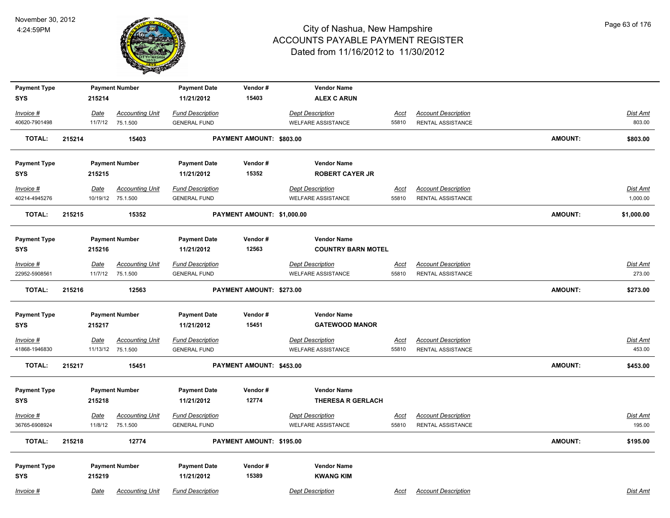

| <b>Payment Type</b> |        |             | <b>Payment Number</b>  | <b>Payment Date</b>     | Vendor#                    | <b>Vendor Name</b>        |             |                            |                |                 |
|---------------------|--------|-------------|------------------------|-------------------------|----------------------------|---------------------------|-------------|----------------------------|----------------|-----------------|
| <b>SYS</b>          |        | 215214      |                        | 11/21/2012              | 15403                      | <b>ALEX C ARUN</b>        |             |                            |                |                 |
| Invoice #           |        | Date        | <b>Accounting Unit</b> | <b>Fund Description</b> |                            | <b>Dept Description</b>   | <u>Acct</u> | <b>Account Description</b> |                | Dist Amt        |
| 40620-7901498       |        | 11/7/12     | 75.1.500               | <b>GENERAL FUND</b>     |                            | <b>WELFARE ASSISTANCE</b> | 55810       | RENTAL ASSISTANCE          |                | 803.00          |
| <b>TOTAL:</b>       | 215214 |             | 15403                  |                         | PAYMENT AMOUNT: \$803.00   |                           |             |                            | <b>AMOUNT:</b> | \$803.00        |
| <b>Payment Type</b> |        |             | <b>Payment Number</b>  | <b>Payment Date</b>     | Vendor#                    | <b>Vendor Name</b>        |             |                            |                |                 |
| <b>SYS</b>          |        | 215215      |                        | 11/21/2012              | 15352                      | <b>ROBERT CAYER JR</b>    |             |                            |                |                 |
| $Invoice$ #         |        | <u>Date</u> | <b>Accounting Unit</b> | <b>Fund Description</b> |                            | <b>Dept Description</b>   | <u>Acct</u> | <b>Account Description</b> |                | <b>Dist Amt</b> |
| 40214-4945276       |        |             | 10/19/12 75.1.500      | <b>GENERAL FUND</b>     |                            | <b>WELFARE ASSISTANCE</b> | 55810       | RENTAL ASSISTANCE          |                | 1,000.00        |
| <b>TOTAL:</b>       | 215215 |             | 15352                  |                         | PAYMENT AMOUNT: \$1,000.00 |                           |             |                            | <b>AMOUNT:</b> | \$1,000.00      |
| <b>Payment Type</b> |        |             | <b>Payment Number</b>  | <b>Payment Date</b>     | Vendor#                    | <b>Vendor Name</b>        |             |                            |                |                 |
| <b>SYS</b>          |        | 215216      |                        | 11/21/2012              | 12563                      | <b>COUNTRY BARN MOTEL</b> |             |                            |                |                 |
| $Invoice$ #         |        | Date        | <b>Accounting Unit</b> | <b>Fund Description</b> |                            | <b>Dept Description</b>   | <u>Acct</u> | <b>Account Description</b> |                | Dist Amt        |
| 22952-5908561       |        | 11/7/12     | 75.1.500               | <b>GENERAL FUND</b>     |                            | <b>WELFARE ASSISTANCE</b> | 55810       | RENTAL ASSISTANCE          |                | 273.00          |
| <b>TOTAL:</b>       | 215216 |             | 12563                  |                         | PAYMENT AMOUNT: \$273.00   |                           |             |                            | <b>AMOUNT:</b> | \$273.00        |
| <b>Payment Type</b> |        |             | <b>Payment Number</b>  | <b>Payment Date</b>     | Vendor#                    | <b>Vendor Name</b>        |             |                            |                |                 |
| <b>SYS</b>          |        | 215217      |                        | 11/21/2012              | 15451                      | <b>GATEWOOD MANOR</b>     |             |                            |                |                 |
| <u>Invoice #</u>    |        | <b>Date</b> | <b>Accounting Unit</b> | <b>Fund Description</b> |                            | <b>Dept Description</b>   | <u>Acct</u> | <b>Account Description</b> |                | <b>Dist Amt</b> |
| 41868-1946830       |        |             | 11/13/12 75.1.500      | <b>GENERAL FUND</b>     |                            | <b>WELFARE ASSISTANCE</b> | 55810       | RENTAL ASSISTANCE          |                | 453.00          |
| <b>TOTAL:</b>       | 215217 |             | 15451                  |                         | PAYMENT AMOUNT: \$453.00   |                           |             |                            | <b>AMOUNT:</b> | \$453.00        |
| <b>Payment Type</b> |        |             | <b>Payment Number</b>  | <b>Payment Date</b>     | Vendor#                    | <b>Vendor Name</b>        |             |                            |                |                 |
| <b>SYS</b>          |        | 215218      |                        | 11/21/2012              | 12774                      | <b>THERESA R GERLACH</b>  |             |                            |                |                 |
| $Invoice$ #         |        | Date        | <b>Accounting Unit</b> | <b>Fund Description</b> |                            | <b>Dept Description</b>   | <u>Acct</u> | <b>Account Description</b> |                | Dist Amt        |
| 36765-6908924       |        | 11/8/12     | 75.1.500               | <b>GENERAL FUND</b>     |                            | <b>WELFARE ASSISTANCE</b> | 55810       | RENTAL ASSISTANCE          |                | 195.00          |
| <b>TOTAL:</b>       | 215218 |             | 12774                  |                         | PAYMENT AMOUNT: \$195.00   |                           |             |                            | <b>AMOUNT:</b> | \$195.00        |
| <b>Payment Type</b> |        |             | <b>Payment Number</b>  | <b>Payment Date</b>     | Vendor#                    | <b>Vendor Name</b>        |             |                            |                |                 |
| <b>SYS</b>          |        | 215219      |                        | 11/21/2012              | 15389                      | <b>KWANG KIM</b>          |             |                            |                |                 |
| Invoice #           |        | Date        | <b>Accounting Unit</b> | <b>Fund Description</b> |                            | <b>Dept Description</b>   | Acct        | <b>Account Description</b> |                | Dist Amt        |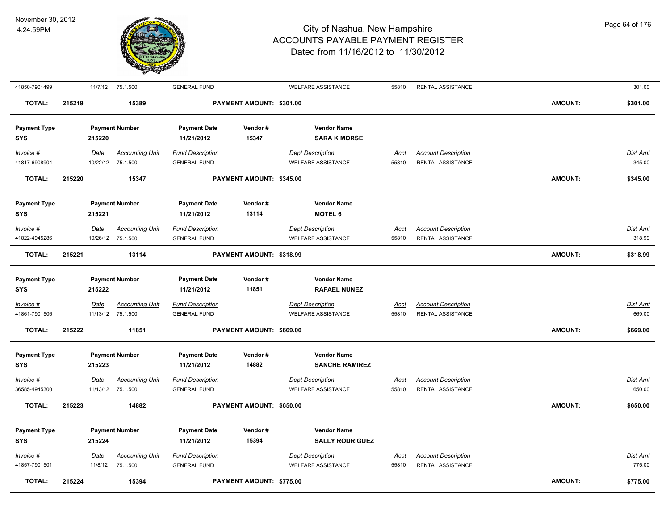

| 41850-7901499              |        |                 | 11/7/12 75.1.500                            | <b>GENERAL FUND</b>                            |                                 | <b>WELFARE ASSISTANCE</b>                            | 55810         | RENTAL ASSISTANCE                                      |                | 301.00                    |
|----------------------------|--------|-----------------|---------------------------------------------|------------------------------------------------|---------------------------------|------------------------------------------------------|---------------|--------------------------------------------------------|----------------|---------------------------|
| <b>TOTAL:</b>              | 215219 |                 | 15389                                       |                                                | PAYMENT AMOUNT: \$301.00        |                                                      |               |                                                        | <b>AMOUNT:</b> | \$301.00                  |
| <b>Payment Type</b><br>SYS |        | 215220          | <b>Payment Number</b>                       | <b>Payment Date</b><br>11/21/2012              | Vendor#<br>15347                | <b>Vendor Name</b><br><b>SARA K MORSE</b>            |               |                                                        |                |                           |
| Invoice #<br>41817-6908904 |        | Date            | <b>Accounting Unit</b><br>10/22/12 75.1.500 | <b>Fund Description</b><br><b>GENERAL FUND</b> |                                 | <b>Dept Description</b><br><b>WELFARE ASSISTANCE</b> | Acct<br>55810 | <b>Account Description</b><br>RENTAL ASSISTANCE        |                | Dist Amt<br>345.00        |
| <b>TOTAL:</b>              | 215220 |                 | 15347                                       |                                                | PAYMENT AMOUNT: \$345.00        |                                                      |               |                                                        | <b>AMOUNT:</b> | \$345.00                  |
| <b>Payment Type</b><br>SYS |        | 215221          | <b>Payment Number</b>                       | <b>Payment Date</b><br>11/21/2012              | Vendor#<br>13114                | <b>Vendor Name</b><br><b>MOTEL 6</b>                 |               |                                                        |                |                           |
| Invoice #                  |        | Date            | <b>Accounting Unit</b>                      | <b>Fund Description</b>                        |                                 | <b>Dept Description</b>                              | <u>Acct</u>   | <b>Account Description</b>                             |                | Dist Amt                  |
| 41822-4945286              |        |                 | 10/26/12 75.1.500                           | <b>GENERAL FUND</b>                            |                                 | <b>WELFARE ASSISTANCE</b>                            | 55810         | <b>RENTAL ASSISTANCE</b>                               |                | 318.99                    |
| <b>TOTAL:</b>              | 215221 |                 | 13114                                       |                                                | PAYMENT AMOUNT: \$318.99        |                                                      |               |                                                        | <b>AMOUNT:</b> | \$318.99                  |
| <b>Payment Type</b>        |        |                 | <b>Payment Number</b>                       | <b>Payment Date</b>                            | Vendor#                         | <b>Vendor Name</b>                                   |               |                                                        |                |                           |
| SYS                        |        | 215222          |                                             | 11/21/2012                                     | 11851                           | <b>RAFAEL NUNEZ</b>                                  |               |                                                        |                |                           |
| Invoice #                  |        | <b>Date</b>     | <b>Accounting Unit</b>                      | <b>Fund Description</b>                        |                                 | <b>Dept Description</b>                              | <u>Acct</u>   | <b>Account Description</b>                             |                | Dist Amt                  |
| 41861-7901506              |        |                 | 11/13/12 75.1.500                           | <b>GENERAL FUND</b>                            |                                 | <b>WELFARE ASSISTANCE</b>                            | 55810         | RENTAL ASSISTANCE                                      |                | 669.00                    |
| <b>TOTAL:</b>              | 215222 |                 | 11851                                       |                                                | PAYMENT AMOUNT: \$669.00        |                                                      |               |                                                        | <b>AMOUNT:</b> | \$669.00                  |
| <b>Payment Type</b>        |        |                 | <b>Payment Number</b>                       | <b>Payment Date</b>                            | Vendor#                         | <b>Vendor Name</b>                                   |               |                                                        |                |                           |
| SYS                        |        | 215223          |                                             | 11/21/2012                                     | 14882                           | <b>SANCHE RAMIREZ</b>                                |               |                                                        |                |                           |
| Invoice #                  |        | Date            | <b>Accounting Unit</b>                      | <b>Fund Description</b>                        |                                 | <b>Dept Description</b>                              | <u>Acct</u>   | <b>Account Description</b>                             |                | <b>Dist Amt</b>           |
| 36585-4945300              |        |                 | 11/13/12 75.1.500                           | <b>GENERAL FUND</b>                            |                                 | <b>WELFARE ASSISTANCE</b>                            | 55810         | <b>RENTAL ASSISTANCE</b>                               |                | 650.00                    |
| <b>TOTAL:</b>              | 215223 |                 | 14882                                       |                                                | PAYMENT AMOUNT: \$650.00        |                                                      |               |                                                        | <b>AMOUNT:</b> | \$650.00                  |
| <b>Payment Type</b>        |        |                 | <b>Payment Number</b>                       | <b>Payment Date</b>                            | Vendor#                         | <b>Vendor Name</b>                                   |               |                                                        |                |                           |
| SYS                        |        | 215224          |                                             | 11/21/2012                                     | 15394                           | <b>SALLY RODRIGUEZ</b>                               |               |                                                        |                |                           |
| Invoice #<br>41857-7901501 |        | Date<br>11/8/12 | <b>Accounting Unit</b><br>75.1.500          | <b>Fund Description</b><br><b>GENERAL FUND</b> |                                 | <b>Dept Description</b><br><b>WELFARE ASSISTANCE</b> | Acct<br>55810 | <b>Account Description</b><br><b>RENTAL ASSISTANCE</b> |                | <b>Dist Amt</b><br>775.00 |
| <b>TOTAL:</b>              | 215224 |                 | 15394                                       |                                                | <b>PAYMENT AMOUNT: \$775.00</b> |                                                      |               |                                                        | <b>AMOUNT:</b> | \$775.00                  |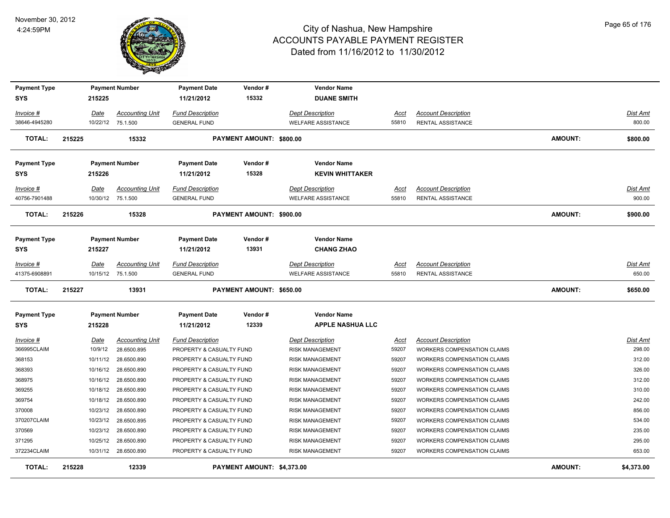

| <b>Payment Type</b> |        |             | <b>Payment Number</b>  | <b>Payment Date</b>      | Vendor#                         | <b>Vendor Name</b>        |             |                                    |                |                 |
|---------------------|--------|-------------|------------------------|--------------------------|---------------------------------|---------------------------|-------------|------------------------------------|----------------|-----------------|
| SYS                 |        | 215225      |                        | 11/21/2012               | 15332                           | <b>DUANE SMITH</b>        |             |                                    |                |                 |
| Invoice #           |        | Date        | <b>Accounting Unit</b> | <b>Fund Description</b>  |                                 | <b>Dept Description</b>   | Acct        | <b>Account Description</b>         |                | Dist Amt        |
| 38646-4945280       |        |             | 10/22/12 75.1.500      | <b>GENERAL FUND</b>      |                                 | <b>WELFARE ASSISTANCE</b> | 55810       | <b>RENTAL ASSISTANCE</b>           |                | 800.00          |
| <b>TOTAL:</b>       | 215225 |             | 15332                  |                          | <b>PAYMENT AMOUNT: \$800.00</b> |                           |             |                                    | <b>AMOUNT:</b> | \$800.00        |
| <b>Payment Type</b> |        |             | <b>Payment Number</b>  | <b>Payment Date</b>      | Vendor#                         | <b>Vendor Name</b>        |             |                                    |                |                 |
| <b>SYS</b>          |        | 215226      |                        | 11/21/2012               | 15328                           | <b>KEVIN WHITTAKER</b>    |             |                                    |                |                 |
| Invoice #           |        | <u>Date</u> | <b>Accounting Unit</b> | <b>Fund Description</b>  |                                 | <b>Dept Description</b>   | Acct        | <b>Account Description</b>         |                | Dist Amt        |
| 40756-7901488       |        |             | 10/30/12 75.1.500      | <b>GENERAL FUND</b>      |                                 | <b>WELFARE ASSISTANCE</b> | 55810       | <b>RENTAL ASSISTANCE</b>           |                | 900.00          |
| <b>TOTAL:</b>       | 215226 |             | 15328                  |                          | PAYMENT AMOUNT: \$900.00        |                           |             |                                    | <b>AMOUNT:</b> | \$900.00        |
| <b>Payment Type</b> |        |             | <b>Payment Number</b>  | <b>Payment Date</b>      | Vendor#                         | <b>Vendor Name</b>        |             |                                    |                |                 |
| <b>SYS</b>          |        | 215227      |                        | 11/21/2012               | 13931                           | <b>CHANG ZHAO</b>         |             |                                    |                |                 |
|                     |        |             |                        |                          |                                 |                           |             |                                    |                |                 |
| Invoice #           |        | Date        | <b>Accounting Unit</b> | <b>Fund Description</b>  |                                 | <b>Dept Description</b>   | Acct        | <b>Account Description</b>         |                | Dist Amt        |
| 41375-6908891       |        |             | 10/15/12 75.1.500      | <b>GENERAL FUND</b>      |                                 | <b>WELFARE ASSISTANCE</b> | 55810       | <b>RENTAL ASSISTANCE</b>           |                | 650.00          |
|                     |        |             |                        |                          |                                 |                           |             |                                    |                |                 |
| <b>TOTAL:</b>       | 215227 |             | 13931                  |                          | PAYMENT AMOUNT: \$650.00        |                           |             |                                    | <b>AMOUNT:</b> | \$650.00        |
| <b>Payment Type</b> |        |             | <b>Payment Number</b>  | <b>Payment Date</b>      | Vendor#                         | <b>Vendor Name</b>        |             |                                    |                |                 |
| <b>SYS</b>          |        | 215228      |                        | 11/21/2012               | 12339                           | <b>APPLE NASHUA LLC</b>   |             |                                    |                |                 |
| Invoice #           |        | Date        | <b>Accounting Unit</b> | <b>Fund Description</b>  |                                 | <b>Dept Description</b>   | <b>Acct</b> | <b>Account Description</b>         |                | <u>Dist Amt</u> |
| 366995CLAIM         |        | 10/9/12     | 28.6500.895            | PROPERTY & CASUALTY FUND |                                 | <b>RISK MANAGEMENT</b>    | 59207       | WORKERS COMPENSATION CLAIMS        |                | 298.00          |
| 368153              |        | 10/11/12    | 28.6500.890            | PROPERTY & CASUALTY FUND |                                 | <b>RISK MANAGEMENT</b>    | 59207       | WORKERS COMPENSATION CLAIMS        |                | 312.00          |
| 368393              |        | 10/16/12    | 28.6500.890            | PROPERTY & CASUALTY FUND |                                 | <b>RISK MANAGEMENT</b>    | 59207       | WORKERS COMPENSATION CLAIMS        |                | 326.00          |
| 368975              |        | 10/16/12    | 28.6500.890            | PROPERTY & CASUALTY FUND |                                 | <b>RISK MANAGEMENT</b>    | 59207       | <b>WORKERS COMPENSATION CLAIMS</b> |                | 312.00          |
| 369255              |        | 10/18/12    | 28.6500.890            | PROPERTY & CASUALTY FUND |                                 | <b>RISK MANAGEMENT</b>    | 59207       | WORKERS COMPENSATION CLAIMS        |                | 310.00          |
| 369754              |        | 10/18/12    | 28.6500.890            | PROPERTY & CASUALTY FUND |                                 | <b>RISK MANAGEMENT</b>    | 59207       | WORKERS COMPENSATION CLAIMS        |                | 242.00          |
| 370008              |        | 10/23/12    | 28.6500.890            | PROPERTY & CASUALTY FUND |                                 | <b>RISK MANAGEMENT</b>    | 59207       | <b>WORKERS COMPENSATION CLAIMS</b> |                | 856.00          |
| 370207CLAIM         |        | 10/23/12    | 28.6500.895            | PROPERTY & CASUALTY FUND |                                 | <b>RISK MANAGEMENT</b>    | 59207       | WORKERS COMPENSATION CLAIMS        |                | 534.00          |
| 370569              |        | 10/23/12    | 28.6500.890            | PROPERTY & CASUALTY FUND |                                 | <b>RISK MANAGEMENT</b>    | 59207       | WORKERS COMPENSATION CLAIMS        |                | 235.00          |
| 371295              |        | 10/25/12    | 28.6500.890            | PROPERTY & CASUALTY FUND |                                 | <b>RISK MANAGEMENT</b>    | 59207       | WORKERS COMPENSATION CLAIMS        |                | 295.00          |
| 372234CLAIM         |        | 10/31/12    | 28.6500.890            | PROPERTY & CASUALTY FUND |                                 | <b>RISK MANAGEMENT</b>    | 59207       | <b>WORKERS COMPENSATION CLAIMS</b> |                | 653.00          |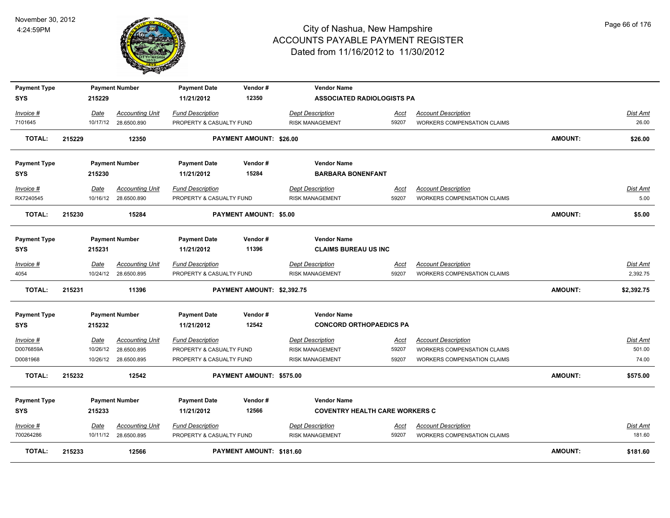

| <b>Payment Type</b><br>SYS        |        | 215229      | <b>Payment Number</b>                          | <b>Payment Date</b><br>11/21/2012                   | Vendor#<br>12350           | <b>Vendor Name</b><br><b>ASSOCIATED RADIOLOGISTS PA</b>     |               |                                                                  |                |                    |
|-----------------------------------|--------|-------------|------------------------------------------------|-----------------------------------------------------|----------------------------|-------------------------------------------------------------|---------------|------------------------------------------------------------------|----------------|--------------------|
| Invoice #                         |        | Date        | <b>Accounting Unit</b>                         | <b>Fund Description</b>                             |                            | <b>Dept Description</b>                                     | Acct          | <b>Account Description</b>                                       |                | <u>Dist Amt</u>    |
| 7101645                           |        |             | 10/17/12 28.6500.890                           | PROPERTY & CASUALTY FUND                            |                            | <b>RISK MANAGEMENT</b>                                      | 59207         | <b>WORKERS COMPENSATION CLAIMS</b>                               |                | 26.00              |
| <b>TOTAL:</b>                     | 215229 |             | 12350                                          |                                                     | PAYMENT AMOUNT: \$26.00    |                                                             |               |                                                                  | <b>AMOUNT:</b> | \$26.00            |
| <b>Payment Type</b><br>SYS        |        | 215230      | <b>Payment Number</b>                          | <b>Payment Date</b><br>11/21/2012                   | Vendor#<br>15284           | <b>Vendor Name</b><br><b>BARBARA BONENFANT</b>              |               |                                                                  |                |                    |
| Invoice #                         |        | Date        | <b>Accounting Unit</b>                         | <b>Fund Description</b>                             |                            | <b>Dept Description</b>                                     | Acct          | <b>Account Description</b>                                       |                | Dist Amt           |
| RX7240545                         |        |             | 10/16/12 28.6500.890                           | PROPERTY & CASUALTY FUND                            |                            | <b>RISK MANAGEMENT</b>                                      | 59207         | <b>WORKERS COMPENSATION CLAIMS</b>                               |                | 5.00               |
| <b>TOTAL:</b>                     | 215230 |             | 15284                                          |                                                     | PAYMENT AMOUNT: \$5.00     |                                                             |               |                                                                  | AMOUNT:        | \$5.00             |
| <b>Payment Type</b><br><b>SYS</b> |        | 215231      | <b>Payment Number</b>                          | <b>Payment Date</b><br>11/21/2012                   | Vendor#<br>11396           | <b>Vendor Name</b><br><b>CLAIMS BUREAU US INC</b>           |               |                                                                  |                |                    |
| Invoice #                         |        | Date        | <b>Accounting Unit</b>                         | <b>Fund Description</b>                             |                            | <b>Dept Description</b>                                     | Acct          | <b>Account Description</b>                                       |                | Dist Amt           |
| 4054                              |        |             | 10/24/12 28.6500.895                           | PROPERTY & CASUALTY FUND                            |                            | <b>RISK MANAGEMENT</b>                                      | 59207         | <b>WORKERS COMPENSATION CLAIMS</b>                               |                | 2,392.75           |
| <b>TOTAL:</b>                     | 215231 |             | 11396                                          |                                                     | PAYMENT AMOUNT: \$2,392.75 |                                                             |               |                                                                  | <b>AMOUNT:</b> | \$2,392.75         |
| <b>Payment Type</b><br>SYS        |        | 215232      | <b>Payment Number</b>                          | <b>Payment Date</b><br>11/21/2012                   | Vendor#<br>12542           | <b>Vendor Name</b><br><b>CONCORD ORTHOPAEDICS PA</b>        |               |                                                                  |                |                    |
| Invoice #                         |        | <u>Date</u> | <b>Accounting Unit</b>                         | <b>Fund Description</b>                             |                            | <b>Dept Description</b>                                     | <u>Acct</u>   | <b>Account Description</b>                                       |                | <b>Dist Amt</b>    |
| D0076859A                         |        |             | 10/26/12 28.6500.895                           | PROPERTY & CASUALTY FUND                            |                            | <b>RISK MANAGEMENT</b>                                      | 59207         | <b>WORKERS COMPENSATION CLAIMS</b>                               |                | 501.00             |
| D0081968                          |        |             | 10/26/12 28.6500.895                           | PROPERTY & CASUALTY FUND                            |                            | <b>RISK MANAGEMENT</b>                                      | 59207         | <b>WORKERS COMPENSATION CLAIMS</b>                               |                | 74.00              |
| <b>TOTAL:</b>                     | 215232 |             | 12542                                          |                                                     | PAYMENT AMOUNT: \$575.00   |                                                             |               |                                                                  | AMOUNT:        | \$575.00           |
| <b>Payment Type</b><br><b>SYS</b> |        | 215233      | <b>Payment Number</b>                          | <b>Payment Date</b><br>11/21/2012                   | Vendor#<br>12566           | <b>Vendor Name</b><br><b>COVENTRY HEALTH CARE WORKERS C</b> |               |                                                                  |                |                    |
| Invoice #<br>700264286            |        | Date        | <b>Accounting Unit</b><br>10/11/12 28.6500.895 | <b>Fund Description</b><br>PROPERTY & CASUALTY FUND |                            | <b>Dept Description</b><br><b>RISK MANAGEMENT</b>           | Acct<br>59207 | <b>Account Description</b><br><b>WORKERS COMPENSATION CLAIMS</b> |                | Dist Amt<br>181.60 |
| <b>TOTAL:</b>                     | 215233 |             | 12566                                          |                                                     | PAYMENT AMOUNT: \$181.60   |                                                             |               |                                                                  | <b>AMOUNT:</b> | \$181.60           |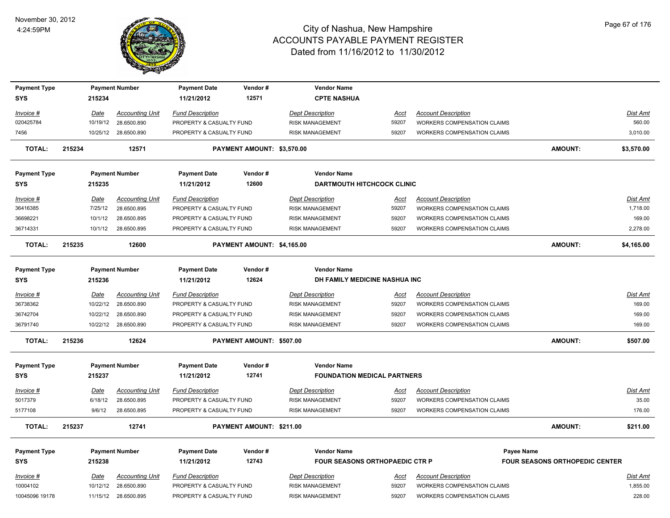

| <b>Payment Type</b>         |        |                        | <b>Payment Number</b>                 | <b>Payment Date</b>                                 | Vendor#                    | <b>Vendor Name</b>                                |                      |                                                           |                                       |                          |
|-----------------------------|--------|------------------------|---------------------------------------|-----------------------------------------------------|----------------------------|---------------------------------------------------|----------------------|-----------------------------------------------------------|---------------------------------------|--------------------------|
| <b>SYS</b>                  |        | 215234                 |                                       | 11/21/2012                                          | 12571                      | <b>CPTE NASHUA</b>                                |                      |                                                           |                                       |                          |
|                             |        |                        |                                       |                                                     |                            |                                                   |                      |                                                           |                                       |                          |
| Invoice #                   |        | Date                   | <b>Accounting Unit</b>                | <b>Fund Description</b>                             |                            | <b>Dept Description</b>                           | Acct                 | <b>Account Description</b>                                |                                       | Dist Amt                 |
| 020425784                   |        | 10/19/12               | 28.6500.890                           | PROPERTY & CASUALTY FUND                            |                            | <b>RISK MANAGEMENT</b>                            | 59207                | <b>WORKERS COMPENSATION CLAIMS</b>                        |                                       | 560.00                   |
| 7456                        |        |                        | 10/25/12 28.6500.890                  | PROPERTY & CASUALTY FUND                            |                            | <b>RISK MANAGEMENT</b>                            | 59207                | WORKERS COMPENSATION CLAIMS                               |                                       | 3,010.00                 |
| <b>TOTAL:</b>               | 215234 |                        | 12571                                 |                                                     | PAYMENT AMOUNT: \$3,570.00 |                                                   |                      |                                                           | <b>AMOUNT:</b>                        | \$3,570.00               |
| <b>Payment Type</b>         |        |                        | <b>Payment Number</b>                 | <b>Payment Date</b>                                 | Vendor#                    | <b>Vendor Name</b>                                |                      |                                                           |                                       |                          |
| <b>SYS</b>                  |        | 215235                 |                                       | 11/21/2012                                          | 12600                      | <b>DARTMOUTH HITCHCOCK CLINIC</b>                 |                      |                                                           |                                       |                          |
| Invoice #                   |        | Date                   | <b>Accounting Unit</b>                | <b>Fund Description</b>                             |                            | <b>Dept Description</b>                           | Acct                 | <b>Account Description</b>                                |                                       | Dist Amt                 |
| 36416385                    |        | 7/25/12                | 28.6500.895                           | PROPERTY & CASUALTY FUND                            |                            | <b>RISK MANAGEMENT</b>                            | 59207                | <b>WORKERS COMPENSATION CLAIMS</b>                        |                                       | 1,718.00                 |
| 36698221                    |        | 10/1/12                | 28.6500.895                           | PROPERTY & CASUALTY FUND                            |                            | <b>RISK MANAGEMENT</b>                            | 59207                | <b>WORKERS COMPENSATION CLAIMS</b>                        |                                       | 169.00                   |
| 36714331                    |        |                        | 10/1/12 28.6500.895                   | PROPERTY & CASUALTY FUND                            |                            | <b>RISK MANAGEMENT</b>                            | 59207                | <b>WORKERS COMPENSATION CLAIMS</b>                        |                                       | 2,278.00                 |
| <b>TOTAL:</b>               | 215235 |                        | 12600                                 |                                                     | PAYMENT AMOUNT: \$4,165.00 |                                                   |                      |                                                           | <b>AMOUNT:</b>                        | \$4,165.00               |
| <b>Payment Type</b>         |        |                        | <b>Payment Number</b>                 | <b>Payment Date</b>                                 | Vendor#                    | <b>Vendor Name</b>                                |                      |                                                           |                                       |                          |
| <b>SYS</b>                  |        | 215236                 |                                       | 11/21/2012                                          | 12624                      | DH FAMILY MEDICINE NASHUA INC                     |                      |                                                           |                                       |                          |
|                             |        |                        |                                       |                                                     |                            |                                                   |                      |                                                           |                                       |                          |
| Invoice #                   |        | Date                   | <b>Accounting Unit</b>                | <b>Fund Description</b>                             |                            | <b>Dept Description</b>                           | <u>Acct</u>          | <b>Account Description</b>                                |                                       | Dist Amt                 |
| 36738362                    |        | 10/22/12               | 28.6500.890                           | PROPERTY & CASUALTY FUND                            |                            | <b>RISK MANAGEMENT</b>                            | 59207                | WORKERS COMPENSATION CLAIMS                               |                                       | 169.00                   |
| 36742704                    |        | 10/22/12               | 28.6500.890                           | PROPERTY & CASUALTY FUND                            |                            | <b>RISK MANAGEMENT</b>                            | 59207                | WORKERS COMPENSATION CLAIMS                               |                                       | 169.00                   |
| 36791740                    |        |                        | 10/22/12 28.6500.890                  | PROPERTY & CASUALTY FUND                            |                            | <b>RISK MANAGEMENT</b>                            | 59207                | WORKERS COMPENSATION CLAIMS                               |                                       | 169.00                   |
| <b>TOTAL:</b>               | 215236 |                        | 12624                                 |                                                     | PAYMENT AMOUNT: \$507.00   |                                                   |                      |                                                           | <b>AMOUNT:</b>                        | \$507.00                 |
| <b>Payment Type</b>         |        |                        | <b>Payment Number</b>                 | <b>Payment Date</b>                                 | Vendor#                    | <b>Vendor Name</b>                                |                      |                                                           |                                       |                          |
| <b>SYS</b>                  |        | 215237                 |                                       | 11/21/2012                                          | 12741                      | <b>FOUNDATION MEDICAL PARTNERS</b>                |                      |                                                           |                                       |                          |
|                             |        |                        |                                       |                                                     |                            |                                                   |                      |                                                           |                                       |                          |
| <u>Invoice #</u><br>5017379 |        | <u>Date</u><br>6/18/12 | <b>Accounting Unit</b><br>28.6500.895 | <b>Fund Description</b><br>PROPERTY & CASUALTY FUND |                            | <b>Dept Description</b><br><b>RISK MANAGEMENT</b> | <u>Acct</u><br>59207 | <b>Account Description</b><br>WORKERS COMPENSATION CLAIMS |                                       | <b>Dist Amt</b><br>35.00 |
| 5177108                     |        | 9/6/12                 | 28.6500.895                           | PROPERTY & CASUALTY FUND                            |                            | <b>RISK MANAGEMENT</b>                            | 59207                | WORKERS COMPENSATION CLAIMS                               |                                       | 176.00                   |
|                             |        |                        |                                       |                                                     |                            |                                                   |                      |                                                           |                                       |                          |
| <b>TOTAL:</b>               | 215237 |                        | 12741                                 |                                                     | PAYMENT AMOUNT: \$211.00   |                                                   |                      |                                                           | <b>AMOUNT:</b>                        | \$211.00                 |
| <b>Payment Type</b>         |        |                        | <b>Payment Number</b>                 | <b>Payment Date</b>                                 | Vendor#                    | <b>Vendor Name</b>                                |                      |                                                           | <b>Payee Name</b>                     |                          |
| <b>SYS</b>                  |        | 215238                 |                                       | 11/21/2012                                          | 12743                      | <b>FOUR SEASONS ORTHOPAEDIC CTR P</b>             |                      |                                                           | <b>FOUR SEASONS ORTHOPEDIC CENTER</b> |                          |
| Invoice #                   |        | Date                   | <b>Accounting Unit</b>                | <b>Fund Description</b>                             |                            | <b>Dept Description</b>                           | <u>Acct</u>          | <b>Account Description</b>                                |                                       | Dist Amt                 |
| 10004102                    |        | 10/12/12               | 28.6500.890                           | PROPERTY & CASUALTY FUND                            |                            | <b>RISK MANAGEMENT</b>                            | 59207                | WORKERS COMPENSATION CLAIMS                               |                                       | 1,855.00                 |
| 10045096 19178              |        |                        | 11/15/12 28.6500.895                  | PROPERTY & CASUALTY FUND                            |                            | <b>RISK MANAGEMENT</b>                            | 59207                | <b>WORKERS COMPENSATION CLAIMS</b>                        |                                       | 228.00                   |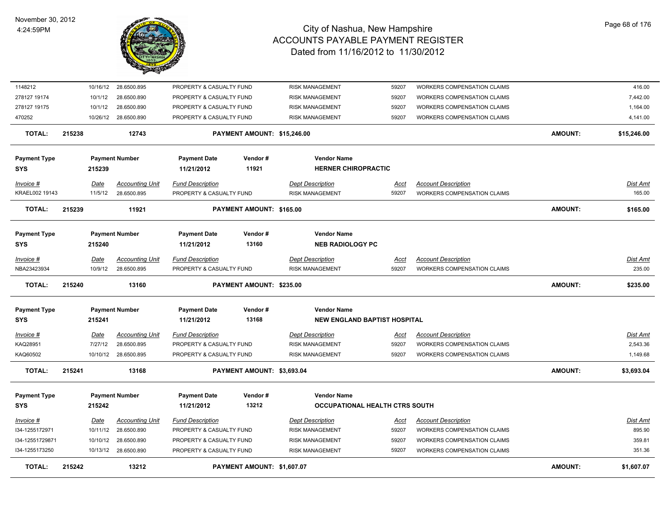

| 1148212                           |        | 10/16/12 | 28.6500.895            | PROPERTY & CASUALTY FUND          |                             | <b>RISK MANAGEMENT</b>                        | 59207       | WORKERS COMPENSATION CLAIMS        |                | 416.00          |
|-----------------------------------|--------|----------|------------------------|-----------------------------------|-----------------------------|-----------------------------------------------|-------------|------------------------------------|----------------|-----------------|
| 278127 19174                      |        | 10/1/12  | 28.6500.890            | PROPERTY & CASUALTY FUND          |                             | <b>RISK MANAGEMENT</b>                        | 59207       | WORKERS COMPENSATION CLAIMS        |                | 7,442.00        |
| 278127 19175                      |        | 10/1/12  | 28.6500.890            | PROPERTY & CASUALTY FUND          |                             | <b>RISK MANAGEMENT</b>                        | 59207       | <b>WORKERS COMPENSATION CLAIMS</b> |                | 1,164.00        |
| 470252                            |        | 10/26/12 | 28.6500.890            | PROPERTY & CASUALTY FUND          |                             | <b>RISK MANAGEMENT</b>                        | 59207       | WORKERS COMPENSATION CLAIMS        |                | 4,141.00        |
| <b>TOTAL:</b>                     | 215238 |          | 12743                  |                                   | PAYMENT AMOUNT: \$15,246.00 |                                               |             |                                    | <b>AMOUNT:</b> | \$15,246.00     |
| <b>Payment Type</b>               |        |          | <b>Payment Number</b>  | <b>Payment Date</b>               | Vendor#                     | <b>Vendor Name</b>                            |             |                                    |                |                 |
| <b>SYS</b>                        |        | 215239   |                        | 11/21/2012                        | 11921                       | <b>HERNER CHIROPRACTIC</b>                    |             |                                    |                |                 |
| Invoice #                         |        | Date     | <b>Accounting Unit</b> | <b>Fund Description</b>           |                             | <b>Dept Description</b>                       | Acct        | <b>Account Description</b>         |                | Dist Amt        |
| KRAEL002 19143                    |        | 11/5/12  | 28.6500.895            | PROPERTY & CASUALTY FUND          |                             | <b>RISK MANAGEMENT</b>                        | 59207       | <b>WORKERS COMPENSATION CLAIMS</b> |                | 165.00          |
| TOTAL:                            | 215239 |          | 11921                  |                                   | PAYMENT AMOUNT: \$165.00    |                                               |             |                                    | <b>AMOUNT:</b> | \$165.00        |
| <b>Payment Type</b><br><b>SYS</b> |        | 215240   | <b>Payment Number</b>  | <b>Payment Date</b><br>11/21/2012 | Vendor#<br>13160            | <b>Vendor Name</b><br><b>NEB RADIOLOGY PC</b> |             |                                    |                |                 |
|                                   |        |          |                        |                                   |                             |                                               |             |                                    |                |                 |
| Invoice #                         |        | Date     | <b>Accounting Unit</b> | <b>Fund Description</b>           |                             | <b>Dept Description</b>                       | <u>Acct</u> | <b>Account Description</b>         |                | <u>Dist Amt</u> |
| NBA23423934                       |        | 10/9/12  | 28.6500.895            | PROPERTY & CASUALTY FUND          |                             | <b>RISK MANAGEMENT</b>                        | 59207       | <b>WORKERS COMPENSATION CLAIMS</b> |                | 235.00          |
| <b>TOTAL:</b>                     | 215240 |          | 13160                  |                                   | PAYMENT AMOUNT: \$235.00    |                                               |             |                                    | <b>AMOUNT:</b> | \$235.00        |
| <b>Payment Type</b>               |        |          | <b>Payment Number</b>  | <b>Payment Date</b>               | Vendor#                     | <b>Vendor Name</b>                            |             |                                    |                |                 |
| <b>SYS</b>                        |        | 215241   |                        | 11/21/2012                        | 13168                       | <b>NEW ENGLAND BAPTIST HOSPITAL</b>           |             |                                    |                |                 |
| Invoice #                         |        | Date     | <b>Accounting Unit</b> | <b>Fund Description</b>           |                             | <b>Dept Description</b>                       | <u>Acct</u> | <b>Account Description</b>         |                | <b>Dist Amt</b> |
| KAQ28951                          |        | 7/27/12  | 28.6500.895            | PROPERTY & CASUALTY FUND          |                             | <b>RISK MANAGEMENT</b>                        | 59207       | <b>WORKERS COMPENSATION CLAIMS</b> |                | 2,543.36        |
| KAQ60502                          |        |          | 10/10/12 28.6500.895   | PROPERTY & CASUALTY FUND          |                             | <b>RISK MANAGEMENT</b>                        | 59207       | <b>WORKERS COMPENSATION CLAIMS</b> |                | 1,149.68        |
| <b>TOTAL:</b>                     | 215241 |          | 13168                  |                                   | PAYMENT AMOUNT: \$3,693.04  |                                               |             |                                    | <b>AMOUNT:</b> | \$3,693.04      |
|                                   |        |          | <b>Payment Number</b>  | <b>Payment Date</b>               | Vendor#                     | <b>Vendor Name</b>                            |             |                                    |                |                 |
| <b>Payment Type</b>               |        |          |                        |                                   |                             |                                               |             |                                    |                |                 |
| <b>SYS</b>                        |        | 215242   |                        | 11/21/2012                        | 13212                       | OCCUPATIONAL HEALTH CTRS SOUTH                |             |                                    |                |                 |
| Invoice #                         |        | Date     | <b>Accounting Unit</b> | <b>Fund Description</b>           |                             | <b>Dept Description</b>                       | Acct        | <b>Account Description</b>         |                | Dist Amt        |
| I34-1255172971                    |        | 10/11/12 | 28.6500.890            | PROPERTY & CASUALTY FUND          |                             | <b>RISK MANAGEMENT</b>                        | 59207       | WORKERS COMPENSATION CLAIMS        |                | 895.90          |
| I34-12551729871                   |        | 10/10/12 | 28.6500.890            | PROPERTY & CASUALTY FUND          |                             | RISK MANAGEMENT                               | 59207       | WORKERS COMPENSATION CLAIMS        |                | 359.81          |
| I34-1255173250                    |        |          | 10/13/12 28.6500.890   | PROPERTY & CASUALTY FUND          |                             | RISK MANAGEMENT                               | 59207       | <b>WORKERS COMPENSATION CLAIMS</b> |                | 351.36          |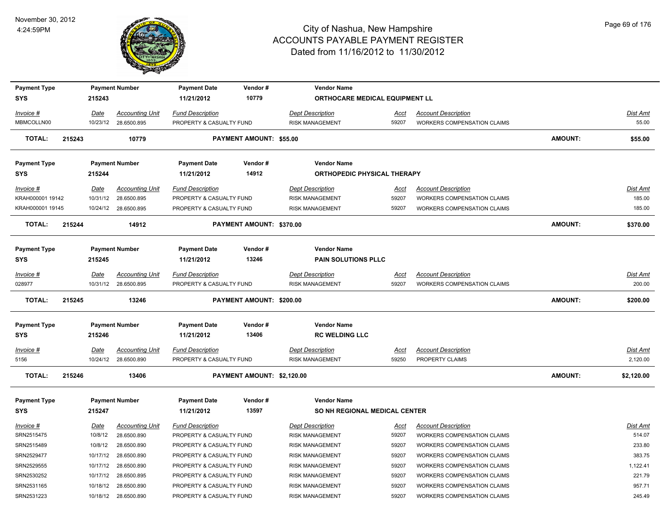

| <b>Payment Type</b>               |        |                         | <b>Payment Number</b>  | <b>Payment Date</b>               | Vendor#                        | <b>Vendor Name</b>                                  |                      |                                    |                |                 |
|-----------------------------------|--------|-------------------------|------------------------|-----------------------------------|--------------------------------|-----------------------------------------------------|----------------------|------------------------------------|----------------|-----------------|
| <b>SYS</b>                        |        | 215243                  |                        | 11/21/2012                        | 10779                          | ORTHOCARE MEDICAL EQUIPMENT LL                      |                      |                                    |                |                 |
| Invoice #                         |        | Date                    | <b>Accounting Unit</b> | <b>Fund Description</b>           |                                | <b>Dept Description</b>                             | Acct                 | <b>Account Description</b>         |                | Dist Amt        |
| MBMCOLLN00                        |        | 10/23/12                | 28.6500.895            | PROPERTY & CASUALTY FUND          |                                | RISK MANAGEMENT                                     | 59207                | WORKERS COMPENSATION CLAIMS        |                | 55.00           |
| TOTAL:                            | 215243 |                         | 10779                  |                                   | <b>PAYMENT AMOUNT: \$55.00</b> |                                                     |                      |                                    | <b>AMOUNT:</b> | \$55.00         |
| <b>Payment Type</b>               |        |                         | <b>Payment Number</b>  | <b>Payment Date</b>               | Vendor#                        | <b>Vendor Name</b>                                  |                      |                                    |                |                 |
| <b>SYS</b>                        |        | 215244                  |                        | 11/21/2012                        | 14912                          | <b>ORTHOPEDIC PHYSICAL THERAPY</b>                  |                      |                                    |                |                 |
| Invoice #                         |        |                         | <b>Accounting Unit</b> | <b>Fund Description</b>           |                                | <b>Dept Description</b>                             |                      | <b>Account Description</b>         |                | Dist Amt        |
| KRAH000001 19142                  |        | <u>Date</u><br>10/31/12 | 28.6500.895            | PROPERTY & CASUALTY FUND          |                                | <b>RISK MANAGEMENT</b>                              | <u>Acct</u><br>59207 | <b>WORKERS COMPENSATION CLAIMS</b> |                | 185.00          |
| KRAH000001 19145                  |        | 10/24/12                | 28.6500.895            | PROPERTY & CASUALTY FUND          |                                | <b>RISK MANAGEMENT</b>                              | 59207                | <b>WORKERS COMPENSATION CLAIMS</b> |                | 185.00          |
|                                   |        |                         |                        |                                   |                                |                                                     |                      |                                    |                |                 |
| <b>TOTAL:</b>                     | 215244 |                         | 14912                  |                                   | PAYMENT AMOUNT: \$370.00       |                                                     |                      |                                    | <b>AMOUNT:</b> | \$370.00        |
|                                   |        |                         |                        |                                   |                                |                                                     |                      |                                    |                |                 |
| <b>Payment Type</b>               |        |                         | <b>Payment Number</b>  | <b>Payment Date</b>               | Vendor#                        | <b>Vendor Name</b>                                  |                      |                                    |                |                 |
| <b>SYS</b>                        |        | 215245                  |                        | 11/21/2012                        | 13246                          | <b>PAIN SOLUTIONS PLLC</b>                          |                      |                                    |                |                 |
| Invoice #                         |        | Date                    | <b>Accounting Unit</b> | <b>Fund Description</b>           |                                | <b>Dept Description</b>                             | Acct                 | <b>Account Description</b>         |                | Dist Amt        |
| 028977                            |        | 10/31/12                | 28.6500.895            | PROPERTY & CASUALTY FUND          |                                | <b>RISK MANAGEMENT</b>                              | 59207                | <b>WORKERS COMPENSATION CLAIMS</b> |                | 200.00          |
| <b>TOTAL:</b>                     | 215245 |                         | 13246                  |                                   | PAYMENT AMOUNT: \$200.00       |                                                     |                      |                                    | <b>AMOUNT:</b> | \$200.00        |
|                                   |        |                         | <b>Payment Number</b>  | <b>Payment Date</b>               | Vendor#                        | <b>Vendor Name</b>                                  |                      |                                    |                |                 |
| <b>Payment Type</b><br><b>SYS</b> |        | 215246                  |                        | 11/21/2012                        | 13406                          | <b>RC WELDING LLC</b>                               |                      |                                    |                |                 |
| $Invoice$ #                       |        | Date                    | <b>Accounting Unit</b> | <b>Fund Description</b>           |                                | <b>Dept Description</b>                             | Acct                 | <b>Account Description</b>         |                | <u>Dist Amt</u> |
| 5156                              |        | 10/24/12                | 28.6500.890            | PROPERTY & CASUALTY FUND          |                                | <b>RISK MANAGEMENT</b>                              | 59250                | PROPERTY CLAIMS                    |                | 2,120.00        |
| <b>TOTAL:</b>                     | 215246 |                         | 13406                  |                                   | PAYMENT AMOUNT: \$2,120.00     |                                                     |                      |                                    | <b>AMOUNT:</b> | \$2,120.00      |
|                                   |        |                         |                        |                                   |                                |                                                     |                      |                                    |                |                 |
| <b>Payment Type</b><br><b>SYS</b> |        | 215247                  | <b>Payment Number</b>  | <b>Payment Date</b><br>11/21/2012 | Vendor#<br>13597               | <b>Vendor Name</b><br>SO NH REGIONAL MEDICAL CENTER |                      |                                    |                |                 |
| Invoice #                         |        | Date                    | <b>Accounting Unit</b> | <b>Fund Description</b>           |                                | <b>Dept Description</b>                             | Acct                 | <b>Account Description</b>         |                | Dist Amt        |
| SRN2515475                        |        | 10/8/12                 | 28.6500.890            | PROPERTY & CASUALTY FUND          |                                | <b>RISK MANAGEMENT</b>                              | 59207                | WORKERS COMPENSATION CLAIMS        |                | 514.07          |
| SRN2515489                        |        | 10/8/12                 | 28.6500.890            | PROPERTY & CASUALTY FUND          |                                | <b>RISK MANAGEMENT</b>                              | 59207                | WORKERS COMPENSATION CLAIMS        |                | 233.80          |
| SRN2529477                        |        | 10/17/12                | 28.6500.890            | PROPERTY & CASUALTY FUND          |                                | <b>RISK MANAGEMENT</b>                              | 59207                | WORKERS COMPENSATION CLAIMS        |                | 383.75          |
| SRN2529555                        |        | 10/17/12                | 28.6500.890            | PROPERTY & CASUALTY FUND          |                                | <b>RISK MANAGEMENT</b>                              | 59207                | WORKERS COMPENSATION CLAIMS        |                | 1,122.41        |
| SRN2530252                        |        | 10/17/12                | 28.6500.895            | PROPERTY & CASUALTY FUND          |                                | RISK MANAGEMENT                                     | 59207                | WORKERS COMPENSATION CLAIMS        |                | 221.79          |
| SRN2531165                        |        | 10/18/12                | 28.6500.890            | PROPERTY & CASUALTY FUND          |                                | <b>RISK MANAGEMENT</b>                              | 59207                | <b>WORKERS COMPENSATION CLAIMS</b> |                | 957.71          |
| SRN2531223                        |        | 10/18/12                | 28.6500.890            | PROPERTY & CASUALTY FUND          |                                | <b>RISK MANAGEMENT</b>                              | 59207                | WORKERS COMPENSATION CLAIMS        |                | 245.49          |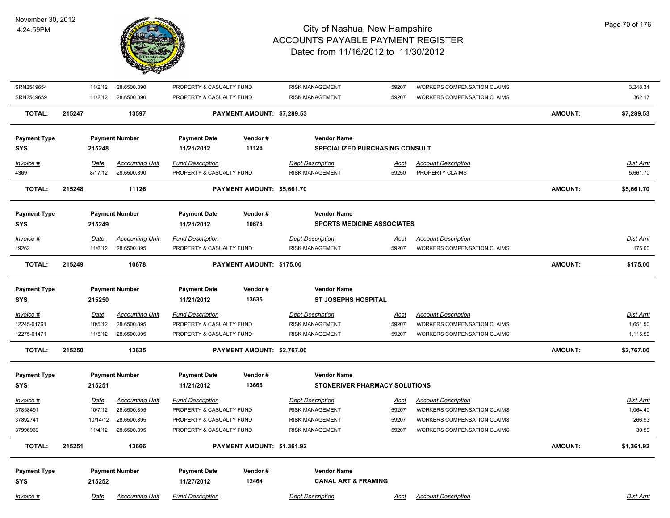

| SRN2549654          | 11/2/12     | 28.6500.890            | PROPERTY & CASUALTY FUND |                            | <b>RISK MANAGEMENT</b>                | 59207       | WORKERS COMPENSATION CLAIMS        |                | 3,248.34   |
|---------------------|-------------|------------------------|--------------------------|----------------------------|---------------------------------------|-------------|------------------------------------|----------------|------------|
| SRN2549659          | 11/2/12     | 28.6500.890            | PROPERTY & CASUALTY FUND |                            | <b>RISK MANAGEMENT</b>                | 59207       | WORKERS COMPENSATION CLAIMS        |                | 362.17     |
| <b>TOTAL:</b>       | 215247      | 13597                  |                          | PAYMENT AMOUNT: \$7,289.53 |                                       |             |                                    | <b>AMOUNT:</b> | \$7,289.53 |
| <b>Payment Type</b> |             | <b>Payment Number</b>  | <b>Payment Date</b>      | Vendor#                    | <b>Vendor Name</b>                    |             |                                    |                |            |
| <b>SYS</b>          | 215248      |                        | 11/21/2012               | 11126                      | <b>SPECIALIZED PURCHASING CONSULT</b> |             |                                    |                |            |
| Invoice #           | Date        | <b>Accounting Unit</b> | <b>Fund Description</b>  |                            | <b>Dept Description</b>               | <u>Acct</u> | <b>Account Description</b>         |                | Dist Amt   |
| 4369                | 8/17/12     | 28.6500.890            | PROPERTY & CASUALTY FUND |                            | <b>RISK MANAGEMENT</b>                | 59250       | PROPERTY CLAIMS                    |                | 5,661.70   |
| <b>TOTAL:</b>       | 215248      | 11126                  |                          | PAYMENT AMOUNT: \$5,661.70 |                                       |             |                                    | <b>AMOUNT:</b> | \$5,661.70 |
| <b>Payment Type</b> |             | <b>Payment Number</b>  | <b>Payment Date</b>      | Vendor#                    | <b>Vendor Name</b>                    |             |                                    |                |            |
| <b>SYS</b>          | 215249      |                        | 11/21/2012               | 10678                      | <b>SPORTS MEDICINE ASSOCIATES</b>     |             |                                    |                |            |
| Invoice #           | Date        | <b>Accounting Unit</b> | <b>Fund Description</b>  |                            | <b>Dept Description</b>               | Acct        | <b>Account Description</b>         |                | Dist Amt   |
| 19262               | 11/6/12     | 28.6500.895            | PROPERTY & CASUALTY FUND |                            | <b>RISK MANAGEMENT</b>                | 59207       | <b>WORKERS COMPENSATION CLAIMS</b> |                | 175.00     |
| <b>TOTAL:</b>       | 215249      | 10678                  |                          | PAYMENT AMOUNT: \$175.00   |                                       |             |                                    | <b>AMOUNT:</b> | \$175.00   |
| <b>Payment Type</b> |             | <b>Payment Number</b>  | <b>Payment Date</b>      | Vendor#                    | <b>Vendor Name</b>                    |             |                                    |                |            |
| <b>SYS</b>          | 215250      |                        | 11/21/2012               | 13635                      | <b>ST JOSEPHS HOSPITAL</b>            |             |                                    |                |            |
| Invoice #           | <u>Date</u> | <b>Accounting Unit</b> | <b>Fund Description</b>  |                            | <b>Dept Description</b>               | <u>Acct</u> | <b>Account Description</b>         |                | Dist Amt   |
| 12245-01761         | 10/5/12     | 28.6500.895            | PROPERTY & CASUALTY FUND |                            | <b>RISK MANAGEMENT</b>                | 59207       | <b>WORKERS COMPENSATION CLAIMS</b> |                | 1,651.50   |
| 12275-01471         | 11/5/12     | 28.6500.895            | PROPERTY & CASUALTY FUND |                            | <b>RISK MANAGEMENT</b>                | 59207       | WORKERS COMPENSATION CLAIMS        |                | 1,115.50   |
| <b>TOTAL:</b>       | 215250      | 13635                  |                          | PAYMENT AMOUNT: \$2,767.00 |                                       |             |                                    | <b>AMOUNT:</b> | \$2,767.00 |
| <b>Payment Type</b> |             | <b>Payment Number</b>  | <b>Payment Date</b>      | Vendor#                    | <b>Vendor Name</b>                    |             |                                    |                |            |
| <b>SYS</b>          | 215251      |                        | 11/21/2012               | 13666                      | <b>STONERIVER PHARMACY SOLUTIONS</b>  |             |                                    |                |            |
| Invoice #           | <b>Date</b> | <b>Accounting Unit</b> | <b>Fund Description</b>  |                            | <b>Dept Description</b>               | <u>Acct</u> | <b>Account Description</b>         |                | Dist Amt   |
| 37858491            | 10/7/12     | 28.6500.895            | PROPERTY & CASUALTY FUND |                            | <b>RISK MANAGEMENT</b>                | 59207       | WORKERS COMPENSATION CLAIMS        |                | 1,064.40   |
| 37892741            | 10/14/12    | 28.6500.895            | PROPERTY & CASUALTY FUND |                            | <b>RISK MANAGEMENT</b>                | 59207       | WORKERS COMPENSATION CLAIMS        |                | 266.93     |
| 37996962            | 11/4/12     | 28.6500.895            | PROPERTY & CASUALTY FUND |                            | <b>RISK MANAGEMENT</b>                | 59207       | WORKERS COMPENSATION CLAIMS        |                | 30.59      |
| <b>TOTAL:</b>       | 215251      | 13666                  |                          | PAYMENT AMOUNT: \$1,361.92 |                                       |             |                                    | <b>AMOUNT:</b> | \$1,361.92 |
| <b>Payment Type</b> |             | <b>Payment Number</b>  | <b>Payment Date</b>      | Vendor#                    | <b>Vendor Name</b>                    |             |                                    |                |            |
| <b>SYS</b>          | 215252      |                        | 11/27/2012               | 12464                      | <b>CANAL ART &amp; FRAMING</b>        |             |                                    |                |            |
| Invoice #           | Date        | <b>Accounting Unit</b> | <b>Fund Description</b>  |                            | <b>Dept Description</b>               | Acct        | <b>Account Description</b>         |                | Dist Amt   |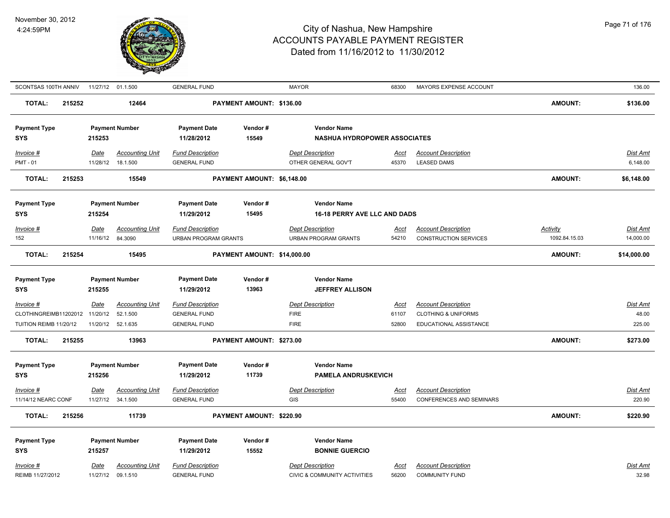

| SCONTSAS 100TH ANNIV                        |        |                  | 11/27/12 01.1.500                  | <b>GENERAL FUND</b>                            |                             | <b>MAYOR</b>                            | 68300                | MAYORS EXPENSE ACCOUNT                                        |                | 136.00                    |
|---------------------------------------------|--------|------------------|------------------------------------|------------------------------------------------|-----------------------------|-----------------------------------------|----------------------|---------------------------------------------------------------|----------------|---------------------------|
| <b>TOTAL:</b>                               | 215252 |                  | 12464                              |                                                | PAYMENT AMOUNT: \$136.00    |                                         |                      |                                                               | AMOUNT:        | \$136.00                  |
| <b>Payment Type</b>                         |        |                  | <b>Payment Number</b>              | <b>Payment Date</b>                            | Vendor#                     | <b>Vendor Name</b>                      |                      |                                                               |                |                           |
| <b>SYS</b>                                  |        | 215253           |                                    | 11/28/2012                                     | 15549                       | <b>NASHUA HYDROPOWER ASSOCIATES</b>     |                      |                                                               |                |                           |
| Invoice #                                   |        | Date             | <b>Accounting Unit</b>             | <b>Fund Description</b>                        |                             | <b>Dept Description</b>                 | Acct                 | <b>Account Description</b>                                    |                | Dist Amt                  |
| <b>PMT - 01</b>                             |        |                  | 11/28/12  18.1.500                 | <b>GENERAL FUND</b>                            |                             | OTHER GENERAL GOV'T                     | 45370                | <b>LEASED DAMS</b>                                            |                | 6,148.00                  |
| <b>TOTAL:</b>                               | 215253 |                  | 15549                              |                                                | PAYMENT AMOUNT: \$6,148.00  |                                         |                      |                                                               | <b>AMOUNT:</b> | \$6,148.00                |
| <b>Payment Type</b>                         |        |                  | <b>Payment Number</b>              | <b>Payment Date</b>                            | Vendor#                     | <b>Vendor Name</b>                      |                      |                                                               |                |                           |
| <b>SYS</b>                                  |        | 215254           |                                    | 11/29/2012                                     | 15495                       | 16-18 PERRY AVE LLC AND DADS            |                      |                                                               |                |                           |
| Invoice #                                   |        | Date             | <b>Accounting Unit</b>             | <b>Fund Description</b>                        |                             | <b>Dept Description</b>                 | Acct                 | <b>Account Description</b>                                    | Activity       | <b>Dist Amt</b>           |
| 152                                         |        | 11/16/12         | 84.3090                            | <b>URBAN PROGRAM GRANTS</b>                    |                             | URBAN PROGRAM GRANTS                    | 54210                | <b>CONSTRUCTION SERVICES</b>                                  | 1092.84.15.03  | 14,000.00                 |
| <b>TOTAL:</b>                               | 215254 |                  | 15495                              |                                                | PAYMENT AMOUNT: \$14,000.00 |                                         |                      |                                                               | AMOUNT:        | \$14,000.00               |
|                                             |        |                  |                                    |                                                | Vendor#                     | <b>Vendor Name</b>                      |                      |                                                               |                |                           |
| <b>Payment Type</b><br><b>SYS</b>           |        | 215255           | <b>Payment Number</b>              | <b>Payment Date</b><br>11/29/2012              | 13963                       | <b>JEFFREY ALLISON</b>                  |                      |                                                               |                |                           |
|                                             |        |                  |                                    |                                                |                             |                                         |                      |                                                               |                |                           |
| Invoice #<br>CLOTHINGREIMB11202012 11/20/12 |        | Date             | <b>Accounting Unit</b><br>52.1.500 | <b>Fund Description</b><br><b>GENERAL FUND</b> |                             | <b>Dept Description</b><br><b>FIRE</b>  | <u>Acct</u><br>61107 | <b>Account Description</b><br><b>CLOTHING &amp; UNIFORMS</b>  |                | <b>Dist Amt</b><br>48.00  |
| TUITION REIMB 11/20/12                      |        | 11/20/12         | 52.1.635                           | <b>GENERAL FUND</b>                            |                             | <b>FIRE</b>                             | 52800                | EDUCATIONAL ASSISTANCE                                        |                | 225.00                    |
| <b>TOTAL:</b>                               | 215255 |                  | 13963                              |                                                | PAYMENT AMOUNT: \$273.00    |                                         |                      |                                                               | AMOUNT:        | \$273.00                  |
|                                             |        |                  |                                    |                                                | Vendor#                     | <b>Vendor Name</b>                      |                      |                                                               |                |                           |
| <b>Payment Type</b><br><b>SYS</b>           |        | 215256           | <b>Payment Number</b>              | <b>Payment Date</b><br>11/29/2012              | 11739                       | <b>PAMELA ANDRUSKEVICH</b>              |                      |                                                               |                |                           |
|                                             |        |                  |                                    |                                                |                             |                                         |                      |                                                               |                |                           |
| Invoice #<br>11/14/12 NEARC CONF            |        | Date<br>11/27/12 | <b>Accounting Unit</b><br>34.1.500 | <b>Fund Description</b><br><b>GENERAL FUND</b> |                             | <b>Dept Description</b><br><b>GIS</b>   | <u>Acct</u><br>55400 | <b>Account Description</b><br><b>CONFERENCES AND SEMINARS</b> |                | <b>Dist Amt</b><br>220.90 |
|                                             |        |                  |                                    |                                                |                             |                                         |                      |                                                               |                |                           |
| <b>TOTAL:</b>                               | 215256 |                  | 11739                              |                                                | PAYMENT AMOUNT: \$220.90    |                                         |                      |                                                               | AMOUNT:        | \$220.90                  |
| <b>Payment Type</b>                         |        |                  | <b>Payment Number</b>              | <b>Payment Date</b>                            | Vendor#                     | <b>Vendor Name</b>                      |                      |                                                               |                |                           |
| <b>SYS</b>                                  |        | 215257           |                                    | 11/29/2012                                     | 15552                       | <b>BONNIE GUERCIO</b>                   |                      |                                                               |                |                           |
| Invoice #                                   |        | Date             | <b>Accounting Unit</b>             | <b>Fund Description</b>                        |                             | <b>Dept Description</b>                 | Acct                 | <b>Account Description</b>                                    |                | Dist Amt                  |
| REIMB 11/27/2012                            |        | 11/27/12         | 09.1.510                           | <b>GENERAL FUND</b>                            |                             | <b>CIVIC &amp; COMMUNITY ACTIVITIES</b> | 56200                | <b>COMMUNITY FUND</b>                                         |                | 32.98                     |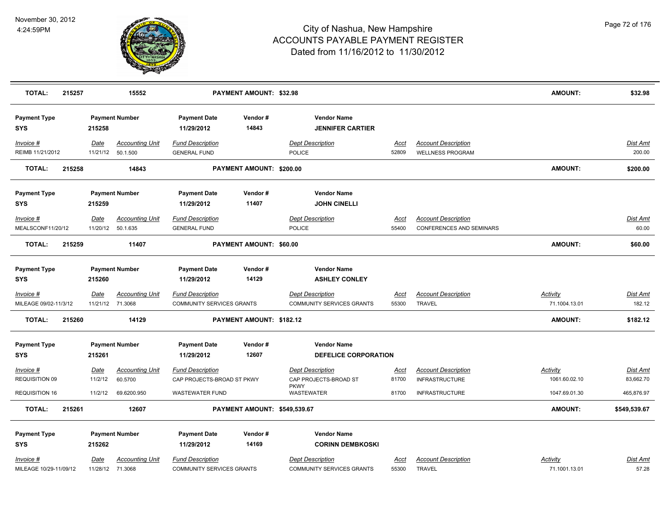

| <b>TOTAL:</b>                       | 215257 |                                 | 15552                                       |                                                      | PAYMENT AMOUNT: \$32.98      |                                                             |               |                                                        | AMOUNT:                   | \$32.98            |
|-------------------------------------|--------|---------------------------------|---------------------------------------------|------------------------------------------------------|------------------------------|-------------------------------------------------------------|---------------|--------------------------------------------------------|---------------------------|--------------------|
| <b>Payment Type</b><br><b>SYS</b>   |        | 215258                          | <b>Payment Number</b>                       | <b>Payment Date</b><br>11/29/2012                    | Vendor#<br>14843             | <b>Vendor Name</b><br><b>JENNIFER CARTIER</b>               |               |                                                        |                           |                    |
| Invoice #<br>REIMB 11/21/2012       |        | Date                            | <b>Accounting Unit</b><br>11/21/12 50.1.500 | <b>Fund Description</b><br><b>GENERAL FUND</b>       |                              | <b>Dept Description</b><br><b>POLICE</b>                    | Acct<br>52809 | <b>Account Description</b><br><b>WELLNESS PROGRAM</b>  |                           | Dist Amt<br>200.00 |
| <b>TOTAL:</b>                       | 215258 |                                 | 14843                                       |                                                      | PAYMENT AMOUNT: \$200.00     |                                                             |               |                                                        | <b>AMOUNT:</b>            | \$200.00           |
| <b>Payment Type</b>                 |        |                                 | <b>Payment Number</b>                       | <b>Payment Date</b>                                  | Vendor#                      | <b>Vendor Name</b>                                          |               |                                                        |                           |                    |
| <b>SYS</b>                          |        | 215259                          |                                             | 11/29/2012                                           | 11407                        | <b>JOHN CINELLI</b>                                         |               |                                                        |                           |                    |
| Invoice #<br>MEALSCONF11/20/12      |        | Date                            | <b>Accounting Unit</b><br>11/20/12 50.1.635 | <b>Fund Description</b><br><b>GENERAL FUND</b>       |                              | <b>Dept Description</b><br><b>POLICE</b>                    | Acct<br>55400 | <b>Account Description</b><br>CONFERENCES AND SEMINARS |                           | Dist Amt<br>60.00  |
| <b>TOTAL:</b>                       | 215259 |                                 | 11407                                       |                                                      | PAYMENT AMOUNT: \$60.00      |                                                             |               |                                                        | AMOUNT:                   | \$60.00            |
| <b>Payment Type</b><br><b>SYS</b>   |        | 215260                          | <b>Payment Number</b>                       | <b>Payment Date</b><br>11/29/2012                    | Vendor#<br>14129             | <b>Vendor Name</b><br><b>ASHLEY CONLEY</b>                  |               |                                                        |                           |                    |
| Invoice #                           |        | <b>Date</b>                     | <b>Accounting Unit</b>                      | <b>Fund Description</b>                              |                              | <b>Dept Description</b>                                     | <u>Acct</u>   | <b>Account Description</b>                             | <b>Activity</b>           | Dist Amt           |
| MILEAGE 09/02-11/3/12               |        | 11/21/12 71.3068                |                                             | <b>COMMUNITY SERVICES GRANTS</b>                     |                              | <b>COMMUNITY SERVICES GRANTS</b>                            | 55300         | <b>TRAVEL</b>                                          | 71.1004.13.01             | 182.12             |
| <b>TOTAL:</b>                       | 215260 |                                 | 14129                                       |                                                      | PAYMENT AMOUNT: \$182.12     |                                                             |               |                                                        | <b>AMOUNT:</b>            | \$182.12           |
| <b>Payment Type</b><br>SYS          |        | 215261                          | <b>Payment Number</b>                       | <b>Payment Date</b><br>11/29/2012                    | Vendor#<br>12607             | <b>Vendor Name</b><br>DEFELICE CORPORATION                  |               |                                                        |                           |                    |
| Invoice #                           |        | <u>Date</u>                     | <b>Accounting Unit</b>                      | <b>Fund Description</b>                              |                              | <b>Dept Description</b>                                     | <u>Acct</u>   | <b>Account Description</b>                             | <b>Activity</b>           | Dist Amt           |
| REQUISITION 09                      |        | 11/2/12                         | 60.5700                                     | CAP PROJECTS-BROAD ST PKWY                           |                              | CAP PROJECTS-BROAD ST                                       | 81700         | <b>INFRASTRUCTURE</b>                                  | 1061.60.02.10             | 83,662.70          |
| <b>REQUISITION 16</b>               |        | 11/2/12                         | 69.6200.950                                 | <b>WASTEWATER FUND</b>                               |                              | <b>PKWY</b><br>WASTEWATER                                   | 81700         | <b>INFRASTRUCTURE</b>                                  | 1047.69.01.30             | 465,876.97         |
| <b>TOTAL:</b>                       | 215261 |                                 | 12607                                       |                                                      | PAYMENT AMOUNT: \$549,539.67 |                                                             |               |                                                        | <b>AMOUNT:</b>            | \$549,539.67       |
| <b>Payment Type</b>                 |        |                                 | <b>Payment Number</b>                       | <b>Payment Date</b>                                  | Vendor#                      | <b>Vendor Name</b>                                          |               |                                                        |                           |                    |
| <b>SYS</b>                          |        | 215262                          |                                             | 11/29/2012                                           | 14169                        | <b>CORINN DEMBKOSKI</b>                                     |               |                                                        |                           |                    |
| Invoice #<br>MILEAGE 10/29-11/09/12 |        | <u>Date</u><br>11/28/12 71.3068 | <b>Accounting Unit</b>                      | <b>Fund Description</b><br>COMMUNITY SERVICES GRANTS |                              | <b>Dept Description</b><br><b>COMMUNITY SERVICES GRANTS</b> | Acct<br>55300 | <b>Account Description</b><br><b>TRAVEL</b>            | Activity<br>71.1001.13.01 | Dist Amt<br>57.28  |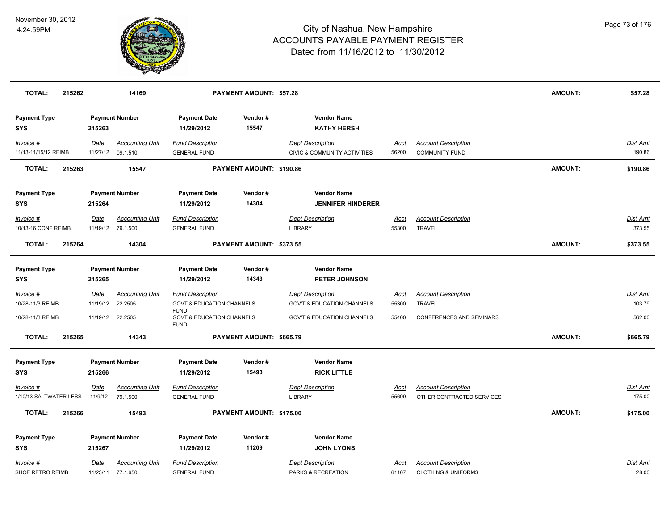

| <b>TOTAL:</b><br>215262             |                 | 14169                                       |                                                                    | PAYMENT AMOUNT: \$57.28  |                                                                    |                      |                                                              | <b>AMOUNT:</b> | \$57.28                   |
|-------------------------------------|-----------------|---------------------------------------------|--------------------------------------------------------------------|--------------------------|--------------------------------------------------------------------|----------------------|--------------------------------------------------------------|----------------|---------------------------|
| <b>Payment Type</b><br><b>SYS</b>   | 215263          | <b>Payment Number</b>                       | <b>Payment Date</b><br>11/29/2012                                  | Vendor#<br>15547         | <b>Vendor Name</b><br><b>KATHY HERSH</b>                           |                      |                                                              |                |                           |
| Invoice #<br>11/13-11/15/12 REIMB   | Date            | <b>Accounting Unit</b><br>11/27/12 09.1.510 | <b>Fund Description</b><br><b>GENERAL FUND</b>                     |                          | <b>Dept Description</b><br><b>CIVIC &amp; COMMUNITY ACTIVITIES</b> | Acct<br>56200        | <b>Account Description</b><br><b>COMMUNITY FUND</b>          |                | Dist Amt<br>190.86        |
| <b>TOTAL:</b><br>215263             |                 | 15547                                       |                                                                    | PAYMENT AMOUNT: \$190.86 |                                                                    |                      |                                                              | AMOUNT:        | \$190.86                  |
| <b>Payment Type</b><br><b>SYS</b>   | 215264          | <b>Payment Number</b>                       | <b>Payment Date</b><br>11/29/2012                                  | Vendor#<br>14304         | <b>Vendor Name</b><br><b>JENNIFER HINDERER</b>                     |                      |                                                              |                |                           |
| Invoice #<br>10/13-16 CONF REIMB    | Date            | <b>Accounting Unit</b><br>11/19/12 79.1.500 | <b>Fund Description</b><br><b>GENERAL FUND</b>                     |                          | <b>Dept Description</b><br><b>LIBRARY</b>                          | Acct<br>55300        | <b>Account Description</b><br><b>TRAVEL</b>                  |                | <b>Dist Amt</b><br>373.55 |
| <b>TOTAL:</b><br>215264             |                 | 14304                                       |                                                                    | PAYMENT AMOUNT: \$373.55 |                                                                    |                      |                                                              | AMOUNT:        | \$373.55                  |
| <b>Payment Type</b><br><b>SYS</b>   | 215265          | <b>Payment Number</b>                       | <b>Payment Date</b><br>11/29/2012                                  | Vendor#<br>14343         | <b>Vendor Name</b><br>PETER JOHNSON                                |                      |                                                              |                |                           |
| Invoice #<br>10/28-11/3 REIMB       | <b>Date</b>     | <b>Accounting Unit</b><br>11/19/12 22.2505  | <b>Fund Description</b><br><b>GOVT &amp; EDUCATION CHANNELS</b>    |                          | <b>Dept Description</b><br><b>GOV'T &amp; EDUCATION CHANNELS</b>   | <u>Acct</u><br>55300 | <b>Account Description</b><br><b>TRAVEL</b>                  |                | <u>Dist Amt</u><br>103.79 |
| 10/28-11/3 REIMB                    |                 | 11/19/12 22.2505                            | <b>FUND</b><br><b>GOVT &amp; EDUCATION CHANNELS</b><br><b>FUND</b> |                          | <b>GOV'T &amp; EDUCATION CHANNELS</b>                              | 55400                | CONFERENCES AND SEMINARS                                     |                | 562.00                    |
| <b>TOTAL:</b><br>215265             |                 | 14343                                       |                                                                    | PAYMENT AMOUNT: \$665.79 |                                                                    |                      |                                                              | <b>AMOUNT:</b> | \$665.79                  |
| <b>Payment Type</b><br><b>SYS</b>   | 215266          | <b>Payment Number</b>                       | <b>Payment Date</b><br>11/29/2012                                  | Vendor#<br>15493         | <b>Vendor Name</b><br><b>RICK LITTLE</b>                           |                      |                                                              |                |                           |
| Invoice #<br>1/10/13 SALTWATER LESS | Date<br>11/9/12 | <b>Accounting Unit</b><br>79.1.500          | <b>Fund Description</b><br><b>GENERAL FUND</b>                     |                          | <b>Dept Description</b><br><b>LIBRARY</b>                          | <u>Acct</u><br>55699 | <b>Account Description</b><br>OTHER CONTRACTED SERVICES      |                | Dist Amt<br>175.00        |
| TOTAL:<br>215266                    |                 | 15493                                       |                                                                    | PAYMENT AMOUNT: \$175.00 |                                                                    |                      |                                                              | <b>AMOUNT:</b> | \$175.00                  |
| <b>Payment Type</b><br><b>SYS</b>   | 215267          | <b>Payment Number</b>                       | <b>Payment Date</b><br>11/29/2012                                  | Vendor#<br>11209         | <b>Vendor Name</b><br><b>JOHN LYONS</b>                            |                      |                                                              |                |                           |
| Invoice #<br>SHOE RETRO REIMB       | Date            | <b>Accounting Unit</b><br>11/23/11 77.1.650 | <b>Fund Description</b><br><b>GENERAL FUND</b>                     |                          | <b>Dept Description</b><br>PARKS & RECREATION                      | <u>Acct</u><br>61107 | <b>Account Description</b><br><b>CLOTHING &amp; UNIFORMS</b> |                | Dist Amt<br>28.00         |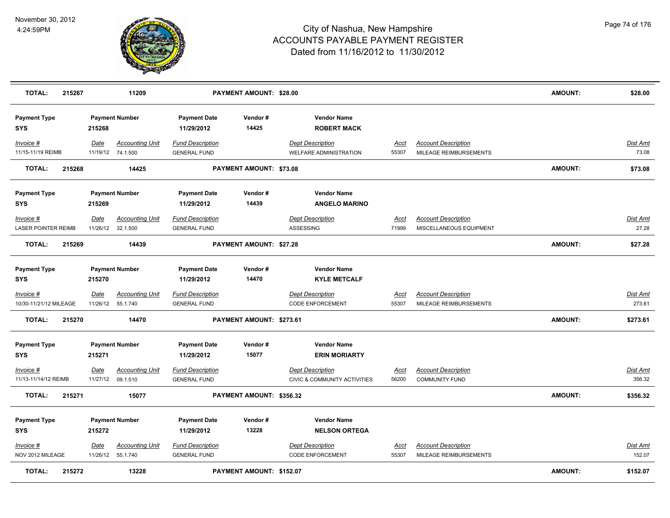

| <b>TOTAL:</b>                           | 215267 |             | 11209                                        |                                                | PAYMENT AMOUNT: \$28.00         |                                                         |                      |                                                       | <b>AMOUNT:</b> | \$28.00                   |
|-----------------------------------------|--------|-------------|----------------------------------------------|------------------------------------------------|---------------------------------|---------------------------------------------------------|----------------------|-------------------------------------------------------|----------------|---------------------------|
| <b>Payment Type</b><br><b>SYS</b>       |        | 215268      | <b>Payment Number</b>                        | <b>Payment Date</b><br>11/29/2012              | Vendor#<br>14425                | <b>Vendor Name</b><br><b>ROBERT MACK</b>                |                      |                                                       |                |                           |
| Invoice #<br>11/15-11/19 REIMB          |        | Date        | <b>Accounting Unit</b><br>11/19/12 74.1.500  | <b>Fund Description</b><br><b>GENERAL FUND</b> |                                 | <b>Dept Description</b><br>WELFARE ADMINISTRATION       | Acct<br>55307        | <b>Account Description</b><br>MILEAGE REIMBURSEMENTS  |                | <b>Dist Amt</b><br>73.08  |
| <b>TOTAL:</b>                           | 215268 |             | 14425                                        |                                                | <b>PAYMENT AMOUNT: \$73.08</b>  |                                                         |                      |                                                       | <b>AMOUNT:</b> | \$73.08                   |
| <b>Payment Type</b><br><b>SYS</b>       |        | 215269      | <b>Payment Number</b>                        | <b>Payment Date</b><br>11/29/2012              | Vendor#<br>14439                | <b>Vendor Name</b><br><b>ANGELO MARINO</b>              |                      |                                                       |                |                           |
| Invoice #<br><b>LASER POINTER REIMB</b> |        | Date        | <b>Accounting Unit</b><br>11/26/12 32.1.500  | <b>Fund Description</b><br><b>GENERAL FUND</b> |                                 | <b>Dept Description</b><br>ASSESSING                    | Acct<br>71999        | <b>Account Description</b><br>MISCELLANEOUS EQUIPMENT |                | Dist Amt<br>27.28         |
| <b>TOTAL:</b>                           | 215269 |             | 14439                                        |                                                | PAYMENT AMOUNT: \$27.28         |                                                         |                      |                                                       | <b>AMOUNT:</b> | \$27.28                   |
| <b>Payment Type</b><br><b>SYS</b>       |        | 215270      | <b>Payment Number</b>                        | <b>Payment Date</b><br>11/29/2012              | Vendor#<br>14470                | <b>Vendor Name</b><br><b>KYLE METCALF</b>               |                      |                                                       |                |                           |
| Invoice #<br>10/30-11/21/12 MILEAGE     |        | <u>Date</u> | <b>Accounting Unit</b><br>11/26/12  55.1.740 | <b>Fund Description</b><br><b>GENERAL FUND</b> |                                 | <b>Dept Description</b><br><b>CODE ENFORCEMENT</b>      | <u>Acct</u><br>55307 | <b>Account Description</b><br>MILEAGE REIMBURSEMENTS  |                | <u>Dist Amt</u><br>273.61 |
| <b>TOTAL:</b>                           | 215270 |             | 14470                                        |                                                | PAYMENT AMOUNT: \$273.61        |                                                         |                      |                                                       | <b>AMOUNT:</b> | \$273.61                  |
| <b>Payment Type</b><br><b>SYS</b>       |        | 215271      | <b>Payment Number</b>                        | <b>Payment Date</b><br>11/29/2012              | Vendor#<br>15077                | <b>Vendor Name</b><br><b>ERIN MORIARTY</b>              |                      |                                                       |                |                           |
| Invoice #<br>11/13-11/14/12 REIMB       |        | Date        | <b>Accounting Unit</b><br>11/27/12 09.1.510  | <b>Fund Description</b><br><b>GENERAL FUND</b> |                                 | <b>Dept Description</b><br>CIVIC & COMMUNITY ACTIVITIES | <u>Acct</u><br>56200 | <b>Account Description</b><br><b>COMMUNITY FUND</b>   |                | Dist Amt<br>356.32        |
| <b>TOTAL:</b>                           | 215271 |             | 15077                                        |                                                | PAYMENT AMOUNT: \$356.32        |                                                         |                      |                                                       | <b>AMOUNT:</b> | \$356.32                  |
| <b>Payment Type</b><br><b>SYS</b>       |        | 215272      | <b>Payment Number</b>                        | <b>Payment Date</b><br>11/29/2012              | Vendor#<br>13228                | <b>Vendor Name</b><br><b>NELSON ORTEGA</b>              |                      |                                                       |                |                           |
| Invoice #<br>NOV 2012 MILEAGE           |        | <u>Date</u> | <b>Accounting Unit</b><br>11/26/12  55.1.740 | <b>Fund Description</b><br><b>GENERAL FUND</b> |                                 | Dept Description<br><b>CODE ENFORCEMENT</b>             | <u>Acct</u><br>55307 | <b>Account Description</b><br>MILEAGE REIMBURSEMENTS  |                | Dist Amt<br>152.07        |
| <b>TOTAL:</b>                           | 215272 |             | 13228                                        |                                                | <b>PAYMENT AMOUNT: \$152.07</b> |                                                         |                      |                                                       | <b>AMOUNT:</b> | \$152.07                  |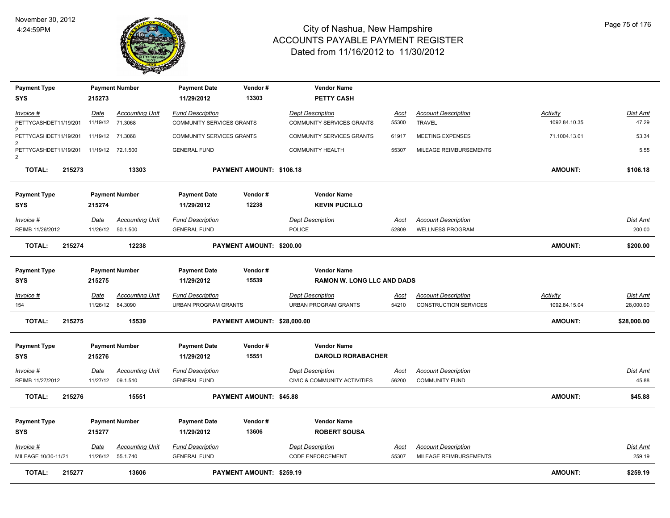

| <b>Payment Type</b>                     |          | <b>Payment Number</b>  | <b>Payment Date</b>         | Vendor#                     | <b>Vendor Name</b>                      |             |                            |                 |             |
|-----------------------------------------|----------|------------------------|-----------------------------|-----------------------------|-----------------------------------------|-------------|----------------------------|-----------------|-------------|
| <b>SYS</b>                              | 215273   |                        | 11/29/2012                  | 13303                       | <b>PETTY CASH</b>                       |             |                            |                 |             |
| Invoice #                               | Date     | <b>Accounting Unit</b> | <b>Fund Description</b>     |                             | <b>Dept Description</b>                 | Acct        | <b>Account Description</b> | Activity        | Dist Amt    |
| PETTYCASHDET11/19/201<br>$\overline{2}$ |          | 11/19/12 71.3068       | COMMUNITY SERVICES GRANTS   |                             | COMMUNITY SERVICES GRANTS               | 55300       | <b>TRAVEL</b>              | 1092.84.10.35   | 47.29       |
| PETTYCASHDET11/19/201                   |          | 11/19/12 71.3068       | COMMUNITY SERVICES GRANTS   |                             | COMMUNITY SERVICES GRANTS               | 61917       | MEETING EXPENSES           | 71.1004.13.01   | 53.34       |
| PETTYCASHDET11/19/201<br>2              |          | 11/19/12 72.1.500      | <b>GENERAL FUND</b>         |                             | COMMUNITY HEALTH                        | 55307       | MILEAGE REIMBURSEMENTS     |                 | 5.55        |
| <b>TOTAL:</b><br>215273                 |          | 13303                  |                             | PAYMENT AMOUNT: \$106.18    |                                         |             |                            | <b>AMOUNT:</b>  | \$106.18    |
| <b>Payment Type</b>                     |          | <b>Payment Number</b>  | <b>Payment Date</b>         | Vendor#                     | <b>Vendor Name</b>                      |             |                            |                 |             |
| <b>SYS</b>                              | 215274   |                        | 11/29/2012                  | 12238                       | <b>KEVIN PUCILLO</b>                    |             |                            |                 |             |
| Invoice #                               | Date     | <b>Accounting Unit</b> | <b>Fund Description</b>     |                             | <b>Dept Description</b>                 | Acct        | <b>Account Description</b> |                 | Dist Amt    |
| REIMB 11/26/2012                        | 11/26/12 | 50.1.500               | <b>GENERAL FUND</b>         |                             | <b>POLICE</b>                           | 52809       | <b>WELLNESS PROGRAM</b>    |                 | 200.00      |
| TOTAL:<br>215274                        |          | 12238                  |                             | PAYMENT AMOUNT: \$200.00    |                                         |             |                            | <b>AMOUNT:</b>  | \$200.00    |
| <b>Payment Type</b>                     |          | <b>Payment Number</b>  | <b>Payment Date</b>         | Vendor#                     | <b>Vendor Name</b>                      |             |                            |                 |             |
| <b>SYS</b>                              | 215275   |                        | 11/29/2012                  | 15539                       | <b>RAMON W. LONG LLC AND DADS</b>       |             |                            |                 |             |
| Invoice #                               | Date     | <b>Accounting Unit</b> | <b>Fund Description</b>     |                             | <b>Dept Description</b>                 | <u>Acct</u> | <b>Account Description</b> | <b>Activity</b> | Dist Amt    |
| 154                                     |          | 11/26/12 84.3090       | <b>URBAN PROGRAM GRANTS</b> |                             | <b>URBAN PROGRAM GRANTS</b>             | 54210       | CONSTRUCTION SERVICES      | 1092.84.15.04   | 28,000.00   |
| TOTAL:<br>215275                        |          | 15539                  |                             | PAYMENT AMOUNT: \$28,000.00 |                                         |             |                            | <b>AMOUNT:</b>  | \$28,000.00 |
| <b>Payment Type</b>                     |          | <b>Payment Number</b>  | <b>Payment Date</b>         | Vendor#                     | <b>Vendor Name</b>                      |             |                            |                 |             |
| <b>SYS</b>                              | 215276   |                        | 11/29/2012                  | 15551                       | <b>DAROLD RORABACHER</b>                |             |                            |                 |             |
| Invoice #                               | Date     | <b>Accounting Unit</b> | <b>Fund Description</b>     |                             | <b>Dept Description</b>                 | Acct        | <b>Account Description</b> |                 | Dist Amt    |
| REIMB 11/27/2012                        |          | 11/27/12 09.1.510      | <b>GENERAL FUND</b>         |                             | <b>CIVIC &amp; COMMUNITY ACTIVITIES</b> | 56200       | <b>COMMUNITY FUND</b>      |                 | 45.88       |
| <b>TOTAL:</b><br>215276                 |          | 15551                  |                             | PAYMENT AMOUNT: \$45.88     |                                         |             |                            | <b>AMOUNT:</b>  | \$45.88     |
| <b>Payment Type</b>                     |          | <b>Payment Number</b>  | <b>Payment Date</b>         | Vendor#                     | <b>Vendor Name</b>                      |             |                            |                 |             |
| <b>SYS</b>                              | 215277   |                        | 11/29/2012                  | 13606                       | <b>ROBERT SOUSA</b>                     |             |                            |                 |             |
| Invoice #                               | Date     | <b>Accounting Unit</b> | <b>Fund Description</b>     |                             | <b>Dept Description</b>                 | Acct        | <b>Account Description</b> |                 | Dist Amt    |
| MILEAGE 10/30-11/21                     |          | 11/26/12  55.1.740     | <b>GENERAL FUND</b>         |                             | <b>CODE ENFORCEMENT</b>                 | 55307       | MILEAGE REIMBURSEMENTS     |                 | 259.19      |
| <b>TOTAL:</b><br>215277                 |          | 13606                  |                             | PAYMENT AMOUNT: \$259.19    |                                         |             |                            | <b>AMOUNT:</b>  | \$259.19    |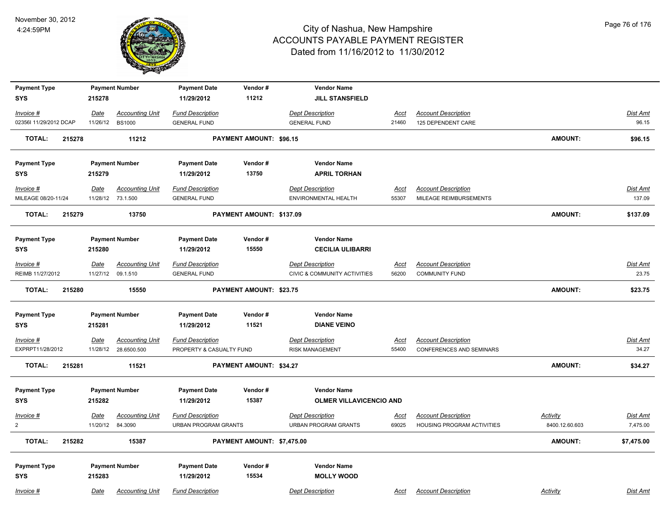

| <b>Payment Type</b>               |                  | <b>Payment Number</b>             | <b>Payment Date</b>                                    | Vendor#                    | <b>Vendor Name</b>                                     |               |                                                                 |                                   |                      |
|-----------------------------------|------------------|-----------------------------------|--------------------------------------------------------|----------------------------|--------------------------------------------------------|---------------|-----------------------------------------------------------------|-----------------------------------|----------------------|
| <b>SYS</b>                        | 215278           |                                   | 11/29/2012                                             | 11212                      | <b>JILL STANSFIELD</b>                                 |               |                                                                 |                                   |                      |
| Invoice #                         | <u>Date</u>      | <b>Accounting Unit</b>            | <b>Fund Description</b>                                |                            | <b>Dept Description</b>                                | <u>Acct</u>   | <b>Account Description</b>                                      |                                   | Dist Amt             |
| 02356I 11/29/2012 DCAP            |                  | 11/26/12 BS1000                   | <b>GENERAL FUND</b>                                    |                            | <b>GENERAL FUND</b>                                    | 21460         | 125 DEPENDENT CARE                                              |                                   | 96.15                |
| <b>TOTAL:</b><br>215278           |                  | 11212                             |                                                        | PAYMENT AMOUNT: \$96.15    |                                                        |               |                                                                 | <b>AMOUNT:</b>                    | \$96.15              |
| <b>Payment Type</b>               |                  | <b>Payment Number</b>             | <b>Payment Date</b>                                    | Vendor#                    | <b>Vendor Name</b>                                     |               |                                                                 |                                   |                      |
| <b>SYS</b>                        | 215279           |                                   | 11/29/2012                                             | 13750                      | <b>APRIL TORHAN</b>                                    |               |                                                                 |                                   |                      |
| Invoice #                         | Date             | <b>Accounting Unit</b>            | <b>Fund Description</b>                                |                            | <b>Dept Description</b>                                | Acct          | <b>Account Description</b>                                      |                                   | Dist Amt             |
| MILEAGE 08/20-11/24               |                  | 11/28/12 73.1.500                 | <b>GENERAL FUND</b>                                    |                            | ENVIRONMENTAL HEALTH                                   | 55307         | MILEAGE REIMBURSEMENTS                                          |                                   | 137.09               |
| <b>TOTAL:</b><br>215279           |                  | 13750                             |                                                        | PAYMENT AMOUNT: \$137.09   |                                                        |               |                                                                 | <b>AMOUNT:</b>                    | \$137.09             |
| <b>Payment Type</b>               |                  | <b>Payment Number</b>             | <b>Payment Date</b>                                    | Vendor#                    | <b>Vendor Name</b>                                     |               |                                                                 |                                   |                      |
| <b>SYS</b>                        | 215280           |                                   | 11/29/2012                                             | 15550                      | <b>CECILIA ULIBARRI</b>                                |               |                                                                 |                                   |                      |
| $Invoice$ #                       | <u>Date</u>      | <b>Accounting Unit</b>            | <b>Fund Description</b>                                |                            | <b>Dept Description</b>                                | <u>Acct</u>   | <b>Account Description</b>                                      |                                   | <b>Dist Amt</b>      |
| REIMB 11/27/2012                  | 11/27/12         | 09.1.510                          | <b>GENERAL FUND</b>                                    |                            | <b>CIVIC &amp; COMMUNITY ACTIVITIES</b>                | 56200         | <b>COMMUNITY FUND</b>                                           |                                   | 23.75                |
| <b>TOTAL:</b><br>215280           |                  | 15550                             |                                                        | PAYMENT AMOUNT: \$23.75    |                                                        |               |                                                                 | <b>AMOUNT:</b>                    | \$23.75              |
| <b>Payment Type</b>               |                  | <b>Payment Number</b>             | <b>Payment Date</b>                                    | Vendor#                    | <b>Vendor Name</b>                                     |               |                                                                 |                                   |                      |
| <b>SYS</b>                        | 215281           |                                   | 11/29/2012                                             | 11521                      | <b>DIANE VEINO</b>                                     |               |                                                                 |                                   |                      |
| $Invoice$ #                       | <b>Date</b>      | <b>Accounting Unit</b>            | <b>Fund Description</b>                                |                            | <b>Dept Description</b>                                | <u>Acct</u>   | <b>Account Description</b>                                      |                                   | Dist Amt             |
| EXPRPT11/28/2012                  |                  | 11/28/12 28.6500.500              | PROPERTY & CASUALTY FUND                               |                            | <b>RISK MANAGEMENT</b>                                 | 55400         | <b>CONFERENCES AND SEMINARS</b>                                 |                                   | 34.27                |
| <b>TOTAL:</b><br>215281           |                  | 11521                             |                                                        | PAYMENT AMOUNT: \$34.27    |                                                        |               |                                                                 | <b>AMOUNT:</b>                    | \$34.27              |
| <b>Payment Type</b>               |                  | <b>Payment Number</b>             | <b>Payment Date</b>                                    | Vendor#                    | <b>Vendor Name</b>                                     |               |                                                                 |                                   |                      |
| <b>SYS</b>                        | 215282           |                                   | 11/29/2012                                             | 15387                      | <b>OLMER VILLAVICENCIO AND</b>                         |               |                                                                 |                                   |                      |
| Invoice #<br>$\overline{2}$       | Date<br>11/20/12 | <b>Accounting Unit</b><br>84.3090 | <b>Fund Description</b><br><b>URBAN PROGRAM GRANTS</b> |                            | <b>Dept Description</b><br><b>URBAN PROGRAM GRANTS</b> | Acct<br>69025 | <b>Account Description</b><br><b>HOUSING PROGRAM ACTIVITIES</b> | <b>Activity</b><br>8400.12.60.603 | Dist Amt<br>7,475.00 |
| <b>TOTAL:</b><br>215282           |                  | 15387                             |                                                        | PAYMENT AMOUNT: \$7,475.00 |                                                        |               |                                                                 | <b>AMOUNT:</b>                    | \$7,475.00           |
|                                   |                  | <b>Payment Number</b>             | <b>Payment Date</b>                                    | Vendor#                    | <b>Vendor Name</b>                                     |               |                                                                 |                                   |                      |
| <b>Payment Type</b><br><b>SYS</b> | 215283           |                                   | 11/29/2012                                             | 15534                      | <b>MOLLY WOOD</b>                                      |               |                                                                 |                                   |                      |
| Invoice #                         | Date             | <b>Accounting Unit</b>            | <b>Fund Description</b>                                |                            | <b>Dept Description</b>                                | Acct          | <b>Account Description</b>                                      | Activity                          | Dist Amt             |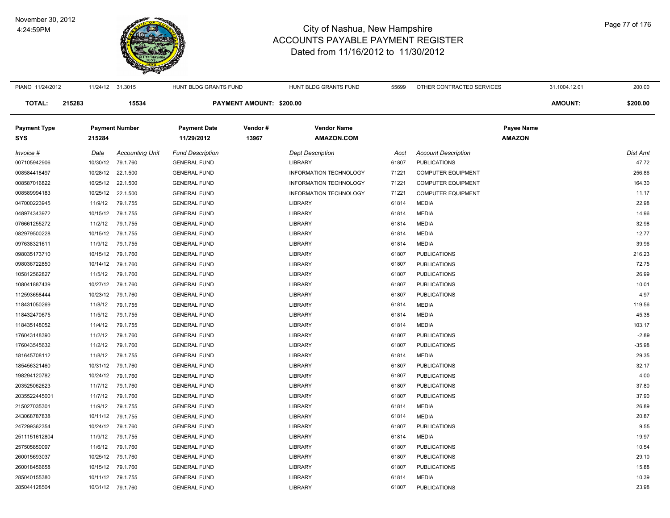#### November 30, 2012 4:24:59PM



| PIANO 11/24/2012    |        | 11/24/12 31.3015 |                        | HUNT BLDG GRANTS FUND   |                          | HUNT BLDG GRANTS FUND         | 55699 | OTHER CONTRACTED SERVICES  | 31.1004.12.01  | 200.00   |
|---------------------|--------|------------------|------------------------|-------------------------|--------------------------|-------------------------------|-------|----------------------------|----------------|----------|
| <b>TOTAL:</b>       | 215283 |                  | 15534                  |                         | PAYMENT AMOUNT: \$200.00 |                               |       |                            | <b>AMOUNT:</b> | \$200.00 |
| <b>Payment Type</b> |        |                  | <b>Payment Number</b>  | <b>Payment Date</b>     | Vendor#                  | <b>Vendor Name</b>            |       |                            | Payee Name     |          |
| <b>SYS</b>          |        | 215284           |                        | 11/29/2012              | 13967                    | <b>AMAZON.COM</b>             |       |                            | <b>AMAZON</b>  |          |
| Invoice #           |        | Date             | <b>Accounting Unit</b> | <b>Fund Description</b> |                          | <b>Dept Description</b>       | Acct  | <b>Account Description</b> |                | Dist Amt |
| 007105942906        |        |                  | 10/30/12 79.1.760      | <b>GENERAL FUND</b>     |                          | <b>LIBRARY</b>                | 61807 | <b>PUBLICATIONS</b>        |                | 47.72    |
| 008584418497        |        |                  | 10/28/12 22.1.500      | <b>GENERAL FUND</b>     |                          | <b>INFORMATION TECHNOLOGY</b> | 71221 | <b>COMPUTER EQUIPMENT</b>  |                | 256.86   |
| 008587016822        |        |                  | 10/25/12 22.1.500      | <b>GENERAL FUND</b>     |                          | <b>INFORMATION TECHNOLOGY</b> | 71221 | <b>COMPUTER EQUIPMENT</b>  |                | 164.30   |
| 008589994183        |        |                  | 10/25/12 22.1.500      | <b>GENERAL FUND</b>     |                          | <b>INFORMATION TECHNOLOGY</b> | 71221 | <b>COMPUTER EQUIPMENT</b>  |                | 11.17    |
| 047000223945        |        | 11/9/12          | 79.1.755               | <b>GENERAL FUND</b>     |                          | <b>LIBRARY</b>                | 61814 | <b>MEDIA</b>               |                | 22.98    |
| 048974343972        |        |                  | 10/15/12 79.1.755      | <b>GENERAL FUND</b>     |                          | <b>LIBRARY</b>                | 61814 | <b>MEDIA</b>               |                | 14.96    |
| 076661255272        |        | 11/2/12          | 79.1.755               | <b>GENERAL FUND</b>     |                          | <b>LIBRARY</b>                | 61814 | <b>MEDIA</b>               |                | 32.98    |
| 082979500228        |        |                  | 10/15/12 79.1.755      | <b>GENERAL FUND</b>     |                          | <b>LIBRARY</b>                | 61814 | <b>MEDIA</b>               |                | 12.77    |
| 097638321611        |        | 11/9/12          | 79.1.755               | <b>GENERAL FUND</b>     |                          | <b>LIBRARY</b>                | 61814 | <b>MEDIA</b>               |                | 39.96    |
| 098035173710        |        |                  | 10/15/12 79.1.760      | <b>GENERAL FUND</b>     |                          | <b>LIBRARY</b>                | 61807 | <b>PUBLICATIONS</b>        |                | 216.23   |
| 098036722850        |        |                  | 10/14/12 79.1.760      | <b>GENERAL FUND</b>     |                          | <b>LIBRARY</b>                | 61807 | <b>PUBLICATIONS</b>        |                | 72.75    |
| 105812562827        |        |                  | 11/5/12 79.1.760       | <b>GENERAL FUND</b>     |                          | <b>LIBRARY</b>                | 61807 | <b>PUBLICATIONS</b>        |                | 26.99    |
| 108041887439        |        |                  | 10/27/12 79.1.760      | <b>GENERAL FUND</b>     |                          | LIBRARY                       | 61807 | <b>PUBLICATIONS</b>        |                | 10.01    |
| 112593658444        |        |                  | 10/23/12 79.1.760      | <b>GENERAL FUND</b>     |                          | LIBRARY                       | 61807 | <b>PUBLICATIONS</b>        |                | 4.97     |
| 118431050269        |        | 11/8/12          | 79.1.755               | <b>GENERAL FUND</b>     |                          | LIBRARY                       | 61814 | <b>MEDIA</b>               |                | 119.56   |
| 118432470675        |        | 11/5/12          | 79.1.755               | <b>GENERAL FUND</b>     |                          | <b>LIBRARY</b>                | 61814 | <b>MEDIA</b>               |                | 45.38    |
| 118435148052        |        | 11/4/12          | 79.1.755               | <b>GENERAL FUND</b>     |                          | <b>LIBRARY</b>                | 61814 | <b>MEDIA</b>               |                | 103.17   |
| 176043148390        |        | 11/2/12          | 79.1.760               | <b>GENERAL FUND</b>     |                          | <b>LIBRARY</b>                | 61807 | <b>PUBLICATIONS</b>        |                | $-2.89$  |
| 176043545632        |        | 11/2/12          | 79.1.760               | <b>GENERAL FUND</b>     |                          | <b>LIBRARY</b>                | 61807 | <b>PUBLICATIONS</b>        |                | $-35.98$ |
| 181645708112        |        | 11/8/12          | 79.1.755               | <b>GENERAL FUND</b>     |                          | LIBRARY                       | 61814 | <b>MEDIA</b>               |                | 29.35    |
| 185456321460        |        |                  | 10/31/12 79.1.760      | <b>GENERAL FUND</b>     |                          | LIBRARY                       | 61807 | <b>PUBLICATIONS</b>        |                | 32.17    |
| 198294120782        |        |                  | 10/24/12 79.1.760      | <b>GENERAL FUND</b>     |                          | <b>LIBRARY</b>                | 61807 | <b>PUBLICATIONS</b>        |                | 4.00     |
| 203525062623        |        | 11/7/12          | 79.1.760               | <b>GENERAL FUND</b>     |                          | <b>LIBRARY</b>                | 61807 | <b>PUBLICATIONS</b>        |                | 37.80    |
| 2035522445001       |        | 11/7/12          | 79.1.760               | <b>GENERAL FUND</b>     |                          | <b>LIBRARY</b>                | 61807 | <b>PUBLICATIONS</b>        |                | 37.90    |
| 215027035301        |        |                  | 11/9/12 79.1.755       | <b>GENERAL FUND</b>     |                          | <b>LIBRARY</b>                | 61814 | <b>MEDIA</b>               |                | 26.89    |
| 243068787838        |        |                  | 10/11/12 79.1.755      | <b>GENERAL FUND</b>     |                          | <b>LIBRARY</b>                | 61814 | <b>MEDIA</b>               |                | 20.87    |
| 247299362354        |        |                  | 10/24/12 79.1.760      | <b>GENERAL FUND</b>     |                          | <b>LIBRARY</b>                | 61807 | <b>PUBLICATIONS</b>        |                | 9.55     |
| 2511151612804       |        | 11/9/12          | 79.1.755               | <b>GENERAL FUND</b>     |                          | LIBRARY                       | 61814 | <b>MEDIA</b>               |                | 19.97    |
| 257505850097        |        | 11/6/12          | 79.1.760               | <b>GENERAL FUND</b>     |                          | <b>LIBRARY</b>                | 61807 | <b>PUBLICATIONS</b>        |                | 10.54    |
| 260015693037        |        |                  | 10/25/12 79.1.760      | <b>GENERAL FUND</b>     |                          | <b>LIBRARY</b>                | 61807 | <b>PUBLICATIONS</b>        |                | 29.10    |
| 260018456658        |        |                  | 10/15/12 79.1.760      | <b>GENERAL FUND</b>     |                          | <b>LIBRARY</b>                | 61807 | <b>PUBLICATIONS</b>        |                | 15.88    |
| 285040155380        |        |                  | 10/11/12 79.1.755      | <b>GENERAL FUND</b>     |                          | LIBRARY                       | 61814 | <b>MEDIA</b>               |                | 10.39    |
| 285044128504        |        |                  | 10/31/12 79.1.760      | <b>GENERAL FUND</b>     |                          | <b>LIBRARY</b>                | 61807 | <b>PUBLICATIONS</b>        |                | 23.98    |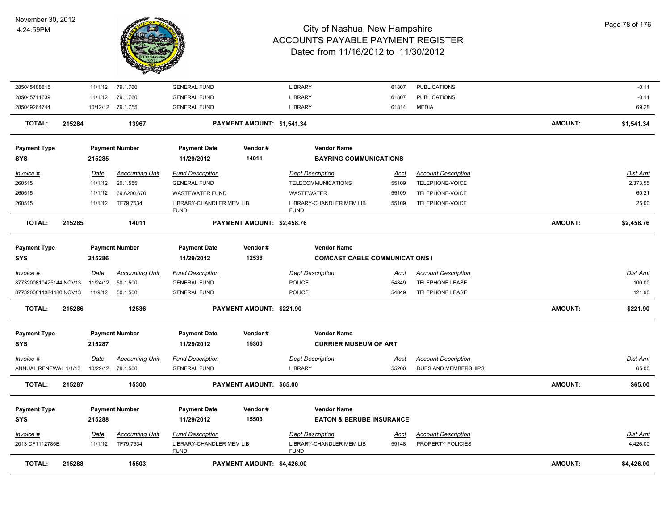

| <b>TOTAL:</b><br>215288             |                        | 15503                                       |                                                                    | PAYMENT AMOUNT: \$4,426.00 |                                                                    |                      |                                                      | <b>AMOUNT:</b> | \$4,426.00                  |
|-------------------------------------|------------------------|---------------------------------------------|--------------------------------------------------------------------|----------------------------|--------------------------------------------------------------------|----------------------|------------------------------------------------------|----------------|-----------------------------|
| <u>Invoice #</u><br>2013 CF1112785E | <u>Date</u><br>11/1/12 | <b>Accounting Unit</b><br>TF79.7534         | <b>Fund Description</b><br>LIBRARY-CHANDLER MEM LIB<br><b>FUND</b> |                            | <b>Dept Description</b><br>LIBRARY-CHANDLER MEM LIB<br><b>FUND</b> | <u>Acct</u><br>59148 | <b>Account Description</b><br>PROPERTY POLICIES      |                | <u>Dist Ami</u><br>4,426.00 |
| <b>Payment Type</b><br><b>SYS</b>   | 215288                 | <b>Payment Number</b>                       | <b>Payment Date</b><br>11/29/2012                                  | Vendor#<br>15503           | <b>Vendor Name</b><br><b>EATON &amp; BERUBE INSURANCE</b>          |                      |                                                      |                |                             |
| TOTAL:<br>215287                    |                        | 15300                                       |                                                                    | PAYMENT AMOUNT: \$65.00    |                                                                    |                      |                                                      | AMOUNT:        | \$65.00                     |
| Invoice #<br>ANNUAL RENEWAL 1/1/13  | Date                   | <b>Accounting Unit</b><br>10/22/12 79.1.500 | <b>Fund Description</b><br><b>GENERAL FUND</b>                     |                            | <b>Dept Description</b><br><b>LIBRARY</b>                          | Acct<br>55200        | <b>Account Description</b><br>DUES AND MEMBERSHIPS   |                | Dist Amt<br>65.00           |
| <b>Payment Type</b><br><b>SYS</b>   | 215287                 | <b>Payment Number</b>                       | <b>Payment Date</b><br>11/29/2012                                  | Vendor#<br>15300           | <b>Vendor Name</b><br><b>CURRIER MUSEUM OF ART</b>                 |                      |                                                      |                |                             |
|                                     |                        |                                             |                                                                    |                            |                                                                    |                      |                                                      |                |                             |
| 215286<br>TOTAL:                    |                        | 12536                                       |                                                                    | PAYMENT AMOUNT: \$221.90   |                                                                    |                      |                                                      | AMOUNT:        | \$221.90                    |
| 8773200811384480 NOV13              | 11/9/12                | 50.1.500                                    | <b>GENERAL FUND</b>                                                |                            | <b>POLICE</b>                                                      | 54849                | <b>TELEPHONE LEASE</b>                               |                | 121.90                      |
| Invoice #<br>8773200810425144 NOV13 | Date<br>11/24/12       | <b>Accounting Unit</b><br>50.1.500          | <b>Fund Description</b><br><b>GENERAL FUND</b>                     |                            | <b>Dept Description</b><br>POLICE                                  | <u>Acct</u><br>54849 | <b>Account Description</b><br><b>TELEPHONE LEASE</b> |                | Dist Amt<br>100.00          |
| <b>SYS</b>                          | 215286                 |                                             | 11/29/2012                                                         | 12536                      | <b>COMCAST CABLE COMMUNICATIONS I</b>                              |                      |                                                      |                |                             |
| <b>Payment Type</b>                 |                        | <b>Payment Number</b>                       | <b>Payment Date</b>                                                | Vendor#                    | <b>Vendor Name</b>                                                 |                      |                                                      |                |                             |
| <b>TOTAL:</b><br>215285             |                        | 14011                                       |                                                                    | PAYMENT AMOUNT: \$2,458.76 |                                                                    |                      |                                                      | <b>AMOUNT:</b> | \$2,458.76                  |
| 260515                              | 11/1/12                | TF79.7534                                   | LIBRARY-CHANDLER MEM LIB<br><b>FUND</b>                            |                            | LIBRARY-CHANDLER MEM LIB<br><b>FUND</b>                            | 55109                | TELEPHONE-VOICE                                      |                | 25.00                       |
| 260515                              | 11/1/12                | 69.6200.670                                 | <b>WASTEWATER FUND</b>                                             |                            | <b>WASTEWATER</b>                                                  | 55109                | TELEPHONE-VOICE                                      |                | 60.21                       |
| 260515                              | 11/1/12                | 20.1.555                                    | <b>GENERAL FUND</b>                                                |                            | TELECOMMUNICATIONS                                                 | 55109                | TELEPHONE-VOICE                                      |                | 2,373.55                    |
| <u>Invoice #</u>                    | <u>Date</u>            | <b>Accounting Unit</b>                      | <b>Fund Description</b>                                            |                            | <b>Dept Description</b>                                            | <u>Acct</u>          | <b>Account Description</b>                           |                | Dist Amt                    |
| <b>Payment Type</b><br><b>SYS</b>   | 215285                 | <b>Payment Number</b>                       | <b>Payment Date</b><br>11/29/2012                                  | Vendor#<br>14011           | <b>Vendor Name</b><br><b>BAYRING COMMUNICATIONS</b>                |                      |                                                      |                |                             |
| <b>TOTAL:</b><br>215284             |                        | 13967                                       |                                                                    | PAYMENT AMOUNT: \$1,541.34 |                                                                    |                      |                                                      | AMOUNT:        | \$1,541.34                  |
| 285049264744                        |                        | 10/12/12 79.1.755                           | <b>GENERAL FUND</b>                                                |                            | <b>LIBRARY</b>                                                     | 61814                | <b>MEDIA</b>                                         |                | 69.28                       |
| 285045711639                        | 11/1/12                | 79.1.760                                    | <b>GENERAL FUND</b>                                                |                            | <b>LIBRARY</b>                                                     | 61807                | <b>PUBLICATIONS</b>                                  |                | $-0.11$                     |
| 285045488815                        | 11/1/12                | 79.1.760                                    | <b>GENERAL FUND</b>                                                |                            | <b>LIBRARY</b>                                                     | 61807                | <b>PUBLICATIONS</b>                                  |                | $-0.11$                     |
|                                     |                        |                                             |                                                                    |                            |                                                                    |                      |                                                      |                |                             |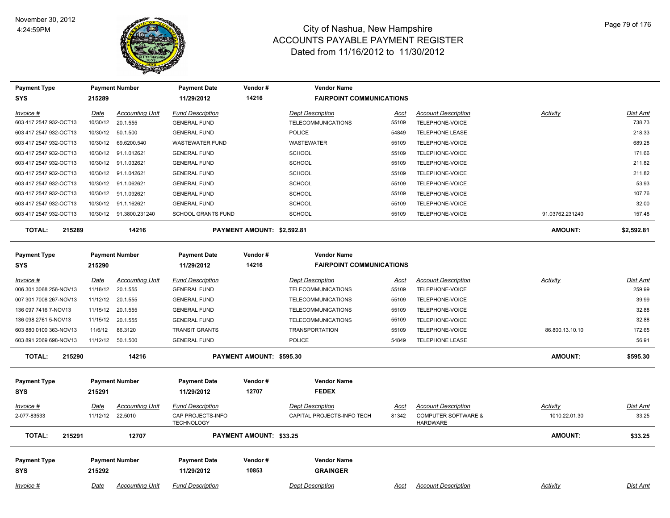

| <b>Payment Type</b>     |             | <b>Payment Number</b>   | <b>Payment Date</b>                    | Vendor#                    | <b>Vendor Name</b>              |             |                                                   |                 |            |
|-------------------------|-------------|-------------------------|----------------------------------------|----------------------------|---------------------------------|-------------|---------------------------------------------------|-----------------|------------|
| <b>SYS</b>              | 215289      |                         | 11/29/2012                             | 14216                      | <b>FAIRPOINT COMMUNICATIONS</b> |             |                                                   |                 |            |
| Invoice #               | <u>Date</u> | <b>Accounting Unit</b>  | <b>Fund Description</b>                |                            | <b>Dept Description</b>         | Acct        | <b>Account Description</b>                        | Activity        | Dist Amt   |
| 603 417 2547 932-OCT13  |             | 10/30/12 20.1.555       | <b>GENERAL FUND</b>                    |                            | <b>TELECOMMUNICATIONS</b>       | 55109       | TELEPHONE-VOICE                                   |                 | 738.73     |
| 603 417 2547 932-OCT13  |             | 10/30/12   50.1.500     | <b>GENERAL FUND</b>                    |                            | <b>POLICE</b>                   | 54849       | <b>TELEPHONE LEASE</b>                            |                 | 218.33     |
| 603 417 2547 932-OCT13  |             | 10/30/12 69.6200.540    | <b>WASTEWATER FUND</b>                 |                            | <b>WASTEWATER</b>               | 55109       | TELEPHONE-VOICE                                   |                 | 689.28     |
| 603 417 2547 932-OCT13  |             | 10/30/12 91.1.012621    | <b>GENERAL FUND</b>                    |                            | SCHOOL                          | 55109       | TELEPHONE-VOICE                                   |                 | 171.66     |
| 603 417 2547 932-OCT13  |             | 10/30/12 91.1.032621    | <b>GENERAL FUND</b>                    |                            | SCHOOL                          | 55109       | TELEPHONE-VOICE                                   |                 | 211.82     |
| 603 417 2547 932-OCT13  | 10/30/12    | 91.1.042621             | <b>GENERAL FUND</b>                    |                            | <b>SCHOOL</b>                   | 55109       | TELEPHONE-VOICE                                   |                 | 211.82     |
| 603 417 2547 932-OCT13  |             | 10/30/12 91.1.062621    | <b>GENERAL FUND</b>                    |                            | <b>SCHOOL</b>                   | 55109       | TELEPHONE-VOICE                                   |                 | 53.93      |
| 603 417 2547 932-OCT13  |             | 10/30/12 91.1.092621    | <b>GENERAL FUND</b>                    |                            | <b>SCHOOL</b>                   | 55109       | TELEPHONE-VOICE                                   |                 | 107.76     |
| 603 417 2547 932-OCT13  |             | 10/30/12 91.1.162621    | <b>GENERAL FUND</b>                    |                            | <b>SCHOOL</b>                   | 55109       | TELEPHONE-VOICE                                   |                 | 32.00      |
| 603 417 2547 932-OCT13  |             | 10/30/12 91.3800.231240 | <b>SCHOOL GRANTS FUND</b>              |                            | <b>SCHOOL</b>                   | 55109       | TELEPHONE-VOICE                                   | 91.03762.231240 | 157.48     |
| <b>TOTAL:</b><br>215289 |             | 14216                   |                                        | PAYMENT AMOUNT: \$2,592.81 |                                 |             |                                                   | <b>AMOUNT:</b>  | \$2,592.81 |
| <b>Payment Type</b>     |             | <b>Payment Number</b>   | <b>Payment Date</b>                    | Vendor#                    | <b>Vendor Name</b>              |             |                                                   |                 |            |
| <b>SYS</b>              | 215290      |                         | 11/29/2012                             | 14216                      | <b>FAIRPOINT COMMUNICATIONS</b> |             |                                                   |                 |            |
| Invoice #               | Date        | <b>Accounting Unit</b>  | <b>Fund Description</b>                |                            | <b>Dept Description</b>         | Acct        | <b>Account Description</b>                        | Activity        | Dist Amt   |
| 006 301 3068 256-NOV13  |             | 11/18/12 20.1.555       | <b>GENERAL FUND</b>                    |                            | <b>TELECOMMUNICATIONS</b>       | 55109       | TELEPHONE-VOICE                                   |                 | 259.99     |
| 007 301 7008 267-NOV13  |             | 11/12/12 20.1.555       | <b>GENERAL FUND</b>                    |                            | <b>TELECOMMUNICATIONS</b>       | 55109       | TELEPHONE-VOICE                                   |                 | 39.99      |
| 136 097 7416 7-NOV13    | 11/15/12    | 20.1.555                | <b>GENERAL FUND</b>                    |                            | <b>TELECOMMUNICATIONS</b>       | 55109       | TELEPHONE-VOICE                                   |                 | 32.88      |
| 136 098 2761 5-NOV13    |             | 11/15/12 20.1.555       | <b>GENERAL FUND</b>                    |                            | <b>TELECOMMUNICATIONS</b>       | 55109       | TELEPHONE-VOICE                                   |                 | 32.88      |
| 603 880 0100 363-NOV13  | 11/6/12     | 86.3120                 | <b>TRANSIT GRANTS</b>                  |                            | <b>TRANSPORTATION</b>           | 55109       | TELEPHONE-VOICE                                   | 86.800.13.10.10 | 172.65     |
| 603 891 2069 698-NOV13  |             | 11/12/12 50.1.500       | <b>GENERAL FUND</b>                    |                            | POLICE                          | 54849       | TELEPHONE LEASE                                   |                 | 56.91      |
| <b>TOTAL:</b><br>215290 |             | 14216                   |                                        | PAYMENT AMOUNT: \$595.30   |                                 |             |                                                   | <b>AMOUNT:</b>  | \$595.30   |
| <b>Payment Type</b>     |             | <b>Payment Number</b>   | <b>Payment Date</b>                    | Vendor#                    | <b>Vendor Name</b>              |             |                                                   |                 |            |
| SYS                     | 215291      |                         | 11/29/2012                             | 12707                      | <b>FEDEX</b>                    |             |                                                   |                 |            |
| Invoice #               | Date        | <b>Accounting Unit</b>  | <b>Fund Description</b>                |                            | <b>Dept Description</b>         | <u>Acct</u> | <b>Account Description</b>                        | Activity        | Dist Amt   |
| 2-077-83533             |             | 11/12/12 22.5010        | CAP PROJECTS-INFO<br><b>TECHNOLOGY</b> |                            | CAPITAL PROJECTS-INFO TECH      | 81342       | <b>COMPUTER SOFTWARE &amp;</b><br><b>HARDWARE</b> | 1010.22.01.30   | 33.25      |
| 215291<br><b>TOTAL:</b> |             | 12707                   |                                        | PAYMENT AMOUNT: \$33.25    |                                 |             |                                                   | AMOUNT:         | \$33.25    |
| <b>Payment Type</b>     |             | <b>Payment Number</b>   | <b>Payment Date</b>                    | Vendor#                    | <b>Vendor Name</b>              |             |                                                   |                 |            |
| SYS                     | 215292      |                         | 11/29/2012                             | 10853                      | <b>GRAINGER</b>                 |             |                                                   |                 |            |
| Invoice #               | Date        | <b>Accounting Unit</b>  | <b>Fund Description</b>                |                            | <b>Dept Description</b>         | Acct        | <b>Account Description</b>                        | Activity        | Dist Amt   |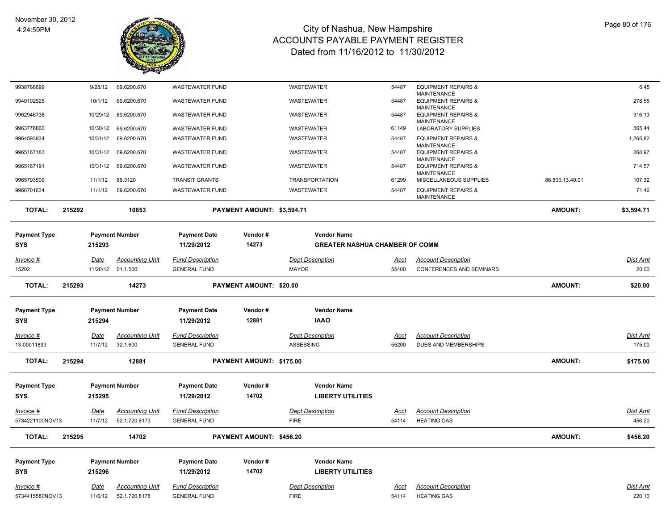

| 9938766699                             |        | 9/28/12         | 69.6200.670                             | <b>WASTEWATER FUND</b>                         |                                | <b>WASTEWATER</b>                      | 54487         | <b>EQUIPMENT REPAIRS &amp;</b>                       |                 | 6.45               |
|----------------------------------------|--------|-----------------|-----------------------------------------|------------------------------------------------|--------------------------------|----------------------------------------|---------------|------------------------------------------------------|-----------------|--------------------|
| 9940102925                             |        | 10/1/12         | 69.6200.670                             | <b>WASTEWATER FUND</b>                         |                                | WASTEWATER                             | 54487         | MAINTENANCE<br><b>EQUIPMENT REPAIRS &amp;</b>        |                 | 278.55             |
|                                        |        |                 |                                         |                                                |                                |                                        |               | <b>MAINTENANCE</b>                                   |                 |                    |
| 9962946738                             |        | 10/29/12        | 69.6200.670                             | <b>WASTEWATER FUND</b>                         |                                | WASTEWATER                             | 54487         | <b>EQUIPMENT REPAIRS &amp;</b><br><b>MAINTENANCE</b> |                 | 316.13             |
| 9963776860                             |        | 10/30/12        | 69.6200.670                             | <b>WASTEWATER FUND</b>                         |                                | WASTEWATER                             | 61149         | LABORATORY SUPPLIES                                  |                 | 565.44             |
| 9964593934                             |        | 10/31/12        | 69.6200.670                             | <b>WASTEWATER FUND</b>                         |                                | <b>WASTEWATER</b>                      | 54487         | <b>EQUIPMENT REPAIRS &amp;</b>                       |                 | 1,265.82           |
|                                        |        |                 |                                         |                                                |                                |                                        |               | <b>MAINTENANCE</b>                                   |                 |                    |
| 9965167183                             |        | 10/31/12        | 69.6200.670                             | <b>WASTEWATER FUND</b>                         |                                | WASTEWATER                             | 54487         | <b>EQUIPMENT REPAIRS &amp;</b><br><b>MAINTENANCE</b> |                 | 268.97             |
| 9965167191                             |        | 10/31/12        | 69.6200.670                             | <b>WASTEWATER FUND</b>                         |                                | WASTEWATER                             | 54487         | <b>EQUIPMENT REPAIRS &amp;</b>                       |                 | 714.57             |
| 9965793509                             |        | 11/1/12         | 86.3120                                 | <b>TRANSIT GRANTS</b>                          |                                | <b>TRANSPORTATION</b>                  | 61299         | <b>MAINTENANCE</b><br>MISCELLANEOUS SUPPLIES         | 86.800.13.40.01 | 107.32             |
| 9966701634                             |        | 11/1/12         | 69.6200.670                             | <b>WASTEWATER FUND</b>                         |                                | WASTEWATER                             | 54487         | <b>EQUIPMENT REPAIRS &amp;</b>                       |                 | 71.46              |
|                                        |        |                 |                                         |                                                |                                |                                        |               | <b>MAINTENANCE</b>                                   |                 |                    |
| <b>TOTAL:</b>                          | 215292 |                 | 10853                                   |                                                | PAYMENT AMOUNT: \$3,594.71     |                                        |               |                                                      | <b>AMOUNT:</b>  | \$3,594.71         |
|                                        |        |                 |                                         |                                                |                                |                                        |               |                                                      |                 |                    |
| Payment Type                           |        |                 | <b>Payment Number</b>                   | <b>Payment Date</b>                            | Vendor#                        | <b>Vendor Name</b>                     |               |                                                      |                 |                    |
| SYS                                    |        | 215293          |                                         | 11/29/2012                                     | 14273                          | <b>GREATER NASHUA CHAMBER OF COMM</b>  |               |                                                      |                 |                    |
|                                        |        |                 |                                         |                                                |                                |                                        |               |                                                      |                 |                    |
| Invoice #                              |        | Date            | <b>Accounting Unit</b>                  | <b>Fund Description</b>                        |                                | <b>Dept Description</b>                | Acct          | <b>Account Description</b>                           |                 | Dist Amt           |
| 15202                                  |        |                 | 11/20/12 01.1.500                       | <b>GENERAL FUND</b>                            |                                | <b>MAYOR</b>                           | 55400         | CONFERENCES AND SEMINARS                             |                 | 20.00              |
| <b>TOTAL:</b>                          | 215293 |                 | 14273                                   |                                                | <b>PAYMENT AMOUNT: \$20.00</b> |                                        |               |                                                      | <b>AMOUNT:</b>  | \$20.00            |
|                                        |        |                 |                                         |                                                |                                |                                        |               |                                                      |                 |                    |
|                                        |        |                 |                                         |                                                |                                |                                        |               |                                                      |                 |                    |
| Payment Type                           |        |                 | <b>Payment Number</b>                   | <b>Payment Date</b>                            | Vendor#                        | <b>Vendor Name</b>                     |               |                                                      |                 |                    |
| SYS                                    |        | 215294          |                                         | 11/29/2012                                     | 12881                          | <b>IAAO</b>                            |               |                                                      |                 |                    |
| <u>Invoice #</u>                       |        | <u>Date</u>     | <u>Accounting Unit</u>                  | <b>Fund Description</b>                        |                                | <b>Dept Description</b>                | <u>Acct</u>   | <b>Account Description</b>                           |                 | <u>Dist Amt</u>    |
| 13-00011839                            |        | 11/7/12         | 32.1.600                                | <b>GENERAL FUND</b>                            |                                | ASSESSING                              | 55200         | <b>DUES AND MEMBERSHIPS</b>                          |                 | 175.00             |
|                                        |        |                 |                                         |                                                |                                |                                        |               |                                                      |                 |                    |
| <b>TOTAL:</b>                          | 215294 |                 | 12881                                   |                                                |                                |                                        |               |                                                      |                 | \$175.00           |
|                                        |        |                 |                                         |                                                |                                | PAYMENT AMOUNT: \$175.00               |               |                                                      | <b>AMOUNT:</b>  |                    |
|                                        |        |                 |                                         |                                                |                                |                                        |               |                                                      |                 |                    |
| <b>Payment Type</b>                    |        |                 | <b>Payment Number</b>                   | <b>Payment Date</b>                            | Vendor#                        | <b>Vendor Name</b>                     |               |                                                      |                 |                    |
| SYS                                    |        | 215295          |                                         | 11/29/2012                                     | 14702                          | <b>LIBERTY UTILITIES</b>               |               |                                                      |                 |                    |
|                                        |        |                 |                                         |                                                |                                |                                        |               |                                                      |                 |                    |
| Invoice #                              |        | Date            | <b>Accounting Unit</b>                  | <b>Fund Description</b>                        |                                | <b>Dept Description</b>                | Acct          | <b>Account Description</b>                           |                 | Dist Amt           |
|                                        |        | 11/7/12         | 52.1.720.8173                           | <b>GENERAL FUND</b>                            |                                | <b>FIRE</b>                            | 54114         | <b>HEATING GAS</b>                                   |                 | 456.20             |
| <b>TOTAL:</b>                          | 215295 |                 | 14702                                   |                                                | PAYMENT AMOUNT: \$456.20       |                                        |               |                                                      | <b>AMOUNT:</b>  | \$456.20           |
|                                        |        |                 | <b>Payment Number</b>                   | <b>Payment Date</b>                            | Vendor#                        | <b>Vendor Name</b>                     |               |                                                      |                 |                    |
| 5734221100NOV13<br>Payment Type<br>SYS |        | 215296          |                                         | 11/29/2012                                     | 14702                          | <b>LIBERTY UTILITIES</b>               |               |                                                      |                 |                    |
|                                        |        |                 |                                         |                                                |                                |                                        |               |                                                      |                 |                    |
| Invoice #<br>5734415580NOV13           |        | Date<br>11/6/12 | <b>Accounting Unit</b><br>52.1.720.8178 | <b>Fund Description</b><br><b>GENERAL FUND</b> |                                | <b>Dept Description</b><br><b>FIRE</b> | Acct<br>54114 | <b>Account Description</b><br><b>HEATING GAS</b>     |                 | Dist Amt<br>220.10 |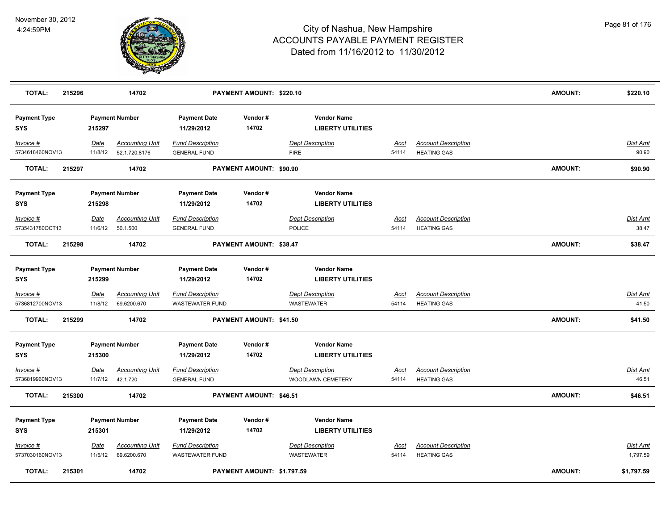

| TOTAL:                            | 215296 |                        | 14702                                   |                                                   | PAYMENT AMOUNT: \$220.10   |                                                |                      |                                                  | <b>AMOUNT:</b> | \$220.10                 |
|-----------------------------------|--------|------------------------|-----------------------------------------|---------------------------------------------------|----------------------------|------------------------------------------------|----------------------|--------------------------------------------------|----------------|--------------------------|
| <b>Payment Type</b><br><b>SYS</b> |        | 215297                 | <b>Payment Number</b>                   | <b>Payment Date</b><br>11/29/2012                 | Vendor#<br>14702           | <b>Vendor Name</b><br><b>LIBERTY UTILITIES</b> |                      |                                                  |                |                          |
| Invoice #<br>5734618460NOV13      |        | Date<br>11/8/12        | <b>Accounting Unit</b><br>52.1.720.8176 | <b>Fund Description</b><br><b>GENERAL FUND</b>    |                            | <b>Dept Description</b><br><b>FIRE</b>         | <u>Acct</u><br>54114 | <b>Account Description</b><br><b>HEATING GAS</b> |                | Dist Amt<br>90.90        |
| <b>TOTAL:</b>                     | 215297 |                        | 14702                                   |                                                   | PAYMENT AMOUNT: \$90.90    |                                                |                      |                                                  | <b>AMOUNT:</b> | \$90.90                  |
| <b>Payment Type</b><br><b>SYS</b> |        | 215298                 | <b>Payment Number</b>                   | <b>Payment Date</b><br>11/29/2012                 | Vendor#<br>14702           | <b>Vendor Name</b><br><b>LIBERTY UTILITIES</b> |                      |                                                  |                |                          |
| Invoice #<br>5735431780OCT13      |        | Date<br>11/6/12        | <b>Accounting Unit</b><br>50.1.500      | <b>Fund Description</b><br><b>GENERAL FUND</b>    |                            | <b>Dept Description</b><br>POLICE              | Acct<br>54114        | <b>Account Description</b><br><b>HEATING GAS</b> |                | Dist Amt<br>38.47        |
| <b>TOTAL:</b>                     | 215298 |                        | 14702                                   |                                                   | PAYMENT AMOUNT: \$38.47    |                                                |                      |                                                  | <b>AMOUNT:</b> | \$38.47                  |
| <b>Payment Type</b><br><b>SYS</b> |        | 215299                 | <b>Payment Number</b>                   | <b>Payment Date</b><br>11/29/2012                 | Vendor#<br>14702           | <b>Vendor Name</b><br><b>LIBERTY UTILITIES</b> |                      |                                                  |                |                          |
| Invoice #<br>5736812700NOV13      |        | <b>Date</b><br>11/8/12 | <u>Accounting Unit</u><br>69.6200.670   | <b>Fund Description</b><br><b>WASTEWATER FUND</b> |                            | <b>Dept Description</b><br><b>WASTEWATER</b>   | <u>Acci</u><br>54114 | <b>Account Description</b><br><b>HEATING GAS</b> |                | <u>Dist Amt</u><br>41.50 |
| <b>TOTAL:</b>                     | 215299 |                        | 14702                                   |                                                   | PAYMENT AMOUNT: \$41.50    |                                                |                      |                                                  | <b>AMOUNT:</b> | \$41.50                  |
| <b>Payment Type</b><br><b>SYS</b> |        | 215300                 | <b>Payment Number</b>                   | <b>Payment Date</b><br>11/29/2012                 | Vendor#<br>14702           | <b>Vendor Name</b><br><b>LIBERTY UTILITIES</b> |                      |                                                  |                |                          |
| Invoice #<br>5736819960NOV13      |        | Date<br>11/7/12        | <b>Accounting Unit</b><br>42.1.720      | <b>Fund Description</b><br><b>GENERAL FUND</b>    |                            | <b>Dept Description</b><br>WOODLAWN CEMETERY   | Acct<br>54114        | <b>Account Description</b><br><b>HEATING GAS</b> |                | Dist Amt<br>46.51        |
| <b>TOTAL:</b>                     | 215300 |                        | 14702                                   |                                                   | PAYMENT AMOUNT: \$46.51    |                                                |                      |                                                  | <b>AMOUNT:</b> | \$46.51                  |
| <b>Payment Type</b><br><b>SYS</b> |        | 215301                 | <b>Payment Number</b>                   | <b>Payment Date</b><br>11/29/2012                 | Vendor#<br>14702           | <b>Vendor Name</b><br><b>LIBERTY UTILITIES</b> |                      |                                                  |                |                          |
| Invoice #<br>5737030160NOV13      |        | Date<br>11/5/12        | <b>Accounting Unit</b><br>69.6200.670   | <b>Fund Description</b><br><b>WASTEWATER FUND</b> |                            | <b>Dept Description</b><br>WASTEWATER          | <u>Acct</u><br>54114 | <b>Account Description</b><br><b>HEATING GAS</b> |                | Dist Amt<br>1,797.59     |
| <b>TOTAL:</b>                     | 215301 |                        | 14702                                   |                                                   | PAYMENT AMOUNT: \$1,797.59 |                                                |                      |                                                  | <b>AMOUNT:</b> | \$1,797.59               |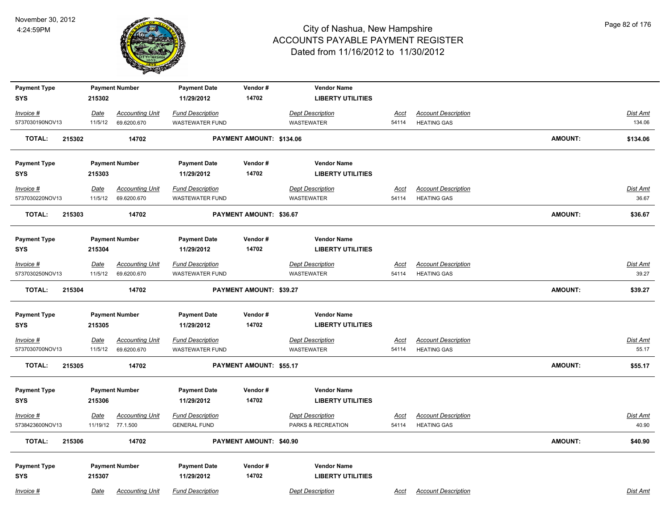

| <b>Payment Type</b>     |             | <b>Payment Number</b>  | <b>Payment Date</b>     | Vendor#                  | <b>Vendor Name</b>       |             |                            |                |                 |
|-------------------------|-------------|------------------------|-------------------------|--------------------------|--------------------------|-------------|----------------------------|----------------|-----------------|
| <b>SYS</b>              | 215302      |                        | 11/29/2012              | 14702                    | <b>LIBERTY UTILITIES</b> |             |                            |                |                 |
| Invoice #               | Date        | <b>Accounting Unit</b> | <b>Fund Description</b> |                          | <b>Dept Description</b>  | <u>Acct</u> | <b>Account Description</b> |                | Dist Amt        |
| 5737030190NOV13         | 11/5/12     | 69.6200.670            | <b>WASTEWATER FUND</b>  |                          | <b>WASTEWATER</b>        | 54114       | <b>HEATING GAS</b>         |                | 134.06          |
| <b>TOTAL:</b><br>215302 |             | 14702                  |                         | PAYMENT AMOUNT: \$134.06 |                          |             |                            | <b>AMOUNT:</b> | \$134.06        |
| <b>Payment Type</b>     |             | <b>Payment Number</b>  | <b>Payment Date</b>     | Vendor#                  | <b>Vendor Name</b>       |             |                            |                |                 |
| <b>SYS</b>              | 215303      |                        | 11/29/2012              | 14702                    | <b>LIBERTY UTILITIES</b> |             |                            |                |                 |
| $Invoice$ #             | <u>Date</u> | <b>Accounting Unit</b> | <b>Fund Description</b> |                          | <b>Dept Description</b>  | <u>Acct</u> | <b>Account Description</b> |                | <b>Dist Amt</b> |
| 5737030220NOV13         | 11/5/12     | 69.6200.670            | <b>WASTEWATER FUND</b>  |                          | <b>WASTEWATER</b>        | 54114       | <b>HEATING GAS</b>         |                | 36.67           |
| <b>TOTAL:</b><br>215303 |             | 14702                  |                         | PAYMENT AMOUNT: \$36.67  |                          |             |                            | <b>AMOUNT:</b> | \$36.67         |
| <b>Payment Type</b>     |             | <b>Payment Number</b>  | <b>Payment Date</b>     | Vendor#                  | <b>Vendor Name</b>       |             |                            |                |                 |
| <b>SYS</b>              | 215304      |                        | 11/29/2012              | 14702                    | <b>LIBERTY UTILITIES</b> |             |                            |                |                 |
| $Invoice$ #             | Date        | <b>Accounting Unit</b> | <b>Fund Description</b> |                          | <b>Dept Description</b>  | Acct        | <b>Account Description</b> |                | Dist Amt        |
| 5737030250NOV13         | 11/5/12     | 69.6200.670            | WASTEWATER FUND         |                          | <b>WASTEWATER</b>        | 54114       | <b>HEATING GAS</b>         |                | 39.27           |
| <b>TOTAL:</b><br>215304 |             | 14702                  |                         | PAYMENT AMOUNT: \$39.27  |                          |             |                            | <b>AMOUNT:</b> | \$39.27         |
| <b>Payment Type</b>     |             | <b>Payment Number</b>  | <b>Payment Date</b>     | Vendor#                  | <b>Vendor Name</b>       |             |                            |                |                 |
| <b>SYS</b>              | 215305      |                        | 11/29/2012              | 14702                    | <b>LIBERTY UTILITIES</b> |             |                            |                |                 |
| <u>Invoice #</u>        | <b>Date</b> | <b>Accounting Unit</b> | <b>Fund Description</b> |                          | <b>Dept Description</b>  | <u>Acct</u> | <b>Account Description</b> |                | <b>Dist Amt</b> |
| 5737030700NOV13         | 11/5/12     | 69.6200.670            | <b>WASTEWATER FUND</b>  |                          | <b>WASTEWATER</b>        | 54114       | <b>HEATING GAS</b>         |                | 55.17           |
| <b>TOTAL:</b><br>215305 |             | 14702                  |                         | PAYMENT AMOUNT: \$55.17  |                          |             |                            | <b>AMOUNT:</b> | \$55.17         |
| <b>Payment Type</b>     |             | <b>Payment Number</b>  | <b>Payment Date</b>     | Vendor#                  | <b>Vendor Name</b>       |             |                            |                |                 |
| <b>SYS</b>              | 215306      |                        | 11/29/2012              | 14702                    | <b>LIBERTY UTILITIES</b> |             |                            |                |                 |
| $Invoice$ #             | Date        | <b>Accounting Unit</b> | <b>Fund Description</b> |                          | <b>Dept Description</b>  | <u>Acct</u> | <b>Account Description</b> |                | Dist Amt        |
| 5738423600NOV13         |             | 11/19/12 77.1.500      | <b>GENERAL FUND</b>     |                          | PARKS & RECREATION       | 54114       | <b>HEATING GAS</b>         |                | 40.90           |
| <b>TOTAL:</b><br>215306 |             | 14702                  |                         | PAYMENT AMOUNT: \$40.90  |                          |             |                            | AMOUNT:        | \$40.90         |
| <b>Payment Type</b>     |             | <b>Payment Number</b>  | <b>Payment Date</b>     | Vendor#                  | <b>Vendor Name</b>       |             |                            |                |                 |
| <b>SYS</b>              | 215307      |                        | 11/29/2012              | 14702                    | <b>LIBERTY UTILITIES</b> |             |                            |                |                 |
| Invoice #               | Date        | <b>Accounting Unit</b> | <b>Fund Description</b> |                          | <b>Dept Description</b>  | Acct        | <b>Account Description</b> |                | Dist Amt        |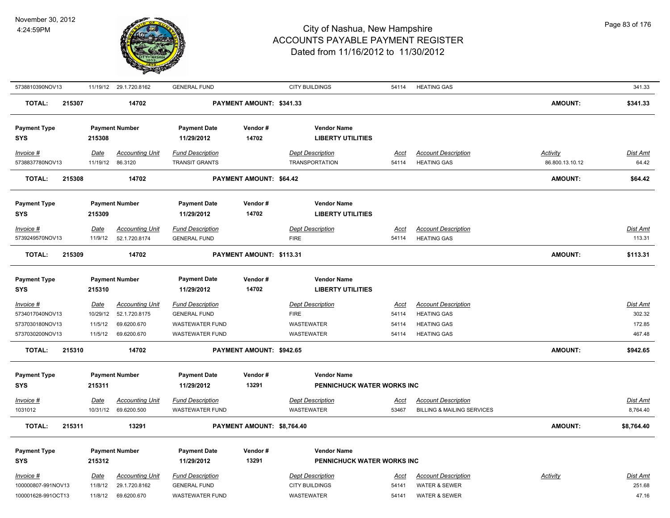

| 5738810390NOV13         |             | 11/19/12 29.1.720.8162 | <b>GENERAL FUND</b>     |                            | <b>CITY BUILDINGS</b>      | 54114       | <b>HEATING GAS</b>                    |                 | 341.33          |
|-------------------------|-------------|------------------------|-------------------------|----------------------------|----------------------------|-------------|---------------------------------------|-----------------|-----------------|
| <b>TOTAL:</b><br>215307 |             | 14702                  |                         | PAYMENT AMOUNT: \$341.33   |                            |             |                                       | <b>AMOUNT:</b>  | \$341.33        |
| <b>Payment Type</b>     |             | <b>Payment Number</b>  | <b>Payment Date</b>     | Vendor#                    | <b>Vendor Name</b>         |             |                                       |                 |                 |
| SYS                     | 215308      |                        | 11/29/2012              | 14702                      | <b>LIBERTY UTILITIES</b>   |             |                                       |                 |                 |
| Invoice #               | Date        | <b>Accounting Unit</b> | <b>Fund Description</b> |                            | <b>Dept Description</b>    | Acct        | <b>Account Description</b>            | Activity        | Dist Amt        |
| 5738837780NOV13         | 11/19/12    | 86.3120                | <b>TRANSIT GRANTS</b>   |                            | <b>TRANSPORTATION</b>      | 54114       | <b>HEATING GAS</b>                    | 86.800.13.10.12 | 64.42           |
| <b>TOTAL:</b><br>215308 |             | 14702                  |                         | PAYMENT AMOUNT: \$64.42    |                            |             |                                       | <b>AMOUNT:</b>  | \$64.42         |
| <b>Payment Type</b>     |             | <b>Payment Number</b>  | <b>Payment Date</b>     | Vendor#                    | <b>Vendor Name</b>         |             |                                       |                 |                 |
| SYS                     | 215309      |                        | 11/29/2012              | 14702                      | <b>LIBERTY UTILITIES</b>   |             |                                       |                 |                 |
| Invoice #               | Date        | <b>Accounting Unit</b> | <b>Fund Description</b> |                            | <b>Dept Description</b>    | Acct        | <b>Account Description</b>            |                 | Dist Amt        |
| 5739249570NOV13         | 11/9/12     | 52.1.720.8174          | <b>GENERAL FUND</b>     |                            | <b>FIRE</b>                | 54114       | <b>HEATING GAS</b>                    |                 | 113.31          |
| <b>TOTAL:</b><br>215309 |             | 14702                  |                         | PAYMENT AMOUNT: \$113.31   |                            |             |                                       | <b>AMOUNT:</b>  | \$113.31        |
| <b>Payment Type</b>     |             | <b>Payment Number</b>  | <b>Payment Date</b>     | Vendor#                    | <b>Vendor Name</b>         |             |                                       |                 |                 |
| <b>SYS</b>              | 215310      |                        | 11/29/2012              | 14702                      | <b>LIBERTY UTILITIES</b>   |             |                                       |                 |                 |
| Invoice #               | Date        | <b>Accounting Unit</b> | <b>Fund Description</b> |                            | <b>Dept Description</b>    | <u>Acct</u> | <b>Account Description</b>            |                 | Dist Amt        |
| 5734017040NOV13         | 10/29/12    | 52.1.720.8175          | <b>GENERAL FUND</b>     |                            | <b>FIRE</b>                | 54114       | <b>HEATING GAS</b>                    |                 | 302.32          |
| 5737030180NOV13         | 11/5/12     | 69.6200.670            | <b>WASTEWATER FUND</b>  |                            | <b>WASTEWATER</b>          | 54114       | <b>HEATING GAS</b>                    |                 | 172.85          |
| 5737030200NOV13         | 11/5/12     | 69.6200.670            | WASTEWATER FUND         |                            | <b>WASTEWATER</b>          | 54114       | <b>HEATING GAS</b>                    |                 | 467.48          |
| 215310<br>TOTAL:        |             | 14702                  |                         | PAYMENT AMOUNT: \$942.65   |                            |             |                                       | <b>AMOUNT:</b>  | \$942.65        |
| <b>Payment Type</b>     |             | <b>Payment Number</b>  | <b>Payment Date</b>     | Vendor#                    | <b>Vendor Name</b>         |             |                                       |                 |                 |
| <b>SYS</b>              | 215311      |                        | 11/29/2012              | 13291                      | PENNICHUCK WATER WORKS INC |             |                                       |                 |                 |
| Invoice #               | Date        | <b>Accounting Unit</b> | <b>Fund Description</b> |                            | <b>Dept Description</b>    | Acct        | <b>Account Description</b>            |                 | Dist Amt        |
| 1031012                 | 10/31/12    | 69.6200.500            | <b>WASTEWATER FUND</b>  |                            | <b>WASTEWATER</b>          | 53467       | <b>BILLING &amp; MAILING SERVICES</b> |                 | 8,764.40        |
| <b>TOTAL:</b><br>215311 |             | 13291                  |                         | PAYMENT AMOUNT: \$8,764.40 |                            |             |                                       | <b>AMOUNT:</b>  | \$8,764.40      |
| <b>Payment Type</b>     |             | <b>Payment Number</b>  | <b>Payment Date</b>     | Vendor#                    | <b>Vendor Name</b>         |             |                                       |                 |                 |
| <b>SYS</b>              | 215312      |                        | 11/29/2012              | 13291                      | PENNICHUCK WATER WORKS INC |             |                                       |                 |                 |
| Invoice #               | <b>Date</b> | <b>Accounting Unit</b> | <b>Fund Description</b> |                            | <b>Dept Description</b>    | <u>Acct</u> | <b>Account Description</b>            | <b>Activity</b> | <u>Dist Amt</u> |
| 100000807-991NOV13      | 11/8/12     | 29.1.720.8162          | <b>GENERAL FUND</b>     |                            | <b>CITY BUILDINGS</b>      | 54141       | <b>WATER &amp; SEWER</b>              |                 | 251.68          |
| 100001628-991OCT13      | 11/8/12     | 69.6200.670            | <b>WASTEWATER FUND</b>  |                            | WASTEWATER                 | 54141       | <b>WATER &amp; SEWER</b>              |                 | 47.16           |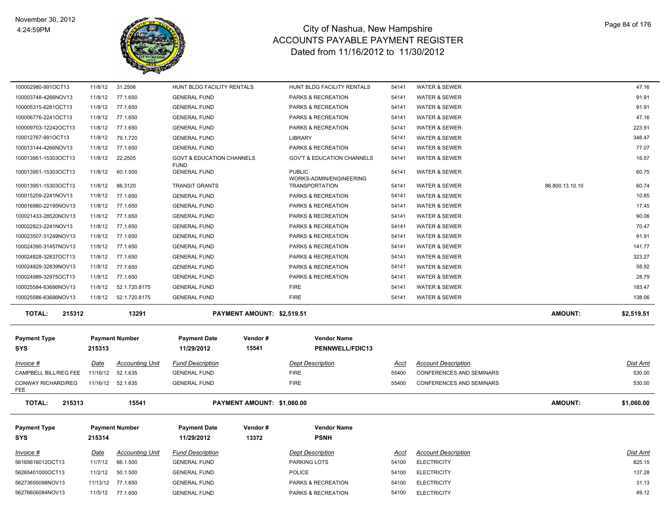

| 100002980-991OCT13                    | 11/8/12     | 31.2506                | HUNT BLDG FACILITY RENTALS                          |                            | HUNT BLDG FACILITY RENTALS               | 54141       | <b>WATER &amp; SEWER</b>        |                 | 47.16           |
|---------------------------------------|-------------|------------------------|-----------------------------------------------------|----------------------------|------------------------------------------|-------------|---------------------------------|-----------------|-----------------|
| 100003748-4266NOV13                   | 11/8/12     | 77.1.650               | <b>GENERAL FUND</b>                                 |                            | PARKS & RECREATION                       | 54141       | WATER & SEWER                   |                 | 91.91           |
| 100005315-6281OCT13                   | 11/8/12     | 77.1.650               | <b>GENERAL FUND</b>                                 |                            | PARKS & RECREATION                       | 54141       | <b>WATER &amp; SEWER</b>        |                 | 91.91           |
| 100006776-2241OCT13                   | 11/8/12     | 77.1.650               | <b>GENERAL FUND</b>                                 |                            | PARKS & RECREATION                       | 54141       | <b>WATER &amp; SEWER</b>        |                 | 47.16           |
| 100009703-12242OCT13                  | 11/8/12     | 77.1.650               | <b>GENERAL FUND</b>                                 |                            | PARKS & RECREATION                       | 54141       | <b>WATER &amp; SEWER</b>        |                 | 223.91          |
| 100012767-991OCT13                    | 11/8/12     | 79.1.720               | <b>GENERAL FUND</b>                                 |                            | <b>LIBRARY</b>                           | 54141       | <b>WATER &amp; SEWER</b>        |                 | 348.47          |
| 100013144-4266NOV13                   | 11/8/12     | 77.1.650               | <b>GENERAL FUND</b>                                 |                            | PARKS & RECREATION                       | 54141       | <b>WATER &amp; SEWER</b>        |                 | 77.07           |
| 100013951-15303OCT13                  | 11/8/12     | 22.2505                | <b>GOVT &amp; EDUCATION CHANNELS</b><br><b>FUND</b> |                            | <b>GOV'T &amp; EDUCATION CHANNELS</b>    | 54141       | WATER & SEWER                   |                 | 16.57           |
| 100013951-15303OCT13                  | 11/8/12     | 60.1.500               | <b>GENERAL FUND</b>                                 |                            | <b>PUBLIC</b><br>WORKS-ADMIN/ENGINEERING | 54141       | WATER & SEWER                   |                 | 60.75           |
| 100013951-15303OCT13                  | 11/8/12     | 86.3120                | <b>TRANSIT GRANTS</b>                               |                            | <b>TRANSPORTATION</b>                    | 54141       | WATER & SEWER                   | 86.800.13.10.10 | 60.74           |
| 100015209-2241NOV13                   | 11/8/12     | 77.1.650               | <b>GENERAL FUND</b>                                 |                            | PARKS & RECREATION                       | 54141       | <b>WATER &amp; SEWER</b>        |                 | 10.85           |
| 100016980-22195NOV13                  | 11/8/12     | 77.1.650               | <b>GENERAL FUND</b>                                 |                            | PARKS & RECREATION                       | 54141       | <b>WATER &amp; SEWER</b>        |                 | 17.45           |
| 100021433-28520NOV13                  | 11/8/12     | 77.1.650               | <b>GENERAL FUND</b>                                 |                            | PARKS & RECREATION                       | 54141       | <b>WATER &amp; SEWER</b>        |                 | 90.06           |
| 100022823-2241NOV13                   | 11/8/12     | 77.1.650               | <b>GENERAL FUND</b>                                 |                            | PARKS & RECREATION                       | 54141       | WATER & SEWER                   |                 | 70.47           |
| 100023507-31249NOV13                  | 11/8/12     | 77.1.650               | <b>GENERAL FUND</b>                                 |                            | PARKS & RECREATION                       | 54141       | WATER & SEWER                   |                 | 91.91           |
| 100024390-31457NOV13                  | 11/8/12     | 77.1.650               | <b>GENERAL FUND</b>                                 |                            | PARKS & RECREATION                       | 54141       | <b>WATER &amp; SEWER</b>        |                 | 141.77          |
| 100024828-32837OCT13                  | 11/8/12     | 77.1.650               | <b>GENERAL FUND</b>                                 |                            | PARKS & RECREATION                       | 54141       | <b>WATER &amp; SEWER</b>        |                 | 323.27          |
| 100024829-32839NOV13                  | 11/8/12     | 77.1.650               | <b>GENERAL FUND</b>                                 |                            | PARKS & RECREATION                       | 54141       | <b>WATER &amp; SEWER</b>        |                 | 58.92           |
| 100024989-32975OCT13                  | 11/8/12     | 77.1.650               | <b>GENERAL FUND</b>                                 |                            | PARKS & RECREATION                       | 54141       | <b>WATER &amp; SEWER</b>        |                 | 28.79           |
| 100025584-63686NOV13                  | 11/8/12     | 52.1.720.8175          | <b>GENERAL FUND</b>                                 |                            | <b>FIRE</b>                              | 54141       | <b>WATER &amp; SEWER</b>        |                 | 183.47          |
|                                       |             |                        |                                                     |                            |                                          |             |                                 |                 |                 |
| 100025586-63686NOV13                  | 11/8/12     | 52.1.720.8175          | <b>GENERAL FUND</b>                                 |                            | <b>FIRE</b>                              | 54141       | <b>WATER &amp; SEWER</b>        |                 | 138.06          |
| <b>TOTAL:</b><br>215312               |             | 13291                  |                                                     | PAYMENT AMOUNT: \$2,519.51 |                                          |             |                                 | <b>AMOUNT:</b>  | \$2,519.51      |
|                                       |             |                        |                                                     |                            |                                          |             |                                 |                 |                 |
| <b>Payment Type</b>                   |             | <b>Payment Number</b>  | <b>Payment Date</b>                                 | Vendor#                    | <b>Vendor Name</b>                       |             |                                 |                 |                 |
| <b>SYS</b>                            | 215313      |                        | 11/29/2012                                          | 15541                      | <b>PENNWELL/FDIC13</b>                   |             |                                 |                 |                 |
| Invoice #                             | Date        | <b>Accounting Unit</b> | <b>Fund Description</b>                             |                            | <b>Dept Description</b>                  | Acct        | <b>Account Description</b>      |                 | Dist Amt        |
| CAMPBELL BILL/REG FEE                 | 11/16/12    | 52.1.635               | <b>GENERAL FUND</b>                                 |                            | <b>FIRE</b>                              | 55400       | <b>CONFERENCES AND SEMINARS</b> |                 | 530.00          |
| <b>CONWAY RICHARD/REG</b>             |             | 11/16/12 52.1.635      | <b>GENERAL FUND</b>                                 |                            | <b>FIRE</b>                              | 55400       | <b>CONFERENCES AND SEMINARS</b> |                 | 530.00          |
| <b>FEE</b><br><b>TOTAL:</b><br>215313 |             | 15541                  |                                                     | PAYMENT AMOUNT: \$1,060.00 |                                          |             |                                 | <b>AMOUNT:</b>  | \$1,060.00      |
|                                       |             |                        |                                                     |                            |                                          |             |                                 |                 |                 |
| <b>Payment Type</b>                   |             | <b>Payment Number</b>  | <b>Payment Date</b>                                 | Vendor#                    | <b>Vendor Name</b>                       |             |                                 |                 |                 |
| <b>SYS</b>                            | 215314      |                        | 11/29/2012                                          | 13372                      | <b>PSNH</b>                              |             |                                 |                 |                 |
| $Invoice$ #                           | <u>Date</u> | <u>Accounting Unit</u> | <b>Fund Description</b>                             |                            | <b>Dept Description</b>                  | <u>Acct</u> | <b>Account Description</b>      |                 | <u>Dist Amt</u> |
| 56165616012OCT13                      | 11/7/12     | 66.1.500               | <b>GENERAL FUND</b>                                 |                            | PARKING LOTS                             | 54100       | <b>ELECTRICITY</b>              |                 | 825.15          |
| 56265401000OCT13                      | 11/2/12     | 50.1.500               | <b>GENERAL FUND</b>                                 |                            | <b>POLICE</b>                            | 54100       | <b>ELECTRICITY</b>              |                 | 137.28          |
| 56273695098NOV13                      |             | 11/13/12 77.1.650      | <b>GENERAL FUND</b>                                 |                            | PARKS & RECREATION                       | 54100       | <b>ELECTRICITY</b>              |                 | 31.13           |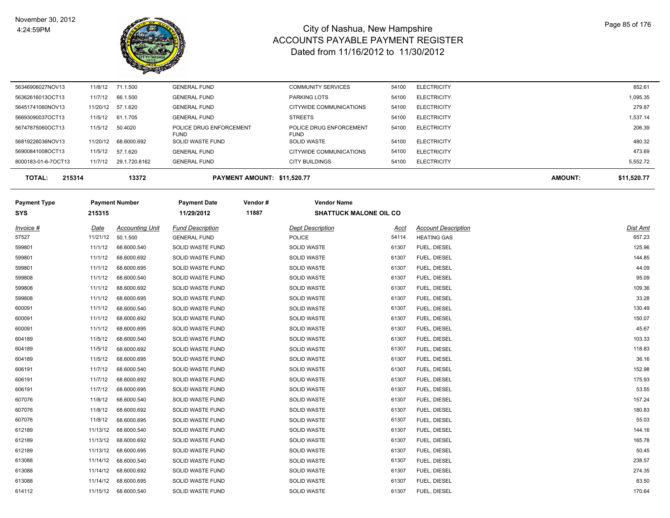

| <b>TOTAL:</b><br>215314 |         | 13372                | PAYMENT AMOUNT: \$11,520.77     |                                   |       |                    | <b>AMOUNT:</b> | \$11.520.77 |
|-------------------------|---------|----------------------|---------------------------------|-----------------------------------|-------|--------------------|----------------|-------------|
| 8000183-01-6-7OCT13     | 11/7/12 | 29.1.720.8162        | <b>GENERAL FUND</b>             | <b>CITY BUILDINGS</b>             | 54100 | <b>ELECTRICITY</b> |                | 5,552.72    |
| 56900841008OCT13        | 11/5/12 | 57.1.620             | <b>GENERAL FUND</b>             | CITYWIDE COMMUNICATIONS           | 54100 | <b>ELECTRICITY</b> |                | 473.69      |
| 56819226036NOV13        |         | 11/20/12 68.6000.692 | <b>FUND</b><br>SOLID WASTE FUND | <b>FUND</b><br><b>SOLID WASTE</b> | 54100 | <b>ELECTRICITY</b> |                | 480.32      |
| 56747875060OCT13        | 11/5/12 | 50.4020              | POLICE DRUG ENFORCEMENT         | POLICE DRUG ENFORCEMENT           | 54100 | <b>ELECTRICITY</b> |                | 206.39      |
| 56693090037OCT13        | 11/5/12 | 61.1.705             | <b>GENERAL FUND</b>             | <b>STREETS</b>                    | 54100 | <b>ELECTRICITY</b> |                | 1,537.14    |
| 56451741060NOV13        |         | 11/20/12 57.1.620    | <b>GENERAL FUND</b>             | CITYWIDE COMMUNICATIONS           | 54100 | <b>ELECTRICITY</b> |                | 279.87      |
| 56362616013OCT13        | 11/7/12 | 66.1.500             | <b>GENERAL FUND</b>             | <b>PARKING LOTS</b>               | 54100 | <b>ELECTRICITY</b> |                | 1,095.35    |
| 56346906027NOV13        |         | 11/8/12 71.1.500     | <b>GENERAL FUND</b>             | <b>COMMUNITY SERVICES</b>         | 54100 | <b>ELECTRICITY</b> |                | 852.61      |
|                         |         |                      |                                 |                                   |       |                    |                |             |

| <b>Payment Type</b> |          | <b>Payment Number</b>  | <b>Payment Date</b>     | Vendor# | <b>Vendor Name</b>            |       |                            |          |
|---------------------|----------|------------------------|-------------------------|---------|-------------------------------|-------|----------------------------|----------|
| <b>SYS</b>          | 215315   |                        | 11/29/2012              | 11887   | <b>SHATTUCK MALONE OIL CO</b> |       |                            |          |
| Invoice #           | Date     | <b>Accounting Unit</b> | <b>Fund Description</b> |         | <b>Dept Description</b>       | Acct  | <b>Account Description</b> | Dist Amt |
| 57527               | 11/21/12 | 50.1.500               | <b>GENERAL FUND</b>     |         | POLICE                        | 54114 | <b>HEATING GAS</b>         | 657.23   |
| 599801              | 11/1/12  | 68.6000.540            | SOLID WASTE FUND        |         | SOLID WASTE                   | 61307 | FUEL, DIESEL               | 125.96   |
| 599801              | 11/1/12  | 68.6000.692            | SOLID WASTE FUND        |         | <b>SOLID WASTE</b>            | 61307 | FUEL, DIESEL               | 144.85   |
| 599801              | 11/1/12  | 68.6000.695            | SOLID WASTE FUND        |         | <b>SOLID WASTE</b>            | 61307 | FUEL, DIESEL               | 44.09    |
| 599808              | 11/1/12  | 68.6000.540            | SOLID WASTE FUND        |         | <b>SOLID WASTE</b>            | 61307 | FUEL, DIESEL               | 95.09    |
| 599808              | 11/1/12  | 68.6000.692            | SOLID WASTE FUND        |         | <b>SOLID WASTE</b>            | 61307 | FUEL, DIESEL               | 109.36   |
| 599808              | 11/1/12  | 68.6000.695            | SOLID WASTE FUND        |         | <b>SOLID WASTE</b>            | 61307 | FUEL, DIESEL               | 33.28    |
| 600091              | 11/1/12  | 68.6000.540            | SOLID WASTE FUND        |         | <b>SOLID WASTE</b>            | 61307 | FUEL, DIESEL               | 130.49   |
| 600091              | 11/1/12  | 68.6000.692            | SOLID WASTE FUND        |         | SOLID WASTE                   | 61307 | FUEL, DIESEL               | 150.07   |
| 600091              | 11/1/12  | 68.6000.695            | SOLID WASTE FUND        |         | <b>SOLID WASTE</b>            | 61307 | FUEL, DIESEL               | 45.67    |
| 604189              | 11/5/12  | 68.6000.540            | SOLID WASTE FUND        |         | <b>SOLID WASTE</b>            | 61307 | FUEL, DIESEL               | 103.33   |
| 604189              | 11/5/12  | 68.6000.692            | SOLID WASTE FUND        |         | <b>SOLID WASTE</b>            | 61307 | FUEL, DIESEL               | 118.83   |
| 604189              | 11/5/12  | 68.6000.695            | SOLID WASTE FUND        |         | <b>SOLID WASTE</b>            | 61307 | FUEL, DIESEL               | 36.16    |
| 606191              | 11/7/12  | 68.6000.540            | SOLID WASTE FUND        |         | <b>SOLID WASTE</b>            | 61307 | FUEL, DIESEL               | 152.98   |
| 606191              | 11/7/12  | 68.6000.692            | SOLID WASTE FUND        |         | <b>SOLID WASTE</b>            | 61307 | FUEL, DIESEL               | 175.93   |
| 606191              | 11/7/12  | 68.6000.695            | SOLID WASTE FUND        |         | SOLID WASTE                   | 61307 | FUEL, DIESEL               | 53.55    |
| 607076              | 11/8/12  | 68.6000.540            | SOLID WASTE FUND        |         | <b>SOLID WASTE</b>            | 61307 | FUEL, DIESEL               | 157.24   |
| 607076              | 11/8/12  | 68.6000.692            | SOLID WASTE FUND        |         | SOLID WASTE                   | 61307 | FUEL, DIESEL               | 180.83   |
| 607076              | 11/8/12  | 68.6000.695            | SOLID WASTE FUND        |         | SOLID WASTE                   | 61307 | FUEL, DIESEL               | 55.03    |
| 612189              | 11/13/12 | 68.6000.540            | SOLID WASTE FUND        |         | SOLID WASTE                   | 61307 | FUEL, DIESEL               | 144.16   |
| 612189              |          | 11/13/12 68.6000.692   | SOLID WASTE FUND        |         | SOLID WASTE                   | 61307 | FUEL, DIESEL               | 165.78   |
| 612189              | 11/13/12 | 68.6000.695            | SOLID WASTE FUND        |         | SOLID WASTE                   | 61307 | FUEL, DIESEL               | 50.45    |
| 613088              | 11/14/12 | 68.6000.540            | SOLID WASTE FUND        |         | SOLID WASTE                   | 61307 | FUEL, DIESEL               | 238.57   |
| 613088              |          | 11/14/12 68.6000.692   | SOLID WASTE FUND        |         | <b>SOLID WASTE</b>            | 61307 | FUEL, DIESEL               | 274.35   |
| 613088              | 11/14/12 | 68.6000.695            | SOLID WASTE FUND        |         | SOLID WASTE                   | 61307 | FUEL, DIESEL               | 83.50    |
| 614112              |          | 11/15/12 68.6000.540   | SOLID WASTE FUND        |         | <b>SOLID WASTE</b>            | 61307 | FUEL, DIESEL               | 170.64   |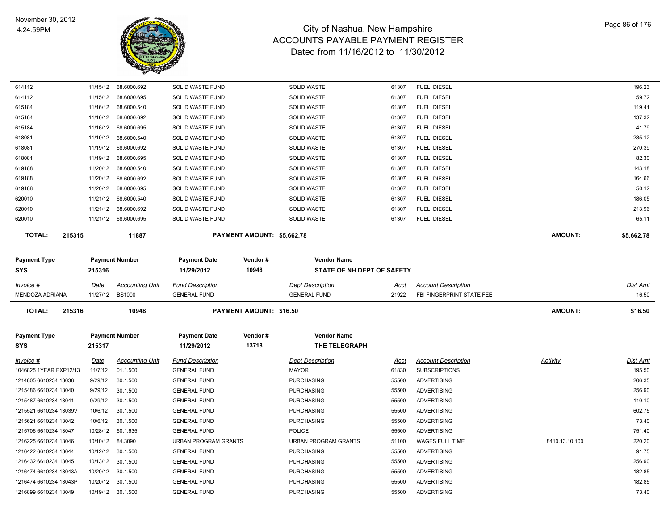

| 614112                  | 11/15/12 | 68.6000.692            | SOLID WASTE FUND            |                            | <b>SOLID WASTE</b>          | 61307       | FUEL, DIESEL               |                | 196.23     |
|-------------------------|----------|------------------------|-----------------------------|----------------------------|-----------------------------|-------------|----------------------------|----------------|------------|
| 614112                  | 11/15/12 | 68.6000.695            | SOLID WASTE FUND            |                            | SOLID WASTE                 | 61307       | FUEL, DIESEL               |                | 59.72      |
| 615184                  | 11/16/12 | 68.6000.540            | SOLID WASTE FUND            |                            | SOLID WASTE                 | 61307       | FUEL, DIESEL               |                | 119.41     |
| 615184                  | 11/16/12 | 68.6000.692            | SOLID WASTE FUND            |                            | <b>SOLID WASTE</b>          | 61307       | FUEL, DIESEL               |                | 137.32     |
| 615184                  | 11/16/12 | 68.6000.695            | SOLID WASTE FUND            |                            | <b>SOLID WASTE</b>          | 61307       | FUEL, DIESEL               |                | 41.79      |
| 618081                  | 11/19/12 | 68.6000.540            | SOLID WASTE FUND            |                            | <b>SOLID WASTE</b>          | 61307       | FUEL, DIESEL               |                | 235.12     |
| 618081                  | 11/19/12 | 68.6000.692            | SOLID WASTE FUND            |                            | SOLID WASTE                 | 61307       | FUEL, DIESEL               |                | 270.39     |
| 618081                  | 11/19/12 | 68.6000.695            | SOLID WASTE FUND            |                            | SOLID WASTE                 | 61307       | FUEL, DIESEL               |                | 82.30      |
| 619188                  | 11/20/12 | 68.6000.540            | SOLID WASTE FUND            |                            | SOLID WASTE                 | 61307       | FUEL, DIESEL               |                | 143.18     |
| 619188                  | 11/20/12 | 68.6000.692            | SOLID WASTE FUND            |                            | SOLID WASTE                 | 61307       | FUEL, DIESEL               |                | 164.66     |
| 619188                  | 11/20/12 | 68.6000.695            | SOLID WASTE FUND            |                            | SOLID WASTE                 | 61307       | FUEL, DIESEL               |                | 50.12      |
| 620010                  | 11/21/12 | 68.6000.540            | SOLID WASTE FUND            |                            | <b>SOLID WASTE</b>          | 61307       | FUEL, DIESEL               |                | 186.05     |
| 620010                  | 11/21/12 | 68.6000.692            | SOLID WASTE FUND            |                            | <b>SOLID WASTE</b>          | 61307       | FUEL, DIESEL               |                | 213.96     |
| 620010                  |          | 11/21/12 68.6000.695   | SOLID WASTE FUND            |                            | SOLID WASTE                 | 61307       | FUEL, DIESEL               |                | 65.11      |
| <b>TOTAL:</b><br>215315 |          | 11887                  |                             | PAYMENT AMOUNT: \$5,662.78 |                             |             |                            | <b>AMOUNT:</b> | \$5,662.78 |
|                         |          |                        |                             |                            |                             |             |                            |                |            |
| Payment Type            |          | <b>Payment Number</b>  | <b>Payment Date</b>         | Vendor#                    | <b>Vendor Name</b>          |             |                            |                |            |
| SYS                     | 215316   |                        | 11/29/2012                  | 10948                      | STATE OF NH DEPT OF SAFETY  |             |                            |                |            |
| Invoice #               | Date     | <b>Accounting Unit</b> | <b>Fund Description</b>     |                            | <b>Dept Description</b>     | <u>Acct</u> | <b>Account Description</b> |                | Dist Amt   |
| MENDOZA ADRIANA         | 11/27/12 | <b>BS1000</b>          | <b>GENERAL FUND</b>         |                            | <b>GENERAL FUND</b>         | 21922       | FBI FINGERPRINT STATE FEE  |                | 16.50      |
| <b>TOTAL:</b><br>215316 |          | 10948                  |                             | PAYMENT AMOUNT: \$16.50    |                             |             |                            | AMOUNT:        | \$16.50    |
|                         |          |                        |                             |                            |                             |             |                            |                |            |
| Payment Type            |          | <b>Payment Number</b>  | <b>Payment Date</b>         | Vendor#                    | <b>Vendor Name</b>          |             |                            |                |            |
| SYS                     | 215317   |                        | 11/29/2012                  | 13718                      | THE TELEGRAPH               |             |                            |                |            |
| Invoice #               | Date     | <b>Accounting Unit</b> | <b>Fund Description</b>     |                            | <b>Dept Description</b>     | Acct        | <b>Account Description</b> | Activity       | Dist Amt   |
| 1046825 1YEAR EXP12/13  | 11/7/12  | 01.1.500               | <b>GENERAL FUND</b>         |                            | <b>MAYOR</b>                | 61830       | <b>SUBSCRIPTIONS</b>       |                | 195.50     |
| 1214805 6610234 13038   | 9/29/12  | 30.1.500               | <b>GENERAL FUND</b>         |                            | <b>PURCHASING</b>           | 55500       | ADVERTISING                |                | 206.35     |
| 1215486 6610234 13040   | 9/29/12  | 30.1.500               | <b>GENERAL FUND</b>         |                            | <b>PURCHASING</b>           | 55500       | <b>ADVERTISING</b>         |                | 256.90     |
| 1215487 6610234 13041   | 9/29/12  | 30.1.500               | <b>GENERAL FUND</b>         |                            | <b>PURCHASING</b>           | 55500       | ADVERTISING                |                | 110.10     |
| 1215521 6610234 13039V  | 10/6/12  | 30.1.500               | <b>GENERAL FUND</b>         |                            | <b>PURCHASING</b>           | 55500       | ADVERTISING                |                | 602.75     |
| 1215621 6610234 13042   | 10/6/12  | 30.1.500               | <b>GENERAL FUND</b>         |                            | <b>PURCHASING</b>           | 55500       | ADVERTISING                |                | 73.40      |
| 1215706 6610234 13047   | 10/28/12 | 50.1.635               | <b>GENERAL FUND</b>         |                            | <b>POLICE</b>               | 55500       | <b>ADVERTISING</b>         |                | 751.40     |
| 1216225 6610234 13046   | 10/10/12 | 84.3090                | <b>URBAN PROGRAM GRANTS</b> |                            | <b>URBAN PROGRAM GRANTS</b> | 51100       | <b>WAGES FULL TIME</b>     | 8410.13.10.100 | 220.20     |
| 1216422 6610234 13044   | 10/12/12 | 30.1.500               | <b>GENERAL FUND</b>         |                            | <b>PURCHASING</b>           | 55500       | <b>ADVERTISING</b>         |                | 91.75      |
| 1216432 6610234 13045   | 10/13/12 | 30.1.500               | <b>GENERAL FUND</b>         |                            | <b>PURCHASING</b>           | 55500       | ADVERTISING                |                | 256.90     |
| 1216474 6610234 13043A  | 10/20/12 | 30.1.500               | <b>GENERAL FUND</b>         |                            | <b>PURCHASING</b>           | 55500       | <b>ADVERTISING</b>         |                | 182.85     |
| 1216474 6610234 13043P  |          | 10/20/12 30.1.500      | <b>GENERAL FUND</b>         |                            | <b>PURCHASING</b>           | 55500       | <b>ADVERTISING</b>         |                | 182.85     |
| 1216899 6610234 13049   |          | 10/19/12 30.1.500      | <b>GENERAL FUND</b>         |                            | <b>PURCHASING</b>           | 55500       | <b>ADVERTISING</b>         |                | 73.40      |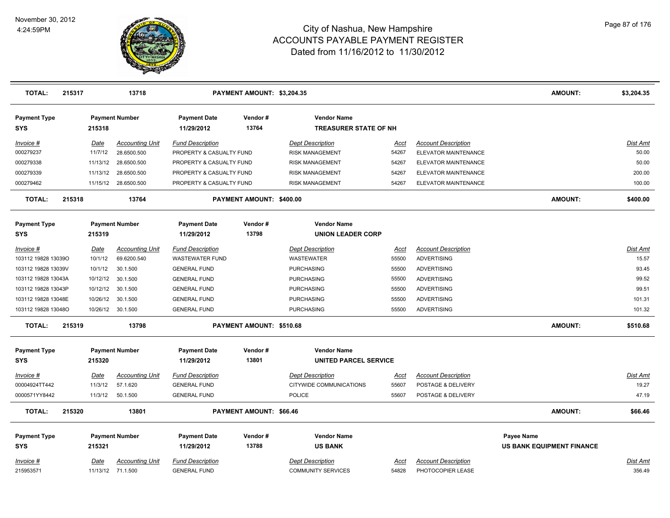

| <b>TOTAL:</b>                     | 215317 |          | 13718                  |                                   | PAYMENT AMOUNT: \$3,204.35 |                                                    |             |                            | <b>AMOUNT:</b>                   | \$3,204.35      |
|-----------------------------------|--------|----------|------------------------|-----------------------------------|----------------------------|----------------------------------------------------|-------------|----------------------------|----------------------------------|-----------------|
| <b>Payment Type</b><br>SYS        |        | 215318   | <b>Payment Number</b>  | <b>Payment Date</b><br>11/29/2012 | Vendor#<br>13764           | <b>Vendor Name</b><br><b>TREASURER STATE OF NH</b> |             |                            |                                  |                 |
| Invoice #                         |        | Date     | <b>Accounting Unit</b> | <b>Fund Description</b>           |                            | <b>Dept Description</b>                            | Acct        | <b>Account Description</b> |                                  | <b>Dist Amt</b> |
| 000279237                         |        | 11/7/12  | 28.6500.500            | PROPERTY & CASUALTY FUND          |                            | <b>RISK MANAGEMENT</b>                             | 54267       | ELEVATOR MAINTENANCE       |                                  | 50.00           |
| 000279338                         |        | 11/13/12 | 28.6500.500            | PROPERTY & CASUALTY FUND          |                            | RISK MANAGEMENT                                    | 54267       | ELEVATOR MAINTENANCE       |                                  | 50.00           |
| 000279339                         |        | 11/13/12 | 28.6500.500            | PROPERTY & CASUALTY FUND          |                            | <b>RISK MANAGEMENT</b>                             | 54267       | ELEVATOR MAINTENANCE       |                                  | 200.00          |
| 000279462                         |        |          | 11/15/12 28.6500.500   | PROPERTY & CASUALTY FUND          |                            | <b>RISK MANAGEMENT</b>                             | 54267       | ELEVATOR MAINTENANCE       |                                  | 100.00          |
| <b>TOTAL:</b>                     | 215318 |          | 13764                  |                                   | PAYMENT AMOUNT: \$400.00   |                                                    |             |                            | <b>AMOUNT:</b>                   | \$400.00        |
| <b>Payment Type</b>               |        |          | <b>Payment Number</b>  | <b>Payment Date</b>               | Vendor#                    | <b>Vendor Name</b>                                 |             |                            |                                  |                 |
| SYS                               |        | 215319   |                        | 11/29/2012                        | 13798                      | <b>UNION LEADER CORP</b>                           |             |                            |                                  |                 |
| Invoice #                         |        | Date     | <b>Accounting Unit</b> | <b>Fund Description</b>           |                            | <b>Dept Description</b>                            | Acct        | <b>Account Description</b> |                                  | Dist Amt        |
| 103112 19828 13039O               |        | 10/1/12  | 69.6200.540            | <b>WASTEWATER FUND</b>            |                            | <b>WASTEWATER</b>                                  | 55500       | <b>ADVERTISING</b>         |                                  | 15.57           |
| 103112 19828 13039V               |        | 10/1/12  | 30.1.500               | <b>GENERAL FUND</b>               |                            | <b>PURCHASING</b>                                  | 55500       | <b>ADVERTISING</b>         |                                  | 93.45           |
| 103112 19828 13043A               |        | 10/12/12 | 30.1.500               | <b>GENERAL FUND</b>               |                            | <b>PURCHASING</b>                                  | 55500       | <b>ADVERTISING</b>         |                                  | 99.52           |
| 103112 19828 13043P               |        | 10/12/12 | 30.1.500               | <b>GENERAL FUND</b>               |                            | <b>PURCHASING</b>                                  | 55500       | <b>ADVERTISING</b>         |                                  | 99.51           |
| 103112 19828 13048E               |        | 10/26/12 | 30.1.500               | <b>GENERAL FUND</b>               |                            | <b>PURCHASING</b>                                  | 55500       | <b>ADVERTISING</b>         |                                  | 101.31          |
| 103112 19828 13048O               |        |          | 10/26/12 30.1.500      | <b>GENERAL FUND</b>               |                            | <b>PURCHASING</b>                                  | 55500       | <b>ADVERTISING</b>         |                                  | 101.32          |
| <b>TOTAL:</b>                     | 215319 |          | 13798                  |                                   | PAYMENT AMOUNT: \$510.68   |                                                    |             |                            | <b>AMOUNT:</b>                   | \$510.68        |
| <b>Payment Type</b><br><b>SYS</b> |        | 215320   | <b>Payment Number</b>  | <b>Payment Date</b><br>11/29/2012 | Vendor#<br>13801           | <b>Vendor Name</b><br><b>UNITED PARCEL SERVICE</b> |             |                            |                                  |                 |
| $Invoice$ #                       |        | Date     | <b>Accounting Unit</b> | <b>Fund Description</b>           |                            | <b>Dept Description</b>                            | <u>Acct</u> | <b>Account Description</b> |                                  | <u>Dist Amt</u> |
| 00004924TT442                     |        | 11/3/12  | 57.1.620               | <b>GENERAL FUND</b>               |                            | CITYWIDE COMMUNICATIONS                            | 55607       | POSTAGE & DELIVERY         |                                  | 19.27           |
| 0000571YY8442                     |        | 11/3/12  | 50.1.500               | <b>GENERAL FUND</b>               |                            | <b>POLICE</b>                                      | 55607       | POSTAGE & DELIVERY         |                                  | 47.19           |
| <b>TOTAL:</b>                     | 215320 |          | 13801                  |                                   | PAYMENT AMOUNT: \$66.46    |                                                    |             |                            | <b>AMOUNT:</b>                   | \$66.46         |
| <b>Payment Type</b>               |        |          | <b>Payment Number</b>  | <b>Payment Date</b>               | Vendor#                    | <b>Vendor Name</b>                                 |             |                            | Payee Name                       |                 |
| SYS                               |        | 215321   |                        | 11/29/2012                        | 13788                      | <b>US BANK</b>                                     |             |                            | <b>US BANK EQUIPMENT FINANCE</b> |                 |
| Invoice #                         |        | Date     | <b>Accounting Unit</b> | <b>Fund Description</b>           |                            | <b>Dept Description</b>                            | Acct        | <b>Account Description</b> |                                  | Dist Amt        |
| 215953571                         |        |          | 11/13/12 71.1.500      | <b>GENERAL FUND</b>               |                            | <b>COMMUNITY SERVICES</b>                          | 54828       | PHOTOCOPIER LEASE          |                                  | 356.49          |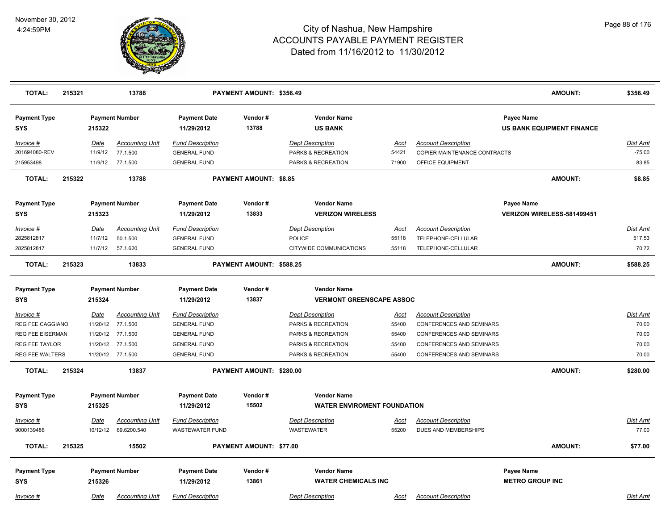

| <b>Payment Number</b><br><b>Payment Date</b><br>Vendor#<br><b>Vendor Name</b><br>Payee Name<br><b>Payment Type</b><br>13788<br><b>SYS</b><br>215322<br>11/29/2012<br><b>US BANK</b><br><b>US BANK EQUIPMENT FINANCE</b><br>Date<br><b>Accounting Unit</b><br><b>Fund Description</b><br><b>Dept Description</b><br><b>Account Description</b><br>Dist Amt<br>Invoice #<br>Acct<br>77.1.500<br>$-75.00$<br>201694080-REV<br>11/9/12<br><b>GENERAL FUND</b><br>PARKS & RECREATION<br>54421<br>COPIER MAINTENANCE CONTRACTS<br>11/9/12 77.1.500<br>83.85<br>215953498<br><b>GENERAL FUND</b><br>PARKS & RECREATION<br>71900<br>OFFICE EQUIPMENT<br><b>TOTAL:</b><br>215322<br>13788<br><b>PAYMENT AMOUNT: \$8.85</b><br><b>AMOUNT:</b><br>\$8.85<br><b>Vendor Name</b><br><b>Payment Type</b><br><b>Payment Number</b><br><b>Payment Date</b><br>Vendor#<br>Payee Name<br>13833<br><b>SYS</b><br>215323<br>11/29/2012<br><b>VERIZON WIRELESS</b><br>VERIZON WIRELESS-581499451<br>Date<br><b>Accounting Unit</b><br><b>Fund Description</b><br><b>Dept Description</b><br><b>Account Description</b><br>Dist Amt<br>Invoice #<br>Acct<br>517.53<br>2825812817<br>11/7/12<br>50.1.500<br><b>POLICE</b><br>55118<br>TELEPHONE-CELLULAR<br><b>GENERAL FUND</b><br>2825812817<br>11/7/12<br>70.72<br>57.1.620<br><b>GENERAL FUND</b><br>55118<br>TELEPHONE-CELLULAR<br>CITYWIDE COMMUNICATIONS<br><b>TOTAL:</b><br>215323<br>13833<br>PAYMENT AMOUNT: \$588.25<br><b>AMOUNT:</b><br>\$588.25<br><b>Vendor Name</b><br><b>Payment Type</b><br><b>Payment Number</b><br><b>Payment Date</b><br>Vendor#<br>13837<br><b>VERMONT GREENSCAPE ASSOC</b><br><b>SYS</b><br>215324<br>11/29/2012<br><b>Accounting Unit</b><br><b>Fund Description</b><br><b>Account Description</b><br><b>Dist Amt</b><br>Invoice #<br><b>Date</b><br><b>Dept Description</b><br><u>Acct</u><br>11/20/12<br>77.1.500<br>70.00<br><b>REG FEE CAGGIANO</b><br><b>GENERAL FUND</b><br>PARKS & RECREATION<br>55400<br><b>CONFERENCES AND SEMINARS</b><br>11/20/12 77.1.500<br><b>GENERAL FUND</b><br>PARKS & RECREATION<br>70.00<br><b>REG FEE EISERMAN</b><br>55400<br>CONFERENCES AND SEMINARS<br>REG FEE TAYLOR<br>11/20/12<br>77.1.500<br><b>GENERAL FUND</b><br>55400<br>70.00<br>PARKS & RECREATION<br>CONFERENCES AND SEMINARS<br><b>REG FEE WALTERS</b><br>11/20/12 77.1.500<br><b>GENERAL FUND</b><br>55400<br><b>CONFERENCES AND SEMINARS</b><br>70.00<br><b>PARKS &amp; RECREATION</b><br><b>TOTAL:</b><br>215324<br><b>AMOUNT:</b><br>13837<br>PAYMENT AMOUNT: \$280.00<br>\$280.00<br><b>Payment Type</b><br><b>Payment Number</b><br><b>Payment Date</b><br>Vendor#<br><b>Vendor Name</b><br>15502<br><b>WATER ENVIROMENT FOUNDATION</b><br><b>SYS</b><br>215325<br>11/29/2012<br><b>Fund Description</b><br><b>Account Description</b><br>Invoice #<br>Date<br><b>Accounting Unit</b><br><b>Dept Description</b><br>Dist Amt<br>Acct<br>9000139486<br>10/12/12 69.6200.540<br><b>WASTEWATER</b><br>DUES AND MEMBERSHIPS<br>77.00<br><b>WASTEWATER FUND</b><br>55200<br><b>AMOUNT:</b><br><b>TOTAL:</b><br>PAYMENT AMOUNT: \$77.00<br>215325<br>15502<br>\$77.00<br>Vendor#<br><b>Vendor Name</b><br><b>Payment Type</b><br><b>Payment Number</b><br><b>Payment Date</b><br><b>Payee Name</b><br>13861<br><b>METRO GROUP INC</b><br><b>SYS</b><br>215326<br>11/29/2012<br><b>WATER CHEMICALS INC</b> | <b>TOTAL:</b> | 215321 |      | 13788                  |                         | PAYMENT AMOUNT: \$356.49 |                         |      |                            | <b>AMOUNT:</b> | \$356.49 |
|-------------------------------------------------------------------------------------------------------------------------------------------------------------------------------------------------------------------------------------------------------------------------------------------------------------------------------------------------------------------------------------------------------------------------------------------------------------------------------------------------------------------------------------------------------------------------------------------------------------------------------------------------------------------------------------------------------------------------------------------------------------------------------------------------------------------------------------------------------------------------------------------------------------------------------------------------------------------------------------------------------------------------------------------------------------------------------------------------------------------------------------------------------------------------------------------------------------------------------------------------------------------------------------------------------------------------------------------------------------------------------------------------------------------------------------------------------------------------------------------------------------------------------------------------------------------------------------------------------------------------------------------------------------------------------------------------------------------------------------------------------------------------------------------------------------------------------------------------------------------------------------------------------------------------------------------------------------------------------------------------------------------------------------------------------------------------------------------------------------------------------------------------------------------------------------------------------------------------------------------------------------------------------------------------------------------------------------------------------------------------------------------------------------------------------------------------------------------------------------------------------------------------------------------------------------------------------------------------------------------------------------------------------------------------------------------------------------------------------------------------------------------------------------------------------------------------------------------------------------------------------------------------------------------------------------------------------------------------------------------------------------------------------------------------------------------------------------------------------------------------------------------------------------------------------------------------------------------------------------------------------------------------------------------------------------------------------------------------------------------------------|---------------|--------|------|------------------------|-------------------------|--------------------------|-------------------------|------|----------------------------|----------------|----------|
|                                                                                                                                                                                                                                                                                                                                                                                                                                                                                                                                                                                                                                                                                                                                                                                                                                                                                                                                                                                                                                                                                                                                                                                                                                                                                                                                                                                                                                                                                                                                                                                                                                                                                                                                                                                                                                                                                                                                                                                                                                                                                                                                                                                                                                                                                                                                                                                                                                                                                                                                                                                                                                                                                                                                                                                                                                                                                                                                                                                                                                                                                                                                                                                                                                                                                                                                                                               |               |        |      |                        |                         |                          |                         |      |                            |                |          |
|                                                                                                                                                                                                                                                                                                                                                                                                                                                                                                                                                                                                                                                                                                                                                                                                                                                                                                                                                                                                                                                                                                                                                                                                                                                                                                                                                                                                                                                                                                                                                                                                                                                                                                                                                                                                                                                                                                                                                                                                                                                                                                                                                                                                                                                                                                                                                                                                                                                                                                                                                                                                                                                                                                                                                                                                                                                                                                                                                                                                                                                                                                                                                                                                                                                                                                                                                                               |               |        |      |                        |                         |                          |                         |      |                            |                |          |
|                                                                                                                                                                                                                                                                                                                                                                                                                                                                                                                                                                                                                                                                                                                                                                                                                                                                                                                                                                                                                                                                                                                                                                                                                                                                                                                                                                                                                                                                                                                                                                                                                                                                                                                                                                                                                                                                                                                                                                                                                                                                                                                                                                                                                                                                                                                                                                                                                                                                                                                                                                                                                                                                                                                                                                                                                                                                                                                                                                                                                                                                                                                                                                                                                                                                                                                                                                               |               |        |      |                        |                         |                          |                         |      |                            |                |          |
|                                                                                                                                                                                                                                                                                                                                                                                                                                                                                                                                                                                                                                                                                                                                                                                                                                                                                                                                                                                                                                                                                                                                                                                                                                                                                                                                                                                                                                                                                                                                                                                                                                                                                                                                                                                                                                                                                                                                                                                                                                                                                                                                                                                                                                                                                                                                                                                                                                                                                                                                                                                                                                                                                                                                                                                                                                                                                                                                                                                                                                                                                                                                                                                                                                                                                                                                                                               |               |        |      |                        |                         |                          |                         |      |                            |                |          |
|                                                                                                                                                                                                                                                                                                                                                                                                                                                                                                                                                                                                                                                                                                                                                                                                                                                                                                                                                                                                                                                                                                                                                                                                                                                                                                                                                                                                                                                                                                                                                                                                                                                                                                                                                                                                                                                                                                                                                                                                                                                                                                                                                                                                                                                                                                                                                                                                                                                                                                                                                                                                                                                                                                                                                                                                                                                                                                                                                                                                                                                                                                                                                                                                                                                                                                                                                                               |               |        |      |                        |                         |                          |                         |      |                            |                |          |
|                                                                                                                                                                                                                                                                                                                                                                                                                                                                                                                                                                                                                                                                                                                                                                                                                                                                                                                                                                                                                                                                                                                                                                                                                                                                                                                                                                                                                                                                                                                                                                                                                                                                                                                                                                                                                                                                                                                                                                                                                                                                                                                                                                                                                                                                                                                                                                                                                                                                                                                                                                                                                                                                                                                                                                                                                                                                                                                                                                                                                                                                                                                                                                                                                                                                                                                                                                               |               |        |      |                        |                         |                          |                         |      |                            |                |          |
|                                                                                                                                                                                                                                                                                                                                                                                                                                                                                                                                                                                                                                                                                                                                                                                                                                                                                                                                                                                                                                                                                                                                                                                                                                                                                                                                                                                                                                                                                                                                                                                                                                                                                                                                                                                                                                                                                                                                                                                                                                                                                                                                                                                                                                                                                                                                                                                                                                                                                                                                                                                                                                                                                                                                                                                                                                                                                                                                                                                                                                                                                                                                                                                                                                                                                                                                                                               |               |        |      |                        |                         |                          |                         |      |                            |                |          |
|                                                                                                                                                                                                                                                                                                                                                                                                                                                                                                                                                                                                                                                                                                                                                                                                                                                                                                                                                                                                                                                                                                                                                                                                                                                                                                                                                                                                                                                                                                                                                                                                                                                                                                                                                                                                                                                                                                                                                                                                                                                                                                                                                                                                                                                                                                                                                                                                                                                                                                                                                                                                                                                                                                                                                                                                                                                                                                                                                                                                                                                                                                                                                                                                                                                                                                                                                                               |               |        |      |                        |                         |                          |                         |      |                            |                |          |
|                                                                                                                                                                                                                                                                                                                                                                                                                                                                                                                                                                                                                                                                                                                                                                                                                                                                                                                                                                                                                                                                                                                                                                                                                                                                                                                                                                                                                                                                                                                                                                                                                                                                                                                                                                                                                                                                                                                                                                                                                                                                                                                                                                                                                                                                                                                                                                                                                                                                                                                                                                                                                                                                                                                                                                                                                                                                                                                                                                                                                                                                                                                                                                                                                                                                                                                                                                               |               |        |      |                        |                         |                          |                         |      |                            |                |          |
|                                                                                                                                                                                                                                                                                                                                                                                                                                                                                                                                                                                                                                                                                                                                                                                                                                                                                                                                                                                                                                                                                                                                                                                                                                                                                                                                                                                                                                                                                                                                                                                                                                                                                                                                                                                                                                                                                                                                                                                                                                                                                                                                                                                                                                                                                                                                                                                                                                                                                                                                                                                                                                                                                                                                                                                                                                                                                                                                                                                                                                                                                                                                                                                                                                                                                                                                                                               |               |        |      |                        |                         |                          |                         |      |                            |                |          |
|                                                                                                                                                                                                                                                                                                                                                                                                                                                                                                                                                                                                                                                                                                                                                                                                                                                                                                                                                                                                                                                                                                                                                                                                                                                                                                                                                                                                                                                                                                                                                                                                                                                                                                                                                                                                                                                                                                                                                                                                                                                                                                                                                                                                                                                                                                                                                                                                                                                                                                                                                                                                                                                                                                                                                                                                                                                                                                                                                                                                                                                                                                                                                                                                                                                                                                                                                                               |               |        |      |                        |                         |                          |                         |      |                            |                |          |
|                                                                                                                                                                                                                                                                                                                                                                                                                                                                                                                                                                                                                                                                                                                                                                                                                                                                                                                                                                                                                                                                                                                                                                                                                                                                                                                                                                                                                                                                                                                                                                                                                                                                                                                                                                                                                                                                                                                                                                                                                                                                                                                                                                                                                                                                                                                                                                                                                                                                                                                                                                                                                                                                                                                                                                                                                                                                                                                                                                                                                                                                                                                                                                                                                                                                                                                                                                               |               |        |      |                        |                         |                          |                         |      |                            |                |          |
|                                                                                                                                                                                                                                                                                                                                                                                                                                                                                                                                                                                                                                                                                                                                                                                                                                                                                                                                                                                                                                                                                                                                                                                                                                                                                                                                                                                                                                                                                                                                                                                                                                                                                                                                                                                                                                                                                                                                                                                                                                                                                                                                                                                                                                                                                                                                                                                                                                                                                                                                                                                                                                                                                                                                                                                                                                                                                                                                                                                                                                                                                                                                                                                                                                                                                                                                                                               |               |        |      |                        |                         |                          |                         |      |                            |                |          |
|                                                                                                                                                                                                                                                                                                                                                                                                                                                                                                                                                                                                                                                                                                                                                                                                                                                                                                                                                                                                                                                                                                                                                                                                                                                                                                                                                                                                                                                                                                                                                                                                                                                                                                                                                                                                                                                                                                                                                                                                                                                                                                                                                                                                                                                                                                                                                                                                                                                                                                                                                                                                                                                                                                                                                                                                                                                                                                                                                                                                                                                                                                                                                                                                                                                                                                                                                                               |               |        |      |                        |                         |                          |                         |      |                            |                |          |
|                                                                                                                                                                                                                                                                                                                                                                                                                                                                                                                                                                                                                                                                                                                                                                                                                                                                                                                                                                                                                                                                                                                                                                                                                                                                                                                                                                                                                                                                                                                                                                                                                                                                                                                                                                                                                                                                                                                                                                                                                                                                                                                                                                                                                                                                                                                                                                                                                                                                                                                                                                                                                                                                                                                                                                                                                                                                                                                                                                                                                                                                                                                                                                                                                                                                                                                                                                               |               |        |      |                        |                         |                          |                         |      |                            |                |          |
|                                                                                                                                                                                                                                                                                                                                                                                                                                                                                                                                                                                                                                                                                                                                                                                                                                                                                                                                                                                                                                                                                                                                                                                                                                                                                                                                                                                                                                                                                                                                                                                                                                                                                                                                                                                                                                                                                                                                                                                                                                                                                                                                                                                                                                                                                                                                                                                                                                                                                                                                                                                                                                                                                                                                                                                                                                                                                                                                                                                                                                                                                                                                                                                                                                                                                                                                                                               |               |        |      |                        |                         |                          |                         |      |                            |                |          |
|                                                                                                                                                                                                                                                                                                                                                                                                                                                                                                                                                                                                                                                                                                                                                                                                                                                                                                                                                                                                                                                                                                                                                                                                                                                                                                                                                                                                                                                                                                                                                                                                                                                                                                                                                                                                                                                                                                                                                                                                                                                                                                                                                                                                                                                                                                                                                                                                                                                                                                                                                                                                                                                                                                                                                                                                                                                                                                                                                                                                                                                                                                                                                                                                                                                                                                                                                                               |               |        |      |                        |                         |                          |                         |      |                            |                |          |
|                                                                                                                                                                                                                                                                                                                                                                                                                                                                                                                                                                                                                                                                                                                                                                                                                                                                                                                                                                                                                                                                                                                                                                                                                                                                                                                                                                                                                                                                                                                                                                                                                                                                                                                                                                                                                                                                                                                                                                                                                                                                                                                                                                                                                                                                                                                                                                                                                                                                                                                                                                                                                                                                                                                                                                                                                                                                                                                                                                                                                                                                                                                                                                                                                                                                                                                                                                               |               |        |      |                        |                         |                          |                         |      |                            |                |          |
|                                                                                                                                                                                                                                                                                                                                                                                                                                                                                                                                                                                                                                                                                                                                                                                                                                                                                                                                                                                                                                                                                                                                                                                                                                                                                                                                                                                                                                                                                                                                                                                                                                                                                                                                                                                                                                                                                                                                                                                                                                                                                                                                                                                                                                                                                                                                                                                                                                                                                                                                                                                                                                                                                                                                                                                                                                                                                                                                                                                                                                                                                                                                                                                                                                                                                                                                                                               |               |        |      |                        |                         |                          |                         |      |                            |                |          |
|                                                                                                                                                                                                                                                                                                                                                                                                                                                                                                                                                                                                                                                                                                                                                                                                                                                                                                                                                                                                                                                                                                                                                                                                                                                                                                                                                                                                                                                                                                                                                                                                                                                                                                                                                                                                                                                                                                                                                                                                                                                                                                                                                                                                                                                                                                                                                                                                                                                                                                                                                                                                                                                                                                                                                                                                                                                                                                                                                                                                                                                                                                                                                                                                                                                                                                                                                                               |               |        |      |                        |                         |                          |                         |      |                            |                |          |
|                                                                                                                                                                                                                                                                                                                                                                                                                                                                                                                                                                                                                                                                                                                                                                                                                                                                                                                                                                                                                                                                                                                                                                                                                                                                                                                                                                                                                                                                                                                                                                                                                                                                                                                                                                                                                                                                                                                                                                                                                                                                                                                                                                                                                                                                                                                                                                                                                                                                                                                                                                                                                                                                                                                                                                                                                                                                                                                                                                                                                                                                                                                                                                                                                                                                                                                                                                               |               |        |      |                        |                         |                          |                         |      |                            |                |          |
|                                                                                                                                                                                                                                                                                                                                                                                                                                                                                                                                                                                                                                                                                                                                                                                                                                                                                                                                                                                                                                                                                                                                                                                                                                                                                                                                                                                                                                                                                                                                                                                                                                                                                                                                                                                                                                                                                                                                                                                                                                                                                                                                                                                                                                                                                                                                                                                                                                                                                                                                                                                                                                                                                                                                                                                                                                                                                                                                                                                                                                                                                                                                                                                                                                                                                                                                                                               |               |        |      |                        |                         |                          |                         |      |                            |                |          |
|                                                                                                                                                                                                                                                                                                                                                                                                                                                                                                                                                                                                                                                                                                                                                                                                                                                                                                                                                                                                                                                                                                                                                                                                                                                                                                                                                                                                                                                                                                                                                                                                                                                                                                                                                                                                                                                                                                                                                                                                                                                                                                                                                                                                                                                                                                                                                                                                                                                                                                                                                                                                                                                                                                                                                                                                                                                                                                                                                                                                                                                                                                                                                                                                                                                                                                                                                                               |               |        |      |                        |                         |                          |                         |      |                            |                |          |
|                                                                                                                                                                                                                                                                                                                                                                                                                                                                                                                                                                                                                                                                                                                                                                                                                                                                                                                                                                                                                                                                                                                                                                                                                                                                                                                                                                                                                                                                                                                                                                                                                                                                                                                                                                                                                                                                                                                                                                                                                                                                                                                                                                                                                                                                                                                                                                                                                                                                                                                                                                                                                                                                                                                                                                                                                                                                                                                                                                                                                                                                                                                                                                                                                                                                                                                                                                               |               |        |      |                        |                         |                          |                         |      |                            |                |          |
|                                                                                                                                                                                                                                                                                                                                                                                                                                                                                                                                                                                                                                                                                                                                                                                                                                                                                                                                                                                                                                                                                                                                                                                                                                                                                                                                                                                                                                                                                                                                                                                                                                                                                                                                                                                                                                                                                                                                                                                                                                                                                                                                                                                                                                                                                                                                                                                                                                                                                                                                                                                                                                                                                                                                                                                                                                                                                                                                                                                                                                                                                                                                                                                                                                                                                                                                                                               |               |        |      |                        |                         |                          |                         |      |                            |                |          |
|                                                                                                                                                                                                                                                                                                                                                                                                                                                                                                                                                                                                                                                                                                                                                                                                                                                                                                                                                                                                                                                                                                                                                                                                                                                                                                                                                                                                                                                                                                                                                                                                                                                                                                                                                                                                                                                                                                                                                                                                                                                                                                                                                                                                                                                                                                                                                                                                                                                                                                                                                                                                                                                                                                                                                                                                                                                                                                                                                                                                                                                                                                                                                                                                                                                                                                                                                                               |               |        |      |                        |                         |                          |                         |      |                            |                |          |
|                                                                                                                                                                                                                                                                                                                                                                                                                                                                                                                                                                                                                                                                                                                                                                                                                                                                                                                                                                                                                                                                                                                                                                                                                                                                                                                                                                                                                                                                                                                                                                                                                                                                                                                                                                                                                                                                                                                                                                                                                                                                                                                                                                                                                                                                                                                                                                                                                                                                                                                                                                                                                                                                                                                                                                                                                                                                                                                                                                                                                                                                                                                                                                                                                                                                                                                                                                               | Invoice #     |        | Date | <b>Accounting Unit</b> | <b>Fund Description</b> |                          | <b>Dept Description</b> | Acct | <b>Account Description</b> |                | Dist Amt |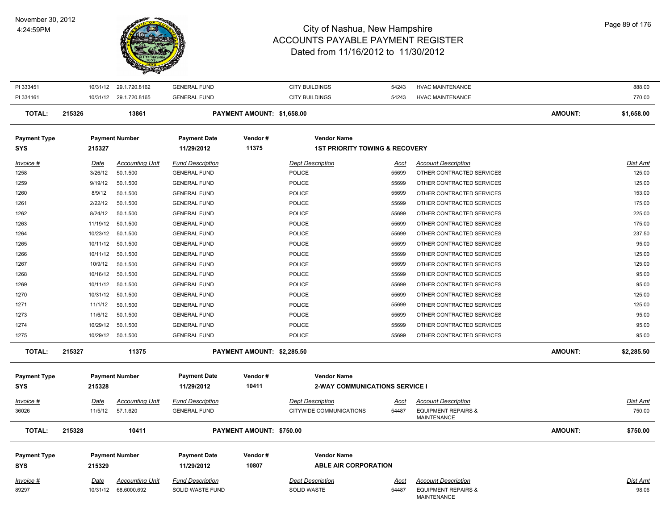

| PI 333451                         |             | 10/31/12 29.1.720.8162 | <b>GENERAL FUND</b>               |                                 | <b>CITY BUILDINGS</b>                                           | 54243       | <b>HVAC MAINTENANCE</b>                              |                | 888.00          |
|-----------------------------------|-------------|------------------------|-----------------------------------|---------------------------------|-----------------------------------------------------------------|-------------|------------------------------------------------------|----------------|-----------------|
| PI 334161                         |             | 10/31/12 29.1.720.8165 | <b>GENERAL FUND</b>               |                                 | <b>CITY BUILDINGS</b>                                           | 54243       | <b>HVAC MAINTENANCE</b>                              |                | 770.00          |
| <b>TOTAL:</b>                     | 215326      | 13861                  |                                   | PAYMENT AMOUNT: \$1,658.00      |                                                                 |             |                                                      | <b>AMOUNT:</b> | \$1,658.00      |
| <b>Payment Type</b><br><b>SYS</b> | 215327      | <b>Payment Number</b>  | <b>Payment Date</b><br>11/29/2012 | Vendor#<br>11375                | <b>Vendor Name</b><br><b>1ST PRIORITY TOWING &amp; RECOVERY</b> |             |                                                      |                |                 |
|                                   |             |                        |                                   |                                 |                                                                 |             |                                                      |                |                 |
| Invoice #                         | Date        | <b>Accounting Unit</b> | <b>Fund Description</b>           |                                 | <b>Dept Description</b>                                         | Acct        | <b>Account Description</b>                           |                | <b>Dist Amt</b> |
| 1258                              | 3/26/12     | 50.1.500               | <b>GENERAL FUND</b>               |                                 | POLICE                                                          | 55699       | OTHER CONTRACTED SERVICES                            |                | 125.00          |
| 1259                              | 9/19/12     | 50.1.500               | <b>GENERAL FUND</b>               |                                 | <b>POLICE</b>                                                   | 55699       | OTHER CONTRACTED SERVICES                            |                | 125.00          |
| 1260                              | 8/9/12      | 50.1.500               | <b>GENERAL FUND</b>               |                                 | <b>POLICE</b>                                                   | 55699       | OTHER CONTRACTED SERVICES                            |                | 153.00          |
| 1261                              | 2/22/12     | 50.1.500               | <b>GENERAL FUND</b>               |                                 | <b>POLICE</b>                                                   | 55699       | OTHER CONTRACTED SERVICES                            |                | 175.00          |
| 1262                              | 8/24/12     | 50.1.500               | <b>GENERAL FUND</b>               |                                 | <b>POLICE</b>                                                   | 55699       | OTHER CONTRACTED SERVICES                            |                | 225.00          |
| 1263                              | 11/19/12    | 50.1.500               | <b>GENERAL FUND</b>               |                                 | <b>POLICE</b>                                                   | 55699       | OTHER CONTRACTED SERVICES                            |                | 175.00          |
| 1264                              | 10/23/12    | 50.1.500               | <b>GENERAL FUND</b>               |                                 | <b>POLICE</b>                                                   | 55699       | OTHER CONTRACTED SERVICES                            |                | 237.50          |
| 1265                              | 10/11/12    | 50.1.500               | <b>GENERAL FUND</b>               |                                 | <b>POLICE</b>                                                   | 55699       | OTHER CONTRACTED SERVICES                            |                | 95.00           |
| 1266                              | 10/11/12    | 50.1.500               | <b>GENERAL FUND</b>               |                                 | <b>POLICE</b>                                                   | 55699       | OTHER CONTRACTED SERVICES                            |                | 125.00          |
| 1267                              | 10/9/12     | 50.1.500               | <b>GENERAL FUND</b>               |                                 | POLICE                                                          | 55699       | OTHER CONTRACTED SERVICES                            |                | 125.00          |
| 1268                              | 10/16/12    | 50.1.500               | <b>GENERAL FUND</b>               |                                 | <b>POLICE</b>                                                   | 55699       | OTHER CONTRACTED SERVICES                            |                | 95.00           |
| 1269                              | 10/11/12    | 50.1.500               | <b>GENERAL FUND</b>               |                                 | <b>POLICE</b>                                                   | 55699       | OTHER CONTRACTED SERVICES                            |                | 95.00           |
| 1270                              | 10/31/12    | 50.1.500               | <b>GENERAL FUND</b>               |                                 | <b>POLICE</b>                                                   | 55699       | OTHER CONTRACTED SERVICES                            |                | 125.00          |
| 1271                              | 11/1/12     | 50.1.500               | <b>GENERAL FUND</b>               |                                 | <b>POLICE</b>                                                   | 55699       | OTHER CONTRACTED SERVICES                            |                | 125.00          |
| 1273                              | 11/6/12     | 50.1.500               | <b>GENERAL FUND</b>               |                                 | <b>POLICE</b>                                                   | 55699       | OTHER CONTRACTED SERVICES                            |                | 95.00           |
| 1274                              | 10/29/12    | 50.1.500               | <b>GENERAL FUND</b>               |                                 | <b>POLICE</b>                                                   | 55699       | OTHER CONTRACTED SERVICES                            |                | 95.00           |
| 1275                              |             | 10/29/12 50.1.500      | <b>GENERAL FUND</b>               |                                 | <b>POLICE</b>                                                   | 55699       | OTHER CONTRACTED SERVICES                            |                | 95.00           |
| <b>TOTAL:</b>                     | 215327      | 11375                  |                                   | PAYMENT AMOUNT: \$2,285.50      |                                                                 |             |                                                      | <b>AMOUNT:</b> | \$2,285.50      |
| <b>Payment Type</b>               |             | <b>Payment Number</b>  | <b>Payment Date</b>               | Vendor#                         | <b>Vendor Name</b>                                              |             |                                                      |                |                 |
| <b>SYS</b>                        | 215328      |                        | 11/29/2012                        | 10411                           | <b>2-WAY COMMUNICATIONS SERVICE I</b>                           |             |                                                      |                |                 |
|                                   |             |                        |                                   |                                 |                                                                 |             |                                                      |                |                 |
| Invoice #                         | <u>Date</u> | <b>Accounting Unit</b> | <b>Fund Description</b>           |                                 | <b>Dept Description</b>                                         | <u>Acct</u> | <b>Account Description</b>                           |                | Dist Amt        |
| 36026                             | 11/5/12     | 57.1.620               | <b>GENERAL FUND</b>               |                                 | CITYWIDE COMMUNICATIONS                                         | 54487       | <b>EQUIPMENT REPAIRS &amp;</b><br><b>MAINTENANCE</b> |                | 750.00          |
| <b>TOTAL:</b>                     | 215328      | 10411                  |                                   | <b>PAYMENT AMOUNT: \$750.00</b> |                                                                 |             |                                                      | <b>AMOUNT:</b> | \$750.00        |
|                                   |             |                        |                                   |                                 |                                                                 |             |                                                      |                |                 |
| <b>Payment Type</b>               |             | <b>Payment Number</b>  | <b>Payment Date</b>               | Vendor#                         | <b>Vendor Name</b>                                              |             |                                                      |                |                 |
| <b>SYS</b>                        | 215329      |                        | 11/29/2012                        | 10807                           | <b>ABLE AIR CORPORATION</b>                                     |             |                                                      |                |                 |
| <u>Invoice #</u>                  | Date        | <b>Accounting Unit</b> | <b>Fund Description</b>           |                                 | <b>Dept Description</b>                                         | Acct        | <b>Account Description</b>                           |                | Dist Amt        |
| 89297                             |             | 10/31/12 68.6000.692   | SOLID WASTE FUND                  |                                 | SOLID WASTE                                                     | 54487       | <b>EQUIPMENT REPAIRS &amp;</b><br><b>MAINTENANCE</b> |                | 98.06           |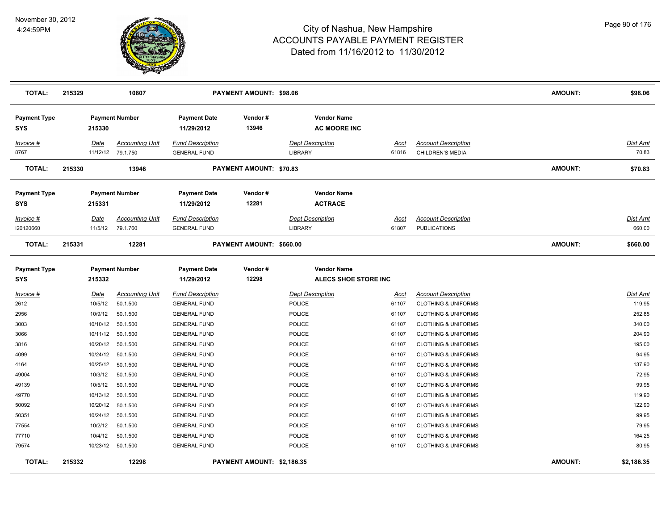

| <b>TOTAL:</b>                     | 215329 |             | 10807                  |                                   | <b>PAYMENT AMOUNT: \$98.06</b> |                                            |             |                                | <b>AMOUNT:</b> | \$98.06         |
|-----------------------------------|--------|-------------|------------------------|-----------------------------------|--------------------------------|--------------------------------------------|-------------|--------------------------------|----------------|-----------------|
| <b>Payment Type</b><br>SYS        |        | 215330      | <b>Payment Number</b>  | <b>Payment Date</b><br>11/29/2012 | Vendor#<br>13946               | <b>Vendor Name</b><br><b>AC MOORE INC</b>  |             |                                |                |                 |
| <b>Invoice #</b>                  |        | Date        | <b>Accounting Unit</b> | <b>Fund Description</b>           |                                | <b>Dept Description</b>                    | Acct        | <b>Account Description</b>     |                | Dist Amt        |
| 8767                              |        |             | 11/12/12 79.1.750      | <b>GENERAL FUND</b>               |                                | LIBRARY                                    | 61816       | CHILDREN'S MEDIA               |                | 70.83           |
| <b>TOTAL:</b>                     | 215330 |             | 13946                  |                                   | <b>PAYMENT AMOUNT: \$70.83</b> |                                            |             |                                | <b>AMOUNT:</b> | \$70.83         |
| <b>Payment Type</b><br>SYS        |        | 215331      | <b>Payment Number</b>  | <b>Payment Date</b><br>11/29/2012 | Vendor#<br>12281               | <b>Vendor Name</b><br><b>ACTRACE</b>       |             |                                |                |                 |
| Invoice #                         |        | Date        | <b>Accounting Unit</b> | <b>Fund Description</b>           |                                | <b>Dept Description</b>                    | Acct        | <b>Account Description</b>     |                | <b>Dist Amt</b> |
| 120120660                         |        | 11/5/12     | 79.1.760               | <b>GENERAL FUND</b>               |                                | <b>LIBRARY</b>                             | 61807       | <b>PUBLICATIONS</b>            |                | 660.00          |
| <b>TOTAL:</b>                     | 215331 |             | 12281                  |                                   | PAYMENT AMOUNT: \$660.00       |                                            |             |                                | <b>AMOUNT:</b> | \$660.00        |
| <b>Payment Type</b><br><b>SYS</b> |        | 215332      | <b>Payment Number</b>  | <b>Payment Date</b><br>11/29/2012 | Vendor#<br>12298               | <b>Vendor Name</b><br>ALECS SHOE STORE INC |             |                                |                |                 |
| <b>Invoice #</b>                  |        | <b>Date</b> | <b>Accounting Unit</b> | <b>Fund Description</b>           |                                | <b>Dept Description</b>                    | <u>Acct</u> | <b>Account Description</b>     |                | <b>Dist Amt</b> |
| 2612                              |        | 10/5/12     | 50.1.500               | <b>GENERAL FUND</b>               |                                | POLICE                                     | 61107       | <b>CLOTHING &amp; UNIFORMS</b> |                | 119.95          |
| 2956                              |        | 10/9/12     | 50.1.500               | <b>GENERAL FUND</b>               |                                | POLICE                                     | 61107       | <b>CLOTHING &amp; UNIFORMS</b> |                | 252.85          |
| 3003                              |        | 10/10/12    | 50.1.500               | <b>GENERAL FUND</b>               |                                | <b>POLICE</b>                              | 61107       | <b>CLOTHING &amp; UNIFORMS</b> |                | 340.00          |
| 3066                              |        |             | 10/11/12 50.1.500      | <b>GENERAL FUND</b>               |                                | <b>POLICE</b>                              | 61107       | <b>CLOTHING &amp; UNIFORMS</b> |                | 204.90          |
| 3816                              |        |             | 10/20/12  50.1.500     | <b>GENERAL FUND</b>               |                                | <b>POLICE</b>                              | 61107       | <b>CLOTHING &amp; UNIFORMS</b> |                | 195.00          |
| 4099                              |        | 10/24/12    | 50.1.500               | <b>GENERAL FUND</b>               |                                | <b>POLICE</b>                              | 61107       | <b>CLOTHING &amp; UNIFORMS</b> |                | 94.95           |
| 4164                              |        | 10/25/12    | 50.1.500               | <b>GENERAL FUND</b>               |                                | <b>POLICE</b>                              | 61107       | <b>CLOTHING &amp; UNIFORMS</b> |                | 137.90          |
| 49004                             |        | 10/3/12     | 50.1.500               | <b>GENERAL FUND</b>               |                                | <b>POLICE</b>                              | 61107       | <b>CLOTHING &amp; UNIFORMS</b> |                | 72.95           |
| 49139                             |        | 10/5/12     | 50.1.500               | <b>GENERAL FUND</b>               |                                | <b>POLICE</b>                              | 61107       | <b>CLOTHING &amp; UNIFORMS</b> |                | 99.95           |
| 49770                             |        | 10/13/12    | 50.1.500               | <b>GENERAL FUND</b>               |                                | <b>POLICE</b>                              | 61107       | <b>CLOTHING &amp; UNIFORMS</b> |                | 119.90          |
| 50092                             |        | 10/20/12    | 50.1.500               | <b>GENERAL FUND</b>               |                                | <b>POLICE</b>                              | 61107       | <b>CLOTHING &amp; UNIFORMS</b> |                | 122.90          |
| 50351                             |        | 10/24/12    | 50.1.500               | <b>GENERAL FUND</b>               |                                | <b>POLICE</b>                              | 61107       | <b>CLOTHING &amp; UNIFORMS</b> |                | 99.95           |
| 77554                             |        | 10/2/12     | 50.1.500               | <b>GENERAL FUND</b>               |                                | <b>POLICE</b>                              | 61107       | <b>CLOTHING &amp; UNIFORMS</b> |                | 79.95           |
| 77710                             |        | 10/4/12     | 50.1.500               | <b>GENERAL FUND</b>               |                                | <b>POLICE</b>                              | 61107       | <b>CLOTHING &amp; UNIFORMS</b> |                | 164.25          |
| 79574                             |        |             | 10/23/12  50.1.500     | <b>GENERAL FUND</b>               |                                | <b>POLICE</b>                              | 61107       | <b>CLOTHING &amp; UNIFORMS</b> |                | 80.95           |
| <b>TOTAL:</b>                     | 215332 |             | 12298                  |                                   | PAYMENT AMOUNT: \$2,186.35     |                                            |             |                                | <b>AMOUNT:</b> | \$2,186.35      |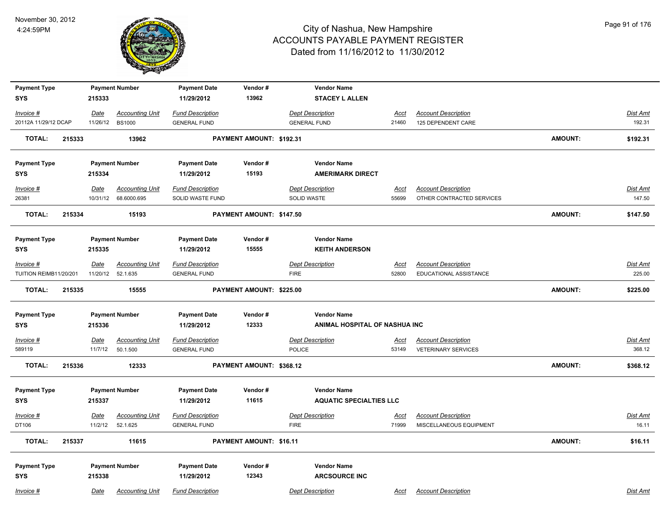

| <b>Payment Type</b>    |        |             | <b>Payment Number</b>  | <b>Payment Date</b>     | Vendor#                  | <b>Vendor Name</b>             |             |                            |                |                 |
|------------------------|--------|-------------|------------------------|-------------------------|--------------------------|--------------------------------|-------------|----------------------------|----------------|-----------------|
| <b>SYS</b>             |        | 215333      |                        | 11/29/2012              | 13962                    | <b>STACEY L ALLEN</b>          |             |                            |                |                 |
| Invoice #              |        | Date        | <b>Accounting Unit</b> | <b>Fund Description</b> |                          | <b>Dept Description</b>        | <u>Acct</u> | <b>Account Description</b> |                | <b>Dist Amt</b> |
| 20112A 11/29/12 DCAP   |        |             | 11/26/12 BS1000        | <b>GENERAL FUND</b>     |                          | <b>GENERAL FUND</b>            | 21460       | 125 DEPENDENT CARE         |                | 192.31          |
| TOTAL:                 | 215333 |             | 13962                  |                         | PAYMENT AMOUNT: \$192.31 |                                |             |                            | <b>AMOUNT:</b> | \$192.31        |
| <b>Payment Type</b>    |        |             | <b>Payment Number</b>  | <b>Payment Date</b>     | Vendor#                  | <b>Vendor Name</b>             |             |                            |                |                 |
| <b>SYS</b>             |        | 215334      |                        | 11/29/2012              | 15193                    | <b>AMERIMARK DIRECT</b>        |             |                            |                |                 |
| Invoice #              |        | Date        | <b>Accounting Unit</b> | <b>Fund Description</b> |                          | <b>Dept Description</b>        | Acct        | <b>Account Description</b> |                | <b>Dist Amt</b> |
| 26381                  |        |             | 10/31/12 68.6000.695   | SOLID WASTE FUND        |                          | SOLID WASTE                    | 55699       | OTHER CONTRACTED SERVICES  |                | 147.50          |
| <b>TOTAL:</b>          | 215334 |             | 15193                  |                         | PAYMENT AMOUNT: \$147.50 |                                |             |                            | <b>AMOUNT:</b> | \$147.50        |
| <b>Payment Type</b>    |        |             | <b>Payment Number</b>  | <b>Payment Date</b>     | Vendor#                  | <b>Vendor Name</b>             |             |                            |                |                 |
| <b>SYS</b>             |        | 215335      |                        | 11/29/2012              | 15555                    | <b>KEITH ANDERSON</b>          |             |                            |                |                 |
| Invoice #              |        | Date        | <b>Accounting Unit</b> | <b>Fund Description</b> |                          | <b>Dept Description</b>        | Acct        | <b>Account Description</b> |                | <b>Dist Amt</b> |
| TUITION REIMB11/20/201 |        |             | 11/20/12 52.1.635      | <b>GENERAL FUND</b>     |                          | <b>FIRE</b>                    | 52800       | EDUCATIONAL ASSISTANCE     |                | 225.00          |
| TOTAL:                 | 215335 |             | 15555                  |                         | PAYMENT AMOUNT: \$225.00 |                                |             |                            | <b>AMOUNT:</b> | \$225.00        |
| <b>Payment Type</b>    |        |             | <b>Payment Number</b>  | <b>Payment Date</b>     | Vendor#                  | <b>Vendor Name</b>             |             |                            |                |                 |
| <b>SYS</b>             |        | 215336      |                        | 11/29/2012              | 12333                    | ANIMAL HOSPITAL OF NASHUA INC  |             |                            |                |                 |
| $Invoice$ #            |        | Date        | <b>Accounting Unit</b> | <b>Fund Description</b> |                          | <b>Dept Description</b>        | <u>Acct</u> | <b>Account Description</b> |                | <b>Dist Amt</b> |
| 589119                 |        | 11/7/12     | 50.1.500               | <b>GENERAL FUND</b>     |                          | <b>POLICE</b>                  | 53149       | <b>VETERINARY SERVICES</b> |                | 368.12          |
| <b>TOTAL:</b>          | 215336 |             | 12333                  |                         | PAYMENT AMOUNT: \$368.12 |                                |             |                            | <b>AMOUNT:</b> | \$368.12        |
| <b>Payment Type</b>    |        |             | <b>Payment Number</b>  | <b>Payment Date</b>     | Vendor#                  | <b>Vendor Name</b>             |             |                            |                |                 |
| <b>SYS</b>             |        | 215337      |                        | 11/29/2012              | 11615                    | <b>AQUATIC SPECIALTIES LLC</b> |             |                            |                |                 |
| Invoice #              |        | <u>Date</u> | <b>Accounting Unit</b> | <b>Fund Description</b> |                          | <b>Dept Description</b>        | Acct        | <b>Account Description</b> |                | Dist Amt        |
| DT106                  |        | 11/2/12     | 52.1.625               | <b>GENERAL FUND</b>     |                          | <b>FIRE</b>                    | 71999       | MISCELLANEOUS EQUIPMENT    |                | 16.11           |
| <b>TOTAL:</b>          | 215337 |             | 11615                  |                         | PAYMENT AMOUNT: \$16.11  |                                |             |                            | <b>AMOUNT:</b> | \$16.11         |
| <b>Payment Type</b>    |        |             | <b>Payment Number</b>  | <b>Payment Date</b>     | Vendor#                  | <b>Vendor Name</b>             |             |                            |                |                 |
| <b>SYS</b>             |        | 215338      |                        | 11/29/2012              | 12343                    | <b>ARCSOURCE INC</b>           |             |                            |                |                 |
| Invoice #              |        | Date        | <b>Accounting Unit</b> | <b>Fund Description</b> |                          | <b>Dept Description</b>        | Acct        | <b>Account Description</b> |                | Dist Amt        |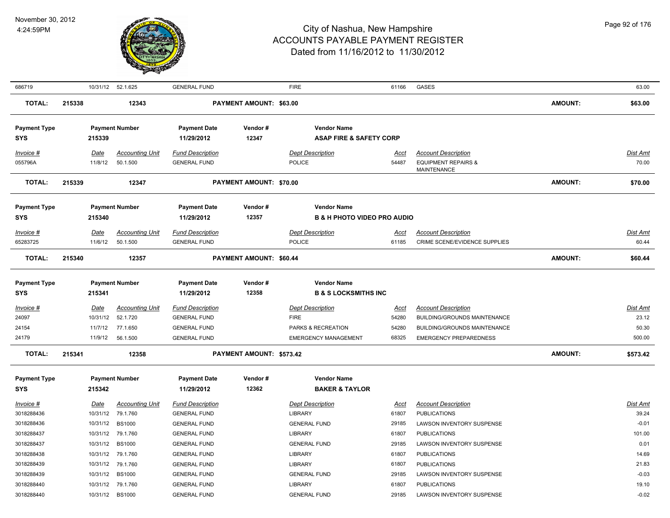

| 686719                            |        |                      | 10/31/12 52.1.625                  | <b>GENERAL FUND</b>                            |                          | <b>FIRE</b>                                              | 61166                                  | GASES                                                                       |                | 63.00             |
|-----------------------------------|--------|----------------------|------------------------------------|------------------------------------------------|--------------------------|----------------------------------------------------------|----------------------------------------|-----------------------------------------------------------------------------|----------------|-------------------|
| <b>TOTAL:</b>                     | 215338 |                      | 12343                              |                                                | PAYMENT AMOUNT: \$63.00  |                                                          |                                        |                                                                             | <b>AMOUNT:</b> | \$63.00           |
| <b>Payment Type</b><br>SYS        |        | 215339               | <b>Payment Number</b>              | <b>Payment Date</b><br>11/29/2012              | Vendor#<br>12347         | <b>Vendor Name</b><br><b>ASAP FIRE &amp; SAFETY CORP</b> |                                        |                                                                             |                |                   |
| Invoice #<br>055796A              |        | Date<br>11/8/12      | <b>Accounting Unit</b><br>50.1.500 | <b>Fund Description</b><br><b>GENERAL FUND</b> |                          | <b>Dept Description</b><br><b>POLICE</b>                 | Acct<br>54487                          | <b>Account Description</b><br><b>EQUIPMENT REPAIRS &amp;</b><br>MAINTENANCE |                | Dist Amt<br>70.00 |
| <b>TOTAL:</b>                     | 215339 |                      | 12347                              |                                                | PAYMENT AMOUNT: \$70.00  |                                                          |                                        |                                                                             | AMOUNT:        | \$70.00           |
| <b>Payment Type</b><br><b>SYS</b> |        | 215340               | <b>Payment Number</b>              | <b>Payment Date</b><br>11/29/2012              | Vendor#<br>12357         | <b>Vendor Name</b>                                       | <b>B &amp; H PHOTO VIDEO PRO AUDIO</b> |                                                                             |                |                   |
| Invoice #                         |        | <b>Date</b>          | <b>Accounting Unit</b>             | <b>Fund Description</b>                        |                          | <b>Dept Description</b>                                  | <u>Acct</u>                            | <b>Account Description</b>                                                  |                | <u>Dist Amt</u>   |
| 65283725                          |        | 11/6/12              | 50.1.500                           | <b>GENERAL FUND</b>                            |                          | <b>POLICE</b>                                            | 61185                                  | <b>CRIME SCENE/EVIDENCE SUPPLIES</b>                                        |                | 60.44             |
| <b>TOTAL:</b>                     | 215340 |                      | 12357                              |                                                | PAYMENT AMOUNT: \$60.44  |                                                          |                                        |                                                                             | AMOUNT:        | \$60.44           |
| <b>Payment Type</b><br><b>SYS</b> |        | 215341               | <b>Payment Number</b>              | <b>Payment Date</b><br>11/29/2012              | Vendor#<br>12358         | <b>Vendor Name</b><br><b>B &amp; S LOCKSMITHS INC</b>    |                                        |                                                                             |                |                   |
| Invoice #                         |        | Date                 | <b>Accounting Unit</b>             | <b>Fund Description</b>                        |                          | <b>Dept Description</b>                                  | <u>Acct</u>                            | <b>Account Description</b>                                                  |                | <b>Dist Amt</b>   |
| 24097                             |        | 10/31/12             | 52.1.720                           | <b>GENERAL FUND</b>                            |                          | <b>FIRE</b>                                              | 54280                                  | BUILDING/GROUNDS MAINTENANCE                                                |                | 23.12             |
| 24154                             |        | 11/7/12              | 77.1.650                           | <b>GENERAL FUND</b>                            |                          | PARKS & RECREATION                                       | 54280                                  | <b>BUILDING/GROUNDS MAINTENANCE</b>                                         |                | 50.30             |
| 24179                             |        | 11/9/12              | 56.1.500                           | <b>GENERAL FUND</b>                            |                          | <b>EMERGENCY MANAGEMENT</b>                              | 68325                                  | <b>EMERGENCY PREPAREDNESS</b>                                               |                | 500.00            |
| <b>TOTAL:</b>                     | 215341 |                      | 12358                              |                                                | PAYMENT AMOUNT: \$573.42 |                                                          |                                        |                                                                             | AMOUNT:        | \$573.42          |
| <b>Payment Type</b><br><b>SYS</b> |        | 215342               | <b>Payment Number</b>              | <b>Payment Date</b><br>11/29/2012              | Vendor#<br>12362         | <b>Vendor Name</b><br><b>BAKER &amp; TAYLOR</b>          |                                        |                                                                             |                |                   |
| Invoice #                         |        | <u>Date</u>          | <b>Accounting Unit</b>             | <b>Fund Description</b>                        |                          | <b>Dept Description</b>                                  | <u>Acct</u>                            | <b>Account Description</b>                                                  |                | <b>Dist Amt</b>   |
| 3018288436                        |        | 10/31/12             | 79.1.760                           | <b>GENERAL FUND</b>                            |                          | <b>LIBRARY</b>                                           | 61807                                  | <b>PUBLICATIONS</b>                                                         |                | 39.24             |
| 3018288436                        |        | 10/31/12             | <b>BS1000</b>                      | <b>GENERAL FUND</b>                            |                          | <b>GENERAL FUND</b>                                      | 29185                                  | LAWSON INVENTORY SUSPENSE                                                   |                | $-0.01$           |
| 3018288437                        |        | 10/31/12             | 79.1.760                           | <b>GENERAL FUND</b>                            |                          | LIBRARY                                                  | 61807                                  | <b>PUBLICATIONS</b>                                                         |                | 101.00            |
| 3018288437                        |        | 10/31/12             | <b>BS1000</b>                      | <b>GENERAL FUND</b>                            |                          | <b>GENERAL FUND</b>                                      | 29185                                  | LAWSON INVENTORY SUSPENSE                                                   |                | 0.01              |
| 3018288438                        |        | 10/31/12             | 79.1.760                           | <b>GENERAL FUND</b>                            |                          | <b>LIBRARY</b>                                           | 61807                                  | <b>PUBLICATIONS</b>                                                         |                | 14.69             |
| 3018288439<br>3018288439          |        | 10/31/12             | 79.1.760<br><b>BS1000</b>          | <b>GENERAL FUND</b>                            |                          | <b>LIBRARY</b><br><b>GENERAL FUND</b>                    | 61807                                  | <b>PUBLICATIONS</b><br>LAWSON INVENTORY SUSPENSE                            |                | 21.83<br>$-0.03$  |
| 3018288440                        |        | 10/31/12<br>10/31/12 | 79.1.760                           | <b>GENERAL FUND</b><br><b>GENERAL FUND</b>     |                          | <b>LIBRARY</b>                                           | 29185<br>61807                         | <b>PUBLICATIONS</b>                                                         |                | 19.10             |
| 3018288440                        |        | 10/31/12             | <b>BS1000</b>                      | <b>GENERAL FUND</b>                            |                          | <b>GENERAL FUND</b>                                      | 29185                                  | <b>LAWSON INVENTORY SUSPENSE</b>                                            |                | $-0.02$           |
|                                   |        |                      |                                    |                                                |                          |                                                          |                                        |                                                                             |                |                   |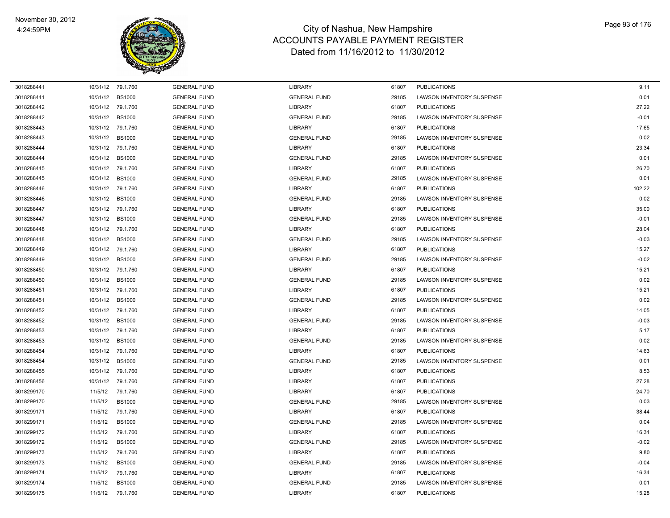

| 3018288441 | 10/31/12 79.1.760 |               | <b>GENERAL FUND</b> | <b>LIBRARY</b>      | 61807 | <b>PUBLICATIONS</b>              | 9.11    |
|------------|-------------------|---------------|---------------------|---------------------|-------|----------------------------------|---------|
| 3018288441 | 10/31/12          | <b>BS1000</b> | <b>GENERAL FUND</b> | <b>GENERAL FUND</b> | 29185 | <b>LAWSON INVENTORY SUSPENSE</b> | 0.01    |
| 3018288442 | 10/31/12          | 79.1.760      | <b>GENERAL FUND</b> | <b>LIBRARY</b>      | 61807 | <b>PUBLICATIONS</b>              | 27.22   |
| 3018288442 | 10/31/12          | <b>BS1000</b> | <b>GENERAL FUND</b> | <b>GENERAL FUND</b> | 29185 | <b>LAWSON INVENTORY SUSPENSE</b> | $-0.01$ |
| 3018288443 | 10/31/12          | 79.1.760      | <b>GENERAL FUND</b> | <b>LIBRARY</b>      | 61807 | <b>PUBLICATIONS</b>              | 17.65   |
| 3018288443 | 10/31/12          | <b>BS1000</b> | <b>GENERAL FUND</b> | <b>GENERAL FUND</b> | 29185 | <b>LAWSON INVENTORY SUSPENSE</b> | 0.02    |
| 3018288444 | 10/31/12          | 79.1.760      | <b>GENERAL FUND</b> | <b>LIBRARY</b>      | 61807 | <b>PUBLICATIONS</b>              | 23.34   |
| 3018288444 | 10/31/12          | <b>BS1000</b> | <b>GENERAL FUND</b> | <b>GENERAL FUND</b> | 29185 | LAWSON INVENTORY SUSPENSE        | 0.01    |
| 3018288445 | 10/31/12          | 79.1.760      | <b>GENERAL FUND</b> | <b>LIBRARY</b>      | 61807 | <b>PUBLICATIONS</b>              | 26.70   |
| 3018288445 | 10/31/12          | <b>BS1000</b> | <b>GENERAL FUND</b> | <b>GENERAL FUND</b> | 29185 | <b>LAWSON INVENTORY SUSPENSE</b> | 0.01    |
| 3018288446 | 10/31/12          | 79.1.760      | <b>GENERAL FUND</b> | <b>LIBRARY</b>      | 61807 | <b>PUBLICATIONS</b>              | 102.22  |
| 3018288446 | 10/31/12          | <b>BS1000</b> | <b>GENERAL FUND</b> | <b>GENERAL FUND</b> | 29185 | LAWSON INVENTORY SUSPENSE        | 0.02    |
| 3018288447 | 10/31/12          | 79.1.760      | <b>GENERAL FUND</b> | <b>LIBRARY</b>      | 61807 | <b>PUBLICATIONS</b>              | 35.00   |
| 3018288447 | 10/31/12          | <b>BS1000</b> | <b>GENERAL FUND</b> | <b>GENERAL FUND</b> | 29185 | <b>LAWSON INVENTORY SUSPENSE</b> | $-0.01$ |
| 3018288448 | 10/31/12          | 79.1.760      | <b>GENERAL FUND</b> | <b>LIBRARY</b>      | 61807 | <b>PUBLICATIONS</b>              | 28.04   |
| 3018288448 | 10/31/12          | <b>BS1000</b> | <b>GENERAL FUND</b> | <b>GENERAL FUND</b> | 29185 | <b>LAWSON INVENTORY SUSPENSE</b> | $-0.03$ |
| 3018288449 | 10/31/12          | 79.1.760      | <b>GENERAL FUND</b> | <b>LIBRARY</b>      | 61807 | <b>PUBLICATIONS</b>              | 15.27   |
| 3018288449 | 10/31/12          | <b>BS1000</b> | <b>GENERAL FUND</b> | <b>GENERAL FUND</b> | 29185 | <b>LAWSON INVENTORY SUSPENSE</b> | $-0.02$ |
| 3018288450 | 10/31/12          | 79.1.760      | <b>GENERAL FUND</b> | <b>LIBRARY</b>      | 61807 | <b>PUBLICATIONS</b>              | 15.21   |
| 3018288450 | 10/31/12          | <b>BS1000</b> | <b>GENERAL FUND</b> | <b>GENERAL FUND</b> | 29185 | LAWSON INVENTORY SUSPENSE        | 0.02    |
| 3018288451 | 10/31/12          | 79.1.760      | <b>GENERAL FUND</b> | <b>LIBRARY</b>      | 61807 | <b>PUBLICATIONS</b>              | 15.21   |
| 3018288451 | 10/31/12          | <b>BS1000</b> | <b>GENERAL FUND</b> | <b>GENERAL FUND</b> | 29185 | LAWSON INVENTORY SUSPENSE        | 0.02    |
| 3018288452 | 10/31/12          | 79.1.760      | <b>GENERAL FUND</b> | <b>LIBRARY</b>      | 61807 | <b>PUBLICATIONS</b>              | 14.05   |
| 3018288452 | 10/31/12          | <b>BS1000</b> | <b>GENERAL FUND</b> | <b>GENERAL FUND</b> | 29185 | LAWSON INVENTORY SUSPENSE        | $-0.03$ |
| 3018288453 | 10/31/12          | 79.1.760      | <b>GENERAL FUND</b> | <b>LIBRARY</b>      | 61807 | <b>PUBLICATIONS</b>              | 5.17    |
| 3018288453 | 10/31/12          | <b>BS1000</b> | <b>GENERAL FUND</b> | <b>GENERAL FUND</b> | 29185 | <b>LAWSON INVENTORY SUSPENSE</b> | 0.02    |
| 3018288454 | 10/31/12          | 79.1.760      | <b>GENERAL FUND</b> | <b>LIBRARY</b>      | 61807 | <b>PUBLICATIONS</b>              | 14.63   |
| 3018288454 | 10/31/12          | <b>BS1000</b> | <b>GENERAL FUND</b> | <b>GENERAL FUND</b> | 29185 | <b>LAWSON INVENTORY SUSPENSE</b> | 0.01    |
| 3018288455 | 10/31/12          | 79.1.760      | <b>GENERAL FUND</b> | <b>LIBRARY</b>      | 61807 | <b>PUBLICATIONS</b>              | 8.53    |
| 3018288456 | 10/31/12          | 79.1.760      | <b>GENERAL FUND</b> | <b>LIBRARY</b>      | 61807 | <b>PUBLICATIONS</b>              | 27.28   |
| 3018299170 | 11/5/12           | 79.1.760      | <b>GENERAL FUND</b> | <b>LIBRARY</b>      | 61807 | <b>PUBLICATIONS</b>              | 24.70   |
| 3018299170 | 11/5/12           | <b>BS1000</b> | <b>GENERAL FUND</b> | <b>GENERAL FUND</b> | 29185 | <b>LAWSON INVENTORY SUSPENSE</b> | 0.03    |
| 3018299171 | 11/5/12           | 79.1.760      | <b>GENERAL FUND</b> | <b>LIBRARY</b>      | 61807 | <b>PUBLICATIONS</b>              | 38.44   |
| 3018299171 | 11/5/12           | <b>BS1000</b> | <b>GENERAL FUND</b> | <b>GENERAL FUND</b> | 29185 | LAWSON INVENTORY SUSPENSE        | 0.04    |
| 3018299172 | 11/5/12           | 79.1.760      | <b>GENERAL FUND</b> | <b>LIBRARY</b>      | 61807 | <b>PUBLICATIONS</b>              | 16.34   |
| 3018299172 | 11/5/12           | <b>BS1000</b> | <b>GENERAL FUND</b> | <b>GENERAL FUND</b> | 29185 | LAWSON INVENTORY SUSPENSE        | $-0.02$ |
| 3018299173 | 11/5/12           | 79.1.760      | <b>GENERAL FUND</b> | <b>LIBRARY</b>      | 61807 | <b>PUBLICATIONS</b>              | 9.80    |
| 3018299173 | 11/5/12           | <b>BS1000</b> | <b>GENERAL FUND</b> | <b>GENERAL FUND</b> | 29185 | <b>LAWSON INVENTORY SUSPENSE</b> | $-0.04$ |
| 3018299174 | 11/5/12           | 79.1.760      | <b>GENERAL FUND</b> | <b>LIBRARY</b>      | 61807 | <b>PUBLICATIONS</b>              | 16.34   |
| 3018299174 | 11/5/12           | <b>BS1000</b> | <b>GENERAL FUND</b> | <b>GENERAL FUND</b> | 29185 | LAWSON INVENTORY SUSPENSE        | 0.01    |
| 3018299175 | 11/5/12           | 79.1.760      | <b>GENERAL FUND</b> | <b>LIBRARY</b>      | 61807 | <b>PUBLICATIONS</b>              | 15.28   |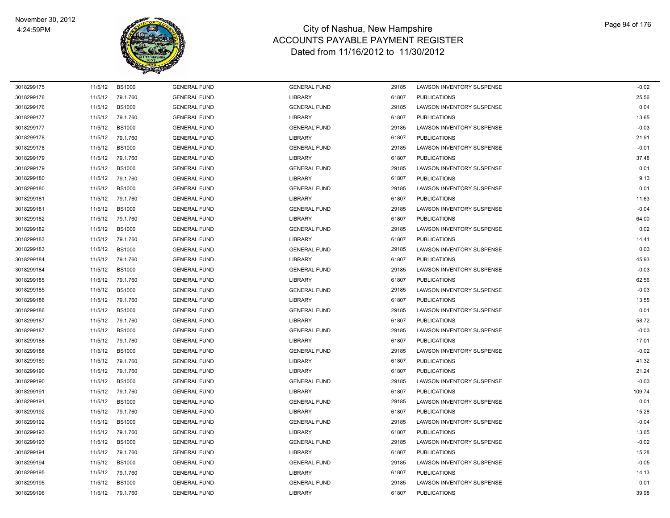

| 3018299175 | 11/5/12 | <b>BS1000</b> | <b>GENERAL FUND</b> | <b>GENERAL FUND</b> | 29185 | LAWSON INVENTORY SUSPENSE        | $-0.02$ |
|------------|---------|---------------|---------------------|---------------------|-------|----------------------------------|---------|
| 3018299176 | 11/5/12 | 79.1.760      | <b>GENERAL FUND</b> | <b>LIBRARY</b>      | 61807 | <b>PUBLICATIONS</b>              | 25.56   |
| 3018299176 | 11/5/12 | <b>BS1000</b> | <b>GENERAL FUND</b> | <b>GENERAL FUND</b> | 29185 | LAWSON INVENTORY SUSPENSE        | 0.04    |
| 3018299177 | 11/5/12 | 79.1.760      | <b>GENERAL FUND</b> | <b>LIBRARY</b>      | 61807 | <b>PUBLICATIONS</b>              | 13.65   |
| 3018299177 | 11/5/12 | <b>BS1000</b> | <b>GENERAL FUND</b> | <b>GENERAL FUND</b> | 29185 | LAWSON INVENTORY SUSPENSE        | $-0.03$ |
| 3018299178 | 11/5/12 | 79.1.760      | <b>GENERAL FUND</b> | <b>LIBRARY</b>      | 61807 | <b>PUBLICATIONS</b>              | 21.91   |
| 3018299178 | 11/5/12 | <b>BS1000</b> | <b>GENERAL FUND</b> | <b>GENERAL FUND</b> | 29185 | LAWSON INVENTORY SUSPENSE        | $-0.01$ |
| 3018299179 | 11/5/12 | 79.1.760      | <b>GENERAL FUND</b> | <b>LIBRARY</b>      | 61807 | <b>PUBLICATIONS</b>              | 37.48   |
| 3018299179 | 11/5/12 | <b>BS1000</b> | <b>GENERAL FUND</b> | <b>GENERAL FUND</b> | 29185 | LAWSON INVENTORY SUSPENSE        | 0.01    |
| 3018299180 | 11/5/12 | 79.1.760      | <b>GENERAL FUND</b> | <b>LIBRARY</b>      | 61807 | <b>PUBLICATIONS</b>              | 9.13    |
| 3018299180 | 11/5/12 | <b>BS1000</b> | <b>GENERAL FUND</b> | <b>GENERAL FUND</b> | 29185 | LAWSON INVENTORY SUSPENSE        | 0.01    |
| 3018299181 | 11/5/12 | 79.1.760      | <b>GENERAL FUND</b> | <b>LIBRARY</b>      | 61807 | <b>PUBLICATIONS</b>              | 11.63   |
| 3018299181 | 11/5/12 | <b>BS1000</b> | <b>GENERAL FUND</b> | <b>GENERAL FUND</b> | 29185 | LAWSON INVENTORY SUSPENSE        | $-0.04$ |
| 3018299182 | 11/5/12 | 79.1.760      | <b>GENERAL FUND</b> | <b>LIBRARY</b>      | 61807 | <b>PUBLICATIONS</b>              | 64.00   |
| 3018299182 | 11/5/12 | <b>BS1000</b> | <b>GENERAL FUND</b> | <b>GENERAL FUND</b> | 29185 | LAWSON INVENTORY SUSPENSE        | 0.02    |
| 3018299183 | 11/5/12 | 79.1.760      | <b>GENERAL FUND</b> | <b>LIBRARY</b>      | 61807 | <b>PUBLICATIONS</b>              | 14.41   |
| 3018299183 | 11/5/12 | <b>BS1000</b> | <b>GENERAL FUND</b> | <b>GENERAL FUND</b> | 29185 | LAWSON INVENTORY SUSPENSE        | 0.03    |
| 3018299184 | 11/5/12 | 79.1.760      | <b>GENERAL FUND</b> | <b>LIBRARY</b>      | 61807 | <b>PUBLICATIONS</b>              | 45.93   |
| 3018299184 | 11/5/12 | <b>BS1000</b> | <b>GENERAL FUND</b> | <b>GENERAL FUND</b> | 29185 | <b>LAWSON INVENTORY SUSPENSE</b> | $-0.03$ |
| 3018299185 | 11/5/12 | 79.1.760      | <b>GENERAL FUND</b> | <b>LIBRARY</b>      | 61807 | <b>PUBLICATIONS</b>              | 62.56   |
| 3018299185 | 11/5/12 | <b>BS1000</b> | <b>GENERAL FUND</b> | <b>GENERAL FUND</b> | 29185 | LAWSON INVENTORY SUSPENSE        | $-0.03$ |
| 3018299186 | 11/5/12 | 79.1.760      | <b>GENERAL FUND</b> | <b>LIBRARY</b>      | 61807 | <b>PUBLICATIONS</b>              | 13.55   |
| 3018299186 | 11/5/12 | <b>BS1000</b> | <b>GENERAL FUND</b> | <b>GENERAL FUND</b> | 29185 | LAWSON INVENTORY SUSPENSE        | 0.01    |
| 3018299187 | 11/5/12 | 79.1.760      | <b>GENERAL FUND</b> | <b>LIBRARY</b>      | 61807 | <b>PUBLICATIONS</b>              | 58.72   |
| 3018299187 | 11/5/12 | <b>BS1000</b> | <b>GENERAL FUND</b> | <b>GENERAL FUND</b> | 29185 | LAWSON INVENTORY SUSPENSE        | $-0.03$ |
| 3018299188 | 11/5/12 | 79.1.760      | <b>GENERAL FUND</b> | <b>LIBRARY</b>      | 61807 | <b>PUBLICATIONS</b>              | 17.01   |
| 3018299188 | 11/5/12 | <b>BS1000</b> | <b>GENERAL FUND</b> | <b>GENERAL FUND</b> | 29185 | <b>LAWSON INVENTORY SUSPENSE</b> | $-0.02$ |
| 3018299189 | 11/5/12 | 79.1.760      | <b>GENERAL FUND</b> | <b>LIBRARY</b>      | 61807 | <b>PUBLICATIONS</b>              | 41.32   |
| 3018299190 | 11/5/12 | 79.1.760      | <b>GENERAL FUND</b> | <b>LIBRARY</b>      | 61807 | <b>PUBLICATIONS</b>              | 21.24   |
| 3018299190 | 11/5/12 | <b>BS1000</b> | <b>GENERAL FUND</b> | <b>GENERAL FUND</b> | 29185 | LAWSON INVENTORY SUSPENSE        | $-0.03$ |
| 3018299191 | 11/5/12 | 79.1.760      | <b>GENERAL FUND</b> | <b>LIBRARY</b>      | 61807 | <b>PUBLICATIONS</b>              | 109.74  |
| 3018299191 | 11/5/12 | <b>BS1000</b> | <b>GENERAL FUND</b> | <b>GENERAL FUND</b> | 29185 | LAWSON INVENTORY SUSPENSE        | 0.01    |
| 3018299192 | 11/5/12 | 79.1.760      | <b>GENERAL FUND</b> | <b>LIBRARY</b>      | 61807 | <b>PUBLICATIONS</b>              | 15.28   |
| 3018299192 | 11/5/12 | <b>BS1000</b> | <b>GENERAL FUND</b> | <b>GENERAL FUND</b> | 29185 | LAWSON INVENTORY SUSPENSE        | $-0.04$ |
| 3018299193 | 11/5/12 | 79.1.760      | <b>GENERAL FUND</b> | <b>LIBRARY</b>      | 61807 | <b>PUBLICATIONS</b>              | 13.65   |
| 3018299193 | 11/5/12 | <b>BS1000</b> | <b>GENERAL FUND</b> | <b>GENERAL FUND</b> | 29185 | LAWSON INVENTORY SUSPENSE        | $-0.02$ |
| 3018299194 | 11/5/12 | 79.1.760      | <b>GENERAL FUND</b> | <b>LIBRARY</b>      | 61807 | <b>PUBLICATIONS</b>              | 15.28   |
| 3018299194 | 11/5/12 | <b>BS1000</b> | <b>GENERAL FUND</b> | <b>GENERAL FUND</b> | 29185 | LAWSON INVENTORY SUSPENSE        | $-0.05$ |
| 3018299195 | 11/5/12 | 79.1.760      | <b>GENERAL FUND</b> | <b>LIBRARY</b>      | 61807 | <b>PUBLICATIONS</b>              | 14.13   |
| 3018299195 | 11/5/12 | <b>BS1000</b> | <b>GENERAL FUND</b> | <b>GENERAL FUND</b> | 29185 | LAWSON INVENTORY SUSPENSE        | 0.01    |
| 3018299196 | 11/5/12 | 79.1.760      | <b>GENERAL FUND</b> | <b>LIBRARY</b>      | 61807 | <b>PUBLICATIONS</b>              | 39.98   |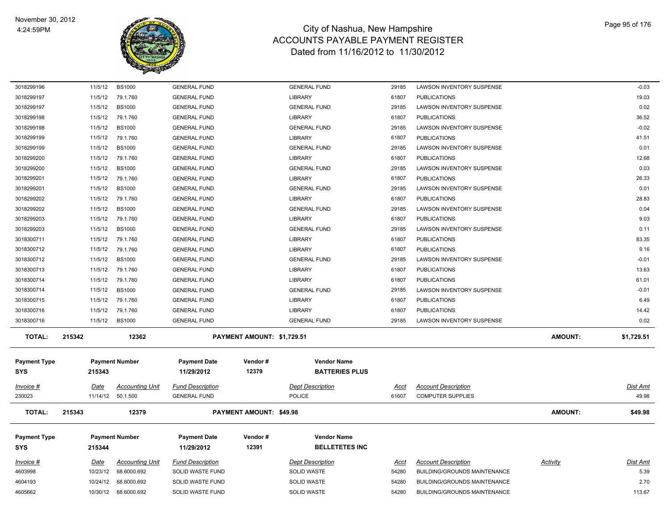

| 3018299196          | 11/5/12     | <b>BS1000</b>          | <b>GENERAL FUND</b>     |                                | <b>GENERAL FUND</b>     | 29185       | LAWSON INVENTORY SUSPENSE           |                | $-0.03$    |
|---------------------|-------------|------------------------|-------------------------|--------------------------------|-------------------------|-------------|-------------------------------------|----------------|------------|
| 3018299197          | 11/5/12     | 79.1.760               | <b>GENERAL FUND</b>     |                                | <b>LIBRARY</b>          | 61807       | <b>PUBLICATIONS</b>                 |                | 19.03      |
| 3018299197          | 11/5/12     | <b>BS1000</b>          | <b>GENERAL FUND</b>     |                                | <b>GENERAL FUND</b>     | 29185       | LAWSON INVENTORY SUSPENSE           |                | 0.02       |
| 3018299198          | 11/5/12     | 79.1.760               | <b>GENERAL FUND</b>     |                                | <b>LIBRARY</b>          | 61807       | <b>PUBLICATIONS</b>                 |                | 36.52      |
| 3018299198          | 11/5/12     | <b>BS1000</b>          | <b>GENERAL FUND</b>     |                                | <b>GENERAL FUND</b>     | 29185       | LAWSON INVENTORY SUSPENSE           |                | $-0.02$    |
| 3018299199          | 11/5/12     | 79.1.760               | <b>GENERAL FUND</b>     |                                | <b>LIBRARY</b>          | 61807       | <b>PUBLICATIONS</b>                 |                | 41.51      |
| 3018299199          | 11/5/12     | <b>BS1000</b>          | <b>GENERAL FUND</b>     |                                | <b>GENERAL FUND</b>     | 29185       | LAWSON INVENTORY SUSPENSE           |                | 0.01       |
| 3018299200          | 11/5/12     | 79.1.760               | <b>GENERAL FUND</b>     |                                | <b>LIBRARY</b>          | 61807       | <b>PUBLICATIONS</b>                 |                | 12.68      |
| 3018299200          | 11/5/12     | <b>BS1000</b>          | <b>GENERAL FUND</b>     |                                | <b>GENERAL FUND</b>     | 29185       | LAWSON INVENTORY SUSPENSE           |                | 0.03       |
| 3018299201          | 11/5/12     | 79.1.760               | <b>GENERAL FUND</b>     |                                | <b>LIBRARY</b>          | 61807       | <b>PUBLICATIONS</b>                 |                | 26.33      |
| 3018299201          | 11/5/12     | <b>BS1000</b>          | <b>GENERAL FUND</b>     |                                | <b>GENERAL FUND</b>     | 29185       | LAWSON INVENTORY SUSPENSE           |                | 0.01       |
| 3018299202          | 11/5/12     | 79.1.760               | <b>GENERAL FUND</b>     |                                | <b>LIBRARY</b>          | 61807       | <b>PUBLICATIONS</b>                 |                | 28.83      |
| 3018299202          | 11/5/12     | <b>BS1000</b>          | <b>GENERAL FUND</b>     |                                | <b>GENERAL FUND</b>     | 29185       | LAWSON INVENTORY SUSPENSE           |                | 0.04       |
| 3018299203          | 11/5/12     | 79.1.760               | <b>GENERAL FUND</b>     |                                | <b>LIBRARY</b>          | 61807       | <b>PUBLICATIONS</b>                 |                | 9.03       |
| 3018299203          | 11/5/12     | <b>BS1000</b>          | <b>GENERAL FUND</b>     |                                | <b>GENERAL FUND</b>     | 29185       | LAWSON INVENTORY SUSPENSE           |                | 0.11       |
| 3018300711          | 11/5/12     | 79.1.760               | <b>GENERAL FUND</b>     |                                | LIBRARY                 | 61807       | <b>PUBLICATIONS</b>                 |                | 83.35      |
| 3018300712          | 11/5/12     | 79.1.760               | <b>GENERAL FUND</b>     |                                | <b>LIBRARY</b>          | 61807       | <b>PUBLICATIONS</b>                 |                | 9.16       |
| 3018300712          | 11/5/12     | <b>BS1000</b>          | <b>GENERAL FUND</b>     |                                | <b>GENERAL FUND</b>     | 29185       | LAWSON INVENTORY SUSPENSE           |                | $-0.01$    |
| 3018300713          | 11/5/12     | 79.1.760               | <b>GENERAL FUND</b>     |                                | LIBRARY                 | 61807       | <b>PUBLICATIONS</b>                 |                | 13.63      |
| 3018300714          | 11/5/12     | 79.1.760               | <b>GENERAL FUND</b>     |                                | LIBRARY                 | 61807       | <b>PUBLICATIONS</b>                 |                | 61.01      |
| 3018300714          | 11/5/12     | <b>BS1000</b>          | <b>GENERAL FUND</b>     |                                | <b>GENERAL FUND</b>     | 29185       | LAWSON INVENTORY SUSPENSE           |                | $-0.01$    |
| 3018300715          | 11/5/12     | 79.1.760               | <b>GENERAL FUND</b>     |                                | <b>LIBRARY</b>          | 61807       | <b>PUBLICATIONS</b>                 |                | 6.49       |
| 3018300716          | 11/5/12     | 79.1.760               | <b>GENERAL FUND</b>     |                                | <b>LIBRARY</b>          | 61807       | <b>PUBLICATIONS</b>                 |                | 14.42      |
| 3018300716          | 11/5/12     | <b>BS1000</b>          | <b>GENERAL FUND</b>     |                                | <b>GENERAL FUND</b>     | 29185       | LAWSON INVENTORY SUSPENSE           |                | 0.02       |
| <b>TOTAL:</b>       | 215342      | 12362                  |                         | PAYMENT AMOUNT: \$1,729.51     |                         |             |                                     | <b>AMOUNT:</b> | \$1,729.51 |
| <b>Payment Type</b> |             | <b>Payment Number</b>  | <b>Payment Date</b>     | Vendor#                        | <b>Vendor Name</b>      |             |                                     |                |            |
| <b>SYS</b>          | 215343      |                        | 11/29/2012              | 12379                          | <b>BATTERIES PLUS</b>   |             |                                     |                |            |
| Invoice #           | Date        | <b>Accounting Unit</b> | <b>Fund Description</b> |                                | <b>Dept Description</b> | <u>Acct</u> | <b>Account Description</b>          |                | Dist Amt   |
| 230023              | 11/14/12    | 50.1.500               | <b>GENERAL FUND</b>     |                                | <b>POLICE</b>           | 61607       | <b>COMPUTER SUPPLIES</b>            |                | 49.98      |
| <b>TOTAL:</b>       | 215343      | 12379                  |                         | <b>PAYMENT AMOUNT: \$49.98</b> |                         |             |                                     | <b>AMOUNT:</b> | \$49.98    |
|                     |             |                        |                         |                                |                         |             |                                     |                |            |
| <b>Payment Type</b> |             | <b>Payment Number</b>  | <b>Payment Date</b>     | Vendor#                        | <b>Vendor Name</b>      |             |                                     |                |            |
| <b>SYS</b>          | 215344      |                        | 11/29/2012              | 12391                          | <b>BELLETETES INC</b>   |             |                                     |                |            |
| Invoice #           | <u>Date</u> | <b>Accounting Unit</b> | <b>Fund Description</b> |                                | <b>Dept Description</b> | <u>Acct</u> | <b>Account Description</b>          | Activity       | Dist Amt   |
| 4603998             | 10/23/12    | 68.6000.692            | <b>SOLID WASTE FUND</b> |                                | <b>SOLID WASTE</b>      | 54280       | BUILDING/GROUNDS MAINTENANCE        |                | 5.39       |
| 4604193             | 10/24/12    | 68.6000.692            | SOLID WASTE FUND        |                                | <b>SOLID WASTE</b>      | 54280       | <b>BUILDING/GROUNDS MAINTENANCE</b> |                | 2.70       |
| 4605662             |             | 10/30/12 68.6000.692   | SOLID WASTE FUND        |                                | <b>SOLID WASTE</b>      | 54280       | <b>BUILDING/GROUNDS MAINTENANCE</b> |                | 113.67     |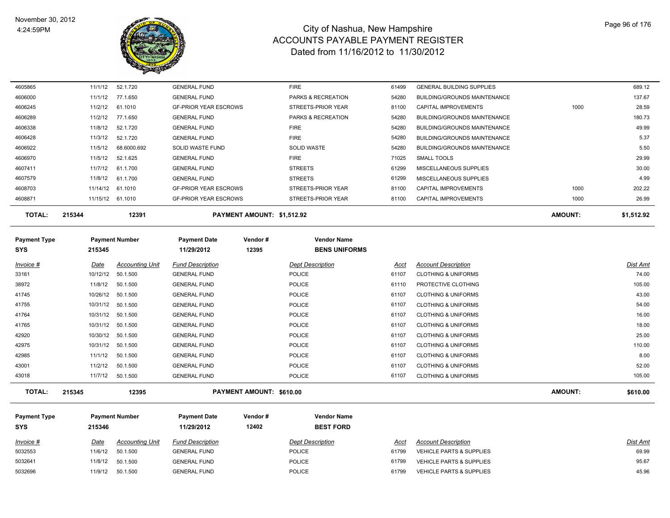

| Invoice #                  | Date     | <b>Accounting Unit</b> | <b>Fund Description</b>           |                            | <b>Dept Description</b>                    | Acct  | <b>Account Description</b>          |                | Dist Amt   |
|----------------------------|----------|------------------------|-----------------------------------|----------------------------|--------------------------------------------|-------|-------------------------------------|----------------|------------|
| <b>Payment Type</b><br>SYS | 215345   | <b>Payment Number</b>  | <b>Payment Date</b><br>11/29/2012 | Vendor#<br>12395           | <b>Vendor Name</b><br><b>BENS UNIFORMS</b> |       |                                     |                |            |
| <b>TOTAL:</b>              | 215344   | 12391                  |                                   | PAYMENT AMOUNT: \$1,512.92 |                                            |       |                                     | <b>AMOUNT:</b> | \$1,512.92 |
| 4608871                    |          | 11/15/12 61.1010       | <b>GF-PRIOR YEAR ESCROWS</b>      |                            | STREETS-PRIOR YEAR                         | 81100 | CAPITAL IMPROVEMENTS                | 1000           | 26.99      |
| 4608703                    | 11/14/12 | 61.1010                | <b>GF-PRIOR YEAR ESCROWS</b>      |                            | STREETS-PRIOR YEAR                         | 81100 | CAPITAL IMPROVEMENTS                | 1000           | 202.22     |
| 4607579                    | 11/8/12  | 61.1.700               | <b>GENERAL FUND</b>               |                            | <b>STREETS</b>                             | 61299 | MISCELLANEOUS SUPPLIES              |                | 4.99       |
| 4607411                    | 11/7/12  | 61.1.700               | <b>GENERAL FUND</b>               |                            | <b>STREETS</b>                             | 61299 | MISCELLANEOUS SUPPLIES              |                | 30.00      |
| 4606970                    | 11/5/12  | 52.1.625               | <b>GENERAL FUND</b>               |                            | <b>FIRE</b>                                | 71025 | SMALL TOOLS                         |                | 29.99      |
| 4606922                    | 11/5/12  | 68.6000.692            | SOLID WASTE FUND                  |                            | <b>SOLID WASTE</b>                         | 54280 | <b>BUILDING/GROUNDS MAINTENANCE</b> |                | 5.50       |
| 4606428                    | 11/3/12  | 52.1.720               | <b>GENERAL FUND</b>               |                            | <b>FIRE</b>                                | 54280 | BUILDING/GROUNDS MAINTENANCE        |                | 5.37       |
| 4606338                    | 11/8/12  | 52.1.720               | <b>GENERAL FUND</b>               |                            | <b>FIRE</b>                                | 54280 | BUILDING/GROUNDS MAINTENANCE        |                | 49.99      |
| 4606289                    | 11/2/12  | 77.1.650               | <b>GENERAL FUND</b>               |                            | PARKS & RECREATION                         | 54280 | BUILDING/GROUNDS MAINTENANCE        |                | 180.73     |
| 4606245                    | 11/2/12  | 61.1010                | <b>GF-PRIOR YEAR ESCROWS</b>      |                            | STREETS-PRIOR YEAR                         | 81100 | CAPITAL IMPROVEMENTS                | 1000           | 28.59      |
| 4606000                    | 11/1/12  | 77.1.650               | <b>GENERAL FUND</b>               |                            | PARKS & RECREATION                         | 54280 | <b>BUILDING/GROUNDS MAINTENANCE</b> |                | 137.67     |
| 4605865                    | 11/1/12  | 52.1.720               | <b>GENERAL FUND</b>               |                            | <b>FIRE</b>                                | 61499 | <b>GENERAL BUILDING SUPPLIES</b>    |                | 689.12     |

| <b>TOTAL:</b> | 215345    | 12395              |                     | <b>PAYMENT AMOUNT: \$610.00</b> |       |                                | <b>AMOUNT:</b> | \$610.00         |
|---------------|-----------|--------------------|---------------------|---------------------------------|-------|--------------------------------|----------------|------------------|
| 43018         | 11/7/12   | 50.1.500           | <b>GENERAL FUND</b> | POLICE                          | 61107 | <b>CLOTHING &amp; UNIFORMS</b> |                | 105.00           |
| 43001         | 11/2/12   | 50.1.500           | <b>GENERAL FUND</b> | POLICE                          | 61107 | <b>CLOTHING &amp; UNIFORMS</b> |                | 52.00            |
| 42985         | 11/1/12   | 50.1.500           | <b>GENERAL FUND</b> | POLICE                          | 61107 | <b>CLOTHING &amp; UNIFORMS</b> |                | 8.00             |
| 42975         |           | 10/31/12 50.1.500  | <b>GENERAL FUND</b> | POLICE                          | 61107 | <b>CLOTHING &amp; UNIFORMS</b> |                | 110.00           |
| 42920         |           | 10/30/12 50.1.500  | <b>GENERAL FUND</b> | POLICE                          | 61107 | <b>CLOTHING &amp; UNIFORMS</b> |                | 25.00            |
| 41765         |           | 10/31/12 50.1.500  | <b>GENERAL FUND</b> | POLICE                          | 61107 | <b>CLOTHING &amp; UNIFORMS</b> |                | 18.00            |
| 41764         |           | 10/31/12 50.1.500  | <b>GENERAL FUND</b> | POLICE                          | 61107 | <b>CLOTHING &amp; UNIFORMS</b> |                | 16.00            |
| 41755         |           | 10/31/12 50.1.500  | <b>GENERAL FUND</b> | POLICE                          | 61107 | <b>CLOTHING &amp; UNIFORMS</b> |                | 54.00            |
| 41745         |           | 10/26/12  50.1.500 | <b>GENERAL FUND</b> | POLICE                          | 61107 | <b>CLOTHING &amp; UNIFORMS</b> |                | 43.00            |
| 38972         | 11/8/12   | 50.1.500           | <b>GENERAL FUND</b> | POLICE                          | 61110 | PROTECTIVE CLOTHING            |                | 105.00           |
| 33161         | 10/12/12  | 50.1.500           | <b>GENERAL FUND</b> | POLICE                          | 61107 | <b>CLOTHING &amp; UNIFORMS</b> |                | 74.00            |
| n             | $\mu$ alc | Accounting Only    | and Description     | Dept Description                | へいしい  | ACCOUNT DESCRIPTION            |                | <u>יווה וכוש</u> |

**Payment Type Payment Number Payment Date Vendor # Vendor Name SYS 11/29/2012** *Invoice # Date Accounting Unit Fund Description Dept Description Acct Account Description Dist Amt*  **12402 BEST FORD** 11/6/12 50.1.500 GENERAL FUND POLICE 61799 VEHICLE PARTS & SUPPLIES 69.99 5032641 11/8/12 50.1.500 GENERAL FUND POLICE 16 61799 VEHICLE PARTS & SUPPLIES 95.67 5032696 11/9/12 50.1.500 GENERAL FUND POLICE PARTS & SUPPLIES 61799 SEHICLE PARTS & SUPPLIES 45.96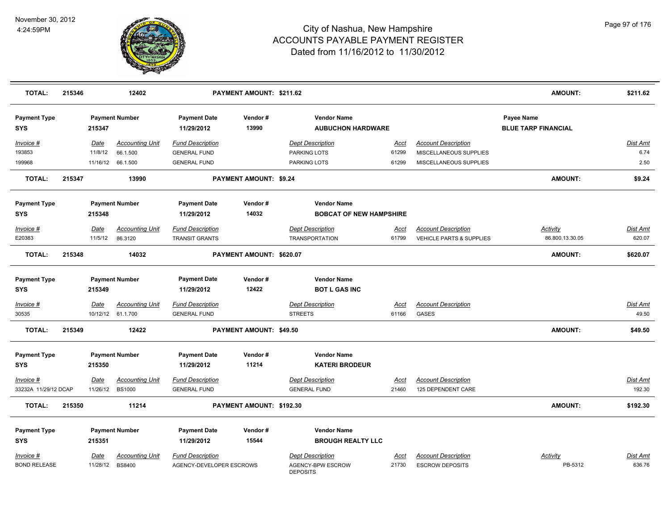

| <b>TOTAL:</b>                     | 215346 |             | 12402                                       |                                                | PAYMENT AMOUNT: \$211.62      |                                                      |                      |                                                  | <b>AMOUNT:</b>                                  | \$211.62                 |
|-----------------------------------|--------|-------------|---------------------------------------------|------------------------------------------------|-------------------------------|------------------------------------------------------|----------------------|--------------------------------------------------|-------------------------------------------------|--------------------------|
| <b>Payment Type</b><br><b>SYS</b> |        | 215347      | <b>Payment Number</b>                       | <b>Payment Date</b><br>11/29/2012              | Vendor#<br>13990              | <b>Vendor Name</b><br><b>AUBUCHON HARDWARE</b>       |                      |                                                  | <b>Payee Name</b><br><b>BLUE TARP FINANCIAL</b> |                          |
| Invoice #                         |        | Date        | <b>Accounting Unit</b>                      | <b>Fund Description</b>                        |                               | <b>Dept Description</b>                              | Acct                 | <b>Account Description</b>                       |                                                 | Dist Amt                 |
| 193853<br>199968                  |        | 11/8/12     | 66.1.500<br>11/16/12 66.1.500               | <b>GENERAL FUND</b><br><b>GENERAL FUND</b>     |                               | PARKING LOTS<br>PARKING LOTS                         | 61299<br>61299       | MISCELLANEOUS SUPPLIES<br>MISCELLANEOUS SUPPLIES |                                                 | 6.74<br>2.50             |
| <b>TOTAL:</b>                     | 215347 |             | 13990                                       |                                                | <b>PAYMENT AMOUNT: \$9.24</b> |                                                      |                      |                                                  | AMOUNT:                                         | \$9.24                   |
| <b>Payment Type</b><br><b>SYS</b> |        | 215348      | <b>Payment Number</b>                       | <b>Payment Date</b><br>11/29/2012              | Vendor#<br>14032              | <b>Vendor Name</b><br><b>BOBCAT OF NEW HAMPSHIRE</b> |                      |                                                  |                                                 |                          |
| Invoice #                         |        | Date        | <b>Accounting Unit</b>                      | <b>Fund Description</b>                        |                               | <b>Dept Description</b>                              | Acct                 | <b>Account Description</b>                       | Activity                                        | Dist Amt                 |
| E20383                            |        | 11/5/12     | 86.3120                                     | TRANSIT GRANTS                                 |                               | <b>TRANSPORTATION</b>                                | 61799                | VEHICLE PARTS & SUPPLIES                         | 86.800.13.30.05                                 | 620.07                   |
| <b>TOTAL:</b>                     | 215348 |             | 14032                                       |                                                | PAYMENT AMOUNT: \$620.07      |                                                      |                      |                                                  | <b>AMOUNT:</b>                                  | \$620.07                 |
| <b>Payment Type</b><br><b>SYS</b> |        | 215349      | <b>Payment Number</b>                       | <b>Payment Date</b><br>11/29/2012              | Vendor#<br>12422              | <b>Vendor Name</b><br><b>BOT L GAS INC</b>           |                      |                                                  |                                                 |                          |
| $Invoice$ #<br>30535              |        | <b>Date</b> | <b>Accounting Unit</b><br>10/12/12 61.1.700 | <b>Fund Description</b><br><b>GENERAL FUND</b> |                               | <b>Dept Description</b><br><b>STREETS</b>            | <u>Acct</u><br>61166 | <b>Account Description</b><br>GASES              |                                                 | <b>Dist Amt</b><br>49.50 |
| <b>TOTAL:</b>                     | 215349 |             | 12422                                       |                                                | PAYMENT AMOUNT: \$49.50       |                                                      |                      |                                                  | AMOUNT:                                         | \$49.50                  |
| <b>Payment Type</b><br><b>SYS</b> |        | 215350      | <b>Payment Number</b>                       | <b>Payment Date</b><br>11/29/2012              | Vendor#<br>11214              | <b>Vendor Name</b><br><b>KATERI BRODEUR</b>          |                      |                                                  |                                                 |                          |
| Invoice #                         |        | Date        | <b>Accounting Unit</b>                      | <b>Fund Description</b>                        |                               | <b>Dept Description</b>                              | Acct                 | <b>Account Description</b>                       |                                                 | Dist Amt                 |
| 33232A 11/29/12 DCAP              |        | 11/26/12    | <b>BS1000</b>                               | <b>GENERAL FUND</b>                            |                               | <b>GENERAL FUND</b>                                  | 21460                | 125 DEPENDENT CARE                               |                                                 | 192.30                   |
| <b>TOTAL:</b>                     | 215350 |             | 11214                                       |                                                | PAYMENT AMOUNT: \$192.30      |                                                      |                      |                                                  | AMOUNT:                                         | \$192.30                 |
| <b>Payment Type</b><br><b>SYS</b> |        | 215351      | <b>Payment Number</b>                       | <b>Payment Date</b><br>11/29/2012              | Vendor#<br>15544              | <b>Vendor Name</b><br><b>BROUGH REALTY LLC</b>       |                      |                                                  |                                                 |                          |
| <u>Invoice #</u>                  |        | <u>Date</u> | <b>Accounting Unit</b>                      | <b>Fund Description</b>                        |                               | <b>Dept Description</b>                              | Acct                 | <b>Account Description</b>                       | Activity                                        | Dist Amt                 |
| <b>BOND RELEASE</b>               |        | 11/28/12    | <b>BS8400</b>                               | AGENCY-DEVELOPER ESCROWS                       |                               | AGENCY-BPW ESCROW<br><b>DEPOSITS</b>                 | 21730                | <b>ESCROW DEPOSITS</b>                           | PB-5312                                         | 636.76                   |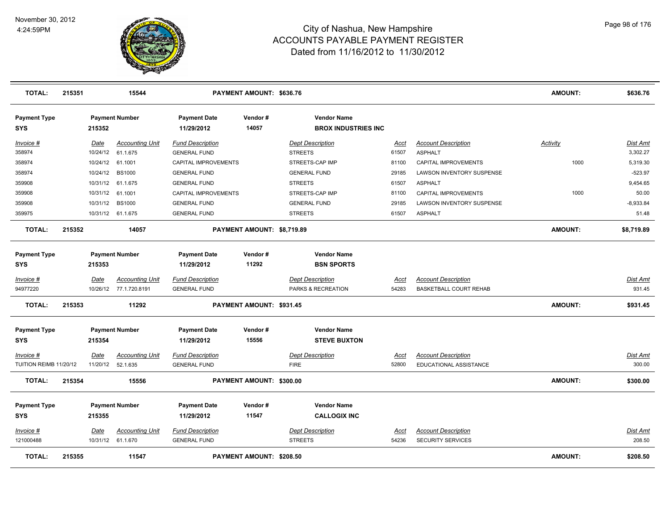

| <b>TOTAL:</b>                              | 215351 |                  | 15544                                            | PAYMENT AMOUNT: \$636.76                       |                            |                                                  |                      |                                                      | <b>AMOUNT:</b> | \$636.76                  |
|--------------------------------------------|--------|------------------|--------------------------------------------------|------------------------------------------------|----------------------------|--------------------------------------------------|----------------------|------------------------------------------------------|----------------|---------------------------|
| <b>Payment Type</b><br><b>SYS</b>          |        | 215352           | <b>Payment Number</b>                            | <b>Payment Date</b><br>11/29/2012              | Vendor#<br>14057           | <b>Vendor Name</b><br><b>BROX INDUSTRIES INC</b> |                      |                                                      |                |                           |
| <u>Invoice #</u>                           |        | Date             | <b>Accounting Unit</b>                           | <b>Fund Description</b>                        |                            | <b>Dept Description</b>                          | <u>Acct</u>          | <b>Account Description</b>                           | Activity       | <b>Dist Amt</b>           |
| 358974                                     |        |                  | 10/24/12 61.1.675                                | <b>GENERAL FUND</b>                            |                            | <b>STREETS</b>                                   | 61507                | <b>ASPHALT</b>                                       |                | 3,302.27                  |
| 358974                                     |        | 10/24/12 61.1001 |                                                  | CAPITAL IMPROVEMENTS                           |                            | STREETS-CAP IMP                                  | 81100                | CAPITAL IMPROVEMENTS                                 | 1000           | 5,319.30                  |
| 358974                                     |        | 10/24/12         | <b>BS1000</b>                                    | <b>GENERAL FUND</b>                            |                            | <b>GENERAL FUND</b>                              | 29185                | LAWSON INVENTORY SUSPENSE                            |                | $-523.97$                 |
| 359908                                     |        |                  | 10/31/12 61.1.675                                | <b>GENERAL FUND</b>                            |                            | <b>STREETS</b>                                   | 61507                | <b>ASPHALT</b>                                       |                | 9,454.65                  |
| 359908                                     |        | 10/31/12 61.1001 |                                                  | CAPITAL IMPROVEMENTS                           |                            | STREETS-CAP IMP                                  | 81100                | CAPITAL IMPROVEMENTS                                 | 1000           | 50.00                     |
| 359908                                     |        | 10/31/12         | <b>BS1000</b>                                    | <b>GENERAL FUND</b>                            |                            | <b>GENERAL FUND</b>                              | 29185                | <b>LAWSON INVENTORY SUSPENSE</b>                     |                | $-8,933.84$               |
| 359975                                     |        |                  | 10/31/12 61.1.675                                | <b>GENERAL FUND</b>                            |                            | <b>STREETS</b>                                   | 61507                | <b>ASPHALT</b>                                       |                | 51.48                     |
| <b>TOTAL:</b>                              | 215352 |                  | 14057                                            |                                                | PAYMENT AMOUNT: \$8,719.89 |                                                  |                      |                                                      | <b>AMOUNT:</b> | \$8,719.89                |
| <b>Payment Type</b><br><b>SYS</b>          |        | 215353           | <b>Payment Number</b>                            | <b>Payment Date</b><br>11/29/2012              | Vendor#<br>11292           | <b>Vendor Name</b><br><b>BSN SPORTS</b>          |                      |                                                      |                |                           |
|                                            |        |                  |                                                  |                                                |                            |                                                  |                      |                                                      |                |                           |
| Invoice #<br>94977220                      |        | Date             | <b>Accounting Unit</b><br>10/26/12 77.1.720.8191 | <b>Fund Description</b>                        |                            | <b>Dept Description</b>                          | <u>Acct</u><br>54283 | <b>Account Description</b>                           |                | Dist Amt<br>931.45        |
|                                            |        |                  |                                                  | <b>GENERAL FUND</b>                            |                            | PARKS & RECREATION                               |                      | BASKETBALL COURT REHAB                               |                |                           |
| TOTAL:                                     | 215353 |                  | 11292                                            |                                                | PAYMENT AMOUNT: \$931.45   |                                                  |                      |                                                      | <b>AMOUNT:</b> | \$931.45                  |
| <b>Payment Type</b>                        |        |                  | <b>Payment Number</b>                            | <b>Payment Date</b>                            | Vendor#                    | <b>Vendor Name</b>                               |                      |                                                      |                |                           |
| <b>SYS</b>                                 |        | 215354           |                                                  | 11/29/2012                                     | 15556                      | <b>STEVE BUXTON</b>                              |                      |                                                      |                |                           |
| <u>Invoice #</u><br>TUITION REIMB 11/20/12 |        | <u>Date</u>      | <b>Accounting Unit</b><br>11/20/12 52.1.635      | <b>Fund Description</b><br><b>GENERAL FUND</b> |                            | <b>Dept Description</b><br><b>FIRE</b>           | <u>Acct</u><br>52800 | <b>Account Description</b><br>EDUCATIONAL ASSISTANCE |                | <u>Dist Amt</u><br>300.00 |
| <b>TOTAL:</b>                              | 215354 |                  | 15556                                            |                                                | PAYMENT AMOUNT: \$300.00   |                                                  |                      |                                                      | <b>AMOUNT:</b> | \$300.00                  |
| <b>Payment Type</b>                        |        |                  | <b>Payment Number</b>                            | <b>Payment Date</b>                            | Vendor#                    | <b>Vendor Name</b>                               |                      |                                                      |                |                           |
| <b>SYS</b>                                 |        | 215355           |                                                  | 11/29/2012                                     | 11547                      | <b>CALLOGIX INC</b>                              |                      |                                                      |                |                           |
| Invoice #                                  |        | Date             | <b>Accounting Unit</b>                           | <b>Fund Description</b>                        |                            | <b>Dept Description</b>                          | Acct                 | <b>Account Description</b>                           |                | Dist Amt                  |
| 121000488                                  |        |                  | 10/31/12 61.1.670                                | <b>GENERAL FUND</b>                            |                            | <b>STREETS</b>                                   | 54236                | <b>SECURITY SERVICES</b>                             |                | 208.50                    |
| <b>TOTAL:</b>                              | 215355 |                  | 11547                                            |                                                | PAYMENT AMOUNT: \$208.50   |                                                  |                      |                                                      | <b>AMOUNT:</b> | \$208.50                  |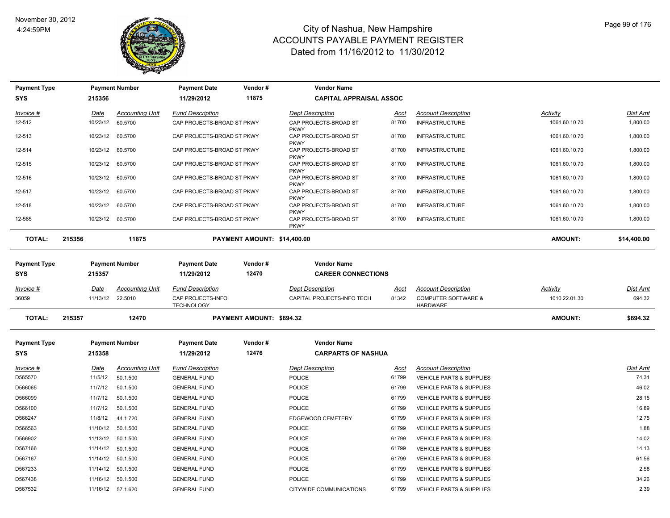

| <b>Payment Type</b>               |        |                         | <b>Payment Number</b>             | <b>Payment Date</b>                                               | Vendor#                     | <b>Vendor Name</b>                                    |                      |                                                                                 |                                  |                    |
|-----------------------------------|--------|-------------------------|-----------------------------------|-------------------------------------------------------------------|-----------------------------|-------------------------------------------------------|----------------------|---------------------------------------------------------------------------------|----------------------------------|--------------------|
| <b>SYS</b>                        |        | 215356                  |                                   | 11/29/2012                                                        | 11875                       | <b>CAPITAL APPRAISAL ASSOC</b>                        |                      |                                                                                 |                                  |                    |
| Invoice #                         |        | Date                    | <b>Accounting Unit</b>            | <b>Fund Description</b>                                           |                             | <b>Dept Description</b>                               | Acct                 | <b>Account Description</b>                                                      | Activity                         | <b>Dist Amt</b>    |
| 12-512                            |        | 10/23/12                | 60.5700                           | CAP PROJECTS-BROAD ST PKWY                                        |                             | CAP PROJECTS-BROAD ST<br><b>PKWY</b>                  | 81700                | <b>INFRASTRUCTURE</b>                                                           | 1061.60.10.70                    | 1,800.00           |
| 12-513                            |        | 10/23/12                | 60.5700                           | CAP PROJECTS-BROAD ST PKWY                                        |                             | CAP PROJECTS-BROAD ST<br><b>PKWY</b>                  | 81700                | <b>INFRASTRUCTURE</b>                                                           | 1061.60.10.70                    | 1,800.00           |
| 12-514                            |        | 10/23/12                | 60.5700                           | CAP PROJECTS-BROAD ST PKWY                                        |                             | CAP PROJECTS-BROAD ST<br><b>PKWY</b>                  | 81700                | <b>INFRASTRUCTURE</b>                                                           | 1061.60.10.70                    | 1,800.00           |
| 12-515                            |        | 10/23/12                | 60.5700                           | CAP PROJECTS-BROAD ST PKWY                                        |                             | CAP PROJECTS-BROAD ST<br><b>PKWY</b>                  | 81700                | <b>INFRASTRUCTURE</b>                                                           | 1061.60.10.70                    | 1,800.00           |
| 12-516                            |        | 10/23/12                | 60.5700                           | CAP PROJECTS-BROAD ST PKWY                                        |                             | CAP PROJECTS-BROAD ST<br><b>PKWY</b>                  | 81700                | <b>INFRASTRUCTURE</b>                                                           | 1061.60.10.70                    | 1,800.00           |
| 12-517                            |        | 10/23/12                | 60.5700                           | CAP PROJECTS-BROAD ST PKWY                                        |                             | CAP PROJECTS-BROAD ST<br><b>PKWY</b>                  | 81700                | <b>INFRASTRUCTURE</b>                                                           | 1061.60.10.70                    | 1,800.00           |
| 12-518                            |        | 10/23/12                | 60.5700                           | CAP PROJECTS-BROAD ST PKWY                                        |                             | CAP PROJECTS-BROAD ST<br><b>PKWY</b>                  | 81700                | <b>INFRASTRUCTURE</b>                                                           | 1061.60.10.70                    | 1,800.00           |
| 12-585                            |        | 10/23/12 60.5700        |                                   | CAP PROJECTS-BROAD ST PKWY                                        |                             | CAP PROJECTS-BROAD ST<br><b>PKWY</b>                  | 81700                | <b>INFRASTRUCTURE</b>                                                           | 1061.60.10.70                    | 1,800.00           |
| <b>TOTAL:</b>                     | 215356 |                         | 11875                             |                                                                   | PAYMENT AMOUNT: \$14,400.00 |                                                       |                      |                                                                                 | <b>AMOUNT:</b>                   | \$14,400.00        |
| <b>Payment Type</b><br><b>SYS</b> |        | 215357                  | <b>Payment Number</b>             | <b>Payment Date</b><br>11/29/2012                                 | Vendor#<br>12470            | <b>Vendor Name</b><br><b>CAREER CONNECTIONS</b>       |                      |                                                                                 |                                  |                    |
| $Invoice$ #<br>36059              |        | <b>Date</b><br>11/13/12 | <b>Accounting Unit</b><br>22.5010 | <b>Fund Description</b><br>CAP PROJECTS-INFO<br><b>TECHNOLOGY</b> |                             | <b>Dept Description</b><br>CAPITAL PROJECTS-INFO TECH | <u>Acct</u><br>81342 | <b>Account Description</b><br><b>COMPUTER SOFTWARE &amp;</b><br><b>HARDWARE</b> | <b>Activity</b><br>1010.22.01.30 | Dist Amt<br>694.32 |
| <b>TOTAL:</b>                     | 215357 |                         | 12470                             |                                                                   | PAYMENT AMOUNT: \$694.32    |                                                       |                      |                                                                                 | AMOUNT:                          | \$694.32           |
| <b>Payment Type</b><br><b>SYS</b> |        | 215358                  | <b>Payment Number</b>             | <b>Payment Date</b><br>11/29/2012                                 | Vendor#<br>12476            | <b>Vendor Name</b><br><b>CARPARTS OF NASHUA</b>       |                      |                                                                                 |                                  |                    |
| Invoice #                         |        | Date                    | <b>Accounting Unit</b>            | <b>Fund Description</b>                                           |                             | <b>Dept Description</b>                               | Acct                 | <b>Account Description</b>                                                      |                                  | <b>Dist Amt</b>    |
| D565570                           |        | 11/5/12                 | 50.1.500                          | <b>GENERAL FUND</b>                                               |                             | POLICE                                                | 61799                | <b>VEHICLE PARTS &amp; SUPPLIES</b>                                             |                                  | 74.31              |
| D566065                           |        | 11/7/12                 | 50.1.500                          | <b>GENERAL FUND</b>                                               |                             | <b>POLICE</b>                                         | 61799                | <b>VEHICLE PARTS &amp; SUPPLIES</b>                                             |                                  | 46.02              |
| D566099                           |        | 11/7/12                 | 50.1.500                          | <b>GENERAL FUND</b>                                               |                             | <b>POLICE</b>                                         | 61799                | <b>VEHICLE PARTS &amp; SUPPLIES</b>                                             |                                  | 28.15              |
| D566100                           |        | 11/7/12                 | 50.1.500                          | <b>GENERAL FUND</b>                                               |                             | <b>POLICE</b>                                         | 61799                | <b>VEHICLE PARTS &amp; SUPPLIES</b>                                             |                                  | 16.89              |
| D566247                           |        | 11/8/12                 | 44.1.720                          | <b>GENERAL FUND</b>                                               |                             | <b>EDGEWOOD CEMETERY</b>                              | 61799                | <b>VEHICLE PARTS &amp; SUPPLIES</b>                                             |                                  | 12.75              |
| D566563                           |        | 11/10/12                | 50.1.500                          | <b>GENERAL FUND</b>                                               |                             | <b>POLICE</b>                                         | 61799                | <b>VEHICLE PARTS &amp; SUPPLIES</b>                                             |                                  | 1.88               |
| D566902                           |        | 11/13/12                | 50.1.500                          | <b>GENERAL FUND</b>                                               |                             | POLICE                                                | 61799                | <b>VEHICLE PARTS &amp; SUPPLIES</b>                                             |                                  | 14.02              |
| D567166                           |        | 11/14/12                | 50.1.500                          | <b>GENERAL FUND</b>                                               |                             | <b>POLICE</b>                                         | 61799                | <b>VEHICLE PARTS &amp; SUPPLIES</b>                                             |                                  | 14.13              |
| D567167                           |        | 11/14/12                | 50.1.500                          | <b>GENERAL FUND</b>                                               |                             | <b>POLICE</b>                                         | 61799                | VEHICLE PARTS & SUPPLIES                                                        |                                  | 61.56              |
| D567233                           |        | 11/14/12                | 50.1.500                          | <b>GENERAL FUND</b>                                               |                             | <b>POLICE</b>                                         | 61799                | <b>VEHICLE PARTS &amp; SUPPLIES</b>                                             |                                  | 2.58               |
| D567438                           |        | 11/16/12                | 50.1.500                          | <b>GENERAL FUND</b>                                               |                             | <b>POLICE</b>                                         | 61799                | VEHICLE PARTS & SUPPLIES                                                        |                                  | 34.26              |
| D567532                           |        |                         | 11/16/12 57.1.620                 | <b>GENERAL FUND</b>                                               |                             | CITYWIDE COMMUNICATIONS                               | 61799                | <b>VEHICLE PARTS &amp; SUPPLIES</b>                                             |                                  | 2.39               |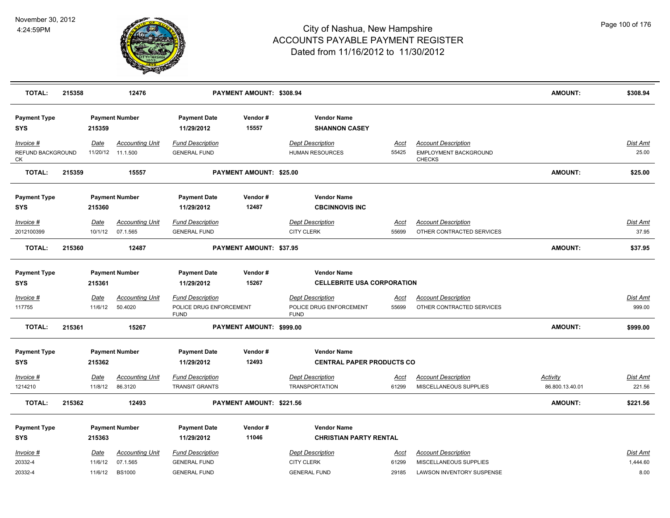

| <b>TOTAL:</b>                        | 215358 |                        | 12476                              |                                                                   | PAYMENT AMOUNT: \$308.94 |                                                            |                      |                                                                      | <b>AMOUNT:</b>  | \$308.94                  |
|--------------------------------------|--------|------------------------|------------------------------------|-------------------------------------------------------------------|--------------------------|------------------------------------------------------------|----------------------|----------------------------------------------------------------------|-----------------|---------------------------|
| <b>Payment Type</b><br><b>SYS</b>    |        | 215359                 | <b>Payment Number</b>              | <b>Payment Date</b><br>11/29/2012                                 | Vendor#<br>15557         | <b>Vendor Name</b><br><b>SHANNON CASEY</b>                 |                      |                                                                      |                 |                           |
| Invoice #<br>REFUND BACKGROUND<br>CK |        | Date<br>11/20/12       | <b>Accounting Unit</b><br>11.1.500 | <b>Fund Description</b><br><b>GENERAL FUND</b>                    |                          | <b>Dept Description</b><br>HUMAN RESOURCES                 | <b>Acct</b><br>55425 | <b>Account Description</b><br>EMPLOYMENT BACKGROUND<br><b>CHECKS</b> |                 | <b>Dist Amt</b><br>25.00  |
| <b>TOTAL:</b>                        | 215359 |                        | 15557                              |                                                                   | PAYMENT AMOUNT: \$25.00  |                                                            |                      |                                                                      | <b>AMOUNT:</b>  | \$25.00                   |
| <b>Payment Type</b><br><b>SYS</b>    |        | 215360                 | <b>Payment Number</b>              | <b>Payment Date</b><br>11/29/2012                                 | Vendor#<br>12487         | <b>Vendor Name</b><br><b>CBCINNOVIS INC</b>                |                      |                                                                      |                 |                           |
| Invoice #<br>2012100399              |        | <u>Date</u><br>10/1/12 | <b>Accounting Unit</b><br>07.1.565 | <b>Fund Description</b><br><b>GENERAL FUND</b>                    |                          | <b>Dept Description</b><br><b>CITY CLERK</b>               | <u>Acct</u><br>55699 | <b>Account Description</b><br>OTHER CONTRACTED SERVICES              |                 | <b>Dist Amt</b><br>37.95  |
| <b>TOTAL:</b>                        | 215360 |                        | 12487                              |                                                                   | PAYMENT AMOUNT: \$37.95  |                                                            |                      |                                                                      | <b>AMOUNT:</b>  | \$37.95                   |
| <b>Payment Type</b><br><b>SYS</b>    |        | 215361                 | <b>Payment Number</b>              | <b>Payment Date</b><br>11/29/2012                                 | Vendor#<br>15267         | <b>Vendor Name</b><br><b>CELLEBRITE USA CORPORATION</b>    |                      |                                                                      |                 |                           |
| Invoice #<br>117755                  |        | Date<br>11/6/12        | <b>Accounting Unit</b><br>50.4020  | <b>Fund Description</b><br>POLICE DRUG ENFORCEMENT<br><b>FUND</b> |                          | Dept Description<br>POLICE DRUG ENFORCEMENT<br><b>FUND</b> | Acct<br>55699        | <b>Account Description</b><br>OTHER CONTRACTED SERVICES              |                 | <b>Dist Amt</b><br>999.00 |
| <b>TOTAL:</b>                        | 215361 |                        | 15267                              |                                                                   | PAYMENT AMOUNT: \$999.00 |                                                            |                      |                                                                      | <b>AMOUNT:</b>  | \$999.00                  |
| <b>Payment Type</b><br><b>SYS</b>    |        | 215362                 | <b>Payment Number</b>              | <b>Payment Date</b><br>11/29/2012                                 | Vendor#<br>12493         | <b>Vendor Name</b><br><b>CENTRAL PAPER PRODUCTS CO</b>     |                      |                                                                      |                 |                           |
| Invoice #                            |        | Date                   | <b>Accounting Unit</b>             | <b>Fund Description</b>                                           |                          | <b>Dept Description</b>                                    | Acct                 | <b>Account Description</b>                                           | <b>Activity</b> | <b>Dist Amt</b>           |
| 1214210                              |        | 11/8/12                | 86.3120                            | <b>TRANSIT GRANTS</b>                                             |                          | <b>TRANSPORTATION</b>                                      | 61299                | MISCELLANEOUS SUPPLIES                                               | 86.800.13.40.01 | 221.56                    |
| <b>TOTAL:</b>                        | 215362 |                        | 12493                              |                                                                   | PAYMENT AMOUNT: \$221.56 |                                                            |                      |                                                                      | <b>AMOUNT:</b>  | \$221.56                  |
| <b>Payment Type</b><br><b>SYS</b>    |        | 215363                 | <b>Payment Number</b>              | <b>Payment Date</b><br>11/29/2012                                 | Vendor#<br>11046         | <b>Vendor Name</b><br><b>CHRISTIAN PARTY RENTAL</b>        |                      |                                                                      |                 |                           |
| Invoice #<br>20332-4                 |        | Date<br>11/6/12        | <b>Accounting Unit</b><br>07.1.565 | <b>Fund Description</b><br><b>GENERAL FUND</b>                    |                          | <b>Dept Description</b><br><b>CITY CLERK</b>               | Acct<br>61299        | <b>Account Description</b><br>MISCELLANEOUS SUPPLIES                 |                 | Dist Amt<br>1,444.60      |
| 20332-4                              |        | 11/6/12                | <b>BS1000</b>                      | <b>GENERAL FUND</b>                                               |                          | <b>GENERAL FUND</b>                                        | 29185                | LAWSON INVENTORY SUSPENSE                                            |                 | 8.00                      |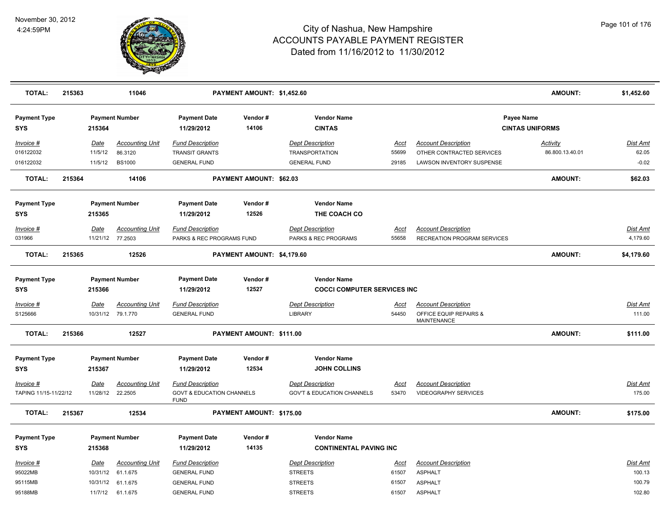

| <b>TOTAL:</b>                      | 215363 |                         | 11046                              |                                                                                | PAYMENT AMOUNT: \$1,452.60 |                                                                  |                      |                                                           | <b>AMOUNT:</b>                       | \$1,452.60         |
|------------------------------------|--------|-------------------------|------------------------------------|--------------------------------------------------------------------------------|----------------------------|------------------------------------------------------------------|----------------------|-----------------------------------------------------------|--------------------------------------|--------------------|
| <b>Payment Type</b><br><b>SYS</b>  |        | 215364                  | <b>Payment Number</b>              | <b>Payment Date</b><br>11/29/2012                                              | Vendor#<br>14106           | <b>Vendor Name</b><br><b>CINTAS</b>                              |                      |                                                           | Payee Name<br><b>CINTAS UNIFORMS</b> |                    |
| Invoice #<br>016122032             |        | Date<br>11/5/12         | <b>Accounting Unit</b><br>86.3120  | <b>Fund Description</b><br><b>TRANSIT GRANTS</b>                               |                            | <b>Dept Description</b><br><b>TRANSPORTATION</b>                 | Acct<br>55699        | <b>Account Description</b><br>OTHER CONTRACTED SERVICES   | <b>Activity</b><br>86.800.13.40.01   | Dist Amt<br>62.05  |
| 016122032                          |        | 11/5/12                 | <b>BS1000</b>                      | <b>GENERAL FUND</b>                                                            |                            | <b>GENERAL FUND</b>                                              | 29185                | <b>LAWSON INVENTORY SUSPENSE</b>                          |                                      | $-0.02$            |
| <b>TOTAL:</b>                      | 215364 |                         | 14106                              |                                                                                | PAYMENT AMOUNT: \$62.03    |                                                                  |                      |                                                           | AMOUNT:                              | \$62.03            |
| <b>Payment Type</b><br><b>SYS</b>  |        | 215365                  | <b>Payment Number</b>              | <b>Payment Date</b><br>11/29/2012                                              | Vendor#<br>12526           | <b>Vendor Name</b><br>THE COACH CO                               |                      |                                                           |                                      |                    |
| Invoice #                          |        | Date                    | <b>Accounting Unit</b>             | <b>Fund Description</b>                                                        |                            | <b>Dept Description</b>                                          | Acct                 | <b>Account Description</b>                                |                                      | Dist Amt           |
| 031966                             |        |                         | 11/21/12 77.2503                   | PARKS & REC PROGRAMS FUND                                                      |                            | PARKS & REC PROGRAMS                                             | 55658                | <b>RECREATION PROGRAM SERVICES</b>                        |                                      | 4,179.60           |
| <b>TOTAL:</b>                      | 215365 |                         | 12526                              |                                                                                | PAYMENT AMOUNT: \$4,179.60 |                                                                  |                      |                                                           | <b>AMOUNT:</b>                       | \$4,179.60         |
| <b>Payment Type</b><br><b>SYS</b>  |        | 215366                  | <b>Payment Number</b>              | <b>Payment Date</b><br>11/29/2012                                              | Vendor#<br>12527           | <b>Vendor Name</b><br><b>COCCI COMPUTER SERVICES INC</b>         |                      |                                                           |                                      |                    |
| Invoice #                          |        | <b>Date</b>             | <b>Accounting Unit</b>             | <b>Fund Description</b>                                                        |                            | <b>Dept Description</b>                                          | <u>Acct</u>          | <b>Account Description</b>                                |                                      | <u>Dist Amt</u>    |
| S125666                            |        |                         | 10/31/12 79.1.770                  | <b>GENERAL FUND</b>                                                            |                            | <b>LIBRARY</b>                                                   | 54450                | OFFICE EQUIP REPAIRS &<br>MAINTENANCE                     |                                      | 111.00             |
| <b>TOTAL:</b>                      | 215366 |                         | 12527                              |                                                                                | PAYMENT AMOUNT: \$111.00   |                                                                  |                      |                                                           | AMOUNT:                              | \$111.00           |
| <b>Payment Type</b><br><b>SYS</b>  |        | 215367                  | <b>Payment Number</b>              | <b>Payment Date</b><br>11/29/2012                                              | Vendor #<br>12534          | <b>Vendor Name</b><br><b>JOHN COLLINS</b>                        |                      |                                                           |                                      |                    |
| Invoice #<br>TAPING 11/15-11/22/12 |        | <b>Date</b><br>11/28/12 | <b>Accounting Unit</b><br>22.2505  | <b>Fund Description</b><br><b>GOVT &amp; EDUCATION CHANNELS</b><br><b>FUND</b> |                            | <b>Dept Description</b><br><b>GOV'T &amp; EDUCATION CHANNELS</b> | <u>Acct</u><br>53470 | <b>Account Description</b><br><b>VIDEOGRAPHY SERVICES</b> |                                      | Dist Amt<br>175.00 |
| <b>TOTAL:</b>                      | 215367 |                         | 12534                              |                                                                                | PAYMENT AMOUNT: \$175.00   |                                                                  |                      |                                                           | AMOUNT:                              | \$175.00           |
| <b>Payment Type</b>                |        |                         | <b>Payment Number</b>              | <b>Payment Date</b>                                                            | Vendor#                    | <b>Vendor Name</b>                                               |                      |                                                           |                                      |                    |
| <b>SYS</b>                         |        | 215368                  |                                    | 11/29/2012                                                                     | 14135                      | <b>CONTINENTAL PAVING INC</b>                                    |                      |                                                           |                                      |                    |
| Invoice #<br>95022MB               |        | Date<br>10/31/12        | <b>Accounting Unit</b><br>61.1.675 | <b>Fund Description</b><br><b>GENERAL FUND</b>                                 |                            | <b>Dept Description</b><br><b>STREETS</b>                        | Acct<br>61507        | <b>Account Description</b><br><b>ASPHALT</b>              |                                      | Dist Amt<br>100.13 |
| 95115MB                            |        | 10/31/12                | 61.1.675                           | <b>GENERAL FUND</b>                                                            |                            | <b>STREETS</b>                                                   | 61507                | <b>ASPHALT</b>                                            |                                      | 100.79             |
| 95188MB                            |        | 11/7/12                 | 61.1.675                           | <b>GENERAL FUND</b>                                                            |                            | <b>STREETS</b>                                                   | 61507                | <b>ASPHALT</b>                                            |                                      | 102.80             |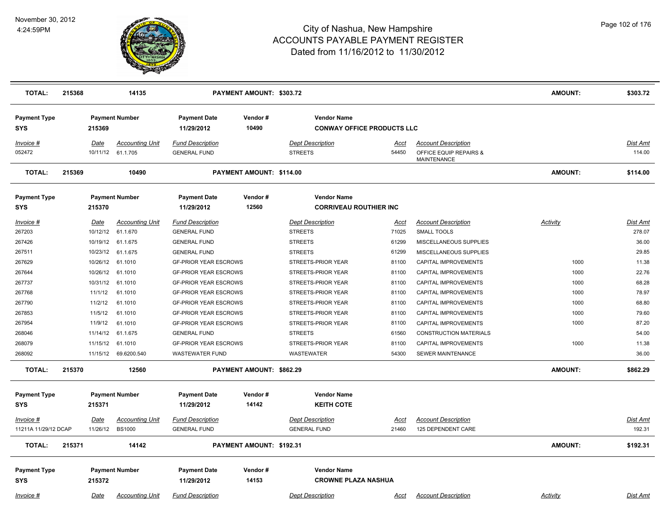

| <b>TOTAL:</b>                                     | 215368 |                                            | 14135                                                                                            |                                                                                                                                               | PAYMENT AMOUNT: \$303.72 |                                                                                                       |                                                 |                                                                                                                            | <b>AMOUNT:</b>               | \$303.72                                             |
|---------------------------------------------------|--------|--------------------------------------------|--------------------------------------------------------------------------------------------------|-----------------------------------------------------------------------------------------------------------------------------------------------|--------------------------|-------------------------------------------------------------------------------------------------------|-------------------------------------------------|----------------------------------------------------------------------------------------------------------------------------|------------------------------|------------------------------------------------------|
| <b>Payment Type</b><br><b>SYS</b>                 |        | 215369                                     | <b>Payment Number</b>                                                                            | <b>Payment Date</b><br>11/29/2012                                                                                                             | Vendor#<br>10490         | <b>Vendor Name</b><br><b>CONWAY OFFICE PRODUCTS LLC</b>                                               |                                                 |                                                                                                                            |                              |                                                      |
| Invoice #<br>052472                               |        | Date<br>10/11/12                           | <b>Accounting Unit</b><br>61.1.705                                                               | <b>Fund Description</b><br><b>GENERAL FUND</b>                                                                                                |                          | <b>Dept Description</b><br><b>STREETS</b>                                                             | Acct<br>54450                                   | <b>Account Description</b><br>OFFICE EQUIP REPAIRS &<br><b>MAINTENANCE</b>                                                 |                              | Dist Amt<br>114.00                                   |
| <b>TOTAL:</b>                                     | 215369 |                                            | 10490                                                                                            |                                                                                                                                               | PAYMENT AMOUNT: \$114.00 |                                                                                                       |                                                 |                                                                                                                            | <b>AMOUNT:</b>               | \$114.00                                             |
| <b>Payment Type</b><br><b>SYS</b>                 |        | 215370                                     | <b>Payment Number</b>                                                                            | <b>Payment Date</b><br>11/29/2012                                                                                                             | Vendor#<br>12560         | <b>Vendor Name</b><br><b>CORRIVEAU ROUTHIER INC</b>                                                   |                                                 |                                                                                                                            |                              |                                                      |
| Invoice #<br>267203<br>267426<br>267511<br>267629 |        | <b>Date</b><br>10/12/12                    | <b>Accounting Unit</b><br>61.1.670<br>10/19/12 61.1.675<br>10/23/12 61.1.675<br>10/26/12 61.1010 | <b>Fund Description</b><br><b>GENERAL FUND</b><br><b>GENERAL FUND</b><br><b>GENERAL FUND</b><br><b>GF-PRIOR YEAR ESCROWS</b>                  |                          | <b>Dept Description</b><br><b>STREETS</b><br><b>STREETS</b><br><b>STREETS</b><br>STREETS-PRIOR YEAR   | <u>Acct</u><br>71025<br>61299<br>61299<br>81100 | <b>Account Description</b><br>SMALL TOOLS<br>MISCELLANEOUS SUPPLIES<br>MISCELLANEOUS SUPPLIES<br>CAPITAL IMPROVEMENTS      | <b>Activity</b><br>1000      | <u>Dist Amt</u><br>278.07<br>36.00<br>29.85<br>11.38 |
| 267644<br>267737<br>267768<br>267790              |        | 10/26/12<br>10/31/12<br>11/1/12<br>11/2/12 | 61.1010<br>61.1010<br>61.1010<br>61.1010                                                         | <b>GF-PRIOR YEAR ESCROWS</b><br><b>GF-PRIOR YEAR ESCROWS</b><br><b>GF-PRIOR YEAR ESCROWS</b><br><b>GF-PRIOR YEAR ESCROWS</b>                  |                          | STREETS-PRIOR YEAR<br>STREETS-PRIOR YEAR<br>STREETS-PRIOR YEAR<br>STREETS-PRIOR YEAR                  | 81100<br>81100<br>81100<br>81100                | CAPITAL IMPROVEMENTS<br>CAPITAL IMPROVEMENTS<br>CAPITAL IMPROVEMENTS<br>CAPITAL IMPROVEMENTS                               | 1000<br>1000<br>1000<br>1000 | 22.76<br>68.28<br>78.97<br>68.80                     |
| 267853<br>267954<br>268046<br>268079<br>268092    |        | 11/5/12<br>11/9/12<br>11/14/12<br>11/15/12 | 61.1010<br>61.1010<br>61.1.675<br>61.1010<br>11/15/12 69.6200.540                                | <b>GF-PRIOR YEAR ESCROWS</b><br><b>GF-PRIOR YEAR ESCROWS</b><br><b>GENERAL FUND</b><br><b>GF-PRIOR YEAR ESCROWS</b><br><b>WASTEWATER FUND</b> |                          | STREETS-PRIOR YEAR<br>STREETS-PRIOR YEAR<br><b>STREETS</b><br>STREETS-PRIOR YEAR<br><b>WASTEWATER</b> | 81100<br>81100<br>61560<br>81100<br>54300       | CAPITAL IMPROVEMENTS<br>CAPITAL IMPROVEMENTS<br><b>CONSTRUCTION MATERIALS</b><br>CAPITAL IMPROVEMENTS<br>SEWER MAINTENANCE | 1000<br>1000<br>1000         | 79.60<br>87.20<br>54.00<br>11.38<br>36.00            |
| <b>TOTAL:</b>                                     | 215370 |                                            | 12560                                                                                            |                                                                                                                                               | PAYMENT AMOUNT: \$862.29 |                                                                                                       |                                                 |                                                                                                                            | <b>AMOUNT:</b>               | \$862.29                                             |
| <b>Payment Type</b><br><b>SYS</b>                 |        | 215371                                     | <b>Payment Number</b>                                                                            | <b>Payment Date</b><br>11/29/2012                                                                                                             | Vendor#<br>14142         | <b>Vendor Name</b><br><b>KEITH COTE</b>                                                               |                                                 |                                                                                                                            |                              |                                                      |
| Invoice #<br>11211A 11/29/12 DCAP                 |        | Date                                       | <b>Accounting Unit</b><br>11/26/12 BS1000                                                        | <b>Fund Description</b><br><b>GENERAL FUND</b>                                                                                                |                          | <b>Dept Description</b><br><b>GENERAL FUND</b>                                                        | Acct<br>21460                                   | <b>Account Description</b><br>125 DEPENDENT CARE                                                                           |                              | Dist Amt<br>192.31                                   |
| <b>TOTAL:</b>                                     | 215371 |                                            | 14142                                                                                            |                                                                                                                                               | PAYMENT AMOUNT: \$192.31 |                                                                                                       |                                                 |                                                                                                                            | <b>AMOUNT:</b>               | \$192.31                                             |
| <b>Payment Type</b><br><b>SYS</b>                 |        | 215372                                     | <b>Payment Number</b>                                                                            | <b>Payment Date</b><br>11/29/2012                                                                                                             | Vendor#<br>14153         | <b>Vendor Name</b><br><b>CROWNE PLAZA NASHUA</b><br><b>Dept Description</b>                           |                                                 |                                                                                                                            |                              |                                                      |
| Invoice #                                         |        | Date                                       | <b>Accounting Unit</b>                                                                           | <b>Fund Description</b>                                                                                                                       |                          |                                                                                                       | <u>Acct</u>                                     | <b>Account Description</b>                                                                                                 | Activity                     | <b>Dist Amt</b>                                      |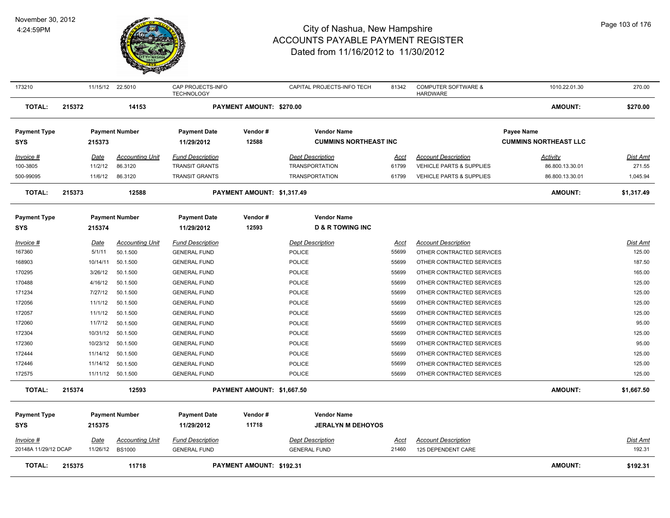

| 173210               |        | 11/15/12 22.5010 |                        | CAP PROJECTS-INFO<br><b>TECHNOLOGY</b> |                                 | CAPITAL PROJECTS-INFO TECH   | 81342       | <b>COMPUTER SOFTWARE &amp;</b><br><b>HARDWARE</b> | 1010.22.01.30                | 270.00          |
|----------------------|--------|------------------|------------------------|----------------------------------------|---------------------------------|------------------------------|-------------|---------------------------------------------------|------------------------------|-----------------|
| <b>TOTAL:</b>        | 215372 |                  | 14153                  |                                        | PAYMENT AMOUNT: \$270.00        |                              |             |                                                   | AMOUNT:                      | \$270.00        |
| <b>Payment Type</b>  |        |                  | <b>Payment Number</b>  | <b>Payment Date</b>                    | Vendor#                         | <b>Vendor Name</b>           |             |                                                   | Payee Name                   |                 |
| <b>SYS</b>           |        | 215373           |                        | 11/29/2012                             | 12588                           | <b>CUMMINS NORTHEAST INC</b> |             |                                                   | <b>CUMMINS NORTHEAST LLC</b> |                 |
| Invoice #            |        | Date             | <b>Accounting Unit</b> | <b>Fund Description</b>                |                                 | <b>Dept Description</b>      | Acct        | <b>Account Description</b>                        | <b>Activity</b>              | Dist Amt        |
| 100-3805             |        | 11/2/12          | 86.3120                | <b>TRANSIT GRANTS</b>                  |                                 | <b>TRANSPORTATION</b>        | 61799       | <b>VEHICLE PARTS &amp; SUPPLIES</b>               | 86.800.13.30.01              | 271.55          |
| 500-99095            |        | 11/6/12          | 86.3120                | <b>TRANSIT GRANTS</b>                  |                                 | <b>TRANSPORTATION</b>        | 61799       | <b>VEHICLE PARTS &amp; SUPPLIES</b>               | 86.800.13.30.01              | 1,045.94        |
| <b>TOTAL:</b>        | 215373 |                  | 12588                  |                                        | PAYMENT AMOUNT: \$1,317.49      |                              |             |                                                   | <b>AMOUNT:</b>               | \$1,317.49      |
| <b>Payment Type</b>  |        |                  | <b>Payment Number</b>  | <b>Payment Date</b>                    | Vendor#                         | <b>Vendor Name</b>           |             |                                                   |                              |                 |
| <b>SYS</b>           |        | 215374           |                        | 11/29/2012                             | 12593                           | <b>D &amp; R TOWING INC</b>  |             |                                                   |                              |                 |
| Invoice #            |        | Date             | <b>Accounting Unit</b> | <b>Fund Description</b>                |                                 | <b>Dept Description</b>      | <u>Acct</u> | <b>Account Description</b>                        |                              | <b>Dist Amt</b> |
| 167360               |        | 5/1/11           | 50.1.500               | <b>GENERAL FUND</b>                    |                                 | POLICE                       | 55699       | OTHER CONTRACTED SERVICES                         |                              | 125.00          |
| 168903               |        | 10/14/11         | 50.1.500               | <b>GENERAL FUND</b>                    |                                 | POLICE                       | 55699       | OTHER CONTRACTED SERVICES                         |                              | 187.50          |
| 170295               |        | 3/26/12          | 50.1.500               | <b>GENERAL FUND</b>                    |                                 | <b>POLICE</b>                | 55699       | OTHER CONTRACTED SERVICES                         |                              | 165.00          |
| 170488               |        | 4/16/12          | 50.1.500               | <b>GENERAL FUND</b>                    |                                 | <b>POLICE</b>                | 55699       | OTHER CONTRACTED SERVICES                         |                              | 125.00          |
| 171234               |        | 7/27/12          | 50.1.500               | <b>GENERAL FUND</b>                    |                                 | <b>POLICE</b>                | 55699       | OTHER CONTRACTED SERVICES                         |                              | 125.00          |
| 172056               |        | 11/1/12          | 50.1.500               | <b>GENERAL FUND</b>                    |                                 | <b>POLICE</b>                | 55699       | OTHER CONTRACTED SERVICES                         |                              | 125.00          |
| 172057               |        | 11/1/12          | 50.1.500               | <b>GENERAL FUND</b>                    |                                 | <b>POLICE</b>                | 55699       | OTHER CONTRACTED SERVICES                         |                              | 125.00          |
| 172060               |        | 11/7/12          | 50.1.500               | <b>GENERAL FUND</b>                    |                                 | <b>POLICE</b>                | 55699       | OTHER CONTRACTED SERVICES                         |                              | 95.00           |
| 172304               |        | 10/31/12         | 50.1.500               | <b>GENERAL FUND</b>                    |                                 | <b>POLICE</b>                | 55699       | OTHER CONTRACTED SERVICES                         |                              | 125.00          |
| 172360               |        | 10/23/12         | 50.1.500               | <b>GENERAL FUND</b>                    |                                 | POLICE                       | 55699       | OTHER CONTRACTED SERVICES                         |                              | 95.00           |
| 172444               |        | 11/14/12         | 50.1.500               | <b>GENERAL FUND</b>                    |                                 | POLICE                       | 55699       | OTHER CONTRACTED SERVICES                         |                              | 125.00          |
| 172446               |        | 11/14/12         | 50.1.500               | <b>GENERAL FUND</b>                    |                                 | <b>POLICE</b>                | 55699       | OTHER CONTRACTED SERVICES                         |                              | 125.00          |
| 172575               |        |                  | 11/11/12 50.1.500      | <b>GENERAL FUND</b>                    |                                 | <b>POLICE</b>                | 55699       | OTHER CONTRACTED SERVICES                         |                              | 125.00          |
| <b>TOTAL:</b>        | 215374 |                  | 12593                  |                                        | PAYMENT AMOUNT: \$1,667.50      |                              |             |                                                   | AMOUNT:                      | \$1,667.50      |
| <b>Payment Type</b>  |        |                  | <b>Payment Number</b>  | <b>Payment Date</b>                    | Vendor#                         | <b>Vendor Name</b>           |             |                                                   |                              |                 |
| <b>SYS</b>           |        | 215375           |                        | 11/29/2012                             | 11718                           | <b>JERALYN M DEHOYOS</b>     |             |                                                   |                              |                 |
| Invoice #            |        | Date             | <b>Accounting Unit</b> | <b>Fund Description</b>                |                                 | <b>Dept Description</b>      | Acct        | <b>Account Description</b>                        |                              | Dist Amt        |
| 20148A 11/29/12 DCAP |        | 11/26/12         | <b>BS1000</b>          | <b>GENERAL FUND</b>                    |                                 | <b>GENERAL FUND</b>          | 21460       | 125 DEPENDENT CARE                                |                              | 192.31          |
| <b>TOTAL:</b>        | 215375 |                  | 11718                  |                                        | <b>PAYMENT AMOUNT: \$192.31</b> |                              |             |                                                   | <b>AMOUNT:</b>               | \$192.31        |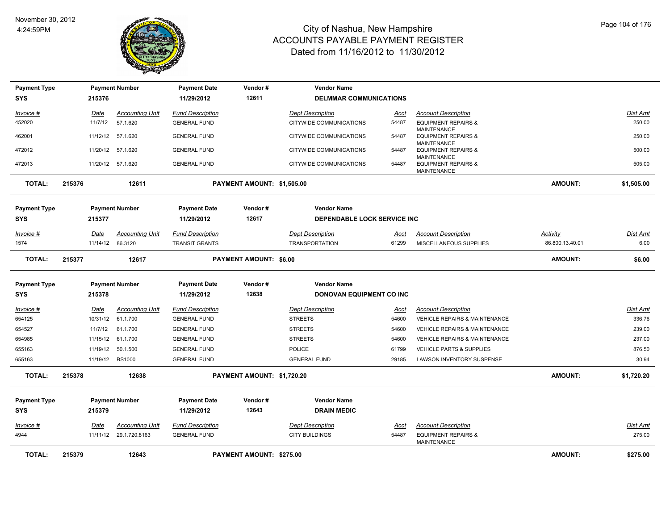

| <b>Payment Type</b> |             | <b>Payment Number</b>  | <b>Payment Date</b>     | Vendor#                       | <b>Vendor Name</b>                  |             |                                                                     |                 |                 |
|---------------------|-------------|------------------------|-------------------------|-------------------------------|-------------------------------------|-------------|---------------------------------------------------------------------|-----------------|-----------------|
| <b>SYS</b>          | 215376      |                        | 11/29/2012              | 12611                         | <b>DELMMAR COMMUNICATIONS</b>       |             |                                                                     |                 |                 |
| Invoice #           | Date        | <b>Accounting Unit</b> | <b>Fund Description</b> |                               | <b>Dept Description</b>             | Acct        | <b>Account Description</b>                                          |                 | <b>Dist Amt</b> |
| 452020              | 11/7/12     | 57.1.620               | <b>GENERAL FUND</b>     |                               | CITYWIDE COMMUNICATIONS             | 54487       | <b>EQUIPMENT REPAIRS &amp;</b><br><b>MAINTENANCE</b>                |                 | 250.00          |
| 462001              | 11/12/12    | 57.1.620               | <b>GENERAL FUND</b>     |                               | CITYWIDE COMMUNICATIONS             | 54487       | <b>EQUIPMENT REPAIRS &amp;</b>                                      |                 | 250.00          |
| 472012              |             | 11/20/12 57.1.620      | <b>GENERAL FUND</b>     |                               | CITYWIDE COMMUNICATIONS             | 54487       | <b>MAINTENANCE</b><br><b>EQUIPMENT REPAIRS &amp;</b>                |                 | 500.00          |
| 472013              |             | 11/20/12 57.1.620      | <b>GENERAL FUND</b>     |                               | CITYWIDE COMMUNICATIONS             | 54487       | <b>MAINTENANCE</b><br><b>EQUIPMENT REPAIRS &amp;</b><br>MAINTENANCE |                 | 505.00          |
| <b>TOTAL:</b>       | 215376      | 12611                  |                         | PAYMENT AMOUNT: \$1,505.00    |                                     |             |                                                                     | <b>AMOUNT:</b>  | \$1,505.00      |
| <b>Payment Type</b> |             | <b>Payment Number</b>  | <b>Payment Date</b>     | Vendor#                       | <b>Vendor Name</b>                  |             |                                                                     |                 |                 |
| <b>SYS</b>          | 215377      |                        | 11/29/2012              | 12617                         | <b>DEPENDABLE LOCK SERVICE INC.</b> |             |                                                                     |                 |                 |
| Invoice #           | <u>Date</u> | <b>Accounting Unit</b> | <b>Fund Description</b> |                               | <b>Dept Description</b>             | <u>Acct</u> | <b>Account Description</b>                                          | <u>Activity</u> | <b>Dist Amt</b> |
| 1574                | 11/14/12    | 86.3120                | <b>TRANSIT GRANTS</b>   |                               | <b>TRANSPORTATION</b>               | 61299       | MISCELLANEOUS SUPPLIES                                              | 86.800.13.40.01 | 6.00            |
| <b>TOTAL:</b>       | 215377      | 12617                  |                         | <b>PAYMENT AMOUNT: \$6.00</b> |                                     |             |                                                                     | <b>AMOUNT:</b>  | \$6.00          |
| <b>Payment Type</b> |             | <b>Payment Number</b>  | <b>Payment Date</b>     | Vendor#                       | <b>Vendor Name</b>                  |             |                                                                     |                 |                 |
| <b>SYS</b>          | 215378      |                        | 11/29/2012              | 12638                         | DONOVAN EQUIPMENT CO INC            |             |                                                                     |                 |                 |
| Invoice #           | Date        | <b>Accounting Unit</b> | <b>Fund Description</b> |                               | <b>Dept Description</b>             | Acct        | <b>Account Description</b>                                          |                 | <b>Dist Amt</b> |
| 654125              | 10/31/12    | 61.1.700               | <b>GENERAL FUND</b>     |                               | <b>STREETS</b>                      | 54600       | <b>VEHICLE REPAIRS &amp; MAINTENANCE</b>                            |                 | 336.76          |
| 654527              | 11/7/12     | 61.1.700               | <b>GENERAL FUND</b>     |                               | <b>STREETS</b>                      | 54600       | VEHICLE REPAIRS & MAINTENANCE                                       |                 | 239.00          |
| 654985              | 11/15/12    | 61.1.700               | <b>GENERAL FUND</b>     |                               | <b>STREETS</b>                      | 54600       | <b>VEHICLE REPAIRS &amp; MAINTENANCE</b>                            |                 | 237.00          |
| 655163              | 11/19/12    | 50.1.500               | <b>GENERAL FUND</b>     |                               | <b>POLICE</b>                       | 61799       | VEHICLE PARTS & SUPPLIES                                            |                 | 876.50          |
| 655163              | 11/19/12    | <b>BS1000</b>          | <b>GENERAL FUND</b>     |                               | <b>GENERAL FUND</b>                 | 29185       | LAWSON INVENTORY SUSPENSE                                           |                 | 30.94           |
| <b>TOTAL:</b>       | 215378      | 12638                  |                         | PAYMENT AMOUNT: \$1,720.20    |                                     |             |                                                                     | <b>AMOUNT:</b>  | \$1,720.20      |
| <b>Payment Type</b> |             | <b>Payment Number</b>  | <b>Payment Date</b>     | Vendor#                       | <b>Vendor Name</b>                  |             |                                                                     |                 |                 |
| SYS                 | 215379      |                        | 11/29/2012              | 12643                         | <b>DRAIN MEDIC</b>                  |             |                                                                     |                 |                 |
| <u>Invoice #</u>    | <b>Date</b> | <b>Accounting Unit</b> | <b>Fund Description</b> |                               | <b>Dept Description</b>             | <u>Acct</u> | <b>Account Description</b>                                          |                 | <b>Dist Amt</b> |
| 4944                |             | 11/11/12 29.1.720.8163 | <b>GENERAL FUND</b>     |                               | <b>CITY BUILDINGS</b>               | 54487       | <b>EQUIPMENT REPAIRS &amp;</b><br><b>MAINTENANCE</b>                |                 | 275.00          |
| <b>TOTAL:</b>       | 215379      | 12643                  |                         | PAYMENT AMOUNT: \$275.00      |                                     |             |                                                                     | <b>AMOUNT:</b>  | \$275.00        |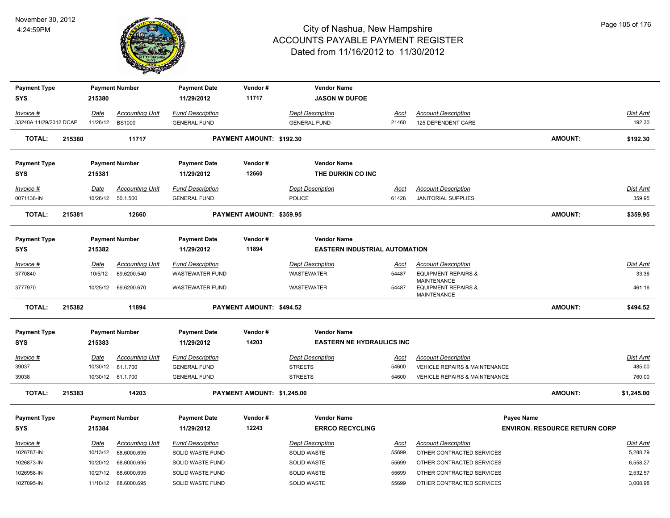

| <b>Payment Type</b>    |        |                 | <b>Payment Number</b>  | <b>Payment Date</b>     | Vendor#                    | <b>Vendor Name</b>                   |             |                                                                            |                                      |                 |
|------------------------|--------|-----------------|------------------------|-------------------------|----------------------------|--------------------------------------|-------------|----------------------------------------------------------------------------|--------------------------------------|-----------------|
| <b>SYS</b>             |        | 215380          |                        | 11/29/2012              | 11717                      | <b>JASON W DUFOE</b>                 |             |                                                                            |                                      |                 |
| Invoice #              |        | Date            | <b>Accounting Unit</b> | <b>Fund Description</b> |                            | <b>Dept Description</b>              | <u>Acct</u> | <b>Account Description</b>                                                 |                                      | Dist Amt        |
| 33240A 11/29/2012 DCAP |        | 11/26/12 BS1000 |                        | <b>GENERAL FUND</b>     |                            | <b>GENERAL FUND</b>                  | 21460       | 125 DEPENDENT CARE                                                         |                                      | 192.30          |
| <b>TOTAL:</b>          | 215380 |                 | 11717                  |                         | PAYMENT AMOUNT: \$192.30   |                                      |             |                                                                            | <b>AMOUNT:</b>                       | \$192.30        |
|                        |        |                 |                        |                         |                            |                                      |             |                                                                            |                                      |                 |
| <b>Payment Type</b>    |        |                 | <b>Payment Number</b>  | <b>Payment Date</b>     | Vendor#                    | <b>Vendor Name</b>                   |             |                                                                            |                                      |                 |
| <b>SYS</b>             |        | 215381          |                        | 11/29/2012              | 12660                      | THE DURKIN CO INC                    |             |                                                                            |                                      |                 |
| Invoice #              |        | Date            | <b>Accounting Unit</b> | <b>Fund Description</b> |                            | <b>Dept Description</b>              | Acct        | <b>Account Description</b>                                                 |                                      | Dist Amt        |
| 0071138-IN             |        |                 | 10/26/12  50.1.500     | <b>GENERAL FUND</b>     |                            | <b>POLICE</b>                        | 61428       | <b>JANITORIAL SUPPLIES</b>                                                 |                                      | 359.95          |
| <b>TOTAL:</b>          | 215381 |                 | 12660                  |                         | PAYMENT AMOUNT: \$359.95   |                                      |             |                                                                            | <b>AMOUNT:</b>                       | \$359.95        |
|                        |        |                 |                        |                         |                            |                                      |             |                                                                            |                                      |                 |
| <b>Payment Type</b>    |        |                 | <b>Payment Number</b>  | <b>Payment Date</b>     | Vendor#                    | <b>Vendor Name</b>                   |             |                                                                            |                                      |                 |
| <b>SYS</b>             |        | 215382          |                        | 11/29/2012              | 11894                      | <b>EASTERN INDUSTRIAL AUTOMATION</b> |             |                                                                            |                                      |                 |
| Invoice #              |        | <u>Date</u>     | <b>Accounting Unit</b> | <b>Fund Description</b> |                            | <b>Dept Description</b>              | <u>Acct</u> | <b>Account Description</b>                                                 |                                      | Dist Amt        |
| 3770840                |        | 10/5/12         | 69.6200.540            | <b>WASTEWATER FUND</b>  |                            | WASTEWATER                           | 54487       | <b>EQUIPMENT REPAIRS &amp;</b>                                             |                                      | 33.36           |
| 3777970                |        |                 | 10/25/12 69.6200.670   | <b>WASTEWATER FUND</b>  |                            | <b>WASTEWATER</b>                    | 54487       | <b>MAINTENANCE</b><br><b>EQUIPMENT REPAIRS &amp;</b><br><b>MAINTENANCE</b> |                                      | 461.16          |
| <b>TOTAL:</b>          | 215382 |                 | 11894                  |                         | PAYMENT AMOUNT: \$494.52   |                                      |             |                                                                            | <b>AMOUNT:</b>                       | \$494.52        |
|                        |        |                 |                        |                         |                            |                                      |             |                                                                            |                                      |                 |
| <b>Payment Type</b>    |        |                 | <b>Payment Number</b>  | <b>Payment Date</b>     | Vendor#                    | <b>Vendor Name</b>                   |             |                                                                            |                                      |                 |
| <b>SYS</b>             |        | 215383          |                        | 11/29/2012              | 14203                      | <b>EASTERN NE HYDRAULICS INC</b>     |             |                                                                            |                                      |                 |
| Invoice #              |        | <b>Date</b>     | <b>Accounting Unit</b> | <b>Fund Description</b> |                            | <b>Dept Description</b>              | <u>Acct</u> | <b>Account Description</b>                                                 |                                      | <u>Dist Amt</u> |
| 39037                  |        |                 | 10/30/12 61.1.700      | <b>GENERAL FUND</b>     |                            | <b>STREETS</b>                       | 54600       | <b>VEHICLE REPAIRS &amp; MAINTENANCE</b>                                   |                                      | 485.00          |
| 39038                  |        |                 | 10/30/12 61.1.700      | <b>GENERAL FUND</b>     |                            | <b>STREETS</b>                       | 54600       | VEHICLE REPAIRS & MAINTENANCE                                              |                                      | 760.00          |
| <b>TOTAL:</b>          | 215383 |                 | 14203                  |                         | PAYMENT AMOUNT: \$1,245.00 |                                      |             |                                                                            | <b>AMOUNT:</b>                       | \$1,245.00      |
| <b>Payment Type</b>    |        |                 | <b>Payment Number</b>  | <b>Payment Date</b>     | Vendor#                    | <b>Vendor Name</b>                   |             | Payee Name                                                                 |                                      |                 |
| <b>SYS</b>             |        | 215384          |                        | 11/29/2012              | 12243                      | <b>ERRCO RECYCLING</b>               |             |                                                                            | <b>ENVIRON, RESOURCE RETURN CORP</b> |                 |
| Invoice #              |        | Date            | <b>Accounting Unit</b> | <b>Fund Description</b> |                            | <b>Dept Description</b>              | Acct        | <b>Account Description</b>                                                 |                                      | Dist Amt        |
| 1026787-IN             |        | 10/13/12        | 68.6000.695            | SOLID WASTE FUND        |                            | <b>SOLID WASTE</b>                   | 55699       | OTHER CONTRACTED SERVICES                                                  |                                      | 5,288.79        |
| 1026873-IN             |        |                 | 10/20/12 68.6000.695   | SOLID WASTE FUND        |                            | SOLID WASTE                          | 55699       | OTHER CONTRACTED SERVICES                                                  |                                      | 6,558.27        |
| 1026958-IN             |        | 10/27/12        | 68.6000.695            | SOLID WASTE FUND        |                            | <b>SOLID WASTE</b>                   | 55699       | OTHER CONTRACTED SERVICES                                                  |                                      | 2,532.57        |
| 1027095-IN             |        |                 | 11/10/12 68.6000.695   | SOLID WASTE FUND        |                            | <b>SOLID WASTE</b>                   | 55699       | OTHER CONTRACTED SERVICES                                                  |                                      | 3,008.98        |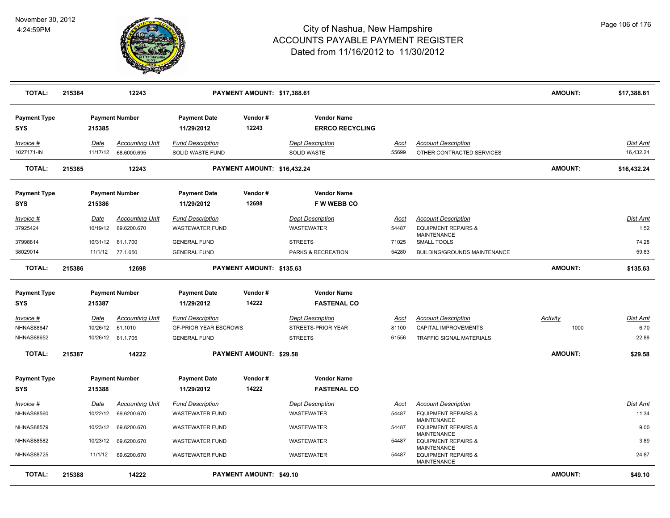

| <b>TOTAL:</b>                                       | 215384 |                          | 12243                                       |                                                                                | PAYMENT AMOUNT: \$17,388.61 |                                                                 |                        |                                                                                    | <b>AMOUNT:</b>   | \$17,388.61                      |
|-----------------------------------------------------|--------|--------------------------|---------------------------------------------|--------------------------------------------------------------------------------|-----------------------------|-----------------------------------------------------------------|------------------------|------------------------------------------------------------------------------------|------------------|----------------------------------|
| <b>Payment Type</b><br><b>SYS</b>                   |        | 215385                   | <b>Payment Number</b>                       | <b>Payment Date</b><br>11/29/2012                                              | Vendor#<br>12243            | <b>Vendor Name</b><br><b>ERRCO RECYCLING</b>                    |                        |                                                                                    |                  |                                  |
| Invoice #<br>1027171-IN                             |        | Date<br>11/17/12         | <b>Accounting Unit</b><br>68.6000.695       | <b>Fund Description</b><br>SOLID WASTE FUND                                    |                             | <b>Dept Description</b><br><b>SOLID WASTE</b>                   | Acct<br>55699          | <b>Account Description</b><br>OTHER CONTRACTED SERVICES                            |                  | Dist Amt<br>16,432.24            |
| <b>TOTAL:</b>                                       | 215385 |                          | 12243                                       |                                                                                | PAYMENT AMOUNT: \$16,432.24 |                                                                 |                        |                                                                                    | AMOUNT:          | \$16,432.24                      |
| <b>Payment Type</b><br><b>SYS</b>                   |        | 215386                   | <b>Payment Number</b>                       | <b>Payment Date</b><br>11/29/2012                                              | Vendor#<br>12698            | <b>Vendor Name</b><br><b>FWWEBBCO</b>                           |                        |                                                                                    |                  |                                  |
| Invoice #<br>37925424                               |        | Date<br>10/19/12         | <b>Accounting Unit</b><br>69.6200.670       | <b>Fund Description</b><br><b>WASTEWATER FUND</b>                              |                             | <b>Dept Description</b><br>WASTEWATER                           | Acct<br>54487          | <b>Account Description</b><br><b>EQUIPMENT REPAIRS &amp;</b><br><b>MAINTENANCE</b> |                  | Dist Amt<br>1.52                 |
| 37998814<br>38029014                                |        |                          | 10/31/12 61.1.700<br>11/1/12 77.1.650       | <b>GENERAL FUND</b><br><b>GENERAL FUND</b>                                     |                             | <b>STREETS</b><br>PARKS & RECREATION                            | 71025<br>54280         | SMALL TOOLS<br>BUILDING/GROUNDS MAINTENANCE                                        |                  | 74.28<br>59.83                   |
| <b>TOTAL:</b>                                       | 215386 |                          | 12698                                       |                                                                                | PAYMENT AMOUNT: \$135.63    |                                                                 |                        |                                                                                    | AMOUNT:          | \$135.63                         |
| <b>Payment Type</b><br><b>SYS</b>                   |        | 215387                   | <b>Payment Number</b>                       | <b>Payment Date</b><br>11/29/2012                                              | Vendor#<br>14222            | <b>Vendor Name</b><br><b>FASTENAL CO</b>                        |                        |                                                                                    |                  |                                  |
| Invoice #<br><b>NHNAS88647</b><br><b>NHNAS88652</b> |        | Date<br>10/26/12 61.1010 | <b>Accounting Unit</b><br>10/26/12 61.1.705 | <b>Fund Description</b><br><b>GF-PRIOR YEAR ESCROWS</b><br><b>GENERAL FUND</b> |                             | <b>Dept Description</b><br>STREETS-PRIOR YEAR<br><b>STREETS</b> | Acct<br>81100<br>61556 | <b>Account Description</b><br>CAPITAL IMPROVEMENTS<br>TRAFFIC SIGNAL MATERIALS     | Activity<br>1000 | <b>Dist Amt</b><br>6.70<br>22.88 |
| <b>TOTAL:</b>                                       | 215387 |                          | 14222                                       |                                                                                | PAYMENT AMOUNT: \$29.58     |                                                                 |                        |                                                                                    | AMOUNT:          | \$29.58                          |
| <b>Payment Type</b><br><b>SYS</b>                   |        | 215388                   | <b>Payment Number</b>                       | <b>Payment Date</b><br>11/29/2012                                              | Vendor#<br>14222            | <b>Vendor Name</b><br><b>FASTENAL CO</b>                        |                        |                                                                                    |                  |                                  |
| Invoice #<br><b>NHNAS88560</b>                      |        | <u>Date</u><br>10/22/12  | <b>Accounting Unit</b><br>69.6200.670       | <b>Fund Description</b><br><b>WASTEWATER FUND</b>                              |                             | <b>Dept Description</b><br>WASTEWATER                           | <u>Acct</u><br>54487   | <b>Account Description</b><br><b>EQUIPMENT REPAIRS &amp;</b><br><b>MAINTENANCE</b> |                  | Dist Amt<br>11.34                |
| <b>NHNAS88579</b>                                   |        |                          | 10/23/12 69.6200.670                        | <b>WASTEWATER FUND</b>                                                         |                             | WASTEWATER                                                      | 54487                  | <b>EQUIPMENT REPAIRS &amp;</b><br><b>MAINTENANCE</b>                               |                  | 9.00                             |
| <b>NHNAS88582</b>                                   |        | 10/23/12                 | 69.6200.670                                 | <b>WASTEWATER FUND</b>                                                         |                             | <b>WASTEWATER</b>                                               | 54487                  | <b>EQUIPMENT REPAIRS &amp;</b><br><b>MAINTENANCE</b>                               |                  | 3.89                             |
| <b>NHNAS88725</b>                                   |        | 11/1/12                  | 69.6200.670                                 | <b>WASTEWATER FUND</b>                                                         |                             | WASTEWATER                                                      | 54487                  | <b>EQUIPMENT REPAIRS &amp;</b><br><b>MAINTENANCE</b>                               |                  | 24.87                            |
| <b>TOTAL:</b>                                       | 215388 |                          | 14222                                       |                                                                                | PAYMENT AMOUNT: \$49.10     |                                                                 |                        |                                                                                    | AMOUNT:          | \$49.10                          |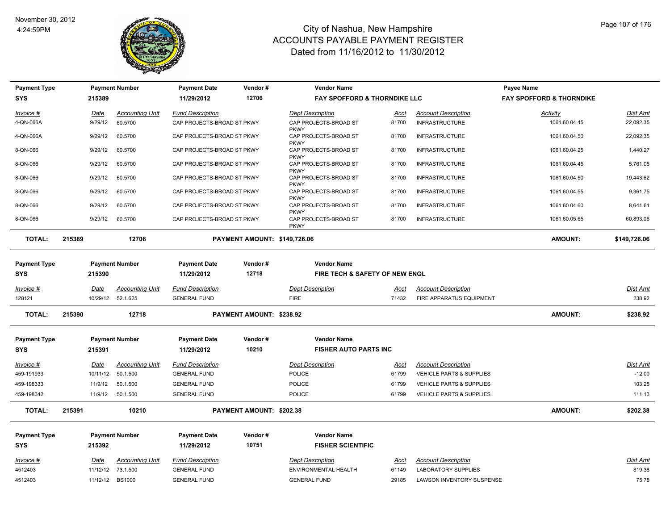

| <b>Payment Type</b> |                 |                               | <b>Payment Number</b>  | <b>Payment Date</b>        | Vendor#                      | <b>Vendor Name</b>                   |                                         |                                     | Payee Name                          |                 |
|---------------------|-----------------|-------------------------------|------------------------|----------------------------|------------------------------|--------------------------------------|-----------------------------------------|-------------------------------------|-------------------------------------|-----------------|
| <b>SYS</b>          |                 | 215389                        |                        | 11/29/2012                 | 12706                        |                                      | <b>FAY SPOFFORD &amp; THORNDIKE LLC</b> |                                     | <b>FAY SPOFFORD &amp; THORNDIKE</b> |                 |
| Invoice #           |                 | Date                          | <b>Accounting Unit</b> | <b>Fund Description</b>    |                              | <b>Dept Description</b>              | Acct                                    | <b>Account Description</b>          | Activity                            | Dist Amt        |
| 4-QN-066A           |                 | 9/29/12                       | 60.5700                | CAP PROJECTS-BROAD ST PKWY |                              | CAP PROJECTS-BROAD ST                | 81700                                   | <b>INFRASTRUCTURE</b>               | 1061.60.04.45                       | 22,092.35       |
|                     |                 | 9/29/12                       | 60.5700                | CAP PROJECTS-BROAD ST PKWY |                              | <b>PKWY</b><br>CAP PROJECTS-BROAD ST | 81700                                   | <b>INFRASTRUCTURE</b>               |                                     | 22,092.35       |
| 4-QN-066A           |                 |                               |                        |                            |                              | <b>PKWY</b>                          |                                         |                                     | 1061.60.04.50                       |                 |
| 8-QN-066            |                 | 9/29/12                       | 60.5700                | CAP PROJECTS-BROAD ST PKWY |                              | CAP PROJECTS-BROAD ST<br><b>PKWY</b> | 81700                                   | <b>INFRASTRUCTURE</b>               | 1061.60.04.25                       | 1,440.27        |
| 8-QN-066            |                 | 9/29/12                       | 60.5700                | CAP PROJECTS-BROAD ST PKWY |                              | CAP PROJECTS-BROAD ST                | 81700                                   | <b>INFRASTRUCTURE</b>               | 1061.60.04.45                       | 5,761.05        |
| 8-QN-066            |                 | 9/29/12                       | 60.5700                | CAP PROJECTS-BROAD ST PKWY |                              | <b>PKWY</b><br>CAP PROJECTS-BROAD ST | 81700                                   | <b>INFRASTRUCTURE</b>               | 1061.60.04.50                       | 19,443.62       |
| 8-QN-066            |                 | 9/29/12                       | 60.5700                | CAP PROJECTS-BROAD ST PKWY |                              | <b>PKWY</b><br>CAP PROJECTS-BROAD ST | 81700                                   | <b>INFRASTRUCTURE</b>               | 1061.60.04.55                       | 9,361.75        |
|                     |                 |                               |                        |                            |                              | <b>PKWY</b>                          |                                         |                                     |                                     |                 |
| 8-QN-066            |                 | 9/29/12                       | 60.5700                | CAP PROJECTS-BROAD ST PKWY |                              | CAP PROJECTS-BROAD ST<br><b>PKWY</b> | 81700                                   | <b>INFRASTRUCTURE</b>               | 1061.60.04.60                       | 8,641.61        |
| 8-QN-066            |                 | 9/29/12                       | 60.5700                | CAP PROJECTS-BROAD ST PKWY |                              | CAP PROJECTS-BROAD ST<br><b>PKWY</b> | 81700                                   | <b>INFRASTRUCTURE</b>               | 1061.60.05.65                       | 60,893.06       |
|                     |                 |                               |                        |                            |                              |                                      |                                         |                                     |                                     |                 |
| <b>TOTAL:</b>       | 215389          |                               | 12706                  |                            | PAYMENT AMOUNT: \$149,726.06 |                                      |                                         | AMOUNT:                             | \$149,726.06                        |                 |
|                     |                 |                               |                        |                            |                              |                                      |                                         |                                     |                                     |                 |
| <b>Payment Type</b> |                 |                               | <b>Payment Number</b>  | <b>Payment Date</b>        | Vendor#                      | <b>Vendor Name</b>                   |                                         |                                     |                                     |                 |
| <b>SYS</b>          |                 | 12718<br>215390<br>11/29/2012 |                        |                            |                              | FIRE TECH & SAFETY OF NEW ENGL       |                                         |                                     |                                     |                 |
| Invoice #           |                 | Date                          | <b>Accounting Unit</b> | <b>Fund Description</b>    |                              | <b>Dept Description</b>              | <u>Acct</u>                             | <b>Account Description</b>          |                                     | <b>Dist Amt</b> |
| 128121              |                 |                               | 10/29/12 52.1.625      | <b>GENERAL FUND</b>        |                              | <b>FIRE</b>                          | 71432                                   | FIRE APPARATUS EQUIPMENT            |                                     | 238.92          |
| <b>TOTAL:</b>       | 215390<br>12718 |                               |                        | PAYMENT AMOUNT: \$238.92   |                              |                                      |                                         | <b>AMOUNT:</b>                      | \$238.92                            |                 |
|                     |                 |                               |                        |                            |                              |                                      |                                         |                                     |                                     |                 |
| <b>Payment Type</b> |                 |                               | <b>Payment Number</b>  | <b>Payment Date</b>        | Vendor#                      | <b>Vendor Name</b>                   |                                         |                                     |                                     |                 |
| <b>SYS</b>          |                 | 215391                        |                        | 11/29/2012                 | 10210                        | <b>FISHER AUTO PARTS INC</b>         |                                         |                                     |                                     |                 |
| Invoice #           |                 | Date                          | <b>Accounting Unit</b> | <b>Fund Description</b>    |                              | <b>Dept Description</b>              | Acct                                    | <b>Account Description</b>          |                                     | Dist Amt        |
| 459-191933          |                 | 10/11/12                      | 50.1.500               | <b>GENERAL FUND</b>        |                              | <b>POLICE</b>                        | 61799                                   | <b>VEHICLE PARTS &amp; SUPPLIES</b> |                                     | $-12.00$        |
| 459-198333          |                 | 11/9/12                       | 50.1.500               | <b>GENERAL FUND</b>        |                              | <b>POLICE</b>                        | 61799                                   | VEHICLE PARTS & SUPPLIES            |                                     | 103.25          |
| 459-198342          |                 |                               | 11/9/12 50.1.500       | <b>GENERAL FUND</b>        |                              | <b>POLICE</b>                        | 61799                                   | <b>VEHICLE PARTS &amp; SUPPLIES</b> |                                     | 111.13          |
| <b>TOTAL:</b>       | 215391          |                               | 10210                  |                            | PAYMENT AMOUNT: \$202.38     |                                      |                                         |                                     | <b>AMOUNT:</b>                      | \$202.38        |
| <b>Payment Type</b> |                 |                               | <b>Payment Number</b>  | <b>Payment Date</b>        | Vendor#                      | <b>Vendor Name</b>                   |                                         |                                     |                                     |                 |
| <b>SYS</b>          |                 | 215392                        |                        | 11/29/2012                 | 10751                        | <b>FISHER SCIENTIFIC</b>             |                                         |                                     |                                     |                 |
| Invoice #           |                 | Date                          | <b>Accounting Unit</b> | <b>Fund Description</b>    |                              | <b>Dept Description</b>              | Acct                                    | <b>Account Description</b>          |                                     | Dist Amt        |
| 4512403             |                 |                               | 11/12/12 73.1.500      | <b>GENERAL FUND</b>        |                              | ENVIRONMENTAL HEALTH                 | 61149                                   | <b>LABORATORY SUPPLIES</b>          |                                     | 819.38          |
| 4512403             |                 | 11/12/12 BS1000               |                        | <b>GENERAL FUND</b>        |                              | <b>GENERAL FUND</b>                  | 29185                                   | LAWSON INVENTORY SUSPENSE           |                                     | 75.78           |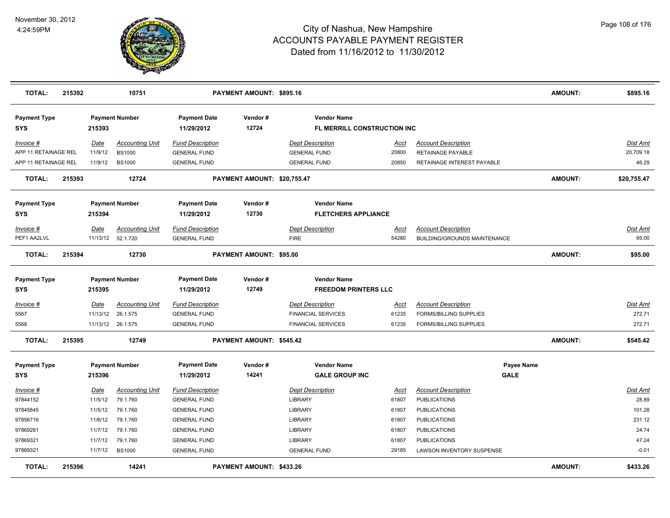

| <b>TOTAL:</b>                     | 215392                          |                                 | 10751<br>PAYMENT AMOUNT: \$895.16 |                                   |                                                   |                                                   |             |                                     | <b>AMOUNT:</b> | \$895.16    |
|-----------------------------------|---------------------------------|---------------------------------|-----------------------------------|-----------------------------------|---------------------------------------------------|---------------------------------------------------|-------------|-------------------------------------|----------------|-------------|
| <b>Payment Type</b><br><b>SYS</b> | <b>Payment Number</b><br>215393 |                                 | <b>Payment Date</b><br>11/29/2012 | Vendor#<br>12724                  | <b>Vendor Name</b><br>FL MERRILL CONSTRUCTION INC |                                                   |             |                                     |                |             |
| Invoice #                         |                                 | Date                            | <b>Accounting Unit</b>            | <b>Fund Description</b>           |                                                   | <b>Dept Description</b>                           | Acct        | <b>Account Description</b>          |                | Dist Amt    |
| APP 11 RETAINAGE REL              |                                 | 11/9/12                         | <b>BS1000</b>                     | <b>GENERAL FUND</b>               |                                                   | <b>GENERAL FUND</b>                               | 20800       | <b>RETAINAGE PAYABLE</b>            |                | 20,709.18   |
| APP 11 RETAINAGE REL              |                                 | 11/9/12                         | <b>BS1000</b>                     | <b>GENERAL FUND</b>               |                                                   | <b>GENERAL FUND</b>                               | 20850       | RETAINAGE INTEREST PAYABLE          |                | 46.29       |
| <b>TOTAL:</b>                     | 215393                          |                                 | 12724                             |                                   | PAYMENT AMOUNT: \$20,755.47                       |                                                   |             |                                     | <b>AMOUNT:</b> | \$20,755.47 |
| <b>Payment Type</b>               | <b>Payment Number</b>           |                                 |                                   | Vendor#<br><b>Payment Date</b>    |                                                   | <b>Vendor Name</b>                                |             |                                     |                |             |
| <b>SYS</b>                        |                                 | 215394                          |                                   | 11/29/2012                        | 12730                                             | <b>FLETCHERS APPLIANCE</b>                        |             |                                     |                |             |
| Invoice #                         |                                 | Date                            | <b>Accounting Unit</b>            | <b>Fund Description</b>           |                                                   | <b>Dept Description</b>                           | Acct        | <b>Account Description</b>          |                | Dist Amt    |
| PEF1 AA2LVL                       |                                 |                                 | 11/13/12 52.1.720                 | <b>GENERAL FUND</b>               |                                                   | <b>FIRE</b>                                       | 54280       | <b>BUILDING/GROUNDS MAINTENANCE</b> |                | 95.00       |
| <b>TOTAL:</b>                     | 215394                          |                                 | 12730                             |                                   | PAYMENT AMOUNT: \$95.00                           |                                                   |             |                                     | <b>AMOUNT:</b> | \$95.00     |
| <b>Payment Type</b><br>SYS        |                                 | <b>Payment Number</b><br>215395 |                                   | <b>Payment Date</b><br>11/29/2012 | Vendor#<br>12749                                  | <b>Vendor Name</b><br><b>FREEDOM PRINTERS LLC</b> |             |                                     |                |             |
| <u>Invoice #</u>                  |                                 | <b>Date</b>                     | <b>Accounting Unit</b>            | <b>Fund Description</b>           |                                                   | <b>Dept Description</b>                           | <u>Acct</u> | <b>Account Description</b>          |                | Dist Amt    |
| 5567                              |                                 | 11/13/12                        | 26.1.575                          | <b>GENERAL FUND</b>               |                                                   | <b>FINANCIAL SERVICES</b>                         | 61235       | <b>FORMS/BILLING SUPPLIES</b>       |                | 272.71      |
| 5568                              |                                 |                                 | 11/13/12 26.1.575                 | <b>GENERAL FUND</b>               |                                                   | <b>FINANCIAL SERVICES</b>                         | 61235       | <b>FORMS/BILLING SUPPLIES</b>       |                | 272.71      |
| <b>TOTAL:</b>                     | 215395<br>12749                 |                                 |                                   | PAYMENT AMOUNT: \$545.42          |                                                   |                                                   |             | <b>AMOUNT:</b>                      | \$545.42       |             |
| <b>Payment Type</b>               |                                 |                                 | <b>Payment Number</b>             | <b>Payment Date</b>               | Vendor#                                           | <b>Vendor Name</b>                                |             | Payee Name                          |                |             |
| <b>SYS</b>                        |                                 | 215396                          |                                   | 11/29/2012                        | 14241                                             | <b>GALE GROUP INC</b>                             |             | <b>GALE</b>                         |                |             |
| Invoice #                         |                                 | Date                            | <b>Accounting Unit</b>            | <b>Fund Description</b>           |                                                   | <b>Dept Description</b>                           | <u>Acct</u> | <b>Account Description</b>          |                | Dist Amt    |
| 97844152                          |                                 | 11/5/12                         | 79.1.760                          | <b>GENERAL FUND</b>               |                                                   | <b>LIBRARY</b>                                    | 61807       | <b>PUBLICATIONS</b>                 |                | 28.89       |
| 97845845                          |                                 | 11/5/12                         | 79.1.760                          | <b>GENERAL FUND</b>               |                                                   | <b>LIBRARY</b>                                    | 61807       | <b>PUBLICATIONS</b>                 |                | 101.28      |
| 97856716                          |                                 | 11/6/12                         | 79.1.760                          | <b>GENERAL FUND</b>               |                                                   | <b>LIBRARY</b>                                    | 61807       | <b>PUBLICATIONS</b>                 |                | 231.12      |
| 97869261                          |                                 | 11/7/12                         | 79.1.760                          | <b>GENERAL FUND</b>               |                                                   | LIBRARY                                           | 61807       | <b>PUBLICATIONS</b>                 |                | 24.74       |
| 97869321                          |                                 | 11/7/12                         | 79.1.760                          | <b>GENERAL FUND</b>               |                                                   | <b>LIBRARY</b>                                    | 61807       | <b>PUBLICATIONS</b>                 |                | 47.24       |
| 97869321                          |                                 | 11/7/12                         | <b>BS1000</b>                     | <b>GENERAL FUND</b>               |                                                   | <b>GENERAL FUND</b>                               | 29185       | LAWSON INVENTORY SUSPENSE           |                | $-0.01$     |
| <b>TOTAL:</b>                     | 215396                          |                                 | 14241                             |                                   | PAYMENT AMOUNT: \$433.26                          |                                                   |             |                                     | <b>AMOUNT:</b> | \$433.26    |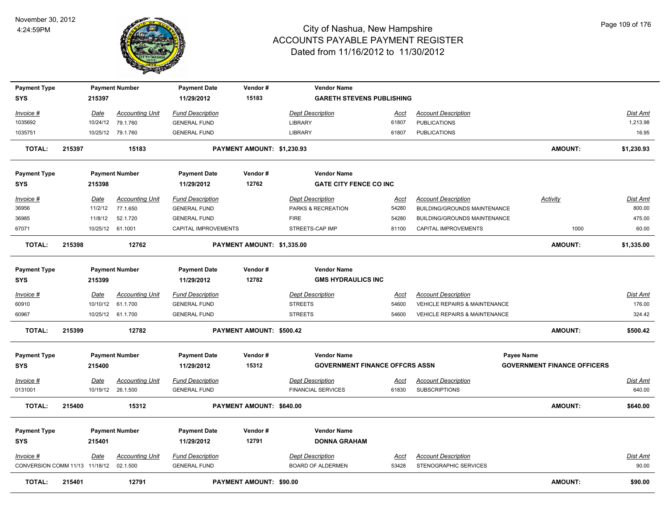

| <b>Payment Type</b><br><b>SYS</b>       |        | 215397                  | <b>Payment Number</b>              | <b>Payment Date</b><br>11/29/2012              | Vendor#<br>15183           | <b>Vendor Name</b><br><b>GARETH STEVENS PUBLISHING</b> |                      |                                                   |                                    |                      |
|-----------------------------------------|--------|-------------------------|------------------------------------|------------------------------------------------|----------------------------|--------------------------------------------------------|----------------------|---------------------------------------------------|------------------------------------|----------------------|
|                                         |        |                         |                                    |                                                |                            |                                                        |                      |                                                   |                                    |                      |
| Invoice #<br>1035692                    |        | <u>Date</u><br>10/24/12 | <b>Accounting Unit</b><br>79.1.760 | <b>Fund Description</b><br><b>GENERAL FUND</b> |                            | <b>Dept Description</b><br>LIBRARY                     | <u>Acct</u><br>61807 | <b>Account Description</b><br><b>PUBLICATIONS</b> |                                    | Dist Amt<br>1,213.98 |
| 1035751                                 |        |                         | 10/25/12 79.1.760                  | <b>GENERAL FUND</b>                            |                            | LIBRARY                                                | 61807                | <b>PUBLICATIONS</b>                               |                                    | 16.95                |
|                                         |        |                         |                                    |                                                |                            |                                                        |                      |                                                   |                                    |                      |
| <b>TOTAL:</b>                           | 215397 |                         | 15183                              |                                                | PAYMENT AMOUNT: \$1,230.93 |                                                        |                      |                                                   | <b>AMOUNT:</b>                     | \$1,230.93           |
| <b>Payment Type</b>                     |        |                         | <b>Payment Number</b>              | <b>Payment Date</b>                            | Vendor#                    | <b>Vendor Name</b>                                     |                      |                                                   |                                    |                      |
| <b>SYS</b>                              |        | 215398                  |                                    | 11/29/2012                                     | 12762                      | <b>GATE CITY FENCE CO INC</b>                          |                      |                                                   |                                    |                      |
| Invoice #                               |        | Date                    | <b>Accounting Unit</b>             | <b>Fund Description</b>                        |                            | <b>Dept Description</b>                                | Acct                 | <b>Account Description</b>                        | Activity                           | Dist Amt             |
| 36956                                   |        | 11/2/12                 | 77.1.650                           | <b>GENERAL FUND</b>                            |                            | PARKS & RECREATION                                     | 54280                | BUILDING/GROUNDS MAINTENANCE                      |                                    | 800.00               |
| 36985                                   |        | 11/8/12                 | 52.1.720                           | <b>GENERAL FUND</b>                            |                            | <b>FIRE</b>                                            | 54280                | BUILDING/GROUNDS MAINTENANCE                      |                                    | 475.00               |
| 67071                                   |        |                         | 10/25/12 61.1001                   | CAPITAL IMPROVEMENTS                           |                            | STREETS-CAP IMP                                        | 81100                | CAPITAL IMPROVEMENTS                              | 1000                               | 60.00                |
| <b>TOTAL:</b>                           | 215398 |                         | 12762                              |                                                | PAYMENT AMOUNT: \$1,335.00 |                                                        |                      |                                                   | <b>AMOUNT:</b>                     | \$1,335.00           |
|                                         |        |                         |                                    |                                                |                            |                                                        |                      |                                                   |                                    |                      |
| <b>Payment Type</b>                     |        |                         | <b>Payment Number</b>              | <b>Payment Date</b>                            | Vendor#                    | <b>Vendor Name</b>                                     |                      |                                                   |                                    |                      |
| <b>SYS</b>                              |        | 215399                  |                                    | 11/29/2012                                     | 12782                      | <b>GMS HYDRAULICS INC</b>                              |                      |                                                   |                                    |                      |
| Invoice #                               |        | Date                    | <b>Accounting Unit</b>             | <b>Fund Description</b>                        |                            | <b>Dept Description</b>                                | Acct                 | <b>Account Description</b>                        |                                    | Dist Amt             |
| 60910                                   |        |                         | 10/10/12 61.1.700                  | <b>GENERAL FUND</b>                            |                            | <b>STREETS</b>                                         | 54600                | VEHICLE REPAIRS & MAINTENANCE                     |                                    | 176.00               |
| 60967                                   |        |                         | 10/25/12 61.1.700                  | <b>GENERAL FUND</b>                            |                            | <b>STREETS</b>                                         | 54600                | <b>VEHICLE REPAIRS &amp; MAINTENANCE</b>          |                                    | 324.42               |
| <b>TOTAL:</b>                           | 215399 |                         | 12782                              |                                                | PAYMENT AMOUNT: \$500.42   |                                                        |                      |                                                   | <b>AMOUNT:</b>                     | \$500.42             |
|                                         |        |                         |                                    |                                                |                            |                                                        |                      |                                                   |                                    |                      |
| <b>Payment Type</b>                     |        |                         | <b>Payment Number</b>              | <b>Payment Date</b>                            | Vendor#                    | <b>Vendor Name</b>                                     |                      |                                                   | Payee Name                         |                      |
| <b>SYS</b>                              |        | 215400                  |                                    | 11/29/2012                                     | 15312                      | <b>GOVERNMENT FINANCE OFFCRS ASSN</b>                  |                      |                                                   | <b>GOVERNMENT FINANCE OFFICERS</b> |                      |
| <u>Invoice #</u>                        |        | <u>Date</u>             | <b>Accounting Unit</b>             | <b>Fund Description</b>                        |                            | <b>Dept Description</b>                                | <u>Acct</u>          | <b>Account Description</b>                        |                                    | <u>Dist Amt</u>      |
| 0131001                                 |        |                         | 10/19/12 26.1.500                  | <b>GENERAL FUND</b>                            |                            | <b>FINANCIAL SERVICES</b>                              | 61830                | <b>SUBSCRIPTIONS</b>                              |                                    | 640.00               |
| <b>TOTAL:</b>                           | 215400 |                         | 15312                              |                                                | PAYMENT AMOUNT: \$640.00   |                                                        |                      |                                                   | <b>AMOUNT:</b>                     | \$640.00             |
|                                         |        |                         |                                    |                                                |                            | <b>Vendor Name</b>                                     |                      |                                                   |                                    |                      |
| <b>Payment Type</b>                     |        |                         | <b>Payment Number</b>              | <b>Payment Date</b>                            | Vendor#                    |                                                        |                      |                                                   |                                    |                      |
| <b>SYS</b>                              |        | 215401                  |                                    | 11/29/2012                                     | 12791                      | <b>DONNA GRAHAM</b>                                    |                      |                                                   |                                    |                      |
| <u>Invoice #</u>                        |        | <u>Date</u>             | <b>Accounting Unit</b>             | <b>Fund Description</b>                        |                            | <b>Dept Description</b>                                | Acct                 | <b>Account Description</b>                        |                                    | Dist Amt             |
| CONVERSION COMM 11/13 11/18/12 02.1.500 |        |                         |                                    | <b>GENERAL FUND</b>                            |                            | <b>BOARD OF ALDERMEN</b>                               | 53428                | STENOGRAPHIC SERVICES                             |                                    | 90.00                |
| <b>TOTAL:</b>                           | 215401 |                         | 12791                              |                                                | PAYMENT AMOUNT: \$90.00    |                                                        |                      |                                                   | AMOUNT:                            | \$90.00              |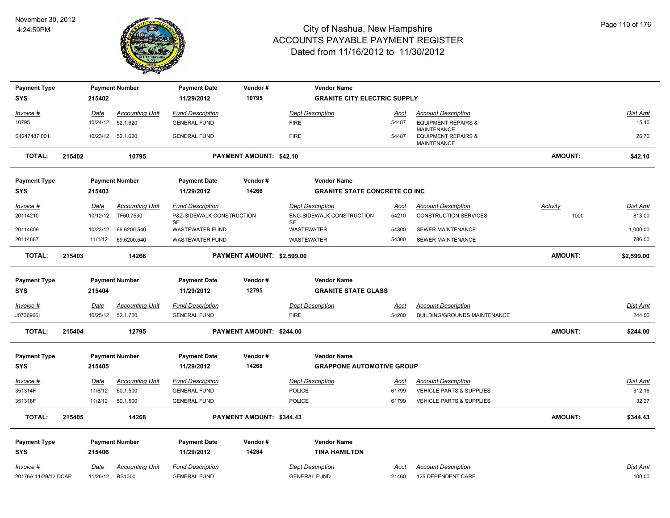

| <b>Payment Type</b>  |        |                 | <b>Payment Number</b>              | <b>Payment Date</b>                            | Vendor#                    | <b>Vendor Name</b>                       |                      |                                                        |                 |                    |
|----------------------|--------|-----------------|------------------------------------|------------------------------------------------|----------------------------|------------------------------------------|----------------------|--------------------------------------------------------|-----------------|--------------------|
| <b>SYS</b>           |        | 215402          |                                    | 11/29/2012                                     | 10795                      | <b>GRANITE CITY ELECTRIC SUPPLY</b>      |                      |                                                        |                 |                    |
| Invoice #            |        | Date            | <b>Accounting Unit</b>             | <b>Fund Description</b>                        |                            | <b>Dept Description</b>                  | Acct                 | <b>Account Description</b>                             |                 | Dist Amt           |
| 10795                |        |                 | 10/24/12 52.1.620                  | <b>GENERAL FUND</b>                            |                            | <b>FIRE</b>                              | 54487                | <b>EQUIPMENT REPAIRS &amp;</b>                         |                 | 15.40              |
| S4247487.001         |        |                 | 10/23/12 52.1.620                  | <b>GENERAL FUND</b>                            |                            | <b>FIRE</b>                              | 54487                | <b>MAINTENANCE</b><br><b>EQUIPMENT REPAIRS &amp;</b>   |                 | 26.70              |
|                      |        |                 |                                    |                                                |                            |                                          |                      | MAINTENANCE                                            |                 |                    |
| <b>TOTAL:</b>        | 215402 |                 | 10795                              |                                                | PAYMENT AMOUNT: \$42.10    |                                          |                      |                                                        | <b>AMOUNT:</b>  | \$42.10            |
| <b>Payment Type</b>  |        |                 | <b>Payment Number</b>              | <b>Payment Date</b>                            | Vendor#                    | <b>Vendor Name</b>                       |                      |                                                        |                 |                    |
| SYS                  |        | 215403          |                                    | 11/29/2012                                     | 14266                      | <b>GRANITE STATE CONCRETE CO INC</b>     |                      |                                                        |                 |                    |
| Invoice #            |        | Date            | <b>Accounting Unit</b>             | <b>Fund Description</b>                        |                            | <b>Dept Description</b>                  | <u>Acct</u>          | <b>Account Description</b>                             | <b>Activity</b> | Dist Amt           |
| 20114210             |        | 10/12/12        | TF60.7530                          | P&Z-SIDEWALK CONSTRUCTION                      |                            | ENG-SIDEWALK CONSTRUCTION                | 54210                | <b>CONSTRUCTION SERVICES</b>                           | 1000            | 813.00             |
| 20114609             |        | 10/23/12        | 69.6200.540                        | <b>SE</b><br><b>WASTEWATER FUND</b>            |                            | <b>SE</b><br>WASTEWATER                  | 54300                | SEWER MAINTENANCE                                      |                 | 1,000.00           |
| 20114887             |        | 11/1/12         | 69.6200.540                        | WASTEWATER FUND                                |                            | WASTEWATER                               | 54300                | <b>SEWER MAINTENANCE</b>                               |                 | 786.00             |
|                      |        |                 |                                    |                                                |                            |                                          |                      |                                                        |                 |                    |
| <b>TOTAL:</b>        | 215403 |                 | 14266                              |                                                | PAYMENT AMOUNT: \$2,599.00 |                                          |                      |                                                        | AMOUNT:         | \$2,599.00         |
|                      |        |                 |                                    |                                                |                            |                                          |                      |                                                        |                 |                    |
| <b>Payment Type</b>  |        |                 | <b>Payment Number</b>              | <b>Payment Date</b>                            | Vendor#                    | <b>Vendor Name</b>                       |                      |                                                        |                 |                    |
| SYS                  |        | 215404          |                                    | 11/29/2012                                     | 12795                      | <b>GRANITE STATE GLASS</b>               |                      |                                                        |                 |                    |
| $Invoice$ #          |        | <u>Date</u>     | <b>Accounting Unit</b>             | <b>Fund Description</b>                        |                            | <b>Dept Description</b>                  | <u>Acct</u>          | <b>Account Description</b>                             |                 | <b>Dist Amt</b>    |
| J0736966I            |        |                 | 10/25/12 52.1.720                  | <b>GENERAL FUND</b>                            |                            | <b>FIRE</b>                              | 54280                | BUILDING/GROUNDS MAINTENANCE                           |                 | 244.00             |
| <b>TOTAL:</b>        | 215404 |                 | 12795                              |                                                | PAYMENT AMOUNT: \$244.00   |                                          |                      |                                                        | AMOUNT:         | \$244.00           |
| <b>Payment Type</b>  |        |                 | <b>Payment Number</b>              | <b>Payment Date</b>                            | Vendor#                    | <b>Vendor Name</b>                       |                      |                                                        |                 |                    |
| <b>SYS</b>           |        | 215405          |                                    | 11/29/2012                                     | 14268                      | <b>GRAPPONE AUTOMOTIVE GROUP</b>         |                      |                                                        |                 |                    |
|                      |        |                 |                                    |                                                |                            |                                          |                      |                                                        |                 |                    |
| Invoice #<br>351314F |        | Date<br>11/6/12 | <b>Accounting Unit</b><br>50.1.500 | <b>Fund Description</b><br><b>GENERAL FUND</b> |                            | <b>Dept Description</b><br><b>POLICE</b> | <u>Acct</u><br>61799 | <b>Account Description</b><br>VEHICLE PARTS & SUPPLIES |                 | Dist Amt<br>312.16 |
| 351318F              |        | 11/2/12         | 50.1.500                           | <b>GENERAL FUND</b>                            |                            | <b>POLICE</b>                            | 61799                | <b>VEHICLE PARTS &amp; SUPPLIES</b>                    |                 | 32.27              |
|                      |        |                 |                                    |                                                |                            |                                          |                      |                                                        |                 |                    |
| <b>TOTAL:</b>        | 215405 |                 | 14268                              |                                                | PAYMENT AMOUNT: \$344.43   |                                          |                      |                                                        | AMOUNT:         | \$344.43           |
| <b>Payment Type</b>  |        |                 | <b>Payment Number</b>              | <b>Payment Date</b>                            | Vendor#                    | <b>Vendor Name</b>                       |                      |                                                        |                 |                    |
| <b>SYS</b>           |        | 215406          |                                    | 11/29/2012                                     | 14284                      | <b>TINA HAMILTON</b>                     |                      |                                                        |                 |                    |
| Invoice #            |        | Date            | <b>Accounting Unit</b>             | <b>Fund Description</b>                        |                            | <b>Dept Description</b>                  | Acct                 | <b>Account Description</b>                             |                 | <b>Dist Amt</b>    |
| 20176A 11/29/12 DCAP |        | 11/26/12        | <b>BS1000</b>                      | <b>GENERAL FUND</b>                            |                            | <b>GENERAL FUND</b>                      | 21460                | 125 DEPENDENT CARE                                     |                 | 100.00             |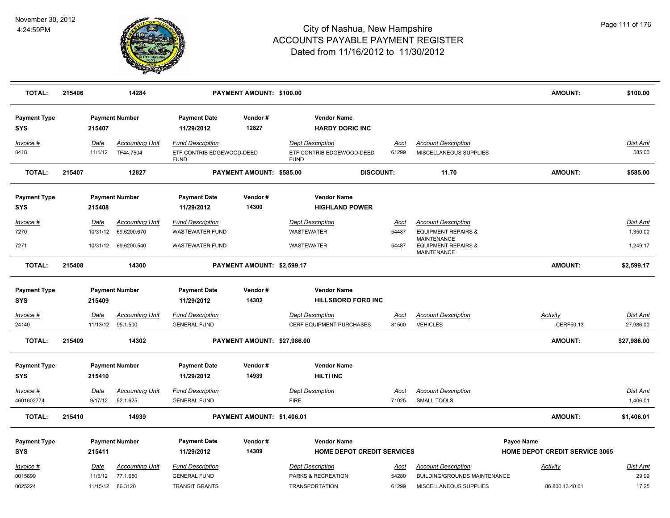

| <b>TOTAL:</b>                                  | 215406 |                              | 14284                                                |                                                                             | PAYMENT AMOUNT: \$100.00    |                                                                        |                               |                                                                                                                                     | <b>AMOUNT:</b>                                      | \$100.00                                |
|------------------------------------------------|--------|------------------------------|------------------------------------------------------|-----------------------------------------------------------------------------|-----------------------------|------------------------------------------------------------------------|-------------------------------|-------------------------------------------------------------------------------------------------------------------------------------|-----------------------------------------------------|-----------------------------------------|
| <b>Payment Type</b><br>SYS                     |        | 215407                       | <b>Payment Number</b>                                | <b>Payment Date</b><br>11/29/2012                                           | Vendor#<br>12827            | <b>Vendor Name</b><br><b>HARDY DORIC INC</b>                           |                               |                                                                                                                                     |                                                     |                                         |
| Invoice #<br>8418                              |        | Date<br>11/1/12              | <b>Accounting Unit</b><br>TF44.7504                  | <b>Fund Description</b><br>ETF CONTRIB EDGEWOOD-DEED<br><b>FUND</b>         |                             | <b>Dept Description</b><br>ETF CONTRIB EDGEWOOD-DEED<br><b>FUND</b>    | <b>Acct</b><br>61299          | <b>Account Description</b><br>MISCELLANEOUS SUPPLIES                                                                                |                                                     | <b>Dist Amt</b><br>585.00               |
| <b>TOTAL:</b>                                  | 215407 |                              | 12827                                                |                                                                             | PAYMENT AMOUNT: \$585.00    |                                                                        | <b>DISCOUNT:</b>              | 11.70                                                                                                                               | <b>AMOUNT:</b>                                      | \$585.00                                |
| <b>Payment Type</b><br>SYS                     |        | 215408                       | <b>Payment Number</b>                                | <b>Payment Date</b><br>11/29/2012                                           | Vendor#<br>14300            | <b>Vendor Name</b><br><b>HIGHLAND POWER</b>                            |                               |                                                                                                                                     |                                                     |                                         |
| $Invoice$ #<br>7270<br>7271                    |        | Date<br>10/31/12<br>10/31/12 | <b>Accounting Unit</b><br>69.6200.670<br>69.6200.540 | <b>Fund Description</b><br><b>WASTEWATER FUND</b><br><b>WASTEWATER FUND</b> |                             | <b>Dept Description</b><br><b>WASTEWATER</b><br>WASTEWATER             | <u>Acct</u><br>54487<br>54487 | <b>Account Description</b><br><b>EQUIPMENT REPAIRS &amp;</b><br><b>MAINTENANCE</b><br><b>EQUIPMENT REPAIRS &amp;</b><br>MAINTENANCE |                                                     | <b>Dist Amt</b><br>1,350.00<br>1,249.17 |
| <b>TOTAL:</b>                                  | 215408 |                              | 14300                                                |                                                                             | PAYMENT AMOUNT: \$2,599.17  |                                                                        |                               |                                                                                                                                     | <b>AMOUNT:</b>                                      | \$2,599.17                              |
| <b>Payment Type</b><br><b>SYS</b>              |        | 215409                       | <b>Payment Number</b>                                | <b>Payment Date</b><br>11/29/2012                                           | Vendor#<br>14302            | <b>Vendor Name</b><br><b>HILLSBORO FORD INC</b>                        |                               |                                                                                                                                     |                                                     |                                         |
| Invoice #<br>24140                             |        | Date<br>11/13/12             | <b>Accounting Unit</b><br>95.1.500                   | <b>Fund Description</b><br><b>GENERAL FUND</b>                              |                             | <b>Dept Description</b><br>CERF EQUIPMENT PURCHASES                    | Acct<br>81500                 | <b>Account Description</b><br><b>VEHICLES</b>                                                                                       | Activity<br>CERF50.13                               | Dist Amt<br>27,986.00                   |
| <b>TOTAL:</b>                                  | 215409 |                              | 14302                                                |                                                                             | PAYMENT AMOUNT: \$27,986.00 |                                                                        |                               |                                                                                                                                     | <b>AMOUNT:</b>                                      | \$27,986.00                             |
| <b>Payment Type</b><br><b>SYS</b><br>Invoice # |        | 215410<br>Date               | <b>Payment Number</b><br><b>Accounting Unit</b>      | <b>Payment Date</b><br>11/29/2012<br><b>Fund Description</b>                | Vendor#<br>14939            | <b>Vendor Name</b><br><b>HILTI INC</b><br><b>Dept Description</b>      | <u>Acct</u>                   | <b>Account Description</b>                                                                                                          |                                                     | Dist Amt                                |
| 4601602774                                     |        | 9/17/12                      | 52.1.625                                             | <b>GENERAL FUND</b>                                                         |                             | <b>FIRE</b>                                                            | 71025                         | <b>SMALL TOOLS</b>                                                                                                                  |                                                     | 1,406.01                                |
| <b>TOTAL:</b>                                  | 215410 |                              | 14939                                                |                                                                             | PAYMENT AMOUNT: \$1,406.01  |                                                                        |                               |                                                                                                                                     | <b>AMOUNT:</b>                                      | \$1,406.01                              |
| <b>Payment Type</b><br><b>SYS</b>              |        | 215411                       | <b>Payment Number</b>                                | <b>Payment Date</b><br>11/29/2012                                           | Vendor#<br>14309            | <b>Vendor Name</b><br><b>HOME DEPOT CREDIT SERVICES</b>                |                               |                                                                                                                                     | Payee Name<br><b>HOME DEPOT CREDIT SERVICE 3065</b> |                                         |
| Invoice #<br>0015899<br>0025224                |        | Date<br>11/5/12<br>11/15/12  | <b>Accounting Unit</b><br>77.1.650<br>86.3120        | <b>Fund Description</b><br><b>GENERAL FUND</b><br><b>TRANSIT GRANTS</b>     |                             | <b>Dept Description</b><br>PARKS & RECREATION<br><b>TRANSPORTATION</b> | Acct<br>54280<br>61299        | <b>Account Description</b><br>BUILDING/GROUNDS MAINTENANCE<br>MISCELLANEOUS SUPPLIES                                                | <b>Activity</b><br>86.800.13.40.01                  | Dist Amt<br>29.99<br>17.25              |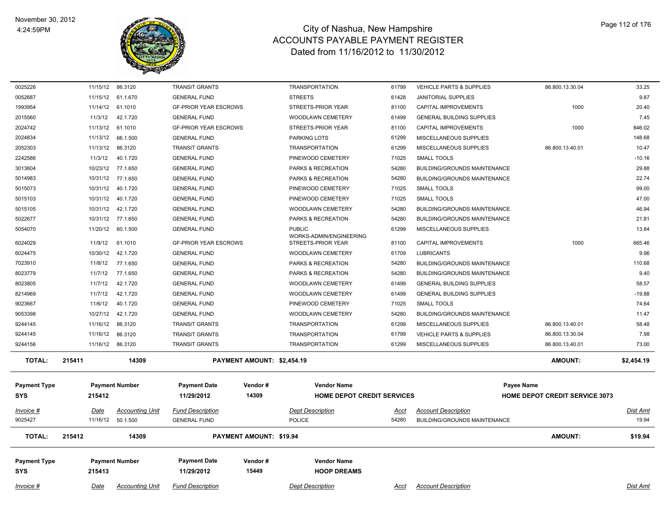

| 0025226              |             | 11/15/12 86.3120                   | <b>TRANSIT GRANTS</b>                          |                                | <b>TRANSPORTATION</b>                         | 61799         | <b>VEHICLE PARTS &amp; SUPPLIES</b>                               | 86.800.13.30.04                       | 33.25                    |
|----------------------|-------------|------------------------------------|------------------------------------------------|--------------------------------|-----------------------------------------------|---------------|-------------------------------------------------------------------|---------------------------------------|--------------------------|
| 0052687              | 11/15/12    | 61.1.670                           | <b>GENERAL FUND</b>                            |                                | <b>STREETS</b>                                | 61428         | <b>JANITORIAL SUPPLIES</b>                                        |                                       | 9.87                     |
| 1993954              | 11/14/12    | 61.1010                            | <b>GF-PRIOR YEAR ESCROWS</b>                   |                                | STREETS-PRIOR YEAR                            | 81100         | CAPITAL IMPROVEMENTS                                              | 1000                                  | 20.40                    |
| 2015560              | 11/3/12     | 42.1.720                           | <b>GENERAL FUND</b>                            |                                | WOODLAWN CEMETERY                             | 61499         | <b>GENERAL BUILDING SUPPLIES</b>                                  |                                       | 7.45                     |
| 2024742              | 11/13/12    | 61.1010                            | <b>GF-PRIOR YEAR ESCROWS</b>                   |                                | STREETS-PRIOR YEAR                            | 81100         | CAPITAL IMPROVEMENTS                                              | 1000                                  | 846.02                   |
| 2024834              | 11/13/12    | 66.1.500                           | <b>GENERAL FUND</b>                            |                                | PARKING LOTS                                  | 61299         | MISCELLANEOUS SUPPLIES                                            |                                       | 148.68                   |
| 2052303              | 11/13/12    | 86.3120                            | <b>TRANSIT GRANTS</b>                          |                                | <b>TRANSPORTATION</b>                         | 61299         | MISCELLANEOUS SUPPLIES                                            | 86.800.13.40.01                       | 10.47                    |
| 2242586              | 11/3/12     | 40.1.720                           | <b>GENERAL FUND</b>                            |                                | PINEWOOD CEMETERY                             | 71025         | <b>SMALL TOOLS</b>                                                |                                       | $-10.16$                 |
| 3013604              | 10/23/12    | 77.1.650                           | <b>GENERAL FUND</b>                            |                                | PARKS & RECREATION                            | 54280         | <b>BUILDING/GROUNDS MAINTENANCE</b>                               |                                       | 29.88                    |
| 5014983              | 10/31/12    | 77.1.650                           | <b>GENERAL FUND</b>                            |                                | PARKS & RECREATION                            | 54280         | <b>BUILDING/GROUNDS MAINTENANCE</b>                               |                                       | 22.74                    |
| 5015073              | 10/31/12    | 40.1.720                           | <b>GENERAL FUND</b>                            |                                | PINEWOOD CEMETERY                             | 71025         | <b>SMALL TOOLS</b>                                                |                                       | 99.00                    |
| 5015103              | 10/31/12    | 40.1.720                           | <b>GENERAL FUND</b>                            |                                | PINEWOOD CEMETERY                             | 71025         | SMALL TOOLS                                                       |                                       | 47.00                    |
| 5015105              | 10/31/12    | 42.1.720                           | <b>GENERAL FUND</b>                            |                                | WOODLAWN CEMETERY                             | 54280         | <b>BUILDING/GROUNDS MAINTENANCE</b>                               |                                       | 46.94                    |
| 5022677              |             | 10/31/12 77.1.650                  | <b>GENERAL FUND</b>                            |                                | PARKS & RECREATION                            | 54280         | <b>BUILDING/GROUNDS MAINTENANCE</b>                               |                                       | 21.81                    |
| 5054070              | 11/20/12    | 60.1.500                           | <b>GENERAL FUND</b>                            |                                | <b>PUBLIC</b>                                 | 61299         | MISCELLANEOUS SUPPLIES                                            |                                       | 13.84                    |
| 6024029              | 11/9/12     | 61.1010                            | <b>GF-PRIOR YEAR ESCROWS</b>                   |                                | WORKS-ADMIN/ENGINEERING<br>STREETS-PRIOR YEAR | 81100         | CAPITAL IMPROVEMENTS                                              | 1000                                  | 665.46                   |
| 6024475              | 10/30/12    | 42.1.720                           | <b>GENERAL FUND</b>                            |                                | WOODLAWN CEMETERY                             | 61709         | <b>LUBRICANTS</b>                                                 |                                       | 9.96                     |
| 7023910              | 11/8/12     | 77.1.650                           | <b>GENERAL FUND</b>                            |                                | PARKS & RECREATION                            | 54280         | BUILDING/GROUNDS MAINTENANCE                                      |                                       | 110.68                   |
| 8023779              | 11/7/12     | 77.1.650                           | <b>GENERAL FUND</b>                            |                                | PARKS & RECREATION                            | 54280         | <b>BUILDING/GROUNDS MAINTENANCE</b>                               |                                       | 9.40                     |
| 8023805              | 11/7/12     | 42.1.720                           | <b>GENERAL FUND</b>                            |                                | WOODLAWN CEMETERY                             | 61499         | <b>GENERAL BUILDING SUPPLIES</b>                                  |                                       | 58.57                    |
| 8214969              | 11/7/12     | 42.1.720                           | <b>GENERAL FUND</b>                            |                                | WOODLAWN CEMETERY                             | 61499         | <b>GENERAL BUILDING SUPPLIES</b>                                  |                                       | $-19.88$                 |
| 9023667              | 11/6/12     | 40.1.720                           | <b>GENERAL FUND</b>                            |                                | PINEWOOD CEMETERY                             | 71025         | <b>SMALL TOOLS</b>                                                |                                       | 74.64                    |
| 9053398              | 10/27/12    | 42.1.720                           | <b>GENERAL FUND</b>                            |                                | WOODLAWN CEMETERY                             | 54280         | <b>BUILDING/GROUNDS MAINTENANCE</b>                               |                                       | 11.47                    |
| 9244145              | 11/16/12    | 86.3120                            | <b>TRANSIT GRANTS</b>                          |                                | <b>TRANSPORTATION</b>                         | 61299         | MISCELLANEOUS SUPPLIES                                            | 86.800.13.40.01                       | 58.48                    |
| 9244145              | 11/16/12    | 86.3120                            | <b>TRANSIT GRANTS</b>                          |                                | <b>TRANSPORTATION</b>                         | 61799         | <b>VEHICLE PARTS &amp; SUPPLIES</b>                               | 86.800.13.30.04                       | 7.98                     |
| 9244156              | 11/16/12    | 86.3120                            | <b>TRANSIT GRANTS</b>                          |                                | <b>TRANSPORTATION</b>                         | 61299         | MISCELLANEOUS SUPPLIES                                            | 86.800.13.40.01                       | 73.00                    |
| <b>TOTAL:</b>        | 215411      | 14309                              |                                                | PAYMENT AMOUNT: \$2,454.19     |                                               |               |                                                                   | <b>AMOUNT:</b>                        | \$2,454.19               |
|                      |             |                                    |                                                |                                |                                               |               |                                                                   |                                       |                          |
| <b>Payment Type</b>  |             | <b>Payment Number</b>              | <b>Payment Date</b>                            | Vendor #                       | <b>Vendor Name</b>                            |               |                                                                   | Payee Name                            |                          |
| SYS                  | 215412      |                                    | 11/29/2012                                     | 14309                          | <b>HOME DEPOT CREDIT SERVICES</b>             |               |                                                                   | <b>HOME DEPOT CREDIT SERVICE 3073</b> |                          |
|                      |             |                                    |                                                |                                |                                               |               |                                                                   |                                       |                          |
| Invoice #<br>9025427 | Date        | <b>Accounting Unit</b><br>50.1.500 | <b>Fund Description</b><br><b>GENERAL FUND</b> |                                | <b>Dept Description</b><br>POLICE             | Acct<br>54280 | <b>Account Description</b><br><b>BUILDING/GROUNDS MAINTENANCE</b> |                                       | <b>Dist Amt</b><br>19.94 |
|                      | 11/16/12    |                                    |                                                |                                |                                               |               |                                                                   |                                       |                          |
| <b>TOTAL:</b>        | 215412      | 14309                              |                                                | <b>PAYMENT AMOUNT: \$19.94</b> |                                               |               |                                                                   | <b>AMOUNT:</b>                        | \$19.94                  |
| <b>Payment Type</b>  |             | <b>Payment Number</b>              | <b>Payment Date</b>                            | Vendor#                        | <b>Vendor Name</b>                            |               |                                                                   |                                       |                          |
| <b>SYS</b>           | 215413      |                                    | 11/29/2012                                     | 15449                          | <b>HOOP DREAMS</b>                            |               |                                                                   |                                       |                          |
|                      |             |                                    |                                                |                                |                                               |               |                                                                   |                                       |                          |
| Invoice #            | <u>Date</u> | <b>Accounting Unit</b>             | <b>Fund Description</b>                        |                                | <b>Dept Description</b>                       | <u>Acct</u>   | <b>Account Description</b>                                        |                                       | <b>Dist Amt</b>          |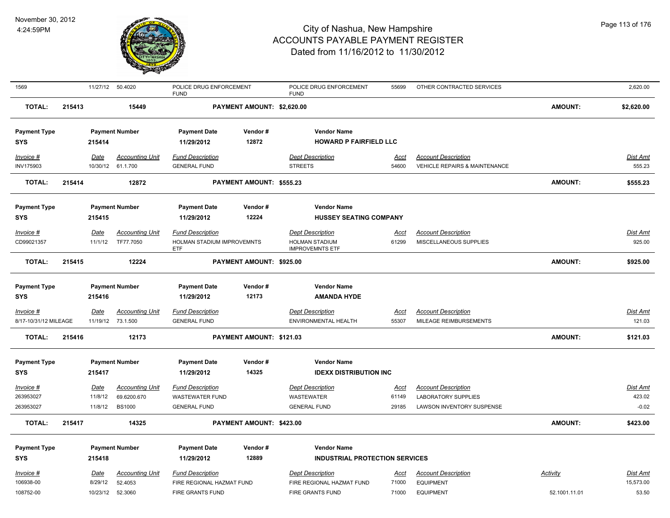

| 1569                  |        | 11/27/12    | 50.4020                | POLICE DRUG ENFORCEMENT<br><b>FUND</b>   |                            | POLICE DRUG ENFORCEMENT<br><b>FUND</b>          | 55699       | OTHER CONTRACTED SERVICES     |                 | 2,620.00        |
|-----------------------|--------|-------------|------------------------|------------------------------------------|----------------------------|-------------------------------------------------|-------------|-------------------------------|-----------------|-----------------|
| <b>TOTAL:</b>         | 215413 |             | 15449                  |                                          | PAYMENT AMOUNT: \$2,620.00 |                                                 |             |                               | <b>AMOUNT:</b>  | \$2,620.00      |
| <b>Payment Type</b>   |        |             | <b>Payment Number</b>  | <b>Payment Date</b>                      | Vendor#                    | <b>Vendor Name</b>                              |             |                               |                 |                 |
| <b>SYS</b>            |        | 215414      |                        | 11/29/2012                               | 12872                      | <b>HOWARD P FAIRFIELD LLC</b>                   |             |                               |                 |                 |
| Invoice #             |        | <u>Date</u> | <b>Accounting Unit</b> | <b>Fund Description</b>                  |                            | <b>Dept Description</b>                         | <u>Acct</u> | <b>Account Description</b>    |                 | Dist Amt        |
| INV175903             |        | 10/30/12    | 61.1.700               | <b>GENERAL FUND</b>                      |                            | <b>STREETS</b>                                  | 54600       | VEHICLE REPAIRS & MAINTENANCE |                 | 555.23          |
| <b>TOTAL:</b>         | 215414 |             | 12872                  |                                          | PAYMENT AMOUNT: \$555.23   |                                                 |             |                               | <b>AMOUNT:</b>  | \$555.23        |
| <b>Payment Type</b>   |        |             | <b>Payment Number</b>  | <b>Payment Date</b>                      | Vendor#                    | <b>Vendor Name</b>                              |             |                               |                 |                 |
| <b>SYS</b>            |        | 215415      |                        | 11/29/2012                               | 12224                      | <b>HUSSEY SEATING COMPANY</b>                   |             |                               |                 |                 |
| $Invoice$ #           |        | <u>Date</u> | <b>Accounting Unit</b> | <b>Fund Description</b>                  |                            | <b>Dept Description</b>                         | <u>Acct</u> | <b>Account Description</b>    |                 | <b>Dist Amt</b> |
| CD99021357            |        | 11/1/12     | TF77.7050              | HOLMAN STADIUM IMPROVEMNTS<br><b>ETF</b> |                            | <b>HOLMAN STADIUM</b><br><b>IMPROVEMNTS ETF</b> | 61299       | MISCELLANEOUS SUPPLIES        |                 | 925.00          |
| <b>TOTAL:</b>         | 215415 |             | 12224                  |                                          | PAYMENT AMOUNT: \$925.00   |                                                 |             |                               | AMOUNT:         | \$925.00        |
| <b>Payment Type</b>   |        |             | <b>Payment Number</b>  | <b>Payment Date</b>                      | Vendor#                    | <b>Vendor Name</b>                              |             |                               |                 |                 |
| SYS                   |        | 215416      |                        | 11/29/2012                               | 12173                      | <b>AMANDA HYDE</b>                              |             |                               |                 |                 |
| <u>Invoice #</u>      |        | <u>Date</u> | <b>Accounting Unit</b> | <b>Fund Description</b>                  |                            | <u> Dept Description</u>                        | <u>Acct</u> | <b>Account Description</b>    |                 | <u>Dist Amt</u> |
| 8/17-10/31/12 MILEAGE |        |             | 11/19/12 73.1.500      | <b>GENERAL FUND</b>                      |                            | ENVIRONMENTAL HEALTH                            | 55307       | MILEAGE REIMBURSEMENTS        |                 | 121.03          |
| <b>TOTAL:</b>         | 215416 |             | 12173                  |                                          | PAYMENT AMOUNT: \$121.03   |                                                 |             |                               | <b>AMOUNT:</b>  | \$121.03        |
| <b>Payment Type</b>   |        |             | <b>Payment Number</b>  | <b>Payment Date</b>                      | Vendor#                    | <b>Vendor Name</b>                              |             |                               |                 |                 |
| SYS                   |        | 215417      |                        | 11/29/2012                               | 14325                      | <b>IDEXX DISTRIBUTION INC</b>                   |             |                               |                 |                 |
| Invoice #             |        | Date        | <b>Accounting Unit</b> | <b>Fund Description</b>                  |                            | <b>Dept Description</b>                         | <u>Acct</u> | <b>Account Description</b>    |                 | Dist Amt        |
| 263953027             |        | 11/8/12     | 69.6200.670            | <b>WASTEWATER FUND</b>                   |                            | <b>WASTEWATER</b>                               | 61149       | <b>LABORATORY SUPPLIES</b>    |                 | 423.02          |
| 263953027             |        | 11/8/12     | <b>BS1000</b>          | <b>GENERAL FUND</b>                      |                            | <b>GENERAL FUND</b>                             | 29185       | LAWSON INVENTORY SUSPENSE     |                 | $-0.02$         |
| <b>TOTAL:</b>         | 215417 |             | 14325                  |                                          | PAYMENT AMOUNT: \$423.00   |                                                 |             |                               | <b>AMOUNT:</b>  | \$423.00        |
| <b>Payment Type</b>   |        |             | <b>Payment Number</b>  | <b>Payment Date</b>                      | Vendor#                    | <b>Vendor Name</b>                              |             |                               |                 |                 |
| <b>SYS</b>            |        | 215418      |                        | 11/29/2012                               | 12889                      | <b>INDUSTRIAL PROTECTION SERVICES</b>           |             |                               |                 |                 |
| Invoice #             |        | <b>Date</b> | <b>Accounting Unit</b> | <b>Fund Description</b>                  |                            | <b>Dept Description</b>                         | <u>Acct</u> | <b>Account Description</b>    | <b>Activity</b> | <b>Dist Amt</b> |
| 106938-00             |        | 8/29/12     | 52.4053                | FIRE REGIONAL HAZMAT FUND                |                            | FIRE REGIONAL HAZMAT FUND                       | 71000       | <b>EQUIPMENT</b>              |                 | 15,573.00       |
| 108752-00             |        | 10/23/12    | 52.3060                | FIRE GRANTS FUND                         |                            | FIRE GRANTS FUND                                | 71000       | <b>EQUIPMENT</b>              | 52.1001.11.01   | 53.50           |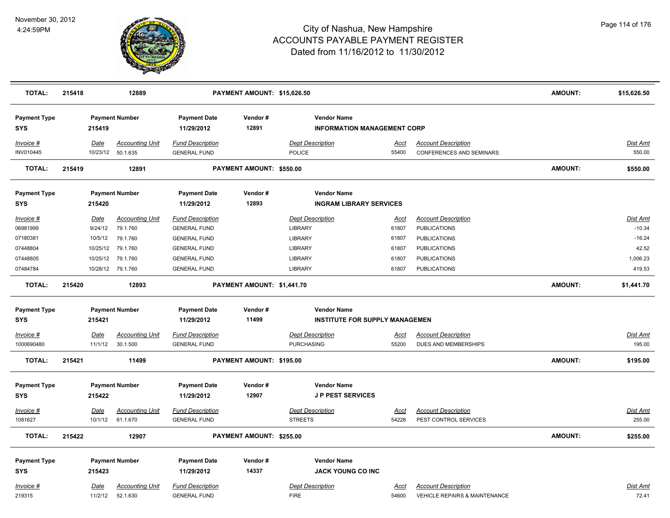

| <b>TOTAL:</b>                     | 215418      | 12889                                       |                                                | PAYMENT AMOUNT: \$15,626.50 |                                                          |                      |                                                               | <b>AMOUNT:</b> | \$15,626.50               |
|-----------------------------------|-------------|---------------------------------------------|------------------------------------------------|-----------------------------|----------------------------------------------------------|----------------------|---------------------------------------------------------------|----------------|---------------------------|
| <b>Payment Type</b><br><b>SYS</b> | 215419      | <b>Payment Number</b>                       | <b>Payment Date</b><br>11/29/2012              | Vendor#<br>12891            | <b>Vendor Name</b><br><b>INFORMATION MANAGEMENT CORP</b> |                      |                                                               |                |                           |
| Invoice #<br>INV010445            | Date        | <b>Accounting Unit</b><br>10/23/12 50.1.635 | <b>Fund Description</b><br><b>GENERAL FUND</b> |                             | <b>Dept Description</b><br>POLICE                        | <u>Acct</u><br>55400 | <b>Account Description</b><br><b>CONFERENCES AND SEMINARS</b> |                | <u>Dist Amt</u><br>550.00 |
| <b>TOTAL:</b>                     | 215419      | 12891                                       |                                                | PAYMENT AMOUNT: \$550.00    |                                                          |                      |                                                               | <b>AMOUNT:</b> | \$550.00                  |
| <b>Payment Type</b><br><b>SYS</b> | 215420      | <b>Payment Number</b>                       | <b>Payment Date</b><br>11/29/2012              | Vendor#<br>12893            | <b>Vendor Name</b><br><b>INGRAM LIBRARY SERVICES</b>     |                      |                                                               |                |                           |
| Invoice #                         | Date        | <b>Accounting Unit</b>                      | <b>Fund Description</b>                        |                             | <b>Dept Description</b>                                  | <u>Acct</u>          | <b>Account Description</b>                                    |                | <b>Dist Amt</b>           |
| 06981999                          | 9/24/12     | 79.1.760                                    | <b>GENERAL FUND</b>                            |                             | <b>LIBRARY</b>                                           | 61807                | <b>PUBLICATIONS</b>                                           |                | $-10.34$                  |
| 07180381                          | 10/5/12     | 79.1.760                                    | <b>GENERAL FUND</b>                            |                             | <b>LIBRARY</b>                                           | 61807                | <b>PUBLICATIONS</b>                                           |                | $-16.24$                  |
| 07448804                          | 10/25/12    | 79.1.760                                    | <b>GENERAL FUND</b>                            |                             | <b>LIBRARY</b>                                           | 61807                | <b>PUBLICATIONS</b>                                           |                | 42.52                     |
| 07448805                          |             | 10/25/12 79.1.760                           | <b>GENERAL FUND</b>                            |                             | <b>LIBRARY</b>                                           | 61807                | <b>PUBLICATIONS</b>                                           |                | 1,006.23                  |
| 07484784                          |             | 10/28/12 79.1.760                           | <b>GENERAL FUND</b>                            |                             | <b>LIBRARY</b>                                           | 61807                | <b>PUBLICATIONS</b>                                           |                | 419.53                    |
| <b>TOTAL:</b>                     | 215420      | 12893                                       |                                                | PAYMENT AMOUNT: \$1,441.70  |                                                          |                      |                                                               | <b>AMOUNT:</b> | \$1,441.70                |
| <b>Payment Type</b>               |             | <b>Payment Number</b>                       | <b>Payment Date</b>                            | Vendor#                     | <b>Vendor Name</b>                                       |                      |                                                               |                |                           |
| <b>SYS</b>                        | 215421      |                                             | 11/29/2012                                     | 11499                       | <b>INSTITUTE FOR SUPPLY MANAGEMEN</b>                    |                      |                                                               |                |                           |
| Invoice #                         | <u>Date</u> | <b>Accounting Unit</b>                      | <b>Fund Description</b>                        |                             | <b>Dept Description</b>                                  | <u>Acct</u>          | <b>Account Description</b>                                    |                | Dist Amt                  |
| 1000690480                        | 11/1/12     | 30.1.500                                    | <b>GENERAL FUND</b>                            |                             | <b>PURCHASING</b>                                        | 55200                | DUES AND MEMBERSHIPS                                          |                | 195.00                    |
| <b>TOTAL:</b>                     | 215421      | 11499                                       |                                                | PAYMENT AMOUNT: \$195.00    |                                                          |                      |                                                               | <b>AMOUNT:</b> | \$195.00                  |
| <b>Payment Type</b><br><b>SYS</b> | 215422      | <b>Payment Number</b>                       | <b>Payment Date</b><br>11/29/2012              | Vendor#<br>12907            | <b>Vendor Name</b><br><b>JP PEST SERVICES</b>            |                      |                                                               |                |                           |
| Invoice #                         | Date        | <b>Accounting Unit</b>                      | <b>Fund Description</b>                        |                             | <b>Dept Description</b>                                  | <u>Acct</u>          | <b>Account Description</b>                                    |                | Dist Amt                  |
| 1081627                           | 10/1/12     | 61.1.670                                    | <b>GENERAL FUND</b>                            |                             | <b>STREETS</b>                                           | 54228                | PEST CONTROL SERVICES                                         |                | 255.00                    |
| TOTAL:                            | 215422      | 12907                                       |                                                | PAYMENT AMOUNT: \$255.00    |                                                          |                      |                                                               | <b>AMOUNT:</b> | \$255.00                  |
| <b>Payment Type</b>               |             | <b>Payment Number</b>                       | <b>Payment Date</b>                            | Vendor#                     | <b>Vendor Name</b>                                       |                      |                                                               |                |                           |
| <b>SYS</b>                        | 215423      |                                             | 11/29/2012                                     | 14337                       | <b>JACK YOUNG CO INC</b>                                 |                      |                                                               |                |                           |
| Invoice #                         | <u>Date</u> | <b>Accounting Unit</b>                      | <b>Fund Description</b>                        |                             | <b>Dept Description</b>                                  | <u>Acct</u>          | <b>Account Description</b>                                    |                | Dist Amt                  |
| 219315                            | 11/2/12     | 52.1.630                                    | <b>GENERAL FUND</b>                            |                             | <b>FIRE</b>                                              | 54600                | <b>VEHICLE REPAIRS &amp; MAINTENANCE</b>                      |                | 72.41                     |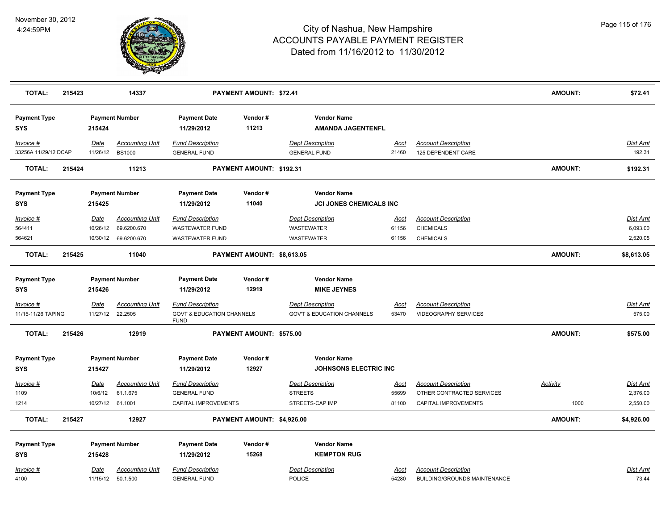

| <b>TOTAL:</b>                                  | 215423 |                         | 14337                                                         |                                                                                | <b>PAYMENT AMOUNT: \$72.41</b> |                                                                     |                               |                                                                                 | <b>AMOUNT:</b>          | \$72.41                                 |
|------------------------------------------------|--------|-------------------------|---------------------------------------------------------------|--------------------------------------------------------------------------------|--------------------------------|---------------------------------------------------------------------|-------------------------------|---------------------------------------------------------------------------------|-------------------------|-----------------------------------------|
| <b>Payment Type</b><br><b>SYS</b>              |        | 215424                  | <b>Payment Number</b>                                         | <b>Payment Date</b><br>11/29/2012                                              | Vendor#<br>11213               | <b>Vendor Name</b><br><b>AMANDA JAGENTENFL</b>                      |                               |                                                                                 |                         |                                         |
| Invoice #<br>33256A 11/29/12 DCAP              |        | Date<br>11/26/12        | <b>Accounting Unit</b><br><b>BS1000</b>                       | <b>Fund Description</b><br><b>GENERAL FUND</b>                                 |                                | <b>Dept Description</b><br><b>GENERAL FUND</b>                      | <u>Acct</u><br>21460          | <b>Account Description</b><br>125 DEPENDENT CARE                                |                         | Dist Amt<br>192.31                      |
| <b>TOTAL:</b>                                  | 215424 |                         | 11213                                                         |                                                                                | PAYMENT AMOUNT: \$192.31       |                                                                     |                               |                                                                                 | <b>AMOUNT:</b>          | \$192.31                                |
| <b>Payment Type</b><br><b>SYS</b>              |        | 215425                  | <b>Payment Number</b>                                         | <b>Payment Date</b><br>11/29/2012                                              | Vendor#<br>11040               | <b>Vendor Name</b><br><b>JCI JONES CHEMICALS INC</b>                |                               |                                                                                 |                         |                                         |
| Invoice #<br>564411<br>564621                  |        | Date<br>10/26/12        | <b>Accounting Unit</b><br>69.6200.670<br>10/30/12 69.6200.670 | <b>Fund Description</b><br><b>WASTEWATER FUND</b><br><b>WASTEWATER FUND</b>    |                                | <b>Dept Description</b><br><b>WASTEWATER</b><br>WASTEWATER          | <u>Acct</u><br>61156<br>61156 | <b>Account Description</b><br><b>CHEMICALS</b><br><b>CHEMICALS</b>              |                         | <b>Dist Amt</b><br>6,093.00<br>2,520.05 |
| <b>TOTAL:</b>                                  | 215425 |                         | 11040                                                         |                                                                                | PAYMENT AMOUNT: \$8,613.05     |                                                                     |                               |                                                                                 | <b>AMOUNT:</b>          | \$8,613.05                              |
| <b>Payment Type</b><br><b>SYS</b>              |        | 215426                  | <b>Payment Number</b>                                         | <b>Payment Date</b><br>11/29/2012                                              | Vendor#<br>12919               | <b>Vendor Name</b><br><b>MIKE JEYNES</b>                            |                               |                                                                                 |                         |                                         |
| Invoice #<br>11/15-11/26 TAPING                |        | <u>Date</u><br>11/27/12 | <b>Accounting Unit</b><br>22.2505                             | <b>Fund Description</b><br><b>GOVT &amp; EDUCATION CHANNELS</b><br><b>FUND</b> |                                | <b>Dept Description</b><br><b>GOV'T &amp; EDUCATION CHANNELS</b>    | <u>Acct</u><br>53470          | <b>Account Description</b><br><b>VIDEOGRAPHY SERVICES</b>                       |                         | Dist Amt<br>575.00                      |
| <b>TOTAL:</b>                                  | 215426 |                         | 12919                                                         |                                                                                | PAYMENT AMOUNT: \$575.00       |                                                                     |                               |                                                                                 | <b>AMOUNT:</b>          | \$575.00                                |
| <b>Payment Type</b><br><b>SYS</b>              |        | 215427                  | <b>Payment Number</b>                                         | <b>Payment Date</b><br>11/29/2012                                              | Vendor#<br>12927               | <b>Vendor Name</b><br><b>JOHNSONS ELECTRIC INC</b>                  |                               |                                                                                 |                         |                                         |
| $Invoice$ #<br>1109<br>1214                    |        | <b>Date</b><br>10/6/12  | <b>Accounting Unit</b><br>61.1.675<br>10/27/12 61.1001        | <b>Fund Description</b><br><b>GENERAL FUND</b><br>CAPITAL IMPROVEMENTS         |                                | <b>Dept Description</b><br><b>STREETS</b><br>STREETS-CAP IMP        | <u>Acct</u><br>55699<br>81100 | <b>Account Description</b><br>OTHER CONTRACTED SERVICES<br>CAPITAL IMPROVEMENTS | <b>Activity</b><br>1000 | Dist Amt<br>2,376.00<br>2,550.00        |
| <b>TOTAL:</b>                                  | 215427 |                         | 12927                                                         |                                                                                | PAYMENT AMOUNT: \$4,926.00     |                                                                     |                               |                                                                                 | <b>AMOUNT:</b>          | \$4,926.00                              |
| <b>Payment Type</b><br><b>SYS</b><br>Invoice # |        | 215428<br><u>Date</u>   | <b>Payment Number</b><br><b>Accounting Unit</b>               | <b>Payment Date</b><br>11/29/2012<br><b>Fund Description</b>                   | Vendor#<br>15268               | <b>Vendor Name</b><br><b>KEMPTON RUG</b><br><b>Dept Description</b> | <u>Acct</u>                   | <b>Account Description</b>                                                      |                         | Dist Amt                                |
| 4100                                           |        |                         | 11/15/12 50.1.500                                             | <b>GENERAL FUND</b>                                                            |                                | POLICE                                                              | 54280                         | BUILDING/GROUNDS MAINTENANCE                                                    |                         | 73.44                                   |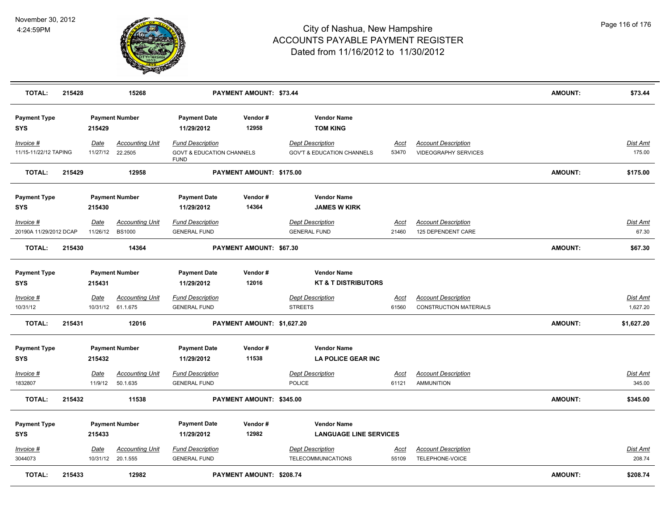

| <b>TOTAL:</b>                       | 215428 |                         | 15268                                       |                                                                                | PAYMENT AMOUNT: \$73.44    |                                                                  |                      |                                                             | <b>AMOUNT:</b> | \$73.44                   |
|-------------------------------------|--------|-------------------------|---------------------------------------------|--------------------------------------------------------------------------------|----------------------------|------------------------------------------------------------------|----------------------|-------------------------------------------------------------|----------------|---------------------------|
| <b>Payment Type</b><br><b>SYS</b>   |        | 215429                  | <b>Payment Number</b>                       | <b>Payment Date</b><br>11/29/2012                                              | Vendor#<br>12958           | <b>Vendor Name</b><br><b>TOM KING</b>                            |                      |                                                             |                |                           |
| Invoice #<br>11/15-11/22/12 TAPING  |        | Date<br>11/27/12        | Accounting Unit<br>22.2505                  | <b>Fund Description</b><br><b>GOVT &amp; EDUCATION CHANNELS</b><br><b>FUND</b> |                            | <b>Dept Description</b><br><b>GOV'T &amp; EDUCATION CHANNELS</b> | <b>Acct</b><br>53470 | <b>Account Description</b><br>VIDEOGRAPHY SERVICES          |                | <b>Dist Amt</b><br>175.00 |
| <b>TOTAL:</b>                       | 215429 |                         | 12958                                       |                                                                                | PAYMENT AMOUNT: \$175.00   |                                                                  |                      |                                                             | <b>AMOUNT:</b> | \$175.00                  |
| <b>Payment Type</b><br><b>SYS</b>   |        | 215430                  | <b>Payment Number</b>                       | <b>Payment Date</b><br>11/29/2012                                              | Vendor#<br>14364           | <b>Vendor Name</b><br><b>JAMES W KIRK</b>                        |                      |                                                             |                |                           |
| Invoice #<br>20190A 11/29/2012 DCAP |        | <b>Date</b><br>11/26/12 | <b>Accounting Unit</b><br><b>BS1000</b>     | <b>Fund Description</b><br><b>GENERAL FUND</b>                                 |                            | <b>Dept Description</b><br><b>GENERAL FUND</b>                   | Acct<br>21460        | <b>Account Description</b><br>125 DEPENDENT CARE            |                | <b>Dist Amt</b><br>67.30  |
| <b>TOTAL:</b>                       | 215430 |                         | 14364                                       |                                                                                | PAYMENT AMOUNT: \$67.30    |                                                                  |                      |                                                             | <b>AMOUNT:</b> | \$67.30                   |
| <b>Payment Type</b><br><b>SYS</b>   |        | 215431                  | <b>Payment Number</b>                       | <b>Payment Date</b><br>11/29/2012                                              | Vendor#<br>12016           | <b>Vendor Name</b><br><b>KT &amp; T DISTRIBUTORS</b>             |                      |                                                             |                |                           |
| Invoice #<br>10/31/12               |        | Date                    | <b>Accounting Unit</b><br>10/31/12 61.1.675 | <b>Fund Description</b><br><b>GENERAL FUND</b>                                 |                            | <b>Dept Description</b><br><b>STREETS</b>                        | Acct<br>61560        | <b>Account Description</b><br><b>CONSTRUCTION MATERIALS</b> |                | Dist Amt<br>1,627.20      |
| <b>TOTAL:</b>                       | 215431 |                         | 12016                                       |                                                                                | PAYMENT AMOUNT: \$1,627.20 |                                                                  |                      |                                                             | <b>AMOUNT:</b> | \$1,627.20                |
| <b>Payment Type</b><br><b>SYS</b>   |        | 215432                  | <b>Payment Number</b>                       | <b>Payment Date</b><br>11/29/2012                                              | Vendor#<br>11538           | <b>Vendor Name</b><br><b>LA POLICE GEAR INC</b>                  |                      |                                                             |                |                           |
| $Invoice$ #<br>1832807              |        | Date<br>11/9/12         | <b>Accounting Unit</b><br>50.1.635          | <b>Fund Description</b><br><b>GENERAL FUND</b>                                 |                            | <b>Dept Description</b><br><b>POLICE</b>                         | <u>Acct</u><br>61121 | <b>Account Description</b><br><b>AMMUNITION</b>             |                | <b>Dist Amt</b><br>345.00 |
| <b>TOTAL:</b>                       | 215432 |                         | 11538                                       |                                                                                | PAYMENT AMOUNT: \$345.00   |                                                                  |                      |                                                             | <b>AMOUNT:</b> | \$345.00                  |
| <b>Payment Type</b><br><b>SYS</b>   |        | 215433                  | <b>Payment Number</b>                       | <b>Payment Date</b><br>11/29/2012                                              | Vendor#<br>12982           | <b>Vendor Name</b><br><b>LANGUAGE LINE SERVICES</b>              |                      |                                                             |                |                           |
| Invoice #<br>3044073                |        | Date                    | <b>Accounting Unit</b><br>10/31/12 20.1.555 | <b>Fund Description</b><br><b>GENERAL FUND</b>                                 |                            | <b>Dept Description</b><br><b>TELECOMMUNICATIONS</b>             | <u>Acct</u><br>55109 | <b>Account Description</b><br>TELEPHONE-VOICE               |                | <b>Dist Amt</b><br>208.74 |
| <b>TOTAL:</b>                       | 215433 |                         | 12982                                       |                                                                                | PAYMENT AMOUNT: \$208.74   |                                                                  |                      |                                                             | <b>AMOUNT:</b> | \$208.74                  |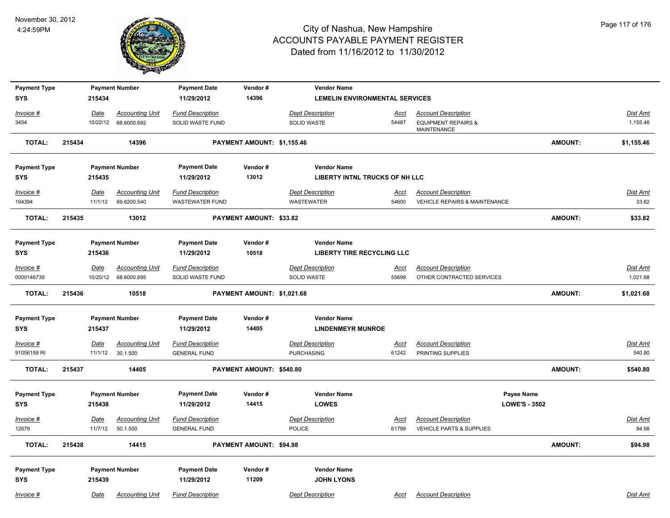

| <b>Payment Type</b> |        |             | <b>Payment Number</b>  | <b>Payment Date</b>     | Vendor#                    | <b>Vendor Name</b>                    |             |                                                      |                      |                |                 |
|---------------------|--------|-------------|------------------------|-------------------------|----------------------------|---------------------------------------|-------------|------------------------------------------------------|----------------------|----------------|-----------------|
| <b>SYS</b>          |        | 215434      |                        | 11/29/2012              | 14396                      | <b>LEMELIN ENVIRONMENTAL SERVICES</b> |             |                                                      |                      |                |                 |
| Invoice #           |        | Date        | <b>Accounting Unit</b> | <b>Fund Description</b> |                            | <b>Dept Description</b>               | <u>Acct</u> | <b>Account Description</b>                           |                      |                | <b>Dist Amt</b> |
| 3454                |        | 10/22/12    | 68.6000.692            | SOLID WASTE FUND        |                            | <b>SOLID WASTE</b>                    | 54487       | <b>EQUIPMENT REPAIRS &amp;</b><br><b>MAINTENANCE</b> |                      |                | 1,155.46        |
| <b>TOTAL:</b>       | 215434 |             | 14396                  |                         | PAYMENT AMOUNT: \$1,155.46 |                                       |             |                                                      |                      | <b>AMOUNT:</b> | \$1,155.46      |
| <b>Payment Type</b> |        |             | <b>Payment Number</b>  | <b>Payment Date</b>     | Vendor#                    | <b>Vendor Name</b>                    |             |                                                      |                      |                |                 |
| <b>SYS</b>          |        | 215435      |                        | 11/29/2012              | 13012                      | LIBERTY INTNL TRUCKS OF NH LLC        |             |                                                      |                      |                |                 |
| Invoice #           |        | <b>Date</b> | <b>Accounting Unit</b> | <b>Fund Description</b> |                            | <b>Dept Description</b>               | <u>Acct</u> | <b>Account Description</b>                           |                      |                | <b>Dist Amt</b> |
| 194394              |        | 11/1/12     | 69.6200.540            | <b>WASTEWATER FUND</b>  |                            | WASTEWATER                            | 54600       | <b>VEHICLE REPAIRS &amp; MAINTENANCE</b>             |                      |                | 33.82           |
| <b>TOTAL:</b>       | 215435 |             | 13012                  |                         | PAYMENT AMOUNT: \$33.82    |                                       |             |                                                      |                      | AMOUNT:        | \$33.82         |
| <b>Payment Type</b> |        |             | <b>Payment Number</b>  | <b>Payment Date</b>     | Vendor#                    | <b>Vendor Name</b>                    |             |                                                      |                      |                |                 |
| <b>SYS</b>          |        | 215436      |                        | 11/29/2012              | 10518                      | <b>LIBERTY TIRE RECYCLING LLC</b>     |             |                                                      |                      |                |                 |
| $Invoice$ #         |        | Date        | <b>Accounting Unit</b> | <b>Fund Description</b> |                            | <b>Dept Description</b>               | <u>Acct</u> | <b>Account Description</b>                           |                      |                | <b>Dist Amt</b> |
| 0000146739          |        |             | 10/20/12 68.6000.695   | SOLID WASTE FUND        |                            | SOLID WASTE                           | 55699       | OTHER CONTRACTED SERVICES                            |                      |                | 1,021.68        |
| <b>TOTAL:</b>       | 215436 |             | 10518                  |                         | PAYMENT AMOUNT: \$1,021.68 |                                       |             |                                                      |                      | <b>AMOUNT:</b> | \$1,021.68      |
| <b>Payment Type</b> |        |             | <b>Payment Number</b>  | <b>Payment Date</b>     | Vendor#                    | <b>Vendor Name</b>                    |             |                                                      |                      |                |                 |
| <b>SYS</b>          |        | 215437      |                        | 11/29/2012              | 14405                      | <b>LINDENMEYR MUNROE</b>              |             |                                                      |                      |                |                 |
| Invoice #           |        | <u>Date</u> | <b>Accounting Unit</b> | <b>Fund Description</b> |                            | <b>Dept Description</b>               | <u>Acct</u> | <b>Account Description</b>                           |                      |                | Dist Amt        |
| 91056159 RI         |        | 11/1/12     | 30.1.500               | <b>GENERAL FUND</b>     |                            | <b>PURCHASING</b>                     | 61242       | PRINTING SUPPLIES                                    |                      |                | 540.80          |
| <b>TOTAL:</b>       | 215437 |             | 14405                  |                         | PAYMENT AMOUNT: \$540.80   |                                       |             |                                                      |                      | AMOUNT:        | \$540.80        |
| <b>Payment Type</b> |        |             | <b>Payment Number</b>  | <b>Payment Date</b>     | Vendor#                    | <b>Vendor Name</b>                    |             |                                                      | Payee Name           |                |                 |
| <b>SYS</b>          |        | 215438      |                        | 11/29/2012              | 14415                      | <b>LOWES</b>                          |             |                                                      | <b>LOWE'S - 3502</b> |                |                 |
| Invoice #           |        | <u>Date</u> | <b>Accounting Unit</b> | <b>Fund Description</b> |                            | <b>Dept Description</b>               | <u>Acct</u> | <b>Account Description</b>                           |                      |                | <b>Dist Amt</b> |
| 12679               |        | 11/7/12     | 50.1.500               | <b>GENERAL FUND</b>     |                            | <b>POLICE</b>                         | 61799       | VEHICLE PARTS & SUPPLIES                             |                      |                | 94.98           |
| <b>TOTAL:</b>       | 215438 |             | 14415                  |                         | PAYMENT AMOUNT: \$94.98    |                                       |             |                                                      |                      | AMOUNT:        | \$94.98         |
| <b>Payment Type</b> |        |             | <b>Payment Number</b>  | <b>Payment Date</b>     | Vendor#                    | <b>Vendor Name</b>                    |             |                                                      |                      |                |                 |
| <b>SYS</b>          |        | 215439      |                        | 11/29/2012              | 11209                      | <b>JOHN LYONS</b>                     |             |                                                      |                      |                |                 |
| Invoice #           |        | Date        | <b>Accounting Unit</b> | <b>Fund Description</b> |                            | <b>Dept Description</b>               | Acct        | <b>Account Description</b>                           |                      |                | Dist Amt        |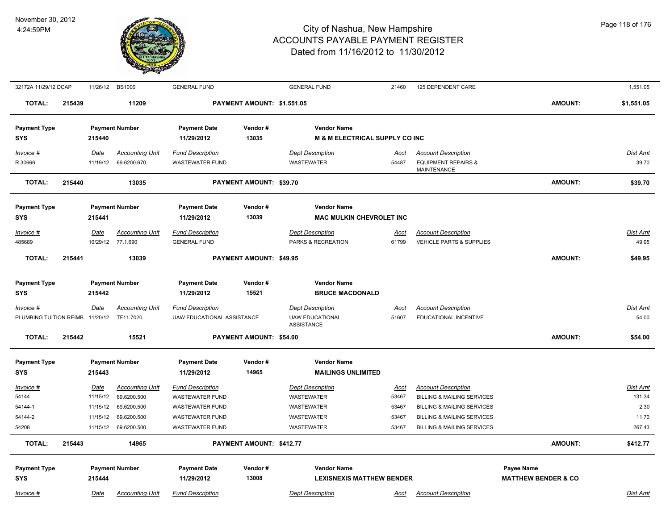

| 32172A 11/29/12 DCAP                         |        |             | 11/26/12 BS1000        | <b>GENERAL FUND</b>        |                            | <b>GENERAL FUND</b>                         | 21460         | 125 DEPENDENT CARE                    |                                | 1,551.05                 |
|----------------------------------------------|--------|-------------|------------------------|----------------------------|----------------------------|---------------------------------------------|---------------|---------------------------------------|--------------------------------|--------------------------|
| <b>TOTAL:</b>                                | 215439 |             | 11209                  |                            | PAYMENT AMOUNT: \$1,551.05 |                                             |               |                                       | <b>AMOUNT:</b>                 | \$1,551.05               |
| <b>Payment Type</b>                          |        |             | <b>Payment Number</b>  | <b>Payment Date</b>        | Vendor#                    | <b>Vendor Name</b>                          |               |                                       |                                |                          |
| <b>SYS</b>                                   |        | 215440      |                        | 11/29/2012                 | 13035                      | <b>M &amp; M ELECTRICAL SUPPLY CO INC</b>   |               |                                       |                                |                          |
| Invoice #                                    |        | Date        | <b>Accounting Unit</b> | <b>Fund Description</b>    |                            | <b>Dept Description</b>                     | Acct          | <b>Account Description</b>            |                                | Dist Amt                 |
| R 30666                                      |        | 11/19/12    | 69.6200.670            | <b>WASTEWATER FUND</b>     |                            | WASTEWATER                                  | 54487         | <b>EQUIPMENT REPAIRS &amp;</b>        |                                | 39.70                    |
|                                              |        |             |                        |                            |                            |                                             |               | <b>MAINTENANCE</b>                    |                                |                          |
| <b>TOTAL:</b>                                | 215440 |             | 13035                  |                            | PAYMENT AMOUNT: \$39.70    |                                             |               |                                       | <b>AMOUNT:</b>                 | \$39.70                  |
| <b>Payment Type</b>                          |        |             | <b>Payment Number</b>  | <b>Payment Date</b>        | Vendor#                    | <b>Vendor Name</b>                          |               |                                       |                                |                          |
| SYS                                          |        | 215441      |                        | 11/29/2012                 | 13039                      | <b>MAC MULKIN CHEVROLET INC</b>             |               |                                       |                                |                          |
| Invoice #                                    |        | <u>Date</u> | <b>Accounting Unit</b> | <b>Fund Description</b>    |                            | <b>Dept Description</b>                     | <u>Acct</u>   | <b>Account Description</b>            |                                | Dist Amt                 |
| 485689                                       |        | 10/29/12    | 77.1.690               | <b>GENERAL FUND</b>        |                            | PARKS & RECREATION                          | 61799         | <b>VEHICLE PARTS &amp; SUPPLIES</b>   |                                | 49.95                    |
| <b>TOTAL:</b>                                | 215441 |             | 13039                  |                            | PAYMENT AMOUNT: \$49.95    |                                             |               |                                       | <b>AMOUNT:</b>                 | \$49.95                  |
|                                              |        |             |                        |                            |                            |                                             |               |                                       |                                |                          |
|                                              |        |             |                        | <b>Payment Date</b>        | Vendor#                    | <b>Vendor Name</b>                          |               |                                       |                                |                          |
| <b>Payment Type</b><br><b>SYS</b>            |        | 215442      | <b>Payment Number</b>  | 11/29/2012                 | 15521                      | <b>BRUCE MACDONALD</b>                      |               |                                       |                                |                          |
|                                              |        |             |                        |                            |                            |                                             |               |                                       |                                |                          |
| Invoice #<br>PLUMBING TUITION REIMB 11/20/12 |        | Date        | <b>Accounting Unit</b> | <b>Fund Description</b>    |                            | <b>Dept Description</b>                     | Acct<br>51607 | <b>Account Description</b>            |                                | <u>Dist Amt</u><br>54.00 |
|                                              |        |             | TF11.7020              | UAW EDUCATIONAL ASSISTANCE |                            | <b>UAW EDUCATIONAL</b><br><b>ASSISTANCE</b> |               | EDUCATIONAL INCENTIVE                 |                                |                          |
| <b>TOTAL:</b>                                | 215442 |             | 15521                  |                            | PAYMENT AMOUNT: \$54.00    |                                             |               |                                       | <b>AMOUNT:</b>                 | \$54.00                  |
| <b>Payment Type</b>                          |        |             | <b>Payment Number</b>  | <b>Payment Date</b>        | Vendor#                    | <b>Vendor Name</b>                          |               |                                       |                                |                          |
| <b>SYS</b>                                   |        | 215443      |                        | 11/29/2012                 | 14965                      | <b>MAILINGS UNLIMITED</b>                   |               |                                       |                                |                          |
| Invoice #                                    |        | Date        | <b>Accounting Unit</b> | <b>Fund Description</b>    |                            | <b>Dept Description</b>                     | <b>Acct</b>   | <b>Account Description</b>            |                                | Dist Amt                 |
| 54144                                        |        | 11/15/12    | 69.6200.500            | <b>WASTEWATER FUND</b>     |                            | <b>WASTEWATER</b>                           | 53467         | <b>BILLING &amp; MAILING SERVICES</b> |                                | 131.34                   |
| 54144-1                                      |        | 11/15/12    | 69.6200.500            | WASTEWATER FUND            |                            | WASTEWATER                                  | 53467         | <b>BILLING &amp; MAILING SERVICES</b> |                                | 2.30                     |
| 54144-2                                      |        | 11/15/12    | 69.6200.500            | WASTEWATER FUND            |                            | WASTEWATER                                  | 53467         | <b>BILLING &amp; MAILING SERVICES</b> |                                | 11.70                    |
| 54208                                        |        | 11/15/12    | 69.6200.500            | <b>WASTEWATER FUND</b>     |                            | <b>WASTEWATER</b>                           | 53467         | <b>BILLING &amp; MAILING SERVICES</b> |                                | 267.43                   |
| <b>TOTAL:</b>                                | 215443 |             | 14965                  |                            | PAYMENT AMOUNT: \$412.77   |                                             |               |                                       | <b>AMOUNT:</b>                 | \$412.77                 |
|                                              |        |             |                        |                            |                            |                                             |               |                                       |                                |                          |
| <b>Payment Type</b>                          |        |             | <b>Payment Number</b>  | <b>Payment Date</b>        | Vendor#                    | <b>Vendor Name</b>                          |               |                                       | <b>Payee Name</b>              |                          |
| <b>SYS</b>                                   |        | 215444      |                        | 11/29/2012                 | 13008                      | <b>LEXISNEXIS MATTHEW BENDER</b>            |               |                                       | <b>MATTHEW BENDER &amp; CO</b> |                          |
| Invoice #                                    |        | Date        | <b>Accounting Unit</b> | <b>Fund Description</b>    |                            | <b>Dept Description</b>                     | <u>Acct</u>   | <b>Account Description</b>            |                                | Dist Amt                 |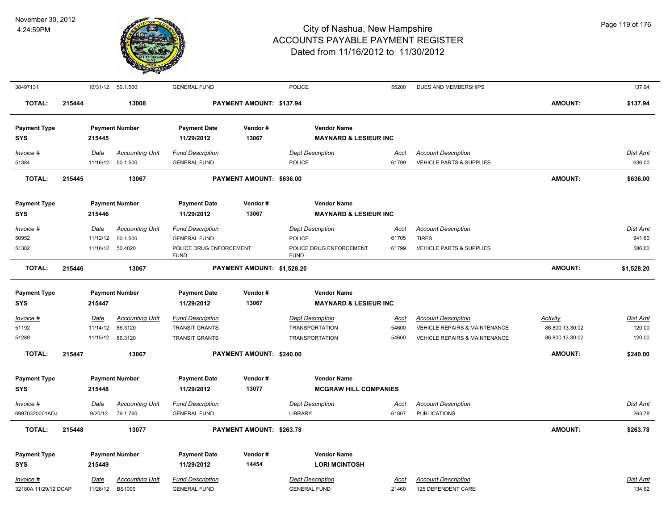

| 38497131                          |        |                  | 10/31/12 50.1.500                       | <b>GENERAL FUND</b>                            |                            | POLICE                                         | 55200         | DUES AND MEMBERSHIPS                             |                 | 137.94             |
|-----------------------------------|--------|------------------|-----------------------------------------|------------------------------------------------|----------------------------|------------------------------------------------|---------------|--------------------------------------------------|-----------------|--------------------|
| <b>TOTAL:</b>                     | 215444 |                  | 13008                                   |                                                | PAYMENT AMOUNT: \$137.94   |                                                |               |                                                  | <b>AMOUNT:</b>  | \$137.94           |
| <b>Payment Type</b>               |        |                  | <b>Payment Number</b>                   | <b>Payment Date</b>                            | Vendor#                    | <b>Vendor Name</b>                             |               |                                                  |                 |                    |
| <b>SYS</b>                        |        | 215445           |                                         | 11/29/2012                                     | 13067                      | <b>MAYNARD &amp; LESIEUR INC</b>               |               |                                                  |                 |                    |
| Invoice #                         |        | Date             | <b>Accounting Unit</b>                  | <b>Fund Description</b>                        |                            | <b>Dept Description</b>                        | Acct          | <b>Account Description</b>                       |                 | Dist Amt           |
| 51384                             |        | 11/16/12         | 50.1.500                                | <b>GENERAL FUND</b>                            |                            | <b>POLICE</b>                                  | 61799         | VEHICLE PARTS & SUPPLIES                         |                 | 636.00             |
| <b>TOTAL:</b>                     | 215445 |                  | 13067                                   |                                                | PAYMENT AMOUNT: \$636.00   |                                                |               |                                                  | <b>AMOUNT:</b>  | \$636.00           |
|                                   |        |                  |                                         |                                                |                            |                                                |               |                                                  |                 |                    |
| <b>Payment Type</b>               |        |                  | <b>Payment Number</b>                   | <b>Payment Date</b>                            | Vendor#                    | <b>Vendor Name</b>                             |               |                                                  |                 |                    |
| <b>SYS</b>                        |        | 215446           |                                         | 11/29/2012                                     | 13067                      | <b>MAYNARD &amp; LESIEUR INC</b>               |               |                                                  |                 |                    |
| Invoice #                         |        | Date             | <b>Accounting Unit</b>                  | <b>Fund Description</b>                        |                            | <b>Dept Description</b>                        | <u>Acct</u>   | <b>Account Description</b>                       |                 | <b>Dist Amt</b>    |
| 50952                             |        | 11/12/12         | 50.1.500                                | <b>GENERAL FUND</b>                            |                            | POLICE                                         | 61705         | <b>TIRES</b>                                     |                 | 941.60             |
| 51382                             |        | 11/16/12 50.4020 |                                         | POLICE DRUG ENFORCEMENT<br><b>FUND</b>         |                            | POLICE DRUG ENFORCEMENT<br><b>FUND</b>         | 61799         | VEHICLE PARTS & SUPPLIES                         |                 | 586.60             |
| <b>TOTAL:</b>                     | 215446 |                  | 13067                                   |                                                | PAYMENT AMOUNT: \$1,528.20 |                                                |               |                                                  | <b>AMOUNT:</b>  | \$1,528.20         |
| <b>Payment Type</b>               |        |                  | <b>Payment Number</b>                   | <b>Payment Date</b>                            | Vendor#                    | <b>Vendor Name</b>                             |               |                                                  |                 |                    |
| <b>SYS</b>                        |        | 215447           |                                         | 11/29/2012                                     | 13067                      | <b>MAYNARD &amp; LESIEUR INC</b>               |               |                                                  |                 |                    |
| Invoice #                         |        | Date             | <b>Accounting Unit</b>                  | <b>Fund Description</b>                        |                            | <b>Dept Description</b>                        | <u>Acct</u>   | <b>Account Description</b>                       | Activity        | <b>Dist Amt</b>    |
| 51192                             |        | 11/14/12         | 86.3120                                 | <b>TRANSIT GRANTS</b>                          |                            | <b>TRANSPORTATION</b>                          | 54600         | <b>VEHICLE REPAIRS &amp; MAINTENANCE</b>         | 86.800.13.30.02 | 120.00             |
| 51289                             |        | 11/15/12         | 86.3120                                 | <b>TRANSIT GRANTS</b>                          |                            | <b>TRANSPORTATION</b>                          | 54600         | <b>VEHICLE REPAIRS &amp; MAINTENANCE</b>         | 86.800.13.30.02 | 120.00             |
| <b>TOTAL:</b>                     | 215447 |                  | 13067                                   |                                                | PAYMENT AMOUNT: \$240.00   |                                                |               |                                                  | <b>AMOUNT:</b>  | \$240.00           |
| <b>Payment Type</b>               |        |                  | <b>Payment Number</b>                   | <b>Payment Date</b>                            | Vendor#                    | <b>Vendor Name</b>                             |               |                                                  |                 |                    |
| <b>SYS</b>                        |        | 215448           |                                         | 11/29/2012                                     | 13077                      | <b>MCGRAW HILL COMPANIES</b>                   |               |                                                  |                 |                    |
| Invoice #                         |        | <b>Date</b>      | <b>Accounting Unit</b>                  | <b>Fund Description</b>                        |                            | <b>Dept Description</b>                        | <u>Acct</u>   | <b>Account Description</b>                       |                 | Dist Amt           |
| 69970320001ADJ                    |        |                  | 9/20/12 79.1.760                        | <b>GENERAL FUND</b>                            |                            | <b>LIBRARY</b>                                 | 61807         | <b>PUBLICATIONS</b>                              |                 | 263.78             |
| <b>TOTAL:</b>                     | 215448 |                  | 13077                                   |                                                | PAYMENT AMOUNT: \$263.78   |                                                |               |                                                  | <b>AMOUNT:</b>  | \$263.78           |
| <b>Payment Type</b>               |        |                  | <b>Payment Number</b>                   | <b>Payment Date</b>                            | Vendor#                    | <b>Vendor Name</b>                             |               |                                                  |                 |                    |
| <b>SYS</b>                        |        | 215449           |                                         | 11/29/2012                                     | 14454                      | <b>LORI MCINTOSH</b>                           |               |                                                  |                 |                    |
|                                   |        |                  |                                         |                                                |                            |                                                |               |                                                  |                 |                    |
| Invoice #<br>32180A 11/29/12 DCAP |        | Date<br>11/26/12 | <b>Accounting Unit</b><br><b>BS1000</b> | <b>Fund Description</b><br><b>GENERAL FUND</b> |                            | <b>Dept Description</b><br><b>GENERAL FUND</b> | Acct<br>21460 | <b>Account Description</b><br>125 DEPENDENT CARE |                 | Dist Amt<br>134.62 |
|                                   |        |                  |                                         |                                                |                            |                                                |               |                                                  |                 |                    |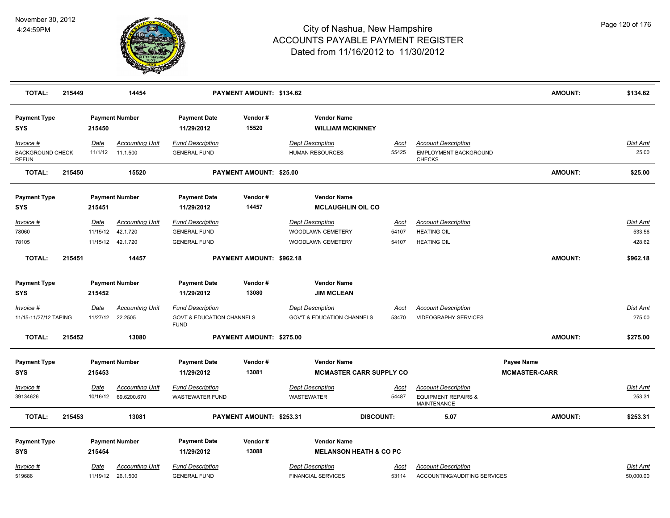

| <b>TOTAL:</b>                                        | 215449 |                  | 14454                                                    |                                                                                | PAYMENT AMOUNT: \$134.62 |                                                                   |                               |                                                                                    | <b>AMOUNT:</b>                     | \$134.62                            |
|------------------------------------------------------|--------|------------------|----------------------------------------------------------|--------------------------------------------------------------------------------|--------------------------|-------------------------------------------------------------------|-------------------------------|------------------------------------------------------------------------------------|------------------------------------|-------------------------------------|
| <b>Payment Type</b><br><b>SYS</b>                    |        | 215450           | <b>Payment Number</b>                                    | <b>Payment Date</b><br>11/29/2012                                              | Vendor#<br>15520         | <b>Vendor Name</b><br><b>WILLIAM MCKINNEY</b>                     |                               |                                                                                    |                                    |                                     |
| Invoice #<br><b>BACKGROUND CHECK</b><br><b>REFUN</b> |        | Date<br>11/1/12  | <b>Accounting Unit</b><br>11.1.500                       | <b>Fund Description</b><br><b>GENERAL FUND</b>                                 |                          | <b>Dept Description</b><br>HUMAN RESOURCES                        | Acct<br>55425                 | <b>Account Description</b><br>EMPLOYMENT BACKGROUND<br><b>CHECKS</b>               |                                    | Dist Amt<br>25.00                   |
| <b>TOTAL:</b>                                        | 215450 |                  | 15520                                                    |                                                                                | PAYMENT AMOUNT: \$25.00  |                                                                   |                               |                                                                                    | <b>AMOUNT:</b>                     | \$25.00                             |
| <b>Payment Type</b><br><b>SYS</b>                    |        | 215451           | <b>Payment Number</b>                                    | <b>Payment Date</b><br>11/29/2012                                              | Vendor#<br>14457         | <b>Vendor Name</b><br><b>MCLAUGHLIN OIL CO</b>                    |                               |                                                                                    |                                    |                                     |
| $Invoice$ #<br>78060<br>78105                        |        | Date<br>11/15/12 | <b>Accounting Unit</b><br>42.1.720<br>11/15/12  42.1.720 | <b>Fund Description</b><br><b>GENERAL FUND</b><br><b>GENERAL FUND</b>          |                          | <b>Dept Description</b><br>WOODLAWN CEMETERY<br>WOODLAWN CEMETERY | <b>Acct</b><br>54107<br>54107 | <b>Account Description</b><br><b>HEATING OIL</b><br><b>HEATING OIL</b>             |                                    | <b>Dist Amt</b><br>533.56<br>428.62 |
| <b>TOTAL:</b>                                        | 215451 |                  | 14457                                                    |                                                                                | PAYMENT AMOUNT: \$962.18 |                                                                   |                               |                                                                                    | <b>AMOUNT:</b>                     | \$962.18                            |
| <b>Payment Type</b><br><b>SYS</b>                    |        | 215452           | <b>Payment Number</b>                                    | <b>Payment Date</b><br>11/29/2012                                              | Vendor#<br>13080         | <b>Vendor Name</b><br><b>JIM MCLEAN</b>                           |                               |                                                                                    |                                    |                                     |
| Invoice #<br>11/15-11/27/12 TAPING                   |        | Date             | <b>Accounting Unit</b><br>11/27/12 22.2505               | <b>Fund Description</b><br><b>GOVT &amp; EDUCATION CHANNELS</b><br><b>FUND</b> |                          | <b>Dept Description</b><br><b>GOV'T &amp; EDUCATION CHANNELS</b>  | Acct<br>53470                 | <b>Account Description</b><br><b>VIDEOGRAPHY SERVICES</b>                          |                                    | Dist Amt<br>275.00                  |
| <b>TOTAL:</b>                                        | 215452 |                  | 13080                                                    |                                                                                | PAYMENT AMOUNT: \$275.00 |                                                                   |                               |                                                                                    | <b>AMOUNT:</b>                     | \$275.00                            |
| <b>Payment Type</b><br><b>SYS</b>                    |        | 215453           | <b>Payment Number</b>                                    | <b>Payment Date</b><br>11/29/2012                                              | Vendor#<br>13081         | <b>Vendor Name</b><br><b>MCMASTER CARR SUPPLY CO</b>              |                               |                                                                                    | Payee Name<br><b>MCMASTER-CARR</b> |                                     |
| Invoice #<br>39134626                                |        | Date             | <b>Accounting Unit</b><br>10/16/12 69.6200.670           | <b>Fund Description</b><br>WASTEWATER FUND                                     |                          | <b>Dept Description</b><br><b>WASTEWATER</b>                      | <u>Acct</u><br>54487          | <b>Account Description</b><br><b>EQUIPMENT REPAIRS &amp;</b><br><b>MAINTENANCE</b> |                                    | <b>Dist Amt</b><br>253.31           |
| <b>TOTAL:</b>                                        | 215453 |                  | 13081                                                    |                                                                                | PAYMENT AMOUNT: \$253.31 |                                                                   | <b>DISCOUNT:</b>              | 5.07                                                                               | <b>AMOUNT:</b>                     | \$253.31                            |
| <b>Payment Type</b><br><b>SYS</b>                    |        | 215454           | <b>Payment Number</b>                                    | <b>Payment Date</b><br>11/29/2012                                              | Vendor#<br>13088         | <b>Vendor Name</b><br><b>MELANSON HEATH &amp; CO PC</b>           |                               |                                                                                    |                                    |                                     |
| Invoice #<br>519686                                  |        | Date             | <b>Accounting Unit</b><br>11/19/12 26.1.500              | <b>Fund Description</b><br><b>GENERAL FUND</b>                                 |                          | <b>Dept Description</b><br><b>FINANCIAL SERVICES</b>              | Acct<br>53114                 | <b>Account Description</b><br>ACCOUNTING/AUDITING SERVICES                         |                                    | Dist Amt<br>50,000.00               |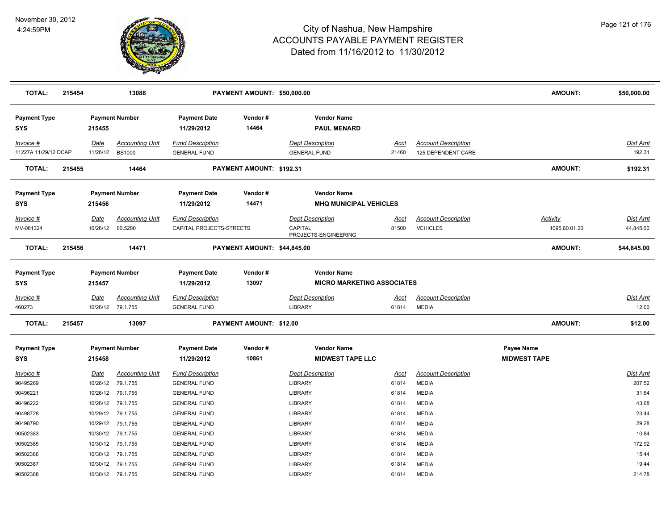

| <b>TOTAL:</b>                     | 215454 |                         | 13088                                       |                                                     | PAYMENT AMOUNT: \$50,000.00 |                                                            |                      |                                                  | <b>AMOUNT:</b>                    | \$50,000.00                  |
|-----------------------------------|--------|-------------------------|---------------------------------------------|-----------------------------------------------------|-----------------------------|------------------------------------------------------------|----------------------|--------------------------------------------------|-----------------------------------|------------------------------|
| <b>Payment Type</b><br>SYS        |        | 215455                  | <b>Payment Number</b>                       | <b>Payment Date</b><br>11/29/2012                   | Vendor#<br>14464            | <b>Vendor Name</b><br><b>PAUL MENARD</b>                   |                      |                                                  |                                   |                              |
| Invoice #<br>11227A 11/29/12 DCAP |        | Date<br>11/26/12        | <b>Accounting Unit</b><br><b>BS1000</b>     | <b>Fund Description</b><br><b>GENERAL FUND</b>      |                             | <b>Dept Description</b><br><b>GENERAL FUND</b>             | Acct<br>21460        | <b>Account Description</b><br>125 DEPENDENT CARE |                                   | Dist Amt<br>192.31           |
| <b>TOTAL:</b>                     | 215455 |                         | 14464                                       |                                                     | PAYMENT AMOUNT: \$192.31    |                                                            |                      |                                                  | <b>AMOUNT:</b>                    | \$192.31                     |
| <b>Payment Type</b><br><b>SYS</b> |        | 215456                  | <b>Payment Number</b>                       | <b>Payment Date</b><br>11/29/2012                   | Vendor#<br>14471            | <b>Vendor Name</b><br><b>MHQ MUNICIPAL VEHICLES</b>        |                      |                                                  |                                   |                              |
| Invoice #<br>MV-081324            |        | Date<br>10/26/12        | <b>Accounting Unit</b><br>60.5200           | <b>Fund Description</b><br>CAPITAL PROJECTS-STREETS |                             | <b>Dept Description</b><br>CAPITAL<br>PROJECTS-ENGINEERING | <u>Acct</u><br>81500 | <b>Account Description</b><br><b>VEHICLES</b>    | <b>Activity</b><br>1095.60.01.20  | <b>Dist Amt</b><br>44,845.00 |
| <b>TOTAL:</b>                     | 215456 |                         | 14471                                       |                                                     | PAYMENT AMOUNT: \$44,845.00 |                                                            |                      |                                                  | <b>AMOUNT:</b>                    | \$44,845.00                  |
| <b>Payment Type</b><br><b>SYS</b> |        | 215457                  | <b>Payment Number</b>                       | <b>Payment Date</b><br>11/29/2012                   | Vendor#<br>13097            | <b>Vendor Name</b><br><b>MICRO MARKETING ASSOCIATES</b>    |                      |                                                  |                                   |                              |
| Invoice #<br>460273               |        | Date                    | <b>Accounting Unit</b><br>10/26/12 79.1.755 | <b>Fund Description</b><br><b>GENERAL FUND</b>      |                             | <b>Dept Description</b><br><b>LIBRARY</b>                  | Acct<br>61814        | <b>Account Description</b><br><b>MEDIA</b>       |                                   | Dist Amt<br>12.00            |
| <b>TOTAL:</b>                     | 215457 |                         | 13097                                       |                                                     | PAYMENT AMOUNT: \$12.00     |                                                            |                      |                                                  | <b>AMOUNT:</b>                    | \$12.00                      |
| <b>Payment Type</b><br><b>SYS</b> |        | 215458                  | <b>Payment Number</b>                       | <b>Payment Date</b><br>11/29/2012                   | Vendor#<br>10861            | <b>Vendor Name</b><br><b>MIDWEST TAPE LLC</b>              |                      |                                                  | Payee Name<br><b>MIDWEST TAPE</b> |                              |
| <u>Invoice #</u><br>90495269      |        | <b>Date</b><br>10/26/12 | <b>Accounting Unit</b><br>79.1.755          | <b>Fund Description</b><br><b>GENERAL FUND</b>      |                             | <b>Dept Description</b><br><b>LIBRARY</b>                  | <u>Acct</u><br>61814 | <b>Account Description</b><br><b>MEDIA</b>       |                                   | <b>Dist Amt</b><br>207.52    |
| 90496221<br>90496222              |        |                         | 10/26/12 79.1.755<br>10/26/12 79.1.755      | <b>GENERAL FUND</b><br><b>GENERAL FUND</b>          |                             | <b>LIBRARY</b><br><b>LIBRARY</b>                           | 61814<br>61814       | <b>MEDIA</b><br><b>MEDIA</b>                     |                                   | 31.64<br>43.68               |
| 90498728<br>90498790              |        | 10/29/12<br>10/29/12    | 79.1.755<br>79.1.755                        | <b>GENERAL FUND</b><br><b>GENERAL FUND</b>          |                             | <b>LIBRARY</b><br><b>LIBRARY</b>                           | 61814<br>61814       | <b>MEDIA</b><br><b>MEDIA</b>                     |                                   | 23.44<br>29.28               |
| 90502383                          |        |                         | 10/30/12 79.1.755                           | <b>GENERAL FUND</b>                                 |                             | <b>LIBRARY</b>                                             | 61814                | <b>MEDIA</b>                                     |                                   | 10.84                        |
| 90502385<br>90502386              |        | 10/30/12                | 10/30/12 79.1.755<br>79.1.755               | <b>GENERAL FUND</b><br><b>GENERAL FUND</b>          |                             | LIBRARY<br>LIBRARY                                         | 61814<br>61814       | <b>MEDIA</b><br><b>MEDIA</b>                     |                                   | 172.92<br>15.44              |
| 90502387<br>90502388              |        | 10/30/12                | 79.1.755<br>10/30/12 79.1.755               | <b>GENERAL FUND</b><br><b>GENERAL FUND</b>          |                             | <b>LIBRARY</b><br><b>LIBRARY</b>                           | 61814<br>61814       | <b>MEDIA</b><br><b>MEDIA</b>                     |                                   | 19.44<br>214.78              |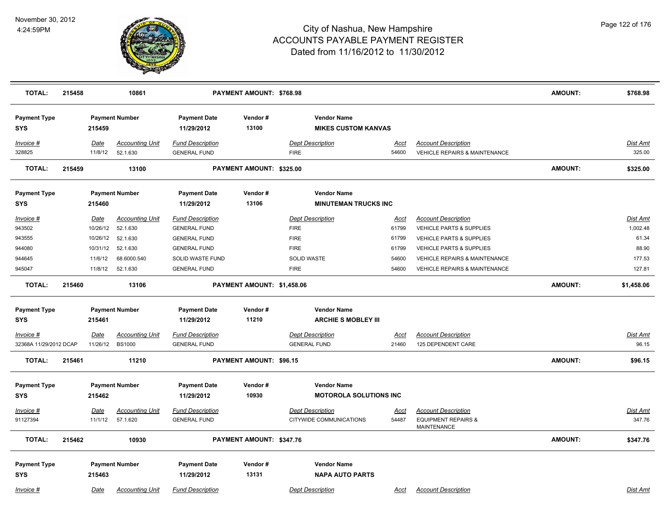

| <b>TOTAL:</b>                     | 215458 |                        | 10861                              |                                                | PAYMENT AMOUNT: \$768.98   |                                                    |                      |                                                                                    | <b>AMOUNT:</b> | \$768.98                  |
|-----------------------------------|--------|------------------------|------------------------------------|------------------------------------------------|----------------------------|----------------------------------------------------|----------------------|------------------------------------------------------------------------------------|----------------|---------------------------|
| <b>Payment Type</b><br><b>SYS</b> |        | 215459                 | <b>Payment Number</b>              | <b>Payment Date</b><br>11/29/2012              | Vendor#<br>13100           | <b>Vendor Name</b><br><b>MIKES CUSTOM KANVAS</b>   |                      |                                                                                    |                |                           |
| Invoice #<br>328825               |        | Date<br>11/8/12        | <b>Accounting Unit</b><br>52.1.630 | <b>Fund Description</b><br><b>GENERAL FUND</b> |                            | <b>Dept Description</b><br><b>FIRE</b>             | Acct<br>54600        | <b>Account Description</b><br><b>VEHICLE REPAIRS &amp; MAINTENANCE</b>             |                | Dist Amt<br>325.00        |
| <b>TOTAL:</b>                     | 215459 |                        | 13100                              |                                                | PAYMENT AMOUNT: \$325.00   |                                                    |                      |                                                                                    | <b>AMOUNT:</b> | \$325.00                  |
| <b>Payment Type</b><br>SYS        |        | 215460                 | <b>Payment Number</b>              | <b>Payment Date</b><br>11/29/2012              | Vendor#<br>13106           | <b>Vendor Name</b><br><b>MINUTEMAN TRUCKS INC</b>  |                      |                                                                                    |                |                           |
| Invoice #                         |        | Date                   | <b>Accounting Unit</b>             | <b>Fund Description</b>                        |                            | <b>Dept Description</b>                            | Acct                 | <b>Account Description</b>                                                         |                | Dist Amt                  |
| 943502                            |        | 10/26/12               | 52.1.630                           | <b>GENERAL FUND</b>                            |                            | <b>FIRE</b>                                        | 61799                | <b>VEHICLE PARTS &amp; SUPPLIES</b>                                                |                | 1,002.48                  |
| 943555                            |        | 10/26/12               | 52.1.630                           | <b>GENERAL FUND</b>                            |                            | <b>FIRE</b>                                        | 61799                | <b>VEHICLE PARTS &amp; SUPPLIES</b>                                                |                | 61.34                     |
| 944080                            |        | 10/31/12               | 52.1.630                           | <b>GENERAL FUND</b>                            |                            | <b>FIRE</b>                                        | 61799                | <b>VEHICLE PARTS &amp; SUPPLIES</b>                                                |                | 88.90                     |
| 944645                            |        | 11/6/12                | 68.6000.540                        | SOLID WASTE FUND                               |                            | <b>SOLID WASTE</b>                                 | 54600                | <b>VEHICLE REPAIRS &amp; MAINTENANCE</b>                                           |                | 177.53                    |
| 945047                            |        | 11/8/12                | 52.1.630                           | <b>GENERAL FUND</b>                            |                            | <b>FIRE</b>                                        | 54600                | <b>VEHICLE REPAIRS &amp; MAINTENANCE</b>                                           |                | 127.81                    |
| <b>TOTAL:</b>                     | 215460 |                        | 13106                              |                                                | PAYMENT AMOUNT: \$1,458.06 |                                                    |                      |                                                                                    | <b>AMOUNT:</b> | \$1,458.06                |
| <b>Payment Type</b>               |        |                        | <b>Payment Number</b>              | <b>Payment Date</b>                            | Vendor#                    | <b>Vendor Name</b>                                 |                      |                                                                                    |                |                           |
| <b>SYS</b>                        |        | 215461                 |                                    | 11/29/2012                                     | 11210                      | <b>ARCHIE S MOBLEY III</b>                         |                      |                                                                                    |                |                           |
| <u>Invoice #</u>                  |        | <u>Date</u>            | <b>Accounting Unit</b>             | <b>Fund Description</b>                        |                            | <b>Dept Description</b>                            | <u>Acct</u>          | <b>Account Description</b>                                                         |                | <u>Dist Amt</u>           |
| 32368A 11/29/2012 DCAP            |        | 11/26/12               | <b>BS1000</b>                      | <b>GENERAL FUND</b>                            |                            | <b>GENERAL FUND</b>                                | 21460                | 125 DEPENDENT CARE                                                                 |                | 96.15                     |
| <b>TOTAL:</b>                     | 215461 |                        | 11210                              |                                                | PAYMENT AMOUNT: \$96.15    |                                                    |                      |                                                                                    | <b>AMOUNT:</b> | \$96.15                   |
| <b>Payment Type</b>               |        |                        | <b>Payment Number</b>              | <b>Payment Date</b>                            | Vendor#                    | <b>Vendor Name</b>                                 |                      |                                                                                    |                |                           |
| <b>SYS</b>                        |        | 215462                 |                                    | 11/29/2012                                     | 10930                      | <b>MOTOROLA SOLUTIONS INC</b>                      |                      |                                                                                    |                |                           |
| Invoice #<br>91127394             |        | <u>Date</u><br>11/1/12 | <b>Accounting Unit</b><br>57.1.620 | <b>Fund Description</b><br><b>GENERAL FUND</b> |                            | <b>Dept Description</b><br>CITYWIDE COMMUNICATIONS | <u>Acct</u><br>54487 | <b>Account Description</b><br><b>EQUIPMENT REPAIRS &amp;</b><br><b>MAINTENANCE</b> |                | <u>Dist Amt</u><br>347.76 |
| <b>TOTAL:</b>                     | 215462 |                        | 10930                              |                                                | PAYMENT AMOUNT: \$347.76   |                                                    |                      |                                                                                    | <b>AMOUNT:</b> | \$347.76                  |
| <b>Payment Type</b><br><b>SYS</b> |        | 215463                 | <b>Payment Number</b>              | <b>Payment Date</b><br>11/29/2012              | Vendor#<br>13131           | <b>Vendor Name</b><br><b>NAPA AUTO PARTS</b>       |                      |                                                                                    |                |                           |
| Invoice #                         |        | Date                   | <b>Accounting Unit</b>             | <b>Fund Description</b>                        |                            | <b>Dept Description</b>                            | Acct                 | <b>Account Description</b>                                                         |                | <b>Dist Amt</b>           |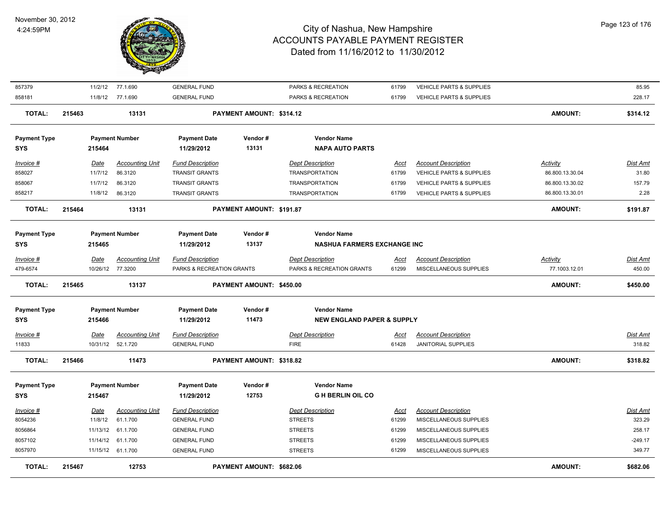

| <b>TOTAL:</b>       | 215467 |                  | 12753                                       |                                                | PAYMENT AMOUNT: \$682.06 |                                        |                      |                                                   | <b>AMOUNT:</b>  | \$682.06                  |
|---------------------|--------|------------------|---------------------------------------------|------------------------------------------------|--------------------------|----------------------------------------|----------------------|---------------------------------------------------|-----------------|---------------------------|
| 8057970             |        |                  | 11/15/12 61.1.700                           | <b>GENERAL FUND</b>                            |                          | <b>STREETS</b>                         | 61299                | MISCELLANEOUS SUPPLIES                            |                 | 349.77                    |
| 8057102             |        |                  | 11/14/12 61.1.700                           | <b>GENERAL FUND</b>                            |                          | <b>STREETS</b>                         | 61299                | MISCELLANEOUS SUPPLIES                            |                 | $-249.17$                 |
| 8056864             |        |                  | 11/13/12 61.1.700                           | <b>GENERAL FUND</b>                            |                          | <b>STREETS</b>                         | 61299                | MISCELLANEOUS SUPPLIES                            |                 | 258.17                    |
| 8054236             |        | 11/8/12          | 61.1.700                                    | <b>GENERAL FUND</b>                            |                          | <b>STREETS</b>                         | 61299                | MISCELLANEOUS SUPPLIES                            |                 | 323.29                    |
| Invoice #           |        | Date             | <b>Accounting Unit</b>                      | <b>Fund Description</b>                        |                          | <b>Dept Description</b>                | <u>Acct</u>          | <b>Account Description</b>                        |                 | Dist Amt                  |
| <b>SYS</b>          |        | 215467           |                                             | 11/29/2012                                     | 12753                    | <b>GH BERLIN OIL CO</b>                |                      |                                                   |                 |                           |
| <b>Payment Type</b> |        |                  | <b>Payment Number</b>                       | <b>Payment Date</b>                            | Vendor#                  | <b>Vendor Name</b>                     |                      |                                                   |                 |                           |
| <b>TOTAL:</b>       | 215466 |                  | 11473                                       |                                                | PAYMENT AMOUNT: \$318.82 |                                        |                      |                                                   | <b>AMOUNT:</b>  | \$318.82                  |
| Invoice #<br>11833  |        | Date             | <b>Accounting Unit</b><br>10/31/12 52.1.720 | <b>Fund Description</b><br><b>GENERAL FUND</b> |                          | <b>Dept Description</b><br><b>FIRE</b> | <u>Acct</u><br>61428 | <b>Account Description</b><br>JANITORIAL SUPPLIES |                 | <b>Dist Amt</b><br>318.82 |
| <b>SYS</b>          |        | 215466           |                                             | 11/29/2012                                     | 11473                    | <b>NEW ENGLAND PAPER &amp; SUPPLY</b>  |                      |                                                   |                 |                           |
| <b>Payment Type</b> |        |                  | <b>Payment Number</b>                       | <b>Payment Date</b>                            | Vendor#                  | <b>Vendor Name</b>                     |                      |                                                   |                 |                           |
| <b>TOTAL:</b>       | 215465 |                  | 13137                                       |                                                | PAYMENT AMOUNT: \$450.00 |                                        |                      |                                                   | <b>AMOUNT:</b>  | \$450.00                  |
| 479-6574            |        | 10/26/12 77.3200 |                                             | PARKS & RECREATION GRANTS                      |                          | PARKS & RECREATION GRANTS              | 61299                | MISCELLANEOUS SUPPLIES                            | 77.1003.12.01   | 450.00                    |
| Invoice #           |        | Date             | Accounting Unit                             | <b>Fund Description</b>                        |                          | <b>Dept Description</b>                | Acct                 | <b>Account Description</b>                        | Activity        | Dist Amt                  |
| SYS                 |        | 215465           |                                             | 11/29/2012                                     | 13137                    | <b>NASHUA FARMERS EXCHANGE INC</b>     |                      |                                                   |                 |                           |
| <b>Payment Type</b> |        |                  | <b>Payment Number</b>                       | <b>Payment Date</b>                            | Vendor#                  | <b>Vendor Name</b>                     |                      |                                                   |                 |                           |
| <b>TOTAL:</b>       | 215464 |                  | 13131                                       |                                                | PAYMENT AMOUNT: \$191.87 |                                        |                      |                                                   | <b>AMOUNT:</b>  | \$191.87                  |
| 858217              |        | 11/8/12          | 86.3120                                     | <b>TRANSIT GRANTS</b>                          |                          | <b>TRANSPORTATION</b>                  | 61799                | <b>VEHICLE PARTS &amp; SUPPLIES</b>               | 86.800.13.30.01 | 2.28                      |
| 858067              |        | 11/7/12          | 86.3120                                     | <b>TRANSIT GRANTS</b>                          |                          | <b>TRANSPORTATION</b>                  | 61799                | <b>VEHICLE PARTS &amp; SUPPLIES</b>               | 86.800.13.30.02 | 157.79                    |
| 858027              |        | 11/7/12          | 86.3120                                     | <b>TRANSIT GRANTS</b>                          |                          | <b>TRANSPORTATION</b>                  | 61799                | VEHICLE PARTS & SUPPLIES                          | 86.800.13.30.04 | 31.80                     |
| Invoice #           |        | Date             | <b>Accounting Unit</b>                      | <b>Fund Description</b>                        |                          | <b>Dept Description</b>                | Acct                 | <b>Account Description</b>                        | Activity        | Dist Amt                  |
| <b>SYS</b>          |        | 215464           |                                             | 11/29/2012                                     | 13131                    | <b>NAPA AUTO PARTS</b>                 |                      |                                                   |                 |                           |
| <b>Payment Type</b> |        |                  | <b>Payment Number</b>                       | <b>Payment Date</b>                            | Vendor#                  | <b>Vendor Name</b>                     |                      |                                                   |                 |                           |
| <b>TOTAL:</b>       | 215463 |                  | 13131                                       |                                                | PAYMENT AMOUNT: \$314.12 |                                        |                      |                                                   | <b>AMOUNT:</b>  | \$314.12                  |
| 858181              |        |                  | 11/8/12 77.1.690                            | <b>GENERAL FUND</b>                            |                          | PARKS & RECREATION                     | 61799                | VEHICLE PARTS & SUPPLIES                          |                 | 228.17                    |
| 857379              |        | 11/2/12          | 77.1.690                                    | <b>GENERAL FUND</b>                            |                          | PARKS & RECREATION                     | 61799                | VEHICLE PARTS & SUPPLIES                          |                 | 85.95                     |
|                     |        |                  |                                             |                                                |                          |                                        |                      |                                                   |                 |                           |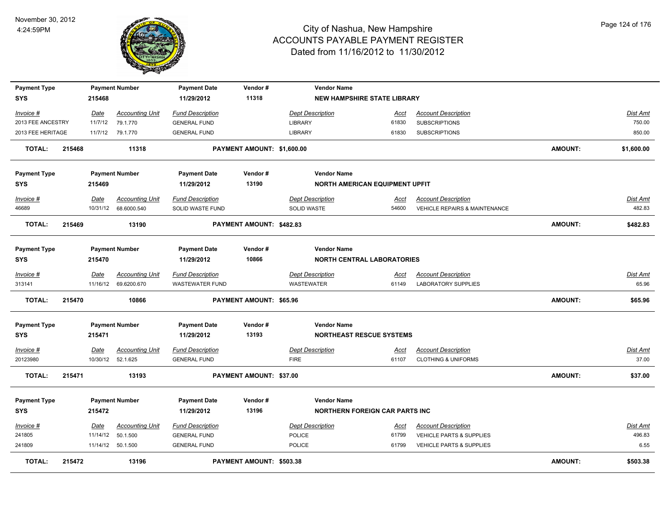

| <b>Payment Type</b>               |        |             | <b>Payment Number</b>  | <b>Payment Date</b>               | Vendor#                    | <b>Vendor Name</b>                                      |             |                                          |                |                 |
|-----------------------------------|--------|-------------|------------------------|-----------------------------------|----------------------------|---------------------------------------------------------|-------------|------------------------------------------|----------------|-----------------|
| SYS                               |        | 215468      |                        | 11/29/2012                        | 11318                      | <b>NEW HAMPSHIRE STATE LIBRARY</b>                      |             |                                          |                |                 |
| Invoice #                         |        | <u>Date</u> | <b>Accounting Unit</b> | <b>Fund Description</b>           |                            | <b>Dept Description</b>                                 | <u>Acct</u> | <b>Account Description</b>               |                | <b>Dist Amt</b> |
| 2013 FEE ANCESTRY                 |        | 11/7/12     | 79.1.770               | <b>GENERAL FUND</b>               |                            | <b>LIBRARY</b>                                          | 61830       | <b>SUBSCRIPTIONS</b>                     |                | 750.00          |
| 2013 FEE HERITAGE                 |        |             | 11/7/12 79.1.770       | <b>GENERAL FUND</b>               |                            | <b>LIBRARY</b>                                          | 61830       | <b>SUBSCRIPTIONS</b>                     |                | 850.00          |
| <b>TOTAL:</b>                     | 215468 |             | 11318                  |                                   | PAYMENT AMOUNT: \$1,600.00 |                                                         |             |                                          | AMOUNT:        | \$1,600.00      |
| <b>Payment Type</b>               |        |             | <b>Payment Number</b>  | <b>Payment Date</b>               | Vendor#                    | <b>Vendor Name</b>                                      |             |                                          |                |                 |
| SYS                               |        | 215469      |                        | 11/29/2012                        | 13190                      | NORTH AMERICAN EQUIPMENT UPFIT                          |             |                                          |                |                 |
| Invoice #                         |        | Date        | <b>Accounting Unit</b> | <b>Fund Description</b>           |                            | <b>Dept Description</b>                                 | Acct        | <b>Account Description</b>               |                | Dist Amt        |
| 46689                             |        |             | 10/31/12 68.6000.540   | SOLID WASTE FUND                  |                            | <b>SOLID WASTE</b>                                      | 54600       | <b>VEHICLE REPAIRS &amp; MAINTENANCE</b> |                | 482.83          |
| <b>TOTAL:</b>                     | 215469 |             | 13190                  |                                   | PAYMENT AMOUNT: \$482.83   |                                                         |             |                                          | AMOUNT:        | \$482.83        |
| <b>Payment Type</b><br><b>SYS</b> |        | 215470      | <b>Payment Number</b>  | <b>Payment Date</b><br>11/29/2012 | Vendor#<br>10866           | <b>Vendor Name</b><br><b>NORTH CENTRAL LABORATORIES</b> |             |                                          |                |                 |
| Invoice #                         |        | Date        | <b>Accounting Unit</b> | <b>Fund Description</b>           |                            | <b>Dept Description</b>                                 | <u>Acct</u> | <b>Account Description</b>               |                | <b>Dist Amt</b> |
| 313141                            |        |             | 11/16/12 69.6200.670   | <b>WASTEWATER FUND</b>            |                            | WASTEWATER                                              | 61149       | <b>LABORATORY SUPPLIES</b>               |                | 65.96           |
| <b>TOTAL:</b>                     | 215470 |             | 10866                  |                                   | PAYMENT AMOUNT: \$65.96    |                                                         |             |                                          | <b>AMOUNT:</b> | \$65.96         |
| <b>Payment Type</b>               |        |             | <b>Payment Number</b>  | <b>Payment Date</b>               | Vendor#                    | <b>Vendor Name</b>                                      |             |                                          |                |                 |
| SYS                               |        | 215471      |                        | 11/29/2012                        | 13193                      | <b>NORTHEAST RESCUE SYSTEMS</b>                         |             |                                          |                |                 |
| <u>Invoice #</u>                  |        | <u>Date</u> | <u>Accounting Unit</u> | <b>Fund Description</b>           |                            | <b>Dept Description</b>                                 | <u>Acct</u> | <b>Account Description</b>               |                | <b>Dist Amt</b> |
| 20123980                          |        | 10/30/12    | 52.1.625               | <b>GENERAL FUND</b>               |                            | <b>FIRE</b>                                             | 61107       | <b>CLOTHING &amp; UNIFORMS</b>           |                | 37.00           |
| <b>TOTAL:</b>                     | 215471 |             | 13193                  |                                   | PAYMENT AMOUNT: \$37.00    |                                                         |             |                                          | AMOUNT:        | \$37.00         |
| <b>Payment Type</b>               |        |             | <b>Payment Number</b>  | <b>Payment Date</b>               | Vendor#                    | <b>Vendor Name</b>                                      |             |                                          |                |                 |
| <b>SYS</b>                        |        | 215472      |                        | 11/29/2012                        | 13196                      | <b>NORTHERN FOREIGN CAR PARTS INC</b>                   |             |                                          |                |                 |
| Invoice #                         |        | Date        | <b>Accounting Unit</b> | <b>Fund Description</b>           |                            | <b>Dept Description</b>                                 | Acct        | <b>Account Description</b>               |                | Dist Amt        |
| 241805                            |        |             | 11/14/12  50.1.500     | <b>GENERAL FUND</b>               |                            | POLICE                                                  | 61799       | VEHICLE PARTS & SUPPLIES                 |                | 496.83          |
| 241809                            |        |             | 11/14/12 50.1.500      | <b>GENERAL FUND</b>               |                            | <b>POLICE</b>                                           | 61799       | <b>VEHICLE PARTS &amp; SUPPLIES</b>      |                | 6.55            |
| <b>TOTAL:</b>                     | 215472 |             | 13196                  |                                   | PAYMENT AMOUNT: \$503.38   |                                                         |             |                                          | AMOUNT:        | \$503.38        |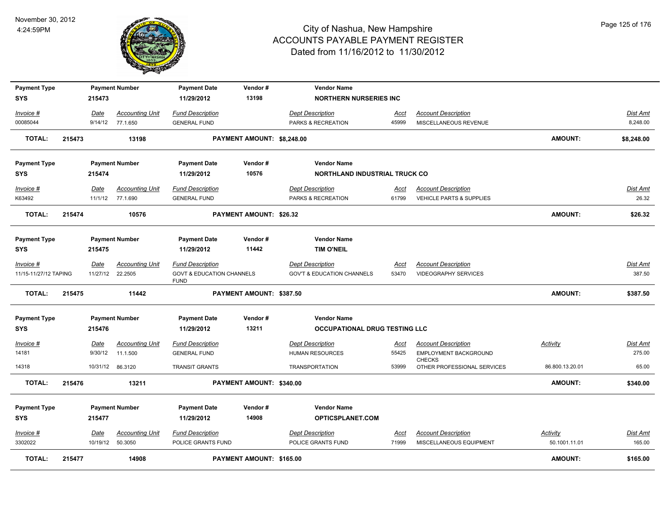

| <b>Payment Type</b><br>SYS |        | 215473                  | <b>Payment Number</b>             | <b>Payment Date</b><br>11/29/2012                   | Vendor#<br>13198               | <b>Vendor Name</b><br><b>NORTHERN NURSERIES INC</b> |                      |                                                       |                                  |                    |
|----------------------------|--------|-------------------------|-----------------------------------|-----------------------------------------------------|--------------------------------|-----------------------------------------------------|----------------------|-------------------------------------------------------|----------------------------------|--------------------|
| <u>Invoice #</u>           |        | <u>Date</u>             | <b>Accounting Unit</b>            | <b>Fund Description</b>                             |                                | <b>Dept Description</b>                             | <u>Acct</u>          | <b>Account Description</b>                            |                                  | Dist Amt           |
| 00085044                   |        | 9/14/12                 | 77.1.650                          | <b>GENERAL FUND</b>                                 |                                | PARKS & RECREATION                                  | 45999                | MISCELLANEOUS REVENUE                                 |                                  | 8,248.00           |
| <b>TOTAL:</b>              | 215473 |                         | 13198                             |                                                     | PAYMENT AMOUNT: \$8,248.00     |                                                     |                      |                                                       | <b>AMOUNT:</b>                   | \$8,248.00         |
| <b>Payment Type</b>        |        |                         | <b>Payment Number</b>             | <b>Payment Date</b>                                 | Vendor#                        | <b>Vendor Name</b>                                  |                      |                                                       |                                  |                    |
| <b>SYS</b>                 |        | 215474                  |                                   | 11/29/2012                                          | 10576                          | <b>NORTHLAND INDUSTRIAL TRUCK CO</b>                |                      |                                                       |                                  |                    |
| <u>Invoice #</u>           |        | Date                    | <b>Accounting Unit</b>            | <b>Fund Description</b>                             |                                | <b>Dept Description</b>                             | <u>Acct</u>          | <b>Account Description</b>                            |                                  | Dist Amt           |
| K63492                     |        | 11/1/12                 | 77.1.690                          | <b>GENERAL FUND</b>                                 |                                | PARKS & RECREATION                                  | 61799                | <b>VEHICLE PARTS &amp; SUPPLIES</b>                   |                                  | 26.32              |
| <b>TOTAL:</b>              | 215474 |                         | 10576                             |                                                     | <b>PAYMENT AMOUNT: \$26.32</b> |                                                     |                      |                                                       | <b>AMOUNT:</b>                   | \$26.32            |
| <b>Payment Type</b>        |        |                         | <b>Payment Number</b>             | <b>Payment Date</b>                                 | Vendor#                        | <b>Vendor Name</b>                                  |                      |                                                       |                                  |                    |
| SYS                        |        | 215475                  |                                   | 11/29/2012                                          | 11442                          | <b>TIM O'NEIL</b>                                   |                      |                                                       |                                  |                    |
| Invoice #                  |        | <u>Date</u>             | <b>Accounting Unit</b>            | <b>Fund Description</b>                             |                                | <b>Dept Description</b>                             | <u>Acct</u>          | <b>Account Description</b>                            |                                  | <b>Dist Amt</b>    |
| 11/15-11/27/12 TAPING      |        |                         | 11/27/12 22.2505                  | <b>GOVT &amp; EDUCATION CHANNELS</b><br><b>FUND</b> |                                | <b>GOV'T &amp; EDUCATION CHANNELS</b>               | 53470                | <b>VIDEOGRAPHY SERVICES</b>                           |                                  | 387.50             |
| <b>TOTAL:</b>              | 215475 |                         | 11442                             |                                                     | PAYMENT AMOUNT: \$387.50       |                                                     |                      |                                                       | <b>AMOUNT:</b>                   | \$387.50           |
| <b>Payment Type</b>        |        |                         | <b>Payment Number</b>             | <b>Payment Date</b>                                 | Vendor#                        | <b>Vendor Name</b>                                  |                      |                                                       |                                  |                    |
| SYS                        |        | 215476                  |                                   | 11/29/2012                                          | 13211                          | <b>OCCUPATIONAL DRUG TESTING LLC</b>                |                      |                                                       |                                  |                    |
| <u>Invoice #</u>           |        | Date                    | <b>Accounting Unit</b>            | <b>Fund Description</b>                             |                                | <b>Dept Description</b>                             | <u>Acct</u>          | <b>Account Description</b>                            | <b>Activity</b>                  | <u>Dist Amt</u>    |
| 14181                      |        | 9/30/12                 | 11.1.500                          | <b>GENERAL FUND</b>                                 |                                | HUMAN RESOURCES                                     | 55425                | EMPLOYMENT BACKGROUND                                 |                                  | 275.00             |
| 14318                      |        |                         | 10/31/12 86.3120                  | <b>TRANSIT GRANTS</b>                               |                                | <b>TRANSPORTATION</b>                               | 53999                | <b>CHECKS</b><br>OTHER PROFESSIONAL SERVICES          | 86.800.13.20.01                  | 65.00              |
| <b>TOTAL:</b>              | 215476 |                         | 13211                             |                                                     | PAYMENT AMOUNT: \$340.00       |                                                     |                      |                                                       | <b>AMOUNT:</b>                   | \$340.00           |
| <b>Payment Type</b>        |        |                         | <b>Payment Number</b>             | <b>Payment Date</b>                                 | Vendor#                        | <b>Vendor Name</b>                                  |                      |                                                       |                                  |                    |
| <b>SYS</b>                 |        | 215477                  |                                   | 11/29/2012                                          | 14908                          | <b>OPTICSPLANET.COM</b>                             |                      |                                                       |                                  |                    |
| $Invoice$ #<br>3302022     |        | <u>Date</u><br>10/19/12 | <b>Accounting Unit</b><br>50.3050 | <b>Fund Description</b><br>POLICE GRANTS FUND       |                                | <b>Dept Description</b><br>POLICE GRANTS FUND       | <u>Acct</u><br>71999 | <b>Account Description</b><br>MISCELLANEOUS EQUIPMENT | <b>Activity</b><br>50.1001.11.01 | Dist Amt<br>165.00 |
|                            |        |                         |                                   |                                                     |                                |                                                     |                      |                                                       |                                  |                    |
| <b>TOTAL:</b>              | 215477 |                         | 14908                             |                                                     | PAYMENT AMOUNT: \$165.00       |                                                     |                      |                                                       | <b>AMOUNT:</b>                   | \$165.00           |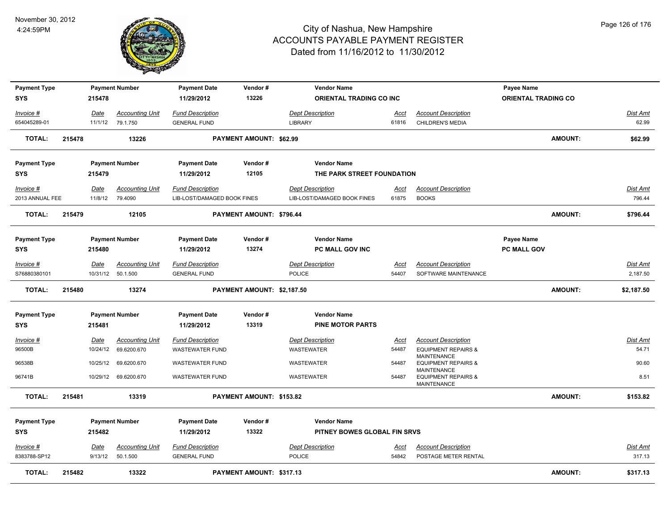

| <b>Payment Type</b> |        |             | <b>Payment Number</b>  | <b>Payment Date</b>         | Vendor#                        | <b>Vendor Name</b>              |             |                                                              | Payee Name                 |                |                 |
|---------------------|--------|-------------|------------------------|-----------------------------|--------------------------------|---------------------------------|-------------|--------------------------------------------------------------|----------------------------|----------------|-----------------|
| <b>SYS</b>          |        | 215478      |                        | 11/29/2012                  | 13226                          | <b>ORIENTAL TRADING CO INC.</b> |             |                                                              | <b>ORIENTAL TRADING CO</b> |                |                 |
| Invoice #           |        | Date        | <b>Accounting Unit</b> | <b>Fund Description</b>     |                                | <b>Dept Description</b>         | <u>Acct</u> | <b>Account Description</b>                                   |                            |                | Dist Amt        |
| 654045289-01        |        | 11/1/12     | 79.1.750               | <b>GENERAL FUND</b>         |                                | <b>LIBRARY</b>                  | 61816       | <b>CHILDREN'S MEDIA</b>                                      |                            |                | 62.99           |
| <b>TOTAL:</b>       | 215478 |             | 13226                  |                             | <b>PAYMENT AMOUNT: \$62.99</b> |                                 |             |                                                              |                            | <b>AMOUNT:</b> | \$62.99         |
| <b>Payment Type</b> |        |             | <b>Payment Number</b>  | <b>Payment Date</b>         | Vendor#                        | <b>Vendor Name</b>              |             |                                                              |                            |                |                 |
| <b>SYS</b>          |        | 215479      |                        | 11/29/2012                  | 12105                          | THE PARK STREET FOUNDATION      |             |                                                              |                            |                |                 |
| <u>Invoice #</u>    |        | <b>Date</b> | <b>Accounting Unit</b> | <b>Fund Description</b>     |                                | <b>Dept Description</b>         | <u>Acct</u> | <b>Account Description</b>                                   |                            |                | <u>Dist Amt</u> |
| 2013 ANNUAL FEE     |        | 11/8/12     | 79.4090                | LIB-LOST/DAMAGED BOOK FINES |                                | LIB-LOST/DAMAGED BOOK FINES     | 61875       | <b>BOOKS</b>                                                 |                            |                | 796.44          |
| <b>TOTAL:</b>       | 215479 |             | 12105                  |                             | PAYMENT AMOUNT: \$796.44       |                                 |             |                                                              |                            | <b>AMOUNT:</b> | \$796.44        |
| <b>Payment Type</b> |        |             | <b>Payment Number</b>  | <b>Payment Date</b>         | Vendor#                        | <b>Vendor Name</b>              |             |                                                              | <b>Payee Name</b>          |                |                 |
| <b>SYS</b>          |        | 215480      |                        | 11/29/2012                  | 13274                          | <b>PC MALL GOV INC</b>          |             |                                                              | <b>PC MALL GOV</b>         |                |                 |
| Invoice #           |        | Date        | <b>Accounting Unit</b> | <b>Fund Description</b>     |                                | <b>Dept Description</b>         | <b>Acct</b> | <b>Account Description</b>                                   |                            |                | Dist Amt        |
| S76880380101        |        |             | 10/31/12  50.1.500     | <b>GENERAL FUND</b>         |                                | <b>POLICE</b>                   | 54407       | SOFTWARE MAINTENANCE                                         |                            |                | 2,187.50        |
| <b>TOTAL:</b>       | 215480 |             | 13274                  |                             | PAYMENT AMOUNT: \$2,187.50     |                                 |             |                                                              |                            | <b>AMOUNT:</b> | \$2,187.50      |
| <b>Payment Type</b> |        |             | <b>Payment Number</b>  | <b>Payment Date</b>         | Vendor#                        | <b>Vendor Name</b>              |             |                                                              |                            |                |                 |
| <b>SYS</b>          |        | 215481      |                        | 11/29/2012                  | 13319                          | <b>PINE MOTOR PARTS</b>         |             |                                                              |                            |                |                 |
| <u>Invoice #</u>    |        | <b>Date</b> | <b>Accounting Unit</b> | <b>Fund Description</b>     |                                | <b>Dept Description</b>         | <b>Acct</b> | <b>Account Description</b>                                   |                            |                | Dist Amt        |
| 96500B              |        |             | 10/24/12 69.6200.670   | <b>WASTEWATER FUND</b>      |                                | WASTEWATER                      | 54487       | <b>EQUIPMENT REPAIRS &amp;</b>                               |                            |                | 54.71           |
| 96538B              |        |             | 10/25/12 69.6200.670   | <b>WASTEWATER FUND</b>      |                                | WASTEWATER                      | 54487       | MAINTENANCE<br><b>EQUIPMENT REPAIRS &amp;</b><br>MAINTENANCE |                            |                | 90.60           |
| 96741B              |        | 10/29/12    | 69.6200.670            | <b>WASTEWATER FUND</b>      |                                | WASTEWATER                      | 54487       | <b>EQUIPMENT REPAIRS &amp;</b><br>MAINTENANCE                |                            |                | 8.51            |
| <b>TOTAL:</b>       | 215481 |             | 13319                  |                             | PAYMENT AMOUNT: \$153.82       |                                 |             |                                                              |                            | <b>AMOUNT:</b> | \$153.82        |
| <b>Payment Type</b> |        |             | <b>Payment Number</b>  | <b>Payment Date</b>         | Vendor#                        | <b>Vendor Name</b>              |             |                                                              |                            |                |                 |
| <b>SYS</b>          |        | 215482      |                        | 11/29/2012                  | 13322                          | PITNEY BOWES GLOBAL FIN SRVS    |             |                                                              |                            |                |                 |
| Invoice #           |        | <u>Date</u> | <b>Accounting Unit</b> | <b>Fund Description</b>     |                                | <b>Dept Description</b>         | <u>Acct</u> | <b>Account Description</b>                                   |                            |                | <b>Dist Amt</b> |
| 8383788-SP12        |        | 9/13/12     | 50.1.500               | <b>GENERAL FUND</b>         |                                | <b>POLICE</b>                   | 54842       | POSTAGE METER RENTAL                                         |                            |                | 317.13          |
| <b>TOTAL:</b>       | 215482 |             | 13322                  |                             | PAYMENT AMOUNT: \$317.13       |                                 |             |                                                              |                            | <b>AMOUNT:</b> | \$317.13        |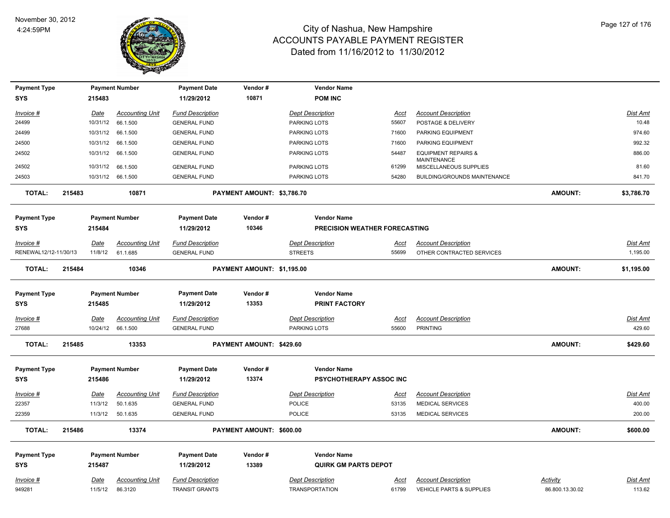

| <b>Payment Type</b>   |        |             | <b>Payment Number</b>  | <b>Payment Date</b>     | Vendor#                    | <b>Vendor Name</b>             |                      |                                                      |                 |                 |
|-----------------------|--------|-------------|------------------------|-------------------------|----------------------------|--------------------------------|----------------------|------------------------------------------------------|-----------------|-----------------|
| <b>SYS</b>            |        | 215483      |                        | 11/29/2012              | 10871                      | <b>POM INC</b>                 |                      |                                                      |                 |                 |
| Invoice #             |        | Date        | <b>Accounting Unit</b> | <b>Fund Description</b> |                            | <b>Dept Description</b>        | Acct                 | <b>Account Description</b>                           |                 | Dist Amt        |
| 24499                 |        | 10/31/12    | 66.1.500               | <b>GENERAL FUND</b>     |                            | PARKING LOTS                   | 55607                | POSTAGE & DELIVERY                                   |                 | 10.48           |
| 24499                 |        | 10/31/12    | 66.1.500               | <b>GENERAL FUND</b>     |                            | PARKING LOTS                   | 71600                | PARKING EQUIPMENT                                    |                 | 974.60          |
| 24500                 |        | 10/31/12    | 66.1.500               | <b>GENERAL FUND</b>     |                            | PARKING LOTS                   | 71600                | PARKING EQUIPMENT                                    |                 | 992.32          |
| 24502                 |        | 10/31/12    | 66.1.500               | <b>GENERAL FUND</b>     |                            | PARKING LOTS                   | 54487                | <b>EQUIPMENT REPAIRS &amp;</b><br><b>MAINTENANCE</b> |                 | 886.00          |
| 24502                 |        | 10/31/12    | 66.1.500               | <b>GENERAL FUND</b>     |                            | PARKING LOTS                   | 61299                | MISCELLANEOUS SUPPLIES                               |                 | 81.60           |
| 24503                 |        | 10/31/12    | 66.1.500               | <b>GENERAL FUND</b>     |                            | PARKING LOTS                   | 54280                | BUILDING/GROUNDS MAINTENANCE                         |                 | 841.70          |
| <b>TOTAL:</b>         | 215483 |             | 10871                  |                         | PAYMENT AMOUNT: \$3,786.70 |                                |                      |                                                      | <b>AMOUNT:</b>  | \$3,786.70      |
| <b>Payment Type</b>   |        |             | <b>Payment Number</b>  | <b>Payment Date</b>     | Vendor#                    | <b>Vendor Name</b>             |                      |                                                      |                 |                 |
| <b>SYS</b>            |        | 215484      |                        | 11/29/2012              | 10346                      | PRECISION WEATHER FORECASTING  |                      |                                                      |                 |                 |
| Invoice #             |        | <u>Date</u> | <b>Accounting Unit</b> | <b>Fund Description</b> |                            | <b>Dept Description</b>        | <u>Acct</u>          | <b>Account Description</b>                           |                 | <b>Dist Amt</b> |
| RENEWAL12/12-11/30/13 |        | 11/8/12     | 61.1.685               | <b>GENERAL FUND</b>     |                            | <b>STREETS</b>                 | 55699                | OTHER CONTRACTED SERVICES                            |                 | 1,195.00        |
| <b>TOTAL:</b>         | 215484 |             | 10346                  |                         | PAYMENT AMOUNT: \$1,195.00 |                                |                      |                                                      | <b>AMOUNT:</b>  | \$1,195.00      |
| <b>Payment Type</b>   |        |             | <b>Payment Number</b>  | <b>Payment Date</b>     | Vendor#                    | <b>Vendor Name</b>             |                      |                                                      |                 |                 |
| <b>SYS</b>            |        | 215485      |                        | 11/29/2012              | 13353                      | <b>PRINT FACTORY</b>           |                      |                                                      |                 |                 |
| <u> Invoice #</u>     |        | Date        | <b>Accounting Unit</b> | <b>Fund Description</b> |                            | <b>Dept Description</b>        | <u>Acct</u>          | <b>Account Description</b>                           |                 | Dist Amt        |
| 27688                 |        |             | 10/24/12 66.1.500      | <b>GENERAL FUND</b>     |                            | PARKING LOTS                   | 55600                | <b>PRINTING</b>                                      |                 | 429.60          |
| <b>TOTAL:</b>         | 215485 |             | 13353                  |                         | PAYMENT AMOUNT: \$429.60   |                                |                      |                                                      | <b>AMOUNT:</b>  | \$429.60        |
|                       |        |             |                        |                         |                            |                                |                      |                                                      |                 |                 |
| <b>Payment Type</b>   |        |             | <b>Payment Number</b>  | <b>Payment Date</b>     | Vendor#                    | <b>Vendor Name</b>             |                      |                                                      |                 |                 |
| <b>SYS</b>            |        | 215486      |                        | 11/29/2012              | 13374                      | <b>PSYCHOTHERAPY ASSOC INC</b> |                      |                                                      |                 |                 |
| Invoice #             |        | Date        | <b>Accounting Unit</b> | <b>Fund Description</b> |                            | <b>Dept Description</b>        | Acct                 | <b>Account Description</b>                           |                 | <b>Dist Amt</b> |
| 22357                 |        | 11/3/12     | 50.1.635               | <b>GENERAL FUND</b>     |                            | <b>POLICE</b>                  | 53135                | MEDICAL SERVICES                                     |                 | 400.00          |
| 22359                 |        | 11/3/12     | 50.1.635               | <b>GENERAL FUND</b>     |                            | <b>POLICE</b>                  | 53135                | <b>MEDICAL SERVICES</b>                              |                 | 200.00          |
| <b>TOTAL:</b>         | 215486 |             | 13374                  |                         | PAYMENT AMOUNT: \$600.00   |                                |                      |                                                      | <b>AMOUNT:</b>  | \$600.00        |
| <b>Payment Type</b>   |        |             | <b>Payment Number</b>  | <b>Payment Date</b>     | Vendor#                    | <b>Vendor Name</b>             |                      |                                                      |                 |                 |
| <b>SYS</b>            |        | 215487      |                        | 11/29/2012              | 13389                      | <b>QUIRK GM PARTS DEPOT</b>    |                      |                                                      |                 |                 |
| Invoice #             |        | <b>Date</b> | <b>Accounting Unit</b> | <b>Fund Description</b> |                            | <b>Dept Description</b>        |                      | <b>Account Description</b>                           | <b>Activity</b> | Dist Amt        |
| 949281                |        | 11/5/12     | 86.3120                | <b>TRANSIT GRANTS</b>   |                            | <b>TRANSPORTATION</b>          | <u>Acct</u><br>61799 | VEHICLE PARTS & SUPPLIES                             | 86.800.13.30.02 | 113.62          |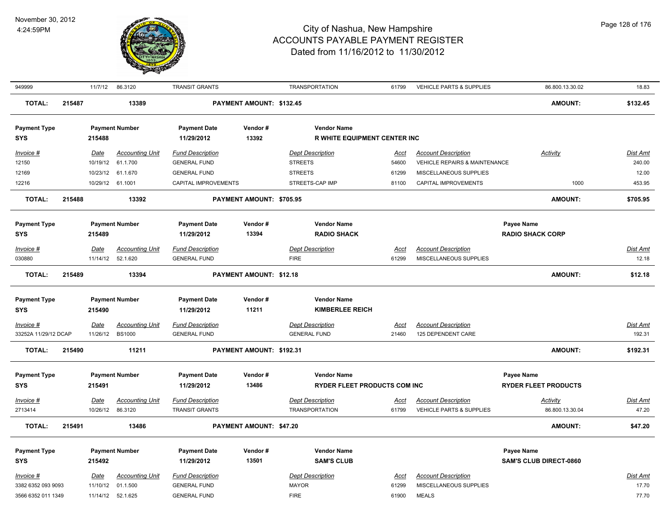

| 949999                            |        | 11/7/12          | 86.3120                            | <b>TRANSIT GRANTS</b>                          |                          | <b>TRANSPORTATION</b>                                     | 61799         | <b>VEHICLE PARTS &amp; SUPPLIES</b>                                    | 86.800.13.30.02               | 18.83              |
|-----------------------------------|--------|------------------|------------------------------------|------------------------------------------------|--------------------------|-----------------------------------------------------------|---------------|------------------------------------------------------------------------|-------------------------------|--------------------|
| <b>TOTAL:</b>                     | 215487 |                  | 13389                              |                                                | PAYMENT AMOUNT: \$132.45 |                                                           |               |                                                                        | <b>AMOUNT:</b>                | \$132.45           |
| <b>Payment Type</b><br><b>SYS</b> |        | 215488           | <b>Payment Number</b>              | <b>Payment Date</b><br>11/29/2012              | Vendor#<br>13392         | <b>Vendor Name</b><br><b>R WHITE EQUIPMENT CENTER INC</b> |               |                                                                        |                               |                    |
|                                   |        |                  |                                    |                                                |                          |                                                           |               |                                                                        |                               |                    |
| Invoice #<br>12150                |        | Date<br>10/19/12 | <b>Accounting Unit</b><br>61.1.700 | <b>Fund Description</b><br><b>GENERAL FUND</b> |                          | <b>Dept Description</b><br><b>STREETS</b>                 | Acct<br>54600 | <b>Account Description</b><br><b>VEHICLE REPAIRS &amp; MAINTENANCE</b> | Activity                      | Dist Amt<br>240.00 |
| 12169                             |        | 10/23/12         | 61.1.670                           | <b>GENERAL FUND</b>                            |                          | <b>STREETS</b>                                            | 61299         | MISCELLANEOUS SUPPLIES                                                 |                               | 12.00              |
| 12216                             |        |                  | 10/29/12 61.1001                   | CAPITAL IMPROVEMENTS                           |                          | STREETS-CAP IMP                                           | 81100         | CAPITAL IMPROVEMENTS                                                   | 1000                          | 453.95             |
|                                   |        |                  |                                    |                                                |                          |                                                           |               |                                                                        |                               |                    |
| <b>TOTAL:</b>                     | 215488 |                  | 13392                              |                                                | PAYMENT AMOUNT: \$705.95 |                                                           |               |                                                                        | <b>AMOUNT:</b>                | \$705.95           |
| <b>Payment Type</b>               |        |                  | <b>Payment Number</b>              | <b>Payment Date</b>                            | Vendor#                  | <b>Vendor Name</b>                                        |               |                                                                        | Payee Name                    |                    |
| <b>SYS</b>                        |        | 215489           |                                    | 11/29/2012                                     | 13394                    | <b>RADIO SHACK</b>                                        |               |                                                                        | <b>RADIO SHACK CORP</b>       |                    |
| Invoice #                         |        | Date             | <b>Accounting Unit</b>             | <b>Fund Description</b>                        |                          | <b>Dept Description</b>                                   | Acct          | <b>Account Description</b>                                             |                               | Dist Amt           |
| 030880                            |        | 11/14/12         | 52.1.620                           | <b>GENERAL FUND</b>                            |                          | <b>FIRE</b>                                               | 61299         | MISCELLANEOUS SUPPLIES                                                 |                               | 12.18              |
| <b>TOTAL:</b>                     | 215489 |                  | 13394                              |                                                | PAYMENT AMOUNT: \$12.18  |                                                           |               |                                                                        | <b>AMOUNT:</b>                | \$12.18            |
| <b>Payment Type</b>               |        |                  | <b>Payment Number</b>              | <b>Payment Date</b>                            | Vendor#                  | <b>Vendor Name</b>                                        |               |                                                                        |                               |                    |
| <b>SYS</b>                        |        | 215490           |                                    | 11/29/2012                                     | 11211                    | <b>KIMBERLEE REICH</b>                                    |               |                                                                        |                               |                    |
| Invoice #                         |        | Date             | <b>Accounting Unit</b>             | <b>Fund Description</b>                        |                          | <b>Dept Description</b>                                   | <b>Acct</b>   | <b>Account Description</b>                                             |                               | Dist Amt           |
| 33252A 11/29/12 DCAP              |        | 11/26/12         | <b>BS1000</b>                      | <b>GENERAL FUND</b>                            |                          | <b>GENERAL FUND</b>                                       | 21460         | 125 DEPENDENT CARE                                                     |                               | 192.31             |
| <b>TOTAL:</b>                     | 215490 |                  | 11211                              |                                                | PAYMENT AMOUNT: \$192.31 |                                                           |               |                                                                        | <b>AMOUNT:</b>                | \$192.31           |
| <b>Payment Type</b>               |        |                  | <b>Payment Number</b>              | <b>Payment Date</b>                            | Vendor#                  | <b>Vendor Name</b>                                        |               |                                                                        | <b>Payee Name</b>             |                    |
| <b>SYS</b>                        |        | 215491           |                                    | 11/29/2012                                     | 13486                    | <b>RYDER FLEET PRODUCTS COM INC</b>                       |               |                                                                        | <b>RYDER FLEET PRODUCTS</b>   |                    |
| Invoice #                         |        | Date             | <b>Accounting Unit</b>             | <b>Fund Description</b>                        |                          | <b>Dept Description</b>                                   | Acct          | <b>Account Description</b>                                             | Activity                      | <b>Dist Amt</b>    |
| 2713414                           |        | 10/26/12         | 86.3120                            | <b>TRANSIT GRANTS</b>                          |                          | <b>TRANSPORTATION</b>                                     | 61799         | <b>VEHICLE PARTS &amp; SUPPLIES</b>                                    | 86.800.13.30.04               | 47.20              |
| <b>TOTAL:</b>                     | 215491 |                  | 13486                              |                                                | PAYMENT AMOUNT: \$47.20  |                                                           |               |                                                                        | <b>AMOUNT:</b>                | \$47.20            |
|                                   |        |                  |                                    |                                                |                          |                                                           |               |                                                                        |                               |                    |
| <b>Payment Type</b>               |        |                  | <b>Payment Number</b>              | <b>Payment Date</b>                            | Vendor#                  | <b>Vendor Name</b>                                        |               |                                                                        | <b>Payee Name</b>             |                    |
| <b>SYS</b>                        |        | 215492           |                                    | 11/29/2012                                     | 13501                    | <b>SAM'S CLUB</b>                                         |               |                                                                        | <b>SAM'S CLUB DIRECT-0860</b> |                    |
| Invoice #                         |        | Date             | <b>Accounting Unit</b>             | <b>Fund Description</b>                        |                          | <b>Dept Description</b>                                   | Acct          | <b>Account Description</b>                                             |                               | <b>Dist Amt</b>    |
| 3382 6352 093 9093                |        | 11/10/12         | 01.1.500                           | <b>GENERAL FUND</b>                            |                          | <b>MAYOR</b>                                              | 61299         | MISCELLANEOUS SUPPLIES                                                 |                               | 17.70              |
| 3566 6352 011 1349                |        | 11/14/12         | 52.1.625                           | <b>GENERAL FUND</b>                            |                          | <b>FIRE</b>                                               | 61900         | <b>MEALS</b>                                                           |                               | 77.70              |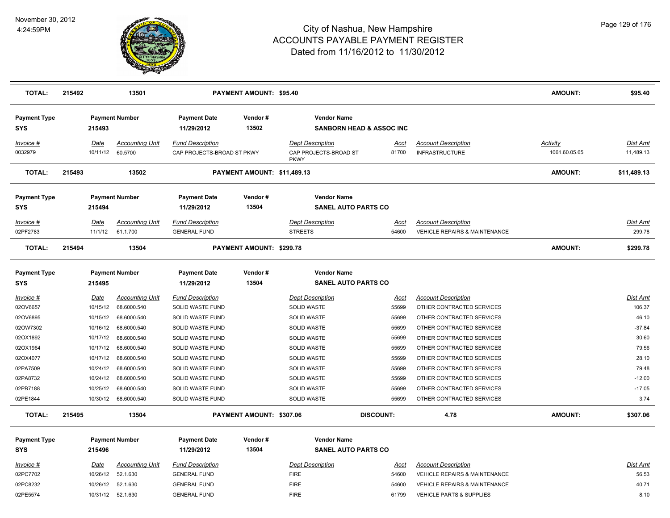

| <b>TOTAL:</b>                     | 215492 |                   | 13501                              |                                                       | <b>PAYMENT AMOUNT: \$95.40</b> |                                                                 |                                     |                                                                        | <b>AMOUNT:</b>                   | \$95.40                   |
|-----------------------------------|--------|-------------------|------------------------------------|-------------------------------------------------------|--------------------------------|-----------------------------------------------------------------|-------------------------------------|------------------------------------------------------------------------|----------------------------------|---------------------------|
| <b>Payment Type</b><br><b>SYS</b> |        | 215493            | <b>Payment Number</b>              | <b>Payment Date</b><br>11/29/2012                     | Vendor#<br>13502               | <b>Vendor Name</b>                                              | <b>SANBORN HEAD &amp; ASSOC INC</b> |                                                                        |                                  |                           |
| Invoice #<br>0032979              |        | Date<br>10/11/12  | <b>Accounting Unit</b><br>60.5700  | <b>Fund Description</b><br>CAP PROJECTS-BROAD ST PKWY |                                | <b>Dept Description</b><br>CAP PROJECTS-BROAD ST<br><b>PKWY</b> | <u>Acct</u><br>81700                | <b>Account Description</b><br><b>INFRASTRUCTURE</b>                    | <b>Activity</b><br>1061.60.05.65 | Dist Amt<br>11,489.13     |
| <b>TOTAL:</b>                     | 215493 |                   | 13502                              |                                                       | PAYMENT AMOUNT: \$11,489.13    |                                                                 |                                     |                                                                        | <b>AMOUNT:</b>                   | \$11,489.13               |
| <b>Payment Type</b><br><b>SYS</b> |        | 215494            | <b>Payment Number</b>              | <b>Payment Date</b><br>11/29/2012                     | Vendor#<br>13504               | <b>Vendor Name</b><br><b>SANEL AUTO PARTS CO</b>                |                                     |                                                                        |                                  |                           |
| $Invoice$ #<br>02PF2783           |        | Date<br>11/1/12   | <b>Accounting Unit</b><br>61.1.700 | <b>Fund Description</b><br><b>GENERAL FUND</b>        |                                | <b>Dept Description</b><br><b>STREETS</b>                       | <u>Acct</u><br>54600                | <b>Account Description</b><br><b>VEHICLE REPAIRS &amp; MAINTENANCE</b> |                                  | <u>Dist Amt</u><br>299.78 |
| <b>TOTAL:</b>                     | 215494 |                   | 13504                              |                                                       | PAYMENT AMOUNT: \$299.78       |                                                                 |                                     |                                                                        | <b>AMOUNT:</b>                   | \$299.78                  |
| <b>Payment Type</b><br><b>SYS</b> |        | 215495            | <b>Payment Number</b>              | <b>Payment Date</b><br>11/29/2012                     | Vendor#<br>13504               | <b>Vendor Name</b><br><b>SANEL AUTO PARTS CO</b>                |                                     |                                                                        |                                  |                           |
| $Invoice$ #                       |        | <u>Date</u>       | <b>Accounting Unit</b>             | <b>Fund Description</b>                               |                                | <b>Dept Description</b>                                         | Acct                                | <b>Account Description</b>                                             |                                  | Dist Amt                  |
| 02OV6657                          |        | 10/15/12          | 68.6000.540                        | SOLID WASTE FUND                                      |                                | SOLID WASTE                                                     | 55699                               | OTHER CONTRACTED SERVICES                                              |                                  | 106.37                    |
| 02OV6895                          |        | 10/15/12          | 68.6000.540                        | SOLID WASTE FUND                                      |                                | SOLID WASTE                                                     | 55699                               | OTHER CONTRACTED SERVICES                                              |                                  | 46.10                     |
| 02OW7302                          |        | 10/16/12          | 68.6000.540                        | SOLID WASTE FUND                                      |                                | <b>SOLID WASTE</b>                                              | 55699                               | OTHER CONTRACTED SERVICES                                              |                                  | $-37.84$                  |
| 02OX1892                          |        | 10/17/12          | 68.6000.540                        | SOLID WASTE FUND                                      |                                | <b>SOLID WASTE</b>                                              | 55699                               | OTHER CONTRACTED SERVICES                                              |                                  | 30.60                     |
| 02OX1964                          |        | 10/17/12          | 68.6000.540                        | SOLID WASTE FUND                                      |                                | <b>SOLID WASTE</b>                                              | 55699                               | OTHER CONTRACTED SERVICES                                              |                                  | 79.56                     |
| 02OX4077                          |        | 10/17/12          | 68.6000.540                        | SOLID WASTE FUND                                      |                                | SOLID WASTE                                                     | 55699                               | OTHER CONTRACTED SERVICES                                              |                                  | 28.10                     |
| 02PA7509                          |        | 10/24/12          | 68.6000.540                        | SOLID WASTE FUND                                      |                                | <b>SOLID WASTE</b>                                              | 55699                               | OTHER CONTRACTED SERVICES                                              |                                  | 79.48                     |
| 02PA8732                          |        | 10/24/12          | 68.6000.540                        | SOLID WASTE FUND                                      |                                | <b>SOLID WASTE</b>                                              | 55699                               | OTHER CONTRACTED SERVICES                                              |                                  | $-12.00$                  |
| 02PB7188                          |        | 10/25/12          | 68.6000.540                        | SOLID WASTE FUND                                      |                                | SOLID WASTE                                                     | 55699                               | OTHER CONTRACTED SERVICES                                              |                                  | $-17.05$                  |
| 02PE1844                          |        | 10/30/12          | 68.6000.540                        | SOLID WASTE FUND                                      |                                | <b>SOLID WASTE</b>                                              | 55699                               | OTHER CONTRACTED SERVICES                                              |                                  | 3.74                      |
| <b>TOTAL:</b>                     | 215495 |                   | 13504                              |                                                       | PAYMENT AMOUNT: \$307.06       |                                                                 | <b>DISCOUNT:</b>                    | 4.78                                                                   | <b>AMOUNT:</b>                   | \$307.06                  |
| <b>Payment Type</b><br><b>SYS</b> |        | 215496            | <b>Payment Number</b>              | <b>Payment Date</b><br>11/29/2012                     | Vendor#<br>13504               | <b>Vendor Name</b><br><b>SANEL AUTO PARTS CO</b>                |                                     |                                                                        |                                  |                           |
| $Invoice$ #                       |        | Date              | <b>Accounting Unit</b>             | <b>Fund Description</b>                               |                                | <b>Dept Description</b>                                         | Acct                                | <b>Account Description</b>                                             |                                  | Dist Amt                  |
| 02PC7702                          |        | 10/26/12          | 52.1.630                           | <b>GENERAL FUND</b>                                   |                                | <b>FIRE</b>                                                     | 54600                               | <b>VEHICLE REPAIRS &amp; MAINTENANCE</b>                               |                                  | 56.53                     |
| 02PC8232                          |        | 10/26/12          | 52.1.630                           | <b>GENERAL FUND</b>                                   |                                | <b>FIRE</b>                                                     | 54600                               | <b>VEHICLE REPAIRS &amp; MAINTENANCE</b>                               |                                  | 40.71                     |
| 02PE5574                          |        | 10/31/12 52.1.630 |                                    | <b>GENERAL FUND</b>                                   |                                | <b>FIRE</b>                                                     | 61799                               | <b>VEHICLE PARTS &amp; SUPPLIES</b>                                    |                                  | 8.10                      |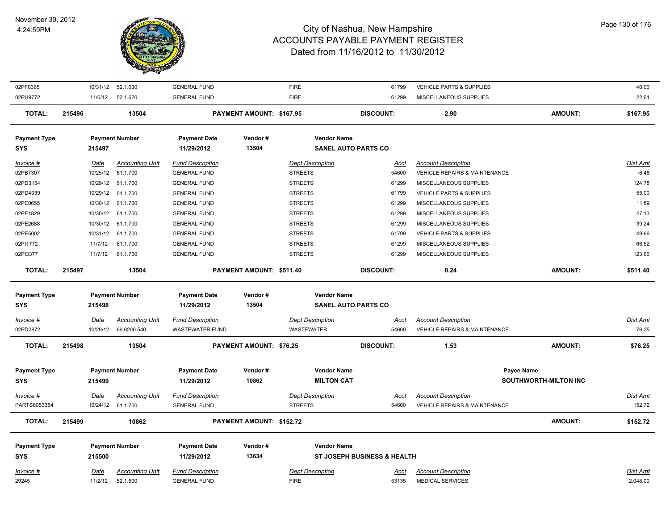

| 02PF0365                          |             | 10/31/12 52.1.630      | <b>GENERAL FUND</b>               |                                | <b>FIRE</b>                                      | 61799                                  | VEHICLE PARTS & SUPPLIES                 |                              | 40.00           |
|-----------------------------------|-------------|------------------------|-----------------------------------|--------------------------------|--------------------------------------------------|----------------------------------------|------------------------------------------|------------------------------|-----------------|
| 02PH9772                          | 11/6/12     | 52.1.620               | <b>GENERAL FUND</b>               |                                | <b>FIRE</b>                                      | 61299                                  | MISCELLANEOUS SUPPLIES                   |                              | 22.61           |
| <b>TOTAL:</b>                     | 215496      | 13504                  |                                   | PAYMENT AMOUNT: \$167.95       |                                                  | <b>DISCOUNT:</b>                       | 2.90                                     | AMOUNT:                      | \$167.95        |
| <b>Payment Type</b><br>SYS        | 215497      | <b>Payment Number</b>  | <b>Payment Date</b><br>11/29/2012 | Vendor#<br>13504               | <b>Vendor Name</b><br><b>SANEL AUTO PARTS CO</b> |                                        |                                          |                              |                 |
|                                   |             |                        |                                   |                                |                                                  |                                        |                                          |                              |                 |
| Invoice #                         | Date        | <b>Accounting Unit</b> | <b>Fund Description</b>           |                                | <b>Dept Description</b>                          | Acct                                   | <b>Account Description</b>               |                              | Dist Amt        |
| 02PB7307                          | 10/25/12    | 61.1.700               | <b>GENERAL FUND</b>               |                                | <b>STREETS</b>                                   | 54600                                  | VEHICLE REPAIRS & MAINTENANCE            |                              | $-6.48$         |
| 02PD3154                          |             | 10/29/12 61.1.700      | <b>GENERAL FUND</b>               |                                | <b>STREETS</b>                                   | 61299                                  | MISCELLANEOUS SUPPLIES                   |                              | 124.78          |
| 02PD4939                          |             | 10/29/12 61.1.700      | <b>GENERAL FUND</b>               |                                | <b>STREETS</b>                                   | 61799                                  | VEHICLE PARTS & SUPPLIES                 |                              | 55.00           |
| 02PE0655                          | 10/30/12    | 61.1.700               | <b>GENERAL FUND</b>               |                                | <b>STREETS</b>                                   | 61299                                  | MISCELLANEOUS SUPPLIES                   |                              | 11.89           |
| 02PE1829                          | 10/30/12    | 61.1.700               | <b>GENERAL FUND</b>               |                                | <b>STREETS</b>                                   | 61299                                  | MISCELLANEOUS SUPPLIES                   |                              | 47.13           |
| 02PE2688                          | 10/30/12    | 61.1.700               | <b>GENERAL FUND</b>               |                                | <b>STREETS</b>                                   | 61299                                  | MISCELLANEOUS SUPPLIES                   |                              | 39.24           |
| 02PE5002                          | 10/31/12    | 61.1.700               | <b>GENERAL FUND</b>               |                                | <b>STREETS</b>                                   | 61799                                  | VEHICLE PARTS & SUPPLIES                 |                              | 49.66           |
| 02PI1772                          | 11/7/12     | 61.1.700               | <b>GENERAL FUND</b>               |                                | <b>STREETS</b>                                   | 61299                                  | MISCELLANEOUS SUPPLIES                   |                              | 66.52           |
| 02PI3377                          | 11/7/12     | 61.1.700               | <b>GENERAL FUND</b>               |                                | <b>STREETS</b>                                   | 61299                                  | MISCELLANEOUS SUPPLIES                   |                              | 123.66          |
| <b>TOTAL:</b>                     | 215497      | 13504                  |                                   | PAYMENT AMOUNT: \$511.40       |                                                  | <b>DISCOUNT:</b>                       | 0.24                                     | <b>AMOUNT:</b>               | \$511.40        |
| <b>Payment Type</b>               |             | <b>Payment Number</b>  | <b>Payment Date</b>               | Vendor#                        | <b>Vendor Name</b>                               |                                        |                                          |                              |                 |
|                                   |             |                        |                                   |                                |                                                  |                                        |                                          |                              |                 |
| <b>SYS</b>                        | 215498      |                        | 11/29/2012                        | 13504                          | <b>SANEL AUTO PARTS CO</b>                       |                                        |                                          |                              |                 |
|                                   |             |                        |                                   |                                |                                                  |                                        |                                          |                              |                 |
| Invoice #                         | Date        | <b>Accounting Unit</b> | <b>Fund Description</b>           |                                | <b>Dept Description</b>                          | Acct                                   | <b>Account Description</b>               |                              | Dist Amt        |
| 02PD2872                          | 10/29/12    | 69.6200.540            | <b>WASTEWATER FUND</b>            |                                | WASTEWATER                                       | 54600                                  | <b>VEHICLE REPAIRS &amp; MAINTENANCE</b> |                              | 76.25           |
| <b>TOTAL:</b>                     | 215498      | 13504                  |                                   | <b>PAYMENT AMOUNT: \$76.25</b> |                                                  | <b>DISCOUNT:</b>                       | 1.53                                     | <b>AMOUNT:</b>               | \$76.25         |
|                                   |             | <b>Payment Number</b>  | <b>Payment Date</b>               | Vendor#                        | <b>Vendor Name</b>                               |                                        | Payee Name                               |                              |                 |
| <b>Payment Type</b><br><b>SYS</b> | 215499      |                        | 11/29/2012                        | 10862                          | <b>MILTON CAT</b>                                |                                        |                                          | <b>SOUTHWORTH-MILTON INC</b> |                 |
| $Invoice$ #                       | Date        | <b>Accounting Unit</b> | <b>Fund Description</b>           |                                | <b>Dept Description</b>                          | <u>Acct</u>                            | <b>Account Description</b>               |                              | <b>Dist Amt</b> |
| PARTS8053354                      |             | 10/24/12 61.1.700      | <b>GENERAL FUND</b>               |                                | <b>STREETS</b>                                   | 54600                                  | <b>VEHICLE REPAIRS &amp; MAINTENANCE</b> |                              | 152.72          |
| <b>TOTAL:</b>                     | 215499      | 10862                  |                                   | PAYMENT AMOUNT: \$152.72       |                                                  |                                        |                                          | <b>AMOUNT:</b>               | \$152.72        |
|                                   |             |                        |                                   |                                |                                                  |                                        |                                          |                              |                 |
| <b>Payment Type</b>               |             | <b>Payment Number</b>  | <b>Payment Date</b>               | Vendor#                        | <b>Vendor Name</b>                               |                                        |                                          |                              |                 |
| <b>SYS</b>                        | 215500      |                        | 11/29/2012                        | 13634                          |                                                  | <b>ST JOSEPH BUSINESS &amp; HEALTH</b> |                                          |                              |                 |
| Invoice #                         | <u>Date</u> | <b>Accounting Unit</b> | <b>Fund Description</b>           |                                | <b>Dept Description</b>                          | <u>Acct</u>                            | <b>Account Description</b>               |                              | <b>Dist Amt</b> |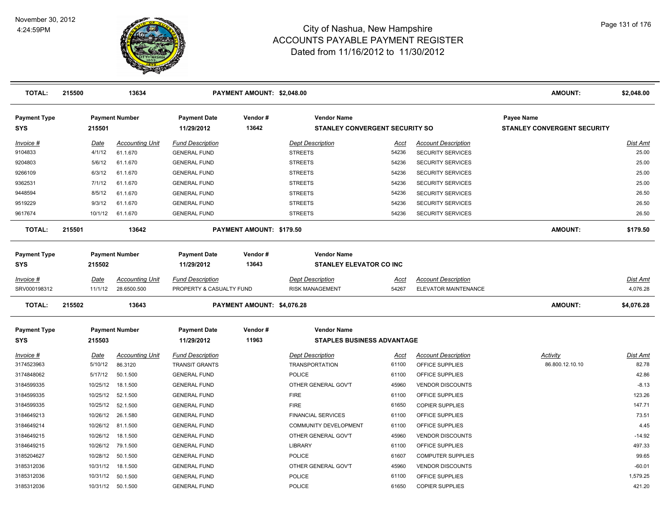

| <b>TOTAL:</b>              | 215500 |          | 13634                  |                                   | PAYMENT AMOUNT: \$2,048.00 |                                                             |             |                            | <b>AMOUNT:</b>                                          | \$2,048.00      |
|----------------------------|--------|----------|------------------------|-----------------------------------|----------------------------|-------------------------------------------------------------|-------------|----------------------------|---------------------------------------------------------|-----------------|
| <b>Payment Type</b><br>SYS |        | 215501   | <b>Payment Number</b>  | <b>Payment Date</b><br>11/29/2012 | Vendor#<br>13642           | <b>Vendor Name</b><br><b>STANLEY CONVERGENT SECURITY SO</b> |             |                            | <b>Payee Name</b><br><b>STANLEY CONVERGENT SECURITY</b> |                 |
| Invoice #                  |        | Date     | <b>Accounting Unit</b> | <b>Fund Description</b>           |                            | <b>Dept Description</b>                                     | Acct        | <b>Account Description</b> |                                                         | <b>Dist Amt</b> |
| 9104833                    |        | 4/1/12   | 61.1.670               | <b>GENERAL FUND</b>               |                            | <b>STREETS</b>                                              | 54236       | SECURITY SERVICES          |                                                         | 25.00           |
| 9204803                    |        | 5/6/12   | 61.1.670               | <b>GENERAL FUND</b>               |                            | <b>STREETS</b>                                              | 54236       | <b>SECURITY SERVICES</b>   |                                                         | 25.00           |
| 9266109                    |        | 6/3/12   | 61.1.670               | <b>GENERAL FUND</b>               |                            | <b>STREETS</b>                                              | 54236       | SECURITY SERVICES          |                                                         | 25.00           |
| 9362531                    |        | 7/1/12   | 61.1.670               | <b>GENERAL FUND</b>               |                            | <b>STREETS</b>                                              | 54236       | <b>SECURITY SERVICES</b>   |                                                         | 25.00           |
| 9448594                    |        | 8/5/12   | 61.1.670               | <b>GENERAL FUND</b>               |                            | <b>STREETS</b>                                              | 54236       | SECURITY SERVICES          |                                                         | 26.50           |
| 9519229                    |        | 9/3/12   | 61.1.670               | <b>GENERAL FUND</b>               |                            | <b>STREETS</b>                                              | 54236       | <b>SECURITY SERVICES</b>   |                                                         | 26.50           |
| 9617674                    |        | 10/1/12  | 61.1.670               | <b>GENERAL FUND</b>               |                            | <b>STREETS</b>                                              | 54236       | <b>SECURITY SERVICES</b>   |                                                         | 26.50           |
| <b>TOTAL:</b>              | 215501 |          | 13642                  |                                   | PAYMENT AMOUNT: \$179.50   |                                                             |             |                            | <b>AMOUNT:</b>                                          | \$179.50        |
| <b>Payment Type</b>        |        |          | <b>Payment Number</b>  | <b>Payment Date</b>               | Vendor#                    | <b>Vendor Name</b>                                          |             |                            |                                                         |                 |
| <b>SYS</b>                 |        | 215502   |                        | 11/29/2012                        | 13643                      | <b>STANLEY ELEVATOR CO INC</b>                              |             |                            |                                                         |                 |
| Invoice #                  |        | Date     | <b>Accounting Unit</b> | <b>Fund Description</b>           |                            | <b>Dept Description</b>                                     | Acct        | <b>Account Description</b> |                                                         | Dist Amt        |
| SRV000198312               |        | 11/1/12  | 28.6500.500            | PROPERTY & CASUALTY FUND          |                            | <b>RISK MANAGEMENT</b>                                      | 54267       | ELEVATOR MAINTENANCE       |                                                         | 4,076.28        |
| <b>TOTAL:</b>              | 215502 |          | 13643                  |                                   | PAYMENT AMOUNT: \$4,076.28 |                                                             |             |                            | <b>AMOUNT:</b>                                          | \$4,076.28      |
| <b>Payment Type</b>        |        |          | <b>Payment Number</b>  | <b>Payment Date</b>               | Vendor#                    | <b>Vendor Name</b>                                          |             |                            |                                                         |                 |
| <b>SYS</b>                 |        | 215503   |                        | 11/29/2012                        | 11963                      | <b>STAPLES BUSINESS ADVANTAGE</b>                           |             |                            |                                                         |                 |
| Invoice #                  |        | Date     | <b>Accounting Unit</b> | <b>Fund Description</b>           |                            | <b>Dept Description</b>                                     | <u>Acct</u> | <b>Account Description</b> | <b>Activity</b>                                         | <b>Dist Amt</b> |
| 3174523963                 |        | 5/10/12  | 86.3120                | <b>TRANSIT GRANTS</b>             |                            | <b>TRANSPORTATION</b>                                       | 61100       | OFFICE SUPPLIES            | 86.800.12.10.10                                         | 82.78           |
| 3174848062                 |        | 5/17/12  | 50.1.500               | <b>GENERAL FUND</b>               |                            | <b>POLICE</b>                                               | 61100       | OFFICE SUPPLIES            |                                                         | 42.86           |
| 3184599335                 |        | 10/25/12 | 18.1.500               | <b>GENERAL FUND</b>               |                            | OTHER GENERAL GOV'T                                         | 45960       | <b>VENDOR DISCOUNTS</b>    |                                                         | $-8.13$         |
| 3184599335                 |        | 10/25/12 | 52.1.500               | <b>GENERAL FUND</b>               |                            | <b>FIRE</b>                                                 | 61100       | OFFICE SUPPLIES            |                                                         | 123.26          |
| 3184599335                 |        | 10/25/12 | 52.1.500               | <b>GENERAL FUND</b>               |                            | <b>FIRE</b>                                                 | 61650       | <b>COPIER SUPPLIES</b>     |                                                         | 147.71          |
| 3184649213                 |        | 10/26/12 | 26.1.580               | <b>GENERAL FUND</b>               |                            | <b>FINANCIAL SERVICES</b>                                   | 61100       | OFFICE SUPPLIES            |                                                         | 73.51           |
| 3184649214                 |        | 10/26/12 | 81.1.500               | <b>GENERAL FUND</b>               |                            | <b>COMMUNITY DEVELOPMENT</b>                                | 61100       | OFFICE SUPPLIES            |                                                         | 4.45            |
| 3184649215                 |        | 10/26/12 | 18.1.500               | <b>GENERAL FUND</b>               |                            | OTHER GENERAL GOV'T                                         | 45960       | <b>VENDOR DISCOUNTS</b>    |                                                         | $-14.92$        |
| 3184649215                 |        | 10/26/12 | 79.1.500               | <b>GENERAL FUND</b>               |                            | <b>LIBRARY</b>                                              | 61100       | OFFICE SUPPLIES            |                                                         | 497.33          |
| 3185204627                 |        | 10/28/12 | 50.1.500               | <b>GENERAL FUND</b>               |                            | <b>POLICE</b>                                               | 61607       | <b>COMPUTER SUPPLIES</b>   |                                                         | 99.65           |
| 3185312036                 |        | 10/31/12 | 18.1.500               | <b>GENERAL FUND</b>               |                            | OTHER GENERAL GOV'T                                         | 45960       | <b>VENDOR DISCOUNTS</b>    |                                                         | $-60.01$        |
| 3185312036                 |        | 10/31/12 | 50.1.500               | <b>GENERAL FUND</b>               |                            | <b>POLICE</b>                                               | 61100       | OFFICE SUPPLIES            |                                                         | 1,579.25        |
| 3185312036                 |        |          | 10/31/12  50.1.500     | <b>GENERAL FUND</b>               |                            | <b>POLICE</b>                                               | 61650       | <b>COPIER SUPPLIES</b>     |                                                         | 421.20          |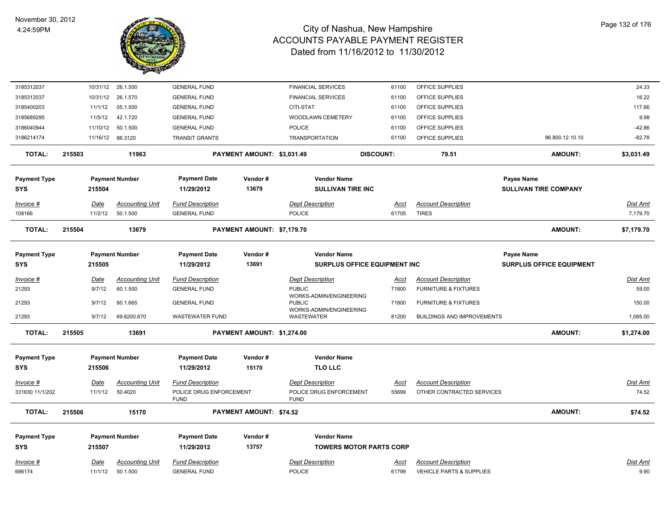

| 3185312037          |        |             | 10/31/12 26.1.500      | <b>GENERAL FUND</b>                    |                            | <b>FINANCIAL SERVICES</b>                    | 61100                               | OFFICE SUPPLIES                     |                                 | 24.33           |
|---------------------|--------|-------------|------------------------|----------------------------------------|----------------------------|----------------------------------------------|-------------------------------------|-------------------------------------|---------------------------------|-----------------|
| 3185312037          |        | 10/31/12    | 26.1.570               | <b>GENERAL FUND</b>                    |                            | <b>FINANCIAL SERVICES</b>                    | 61100                               | OFFICE SUPPLIES                     |                                 | 16.22           |
| 3185400203          |        | 11/1/12     | 05.1.500               | <b>GENERAL FUND</b>                    |                            | CITI-STAT                                    | 61100                               | OFFICE SUPPLIES                     |                                 | 117.66          |
| 3185689295          |        | 11/5/12     | 42.1.720               | <b>GENERAL FUND</b>                    |                            | WOODLAWN CEMETERY                            | 61100                               | OFFICE SUPPLIES                     |                                 | 9.98            |
| 3186040944          |        | 11/10/12    | 50.1.500               | <b>GENERAL FUND</b>                    |                            | <b>POLICE</b>                                | 61100                               | OFFICE SUPPLIES                     |                                 | $-42.86$        |
| 3186214174          |        |             | 11/16/12 86.3120       | <b>TRANSIT GRANTS</b>                  |                            | <b>TRANSPORTATION</b>                        | 61100                               | OFFICE SUPPLIES                     | 86.800.12.10.10                 | $-82.78$        |
| <b>TOTAL:</b>       | 215503 |             | 11963                  |                                        | PAYMENT AMOUNT: \$3,031.49 |                                              | <b>DISCOUNT:</b>                    | 79.51                               | <b>AMOUNT:</b>                  | \$3,031.49      |
| <b>Payment Type</b> |        |             | <b>Payment Number</b>  | <b>Payment Date</b>                    | Vendor#                    | <b>Vendor Name</b>                           |                                     |                                     | Payee Name                      |                 |
| <b>SYS</b>          |        | 215504      |                        | 11/29/2012                             | 13679                      | <b>SULLIVAN TIRE INC</b>                     |                                     |                                     | <b>SULLIVAN TIRE COMPANY</b>    |                 |
| Invoice #           |        | Date        | Accounting Unit        | <b>Fund Description</b>                |                            | <b>Dept Description</b>                      | Acct                                | <b>Account Description</b>          |                                 | Dist Amt        |
| 108166              |        | 11/2/12     | 50.1.500               | <b>GENERAL FUND</b>                    |                            | <b>POLICE</b>                                | 61705                               | <b>TIRES</b>                        |                                 | 7,179.70        |
| <b>TOTAL:</b>       | 215504 |             | 13679                  |                                        | PAYMENT AMOUNT: \$7,179.70 |                                              |                                     |                                     | <b>AMOUNT:</b>                  | \$7,179.70      |
| <b>Payment Type</b> |        |             | <b>Payment Number</b>  | <b>Payment Date</b>                    | Vendor#                    | <b>Vendor Name</b>                           |                                     |                                     | Payee Name                      |                 |
| <b>SYS</b>          |        | 215505      |                        | 11/29/2012                             | 13691                      |                                              | <b>SURPLUS OFFICE EQUIPMENT INC</b> |                                     | <b>SURPLUS OFFICE EQUIPMENT</b> |                 |
| Invoice #           |        | <b>Date</b> | <b>Accounting Unit</b> | <b>Fund Description</b>                |                            | <b>Dept Description</b>                      | Acct                                | <b>Account Description</b>          |                                 | Dist Amt        |
| 21293               |        | 9/7/12      | 60.1.500               | <b>GENERAL FUND</b>                    |                            | <b>PUBLIC</b>                                | 71800                               | <b>FURNITURE &amp; FIXTURES</b>     |                                 | 59.00           |
| 21293               |        | 9/7/12      | 60.1.665               | <b>GENERAL FUND</b>                    |                            | WORKS-ADMIN/ENGINEERING<br><b>PUBLIC</b>     | 71800                               | <b>FURNITURE &amp; FIXTURES</b>     |                                 | 150.00          |
| 21293               |        | 9/7/12      | 69.6200.670            | <b>WASTEWATER FUND</b>                 |                            | WORKS-ADMIN/ENGINEERING<br><b>WASTEWATER</b> | 81200                               | <b>BUILDINGS AND IMPROVEMENTS</b>   |                                 | 1,065.00        |
| <b>TOTAL:</b>       | 215505 |             | 13691                  |                                        | PAYMENT AMOUNT: \$1,274.00 |                                              |                                     |                                     | <b>AMOUNT:</b>                  | \$1,274.00      |
| <b>Payment Type</b> |        |             | <b>Payment Number</b>  | <b>Payment Date</b>                    | Vendor#                    | <b>Vendor Name</b>                           |                                     |                                     |                                 |                 |
| <b>SYS</b>          |        | 215506      |                        | 11/29/2012                             | 15170                      | <b>TLO LLC</b>                               |                                     |                                     |                                 |                 |
|                     |        |             |                        |                                        |                            |                                              |                                     |                                     |                                 |                 |
| $Invoice$ #         |        | Date        | <b>Accounting Unit</b> | <b>Fund Description</b>                |                            | <b>Dept Description</b>                      | <u>Acct</u>                         | <b>Account Description</b>          |                                 | <b>Dist Amt</b> |
| 331630 11/1/202     |        | 11/1/12     | 50.4020                | POLICE DRUG ENFORCEMENT<br><b>FUND</b> |                            | POLICE DRUG ENFORCEMENT<br><b>FUND</b>       | 55699                               | OTHER CONTRACTED SERVICES           |                                 | 74.52           |
| TOTAL:              | 215506 |             | 15170                  |                                        | PAYMENT AMOUNT: \$74.52    |                                              |                                     |                                     | <b>AMOUNT:</b>                  | \$74.52         |
| <b>Payment Type</b> |        |             | <b>Payment Number</b>  | <b>Payment Date</b>                    | Vendor#                    | <b>Vendor Name</b>                           |                                     |                                     |                                 |                 |
| <b>SYS</b>          |        | 215507      |                        | 11/29/2012                             | 13757                      |                                              | <b>TOWERS MOTOR PARTS CORP</b>      |                                     |                                 |                 |
| Invoice #           |        | Date        | <b>Accounting Unit</b> | <b>Fund Description</b>                |                            | <b>Dept Description</b>                      | <u>Acct</u>                         | <b>Account Description</b>          |                                 | <b>Dist Amt</b> |
| 696174              |        | 11/1/12     | 50.1.500               | <b>GENERAL FUND</b>                    |                            | <b>POLICE</b>                                | 61799                               | <b>VEHICLE PARTS &amp; SUPPLIES</b> |                                 | 9.90            |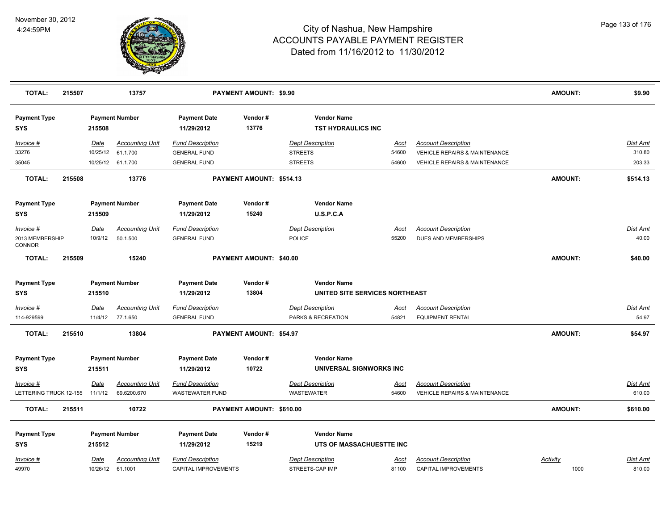

| <b>TOTAL:</b>              | 215507 |             | 13757                  |                                   | PAYMENT AMOUNT: \$9.90         |                                                 |             |                                          | AMOUNT:        | \$9.90          |
|----------------------------|--------|-------------|------------------------|-----------------------------------|--------------------------------|-------------------------------------------------|-------------|------------------------------------------|----------------|-----------------|
| <b>Payment Type</b><br>SYS |        | 215508      | <b>Payment Number</b>  | <b>Payment Date</b><br>11/29/2012 | Vendor#<br>13776               | <b>Vendor Name</b><br><b>TST HYDRAULICS INC</b> |             |                                          |                |                 |
| Invoice #                  |        | Date        | <b>Accounting Unit</b> | <b>Fund Description</b>           |                                | <b>Dept Description</b>                         | Acct        | <b>Account Description</b>               |                | Dist Amt        |
| 33276                      |        | 10/25/12    | 61.1.700               | <b>GENERAL FUND</b>               |                                | <b>STREETS</b>                                  | 54600       | VEHICLE REPAIRS & MAINTENANCE            |                | 310.80          |
| 35045                      |        |             | 10/25/12 61.1.700      | <b>GENERAL FUND</b>               |                                | <b>STREETS</b>                                  | 54600       | <b>VEHICLE REPAIRS &amp; MAINTENANCE</b> |                | 203.33          |
| <b>TOTAL:</b>              | 215508 |             | 13776                  |                                   | PAYMENT AMOUNT: \$514.13       |                                                 |             |                                          | <b>AMOUNT:</b> | \$514.13        |
| <b>Payment Type</b>        |        |             | <b>Payment Number</b>  | <b>Payment Date</b>               | Vendor#                        | <b>Vendor Name</b>                              |             |                                          |                |                 |
| <b>SYS</b>                 |        | 215509      |                        | 11/29/2012                        | 15240                          | U.S.P.C.A                                       |             |                                          |                |                 |
| Invoice #                  |        | Date        | <b>Accounting Unit</b> | <b>Fund Description</b>           |                                | <b>Dept Description</b>                         | Acct        | <b>Account Description</b>               |                | Dist Amt        |
| 2013 MEMBERSHIP<br>CONNOR  |        | 10/9/12     | 50.1.500               | <b>GENERAL FUND</b>               |                                | <b>POLICE</b>                                   | 55200       | DUES AND MEMBERSHIPS                     |                | 40.00           |
| <b>TOTAL:</b>              | 215509 |             | 15240                  |                                   | PAYMENT AMOUNT: \$40.00        |                                                 |             |                                          | <b>AMOUNT:</b> | \$40.00         |
| <b>Payment Type</b>        |        |             | <b>Payment Number</b>  | <b>Payment Date</b>               | Vendor#                        | <b>Vendor Name</b>                              |             |                                          |                |                 |
| SYS                        |        | 215510      |                        | 11/29/2012                        | 13804                          | UNITED SITE SERVICES NORTHEAST                  |             |                                          |                |                 |
| Invoice #                  |        | Date        | <b>Accounting Unit</b> | <b>Fund Description</b>           |                                | <b>Dept Description</b>                         | Acct        | <b>Account Description</b>               |                | <u>Dist Amt</u> |
| 114-929599                 |        |             | 11/4/12 77.1.650       | <b>GENERAL FUND</b>               |                                | PARKS & RECREATION                              | 54821       | <b>EQUIPMENT RENTAL</b>                  |                | 54.97           |
| <b>TOTAL:</b>              | 215510 |             | 13804                  |                                   | <b>PAYMENT AMOUNT: \$54.97</b> |                                                 |             |                                          | <b>AMOUNT:</b> | \$54.97         |
| <b>Payment Type</b>        |        |             | <b>Payment Number</b>  | <b>Payment Date</b>               | Vendor#                        | <b>Vendor Name</b>                              |             |                                          |                |                 |
| SYS                        |        | 215511      |                        | 11/29/2012                        | 10722                          | UNIVERSAL SIGNWORKS INC                         |             |                                          |                |                 |
| <u>Invoice #</u>           |        | <b>Date</b> | <b>Accounting Unit</b> | <b>Fund Description</b>           |                                | <b>Dept Description</b>                         | <u>Acct</u> | <b>Account Description</b>               |                | <b>Dist Amt</b> |
| LETTERING TRUCK 12-155     |        | 11/1/12     | 69.6200.670            | <b>WASTEWATER FUND</b>            |                                | <b>WASTEWATER</b>                               | 54600       | <b>VEHICLE REPAIRS &amp; MAINTENANCE</b> |                | 610.00          |
| <b>TOTAL:</b>              | 215511 |             | 10722                  |                                   | PAYMENT AMOUNT: \$610.00       |                                                 |             |                                          | <b>AMOUNT:</b> | \$610.00        |
| <b>Payment Type</b>        |        |             | <b>Payment Number</b>  | <b>Payment Date</b>               | Vendor#                        | <b>Vendor Name</b>                              |             |                                          |                |                 |
| <b>SYS</b>                 |        | 215512      |                        | 11/29/2012                        | 15219                          | UTS OF MASSACHUESTTE INC                        |             |                                          |                |                 |
| Invoice #                  |        | Date        | <b>Accounting Unit</b> | <b>Fund Description</b>           |                                | <b>Dept Description</b>                         | Acct        | <b>Account Description</b>               | Activity       | Dist Amt        |
| 49970                      |        |             | 10/26/12 61.1001       | CAPITAL IMPROVEMENTS              |                                | STREETS-CAP IMP                                 | 81100       | CAPITAL IMPROVEMENTS                     | 1000           | 810.00          |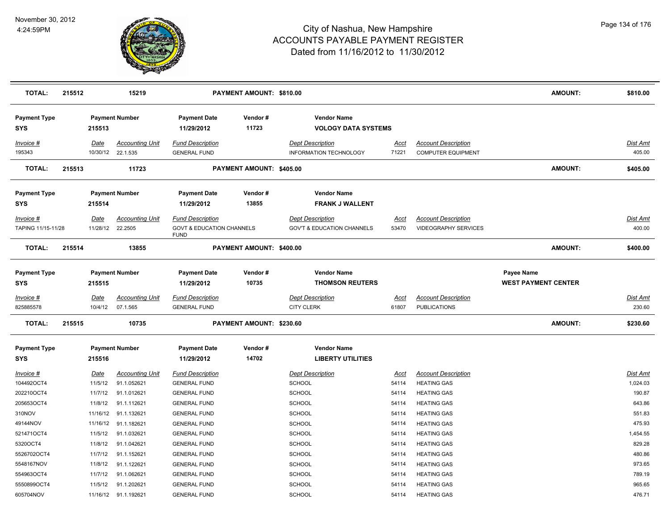

| <b>TOTAL:</b>                     | 215512 |                 | 15219                                       |                                                     | PAYMENT AMOUNT: \$810.00 |                                                          |               |                                                         | <b>AMOUNT:</b>                                  | \$810.00                  |
|-----------------------------------|--------|-----------------|---------------------------------------------|-----------------------------------------------------|--------------------------|----------------------------------------------------------|---------------|---------------------------------------------------------|-------------------------------------------------|---------------------------|
| <b>Payment Type</b><br><b>SYS</b> |        | 215513          | <b>Payment Number</b>                       | <b>Payment Date</b><br>11/29/2012                   | Vendor#<br>11723         | <b>Vendor Name</b><br><b>VOLOGY DATA SYSTEMS</b>         |               |                                                         |                                                 |                           |
| Invoice #<br>195343               |        | Date            | <b>Accounting Unit</b><br>10/30/12 22.1.535 | <b>Fund Description</b><br><b>GENERAL FUND</b>      |                          | <b>Dept Description</b><br><b>INFORMATION TECHNOLOGY</b> | Acct<br>71221 | <b>Account Description</b><br><b>COMPUTER EQUIPMENT</b> |                                                 | Dist Amt<br>405.00        |
| <b>TOTAL:</b>                     | 215513 |                 | 11723                                       |                                                     | PAYMENT AMOUNT: \$405.00 |                                                          |               |                                                         | <b>AMOUNT:</b>                                  | \$405.00                  |
| <b>Payment Type</b><br><b>SYS</b> |        | 215514          | <b>Payment Number</b>                       | <b>Payment Date</b><br>11/29/2012                   | Vendor#<br>13855         | <b>Vendor Name</b><br><b>FRANK J WALLENT</b>             |               |                                                         |                                                 |                           |
| Invoice #                         |        | <b>Date</b>     | <b>Accounting Unit</b>                      | <b>Fund Description</b>                             |                          | <b>Dept Description</b>                                  | <u>Acct</u>   | <b>Account Description</b>                              |                                                 | Dist Amt                  |
| TAPING 11/15-11/28                |        |                 | 11/28/12 22.2505                            | <b>GOVT &amp; EDUCATION CHANNELS</b><br><b>FUND</b> |                          | <b>GOV'T &amp; EDUCATION CHANNELS</b>                    | 53470         | <b>VIDEOGRAPHY SERVICES</b>                             |                                                 | 400.00                    |
| <b>TOTAL:</b>                     | 215514 |                 | 13855                                       |                                                     | PAYMENT AMOUNT: \$400.00 |                                                          |               |                                                         | <b>AMOUNT:</b>                                  | \$400.00                  |
| <b>Payment Type</b><br><b>SYS</b> |        | 215515          | <b>Payment Number</b>                       | <b>Payment Date</b><br>11/29/2012                   | Vendor#<br>10735         | <b>Vendor Name</b><br><b>THOMSON REUTERS</b>             |               |                                                         | <b>Payee Name</b><br><b>WEST PAYMENT CENTER</b> |                           |
| Invoice #<br>825885578            |        | Date<br>10/4/12 | <b>Accounting Unit</b><br>07.1.565          | <b>Fund Description</b><br><b>GENERAL FUND</b>      |                          | <b>Dept Description</b><br><b>CITY CLERK</b>             | Acct<br>61807 | <b>Account Description</b><br><b>PUBLICATIONS</b>       |                                                 | <b>Dist Amt</b><br>230.60 |
| TOTAL:                            | 215515 |                 | 10735                                       |                                                     | PAYMENT AMOUNT: \$230.60 |                                                          |               |                                                         | <b>AMOUNT:</b>                                  | \$230.60                  |
| <b>Payment Type</b><br><b>SYS</b> |        | 215516          | <b>Payment Number</b>                       | <b>Payment Date</b><br>11/29/2012                   | Vendor#<br>14702         | <b>Vendor Name</b><br><b>LIBERTY UTILITIES</b>           |               |                                                         |                                                 |                           |
| Invoice #                         |        | Date            | <b>Accounting Unit</b>                      | <b>Fund Description</b>                             |                          | <b>Dept Description</b>                                  | <u>Acct</u>   | <b>Account Description</b>                              |                                                 | Dist Amt                  |
| 104492OCT4                        |        | 11/5/12         | 91.1.052621                                 | <b>GENERAL FUND</b>                                 |                          | <b>SCHOOL</b>                                            | 54114         | <b>HEATING GAS</b>                                      |                                                 | 1,024.03                  |
| 202210OCT4                        |        | 11/7/12         | 91.1.012621                                 | <b>GENERAL FUND</b>                                 |                          | SCHOOL                                                   | 54114         | <b>HEATING GAS</b>                                      |                                                 | 190.87                    |
| 205653OCT4                        |        | 11/8/12         | 91.1.112621                                 | <b>GENERAL FUND</b>                                 |                          | <b>SCHOOL</b>                                            | 54114         | <b>HEATING GAS</b>                                      |                                                 | 643.86                    |
| 310NOV                            |        |                 | 11/16/12 91.1.132621                        | <b>GENERAL FUND</b>                                 |                          | <b>SCHOOL</b>                                            | 54114         | <b>HEATING GAS</b>                                      |                                                 | 551.83                    |
| 49144NOV                          |        |                 | 11/16/12 91.1.182621                        | <b>GENERAL FUND</b>                                 |                          | <b>SCHOOL</b>                                            | 54114         | <b>HEATING GAS</b>                                      |                                                 | 475.93                    |
| 521471OCT4                        |        | 11/5/12         | 91.1.032621                                 | <b>GENERAL FUND</b>                                 |                          | <b>SCHOOL</b>                                            | 54114         | <b>HEATING GAS</b>                                      |                                                 | 1,454.55                  |
| 5320OCT4                          |        | 11/8/12         | 91.1.042621                                 | <b>GENERAL FUND</b>                                 |                          | <b>SCHOOL</b>                                            | 54114         | <b>HEATING GAS</b>                                      |                                                 | 829.28                    |
| 5526702OCT4                       |        | 11/7/12         | 91.1.152621                                 | <b>GENERAL FUND</b>                                 |                          | <b>SCHOOL</b>                                            | 54114         | <b>HEATING GAS</b>                                      |                                                 | 480.86                    |
| 5548167NOV                        |        | 11/8/12         | 91.1.122621                                 | <b>GENERAL FUND</b>                                 |                          | <b>SCHOOL</b>                                            | 54114         | <b>HEATING GAS</b>                                      |                                                 | 973.65                    |
| 554963OCT4                        |        | 11/7/12         | 91.1.062621                                 | <b>GENERAL FUND</b>                                 |                          | <b>SCHOOL</b>                                            | 54114         | <b>HEATING GAS</b>                                      |                                                 | 789.19                    |
| 5550899OCT4                       |        | 11/5/12         | 91.1.202621                                 | <b>GENERAL FUND</b>                                 |                          | SCHOOL                                                   | 54114         | <b>HEATING GAS</b>                                      |                                                 | 965.65                    |
| 605704NOV                         |        |                 | 11/16/12 91.1.192621                        | <b>GENERAL FUND</b>                                 |                          | SCHOOL                                                   | 54114         | <b>HEATING GAS</b>                                      |                                                 | 476.71                    |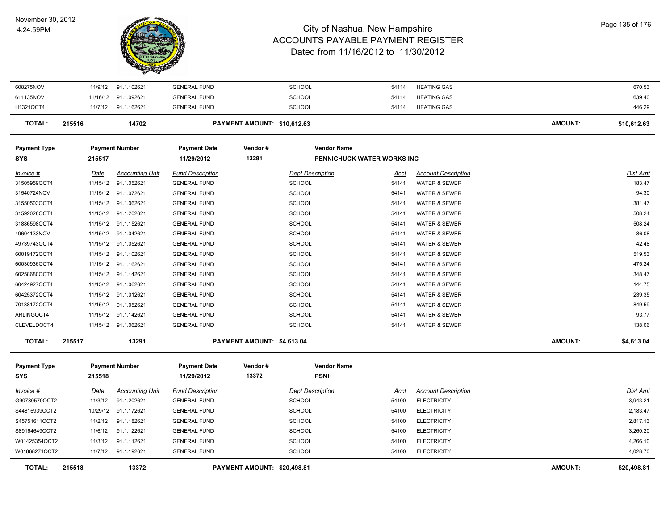#### November 30, 2012 4:24:59PM



| <b>TOTAL:</b>                    | 215518                  | 13372                                 |                                                | PAYMENT AMOUNT: \$20,498.81 |                                   |                            |                                                        | <b>AMOUNT:</b> | \$20,498.81               |
|----------------------------------|-------------------------|---------------------------------------|------------------------------------------------|-----------------------------|-----------------------------------|----------------------------|--------------------------------------------------------|----------------|---------------------------|
| W01868271OCT2                    |                         | 11/7/12 91.1.192621                   | <b>GENERAL FUND</b>                            |                             | <b>SCHOOL</b>                     | 54100                      | <b>ELECTRICITY</b>                                     |                | 4,028.70                  |
| W01425354OCT2                    | 11/3/12                 | 91.1.112621                           | <b>GENERAL FUND</b>                            |                             | <b>SCHOOL</b>                     | 54100                      | <b>ELECTRICITY</b>                                     |                | 4,266.10                  |
| S89164649OCT2                    | 11/6/12                 | 91.1.122621                           | <b>GENERAL FUND</b>                            |                             | <b>SCHOOL</b>                     | 54100                      | <b>ELECTRICITY</b>                                     |                | 3,260.20                  |
| S45751611OCT2                    | 11/2/12                 | 91.1.182621                           | <b>GENERAL FUND</b>                            |                             | <b>SCHOOL</b>                     | 54100                      | <b>ELECTRICITY</b>                                     |                | 2,817.13                  |
| S44816939OCT2                    | 10/29/12                | 91.1.172621                           | <b>GENERAL FUND</b>                            |                             | <b>SCHOOL</b>                     | 54100                      | <b>ELECTRICITY</b>                                     |                | 2,183.47                  |
| G90780570OCT2                    | 11/3/12                 | 91.1.202621                           | <b>GENERAL FUND</b>                            |                             | <b>SCHOOL</b>                     | 54100                      | <b>ELECTRICITY</b>                                     |                | 3,943.21                  |
| Invoice #                        | Date                    | <b>Accounting Unit</b>                | <b>Fund Description</b>                        |                             | <b>Dept Description</b>           | Acct                       | <b>Account Description</b>                             |                | Dist Amt                  |
| <b>Payment Type</b><br>SYS       | 215518                  | <b>Payment Number</b>                 | <b>Payment Date</b><br>11/29/2012              | Vendor#<br>13372            | <b>Vendor Name</b><br><b>PSNH</b> |                            |                                                        |                |                           |
| <b>TOTAL:</b>                    | 215517                  | 13291                                 |                                                | PAYMENT AMOUNT: \$4,613.04  |                                   |                            |                                                        | <b>AMOUNT:</b> | \$4,613.04                |
| CLEVELDOCT4                      |                         | 11/15/12 91.1.062621                  | <b>GENERAL FUND</b>                            |                             | <b>SCHOOL</b>                     | 54141                      | <b>WATER &amp; SEWER</b>                               |                | 138.06                    |
| ARLINGOCT4                       |                         | 11/15/12 91.1.142621                  | <b>GENERAL FUND</b>                            |                             | <b>SCHOOL</b>                     | 54141                      | <b>WATER &amp; SEWER</b>                               |                | 93.77                     |
| 70138172OCT4                     |                         | 11/15/12 91.1.052621                  | <b>GENERAL FUND</b>                            |                             | <b>SCHOOL</b>                     | 54141                      | <b>WATER &amp; SEWER</b>                               |                | 849.59                    |
| 60425372OCT4                     |                         | 11/15/12 91.1.012621                  | <b>GENERAL FUND</b>                            |                             | <b>SCHOOL</b>                     | 54141                      | <b>WATER &amp; SEWER</b>                               |                | 239.35                    |
| 60424927OCT4                     |                         | 11/15/12 91.1.062621                  | <b>GENERAL FUND</b>                            |                             | <b>SCHOOL</b>                     | 54141                      | <b>WATER &amp; SEWER</b>                               |                | 144.75                    |
| 60258680OCT4                     |                         | 11/15/12 91.1.142621                  | <b>GENERAL FUND</b>                            |                             | <b>SCHOOL</b>                     | 54141                      | <b>WATER &amp; SEWER</b>                               |                | 348.47                    |
| 60030936OCT4                     |                         | 11/15/12 91.1.162621                  | <b>GENERAL FUND</b>                            |                             | SCHOOL                            | 54141                      | WATER & SEWER                                          |                | 475.24                    |
| 60019172OCT4                     |                         | 11/15/12 91.1.102621                  | <b>GENERAL FUND</b>                            |                             | SCHOOL                            | 54141                      | <b>WATER &amp; SEWER</b>                               |                | 519.53                    |
| 49739743OCT4                     |                         | 11/15/12 91.1.052621                  | <b>GENERAL FUND</b>                            |                             | <b>SCHOOL</b>                     | 54141                      | <b>WATER &amp; SEWER</b>                               |                | 42.48                     |
| 49604133NOV                      |                         | 11/15/12 91.1.042621                  | <b>GENERAL FUND</b>                            |                             | SCHOOL                            | 54141                      | <b>WATER &amp; SEWER</b>                               |                | 86.08                     |
| 31886598OCT4                     |                         | 11/15/12 91.1.152621                  | <b>GENERAL FUND</b>                            |                             | <b>SCHOOL</b>                     | 54141                      | <b>WATER &amp; SEWER</b>                               |                | 508.24                    |
| 31592028OCT4                     |                         | 11/15/12 91.1.202621                  | <b>GENERAL FUND</b>                            |                             | <b>SCHOOL</b>                     | 54141                      | <b>WATER &amp; SEWER</b>                               |                | 508.24                    |
| 31550503OCT4                     |                         | 11/15/12 91.1.062621                  | <b>GENERAL FUND</b>                            |                             | <b>SCHOOL</b>                     | 54141                      | <b>WATER &amp; SEWER</b>                               |                | 381.47                    |
| 31540724NOV                      |                         | 11/15/12 91.1.072621                  | <b>GENERAL FUND</b>                            |                             | <b>SCHOOL</b>                     | 54141                      | WATER & SEWER                                          |                | 94.30                     |
| <u>Invoice #</u><br>31505959OCT4 | <u>Date</u><br>11/15/12 | <b>Accounting Unit</b><br>91.1.052621 | <b>Fund Description</b><br><b>GENERAL FUND</b> |                             | <b>Dept Description</b><br>SCHOOL | <u>Acct</u><br>54141       | <b>Account Description</b><br><b>WATER &amp; SEWER</b> |                | <u>Dist Amt</u><br>183.47 |
|                                  |                         |                                       |                                                |                             |                                   |                            |                                                        |                |                           |
| <b>Payment Type</b><br>SYS       | 215517                  | <b>Payment Number</b>                 | <b>Payment Date</b><br>11/29/2012              | Vendor#<br>13291            | <b>Vendor Name</b>                | PENNICHUCK WATER WORKS INC |                                                        |                |                           |
| <b>TOTAL:</b>                    | 215516                  | 14702                                 |                                                | PAYMENT AMOUNT: \$10,612.63 |                                   |                            |                                                        | <b>AMOUNT:</b> | \$10,612.63               |
| H1321OCT4                        |                         | 11/7/12 91.1.162621                   | <b>GENERAL FUND</b>                            |                             | <b>SCHOOL</b>                     | 54114                      | <b>HEATING GAS</b>                                     |                | 446.29                    |
| 611135NOV                        | 11/16/12                | 91.1.092621                           | <b>GENERAL FUND</b>                            |                             | <b>SCHOOL</b>                     | 54114                      | <b>HEATING GAS</b>                                     |                | 639.40                    |
| 608275NOV                        | 11/9/12                 | 91.1.102621                           | <b>GENERAL FUND</b>                            |                             | <b>SCHOOL</b>                     | 54114                      | <b>HEATING GAS</b>                                     |                | 670.53                    |
|                                  |                         |                                       |                                                |                             |                                   |                            |                                                        |                |                           |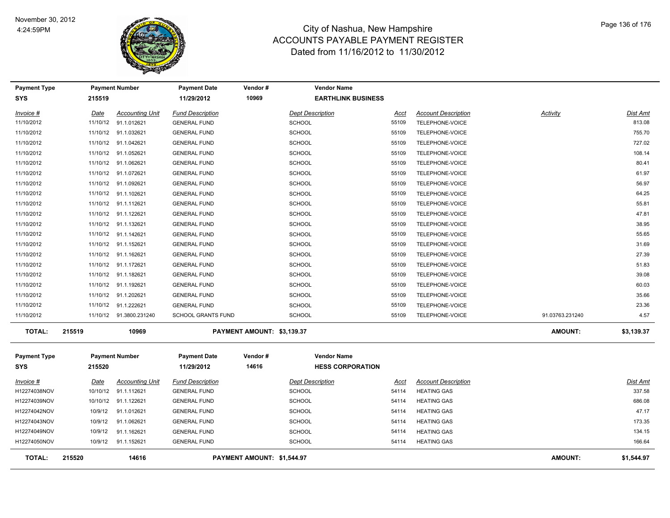

| <b>Payment Type</b> |          | <b>Payment Number</b>   | <b>Payment Date</b>       | Vendor#                    | <b>Vendor Name</b>        |       |                            |                 |                 |
|---------------------|----------|-------------------------|---------------------------|----------------------------|---------------------------|-------|----------------------------|-----------------|-----------------|
| <b>SYS</b>          | 215519   |                         | 11/29/2012                | 10969                      | <b>EARTHLINK BUSINESS</b> |       |                            |                 |                 |
| Invoice #           | Date     | <b>Accounting Unit</b>  | <b>Fund Description</b>   |                            | <b>Dept Description</b>   | Acct  | <b>Account Description</b> | <b>Activity</b> | Dist Amt        |
| 11/10/2012          | 11/10/12 | 91.1.012621             | <b>GENERAL FUND</b>       |                            | <b>SCHOOL</b>             | 55109 | TELEPHONE-VOICE            |                 | 813.08          |
| 11/10/2012          |          | 11/10/12 91.1.032621    | <b>GENERAL FUND</b>       |                            | <b>SCHOOL</b>             | 55109 | TELEPHONE-VOICE            |                 | 755.70          |
| 11/10/2012          |          | 11/10/12 91.1.042621    | <b>GENERAL FUND</b>       |                            | SCHOOL                    | 55109 | TELEPHONE-VOICE            |                 | 727.02          |
| 11/10/2012          |          | 11/10/12 91.1.052621    | <b>GENERAL FUND</b>       |                            | SCHOOL                    | 55109 | TELEPHONE-VOICE            |                 | 108.14          |
| 11/10/2012          |          | 11/10/12 91.1.062621    | <b>GENERAL FUND</b>       |                            | SCHOOL                    | 55109 | TELEPHONE-VOICE            |                 | 80.41           |
| 11/10/2012          |          | 11/10/12 91.1.072621    | <b>GENERAL FUND</b>       |                            | <b>SCHOOL</b>             | 55109 | TELEPHONE-VOICE            |                 | 61.97           |
| 11/10/2012          |          | 11/10/12 91.1.092621    | <b>GENERAL FUND</b>       |                            | <b>SCHOOL</b>             | 55109 | TELEPHONE-VOICE            |                 | 56.97           |
| 11/10/2012          |          | 11/10/12 91.1.102621    | <b>GENERAL FUND</b>       |                            | <b>SCHOOL</b>             | 55109 | TELEPHONE-VOICE            |                 | 64.25           |
| 11/10/2012          |          | 11/10/12 91.1.112621    | <b>GENERAL FUND</b>       |                            | <b>SCHOOL</b>             | 55109 | TELEPHONE-VOICE            |                 | 55.81           |
| 11/10/2012          |          | 11/10/12 91.1.122621    | <b>GENERAL FUND</b>       |                            | <b>SCHOOL</b>             | 55109 | TELEPHONE-VOICE            |                 | 47.81           |
| 11/10/2012          |          | 11/10/12 91.1.132621    | <b>GENERAL FUND</b>       |                            | <b>SCHOOL</b>             | 55109 | TELEPHONE-VOICE            |                 | 38.95           |
| 11/10/2012          |          | 11/10/12 91.1.142621    | <b>GENERAL FUND</b>       |                            | <b>SCHOOL</b>             | 55109 | TELEPHONE-VOICE            |                 | 55.65           |
| 11/10/2012          |          | 11/10/12 91.1.152621    | <b>GENERAL FUND</b>       |                            | <b>SCHOOL</b>             | 55109 | TELEPHONE-VOICE            |                 | 31.69           |
| 11/10/2012          |          | 11/10/12 91.1.162621    | <b>GENERAL FUND</b>       |                            | <b>SCHOOL</b>             | 55109 | TELEPHONE-VOICE            |                 | 27.39           |
| 11/10/2012          |          | 11/10/12 91.1.172621    | <b>GENERAL FUND</b>       |                            | <b>SCHOOL</b>             | 55109 | TELEPHONE-VOICE            |                 | 51.83           |
| 11/10/2012          |          | 11/10/12 91.1.182621    | <b>GENERAL FUND</b>       |                            | <b>SCHOOL</b>             | 55109 | TELEPHONE-VOICE            |                 | 39.08           |
| 11/10/2012          |          | 11/10/12 91.1.192621    | <b>GENERAL FUND</b>       |                            | <b>SCHOOL</b>             | 55109 | TELEPHONE-VOICE            |                 | 60.03           |
| 11/10/2012          |          | 11/10/12 91.1.202621    | <b>GENERAL FUND</b>       |                            | <b>SCHOOL</b>             | 55109 | TELEPHONE-VOICE            |                 | 35.66           |
| 11/10/2012          |          | 11/10/12 91.1.222621    | <b>GENERAL FUND</b>       |                            | <b>SCHOOL</b>             | 55109 | TELEPHONE-VOICE            |                 | 23.36           |
| 11/10/2012          |          | 11/10/12 91.3800.231240 | <b>SCHOOL GRANTS FUND</b> |                            | <b>SCHOOL</b>             | 55109 | TELEPHONE-VOICE            | 91.03763.231240 | 4.57            |
| <b>TOTAL:</b>       | 215519   | 10969                   |                           | PAYMENT AMOUNT: \$3,139.37 |                           |       |                            | <b>AMOUNT:</b>  | \$3,139.37      |
| <b>Payment Type</b> |          | <b>Payment Number</b>   | <b>Payment Date</b>       | Vendor#                    | <b>Vendor Name</b>        |       |                            |                 |                 |
| <b>SYS</b>          | 215520   |                         | 11/29/2012                | 14616                      | <b>HESS CORPORATION</b>   |       |                            |                 |                 |
| Invoice #           | Date     | <b>Accounting Unit</b>  | <b>Fund Description</b>   |                            | <b>Dept Description</b>   | Acct  | <b>Account Description</b> |                 | <u>Dist Amt</u> |
| H12274038NOV        | 10/10/12 | 91.1.112621             | <b>GENERAL FUND</b>       |                            | <b>SCHOOL</b>             | 54114 | <b>HEATING GAS</b>         |                 | 337.58          |
| H12274039NOV        |          | 10/10/12 91.1.122621    | <b>GENERAL FUND</b>       |                            | <b>SCHOOL</b>             | 54114 | <b>HEATING GAS</b>         |                 | 686.08          |
| H12274042NOV        | 10/9/12  | 91.1.012621             | <b>GENERAL FUND</b>       |                            | <b>SCHOOL</b>             | 54114 | <b>HEATING GAS</b>         |                 | 47.17           |
| H12274043NOV        | 10/9/12  | 91.1.062621             | <b>GENERAL FUND</b>       |                            | <b>SCHOOL</b>             | 54114 | <b>HEATING GAS</b>         |                 | 173.35          |
| H12274049NOV        | 10/9/12  | 91.1.162621             | <b>GENERAL FUND</b>       |                            | <b>SCHOOL</b>             | 54114 | <b>HEATING GAS</b>         |                 | 134.15          |
| H12274050NOV        | 10/9/12  | 91.1.152621             | <b>GENERAL FUND</b>       |                            | <b>SCHOOL</b>             | 54114 | <b>HEATING GAS</b>         |                 | 166.64          |
| <b>TOTAL:</b>       | 215520   | 14616                   |                           | PAYMENT AMOUNT: \$1,544.97 |                           |       |                            | <b>AMOUNT:</b>  | \$1,544.97      |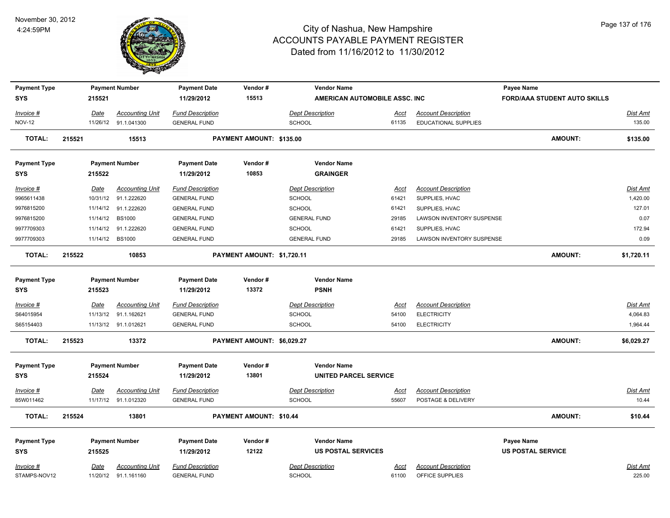

| <b>Payment Type</b> |        |                 | <b>Payment Number</b>  | <b>Payment Date</b>     | Vendor#                    | <b>Vendor Name</b>            |             |                                  | Payee Name                          |                 |
|---------------------|--------|-----------------|------------------------|-------------------------|----------------------------|-------------------------------|-------------|----------------------------------|-------------------------------------|-----------------|
| <b>SYS</b>          |        | 215521          |                        | 11/29/2012              | 15513                      | AMERICAN AUTOMOBILE ASSC. INC |             |                                  | <b>FORD/AAA STUDENT AUTO SKILLS</b> |                 |
| Invoice #           |        | Date            | <b>Accounting Unit</b> | <b>Fund Description</b> |                            | Dept Description              | <u>Acct</u> | <b>Account Description</b>       |                                     | <u>Dist Amt</u> |
| <b>NOV-12</b>       |        |                 | 11/26/12 91.1.041300   | <b>GENERAL FUND</b>     |                            | SCHOOL                        | 61135       | EDUCATIONAL SUPPLIES             |                                     | 135.00          |
| <b>TOTAL:</b>       | 215521 |                 | 15513                  |                         | PAYMENT AMOUNT: \$135.00   |                               |             |                                  | <b>AMOUNT:</b>                      | \$135.00        |
| <b>Payment Type</b> |        |                 | <b>Payment Number</b>  | <b>Payment Date</b>     | Vendor#                    | <b>Vendor Name</b>            |             |                                  |                                     |                 |
| <b>SYS</b>          |        | 215522          |                        | 11/29/2012              | 10853                      | <b>GRAINGER</b>               |             |                                  |                                     |                 |
| Invoice #           |        | <u>Date</u>     | <b>Accounting Unit</b> | <b>Fund Description</b> |                            | <b>Dept Description</b>       | Acct        | <b>Account Description</b>       |                                     | <b>Dist Amt</b> |
| 9965611438          |        |                 | 10/31/12 91.1.222620   | <b>GENERAL FUND</b>     |                            | <b>SCHOOL</b>                 | 61421       | SUPPLIES, HVAC                   |                                     | 1,420.00        |
| 9976815200          |        |                 | 11/14/12 91.1.222620   | <b>GENERAL FUND</b>     |                            | <b>SCHOOL</b>                 | 61421       | SUPPLIES, HVAC                   |                                     | 127.01          |
| 9976815200          |        | 11/14/12 BS1000 |                        | <b>GENERAL FUND</b>     |                            | <b>GENERAL FUND</b>           | 29185       | LAWSON INVENTORY SUSPENSE        |                                     | 0.07            |
| 9977709303          |        |                 | 11/14/12 91.1.222620   | <b>GENERAL FUND</b>     |                            | SCHOOL                        | 61421       | SUPPLIES, HVAC                   |                                     | 172.94          |
| 9977709303          |        | 11/14/12 BS1000 |                        | <b>GENERAL FUND</b>     |                            | <b>GENERAL FUND</b>           | 29185       | <b>LAWSON INVENTORY SUSPENSE</b> |                                     | 0.09            |
| <b>TOTAL:</b>       | 215522 |                 | 10853                  |                         | PAYMENT AMOUNT: \$1,720.11 |                               |             |                                  | <b>AMOUNT:</b>                      | \$1,720.11      |
| <b>Payment Type</b> |        |                 | <b>Payment Number</b>  | <b>Payment Date</b>     | Vendor#                    | <b>Vendor Name</b>            |             |                                  |                                     |                 |
| <b>SYS</b>          |        | 215523          |                        | 11/29/2012              | 13372                      | <b>PSNH</b>                   |             |                                  |                                     |                 |
| Invoice #           |        | Date            | <b>Accounting Unit</b> | <b>Fund Description</b> |                            | <b>Dept Description</b>       | Acct        | <b>Account Description</b>       |                                     | <b>Dist Amt</b> |
| S64015954           |        |                 | 11/13/12 91.1.162621   | <b>GENERAL FUND</b>     |                            | <b>SCHOOL</b>                 | 54100       | <b>ELECTRICITY</b>               |                                     | 4,064.83        |
| S65154403           |        |                 | 11/13/12 91.1.012621   | <b>GENERAL FUND</b>     |                            | SCHOOL                        | 54100       | <b>ELECTRICITY</b>               |                                     | 1,964.44        |
| TOTAL:              | 215523 |                 | 13372                  |                         | PAYMENT AMOUNT: \$6,029.27 |                               |             |                                  | <b>AMOUNT:</b>                      | \$6,029.27      |
| <b>Payment Type</b> |        |                 | <b>Payment Number</b>  | <b>Payment Date</b>     | Vendor#                    | <b>Vendor Name</b>            |             |                                  |                                     |                 |
| <b>SYS</b>          |        | 215524          |                        | 11/29/2012              | 13801                      | <b>UNITED PARCEL SERVICE</b>  |             |                                  |                                     |                 |
| $Invoice$ #         |        | Date            | <b>Accounting Unit</b> | <b>Fund Description</b> |                            | <b>Dept Description</b>       | <u>Acct</u> | <b>Account Description</b>       |                                     | Dist Amt        |
| 85W011462           |        |                 | 11/17/12 91.1.012320   | <b>GENERAL FUND</b>     |                            | <b>SCHOOL</b>                 | 55607       | POSTAGE & DELIVERY               |                                     | 10.44           |
| <b>TOTAL:</b>       | 215524 |                 | 13801                  |                         | PAYMENT AMOUNT: \$10.44    |                               |             |                                  | <b>AMOUNT:</b>                      | \$10.44         |
| <b>Payment Type</b> |        |                 | <b>Payment Number</b>  | <b>Payment Date</b>     | Vendor#                    | <b>Vendor Name</b>            |             |                                  | Payee Name                          |                 |
| <b>SYS</b>          |        | 215525          |                        | 11/29/2012              | 12122                      | <b>US POSTAL SERVICES</b>     |             |                                  | <b>US POSTAL SERVICE</b>            |                 |
|                     |        |                 |                        |                         |                            |                               |             |                                  |                                     |                 |
| Invoice #           |        | <u>Date</u>     | <b>Accounting Unit</b> | <b>Fund Description</b> |                            | <b>Dept Description</b>       | Acct        | <b>Account Description</b>       |                                     | Dist Amt        |
| STAMPS-NOV12        |        |                 | 11/20/12 91.1.161160   | <b>GENERAL FUND</b>     |                            | <b>SCHOOL</b>                 | 61100       | OFFICE SUPPLIES                  |                                     | 225.00          |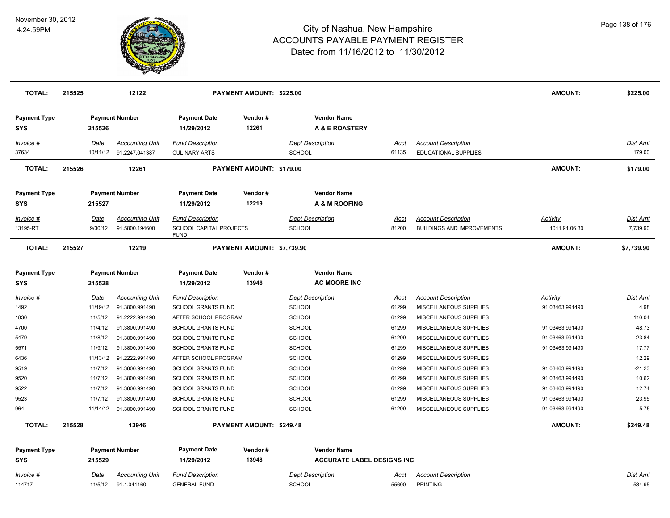

| <b>TOTAL:</b>                     | 215525 |                        | 12122                                              |                                                                   | PAYMENT AMOUNT: \$225.00   |                                           |                                   |                                                                 | <b>AMOUNT:</b>                   | \$225.00                    |
|-----------------------------------|--------|------------------------|----------------------------------------------------|-------------------------------------------------------------------|----------------------------|-------------------------------------------|-----------------------------------|-----------------------------------------------------------------|----------------------------------|-----------------------------|
| <b>Payment Type</b><br><b>SYS</b> |        | 215526                 | <b>Payment Number</b>                              | <b>Payment Date</b><br>11/29/2012                                 | Vendor#<br>12261           | <b>Vendor Name</b><br>A & E ROASTERY      |                                   |                                                                 |                                  |                             |
| <u>Invoice #</u><br>37634         |        | Date                   | <b>Accounting Unit</b><br>10/11/12  91.2247.041387 | <b>Fund Description</b><br><b>CULINARY ARTS</b>                   |                            | <b>Dept Description</b><br><b>SCHOOL</b>  | Acct<br>61135                     | <b>Account Description</b><br><b>EDUCATIONAL SUPPLIES</b>       |                                  | <b>Dist Amt</b><br>179.00   |
| <b>TOTAL:</b>                     | 215526 |                        | 12261                                              |                                                                   | PAYMENT AMOUNT: \$179.00   |                                           |                                   |                                                                 | <b>AMOUNT:</b>                   | \$179.00                    |
| <b>Payment Type</b><br><b>SYS</b> |        | 215527                 | <b>Payment Number</b>                              | <b>Payment Date</b><br>11/29/2012                                 | Vendor#<br>12219           | <b>Vendor Name</b><br>A & M ROOFING       |                                   |                                                                 |                                  |                             |
| Invoice #<br>13195-RT             |        | Date<br>9/30/12        | <b>Accounting Unit</b><br>91.5800.194600           | <b>Fund Description</b><br>SCHOOL CAPITAL PROJECTS<br><b>FUND</b> |                            | <b>Dept Description</b><br><b>SCHOOL</b>  | Acct<br>81200                     | <b>Account Description</b><br><b>BUILDINGS AND IMPROVEMENTS</b> | <b>Activity</b><br>1011.91.06.30 | <b>Dist Amt</b><br>7,739.90 |
| <b>TOTAL:</b>                     | 215527 |                        | 12219                                              |                                                                   | PAYMENT AMOUNT: \$7,739.90 |                                           |                                   |                                                                 | <b>AMOUNT:</b>                   | \$7,739.90                  |
| <b>Payment Type</b><br><b>SYS</b> |        | 215528                 | <b>Payment Number</b>                              | <b>Payment Date</b><br>11/29/2012                                 | Vendor#<br>13946           | <b>Vendor Name</b><br><b>AC MOORE INC</b> |                                   |                                                                 |                                  |                             |
| Invoice #                         |        | Date                   | <b>Accounting Unit</b>                             | <b>Fund Description</b>                                           |                            | <b>Dept Description</b>                   | Acct                              | <b>Account Description</b>                                      | Activity                         | <b>Dist Amt</b>             |
| 1492                              |        | 11/19/12               | 91.3800.991490                                     | <b>SCHOOL GRANTS FUND</b>                                         |                            | <b>SCHOOL</b>                             | 61299                             | MISCELLANEOUS SUPPLIES                                          | 91.03463.991490                  | 4.98                        |
| 1830                              |        | 11/5/12                | 91.2222.991490                                     | AFTER SCHOOL PROGRAM                                              |                            | <b>SCHOOL</b>                             | 61299                             | MISCELLANEOUS SUPPLIES                                          |                                  | 110.04                      |
| 4700                              |        | 11/4/12                | 91.3800.991490                                     | <b>SCHOOL GRANTS FUND</b>                                         |                            | <b>SCHOOL</b>                             | 61299                             | MISCELLANEOUS SUPPLIES                                          | 91.03463.991490                  | 48.73                       |
| 5479                              |        | 11/8/12                | 91.3800.991490                                     | <b>SCHOOL GRANTS FUND</b>                                         |                            | <b>SCHOOL</b>                             | 61299                             | MISCELLANEOUS SUPPLIES                                          | 91.03463.991490                  | 23.84                       |
| 5571                              |        | 11/9/12                | 91.3800.991490                                     | <b>SCHOOL GRANTS FUND</b>                                         |                            | <b>SCHOOL</b>                             | 61299                             | MISCELLANEOUS SUPPLIES                                          | 91.03463.991490                  | 17.77                       |
| 6436                              |        | 11/13/12               | 91.2222.991490                                     | AFTER SCHOOL PROGRAM                                              |                            | <b>SCHOOL</b>                             | 61299                             | MISCELLANEOUS SUPPLIES                                          |                                  | 12.29                       |
| 9519                              |        | 11/7/12                | 91.3800.991490                                     | <b>SCHOOL GRANTS FUND</b>                                         |                            | <b>SCHOOL</b>                             | 61299                             | MISCELLANEOUS SUPPLIES                                          | 91.03463.991490                  | $-21.23$                    |
| 9520                              |        | 11/7/12                | 91.3800.991490                                     | <b>SCHOOL GRANTS FUND</b>                                         |                            | <b>SCHOOL</b>                             | 61299                             | MISCELLANEOUS SUPPLIES                                          | 91.03463.991490                  | 10.62                       |
| 9522                              |        | 11/7/12                | 91.3800.991490                                     | <b>SCHOOL GRANTS FUND</b>                                         |                            | <b>SCHOOL</b>                             | 61299                             | MISCELLANEOUS SUPPLIES                                          | 91.03463.991490                  | 12.74                       |
| 9523                              |        | 11/7/12                | 91.3800.991490                                     | <b>SCHOOL GRANTS FUND</b>                                         |                            | <b>SCHOOL</b>                             | 61299                             | MISCELLANEOUS SUPPLIES                                          | 91.03463.991490                  | 23.95                       |
| 964                               |        |                        | 11/14/12 91.3800.991490                            | <b>SCHOOL GRANTS FUND</b>                                         |                            | <b>SCHOOL</b>                             | 61299                             | MISCELLANEOUS SUPPLIES                                          | 91.03463.991490                  | 5.75                        |
| <b>TOTAL:</b>                     | 215528 |                        | 13946                                              |                                                                   | PAYMENT AMOUNT: \$249.48   |                                           |                                   |                                                                 | <b>AMOUNT:</b>                   | \$249.48                    |
| <b>Payment Type</b>               |        |                        | <b>Payment Number</b>                              | <b>Payment Date</b>                                               | Vendor#                    | <b>Vendor Name</b>                        |                                   |                                                                 |                                  |                             |
| <b>SYS</b>                        |        | 215529                 |                                                    | 11/29/2012                                                        | 13948                      |                                           | <b>ACCURATE LABEL DESIGNS INC</b> |                                                                 |                                  |                             |
| <u>Invoice #</u><br>114717        |        | <b>Date</b><br>11/5/12 | <b>Accounting Unit</b><br>91.1.041160              | <b>Fund Description</b><br><b>GENERAL FUND</b>                    |                            | <b>Dept Description</b><br><b>SCHOOL</b>  | <u>Acct</u><br>55600              | <b>Account Description</b><br><b>PRINTING</b>                   |                                  | <u>Dist Amt</u><br>534.95   |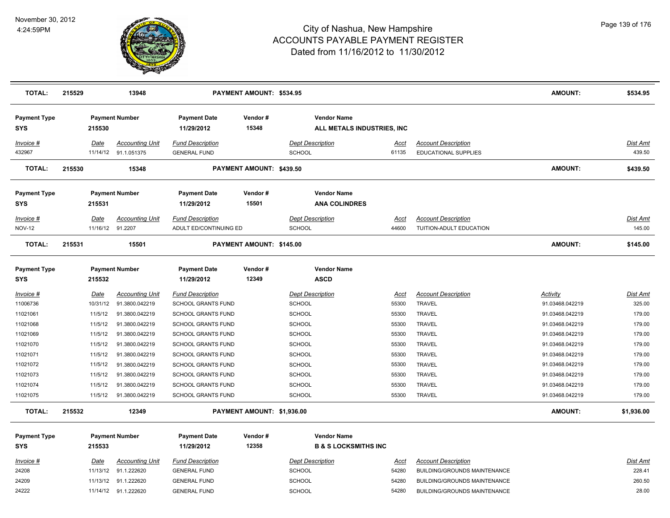

| <b>TOTAL:</b>                     | 215529 |                  | 13948                                          |                                                | PAYMENT AMOUNT: \$534.95   |               |                                                       |                      |                                                           | <b>AMOUNT:</b>  | \$534.95           |
|-----------------------------------|--------|------------------|------------------------------------------------|------------------------------------------------|----------------------------|---------------|-------------------------------------------------------|----------------------|-----------------------------------------------------------|-----------------|--------------------|
| <b>Payment Type</b><br><b>SYS</b> |        | 215530           | <b>Payment Number</b>                          | <b>Payment Date</b><br>11/29/2012              | Vendor#<br>15348           |               | <b>Vendor Name</b><br>ALL METALS INDUSTRIES, INC      |                      |                                                           |                 |                    |
| Invoice #<br>432967               |        | Date             | <b>Accounting Unit</b><br>11/14/12 91.1.051375 | <b>Fund Description</b><br><b>GENERAL FUND</b> |                            | <b>SCHOOL</b> | <b>Dept Description</b>                               | <u>Acct</u><br>61135 | <b>Account Description</b><br><b>EDUCATIONAL SUPPLIES</b> |                 | Dist Amt<br>439.50 |
| <b>TOTAL:</b>                     | 215530 |                  | 15348                                          |                                                | PAYMENT AMOUNT: \$439.50   |               |                                                       |                      |                                                           | <b>AMOUNT:</b>  | \$439.50           |
| <b>Payment Type</b><br><b>SYS</b> |        | 215531           | <b>Payment Number</b>                          | <b>Payment Date</b><br>11/29/2012              | Vendor#<br>15501           |               | <b>Vendor Name</b><br><b>ANA COLINDRES</b>            |                      |                                                           |                 |                    |
| Invoice #                         |        | Date             | <b>Accounting Unit</b>                         | <b>Fund Description</b>                        |                            |               | <b>Dept Description</b>                               | Acct                 | <b>Account Description</b>                                |                 | Dist Amt           |
| <b>NOV-12</b>                     |        | 11/16/12 91.2207 |                                                | ADULT ED/CONTINUING ED                         |                            | <b>SCHOOL</b> |                                                       | 44600                | TUITION-ADULT EDUCATION                                   |                 | 145.00             |
| <b>TOTAL:</b>                     | 215531 |                  | 15501                                          |                                                | PAYMENT AMOUNT: \$145.00   |               |                                                       |                      |                                                           | <b>AMOUNT:</b>  | \$145.00           |
| <b>Payment Type</b><br>SYS        |        | 215532           | <b>Payment Number</b>                          | <b>Payment Date</b><br>11/29/2012              | Vendor#<br>12349           |               | <b>Vendor Name</b><br><b>ASCD</b>                     |                      |                                                           |                 |                    |
| Invoice #                         |        | <u>Date</u>      | <b>Accounting Unit</b>                         | <b>Fund Description</b>                        |                            |               | <b>Dept Description</b>                               | <u>Acct</u>          | <b>Account Description</b>                                | <b>Activity</b> | <b>Dist Amt</b>    |
| 11006736                          |        | 10/31/12         | 91.3800.042219                                 | <b>SCHOOL GRANTS FUND</b>                      |                            | <b>SCHOOL</b> |                                                       | 55300                | <b>TRAVEL</b>                                             | 91.03468.042219 | 325.00             |
| 11021061                          |        | 11/5/12          | 91.3800.042219                                 | <b>SCHOOL GRANTS FUND</b>                      |                            | <b>SCHOOL</b> |                                                       | 55300                | TRAVEL                                                    | 91.03468.042219 | 179.00             |
| 11021068                          |        | 11/5/12          | 91.3800.042219                                 | <b>SCHOOL GRANTS FUND</b>                      |                            | <b>SCHOOL</b> |                                                       | 55300                | TRAVEL                                                    | 91.03468.042219 | 179.00             |
| 11021069                          |        | 11/5/12          | 91.3800.042219                                 | <b>SCHOOL GRANTS FUND</b>                      |                            | <b>SCHOOL</b> |                                                       | 55300                | TRAVEL                                                    | 91.03468.042219 | 179.00             |
| 11021070                          |        | 11/5/12          | 91.3800.042219                                 | <b>SCHOOL GRANTS FUND</b>                      |                            | <b>SCHOOL</b> |                                                       | 55300                | TRAVEL                                                    | 91.03468.042219 | 179.00             |
| 11021071                          |        | 11/5/12          | 91.3800.042219                                 | <b>SCHOOL GRANTS FUND</b>                      |                            | <b>SCHOOL</b> |                                                       | 55300                | TRAVEL                                                    | 91.03468.042219 | 179.00             |
| 11021072                          |        | 11/5/12          | 91.3800.042219                                 | <b>SCHOOL GRANTS FUND</b>                      |                            | <b>SCHOOL</b> |                                                       | 55300                | TRAVEL                                                    | 91.03468.042219 | 179.00             |
| 11021073                          |        | 11/5/12          | 91.3800.042219                                 | <b>SCHOOL GRANTS FUND</b>                      |                            | <b>SCHOOL</b> |                                                       | 55300                | <b>TRAVEL</b>                                             | 91.03468.042219 | 179.00             |
| 11021074                          |        | 11/5/12          | 91.3800.042219                                 | <b>SCHOOL GRANTS FUND</b>                      |                            | <b>SCHOOL</b> |                                                       | 55300                | TRAVEL                                                    | 91.03468.042219 | 179.00             |
| 11021075                          |        | 11/5/12          | 91.3800.042219                                 | <b>SCHOOL GRANTS FUND</b>                      |                            | <b>SCHOOL</b> |                                                       | 55300                | TRAVEL                                                    | 91.03468.042219 | 179.00             |
| <b>TOTAL:</b>                     | 215532 |                  | 12349                                          |                                                | PAYMENT AMOUNT: \$1,936.00 |               |                                                       |                      |                                                           | <b>AMOUNT:</b>  | \$1,936.00         |
| <b>Payment Type</b><br><b>SYS</b> |        | 215533           | <b>Payment Number</b>                          | <b>Payment Date</b><br>11/29/2012              | Vendor#<br>12358           |               | <b>Vendor Name</b><br><b>B &amp; S LOCKSMITHS INC</b> |                      |                                                           |                 |                    |
| Invoice #                         |        | <u>Date</u>      | <b>Accounting Unit</b>                         | <b>Fund Description</b>                        |                            |               | <b>Dept Description</b>                               | <u>Acct</u>          | <b>Account Description</b>                                |                 | Dist Amt           |
| 24208                             |        |                  | 11/13/12 91.1.222620                           | <b>GENERAL FUND</b>                            |                            | <b>SCHOOL</b> |                                                       | 54280                | BUILDING/GROUNDS MAINTENANCE                              |                 | 228.41             |
| 24209                             |        |                  | 11/13/12 91.1.222620                           | <b>GENERAL FUND</b>                            |                            | <b>SCHOOL</b> |                                                       | 54280                | BUILDING/GROUNDS MAINTENANCE                              |                 | 260.50             |
| 24222                             |        |                  | 11/14/12 91.1.222620                           | <b>GENERAL FUND</b>                            |                            | <b>SCHOOL</b> |                                                       | 54280                | BUILDING/GROUNDS MAINTENANCE                              |                 | 28.00              |
|                                   |        |                  |                                                |                                                |                            |               |                                                       |                      |                                                           |                 |                    |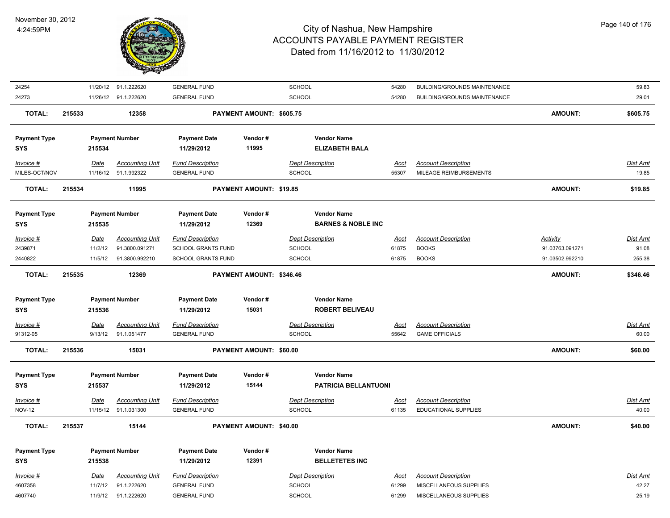

| 24254                      |             | 11/20/12 91.1.222620                           | <b>GENERAL FUND</b>                            |                          | SCHOOL                                   | 54280                | BUILDING/GROUNDS MAINTENANCE                              |                 | 59.83             |
|----------------------------|-------------|------------------------------------------------|------------------------------------------------|--------------------------|------------------------------------------|----------------------|-----------------------------------------------------------|-----------------|-------------------|
| 24273                      |             | 11/26/12 91.1.222620                           | <b>GENERAL FUND</b>                            |                          | SCHOOL                                   | 54280                | BUILDING/GROUNDS MAINTENANCE                              |                 | 29.01             |
| <b>TOTAL:</b>              | 215533      | 12358                                          |                                                | PAYMENT AMOUNT: \$605.75 |                                          |                      |                                                           | <b>AMOUNT:</b>  | \$605.75          |
|                            |             |                                                |                                                |                          |                                          |                      |                                                           |                 |                   |
| <b>Payment Type</b>        |             | <b>Payment Number</b>                          | <b>Payment Date</b>                            | Vendor#                  | <b>Vendor Name</b>                       |                      |                                                           |                 |                   |
| <b>SYS</b>                 | 215534      |                                                | 11/29/2012                                     | 11995                    | <b>ELIZABETH BALA</b>                    |                      |                                                           |                 |                   |
|                            |             |                                                |                                                |                          |                                          |                      |                                                           |                 |                   |
| Invoice #                  | Date        | <b>Accounting Unit</b>                         | <b>Fund Description</b>                        |                          | <b>Dept Description</b>                  | Acct                 | <b>Account Description</b>                                |                 | Dist Amt          |
| MILES-OCT/NOV              |             | 11/16/12 91.1.992322                           | <b>GENERAL FUND</b>                            |                          | <b>SCHOOL</b>                            | 55307                | MILEAGE REIMBURSEMENTS                                    |                 | 19.85             |
| <b>TOTAL:</b>              | 215534      | 11995                                          |                                                | PAYMENT AMOUNT: \$19.85  |                                          |                      |                                                           | <b>AMOUNT:</b>  | \$19.85           |
| <b>Payment Type</b>        |             | <b>Payment Number</b>                          | <b>Payment Date</b>                            | Vendor#                  | <b>Vendor Name</b>                       |                      |                                                           |                 |                   |
| <b>SYS</b>                 | 215535      |                                                | 11/29/2012                                     | 12369                    | <b>BARNES &amp; NOBLE INC</b>            |                      |                                                           |                 |                   |
|                            |             |                                                |                                                |                          |                                          |                      |                                                           |                 |                   |
| Invoice #                  | Date        | <b>Accounting Unit</b>                         | <b>Fund Description</b>                        |                          | <b>Dept Description</b>                  | <b>Acct</b>          | <b>Account Description</b>                                | Activity        | Dist Amt          |
| 2439871                    |             | 11/2/12<br>91.3800.091271                      | SCHOOL GRANTS FUND                             |                          | <b>SCHOOL</b>                            | 61875                | <b>BOOKS</b>                                              | 91.03763.091271 | 91.08             |
| 2440822                    |             | 11/5/12<br>91.3800.992210                      | <b>SCHOOL GRANTS FUND</b>                      |                          | SCHOOL                                   | 61875                | <b>BOOKS</b>                                              | 91.03502.992210 | 255.38            |
| <b>TOTAL:</b>              | 215535      | 12369                                          |                                                | PAYMENT AMOUNT: \$346.46 |                                          |                      |                                                           | <b>AMOUNT:</b>  | \$346.46          |
| <b>Payment Type</b>        |             | <b>Payment Number</b>                          | <b>Payment Date</b>                            | Vendor#                  | <b>Vendor Name</b>                       |                      |                                                           |                 |                   |
| <b>SYS</b>                 | 215536      |                                                | 11/29/2012                                     | 15031                    | <b>ROBERT BELIVEAU</b>                   |                      |                                                           |                 |                   |
|                            |             |                                                |                                                |                          |                                          |                      |                                                           |                 |                   |
| <u>Invoice #</u>           | <u>Date</u> | <b>Accounting Unit</b>                         | <b>Fund Description</b>                        |                          | <b>Dept Description</b>                  | <u>Acct</u>          | <b>Account Description</b><br><b>GAME OFFICIALS</b>       |                 | <u>Dist Amt</u>   |
| 91312-05                   |             | 9/13/12<br>91.1.051477                         | <b>GENERAL FUND</b>                            |                          | SCHOOL                                   | 55642                |                                                           |                 | 60.00             |
| <b>TOTAL:</b>              | 215536      | 15031                                          |                                                | PAYMENT AMOUNT: \$60.00  |                                          |                      |                                                           | <b>AMOUNT:</b>  | \$60.00           |
| <b>Payment Type</b>        |             | <b>Payment Number</b>                          | <b>Payment Date</b>                            | Vendor#                  | <b>Vendor Name</b>                       |                      |                                                           |                 |                   |
| <b>SYS</b>                 | 215537      |                                                | 11/29/2012                                     | 15144                    | <b>PATRICIA BELLANTUONI</b>              |                      |                                                           |                 |                   |
|                            |             |                                                |                                                |                          |                                          |                      |                                                           |                 |                   |
| Invoice #<br><b>NOV-12</b> | <u>Date</u> | <b>Accounting Unit</b><br>11/15/12 91.1.031300 | <b>Fund Description</b><br><b>GENERAL FUND</b> |                          | <b>Dept Description</b><br><b>SCHOOL</b> | <u>Acct</u><br>61135 | <b>Account Description</b><br><b>EDUCATIONAL SUPPLIES</b> |                 | Dist Amt<br>40.00 |
|                            |             |                                                |                                                |                          |                                          |                      |                                                           |                 |                   |
| <b>TOTAL:</b>              | 215537      | 15144                                          |                                                | PAYMENT AMOUNT: \$40.00  |                                          |                      |                                                           | <b>AMOUNT:</b>  | \$40.00           |
| <b>Payment Type</b>        |             | <b>Payment Number</b>                          | <b>Payment Date</b>                            | Vendor#                  | <b>Vendor Name</b>                       |                      |                                                           |                 |                   |
| <b>SYS</b>                 | 215538      |                                                | 11/29/2012                                     | 12391                    | <b>BELLETETES INC</b>                    |                      |                                                           |                 |                   |
| Invoice #                  | <u>Date</u> | <b>Accounting Unit</b>                         | <b>Fund Description</b>                        |                          | <b>Dept Description</b>                  | <u>Acct</u>          | <b>Account Description</b>                                |                 | <u>Dist Amt</u>   |
| 4607358                    |             | 91.1.222620<br>11/7/12                         | <b>GENERAL FUND</b>                            |                          | <b>SCHOOL</b>                            | 61299                | MISCELLANEOUS SUPPLIES                                    |                 | 42.27             |
| 4607740                    |             | 11/9/12<br>91.1.222620                         | <b>GENERAL FUND</b>                            |                          | <b>SCHOOL</b>                            | 61299                | MISCELLANEOUS SUPPLIES                                    |                 | 25.19             |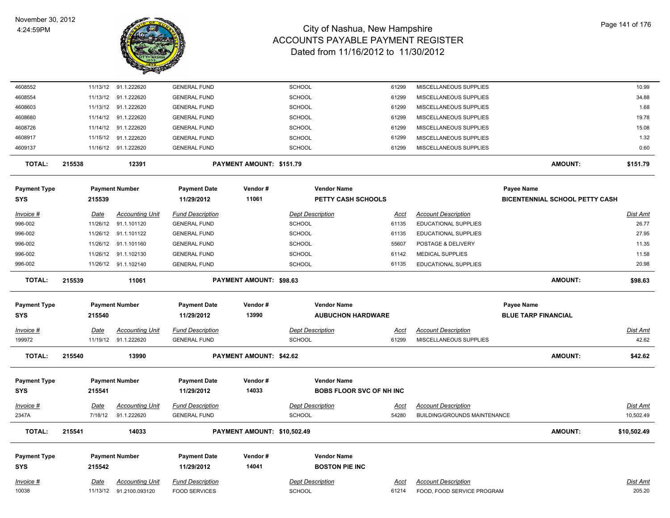

| 4608552             |        |                 | 11/13/12 91.1.222620                  | <b>GENERAL FUND</b>                            |                             | <b>SCHOOL</b>                            | 61299                           | MISCELLANEOUS SUPPLIES                                            |                                       | 10.99                 |
|---------------------|--------|-----------------|---------------------------------------|------------------------------------------------|-----------------------------|------------------------------------------|---------------------------------|-------------------------------------------------------------------|---------------------------------------|-----------------------|
| 4608554             |        |                 | 11/13/12 91.1.222620                  | <b>GENERAL FUND</b>                            |                             | <b>SCHOOL</b>                            | 61299                           | MISCELLANEOUS SUPPLIES                                            |                                       | 34.88                 |
| 4608603             |        |                 | 11/13/12 91.1.222620                  | <b>GENERAL FUND</b>                            |                             | <b>SCHOOL</b>                            | 61299                           | MISCELLANEOUS SUPPLIES                                            |                                       | 1.68                  |
| 4608680             |        |                 | 11/14/12 91.1.222620                  | <b>GENERAL FUND</b>                            |                             | <b>SCHOOL</b>                            | 61299                           | MISCELLANEOUS SUPPLIES                                            |                                       | 19.78                 |
| 4608726             |        | 11/14/12        | 91.1.222620                           | <b>GENERAL FUND</b>                            |                             | <b>SCHOOL</b>                            | 61299                           | MISCELLANEOUS SUPPLIES                                            |                                       | 15.08                 |
| 4608917             |        |                 | 11/15/12 91.1.222620                  | <b>GENERAL FUND</b>                            |                             | SCHOOL                                   | 61299                           | MISCELLANEOUS SUPPLIES                                            |                                       | 1.32                  |
| 4609137             |        |                 | 11/16/12 91.1.222620                  | <b>GENERAL FUND</b>                            |                             | <b>SCHOOL</b>                            | 61299                           | MISCELLANEOUS SUPPLIES                                            |                                       | 0.60                  |
| <b>TOTAL:</b>       | 215538 |                 | 12391                                 |                                                | PAYMENT AMOUNT: \$151.79    |                                          |                                 |                                                                   | <b>AMOUNT:</b>                        | \$151.79              |
| <b>Payment Type</b> |        |                 | <b>Payment Number</b>                 | <b>Payment Date</b>                            | Vendor#                     |                                          | <b>Vendor Name</b>              |                                                                   | <b>Payee Name</b>                     |                       |
| <b>SYS</b>          |        | 215539          |                                       | 11/29/2012                                     | 11061                       |                                          | <b>PETTY CASH SCHOOLS</b>       |                                                                   | <b>BICENTENNIAL SCHOOL PETTY CASH</b> |                       |
| Invoice #           |        | Date            | <b>Accounting Unit</b>                | <b>Fund Description</b>                        |                             | <b>Dept Description</b>                  | Acct                            | <b>Account Description</b>                                        |                                       | Dist Amt              |
| 996-002             |        | 11/26/12        | 91.1.101120                           | <b>GENERAL FUND</b>                            |                             | SCHOOL                                   | 61135                           | <b>EDUCATIONAL SUPPLIES</b>                                       |                                       | 26.77                 |
| 996-002             |        |                 | 11/26/12 91.1.101122                  | <b>GENERAL FUND</b>                            |                             | <b>SCHOOL</b>                            | 61135                           | EDUCATIONAL SUPPLIES                                              |                                       | 27.95                 |
| 996-002             |        |                 | 11/26/12 91.1.101160                  | <b>GENERAL FUND</b>                            |                             | <b>SCHOOL</b>                            | 55607                           | POSTAGE & DELIVERY                                                |                                       | 11.35                 |
| 996-002             |        |                 | 11/26/12 91.1.102130                  | <b>GENERAL FUND</b>                            |                             | <b>SCHOOL</b>                            | 61142                           | <b>MEDICAL SUPPLIES</b>                                           |                                       | 11.58                 |
| 996-002             |        |                 | 11/26/12 91.1.102140                  | <b>GENERAL FUND</b>                            |                             | <b>SCHOOL</b>                            | 61135                           | <b>EDUCATIONAL SUPPLIES</b>                                       |                                       | 20.98                 |
| <b>TOTAL:</b>       | 215539 |                 | 11061                                 |                                                | PAYMENT AMOUNT: \$98.63     |                                          |                                 |                                                                   | <b>AMOUNT:</b>                        | \$98.63               |
|                     |        |                 |                                       |                                                |                             |                                          |                                 |                                                                   |                                       |                       |
|                     |        |                 |                                       |                                                |                             |                                          |                                 |                                                                   |                                       |                       |
| <b>Payment Type</b> |        |                 | <b>Payment Number</b>                 | <b>Payment Date</b>                            | Vendor#                     |                                          | <b>Vendor Name</b>              |                                                                   | <b>Payee Name</b>                     |                       |
| <b>SYS</b>          |        | 215540          |                                       | 11/29/2012                                     | 13990                       |                                          | <b>AUBUCHON HARDWARE</b>        |                                                                   | <b>BLUE TARP FINANCIAL</b>            |                       |
| Invoice #           |        | <b>Date</b>     | <b>Accounting Unit</b>                | <b>Fund Description</b>                        |                             | <b>Dept Description</b>                  | <b>Acct</b>                     | <b>Account Description</b>                                        |                                       | <b>Dist Amt</b>       |
| 199972              |        |                 | 11/19/12 91.1.222620                  | <b>GENERAL FUND</b>                            |                             | <b>SCHOOL</b>                            | 61299                           | MISCELLANEOUS SUPPLIES                                            |                                       | 42.62                 |
| <b>TOTAL:</b>       | 215540 |                 | 13990                                 |                                                | PAYMENT AMOUNT: \$42.62     |                                          |                                 |                                                                   | <b>AMOUNT:</b>                        | \$42.62               |
| <b>Payment Type</b> |        |                 | <b>Payment Number</b>                 | <b>Payment Date</b>                            | Vendor#                     |                                          | <b>Vendor Name</b>              |                                                                   |                                       |                       |
| <b>SYS</b>          |        | 215541          |                                       | 11/29/2012                                     | 14033                       |                                          | <b>BOBS FLOOR SVC OF NH INC</b> |                                                                   |                                       |                       |
|                     |        |                 |                                       |                                                |                             |                                          |                                 |                                                                   |                                       |                       |
| Invoice #<br>2347A  |        | Date<br>7/18/12 | <b>Accounting Unit</b><br>91.1.222620 | <b>Fund Description</b><br><b>GENERAL FUND</b> |                             | <b>Dept Description</b><br><b>SCHOOL</b> | <u>Acct</u><br>54280            | <b>Account Description</b><br><b>BUILDING/GROUNDS MAINTENANCE</b> |                                       | Dist Amt<br>10,502.49 |
| <b>TOTAL:</b>       | 215541 |                 | 14033                                 |                                                | PAYMENT AMOUNT: \$10,502.49 |                                          |                                 |                                                                   | <b>AMOUNT:</b>                        | \$10,502.49           |
|                     |        |                 |                                       |                                                |                             |                                          |                                 |                                                                   |                                       |                       |
| <b>Payment Type</b> |        |                 | <b>Payment Number</b>                 | <b>Payment Date</b>                            | Vendor#                     |                                          | <b>Vendor Name</b>              |                                                                   |                                       |                       |
| <b>SYS</b>          |        | 215542          |                                       | 11/29/2012                                     | 14041                       |                                          | <b>BOSTON PIE INC</b>           |                                                                   |                                       |                       |
| Invoice #           |        | Date            | <b>Accounting Unit</b>                | <b>Fund Description</b>                        |                             | <b>Dept Description</b>                  | Acct                            | <b>Account Description</b>                                        |                                       | Dist Amt<br>205.20    |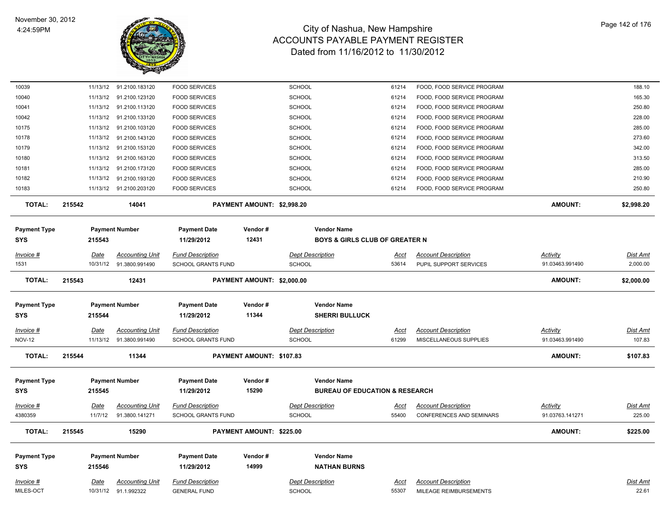

| 10039                             |        |          | 11/13/12 91.2100.183120                           | <b>FOOD SERVICES</b>                                 |                            | <b>SCHOOL</b>                                                   | 61214                | FOOD, FOOD SERVICE PROGRAM                           |                                    | 188.10                    |
|-----------------------------------|--------|----------|---------------------------------------------------|------------------------------------------------------|----------------------------|-----------------------------------------------------------------|----------------------|------------------------------------------------------|------------------------------------|---------------------------|
| 10040                             |        |          | 11/13/12 91.2100.123120                           | <b>FOOD SERVICES</b>                                 |                            | <b>SCHOOL</b>                                                   | 61214                | FOOD, FOOD SERVICE PROGRAM                           |                                    | 165.30                    |
| 10041                             |        |          | 11/13/12 91.2100.113120                           | <b>FOOD SERVICES</b>                                 |                            | <b>SCHOOL</b>                                                   | 61214                | FOOD, FOOD SERVICE PROGRAM                           |                                    | 250.80                    |
| 10042                             |        |          | 11/13/12 91.2100.133120                           | <b>FOOD SERVICES</b>                                 |                            | <b>SCHOOL</b>                                                   | 61214                | FOOD, FOOD SERVICE PROGRAM                           |                                    | 228.00                    |
| 10175                             |        |          | 11/13/12 91.2100.103120                           | <b>FOOD SERVICES</b>                                 |                            | <b>SCHOOL</b>                                                   | 61214                | FOOD, FOOD SERVICE PROGRAM                           |                                    | 285.00                    |
| 10178                             |        | 11/13/12 | 91.2100.143120                                    | <b>FOOD SERVICES</b>                                 |                            | <b>SCHOOL</b>                                                   | 61214                | FOOD, FOOD SERVICE PROGRAM                           |                                    | 273.60                    |
| 10179                             |        | 11/13/12 | 91.2100.153120                                    | <b>FOOD SERVICES</b>                                 |                            | SCHOOL                                                          | 61214                | FOOD, FOOD SERVICE PROGRAM                           |                                    | 342.00                    |
| 10180                             |        | 11/13/12 | 91.2100.163120                                    | <b>FOOD SERVICES</b>                                 |                            | <b>SCHOOL</b>                                                   | 61214                | FOOD, FOOD SERVICE PROGRAM                           |                                    | 313.50                    |
| 10181                             |        | 11/13/12 | 91.2100.173120                                    | <b>FOOD SERVICES</b>                                 |                            | <b>SCHOOL</b>                                                   | 61214                | FOOD, FOOD SERVICE PROGRAM                           |                                    | 285.00                    |
| 10182                             |        | 11/13/12 | 91.2100.193120                                    | <b>FOOD SERVICES</b>                                 |                            | <b>SCHOOL</b>                                                   | 61214                | FOOD, FOOD SERVICE PROGRAM                           |                                    | 210.90                    |
| 10183                             |        |          | 11/13/12 91.2100.203120                           | <b>FOOD SERVICES</b>                                 |                            | <b>SCHOOL</b>                                                   | 61214                | FOOD, FOOD SERVICE PROGRAM                           |                                    | 250.80                    |
| <b>TOTAL:</b>                     | 215542 |          | 14041                                             |                                                      | PAYMENT AMOUNT: \$2,998.20 |                                                                 |                      |                                                      | <b>AMOUNT:</b>                     | \$2,998.20                |
| <b>Payment Type</b><br><b>SYS</b> |        | 215543   | <b>Payment Number</b>                             | <b>Payment Date</b><br>11/29/2012                    | Vendor#<br>12431           | <b>Vendor Name</b><br><b>BOYS &amp; GIRLS CLUB OF GREATER N</b> |                      |                                                      |                                    |                           |
| Invoice #                         |        | Date     | <b>Accounting Unit</b>                            | <b>Fund Description</b>                              |                            | <b>Dept Description</b>                                         | <u>Acct</u>          | <b>Account Description</b>                           | Activity                           | <u>Dist Amt</u>           |
| 1531                              |        | 10/31/12 | 91.3800.991490                                    | <b>SCHOOL GRANTS FUND</b>                            |                            | <b>SCHOOL</b>                                                   | 53614                | PUPIL SUPPORT SERVICES                               | 91.03463.991490                    | 2,000.00                  |
| TOTAL:                            | 215543 |          | 12431                                             |                                                      | PAYMENT AMOUNT: \$2,000.00 |                                                                 |                      |                                                      | <b>AMOUNT:</b>                     | \$2,000.00                |
|                                   |        |          |                                                   |                                                      |                            |                                                                 |                      |                                                      |                                    |                           |
| <b>Payment Type</b><br><b>SYS</b> |        | 215544   | <b>Payment Number</b>                             | <b>Payment Date</b><br>11/29/2012                    | Vendor#<br>11344           | <b>Vendor Name</b><br><b>SHERRI BULLUCK</b>                     |                      |                                                      |                                    |                           |
|                                   |        |          |                                                   |                                                      |                            |                                                                 |                      |                                                      |                                    |                           |
| Invoice #<br><b>NOV-12</b>        |        | Date     | <b>Accounting Unit</b><br>11/13/12 91.3800.991490 | <b>Fund Description</b><br><b>SCHOOL GRANTS FUND</b> |                            | <b>Dept Description</b><br>SCHOOL                               | <u>Acct</u><br>61299 | <b>Account Description</b><br>MISCELLANEOUS SUPPLIES | <b>Activity</b><br>91.03463.991490 | <u>Dist Amt</u><br>107.83 |
| <b>TOTAL:</b>                     | 215544 |          | 11344                                             |                                                      | PAYMENT AMOUNT: \$107.83   |                                                                 |                      |                                                      | <b>AMOUNT:</b>                     | \$107.83                  |
|                                   |        |          |                                                   |                                                      |                            |                                                                 |                      |                                                      |                                    |                           |
| <b>Payment Type</b>               |        |          | <b>Payment Number</b>                             | <b>Payment Date</b>                                  | Vendor#                    | <b>Vendor Name</b>                                              |                      |                                                      |                                    |                           |
| <b>SYS</b>                        |        | 215545   |                                                   | 11/29/2012                                           | 15290                      | <b>BUREAU OF EDUCATION &amp; RESEARCH</b>                       |                      |                                                      |                                    |                           |
| Invoice #                         |        | Date     | <b>Accounting Unit</b>                            | <b>Fund Description</b>                              |                            | <b>Dept Description</b>                                         | <u>Acct</u>          | <b>Account Description</b>                           | <b>Activity</b>                    | <b>Dist Amt</b>           |
| 4380359                           |        | 11/7/12  | 91.3800.141271                                    | SCHOOL GRANTS FUND                                   |                            | <b>SCHOOL</b>                                                   | 55400                | <b>CONFERENCES AND SEMINARS</b>                      | 91.03763.141271                    | 225.00                    |
| <b>TOTAL:</b>                     | 215545 |          | 15290                                             |                                                      | PAYMENT AMOUNT: \$225.00   |                                                                 |                      |                                                      | AMOUNT:                            | \$225.00                  |
| <b>Payment Type</b>               |        |          | <b>Payment Number</b>                             | <b>Payment Date</b>                                  | Vendor#                    | <b>Vendor Name</b>                                              |                      |                                                      |                                    |                           |
| <b>SYS</b>                        |        | 215546   |                                                   | 11/29/2012                                           | 14999                      | <b>NATHAN BURNS</b>                                             |                      |                                                      |                                    |                           |
| Invoice #                         |        | Date     | <b>Accounting Unit</b>                            | <b>Fund Description</b>                              |                            | <b>Dept Description</b>                                         | Acct                 | <b>Account Description</b>                           |                                    | Dist Amt                  |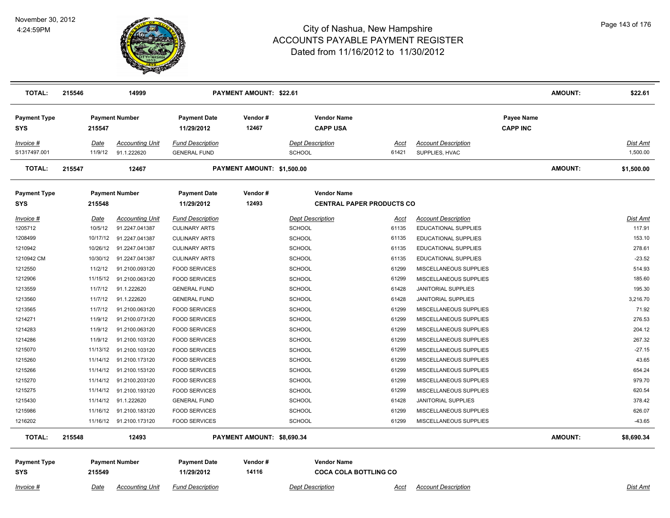

| <b>TOTAL:</b>                     | 215546 |          | 14999                   |                                   | <b>PAYMENT AMOUNT: \$22.61</b> |                                                        |             |                             |                                      | AMOUNT: | \$22.61         |
|-----------------------------------|--------|----------|-------------------------|-----------------------------------|--------------------------------|--------------------------------------------------------|-------------|-----------------------------|--------------------------------------|---------|-----------------|
| <b>Payment Type</b><br>SYS        |        | 215547   | <b>Payment Number</b>   | <b>Payment Date</b><br>11/29/2012 | Vendor#<br>12467               | <b>Vendor Name</b><br><b>CAPP USA</b>                  |             |                             | <b>Payee Name</b><br><b>CAPP INC</b> |         |                 |
| Invoice #                         |        | Date     | <b>Accounting Unit</b>  | <b>Fund Description</b>           |                                | <b>Dept Description</b>                                | Acct        | <b>Account Description</b>  |                                      |         | <b>Dist Amt</b> |
| S1317497.001                      |        | 11/9/12  | 91.1.222620             | <b>GENERAL FUND</b>               |                                | SCHOOL                                                 | 61421       | SUPPLIES, HVAC              |                                      |         | 1,500.00        |
| <b>TOTAL:</b>                     | 215547 |          | 12467                   |                                   | PAYMENT AMOUNT: \$1,500.00     |                                                        |             |                             |                                      | AMOUNT: | \$1,500.00      |
| <b>Payment Type</b><br>SYS        |        | 215548   | <b>Payment Number</b>   | <b>Payment Date</b><br>11/29/2012 | Vendor#<br>12493               | <b>Vendor Name</b><br><b>CENTRAL PAPER PRODUCTS CO</b> |             |                             |                                      |         |                 |
| Invoice #                         |        | Date     | <b>Accounting Unit</b>  | <b>Fund Description</b>           |                                | <b>Dept Description</b>                                | <u>Acct</u> | <b>Account Description</b>  |                                      |         | Dist Amt        |
| 1205712                           |        | 10/5/12  | 91.2247.041387          | <b>CULINARY ARTS</b>              |                                | <b>SCHOOL</b>                                          | 61135       | <b>EDUCATIONAL SUPPLIES</b> |                                      |         | 117.91          |
| 1208499                           |        | 10/17/12 | 91.2247.041387          | <b>CULINARY ARTS</b>              |                                | <b>SCHOOL</b>                                          | 61135       | EDUCATIONAL SUPPLIES        |                                      |         | 153.10          |
| 1210942                           |        | 10/26/12 | 91.2247.041387          | <b>CULINARY ARTS</b>              |                                | <b>SCHOOL</b>                                          | 61135       | EDUCATIONAL SUPPLIES        |                                      |         | 278.61          |
| 1210942 CM                        |        | 10/30/12 | 91.2247.041387          | <b>CULINARY ARTS</b>              |                                | <b>SCHOOL</b>                                          | 61135       | EDUCATIONAL SUPPLIES        |                                      |         | $-23.52$        |
| 1212550                           |        | 11/2/12  | 91.2100.093120          | <b>FOOD SERVICES</b>              |                                | <b>SCHOOL</b>                                          | 61299       | MISCELLANEOUS SUPPLIES      |                                      |         | 514.93          |
| 1212906                           |        | 11/15/12 | 91.2100.063120          | <b>FOOD SERVICES</b>              |                                | <b>SCHOOL</b>                                          | 61299       | MISCELLANEOUS SUPPLIES      |                                      |         | 185.60          |
| 1213559                           |        | 11/7/12  | 91.1.222620             | <b>GENERAL FUND</b>               |                                | <b>SCHOOL</b>                                          | 61428       | <b>JANITORIAL SUPPLIES</b>  |                                      |         | 195.30          |
| 1213560                           |        | 11/7/12  | 91.1.222620             | <b>GENERAL FUND</b>               |                                | SCHOOL                                                 | 61428       | <b>JANITORIAL SUPPLIES</b>  |                                      |         | 3,216.70        |
| 1213565                           |        | 11/7/12  | 91.2100.063120          | <b>FOOD SERVICES</b>              |                                | <b>SCHOOL</b>                                          | 61299       | MISCELLANEOUS SUPPLIES      |                                      |         | 71.92           |
| 1214271                           |        | 11/9/12  | 91.2100.073120          | <b>FOOD SERVICES</b>              |                                | <b>SCHOOL</b>                                          | 61299       | MISCELLANEOUS SUPPLIES      |                                      |         | 276.53          |
| 1214283                           |        | 11/9/12  | 91.2100.063120          | <b>FOOD SERVICES</b>              |                                | <b>SCHOOL</b>                                          | 61299       | MISCELLANEOUS SUPPLIES      |                                      |         | 204.12          |
| 1214286                           |        | 11/9/12  | 91.2100.103120          | <b>FOOD SERVICES</b>              |                                | <b>SCHOOL</b>                                          | 61299       | MISCELLANEOUS SUPPLIES      |                                      |         | 267.32          |
| 1215070                           |        | 11/13/12 | 91.2100.103120          | <b>FOOD SERVICES</b>              |                                | <b>SCHOOL</b>                                          | 61299       | MISCELLANEOUS SUPPLIES      |                                      |         | $-27.15$        |
| 1215260                           |        | 11/14/12 | 91.2100.173120          | <b>FOOD SERVICES</b>              |                                | <b>SCHOOL</b>                                          | 61299       | MISCELLANEOUS SUPPLIES      |                                      |         | 43.65           |
| 1215266                           |        | 11/14/12 | 91.2100.153120          | <b>FOOD SERVICES</b>              |                                | <b>SCHOOL</b>                                          | 61299       | MISCELLANEOUS SUPPLIES      |                                      |         | 654.24          |
| 1215270                           |        | 11/14/12 | 91.2100.203120          | <b>FOOD SERVICES</b>              |                                | <b>SCHOOL</b>                                          | 61299       | MISCELLANEOUS SUPPLIES      |                                      |         | 979.70          |
| 1215275                           |        | 11/14/12 | 91.2100.193120          | <b>FOOD SERVICES</b>              |                                | <b>SCHOOL</b>                                          | 61299       | MISCELLANEOUS SUPPLIES      |                                      |         | 620.54          |
| 1215430                           |        | 11/14/12 | 91.1.222620             | <b>GENERAL FUND</b>               |                                | <b>SCHOOL</b>                                          | 61428       | JANITORIAL SUPPLIES         |                                      |         | 378.42          |
| 1215986                           |        | 11/16/12 | 91.2100.183120          | <b>FOOD SERVICES</b>              |                                | SCHOOL                                                 | 61299       | MISCELLANEOUS SUPPLIES      |                                      |         | 626.07          |
| 1216202                           |        |          | 11/16/12 91.2100.173120 | <b>FOOD SERVICES</b>              |                                | <b>SCHOOL</b>                                          | 61299       | MISCELLANEOUS SUPPLIES      |                                      |         | $-43.65$        |
| TOTAL:                            | 215548 |          | 12493                   |                                   | PAYMENT AMOUNT: \$8,690.34     |                                                        |             |                             |                                      | AMOUNT: | \$8,690.34      |
| <b>Payment Type</b><br><b>SYS</b> |        | 215549   | <b>Payment Number</b>   | <b>Payment Date</b><br>11/29/2012 | Vendor#<br>14116               | <b>Vendor Name</b><br><b>COCA COLA BOTTLING CO</b>     |             |                             |                                      |         |                 |

*Invoice # Date Accounting Unit Fund Description Dept Description Acct Account Description Dist Amt*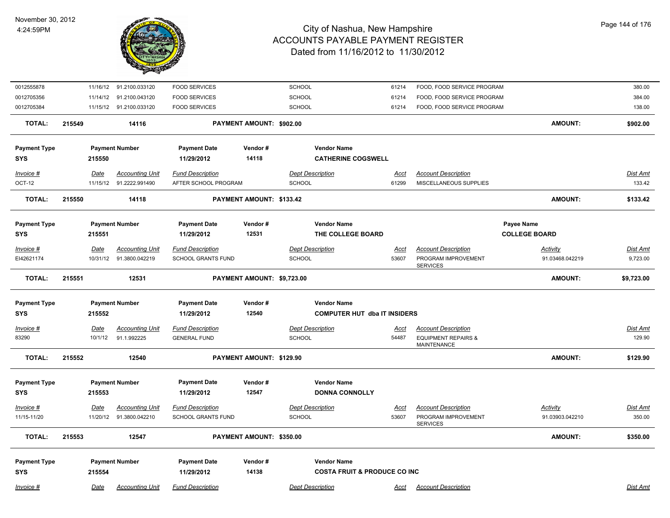

| 0012555878          |             | 11/16/12 91.2100.033120 | <b>FOOD SERVICES</b>              |                            | SCHOOL                                  | 61214       | FOOD, FOOD SERVICE PROGRAM             |                                    | 380.00          |
|---------------------|-------------|-------------------------|-----------------------------------|----------------------------|-----------------------------------------|-------------|----------------------------------------|------------------------------------|-----------------|
| 0012705356          |             | 11/14/12 91.2100.043120 | <b>FOOD SERVICES</b>              |                            | <b>SCHOOL</b>                           | 61214       | FOOD, FOOD SERVICE PROGRAM             |                                    | 384.00          |
| 0012705384          |             | 11/15/12 91.2100.033120 | <b>FOOD SERVICES</b>              |                            | SCHOOL                                  | 61214       | FOOD, FOOD SERVICE PROGRAM             |                                    | 138.00          |
| <b>TOTAL:</b>       | 215549      | 14116                   |                                   | PAYMENT AMOUNT: \$902.00   |                                         |             |                                        | <b>AMOUNT:</b>                     | \$902.00        |
| <b>Payment Type</b> |             | <b>Payment Number</b>   | <b>Payment Date</b>               | Vendor#                    | <b>Vendor Name</b>                      |             |                                        |                                    |                 |
| <b>SYS</b>          | 215550      |                         | 11/29/2012                        | 14118                      | <b>CATHERINE COGSWELL</b>               |             |                                        |                                    |                 |
| Invoice #           | Date        | <b>Accounting Unit</b>  | <b>Fund Description</b>           |                            | <b>Dept Description</b>                 | <u>Acct</u> | <b>Account Description</b>             |                                    | Dist Amt        |
| OCT-12              | 11/15/12    | 91.2222.991490          | AFTER SCHOOL PROGRAM              |                            | SCHOOL                                  | 61299       | MISCELLANEOUS SUPPLIES                 |                                    | 133.42          |
| <b>TOTAL:</b>       | 215550      | 14118                   |                                   | PAYMENT AMOUNT: \$133.42   |                                         |             |                                        | <b>AMOUNT:</b>                     | \$133.42        |
|                     |             |                         |                                   |                            |                                         |             |                                        |                                    |                 |
| <b>Payment Type</b> |             | <b>Payment Number</b>   | <b>Payment Date</b><br>11/29/2012 | Vendor#<br>12531           | <b>Vendor Name</b><br>THE COLLEGE BOARD |             |                                        | Payee Name<br><b>COLLEGE BOARD</b> |                 |
| <b>SYS</b>          | 215551      |                         |                                   |                            |                                         |             |                                        |                                    |                 |
| Invoice #           | Date        | <b>Accounting Unit</b>  | <b>Fund Description</b>           |                            | <b>Dept Description</b>                 | Acct        | <b>Account Description</b>             | <b>Activity</b>                    | Dist Amt        |
| EI42621174          | 10/31/12    | 91.3800.042219          | <b>SCHOOL GRANTS FUND</b>         |                            | SCHOOL                                  | 53607       | PROGRAM IMPROVEMENT<br><b>SERVICES</b> | 91.03468.042219                    | 9,723.00        |
| <b>TOTAL:</b>       | 215551      | 12531                   |                                   | PAYMENT AMOUNT: \$9,723.00 |                                         |             |                                        | AMOUNT:                            | \$9,723.00      |
| <b>Payment Type</b> |             | <b>Payment Number</b>   | <b>Payment Date</b>               | Vendor#                    | <b>Vendor Name</b>                      |             |                                        |                                    |                 |
| <b>SYS</b>          | 215552      |                         | 11/29/2012                        | 12540                      | <b>COMPUTER HUT dba IT INSIDERS</b>     |             |                                        |                                    |                 |
| Invoice #           | <b>Date</b> | <b>Accounting Unit</b>  | <b>Fund Description</b>           |                            | <b>Dept Description</b>                 | <u>Acct</u> | <b>Account Description</b>             |                                    | <b>Dist Amt</b> |
| 83290               | 10/1/12     | 91.1.992225             | <b>GENERAL FUND</b>               |                            | <b>SCHOOL</b>                           | 54487       | <b>EQUIPMENT REPAIRS &amp;</b>         |                                    | 129.90          |
|                     |             |                         |                                   |                            |                                         |             | <b>MAINTENANCE</b>                     |                                    |                 |
| <b>TOTAL:</b>       | 215552      | 12540                   |                                   | PAYMENT AMOUNT: \$129.90   |                                         |             |                                        | <b>AMOUNT:</b>                     | \$129.90        |
| <b>Payment Type</b> |             | <b>Payment Number</b>   | <b>Payment Date</b>               | Vendor#                    | <b>Vendor Name</b>                      |             |                                        |                                    |                 |
| <b>SYS</b>          | 215553      |                         | 11/29/2012                        | 12547                      | <b>DONNA CONNOLLY</b>                   |             |                                        |                                    |                 |
| Invoice #           | Date        | <b>Accounting Unit</b>  | <b>Fund Description</b>           |                            | <b>Dept Description</b>                 | <u>Acct</u> | <b>Account Description</b>             | <b>Activity</b>                    | <u>Dist Amt</u> |
| 11/15-11/20         | 11/20/12    | 91.3800.042210          | <b>SCHOOL GRANTS FUND</b>         |                            | SCHOOL                                  | 53607       | PROGRAM IMPROVEMENT                    | 91.03903.042210                    | 350.00          |
|                     |             |                         |                                   |                            |                                         |             | <b>SERVICES</b>                        |                                    |                 |
| <b>TOTAL:</b>       | 215553      | 12547                   |                                   | PAYMENT AMOUNT: \$350.00   |                                         |             |                                        | <b>AMOUNT:</b>                     | \$350.00        |
| <b>Payment Type</b> |             | <b>Payment Number</b>   | <b>Payment Date</b>               | Vendor#                    | <b>Vendor Name</b>                      |             |                                        |                                    |                 |
| <b>SYS</b>          | 215554      |                         | 11/29/2012                        | 14138                      | <b>COSTA FRUIT &amp; PRODUCE CO INC</b> |             |                                        |                                    |                 |
| Invoice #           | Date        | <b>Accounting Unit</b>  | <b>Fund Description</b>           |                            | <b>Dept Description</b>                 | Acct        | <b>Account Description</b>             |                                    | Dist Amt        |
|                     |             |                         |                                   |                            |                                         |             |                                        |                                    |                 |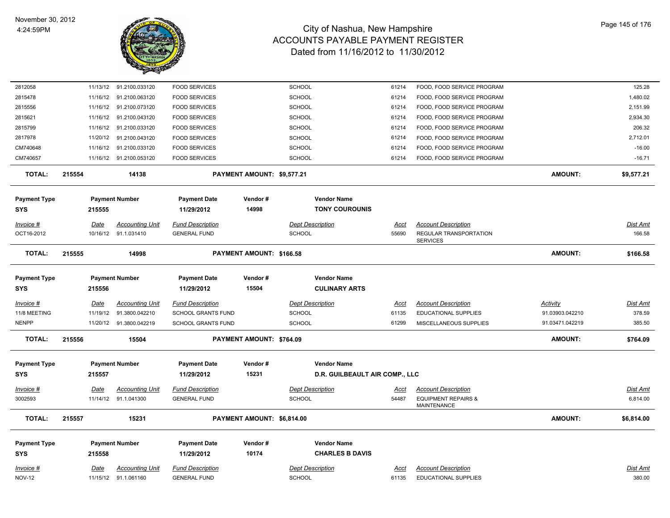

| 2812058              |        |             | 11/13/12 91.2100.033120 | <b>FOOD SERVICES</b>    |                            | SCHOOL                  | 61214                          | FOOD, FOOD SERVICE PROGRAM                                   |                 | 125.28          |
|----------------------|--------|-------------|-------------------------|-------------------------|----------------------------|-------------------------|--------------------------------|--------------------------------------------------------------|-----------------|-----------------|
| 2815478              |        |             | 11/16/12 91.2100.063120 | <b>FOOD SERVICES</b>    |                            | <b>SCHOOL</b>           | 61214                          | FOOD, FOOD SERVICE PROGRAM                                   |                 | 1,480.02        |
| 2815556              |        | 11/16/12    | 91.2100.073120          | <b>FOOD SERVICES</b>    |                            | <b>SCHOOL</b>           | 61214                          | FOOD, FOOD SERVICE PROGRAM                                   |                 | 2,151.99        |
| 2815621              |        |             | 11/16/12 91.2100.043120 | <b>FOOD SERVICES</b>    |                            | SCHOOL                  | 61214                          | FOOD, FOOD SERVICE PROGRAM                                   |                 | 2,934.30        |
| 2815799              |        | 11/16/12    | 91.2100.033120          | <b>FOOD SERVICES</b>    |                            | SCHOOL                  | 61214                          | FOOD, FOOD SERVICE PROGRAM                                   |                 | 206.32          |
| 2817978              |        |             | 11/20/12 91.2100.043120 | <b>FOOD SERVICES</b>    |                            | SCHOOL                  | 61214                          | FOOD, FOOD SERVICE PROGRAM                                   |                 | 2,712.01        |
| CM740648             |        | 11/16/12    | 91.2100.033120          | <b>FOOD SERVICES</b>    |                            | <b>SCHOOL</b>           | 61214                          | FOOD, FOOD SERVICE PROGRAM                                   |                 | $-16.00$        |
| CM740657             |        |             | 11/16/12 91.2100.053120 | <b>FOOD SERVICES</b>    |                            | SCHOOL                  | 61214                          | FOOD, FOOD SERVICE PROGRAM                                   |                 | $-16.71$        |
| <b>TOTAL:</b>        | 215554 |             | 14138                   |                         | PAYMENT AMOUNT: \$9,577.21 |                         |                                |                                                              | AMOUNT:         | \$9,577.21      |
| <b>Payment Type</b>  |        |             | <b>Payment Number</b>   | <b>Payment Date</b>     | Vendor#                    | <b>Vendor Name</b>      |                                |                                                              |                 |                 |
| <b>SYS</b>           |        | 215555      |                         | 11/29/2012              | 14998                      | <b>TONY COUROUNIS</b>   |                                |                                                              |                 |                 |
| Invoice #            |        | Date        | <b>Accounting Unit</b>  | <b>Fund Description</b> |                            | <b>Dept Description</b> | Acct                           | <b>Account Description</b>                                   |                 | <b>Dist Amt</b> |
| OCT16-2012           |        |             | 10/16/12 91.1.031410    | <b>GENERAL FUND</b>     |                            | <b>SCHOOL</b>           | 55690                          | REGULAR TRANSPORTATION                                       |                 | 166.58          |
|                      |        |             |                         |                         |                            |                         |                                | <b>SERVICES</b>                                              |                 |                 |
| <b>TOTAL:</b>        | 215555 |             | 14998                   |                         | PAYMENT AMOUNT: \$166.58   |                         |                                |                                                              | <b>AMOUNT:</b>  | \$166.58        |
| <b>Payment Type</b>  |        |             | <b>Payment Number</b>   | <b>Payment Date</b>     | Vendor#                    | <b>Vendor Name</b>      |                                |                                                              |                 |                 |
| SYS                  |        | 215556      |                         | 11/29/2012              | 15504                      | <b>CULINARY ARTS</b>    |                                |                                                              |                 |                 |
| <u>Invoice #</u>     |        | <u>Date</u> | <b>Accounting Unit</b>  | <b>Fund Description</b> |                            | <b>Dept Description</b> | <u>Acct</u>                    | <b>Account Description</b>                                   | <b>Activity</b> | Dist Amt        |
| 11/8 MEETING         |        | 11/19/12    | 91.3800.042210          | SCHOOL GRANTS FUND      |                            | SCHOOL                  | 61135                          | EDUCATIONAL SUPPLIES                                         | 91.03903.042210 | 378.59          |
| <b>NENPP</b>         |        |             | 11/20/12 91.3800.042219 | SCHOOL GRANTS FUND      |                            | SCHOOL                  | 61299                          | MISCELLANEOUS SUPPLIES                                       | 91.03471.042219 | 385.50          |
| <b>TOTAL:</b>        | 215556 |             | 15504                   |                         | PAYMENT AMOUNT: \$764.09   |                         |                                |                                                              | <b>AMOUNT:</b>  | \$764.09        |
| <b>Payment Type</b>  |        |             | <b>Payment Number</b>   | <b>Payment Date</b>     | Vendor#                    | <b>Vendor Name</b>      |                                |                                                              |                 |                 |
| <b>SYS</b>           |        | 215557      |                         | 11/29/2012              | 15231                      |                         | D.R. GUILBEAULT AIR COMP., LLC |                                                              |                 |                 |
|                      |        |             | <b>Accounting Unit</b>  | <b>Fund Description</b> |                            | <b>Dept Description</b> |                                |                                                              |                 | <b>Dist Amt</b> |
| Invoice #<br>3002593 |        | Date        | 11/14/12 91.1.041300    | <b>GENERAL FUND</b>     |                            | SCHOOL                  | Acct<br>54487                  | <b>Account Description</b><br><b>EQUIPMENT REPAIRS &amp;</b> |                 | 6,814.00        |
|                      |        |             |                         |                         |                            |                         |                                | <b>MAINTENANCE</b>                                           |                 |                 |
| <b>TOTAL:</b>        | 215557 |             | 15231                   |                         | PAYMENT AMOUNT: \$6,814.00 |                         |                                |                                                              | AMOUNT:         | \$6,814.00      |
| <b>Payment Type</b>  |        |             | <b>Payment Number</b>   | <b>Payment Date</b>     | Vendor#                    | <b>Vendor Name</b>      |                                |                                                              |                 |                 |
| <b>SYS</b>           |        | 215558      |                         | 11/29/2012              | 10174                      | <b>CHARLES B DAVIS</b>  |                                |                                                              |                 |                 |
| Invoice #            |        | Date        | <b>Accounting Unit</b>  | <b>Fund Description</b> |                            | <b>Dept Description</b> | Acct                           | <b>Account Description</b>                                   |                 | Dist Amt        |
| <b>NOV-12</b>        |        |             | 11/15/12 91.1.061160    | <b>GENERAL FUND</b>     |                            | <b>SCHOOL</b>           | 61135                          | EDUCATIONAL SUPPLIES                                         |                 | 380.00          |
|                      |        |             |                         |                         |                            |                         |                                |                                                              |                 |                 |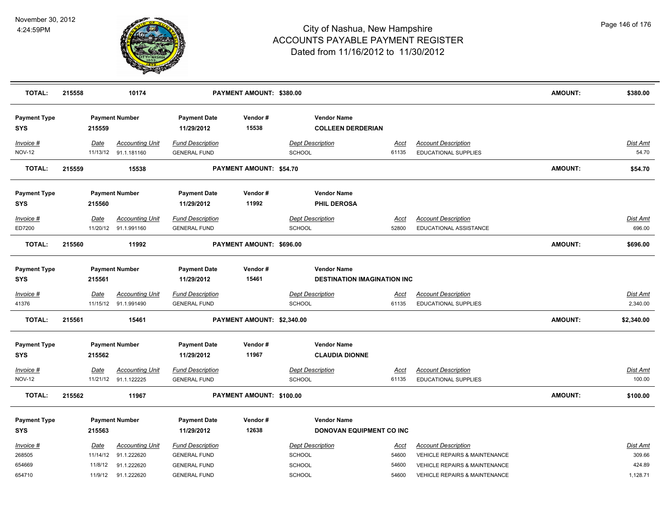

| <b>TOTAL:</b>              | 215558 |             | 10174                                          |                                                | PAYMENT AMOUNT: \$380.00       |                                                |               |                                                           | <b>AMOUNT:</b> | \$380.00                  |
|----------------------------|--------|-------------|------------------------------------------------|------------------------------------------------|--------------------------------|------------------------------------------------|---------------|-----------------------------------------------------------|----------------|---------------------------|
| <b>Payment Type</b><br>SYS |        | 215559      | <b>Payment Number</b>                          | <b>Payment Date</b><br>11/29/2012              | Vendor#<br>15538               | <b>Vendor Name</b><br><b>COLLEEN DERDERIAN</b> |               |                                                           |                |                           |
| Invoice #<br><b>NOV-12</b> |        | Date        | <b>Accounting Unit</b><br>11/13/12 91.1.181160 | <b>Fund Description</b><br><b>GENERAL FUND</b> |                                | <b>Dept Description</b><br><b>SCHOOL</b>       | Acct<br>61135 | <b>Account Description</b><br><b>EDUCATIONAL SUPPLIES</b> |                | <b>Dist Amt</b><br>54.70  |
| <b>TOTAL:</b>              | 215559 |             | 15538                                          |                                                | <b>PAYMENT AMOUNT: \$54.70</b> |                                                |               |                                                           | <b>AMOUNT:</b> | \$54.70                   |
| <b>Payment Type</b>        |        |             | <b>Payment Number</b>                          | <b>Payment Date</b>                            | Vendor#                        | <b>Vendor Name</b>                             |               |                                                           |                |                           |
| SYS                        |        | 215560      |                                                | 11/29/2012                                     | 11992                          | <b>PHIL DEROSA</b>                             |               |                                                           |                |                           |
| Invoice #<br>ED7200        |        | Date        | <b>Accounting Unit</b><br>11/20/12 91.1.991160 | <b>Fund Description</b><br><b>GENERAL FUND</b> |                                | <b>Dept Description</b><br><b>SCHOOL</b>       | Acct<br>52800 | <b>Account Description</b><br>EDUCATIONAL ASSISTANCE      |                | <b>Dist Amt</b><br>696.00 |
| <b>TOTAL:</b>              | 215560 |             | 11992                                          |                                                | PAYMENT AMOUNT: \$696.00       |                                                |               |                                                           | <b>AMOUNT:</b> | \$696.00                  |
| <b>Payment Type</b>        |        |             | <b>Payment Number</b>                          | <b>Payment Date</b>                            | Vendor#                        | <b>Vendor Name</b>                             |               |                                                           |                |                           |
| <b>SYS</b>                 |        | 215561      |                                                | 11/29/2012                                     | 15461                          | <b>DESTINATION IMAGINATION INC</b>             |               |                                                           |                |                           |
| Invoice #                  |        | <u>Date</u> | <b>Accounting Unit</b>                         | <b>Fund Description</b>                        |                                | <b>Dept Description</b>                        | <u>Acct</u>   | <b>Account Description</b>                                |                | <b>Dist Amt</b>           |
| 41376                      |        |             | 11/15/12 91.1.991490                           | <b>GENERAL FUND</b>                            |                                | <b>SCHOOL</b>                                  | 61135         | <b>EDUCATIONAL SUPPLIES</b>                               |                | 2,340.00                  |
| <b>TOTAL:</b>              | 215561 |             | 15461                                          |                                                | PAYMENT AMOUNT: \$2,340.00     |                                                |               |                                                           | <b>AMOUNT:</b> | \$2,340.00                |
| <b>Payment Type</b>        |        |             | <b>Payment Number</b>                          | <b>Payment Date</b>                            | Vendor#                        | <b>Vendor Name</b>                             |               |                                                           |                |                           |
| <b>SYS</b>                 |        | 215562      |                                                | 11/29/2012                                     | 11967                          | <b>CLAUDIA DIONNE</b>                          |               |                                                           |                |                           |
| <b>Invoice #</b>           |        | <u>Date</u> | <b>Accounting Unit</b>                         | <b>Fund Description</b>                        |                                | <b>Dept Description</b>                        | <u>Acct</u>   | <b>Account Description</b>                                |                | Dist Amt                  |
| <b>NOV-12</b>              |        |             | 11/21/12 91.1.122225                           | <b>GENERAL FUND</b>                            |                                | <b>SCHOOL</b>                                  | 61135         | EDUCATIONAL SUPPLIES                                      |                | 100.00                    |
| <b>TOTAL:</b>              | 215562 |             | 11967                                          |                                                | PAYMENT AMOUNT: \$100.00       |                                                |               |                                                           | <b>AMOUNT:</b> | \$100.00                  |
| <b>Payment Type</b>        |        |             | <b>Payment Number</b>                          | <b>Payment Date</b>                            | Vendor#                        | <b>Vendor Name</b>                             |               |                                                           |                |                           |
| <b>SYS</b>                 |        | 215563      |                                                | 11/29/2012                                     | 12638                          | DONOVAN EQUIPMENT CO INC                       |               |                                                           |                |                           |
| Invoice #                  |        | Date        | <b>Accounting Unit</b>                         | <b>Fund Description</b>                        |                                | <b>Dept Description</b>                        | <u>Acct</u>   | <b>Account Description</b>                                |                | <b>Dist Amt</b>           |
| 268505                     |        | 11/14/12    | 91.1.222620                                    | <b>GENERAL FUND</b>                            |                                | <b>SCHOOL</b>                                  | 54600         | <b>VEHICLE REPAIRS &amp; MAINTENANCE</b>                  |                | 309.66                    |
| 654669                     |        | 11/8/12     | 91.1.222620                                    | <b>GENERAL FUND</b>                            |                                | <b>SCHOOL</b>                                  | 54600         | <b>VEHICLE REPAIRS &amp; MAINTENANCE</b>                  |                | 424.89                    |
| 654710                     |        |             | 11/9/12  91.1.222620                           | <b>GENERAL FUND</b>                            |                                | <b>SCHOOL</b>                                  | 54600         | VEHICLE REPAIRS & MAINTENANCE                             |                | 1,128.71                  |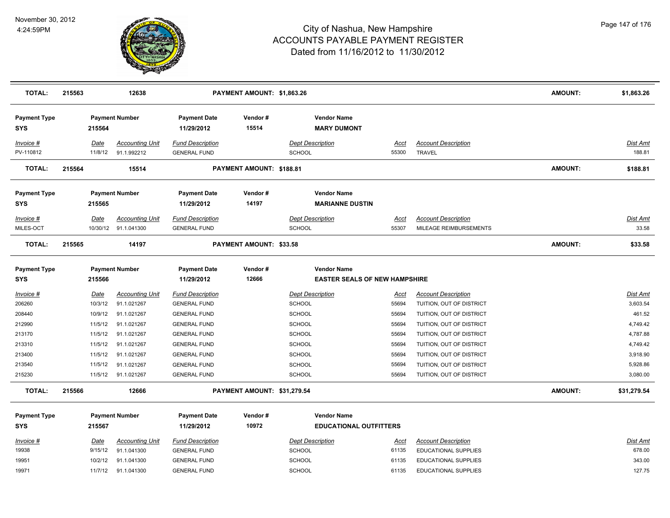

| <b>TOTAL:</b>                     | 215563 |                 | 12638                                          | PAYMENT AMOUNT: \$1,863.26                     |                             |                                                            |               |                                                      | <b>AMOUNT:</b> | \$1,863.26               |
|-----------------------------------|--------|-----------------|------------------------------------------------|------------------------------------------------|-----------------------------|------------------------------------------------------------|---------------|------------------------------------------------------|----------------|--------------------------|
| <b>Payment Type</b><br><b>SYS</b> |        | 215564          | <b>Payment Number</b>                          | <b>Payment Date</b><br>11/29/2012              | Vendor#<br>15514            | <b>Vendor Name</b><br><b>MARY DUMONT</b>                   |               |                                                      |                |                          |
| Invoice #<br>PV-110812            |        | Date<br>11/8/12 | <b>Accounting Unit</b><br>91.1.992212          | <b>Fund Description</b><br><b>GENERAL FUND</b> |                             | <b>Dept Description</b><br><b>SCHOOL</b>                   | Acct<br>55300 | <b>Account Description</b><br><b>TRAVEL</b>          |                | Dist Amt<br>188.81       |
| <b>TOTAL:</b>                     | 215564 |                 | 15514                                          |                                                | PAYMENT AMOUNT: \$188.81    |                                                            |               |                                                      | <b>AMOUNT:</b> | \$188.81                 |
| <b>Payment Type</b><br><b>SYS</b> |        | 215565          | <b>Payment Number</b>                          | <b>Payment Date</b><br>11/29/2012              | Vendor#<br>14197            | <b>Vendor Name</b><br><b>MARIANNE DUSTIN</b>               |               |                                                      |                |                          |
| Invoice #<br>MILES-OCT            |        | Date            | <b>Accounting Unit</b><br>10/30/12 91.1.041300 | <b>Fund Description</b><br><b>GENERAL FUND</b> |                             | <b>Dept Description</b><br><b>SCHOOL</b>                   | Acct<br>55307 | <b>Account Description</b><br>MILEAGE REIMBURSEMENTS |                | <b>Dist Amt</b><br>33.58 |
| <b>TOTAL:</b>                     | 215565 |                 | 14197                                          |                                                | PAYMENT AMOUNT: \$33.58     |                                                            |               |                                                      | <b>AMOUNT:</b> | \$33.58                  |
| <b>Payment Type</b><br><b>SYS</b> |        | 215566          | <b>Payment Number</b>                          | <b>Payment Date</b><br>11/29/2012              | Vendor#<br>12666            | <b>Vendor Name</b><br><b>EASTER SEALS OF NEW HAMPSHIRE</b> |               |                                                      |                |                          |
| Invoice #                         |        | <u>Date</u>     | <b>Accounting Unit</b>                         | <b>Fund Description</b>                        |                             | <b>Dept Description</b>                                    | <u>Acct</u>   | <b>Account Description</b>                           |                | <b>Dist Amt</b>          |
| 206260                            |        | 10/3/12         | 91.1.021267                                    | <b>GENERAL FUND</b>                            |                             | <b>SCHOOL</b>                                              | 55694         | TUITION, OUT OF DISTRICT                             |                | 3,603.54                 |
| 208440                            |        | 10/9/12         | 91.1.021267                                    | <b>GENERAL FUND</b>                            |                             | <b>SCHOOL</b>                                              | 55694         | TUITION, OUT OF DISTRICT                             |                | 461.52                   |
| 212990                            |        | 11/5/12         | 91.1.021267                                    | <b>GENERAL FUND</b>                            |                             | <b>SCHOOL</b>                                              | 55694         | TUITION, OUT OF DISTRICT                             |                | 4,749.42                 |
| 213170                            |        | 11/5/12         | 91.1.021267                                    | <b>GENERAL FUND</b>                            |                             | SCHOOL                                                     | 55694         | TUITION, OUT OF DISTRICT                             |                | 4,787.88                 |
| 213310                            |        | 11/5/12         | 91.1.021267                                    | <b>GENERAL FUND</b>                            |                             | <b>SCHOOL</b>                                              | 55694         | TUITION, OUT OF DISTRICT                             |                | 4,749.42                 |
| 213400                            |        | 11/5/12         | 91.1.021267                                    | <b>GENERAL FUND</b>                            |                             | <b>SCHOOL</b>                                              | 55694         | TUITION, OUT OF DISTRICT                             |                | 3,918.90                 |
| 213540                            |        | 11/5/12         | 91.1.021267                                    | <b>GENERAL FUND</b>                            |                             | <b>SCHOOL</b>                                              | 55694         | TUITION, OUT OF DISTRICT                             |                | 5,928.86                 |
| 215230                            |        | 11/5/12         | 91.1.021267                                    | <b>GENERAL FUND</b>                            |                             | <b>SCHOOL</b>                                              | 55694         | TUITION, OUT OF DISTRICT                             |                | 3,080.00                 |
| <b>TOTAL:</b>                     | 215566 |                 | 12666                                          |                                                | PAYMENT AMOUNT: \$31,279.54 |                                                            |               |                                                      | <b>AMOUNT:</b> | \$31,279.54              |
| <b>Payment Type</b><br><b>SYS</b> |        | 215567          | <b>Payment Number</b>                          | <b>Payment Date</b><br>11/29/2012              | Vendor#<br>10972            | <b>Vendor Name</b><br><b>EDUCATIONAL OUTFITTERS</b>        |               |                                                      |                |                          |
| Invoice #                         |        | Date            | <b>Accounting Unit</b>                         | <b>Fund Description</b>                        |                             | <b>Dept Description</b>                                    | Acct          | <b>Account Description</b>                           |                | Dist Amt                 |
| 19938                             |        | 9/15/12         | 91.1.041300                                    | <b>GENERAL FUND</b>                            |                             | <b>SCHOOL</b>                                              | 61135         | EDUCATIONAL SUPPLIES                                 |                | 678.00                   |
| 19951                             |        | 10/2/12         | 91.1.041300                                    | <b>GENERAL FUND</b>                            |                             | SCHOOL                                                     | 61135         | EDUCATIONAL SUPPLIES                                 |                | 343.00                   |
| 19971                             |        | 11/7/12         | 91.1.041300                                    | <b>GENERAL FUND</b>                            |                             | <b>SCHOOL</b>                                              | 61135         | EDUCATIONAL SUPPLIES                                 |                | 127.75                   |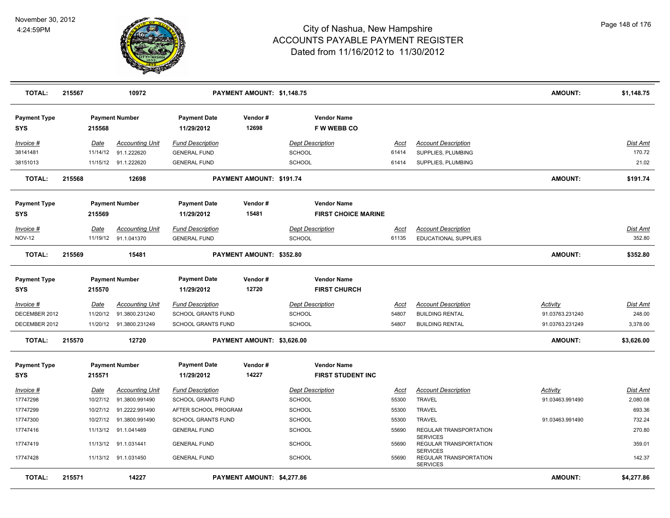

| <b>TOTAL:</b>              | 215567 |          | 10972                   |                                   | PAYMENT AMOUNT: \$1,148.75 |                                         |       |                                                              | <b>AMOUNT:</b>  | \$1,148.75 |
|----------------------------|--------|----------|-------------------------|-----------------------------------|----------------------------|-----------------------------------------|-------|--------------------------------------------------------------|-----------------|------------|
| <b>Payment Type</b><br>SYS |        | 215568   | <b>Payment Number</b>   | <b>Payment Date</b><br>11/29/2012 | Vendor#<br>12698           | <b>Vendor Name</b><br><b>FW WEBB CO</b> |       |                                                              |                 |            |
| Invoice #                  |        | Date     | <b>Accounting Unit</b>  | <b>Fund Description</b>           |                            | <b>Dept Description</b>                 | Acct  | <b>Account Description</b>                                   |                 | Dist Amt   |
| 38141481                   |        | 11/14/12 | 91.1.222620             | <b>GENERAL FUND</b>               |                            | SCHOOL                                  | 61414 | SUPPLIES, PLUMBING                                           |                 | 170.72     |
| 38151013                   |        |          | 11/15/12 91.1.222620    | <b>GENERAL FUND</b>               |                            | <b>SCHOOL</b>                           | 61414 | SUPPLIES, PLUMBING                                           |                 | 21.02      |
| <b>TOTAL:</b>              | 215568 |          | 12698                   |                                   | PAYMENT AMOUNT: \$191.74   |                                         |       |                                                              | <b>AMOUNT:</b>  | \$191.74   |
| <b>Payment Type</b>        |        |          | <b>Payment Number</b>   | <b>Payment Date</b>               | Vendor#                    | <b>Vendor Name</b>                      |       |                                                              |                 |            |
| SYS                        |        | 215569   |                         | 11/29/2012                        | 15481                      | <b>FIRST CHOICE MARINE</b>              |       |                                                              |                 |            |
| Invoice #                  |        | Date     | <b>Accounting Unit</b>  | <b>Fund Description</b>           |                            | <b>Dept Description</b>                 | Acct  | <b>Account Description</b>                                   |                 | Dist Amt   |
| <b>NOV-12</b>              |        |          | 11/19/12 91.1.041370    | <b>GENERAL FUND</b>               |                            | <b>SCHOOL</b>                           | 61135 | EDUCATIONAL SUPPLIES                                         |                 | 352.80     |
| <b>TOTAL:</b>              | 215569 |          | 15481                   |                                   | PAYMENT AMOUNT: \$352.80   |                                         |       |                                                              | <b>AMOUNT:</b>  | \$352.80   |
| <b>Payment Type</b>        |        |          | <b>Payment Number</b>   | <b>Payment Date</b>               | Vendor#                    | <b>Vendor Name</b>                      |       |                                                              |                 |            |
| SYS                        |        | 215570   |                         | 11/29/2012                        | 12720                      | <b>FIRST CHURCH</b>                     |       |                                                              |                 |            |
| Invoice #                  |        | Date     | <b>Accounting Unit</b>  | <b>Fund Description</b>           |                            | <b>Dept Description</b>                 | Acct  | <b>Account Description</b>                                   | <u>Activity</u> | Dist Amt   |
| DECEMBER 2012              |        | 11/20/12 | 91.3800.231240          | SCHOOL GRANTS FUND                |                            | <b>SCHOOL</b>                           | 54807 | <b>BUILDING RENTAL</b>                                       | 91.03763.231240 | 248.00     |
| DECEMBER 2012              |        |          | 11/20/12 91.3800.231249 | <b>SCHOOL GRANTS FUND</b>         |                            | <b>SCHOOL</b>                           | 54807 | <b>BUILDING RENTAL</b>                                       | 91.03763.231249 | 3,378.00   |
| <b>TOTAL:</b>              | 215570 |          | 12720                   |                                   | PAYMENT AMOUNT: \$3,626.00 |                                         |       |                                                              | AMOUNT:         | \$3,626.00 |
| <b>Payment Type</b>        |        |          | <b>Payment Number</b>   | <b>Payment Date</b>               | Vendor#                    | <b>Vendor Name</b>                      |       |                                                              |                 |            |
| <b>SYS</b>                 |        | 215571   |                         | 11/29/2012                        | 14227                      | <b>FIRST STUDENT INC</b>                |       |                                                              |                 |            |
| Invoice #                  |        | Date     | <b>Accounting Unit</b>  | <b>Fund Description</b>           |                            | <b>Dept Description</b>                 | Acct  | <b>Account Description</b>                                   | <u>Activity</u> | Dist Amt   |
| 17747298                   |        | 10/27/12 | 91.3800.991490          | SCHOOL GRANTS FUND                |                            | <b>SCHOOL</b>                           | 55300 | <b>TRAVEL</b>                                                | 91.03463.991490 | 2,080.08   |
| 17747299                   |        | 10/27/12 | 91.2222.991490          | AFTER SCHOOL PROGRAM              |                            | <b>SCHOOL</b>                           | 55300 | <b>TRAVEL</b>                                                |                 | 693.36     |
| 17747300                   |        | 10/27/12 | 91.3800.991490          | <b>SCHOOL GRANTS FUND</b>         |                            | SCHOOL                                  | 55300 | <b>TRAVEL</b>                                                | 91.03463.991490 | 732.24     |
| 17747416                   |        | 11/13/12 | 91.1.041469             | <b>GENERAL FUND</b>               |                            | SCHOOL                                  | 55690 | REGULAR TRANSPORTATION                                       |                 | 270.80     |
| 17747419                   |        | 11/13/12 | 91.1.031441             | <b>GENERAL FUND</b>               |                            | <b>SCHOOL</b>                           | 55690 | <b>SERVICES</b><br>REGULAR TRANSPORTATION<br><b>SERVICES</b> |                 | 359.01     |
| 17747428                   |        |          | 11/13/12 91.1.031450    | <b>GENERAL FUND</b>               |                            | <b>SCHOOL</b>                           | 55690 | REGULAR TRANSPORTATION<br><b>SERVICES</b>                    |                 | 142.37     |
| <b>TOTAL:</b>              | 215571 |          | 14227                   |                                   | PAYMENT AMOUNT: \$4,277.86 |                                         |       |                                                              | <b>AMOUNT:</b>  | \$4,277.86 |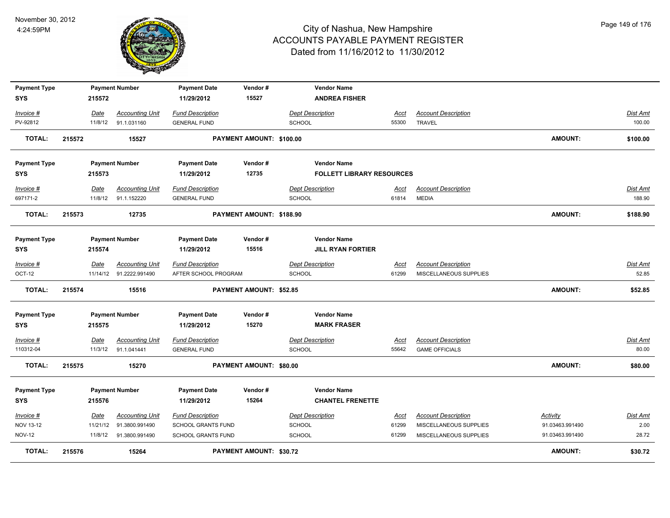

| <b>Payment Type</b> |        |             | <b>Payment Number</b>   | <b>Payment Date</b>     | Vendor#                         |                         | <b>Vendor Name</b>               |             |                            |                 |                 |
|---------------------|--------|-------------|-------------------------|-------------------------|---------------------------------|-------------------------|----------------------------------|-------------|----------------------------|-----------------|-----------------|
| <b>SYS</b>          |        | 215572      |                         | 11/29/2012              | 15527                           |                         | <b>ANDREA FISHER</b>             |             |                            |                 |                 |
| Invoice #           |        | Date        | <b>Accounting Unit</b>  | <b>Fund Description</b> |                                 | <b>Dept Description</b> |                                  | Acct        | <b>Account Description</b> |                 | <b>Dist Amt</b> |
| PV-92812            |        | 11/8/12     | 91.1.031160             | <b>GENERAL FUND</b>     |                                 | <b>SCHOOL</b>           |                                  | 55300       | <b>TRAVEL</b>              |                 | 100.00          |
| <b>TOTAL:</b>       | 215572 |             | 15527                   |                         | PAYMENT AMOUNT: \$100.00        |                         |                                  |             |                            | <b>AMOUNT:</b>  | \$100.00        |
| <b>Payment Type</b> |        |             | <b>Payment Number</b>   | <b>Payment Date</b>     | Vendor#                         |                         | <b>Vendor Name</b>               |             |                            |                 |                 |
| <b>SYS</b>          |        | 215573      |                         | 11/29/2012              | 12735                           |                         | <b>FOLLETT LIBRARY RESOURCES</b> |             |                            |                 |                 |
| Invoice #           |        | Date        | <b>Accounting Unit</b>  | <b>Fund Description</b> |                                 | <b>Dept Description</b> |                                  | Acct        | <b>Account Description</b> |                 | <b>Dist Amt</b> |
| 697171-2            |        | 11/8/12     | 91.1.152220             | <b>GENERAL FUND</b>     |                                 | <b>SCHOOL</b>           |                                  | 61814       | <b>MEDIA</b>               |                 | 188.90          |
| <b>TOTAL:</b>       | 215573 |             | 12735                   |                         | <b>PAYMENT AMOUNT: \$188.90</b> |                         |                                  |             |                            | <b>AMOUNT:</b>  | \$188.90        |
| <b>Payment Type</b> |        |             | <b>Payment Number</b>   | <b>Payment Date</b>     | Vendor#                         |                         | <b>Vendor Name</b>               |             |                            |                 |                 |
| <b>SYS</b>          |        | 215574      |                         | 11/29/2012              | 15516                           |                         | <b>JILL RYAN FORTIER</b>         |             |                            |                 |                 |
| Invoice #           |        | Date        | <b>Accounting Unit</b>  | <b>Fund Description</b> |                                 | <b>Dept Description</b> |                                  | <u>Acct</u> | <b>Account Description</b> |                 | <b>Dist Amt</b> |
| OCT-12              |        |             | 11/14/12 91.2222.991490 | AFTER SCHOOL PROGRAM    |                                 | <b>SCHOOL</b>           |                                  | 61299       | MISCELLANEOUS SUPPLIES     |                 | 52.85           |
| TOTAL:              | 215574 |             | 15516                   |                         | <b>PAYMENT AMOUNT: \$52.85</b>  |                         |                                  |             |                            | <b>AMOUNT:</b>  | \$52.85         |
| <b>Payment Type</b> |        |             | <b>Payment Number</b>   | <b>Payment Date</b>     | Vendor#                         |                         | <b>Vendor Name</b>               |             |                            |                 |                 |
| <b>SYS</b>          |        | 215575      |                         | 11/29/2012              | 15270                           |                         | <b>MARK FRASER</b>               |             |                            |                 |                 |
| $Invoice$ #         |        | <b>Date</b> | <b>Accounting Unit</b>  | <b>Fund Description</b> |                                 | <b>Dept Description</b> |                                  | <u>Acct</u> | <b>Account Description</b> |                 | <b>Dist Amt</b> |
| 110312-04           |        | 11/3/12     | 91.1.041441             | <b>GENERAL FUND</b>     |                                 | <b>SCHOOL</b>           |                                  | 55642       | <b>GAME OFFICIALS</b>      |                 | 80.00           |
| <b>TOTAL:</b>       | 215575 |             | 15270                   |                         | PAYMENT AMOUNT: \$80.00         |                         |                                  |             |                            | <b>AMOUNT:</b>  | \$80.00         |
| <b>Payment Type</b> |        |             | <b>Payment Number</b>   | <b>Payment Date</b>     | Vendor#                         |                         | <b>Vendor Name</b>               |             |                            |                 |                 |
| <b>SYS</b>          |        | 215576      |                         | 11/29/2012              | 15264                           |                         | <b>CHANTEL FRENETTE</b>          |             |                            |                 |                 |
| Invoice #           |        | Date        | <b>Accounting Unit</b>  | <b>Fund Description</b> |                                 | <b>Dept Description</b> |                                  | <u>Acct</u> | <b>Account Description</b> | Activity        | <b>Dist Amt</b> |
| NOV 13-12           |        | 11/21/12    | 91.3800.991490          | SCHOOL GRANTS FUND      |                                 | SCHOOL                  |                                  | 61299       | MISCELLANEOUS SUPPLIES     | 91.03463.991490 | 2.00            |
| <b>NOV-12</b>       |        | 11/8/12     | 91.3800.991490          | SCHOOL GRANTS FUND      |                                 | SCHOOL                  |                                  | 61299       | MISCELLANEOUS SUPPLIES     | 91.03463.991490 | 28.72           |
| <b>TOTAL:</b>       | 215576 |             | 15264                   |                         | <b>PAYMENT AMOUNT: \$30.72</b>  |                         |                                  |             |                            | <b>AMOUNT:</b>  | \$30.72         |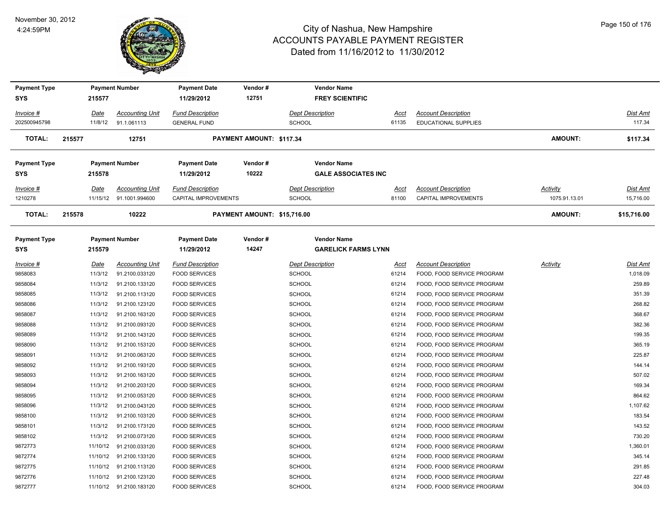

| <b>Payment Type</b> |             | <b>Payment Number</b>    | <b>Payment Date</b>     | Vendor#                     | <b>Vendor Name</b>         |             |                             |                 |                 |
|---------------------|-------------|--------------------------|-------------------------|-----------------------------|----------------------------|-------------|-----------------------------|-----------------|-----------------|
| SYS                 | 215577      |                          | 11/29/2012              | 12751                       | <b>FREY SCIENTIFIC</b>     |             |                             |                 |                 |
| Invoice #           | Date        | <b>Accounting Unit</b>   | <b>Fund Description</b> |                             | <b>Dept Description</b>    | Acct        | <b>Account Description</b>  |                 | Dist Amt        |
| 202500945798        | 11/8/12     | 91.1.061113              | <b>GENERAL FUND</b>     |                             | <b>SCHOOL</b>              | 61135       | EDUCATIONAL SUPPLIES        |                 | 117.34          |
| <b>TOTAL:</b>       | 215577      | 12751                    |                         | PAYMENT AMOUNT: \$117.34    |                            |             |                             | <b>AMOUNT:</b>  | \$117.34        |
| <b>Payment Type</b> |             | <b>Payment Number</b>    | <b>Payment Date</b>     | Vendor#                     | <b>Vendor Name</b>         |             |                             |                 |                 |
| <b>SYS</b>          | 215578      |                          | 11/29/2012              | 10222                       | <b>GALE ASSOCIATES INC</b> |             |                             |                 |                 |
| <u>Invoice #</u>    | <u>Date</u> | <b>Accounting Unit</b>   | <b>Fund Description</b> |                             | <b>Dept Description</b>    | <u>Acct</u> | <b>Account Description</b>  | <b>Activity</b> | <u>Dist Amt</u> |
| 1210278             |             | 11/15/12 91.1001.994600  | CAPITAL IMPROVEMENTS    |                             | <b>SCHOOL</b>              | 81100       | <b>CAPITAL IMPROVEMENTS</b> | 1075.91.13.01   | 15,716.00       |
| <b>TOTAL:</b>       | 215578      | 10222                    |                         | PAYMENT AMOUNT: \$15,716.00 |                            |             |                             | <b>AMOUNT:</b>  | \$15,716.00     |
| <b>Payment Type</b> |             | <b>Payment Number</b>    | <b>Payment Date</b>     | Vendor#                     | <b>Vendor Name</b>         |             |                             |                 |                 |
| <b>SYS</b>          | 215579      |                          | 11/29/2012              | 14247                       | <b>GARELICK FARMS LYNN</b> |             |                             |                 |                 |
| <u>Invoice #</u>    | <u>Date</u> | <b>Accounting Unit</b>   | <b>Fund Description</b> |                             | <b>Dept Description</b>    | <u>Acct</u> | <b>Account Description</b>  | <b>Activity</b> | Dist Amt        |
| 9858083             | 11/3/12     | 91.2100.033120           | <b>FOOD SERVICES</b>    |                             | <b>SCHOOL</b>              | 61214       | FOOD, FOOD SERVICE PROGRAM  |                 | 1,018.09        |
| 9858084             | 11/3/12     | 91.2100.133120           | <b>FOOD SERVICES</b>    |                             | SCHOOL                     | 61214       | FOOD, FOOD SERVICE PROGRAM  |                 | 259.89          |
| 9858085             | 11/3/12     | 91.2100.113120           | <b>FOOD SERVICES</b>    |                             | <b>SCHOOL</b>              | 61214       | FOOD, FOOD SERVICE PROGRAM  |                 | 351.39          |
| 9858086             | 11/3/12     | 91.2100.123120           | <b>FOOD SERVICES</b>    |                             | SCHOOL                     | 61214       | FOOD, FOOD SERVICE PROGRAM  |                 | 268.82          |
| 9858087             | 11/3/12     | 91.2100.163120           | <b>FOOD SERVICES</b>    |                             | <b>SCHOOL</b>              | 61214       | FOOD, FOOD SERVICE PROGRAM  |                 | 368.67          |
| 9858088             | 11/3/12     | 91.2100.093120           | <b>FOOD SERVICES</b>    |                             | SCHOOL                     | 61214       | FOOD, FOOD SERVICE PROGRAM  |                 | 382.36          |
| 9858089             | 11/3/12     | 91.2100.143120           | <b>FOOD SERVICES</b>    |                             | <b>SCHOOL</b>              | 61214       | FOOD, FOOD SERVICE PROGRAM  |                 | 199.35          |
| 9858090             | 11/3/12     | 91.2100.153120           | <b>FOOD SERVICES</b>    |                             | <b>SCHOOL</b>              | 61214       | FOOD, FOOD SERVICE PROGRAM  |                 | 365.19          |
| 9858091             | 11/3/12     | 91.2100.063120           | <b>FOOD SERVICES</b>    |                             | <b>SCHOOL</b>              | 61214       | FOOD, FOOD SERVICE PROGRAM  |                 | 225.87          |
| 9858092             | 11/3/12     | 91.2100.193120           | <b>FOOD SERVICES</b>    |                             | <b>SCHOOL</b>              | 61214       | FOOD, FOOD SERVICE PROGRAM  |                 | 144.14          |
| 9858093             | 11/3/12     | 91.2100.163120           | <b>FOOD SERVICES</b>    |                             | <b>SCHOOL</b>              | 61214       | FOOD, FOOD SERVICE PROGRAM  |                 | 507.02          |
| 9858094             | 11/3/12     | 91.2100.203120           | <b>FOOD SERVICES</b>    |                             | SCHOOL                     | 61214       | FOOD, FOOD SERVICE PROGRAM  |                 | 169.34          |
| 9858095             | 11/3/12     | 91.2100.053120           | <b>FOOD SERVICES</b>    |                             | <b>SCHOOL</b>              | 61214       | FOOD, FOOD SERVICE PROGRAM  |                 | 864.62          |
| 9858096             | 11/3/12     | 91.2100.043120           | <b>FOOD SERVICES</b>    |                             | SCHOOL                     | 61214       | FOOD, FOOD SERVICE PROGRAM  |                 | 1,107.62        |
| 9858100             | 11/3/12     | 91.2100.103120           | <b>FOOD SERVICES</b>    |                             | <b>SCHOOL</b>              | 61214       | FOOD, FOOD SERVICE PROGRAM  |                 | 183.54          |
| 9858101             | 11/3/12     | 91.2100.173120           | <b>FOOD SERVICES</b>    |                             | <b>SCHOOL</b>              | 61214       | FOOD, FOOD SERVICE PROGRAM  |                 | 143.52          |
| 9858102             | 11/3/12     | 91.2100.073120           | <b>FOOD SERVICES</b>    |                             | <b>SCHOOL</b>              | 61214       | FOOD, FOOD SERVICE PROGRAM  |                 | 730.20          |
| 9872773             |             | 11/10/12  91.2100.033120 | <b>FOOD SERVICES</b>    |                             | <b>SCHOOL</b>              | 61214       | FOOD, FOOD SERVICE PROGRAM  |                 | 1,360.01        |
| 9872774             |             | 11/10/12 91.2100.133120  | <b>FOOD SERVICES</b>    |                             | <b>SCHOOL</b>              | 61214       | FOOD, FOOD SERVICE PROGRAM  |                 | 345.14          |
| 9872775             |             | 11/10/12 91.2100.113120  | <b>FOOD SERVICES</b>    |                             | SCHOOL                     | 61214       | FOOD, FOOD SERVICE PROGRAM  |                 | 291.85          |
| 9872776             |             | 11/10/12 91.2100.123120  | <b>FOOD SERVICES</b>    |                             | SCHOOL                     | 61214       | FOOD, FOOD SERVICE PROGRAM  |                 | 227.48          |
| 9872777             |             | 11/10/12 91.2100.183120  | <b>FOOD SERVICES</b>    |                             | SCHOOL                     | 61214       | FOOD, FOOD SERVICE PROGRAM  |                 | 304.03          |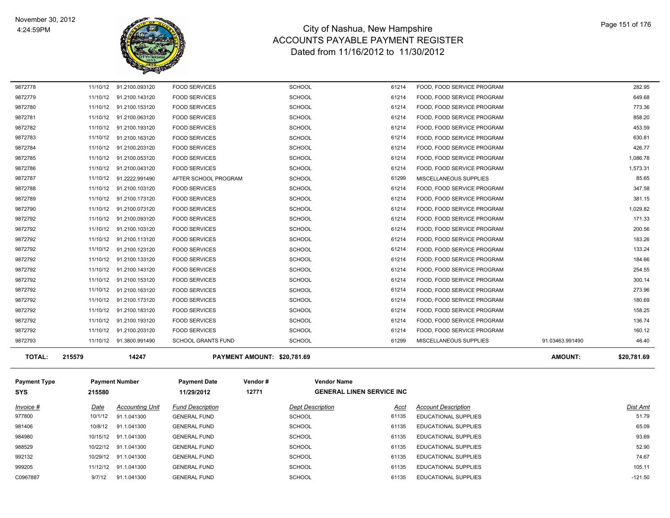

| <b>TOTAL:</b> | 215579   | 14247                   | PAYMENT AMOUNT: \$20,781.69 |               |       |                            | <b>AMOUNT:</b>  | \$20,781.69 |
|---------------|----------|-------------------------|-----------------------------|---------------|-------|----------------------------|-----------------|-------------|
| 9872793       |          | 11/10/12 91.3800.991490 | <b>SCHOOL GRANTS FUND</b>   | <b>SCHOOL</b> | 61299 | MISCELLANEOUS SUPPLIES     | 91.03463.991490 | 46.40       |
| 9872792       | 11/10/12 | 91.2100.203120          | <b>FOOD SERVICES</b>        | <b>SCHOOL</b> | 61214 | FOOD, FOOD SERVICE PROGRAM |                 | 160.12      |
| 9872792       | 11/10/12 | 91.2100.193120          | <b>FOOD SERVICES</b>        | <b>SCHOOL</b> | 61214 | FOOD, FOOD SERVICE PROGRAM |                 | 136.74      |
| 9872792       | 11/10/12 | 91.2100.183120          | <b>FOOD SERVICES</b>        | <b>SCHOOL</b> | 61214 | FOOD, FOOD SERVICE PROGRAM |                 | 158.25      |
| 9872792       | 11/10/12 | 91.2100.173120          | <b>FOOD SERVICES</b>        | <b>SCHOOL</b> | 61214 | FOOD, FOOD SERVICE PROGRAM |                 | 180.69      |
| 9872792       | 11/10/12 | 91.2100.163120          | <b>FOOD SERVICES</b>        | <b>SCHOOL</b> | 61214 | FOOD, FOOD SERVICE PROGRAM |                 | 273.96      |
| 9872792       | 11/10/12 | 91.2100.153120          | <b>FOOD SERVICES</b>        | <b>SCHOOL</b> | 61214 | FOOD, FOOD SERVICE PROGRAM |                 | 300.14      |
| 9872792       |          | 11/10/12 91.2100.143120 | <b>FOOD SERVICES</b>        | <b>SCHOOL</b> | 61214 | FOOD, FOOD SERVICE PROGRAM |                 | 254.55      |
| 9872792       |          | 11/10/12 91.2100.133120 | <b>FOOD SERVICES</b>        | <b>SCHOOL</b> | 61214 | FOOD, FOOD SERVICE PROGRAM |                 | 184.66      |
| 9872792       | 11/10/12 | 91.2100.123120          | <b>FOOD SERVICES</b>        | <b>SCHOOL</b> | 61214 | FOOD. FOOD SERVICE PROGRAM |                 | 133.24      |
| 9872792       |          | 11/10/12 91.2100.113120 | <b>FOOD SERVICES</b>        | <b>SCHOOL</b> | 61214 | FOOD, FOOD SERVICE PROGRAM |                 | 183.26      |
| 9872792       |          | 11/10/12 91.2100.103120 | <b>FOOD SERVICES</b>        | <b>SCHOOL</b> | 61214 | FOOD, FOOD SERVICE PROGRAM |                 | 200.56      |
| 9872792       | 11/10/12 | 91.2100.093120          | <b>FOOD SERVICES</b>        | <b>SCHOOL</b> | 61214 | FOOD. FOOD SERVICE PROGRAM |                 | 171.33      |
| 9872790       | 11/10/12 | 91.2100.073120          | <b>FOOD SERVICES</b>        | <b>SCHOOL</b> | 61214 | FOOD, FOOD SERVICE PROGRAM |                 | 1,029.82    |
| 9872789       |          | 11/10/12 91.2100.173120 | <b>FOOD SERVICES</b>        | <b>SCHOOL</b> | 61214 | FOOD, FOOD SERVICE PROGRAM |                 | 381.15      |
| 9872788       | 11/10/12 | 91.2100.103120          | <b>FOOD SERVICES</b>        | <b>SCHOOL</b> | 61214 | FOOD, FOOD SERVICE PROGRAM |                 | 347.58      |
| 9872787       |          | 11/10/12 91.2222.991490 | AFTER SCHOOL PROGRAM        | <b>SCHOOL</b> | 61299 | MISCELLANEOUS SUPPLIES     |                 | 85.65       |
| 9872786       |          | 11/10/12 91.2100.043120 | <b>FOOD SERVICES</b>        | <b>SCHOOL</b> | 61214 | FOOD, FOOD SERVICE PROGRAM |                 | 1,573.31    |
| 9872785       | 11/10/12 | 91.2100.053120          | <b>FOOD SERVICES</b>        | <b>SCHOOL</b> | 61214 | FOOD, FOOD SERVICE PROGRAM |                 | 1,086.78    |
| 9872784       |          | 11/10/12 91.2100.203120 | <b>FOOD SERVICES</b>        | <b>SCHOOL</b> | 61214 | FOOD, FOOD SERVICE PROGRAM |                 | 426.77      |
| 9872783       |          | 11/10/12 91.2100.163120 | <b>FOOD SERVICES</b>        | <b>SCHOOL</b> | 61214 | FOOD. FOOD SERVICE PROGRAM |                 | 630.81      |
| 9872782       | 11/10/12 | 91.2100.193120          | <b>FOOD SERVICES</b>        | <b>SCHOOL</b> | 61214 | FOOD, FOOD SERVICE PROGRAM |                 | 453.59      |
| 9872781       |          | 11/10/12 91.2100.063120 | <b>FOOD SERVICES</b>        | <b>SCHOOL</b> | 61214 | FOOD, FOOD SERVICE PROGRAM |                 | 858.20      |
| 9872780       |          | 11/10/12 91.2100.153120 | <b>FOOD SERVICES</b>        | <b>SCHOOL</b> | 61214 | FOOD. FOOD SERVICE PROGRAM |                 | 773.36      |
| 9872779       |          | 11/10/12 91.2100.143120 | <b>FOOD SERVICES</b>        | <b>SCHOOL</b> | 61214 | FOOD, FOOD SERVICE PROGRAM |                 | 649.68      |
| 9872778       |          | 11/10/12 91.2100.093120 | <b>FOOD SERVICES</b>        | <b>SCHOOL</b> | 61214 | FOOD, FOOD SERVICE PROGRAM |                 | 282.95      |

| <b>Payment Type</b><br><b>SYS</b> | 215580   | <b>Payment Number</b>  | <b>Payment Date</b><br>11/29/2012 | Vendor#<br>12771 | <b>Vendor Name</b>      | <b>GENERAL LINEN SERVICE INC</b> |                             |           |
|-----------------------------------|----------|------------------------|-----------------------------------|------------------|-------------------------|----------------------------------|-----------------------------|-----------|
| Invoice #                         | Date     | <b>Accounting Unit</b> | <b>Fund Description</b>           |                  | <b>Dept Description</b> | <u>Acct</u>                      | <b>Account Description</b>  | Dist Amt  |
| 977800                            | 10/1/12  | 91.1.041300            | <b>GENERAL FUND</b>               |                  | <b>SCHOOL</b>           | 61135                            | <b>EDUCATIONAL SUPPLIES</b> | 51.79     |
| 981406                            | 10/8/12  | 91.1.041300            | <b>GENERAL FUND</b>               |                  | <b>SCHOOL</b>           | 61135                            | <b>EDUCATIONAL SUPPLIES</b> | 65.09     |
| 984980                            | 10/15/12 | 91.1.041300            | <b>GENERAL FUND</b>               |                  | <b>SCHOOL</b>           | 61135                            | <b>EDUCATIONAL SUPPLIES</b> | 93.69     |
| 988529                            | 10/22/12 | 91.1.041300            | <b>GENERAL FUND</b>               |                  | <b>SCHOOL</b>           | 61135                            | <b>EDUCATIONAL SUPPLIES</b> | 52.90     |
| 992132                            |          | 10/29/12 91.1.041300   | <b>GENERAL FUND</b>               |                  | <b>SCHOOL</b>           | 61135                            | EDUCATIONAL SUPPLIES        | 74.67     |
| 999205                            | 11/12/12 | 91.1.041300            | <b>GENERAL FUND</b>               |                  | <b>SCHOOL</b>           | 61135                            | EDUCATIONAL SUPPLIES        | 105.11    |
| C0967887                          | 9/7/12   | 91.1.041300            | <b>GENERAL FUND</b>               |                  | <b>SCHOOL</b>           | 61135                            | <b>EDUCATIONAL SUPPLIES</b> | $-121.50$ |
|                                   |          |                        |                                   |                  |                         |                                  |                             |           |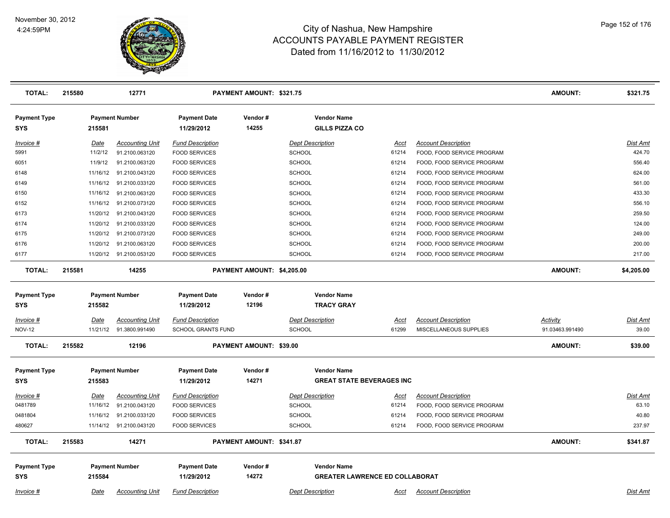

| <b>TOTAL:</b>                     | 215580      | 12771                                              |                                              | PAYMENT AMOUNT: \$321.75   |                                             |                |                                                          | <b>AMOUNT:</b>  | \$321.75          |
|-----------------------------------|-------------|----------------------------------------------------|----------------------------------------------|----------------------------|---------------------------------------------|----------------|----------------------------------------------------------|-----------------|-------------------|
| <b>Payment Type</b><br><b>SYS</b> | 215581      | <b>Payment Number</b>                              | <b>Payment Date</b><br>11/29/2012            | Vendor#<br>14255           | <b>Vendor Name</b><br><b>GILLS PIZZA CO</b> |                |                                                          |                 |                   |
| Invoice #                         | <b>Date</b> | <b>Accounting Unit</b>                             | <b>Fund Description</b>                      |                            | <b>Dept Description</b>                     | <u>Acct</u>    | <b>Account Description</b>                               |                 | Dist Amt          |
| 5991                              | 11/2/12     | 91.2100.063120                                     | <b>FOOD SERVICES</b>                         |                            | SCHOOL                                      | 61214          | FOOD, FOOD SERVICE PROGRAM                               |                 | 424.70            |
| 6051                              | 11/9/12     | 91.2100.063120                                     | <b>FOOD SERVICES</b>                         |                            | <b>SCHOOL</b>                               | 61214          | FOOD, FOOD SERVICE PROGRAM                               |                 | 556.40            |
| 6148                              |             | 11/16/12 91.2100.043120                            | <b>FOOD SERVICES</b>                         |                            | <b>SCHOOL</b>                               | 61214          | FOOD, FOOD SERVICE PROGRAM                               |                 | 624.00            |
| 6149                              |             | 11/16/12 91.2100.033120                            | <b>FOOD SERVICES</b>                         |                            | <b>SCHOOL</b>                               | 61214          | FOOD, FOOD SERVICE PROGRAM                               |                 | 561.00            |
| 6150                              |             | 11/16/12 91.2100.063120                            | <b>FOOD SERVICES</b>                         |                            | <b>SCHOOL</b>                               | 61214          | FOOD, FOOD SERVICE PROGRAM                               |                 | 433.30            |
| 6152                              |             | 11/16/12 91.2100.073120                            | <b>FOOD SERVICES</b>                         |                            | SCHOOL                                      | 61214          | FOOD, FOOD SERVICE PROGRAM                               |                 | 556.10            |
| 6173                              |             | 11/20/12 91.2100.043120                            | <b>FOOD SERVICES</b>                         |                            | SCHOOL                                      | 61214          | FOOD, FOOD SERVICE PROGRAM                               |                 | 259.50            |
| 6174                              |             | 11/20/12 91.2100.033120                            | <b>FOOD SERVICES</b>                         |                            | <b>SCHOOL</b>                               | 61214          | FOOD, FOOD SERVICE PROGRAM                               |                 | 124.00            |
| 6175                              |             | 11/20/12 91.2100.073120                            | <b>FOOD SERVICES</b>                         |                            | <b>SCHOOL</b>                               | 61214          | FOOD, FOOD SERVICE PROGRAM                               |                 | 249.00            |
| 6176                              |             | 11/20/12 91.2100.063120                            | <b>FOOD SERVICES</b>                         |                            | <b>SCHOOL</b>                               | 61214          | FOOD, FOOD SERVICE PROGRAM                               |                 | 200.00            |
| 6177                              |             | 11/20/12 91.2100.053120                            | <b>FOOD SERVICES</b>                         |                            | <b>SCHOOL</b>                               | 61214          | FOOD, FOOD SERVICE PROGRAM                               |                 | 217.00            |
| <b>TOTAL:</b>                     | 215581      | 14255                                              |                                              | PAYMENT AMOUNT: \$4,205.00 |                                             |                |                                                          | <b>AMOUNT:</b>  | \$4,205.00        |
| <b>Payment Type</b>               |             | <b>Payment Number</b>                              | <b>Payment Date</b>                          | Vendor#                    | <b>Vendor Name</b>                          |                |                                                          |                 |                   |
| <b>SYS</b>                        | 215582      |                                                    | 11/29/2012                                   | 12196                      | <b>TRACY GRAY</b>                           |                |                                                          |                 |                   |
| Invoice #                         | Date        | <b>Accounting Unit</b>                             | <b>Fund Description</b>                      |                            | <b>Dept Description</b>                     | <u>Acct</u>    | <b>Account Description</b>                               | <b>Activity</b> | <u>Dist Amt</u>   |
| <b>NOV-12</b>                     |             | 11/21/12 91.3800.991490                            | <b>SCHOOL GRANTS FUND</b>                    |                            | <b>SCHOOL</b>                               | 61299          | MISCELLANEOUS SUPPLIES                                   | 91.03463.991490 | 39.00             |
| <b>TOTAL:</b>                     | 215582      | 12196                                              |                                              | PAYMENT AMOUNT: \$39.00    |                                             |                |                                                          | <b>AMOUNT:</b>  | \$39.00           |
| <b>Payment Type</b>               |             | <b>Payment Number</b>                              | <b>Payment Date</b>                          | Vendor#                    | <b>Vendor Name</b>                          |                |                                                          |                 |                   |
| <b>SYS</b>                        | 215583      |                                                    | 11/29/2012                                   | 14271                      | <b>GREAT STATE BEVERAGES INC</b>            |                |                                                          |                 |                   |
|                                   |             |                                                    |                                              |                            |                                             |                |                                                          |                 |                   |
| <u>Invoice #</u>                  | <b>Date</b> | <b>Accounting Unit</b>                             | <b>Fund Description</b>                      |                            | <b>Dept Description</b>                     | <u>Acct</u>    | <b>Account Description</b>                               |                 | Dist Amt<br>63.10 |
| 0481789                           |             | 11/16/12 91.2100.043120                            | <b>FOOD SERVICES</b>                         |                            | <b>SCHOOL</b>                               | 61214          | FOOD, FOOD SERVICE PROGRAM                               |                 | 40.80             |
| 0481804<br>480627                 |             | 11/16/12 91.2100.033120<br>11/14/12 91.2100.043120 | <b>FOOD SERVICES</b><br><b>FOOD SERVICES</b> |                            | <b>SCHOOL</b><br><b>SCHOOL</b>              | 61214<br>61214 | FOOD, FOOD SERVICE PROGRAM<br>FOOD, FOOD SERVICE PROGRAM |                 | 237.97            |
|                                   |             |                                                    |                                              |                            |                                             |                |                                                          |                 |                   |
| <b>TOTAL:</b>                     | 215583      | 14271                                              |                                              | PAYMENT AMOUNT: \$341.87   |                                             |                |                                                          | <b>AMOUNT:</b>  | \$341.87          |
| <b>Payment Type</b>               |             | <b>Payment Number</b>                              | <b>Payment Date</b>                          | Vendor#                    | <b>Vendor Name</b>                          |                |                                                          |                 |                   |
| <b>SYS</b>                        | 215584      |                                                    | 11/29/2012                                   | 14272                      | <b>GREATER LAWRENCE ED COLLABORAT</b>       |                |                                                          |                 |                   |
| Invoice #                         | Date        | <b>Accounting Unit</b>                             | <b>Fund Description</b>                      |                            | <b>Dept Description</b>                     | Acct           | <b>Account Description</b>                               |                 | Dist Amt          |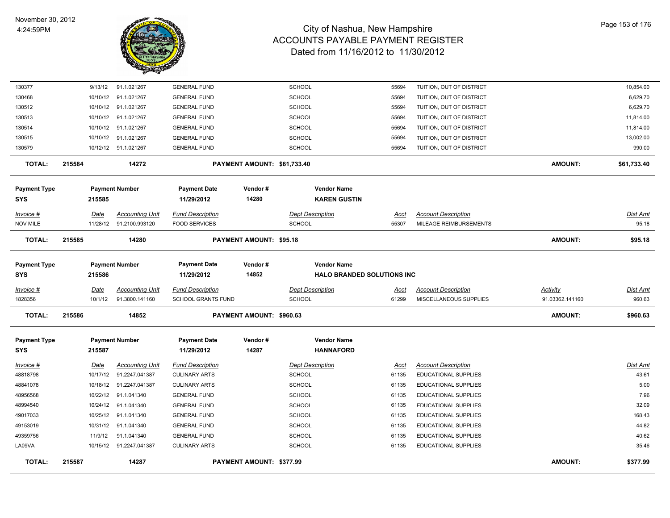

| <b>TOTAL:</b>                        | 215587 |                         | 14287                                    |                                                      | <b>PAYMENT AMOUNT: \$377.99</b> |                                          |                                        |                      |                                                      | <b>AMOUNT:</b>              | \$377.99           |
|--------------------------------------|--------|-------------------------|------------------------------------------|------------------------------------------------------|---------------------------------|------------------------------------------|----------------------------------------|----------------------|------------------------------------------------------|-----------------------------|--------------------|
| LA09VA                               |        |                         | 10/15/12 91.2247.041387                  | <b>CULINARY ARTS</b>                                 |                                 | <b>SCHOOL</b>                            |                                        | 61135                | EDUCATIONAL SUPPLIES                                 |                             | 35.46              |
| 49359756                             |        | 11/9/12                 | 91.1.041340                              | <b>GENERAL FUND</b>                                  |                                 | <b>SCHOOL</b>                            |                                        | 61135                | EDUCATIONAL SUPPLIES                                 |                             | 40.62              |
| 49153019                             |        | 10/31/12                | 91.1.041340                              | <b>GENERAL FUND</b>                                  |                                 | <b>SCHOOL</b>                            |                                        | 61135                | EDUCATIONAL SUPPLIES                                 |                             | 44.82              |
| 49017033                             |        | 10/25/12                | 91.1.041340                              | <b>GENERAL FUND</b>                                  |                                 | <b>SCHOOL</b>                            |                                        | 61135                | <b>EDUCATIONAL SUPPLIES</b>                          |                             | 168.43             |
| 48994540                             |        | 10/24/12                | 91.1.041340                              | <b>GENERAL FUND</b>                                  |                                 | <b>SCHOOL</b>                            |                                        | 61135                | EDUCATIONAL SUPPLIES                                 |                             | 32.09              |
| 48956568                             |        | 10/22/12                | 91.1.041340                              | <b>GENERAL FUND</b>                                  |                                 | <b>SCHOOL</b>                            |                                        | 61135                | EDUCATIONAL SUPPLIES                                 |                             | 7.96               |
| 48841078                             |        | 10/18/12                | 91.2247.041387                           | <b>CULINARY ARTS</b>                                 |                                 | <b>SCHOOL</b>                            |                                        | 61135                | EDUCATIONAL SUPPLIES                                 |                             | 5.00               |
| 48818798                             |        | 10/17/12                | 91.2247.041387                           | <b>CULINARY ARTS</b>                                 |                                 | <b>SCHOOL</b>                            |                                        | 61135                | EDUCATIONAL SUPPLIES                                 |                             | 43.61              |
| <u>Invoice #</u>                     |        | <b>Date</b>             | <b>Accounting Unit</b>                   | <b>Fund Description</b>                              |                                 | <b>Dept Description</b>                  |                                        | <u>Acct</u>          | <b>Account Description</b>                           |                             | Dist Amt           |
| <b>Payment Type</b><br>SYS           |        | 215587                  | <b>Payment Number</b>                    | <b>Payment Date</b><br>11/29/2012                    | Vendor#<br>14287                |                                          | <b>Vendor Name</b><br><b>HANNAFORD</b> |                      |                                                      |                             |                    |
| <b>TOTAL:</b>                        | 215586 |                         | 14852                                    |                                                      | PAYMENT AMOUNT: \$960.63        |                                          |                                        |                      |                                                      | <b>AMOUNT:</b>              | \$960.63           |
| Invoice #<br>1828356                 |        | Date<br>10/1/12         | <b>Accounting Unit</b><br>91.3800.141160 | <b>Fund Description</b><br><b>SCHOOL GRANTS FUND</b> |                                 | <b>Dept Description</b><br><b>SCHOOL</b> |                                        | Acct<br>61299        | <b>Account Description</b><br>MISCELLANEOUS SUPPLIES | Activity<br>91.03362.141160 | Dist Amt<br>960.63 |
| SYS                                  |        | 215586                  |                                          | 11/29/2012                                           | 14852                           |                                          | <b>HALO BRANDED SOLUTIONS INC</b>      |                      |                                                      |                             |                    |
| Payment Type                         |        |                         | <b>Payment Number</b>                    | <b>Payment Date</b>                                  | Vendor#                         |                                          | <b>Vendor Name</b>                     |                      |                                                      |                             |                    |
| <b>TOTAL:</b>                        | 215585 |                         | 14280                                    |                                                      | <b>PAYMENT AMOUNT: \$95.18</b>  |                                          |                                        |                      |                                                      | <b>AMOUNT:</b>              | \$95.18            |
| <u> Invoice #</u><br><b>NOV MILE</b> |        | <b>Date</b><br>11/28/12 | <b>Accounting Unit</b><br>91.2100.993120 | <b>Fund Description</b><br><b>FOOD SERVICES</b>      |                                 | <b>Dept Description</b><br><b>SCHOOL</b> |                                        | <u>Acct</u><br>55307 | <b>Account Description</b><br>MILEAGE REIMBURSEMENTS |                             | Dist Amt<br>95.18  |
| SYS                                  |        | 215585                  |                                          | 11/29/2012                                           | 14280                           |                                          | <b>KAREN GUSTIN</b>                    |                      |                                                      |                             |                    |
| <b>Payment Type</b>                  |        |                         | <b>Payment Number</b>                    | <b>Payment Date</b>                                  | Vendor#                         |                                          | <b>Vendor Name</b>                     |                      |                                                      |                             |                    |
| <b>TOTAL:</b>                        | 215584 |                         | 14272                                    |                                                      | PAYMENT AMOUNT: \$61,733.40     |                                          |                                        |                      |                                                      | <b>AMOUNT:</b>              | \$61,733.40        |
| 130579                               |        |                         | 10/12/12 91.1.021267                     | <b>GENERAL FUND</b>                                  |                                 | <b>SCHOOL</b>                            |                                        | 55694                | TUITION, OUT OF DISTRICT                             |                             | 990.00             |
| 130515                               |        | 10/10/12                | 91.1.021267                              | <b>GENERAL FUND</b>                                  |                                 | <b>SCHOOL</b>                            |                                        | 55694                | TUITION, OUT OF DISTRICT                             |                             | 13,002.00          |
| 130514                               |        | 10/10/12                | 91.1.021267                              | <b>GENERAL FUND</b>                                  |                                 | <b>SCHOOL</b>                            |                                        | 55694                | TUITION, OUT OF DISTRICT                             |                             | 11,814.00          |
| 130513                               |        | 10/10/12                | 91.1.021267                              | <b>GENERAL FUND</b>                                  |                                 | <b>SCHOOL</b>                            |                                        | 55694                | TUITION, OUT OF DISTRICT                             |                             | 11,814.00          |
| 130512                               |        | 10/10/12                | 91.1.021267                              | <b>GENERAL FUND</b>                                  |                                 | <b>SCHOOL</b>                            |                                        | 55694                | TUITION, OUT OF DISTRICT                             |                             | 6,629.70           |
| 130468                               |        | 10/10/12                | 91.1.021267                              | <b>GENERAL FUND</b>                                  |                                 | <b>SCHOOL</b>                            |                                        | 55694                | TUITION, OUT OF DISTRICT                             |                             | 6,629.70           |
| 130377                               |        | 9/13/12                 | 91.1.021267                              | <b>GENERAL FUND</b>                                  |                                 | <b>SCHOOL</b>                            |                                        | 55694                | TUITION, OUT OF DISTRICT                             |                             | 10,854.00          |
|                                      |        |                         |                                          |                                                      |                                 |                                          |                                        |                      |                                                      |                             |                    |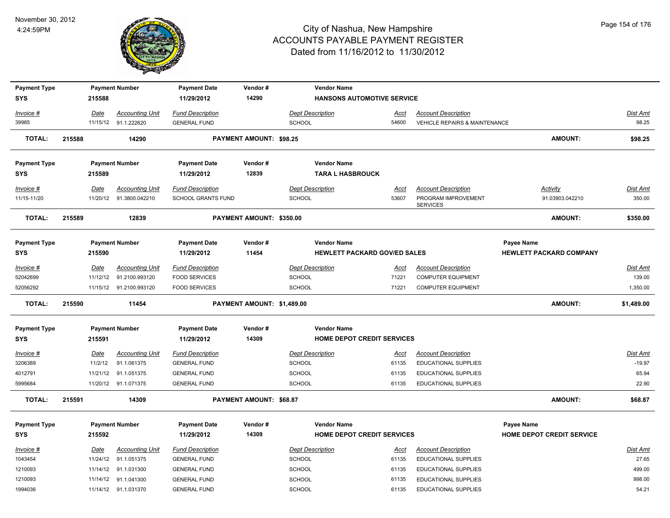

| <b>Payment Type</b>               |        |                 | <b>Payment Number</b>                 | <b>Payment Date</b>                            | Vendor#                        | <b>Vendor Name</b>                       |                                     |                                                           |                                |                      |
|-----------------------------------|--------|-----------------|---------------------------------------|------------------------------------------------|--------------------------------|------------------------------------------|-------------------------------------|-----------------------------------------------------------|--------------------------------|----------------------|
| <b>SYS</b>                        |        | 215588          |                                       | 11/29/2012                                     | 14290                          |                                          | <b>HANSONS AUTOMOTIVE SERVICE</b>   |                                                           |                                |                      |
| Invoice #                         |        | Date            | <b>Accounting Unit</b>                | <b>Fund Description</b>                        |                                | <b>Dept Description</b>                  | Acct                                | <b>Account Description</b>                                |                                | Dist Amt             |
| 39985                             |        |                 | 11/15/12 91.1.222620                  | <b>GENERAL FUND</b>                            |                                | <b>SCHOOL</b>                            | 54600                               | <b>VEHICLE REPAIRS &amp; MAINTENANCE</b>                  |                                | 98.25                |
| <b>TOTAL:</b>                     | 215588 |                 | 14290                                 |                                                | <b>PAYMENT AMOUNT: \$98.25</b> |                                          |                                     |                                                           | <b>AMOUNT:</b>                 | \$98.25              |
| <b>Payment Type</b>               |        |                 | <b>Payment Number</b>                 | <b>Payment Date</b>                            | Vendor#                        | <b>Vendor Name</b>                       |                                     |                                                           |                                |                      |
| <b>SYS</b>                        |        | 215589          |                                       | 11/29/2012                                     | 12839                          | <b>TARA L HASBROUCK</b>                  |                                     |                                                           |                                |                      |
| Invoice #                         |        | Date            | <b>Accounting Unit</b>                | <b>Fund Description</b>                        |                                | <b>Dept Description</b>                  | Acct                                | <b>Account Description</b>                                | Activity                       | Dist Amt             |
| 11/15-11/20                       |        | 11/20/12        | 91.3800.042210                        | <b>SCHOOL GRANTS FUND</b>                      |                                | <b>SCHOOL</b>                            | 53607                               | PROGRAM IMPROVEMENT<br><b>SERVICES</b>                    | 91.03903.042210                | 350.00               |
| <b>TOTAL:</b>                     | 215589 |                 | 12839                                 |                                                | PAYMENT AMOUNT: \$350.00       |                                          |                                     |                                                           | <b>AMOUNT:</b>                 | \$350.00             |
| <b>Payment Type</b>               |        |                 | <b>Payment Number</b>                 | <b>Payment Date</b>                            | Vendor#                        | <b>Vendor Name</b>                       |                                     |                                                           | <b>Payee Name</b>              |                      |
| <b>SYS</b>                        |        | 215590          |                                       | 11/29/2012                                     | 11454                          |                                          | <b>HEWLETT PACKARD GOV/ED SALES</b> |                                                           | <b>HEWLETT PACKARD COMPANY</b> |                      |
| Invoice #                         |        | <b>Date</b>     | <b>Accounting Unit</b>                | <b>Fund Description</b>                        |                                | <b>Dept Description</b>                  | <u>Acct</u>                         | <b>Account Description</b>                                |                                | <u>Dist Amt</u>      |
| 52042699                          |        | 11/12/12        | 91.2100.993120                        | <b>FOOD SERVICES</b>                           |                                | SCHOOL                                   | 71221                               | <b>COMPUTER EQUIPMENT</b>                                 |                                | 139.00               |
| 52056292                          |        |                 | 11/15/12 91.2100.993120               | <b>FOOD SERVICES</b>                           |                                | SCHOOL                                   | 71221                               | <b>COMPUTER EQUIPMENT</b>                                 |                                | 1,350.00             |
| <b>TOTAL:</b>                     | 215590 |                 | 11454                                 |                                                | PAYMENT AMOUNT: \$1,489.00     |                                          |                                     |                                                           | <b>AMOUNT:</b>                 | \$1,489.00           |
| <b>Payment Type</b><br><b>SYS</b> |        | 215591          | <b>Payment Number</b>                 | <b>Payment Date</b><br>11/29/2012              | Vendor#<br>14309               | <b>Vendor Name</b>                       | HOME DEPOT CREDIT SERVICES          |                                                           |                                |                      |
|                                   |        |                 |                                       |                                                |                                |                                          |                                     |                                                           |                                |                      |
| Invoice #<br>3206389              |        | Date<br>11/2/12 | <b>Accounting Unit</b><br>91.1.061375 | <b>Fund Description</b><br><b>GENERAL FUND</b> |                                | <b>Dept Description</b><br><b>SCHOOL</b> | Acct<br>61135                       | <b>Account Description</b><br><b>EDUCATIONAL SUPPLIES</b> |                                | Dist Amt<br>$-19.97$ |
| 4012791                           |        |                 | 11/21/12 91.1.051375                  | <b>GENERAL FUND</b>                            |                                | <b>SCHOOL</b>                            | 61135                               | EDUCATIONAL SUPPLIES                                      |                                | 65.94                |
| 5995684                           |        |                 | 11/20/12 91.1.071375                  | <b>GENERAL FUND</b>                            |                                | SCHOOL                                   | 61135                               | <b>EDUCATIONAL SUPPLIES</b>                               |                                | 22.90                |
| <b>TOTAL:</b>                     | 215591 |                 | 14309                                 |                                                | PAYMENT AMOUNT: \$68.87        |                                          |                                     |                                                           | <b>AMOUNT:</b>                 | \$68.87              |
| <b>Payment Type</b>               |        |                 | <b>Payment Number</b>                 | <b>Payment Date</b>                            | Vendor#                        | <b>Vendor Name</b>                       |                                     |                                                           | Payee Name                     |                      |
| <b>SYS</b>                        |        | 215592          |                                       | 11/29/2012                                     | 14309                          |                                          | <b>HOME DEPOT CREDIT SERVICES</b>   |                                                           | HOME DEPOT CREDIT SERVICE      |                      |
| <u>Invoice #</u>                  |        | <u>Date</u>     | <b>Accounting Unit</b>                | <b>Fund Description</b>                        |                                | <b>Dept Description</b>                  | <u>Acct</u>                         | <b>Account Description</b>                                |                                | <b>Dist Amt</b>      |
| 1043454                           |        | 11/24/12        | 91.1.051375                           | <b>GENERAL FUND</b>                            |                                | <b>SCHOOL</b>                            | 61135                               | EDUCATIONAL SUPPLIES                                      |                                | 27.65                |
| 1210093                           |        |                 | 11/14/12 91.1.031300                  | <b>GENERAL FUND</b>                            |                                | <b>SCHOOL</b>                            | 61135                               | <b>EDUCATIONAL SUPPLIES</b>                               |                                | 499.00               |
| 1210093                           |        |                 | 11/14/12 91.1.041300                  | <b>GENERAL FUND</b>                            |                                | SCHOOL                                   | 61135                               | EDUCATIONAL SUPPLIES                                      |                                | 998.00               |
| 1994036                           |        |                 | 11/14/12 91.1.031370                  | <b>GENERAL FUND</b>                            |                                | <b>SCHOOL</b>                            | 61135                               | <b>EDUCATIONAL SUPPLIES</b>                               |                                | 54.21                |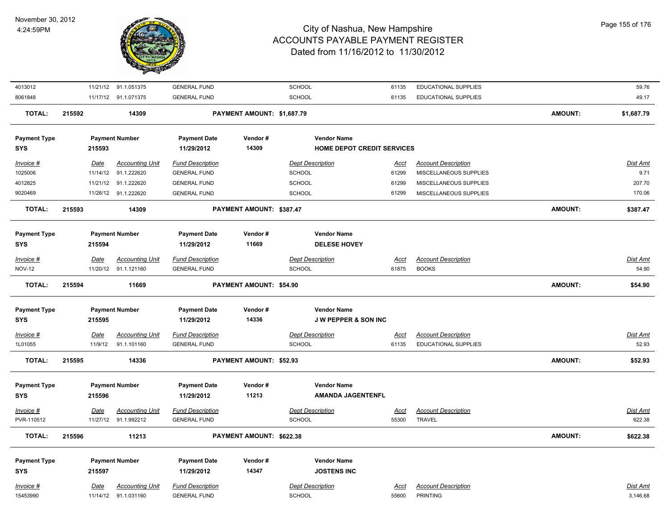

| 4013012                    |        |             | 11/21/12 91.1.051375   | <b>GENERAL FUND</b>               |                            | SCHOOL                          | 61135       | EDUCATIONAL SUPPLIES       |                | 59.76           |
|----------------------------|--------|-------------|------------------------|-----------------------------------|----------------------------|---------------------------------|-------------|----------------------------|----------------|-----------------|
| 8061848                    |        |             | 11/17/12 91.1.071375   | <b>GENERAL FUND</b>               |                            | SCHOOL                          | 61135       | EDUCATIONAL SUPPLIES       |                | 49.17           |
| <b>TOTAL:</b>              | 215592 |             | 14309                  |                                   | PAYMENT AMOUNT: \$1,687.79 |                                 |             |                            | <b>AMOUNT:</b> | \$1,687.79      |
| <b>Payment Type</b>        |        |             | <b>Payment Number</b>  | <b>Payment Date</b>               | Vendor#                    | <b>Vendor Name</b>              |             |                            |                |                 |
| <b>SYS</b>                 |        | 215593      |                        | 11/29/2012                        | 14309                      | HOME DEPOT CREDIT SERVICES      |             |                            |                |                 |
| Invoice #                  |        | Date        | <b>Accounting Unit</b> | <b>Fund Description</b>           |                            | <b>Dept Description</b>         | Acct        | <b>Account Description</b> |                | Dist Amt        |
| 1025006                    |        |             | 11/14/12 91.1.222620   | <b>GENERAL FUND</b>               |                            | SCHOOL                          | 61299       | MISCELLANEOUS SUPPLIES     |                | 9.71            |
| 4012825                    |        |             | 11/21/12 91.1.222620   | <b>GENERAL FUND</b>               |                            | SCHOOL                          | 61299       | MISCELLANEOUS SUPPLIES     |                | 207.70          |
| 9020469                    |        |             | 11/26/12 91.1.222620   | <b>GENERAL FUND</b>               |                            | SCHOOL                          | 61299       | MISCELLANEOUS SUPPLIES     |                | 170.06          |
| <b>TOTAL:</b>              | 215593 |             | 14309                  |                                   | PAYMENT AMOUNT: \$387.47   |                                 |             |                            | <b>AMOUNT:</b> | \$387.47        |
| <b>Payment Type</b>        |        |             | <b>Payment Number</b>  | <b>Payment Date</b>               | Vendor#                    | <b>Vendor Name</b>              |             |                            |                |                 |
| <b>SYS</b>                 |        | 215594      |                        | 11/29/2012                        | 11669                      | <b>DELESE HOVEY</b>             |             |                            |                |                 |
| Invoice #                  |        | <u>Date</u> | <b>Accounting Unit</b> | <b>Fund Description</b>           |                            | <b>Dept Description</b>         | <u>Acct</u> | <b>Account Description</b> |                | <b>Dist Amt</b> |
| <b>NOV-12</b>              |        |             | 11/20/12 91.1.121160   | <b>GENERAL FUND</b>               |                            | SCHOOL                          | 61875       | <b>BOOKS</b>               |                | 54.90           |
|                            |        |             |                        |                                   |                            |                                 |             |                            |                |                 |
| <b>TOTAL:</b>              | 215594 |             | 11669                  |                                   | PAYMENT AMOUNT: \$54.90    |                                 |             |                            | <b>AMOUNT:</b> | \$54.90         |
|                            |        |             |                        |                                   |                            |                                 |             |                            |                |                 |
| <b>Payment Type</b>        |        |             | <b>Payment Number</b>  | <b>Payment Date</b>               | Vendor#                    | <b>Vendor Name</b>              |             |                            |                |                 |
| <b>SYS</b>                 |        | 215595      |                        | 11/29/2012                        | 14336                      | <b>J W PEPPER &amp; SON INC</b> |             |                            |                |                 |
| $Invoice$ #                |        | <u>Date</u> | <b>Accounting Unit</b> | <b>Fund Description</b>           |                            | <b>Dept Description</b>         | Acct        | <b>Account Description</b> |                | <b>Dist Amt</b> |
| 1L01055                    |        | 11/9/12     | 91.1.101160            | <b>GENERAL FUND</b>               |                            | <b>SCHOOL</b>                   | 61135       | EDUCATIONAL SUPPLIES       |                | 52.93           |
| <b>TOTAL:</b>              | 215595 |             | 14336                  |                                   | PAYMENT AMOUNT: \$52.93    |                                 |             |                            | <b>AMOUNT:</b> | \$52.93         |
|                            |        |             |                        |                                   |                            | <b>Vendor Name</b>              |             |                            |                |                 |
| <b>Payment Type</b><br>SYS |        | 215596      | <b>Payment Number</b>  | <b>Payment Date</b><br>11/29/2012 | Vendor#<br>11213           | <b>AMANDA JAGENTENFL</b>        |             |                            |                |                 |
|                            |        |             |                        |                                   |                            |                                 |             |                            |                |                 |
| Invoice #                  |        | <b>Date</b> | <b>Accounting Unit</b> | Fund Description                  |                            | <b>Dept Description</b>         | <b>Acct</b> | <b>Account Description</b> |                | <b>Dist Amt</b> |
| PVR-110512                 |        |             | 11/27/12 91.1.992212   | <b>GENERAL FUND</b>               |                            | SCHOOL                          | 55300       | <b>TRAVEL</b>              |                | 622.38          |
| <b>TOTAL:</b>              | 215596 |             | 11213                  |                                   | PAYMENT AMOUNT: \$622.38   |                                 |             |                            | <b>AMOUNT:</b> | \$622.38        |
| <b>Payment Type</b>        |        |             | <b>Payment Number</b>  | <b>Payment Date</b>               | Vendor#                    | <b>Vendor Name</b>              |             |                            |                |                 |
| <b>SYS</b>                 |        | 215597      |                        | 11/29/2012                        | 14347                      | <b>JOSTENS INC</b>              |             |                            |                |                 |
| Invoice #                  |        | Date        | <b>Accounting Unit</b> | <b>Fund Description</b>           |                            | <b>Dept Description</b>         | <b>Acct</b> | <b>Account Description</b> |                | Dist Amt        |
| 15453990                   |        |             | 11/14/12 91.1.031160   | <b>GENERAL FUND</b>               |                            | SCHOOL                          | 55600       | <b>PRINTING</b>            |                | 3,146.68        |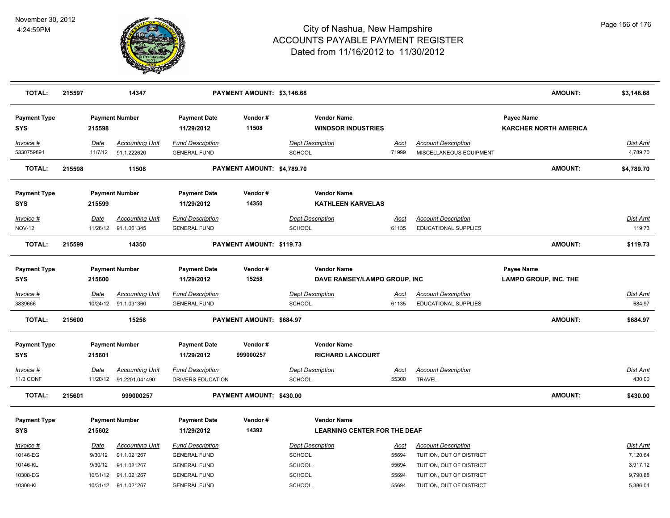

| <b>TOTAL:</b>                     | 215597      |                       | 14347                                 |                                                | PAYMENT AMOUNT: \$3,146.68 |                                          |                                                           |                      |                                                           |                                            | <b>AMOUNT:</b> | \$3,146.68                |
|-----------------------------------|-------------|-----------------------|---------------------------------------|------------------------------------------------|----------------------------|------------------------------------------|-----------------------------------------------------------|----------------------|-----------------------------------------------------------|--------------------------------------------|----------------|---------------------------|
| <b>Payment Type</b><br><b>SYS</b> | 215598      | <b>Payment Number</b> |                                       | <b>Payment Date</b><br>11/29/2012              | Vendor#<br>11508           |                                          | <b>Vendor Name</b><br><b>WINDSOR INDUSTRIES</b>           |                      |                                                           | Payee Name<br><b>KARCHER NORTH AMERICA</b> |                |                           |
| Invoice #<br>5330759891           | Date        | 11/7/12               | <b>Accounting Unit</b><br>91.1.222620 | <b>Fund Description</b><br><b>GENERAL FUND</b> |                            | <b>Dept Description</b><br><b>SCHOOL</b> |                                                           | Acct<br>71999        | <b>Account Description</b><br>MISCELLANEOUS EQUIPMENT     |                                            |                | Dist Amt<br>4,789.70      |
| <b>TOTAL:</b>                     | 215598      |                       | 11508                                 |                                                | PAYMENT AMOUNT: \$4,789.70 |                                          |                                                           |                      |                                                           |                                            | AMOUNT:        | \$4,789.70                |
| <b>Payment Type</b><br>SYS        | 215599      | <b>Payment Number</b> |                                       | <b>Payment Date</b><br>11/29/2012              | Vendor#<br>14350           |                                          | <b>Vendor Name</b><br><b>KATHLEEN KARVELAS</b>            |                      |                                                           |                                            |                |                           |
| Invoice #                         | Date        |                       | <b>Accounting Unit</b>                | <b>Fund Description</b>                        |                            | <b>Dept Description</b>                  |                                                           | Acct                 | <b>Account Description</b>                                |                                            |                | <b>Dist Amt</b>           |
| <b>NOV-12</b>                     |             | 11/26/12              | 91.1.061345                           | <b>GENERAL FUND</b>                            |                            | <b>SCHOOL</b>                            |                                                           | 61135                | <b>EDUCATIONAL SUPPLIES</b>                               |                                            |                | 119.73                    |
| <b>TOTAL:</b>                     | 215599      |                       | 14350                                 |                                                | PAYMENT AMOUNT: \$119.73   |                                          |                                                           |                      |                                                           |                                            | <b>AMOUNT:</b> | \$119.73                  |
| <b>Payment Type</b><br><b>SYS</b> | 215600      | <b>Payment Number</b> |                                       | <b>Payment Date</b><br>11/29/2012              | Vendor#<br>15258           |                                          | <b>Vendor Name</b><br>DAVE RAMSEY/LAMPO GROUP, INC        |                      |                                                           | Payee Name<br><b>LAMPO GROUP, INC. THE</b> |                |                           |
| Invoice #<br>3839666              | <b>Date</b> | 10/24/12              | <b>Accounting Unit</b><br>91.1.031360 | <b>Fund Description</b><br><b>GENERAL FUND</b> |                            | <b>Dept Description</b><br>SCHOOL        |                                                           | <u>Acct</u><br>61135 | <b>Account Description</b><br><b>EDUCATIONAL SUPPLIES</b> |                                            |                | <b>Dist Amt</b><br>684.97 |
| <b>TOTAL:</b>                     | 215600      |                       | 15258                                 |                                                | PAYMENT AMOUNT: \$684.97   |                                          |                                                           |                      |                                                           |                                            | <b>AMOUNT:</b> | \$684.97                  |
| <b>Payment Type</b><br>SYS        | 215601      | <b>Payment Number</b> |                                       | <b>Payment Date</b><br>11/29/2012              | Vendor#<br>999000257       |                                          | <b>Vendor Name</b><br><b>RICHARD LANCOURT</b>             |                      |                                                           |                                            |                |                           |
| Invoice #                         | Date        |                       | <b>Accounting Unit</b>                | <b>Fund Description</b>                        |                            | <b>Dept Description</b>                  |                                                           | Acct                 | <b>Account Description</b>                                |                                            |                | <b>Dist Amt</b>           |
| 11/3 CONF                         |             | 11/20/12              | 91.2201.041490                        | DRIVERS EDUCATION                              |                            | SCHOOL                                   |                                                           | 55300                | <b>TRAVEL</b>                                             |                                            |                | 430.00                    |
| <b>TOTAL:</b>                     | 215601      |                       | 999000257                             |                                                | PAYMENT AMOUNT: \$430.00   |                                          |                                                           |                      |                                                           |                                            | <b>AMOUNT:</b> | \$430.00                  |
| <b>Payment Type</b><br><b>SYS</b> | 215602      | <b>Payment Number</b> |                                       | <b>Payment Date</b><br>11/29/2012              | Vendor#<br>14392           |                                          | <b>Vendor Name</b><br><b>LEARNING CENTER FOR THE DEAF</b> |                      |                                                           |                                            |                |                           |
| Invoice #<br>10146-EG             | Date        | 9/30/12               | <b>Accounting Unit</b><br>91.1.021267 | <b>Fund Description</b><br><b>GENERAL FUND</b> |                            | <b>Dept Description</b><br>SCHOOL        |                                                           | Acct<br>55694        | <b>Account Description</b><br>TUITION, OUT OF DISTRICT    |                                            |                | Dist Amt<br>7,120.64      |
| 10146-KL                          |             | 9/30/12               | 91.1.021267                           | <b>GENERAL FUND</b>                            |                            | <b>SCHOOL</b>                            |                                                           | 55694                | TUITION, OUT OF DISTRICT                                  |                                            |                | 3,917.12                  |
| 10308-EG                          |             | 10/31/12              | 91.1.021267                           | <b>GENERAL FUND</b>                            |                            | <b>SCHOOL</b>                            |                                                           | 55694                | TUITION, OUT OF DISTRICT                                  |                                            |                | 9,790.88                  |
| 10308-KL                          |             | 10/31/12 91.1.021267  |                                       | <b>GENERAL FUND</b>                            |                            | SCHOOL                                   |                                                           | 55694                | TUITION, OUT OF DISTRICT                                  |                                            |                | 5,386.04                  |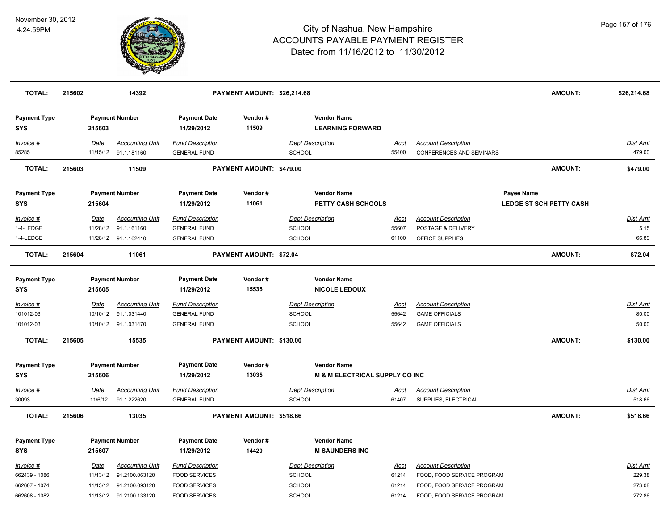

| <b>TOTAL:</b>                                                | 215602                  | 14392                                                                                          |                                                                                                 | PAYMENT AMOUNT: \$26,214.68    |                                                                            |                                        |                                                                                                                      | <b>AMOUNT:</b>                               | \$26,214.68                                   |
|--------------------------------------------------------------|-------------------------|------------------------------------------------------------------------------------------------|-------------------------------------------------------------------------------------------------|--------------------------------|----------------------------------------------------------------------------|----------------------------------------|----------------------------------------------------------------------------------------------------------------------|----------------------------------------------|-----------------------------------------------|
| <b>Payment Type</b><br><b>SYS</b>                            | 215603                  | <b>Payment Number</b>                                                                          | <b>Payment Date</b><br>11/29/2012                                                               | Vendor#<br>11509               | <b>Vendor Name</b><br><b>LEARNING FORWARD</b>                              |                                        |                                                                                                                      |                                              |                                               |
| Invoice #<br>85285                                           | Date                    | <b>Accounting Unit</b><br>11/15/12 91.1.181160                                                 | <b>Fund Description</b><br><b>GENERAL FUND</b>                                                  |                                | <b>Dept Description</b><br><b>SCHOOL</b>                                   | Acct<br>55400                          | <b>Account Description</b><br><b>CONFERENCES AND SEMINARS</b>                                                        |                                              | Dist Amt<br>479.00                            |
| <b>TOTAL:</b>                                                | 215603                  | 11509                                                                                          |                                                                                                 | PAYMENT AMOUNT: \$479.00       |                                                                            |                                        |                                                                                                                      | <b>AMOUNT:</b>                               | \$479.00                                      |
| <b>Payment Type</b><br><b>SYS</b>                            | 215604                  | <b>Payment Number</b>                                                                          | <b>Payment Date</b><br>11/29/2012                                                               | Vendor#<br>11061               | <b>Vendor Name</b><br><b>PETTY CASH SCHOOLS</b>                            |                                        |                                                                                                                      | Payee Name<br><b>LEDGE ST SCH PETTY CASH</b> |                                               |
| Invoice #<br>1-4-LEDGE<br>1-4-LEDGE                          | Date<br>11/28/12        | <b>Accounting Unit</b><br>91.1.161160<br>11/28/12 91.1.162410                                  | <b>Fund Description</b><br><b>GENERAL FUND</b><br><b>GENERAL FUND</b>                           |                                | <b>Dept Description</b><br><b>SCHOOL</b><br>SCHOOL                         | Acct<br>55607<br>61100                 | <b>Account Description</b><br>POSTAGE & DELIVERY<br>OFFICE SUPPLIES                                                  |                                              | Dist Amt<br>5.15<br>66.89                     |
| <b>TOTAL:</b>                                                | 215604                  | 11061                                                                                          |                                                                                                 | <b>PAYMENT AMOUNT: \$72.04</b> |                                                                            |                                        |                                                                                                                      | <b>AMOUNT:</b>                               | \$72.04                                       |
| <b>Payment Type</b><br><b>SYS</b>                            | 215605                  | <b>Payment Number</b>                                                                          | <b>Payment Date</b><br>11/29/2012                                                               | Vendor#<br>15535               | <b>Vendor Name</b><br><b>NICOLE LEDOUX</b>                                 |                                        |                                                                                                                      |                                              |                                               |
| Invoice #<br>101012-03<br>101012-03                          | <u>Date</u>             | <b>Accounting Unit</b><br>10/10/12 91.1.031440<br>10/10/12 91.1.031470                         | <b>Fund Description</b><br><b>GENERAL FUND</b><br><b>GENERAL FUND</b>                           |                                | <b>Dept Description</b><br>SCHOOL<br><b>SCHOOL</b>                         | <u>Acct</u><br>55642<br>55642          | <b>Account Description</b><br><b>GAME OFFICIALS</b><br><b>GAME OFFICIALS</b>                                         |                                              | <u>Dist Amt</u><br>80.00<br>50.00             |
| <b>TOTAL:</b>                                                | 215605                  | 15535                                                                                          |                                                                                                 | PAYMENT AMOUNT: \$130.00       |                                                                            |                                        |                                                                                                                      | <b>AMOUNT:</b>                               | \$130.00                                      |
| <b>Payment Type</b><br><b>SYS</b>                            | 215606                  | <b>Payment Number</b>                                                                          | <b>Payment Date</b><br>11/29/2012                                                               | Vendor#<br>13035               | <b>Vendor Name</b><br><b>M &amp; M ELECTRICAL SUPPLY CO INC</b>            |                                        |                                                                                                                      |                                              |                                               |
| Invoice #<br>30093                                           | <u>Date</u><br>11/6/12  | <b>Accounting Unit</b><br>91.1.222620                                                          | <b>Fund Description</b><br><b>GENERAL FUND</b>                                                  |                                | <b>Dept Description</b><br>SCHOOL                                          | <u>Acct</u><br>61407                   | <b>Account Description</b><br>SUPPLIES, ELECTRICAL                                                                   |                                              | <b>Dist Amt</b><br>518.66                     |
| <b>TOTAL:</b>                                                | 215606                  | 13035                                                                                          |                                                                                                 | PAYMENT AMOUNT: \$518.66       |                                                                            |                                        |                                                                                                                      | <b>AMOUNT:</b>                               | \$518.66                                      |
| <b>Payment Type</b><br><b>SYS</b>                            | 215607                  | <b>Payment Number</b>                                                                          | <b>Payment Date</b><br>11/29/2012                                                               | Vendor#<br>14420               | <b>Vendor Name</b><br><b>M SAUNDERS INC</b>                                |                                        |                                                                                                                      |                                              |                                               |
| Invoice #<br>662439 - 1086<br>662607 - 1074<br>662608 - 1082 | <u>Date</u><br>11/13/12 | <b>Accounting Unit</b><br>91.2100.063120<br>11/13/12 91.2100.093120<br>11/13/12 91.2100.133120 | <b>Fund Description</b><br><b>FOOD SERVICES</b><br><b>FOOD SERVICES</b><br><b>FOOD SERVICES</b> |                                | <b>Dept Description</b><br><b>SCHOOL</b><br><b>SCHOOL</b><br><b>SCHOOL</b> | <u>Acct</u><br>61214<br>61214<br>61214 | <b>Account Description</b><br>FOOD, FOOD SERVICE PROGRAM<br>FOOD, FOOD SERVICE PROGRAM<br>FOOD, FOOD SERVICE PROGRAM |                                              | <b>Dist Amt</b><br>229.38<br>273.08<br>272.86 |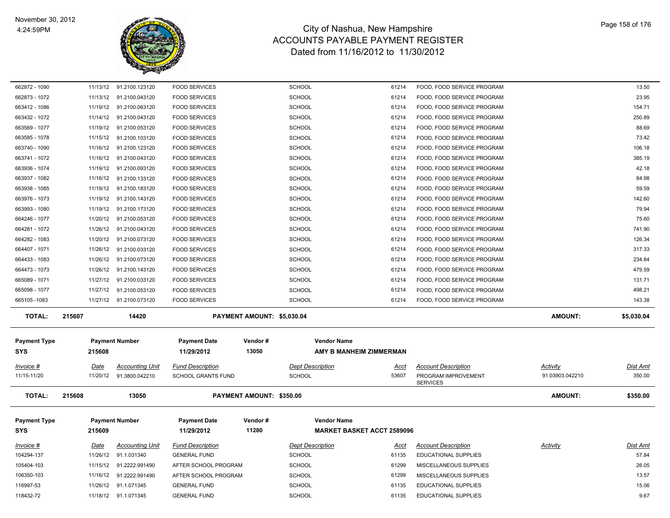

| 662872 - 1090                     | 11/13/12 | 91.2100.123120          | <b>FOOD SERVICES</b>              |                            | <b>SCHOOL</b>                                           | 61214       | FOOD, FOOD SERVICE PROGRAM  |                 | 13.50           |
|-----------------------------------|----------|-------------------------|-----------------------------------|----------------------------|---------------------------------------------------------|-------------|-----------------------------|-----------------|-----------------|
| 662873 - 1072                     | 11/13/12 | 91.2100.043120          | <b>FOOD SERVICES</b>              |                            | <b>SCHOOL</b>                                           | 61214       | FOOD, FOOD SERVICE PROGRAM  |                 | 23.95           |
| 663412 - 1086                     | 11/19/12 | 91.2100.063120          | <b>FOOD SERVICES</b>              |                            | <b>SCHOOL</b>                                           | 61214       | FOOD, FOOD SERVICE PROGRAM  |                 | 154.71          |
| 663432 - 1072                     |          | 11/14/12 91.2100.043120 | <b>FOOD SERVICES</b>              |                            | SCHOOL                                                  | 61214       | FOOD, FOOD SERVICE PROGRAM  |                 | 250.89          |
| 663569 - 1077                     | 11/19/12 | 91.2100.053120          | <b>FOOD SERVICES</b>              |                            | <b>SCHOOL</b>                                           | 61214       | FOOD, FOOD SERVICE PROGRAM  |                 | 88.69           |
| 663585 - 1078                     | 11/15/12 | 91.2100.103120          | <b>FOOD SERVICES</b>              |                            | <b>SCHOOL</b>                                           | 61214       | FOOD, FOOD SERVICE PROGRAM  |                 | 73.42           |
| 663740 - 1090                     | 11/16/12 | 91.2100.123120          | <b>FOOD SERVICES</b>              |                            | <b>SCHOOL</b>                                           | 61214       | FOOD, FOOD SERVICE PROGRAM  |                 | 106.18          |
| 663741 - 1072                     | 11/16/12 | 91.2100.043120          | <b>FOOD SERVICES</b>              |                            | <b>SCHOOL</b>                                           | 61214       | FOOD, FOOD SERVICE PROGRAM  |                 | 385.19          |
| 663936 - 1074                     | 11/19/12 | 91.2100.093120          | <b>FOOD SERVICES</b>              |                            | <b>SCHOOL</b>                                           | 61214       | FOOD, FOOD SERVICE PROGRAM  |                 | 42.18           |
| 663937 - 1082                     | 11/16/12 | 91.2100.133120          | <b>FOOD SERVICES</b>              |                            | <b>SCHOOL</b>                                           | 61214       | FOOD, FOOD SERVICE PROGRAM  |                 | 84.98           |
| 663938 - 1085                     | 11/19/12 | 91.2100.183120          | <b>FOOD SERVICES</b>              |                            | SCHOOL                                                  | 61214       | FOOD, FOOD SERVICE PROGRAM  |                 | 59.59           |
| 663976 - 1073                     | 11/19/12 | 91.2100.143120          | <b>FOOD SERVICES</b>              |                            | <b>SCHOOL</b>                                           | 61214       | FOOD, FOOD SERVICE PROGRAM  |                 | 142.60          |
| 663993 - 1080                     | 11/19/12 | 91.2100.173120          | <b>FOOD SERVICES</b>              |                            | <b>SCHOOL</b>                                           | 61214       | FOOD, FOOD SERVICE PROGRAM  |                 | 79.94           |
| 664246 - 1077                     | 11/20/12 | 91.2100.053120          | <b>FOOD SERVICES</b>              |                            | <b>SCHOOL</b>                                           | 61214       | FOOD, FOOD SERVICE PROGRAM  |                 | 75.60           |
| 664281 - 1072                     | 11/26/12 | 91.2100.043120          | <b>FOOD SERVICES</b>              |                            | <b>SCHOOL</b>                                           | 61214       | FOOD, FOOD SERVICE PROGRAM  |                 | 741.90          |
| 664282 - 1083                     | 11/20/12 | 91.2100.073120          | <b>FOOD SERVICES</b>              |                            | <b>SCHOOL</b>                                           | 61214       | FOOD, FOOD SERVICE PROGRAM  |                 | 126.34          |
| 664407 - 1071                     | 11/26/12 | 91.2100.033120          | <b>FOOD SERVICES</b>              |                            | <b>SCHOOL</b>                                           | 61214       | FOOD, FOOD SERVICE PROGRAM  |                 | 317.33          |
| 664433 - 1083                     | 11/26/12 | 91.2100.073120          | <b>FOOD SERVICES</b>              |                            | SCHOOL                                                  | 61214       | FOOD, FOOD SERVICE PROGRAM  |                 | 234.84          |
| 664473 - 1073                     | 11/26/12 | 91.2100.143120          | <b>FOOD SERVICES</b>              |                            | <b>SCHOOL</b>                                           | 61214       | FOOD, FOOD SERVICE PROGRAM  |                 | 479.59          |
| 665089 - 1071                     | 11/27/12 | 91.2100.033120          | <b>FOOD SERVICES</b>              |                            | SCHOOL                                                  | 61214       | FOOD, FOOD SERVICE PROGRAM  |                 | 131.71          |
| 665098 - 1077                     | 11/27/12 | 91.2100.053120          | <b>FOOD SERVICES</b>              |                            | <b>SCHOOL</b>                                           | 61214       | FOOD, FOOD SERVICE PROGRAM  |                 | 498.21          |
| 665105-1083                       |          | 11/27/12 91.2100.073120 | <b>FOOD SERVICES</b>              |                            | <b>SCHOOL</b>                                           | 61214       | FOOD, FOOD SERVICE PROGRAM  |                 | 143.38          |
| <b>TOTAL:</b>                     | 215607   | 14420                   |                                   | PAYMENT AMOUNT: \$5,030.04 |                                                         |             |                             | <b>AMOUNT:</b>  | \$5,030.04      |
|                                   |          |                         |                                   |                            |                                                         |             |                             |                 |                 |
| <b>Payment Type</b>               |          | <b>Payment Number</b>   | <b>Payment Date</b><br>11/29/2012 | Vendor#<br>13050           | <b>Vendor Name</b>                                      |             |                             |                 |                 |
| <b>SYS</b>                        | 215608   |                         |                                   |                            | AMY B MANHEIM ZIMMERMAN                                 |             |                             |                 |                 |
| Invoice #                         | Date     | <b>Accounting Unit</b>  | <b>Fund Description</b>           |                            | <b>Dept Description</b>                                 | Acct        | <b>Account Description</b>  | <b>Activity</b> | Dist Amt        |
| 11/15-11/20                       |          | 11/20/12 91.3800.042210 | <b>SCHOOL GRANTS FUND</b>         |                            | <b>SCHOOL</b>                                           | 53607       | PROGRAM IMPROVEMENT         | 91.03903.042210 | 350.00          |
|                                   |          |                         |                                   |                            |                                                         |             | <b>SERVICES</b>             |                 |                 |
| <b>TOTAL:</b>                     | 215608   | 13050                   |                                   | PAYMENT AMOUNT: \$350.00   |                                                         |             |                             | <b>AMOUNT:</b>  | \$350.00        |
|                                   |          |                         |                                   |                            |                                                         |             |                             |                 |                 |
| <b>Payment Type</b><br><b>SYS</b> | 215609   | <b>Payment Number</b>   | <b>Payment Date</b><br>11/29/2012 | Vendor#<br>11280           | <b>Vendor Name</b><br><b>MARKET BASKET ACCT 2589096</b> |             |                             |                 |                 |
| $Invoice$ #                       | Date     | <b>Accounting Unit</b>  | <b>Fund Description</b>           |                            | <b>Dept Description</b>                                 | <u>Acct</u> | <b>Account Description</b>  | <b>Activity</b> | <b>Dist Amt</b> |
| 104294-137                        | 11/26/12 | 91.1.031340             | <b>GENERAL FUND</b>               |                            | <b>SCHOOL</b>                                           | 61135       | <b>EDUCATIONAL SUPPLIES</b> |                 | 57.84           |
| 105404-103                        | 11/15/12 | 91.2222.991490          | AFTER SCHOOL PROGRAM              |                            | <b>SCHOOL</b>                                           | 61299       | MISCELLANEOUS SUPPLIES      |                 | 26.05           |
| 106350-103                        | 11/16/12 | 91.2222.991490          | AFTER SCHOOL PROGRAM              |                            | <b>SCHOOL</b>                                           | 61299       | MISCELLANEOUS SUPPLIES      |                 | 13.57           |
| 116997-53                         | 11/26/12 | 91.1.071345             | <b>GENERAL FUND</b>               |                            | <b>SCHOOL</b>                                           | 61135       | <b>EDUCATIONAL SUPPLIES</b> |                 | 15.06           |
| 118432-72                         |          | 11/18/12 91.1.071345    | <b>GENERAL FUND</b>               |                            | <b>SCHOOL</b>                                           | 61135       | <b>EDUCATIONAL SUPPLIES</b> |                 | 9.67            |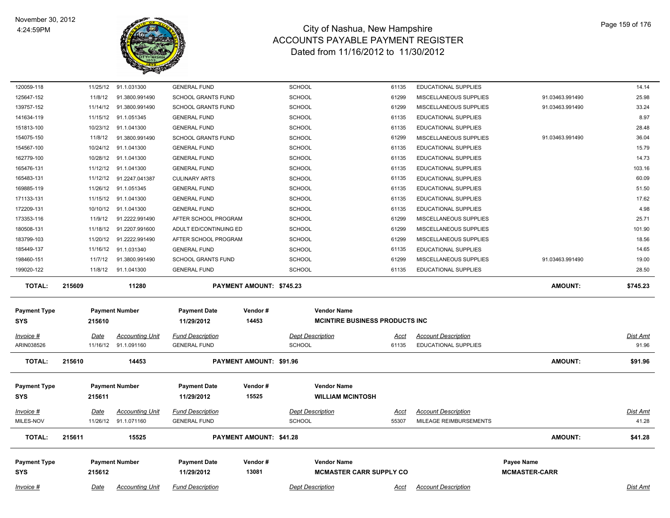

| <b>TOTAL:</b><br><b>Payment Type</b><br><b>SYS</b> | 215612              | <b>Payment Number</b>            | <b>Payment Date</b><br>11/29/2012              | Vendor#<br>13081               | <b>Vendor Name</b><br><b>MCMASTER CARR SUPPLY CO</b>         |                |                                                  | Payee Name<br><b>MCMASTER-CARR</b> |                 |
|----------------------------------------------------|---------------------|----------------------------------|------------------------------------------------|--------------------------------|--------------------------------------------------------------|----------------|--------------------------------------------------|------------------------------------|-----------------|
|                                                    |                     |                                  |                                                |                                |                                                              |                |                                                  |                                    |                 |
|                                                    | 215611              | 15525                            |                                                | <b>PAYMENT AMOUNT: \$41.28</b> |                                                              |                |                                                  | <b>AMOUNT:</b>                     | \$41.28         |
| MILES-NOV                                          | 11/26/12            | 91.1.071160                      | <b>GENERAL FUND</b>                            |                                | <b>SCHOOL</b>                                                | 55307          | MILEAGE REIMBURSEMENTS                           |                                    | 41.28           |
| Invoice #                                          | <b>Date</b>         | Accounting Unit                  | <b>Fund Description</b>                        |                                | <b>Dept Description</b>                                      | Acct           | <b>Account Description</b>                       |                                    | Dist Amt        |
| <b>SYS</b>                                         | 215611              |                                  | 11/29/2012                                     | 15525                          | <b>WILLIAM MCINTOSH</b>                                      |                |                                                  |                                    |                 |
| <b>Payment Type</b>                                |                     | <b>Payment Number</b>            | <b>Payment Date</b>                            | Vendor#                        | <b>Vendor Name</b>                                           |                |                                                  |                                    |                 |
| <b>TOTAL:</b>                                      | 215610              | 14453                            |                                                | PAYMENT AMOUNT: \$91.96        |                                                              |                |                                                  | <b>AMOUNT:</b>                     | \$91.96         |
| ARIN038526                                         | 11/16/12            | 91.1.091160                      | <b>GENERAL FUND</b>                            |                                | <b>SCHOOL</b>                                                | 61135          | <b>EDUCATIONAL SUPPLIES</b>                      |                                    | 91.96           |
| Invoice #                                          | Date                | <b>Accounting Unit</b>           | <b>Fund Description</b>                        |                                | <b>Dept Description</b>                                      | <u>Acct</u>    | <b>Account Description</b>                       |                                    | Dist Amt        |
| <b>Payment Type</b><br><b>SYS</b>                  | 215610              | <b>Payment Number</b>            | <b>Payment Date</b><br>11/29/2012              | Vendor#<br>14453               | <b>Vendor Name</b><br><b>MCINTIRE BUSINESS PRODUCTS INC.</b> |                |                                                  |                                    |                 |
| <b>TOTAL:</b>                                      | 215609              | 11280                            |                                                | PAYMENT AMOUNT: \$745.23       |                                                              |                |                                                  | <b>AMOUNT:</b>                     | \$745.23        |
| 199020-122                                         | 11/8/12             | 91.1.041300                      | <b>GENERAL FUND</b>                            |                                | <b>SCHOOL</b>                                                | 61135          | <b>EDUCATIONAL SUPPLIES</b>                      |                                    | 28.50           |
| 198460-151                                         | 11/7/12             | 91.3800.991490                   | SCHOOL GRANTS FUND                             |                                | SCHOOL                                                       | 61299          | MISCELLANEOUS SUPPLIES                           | 91.03463.991490                    | 19.00           |
| 185449-137                                         | 11/16/12            | 91.1.031340                      | <b>GENERAL FUND</b>                            |                                | <b>SCHOOL</b>                                                | 61135          | EDUCATIONAL SUPPLIES                             |                                    | 14.65           |
| 180508-131<br>183799-103                           | 11/20/12            | 91.2222.991490                   | ADULT ED/CONTINUING ED<br>AFTER SCHOOL PROGRAM |                                | <b>SCHOOL</b>                                                | 61299          | MISCELLANEOUS SUPPLIES<br>MISCELLANEOUS SUPPLIES |                                    | 18.56           |
| 173353-116                                         | 11/9/12<br>11/18/12 | 91.2222.991490<br>91.2207.991600 | AFTER SCHOOL PROGRAM                           |                                | SCHOOL<br>SCHOOL                                             | 61299<br>61299 | MISCELLANEOUS SUPPLIES                           |                                    | 25.71<br>101.90 |
| 172209-131                                         | 10/10/12            | 91.1.041300                      | <b>GENERAL FUND</b>                            |                                | SCHOOL                                                       | 61135          | EDUCATIONAL SUPPLIES                             |                                    | 4.98            |
| 171133-131                                         | 11/15/12            | 91.1.041300                      | <b>GENERAL FUND</b>                            |                                | <b>SCHOOL</b>                                                | 61135          | EDUCATIONAL SUPPLIES                             |                                    | 17.62           |
| 169885-119                                         | 11/26/12            | 91.1.051345                      | <b>GENERAL FUND</b>                            |                                | SCHOOL                                                       | 61135          | EDUCATIONAL SUPPLIES                             |                                    | 51.50           |
| 165483-131                                         | 11/12/12            | 91.2247.041387                   | <b>CULINARY ARTS</b>                           |                                | <b>SCHOOL</b>                                                | 61135          | <b>EDUCATIONAL SUPPLIES</b>                      |                                    | 60.09           |
| 165476-131                                         | 11/12/12            | 91.1.041300                      | <b>GENERAL FUND</b>                            |                                | <b>SCHOOL</b>                                                | 61135          | <b>EDUCATIONAL SUPPLIES</b>                      |                                    | 103.16          |
| 162779-100                                         | 10/28/12            | 91.1.041300                      | <b>GENERAL FUND</b>                            |                                | SCHOOL                                                       | 61135          | EDUCATIONAL SUPPLIES                             |                                    | 14.73           |
| 154567-100                                         | 10/24/12            | 91.1.041300                      | <b>GENERAL FUND</b>                            |                                | <b>SCHOOL</b>                                                | 61135          | EDUCATIONAL SUPPLIES                             |                                    | 15.79           |
| 154075-150                                         | 11/8/12             | 91.3800.991490                   | <b>SCHOOL GRANTS FUND</b>                      |                                | <b>SCHOOL</b>                                                | 61299          | MISCELLANEOUS SUPPLIES                           | 91.03463.991490                    | 36.04           |
| 151813-100                                         | 10/23/12            | 91.1.041300                      | <b>GENERAL FUND</b>                            |                                | SCHOOL                                                       | 61135          | <b>EDUCATIONAL SUPPLIES</b>                      |                                    | 28.48           |
| 141634-119                                         | 11/15/12            | 91.1.051345                      | <b>GENERAL FUND</b>                            |                                | SCHOOL                                                       | 61135          | <b>EDUCATIONAL SUPPLIES</b>                      |                                    | 8.97            |
| 139757-152                                         | 11/14/12            | 91.3800.991490                   | SCHOOL GRANTS FUND                             |                                | SCHOOL                                                       | 61299          | MISCELLANEOUS SUPPLIES                           | 91.03463.991490                    | 33.24           |
| 125647-152                                         | 11/8/12             | 91.3800.991490                   | SCHOOL GRANTS FUND                             |                                | SCHOOL                                                       | 61299          | MISCELLANEOUS SUPPLIES                           | 91.03463.991490                    | 25.98           |
|                                                    | 11/25/12            | 91.1.031300                      | <b>GENERAL FUND</b>                            |                                | SCHOOL                                                       | 61135          | EDUCATIONAL SUPPLIES                             |                                    | 14.14           |
|                                                    |                     |                                  |                                                |                                |                                                              |                |                                                  |                                    |                 |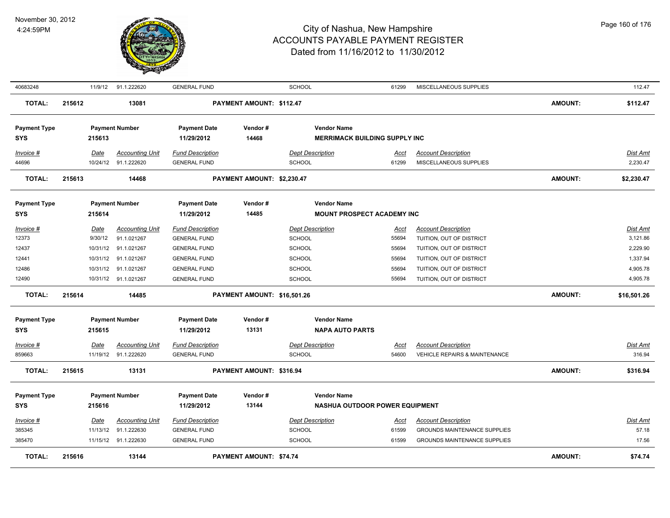

| 40683248                          |        | 11/9/12     | 91.1.222620            | <b>GENERAL FUND</b>               |                             | SCHOOL                                                     | 61299       | MISCELLANEOUS SUPPLIES              |                | 112.47          |
|-----------------------------------|--------|-------------|------------------------|-----------------------------------|-----------------------------|------------------------------------------------------------|-------------|-------------------------------------|----------------|-----------------|
| <b>TOTAL:</b>                     | 215612 |             | 13081                  |                                   | PAYMENT AMOUNT: \$112.47    |                                                            |             |                                     | <b>AMOUNT:</b> | \$112.47        |
| <b>Payment Type</b><br><b>SYS</b> |        | 215613      | <b>Payment Number</b>  | <b>Payment Date</b><br>11/29/2012 | Vendor#<br>14468            | <b>Vendor Name</b><br><b>MERRIMACK BUILDING SUPPLY INC</b> |             |                                     |                |                 |
| Invoice #                         |        | Date        | <b>Accounting Unit</b> | <b>Fund Description</b>           |                             | <b>Dept Description</b>                                    | Acct        | <b>Account Description</b>          |                | <b>Dist Amt</b> |
| 44696                             |        |             | 10/24/12 91.1.222620   | <b>GENERAL FUND</b>               |                             | SCHOOL                                                     | 61299       | MISCELLANEOUS SUPPLIES              |                | 2,230.47        |
| <b>TOTAL:</b>                     | 215613 |             | 14468                  |                                   | PAYMENT AMOUNT: \$2,230.47  |                                                            |             |                                     | <b>AMOUNT:</b> | \$2,230.47      |
| <b>Payment Type</b>               |        |             | <b>Payment Number</b>  | <b>Payment Date</b>               | Vendor#                     | <b>Vendor Name</b>                                         |             |                                     |                |                 |
| <b>SYS</b>                        |        | 215614      |                        | 11/29/2012                        | 14485                       | <b>MOUNT PROSPECT ACADEMY INC</b>                          |             |                                     |                |                 |
| Invoice #                         |        | Date        | <b>Accounting Unit</b> | <b>Fund Description</b>           |                             | <b>Dept Description</b>                                    | Acct        | <b>Account Description</b>          |                | <b>Dist Amt</b> |
| 12373                             |        | 9/30/12     | 91.1.021267            | <b>GENERAL FUND</b>               |                             | SCHOOL                                                     | 55694       | TUITION, OUT OF DISTRICT            |                | 3,121.86        |
| 12437                             |        | 10/31/12    | 91.1.021267            | <b>GENERAL FUND</b>               |                             | <b>SCHOOL</b>                                              | 55694       | TUITION, OUT OF DISTRICT            |                | 2,229.90        |
| 12441                             |        | 10/31/12    | 91.1.021267            | <b>GENERAL FUND</b>               |                             | SCHOOL                                                     | 55694       | TUITION, OUT OF DISTRICT            |                | 1,337.94        |
| 12486                             |        | 10/31/12    | 91.1.021267            | <b>GENERAL FUND</b>               |                             | SCHOOL                                                     | 55694       | TUITION, OUT OF DISTRICT            |                | 4,905.78        |
| 12490                             |        |             | 10/31/12 91.1.021267   | <b>GENERAL FUND</b>               |                             | <b>SCHOOL</b>                                              | 55694       | TUITION, OUT OF DISTRICT            |                | 4,905.78        |
| <b>TOTAL:</b>                     | 215614 |             | 14485                  |                                   | PAYMENT AMOUNT: \$16,501.26 |                                                            |             |                                     | <b>AMOUNT:</b> | \$16,501.26     |
| <b>Payment Type</b>               |        |             | <b>Payment Number</b>  | <b>Payment Date</b>               | Vendor#                     | <b>Vendor Name</b>                                         |             |                                     |                |                 |
| <b>SYS</b>                        |        | 215615      |                        | 11/29/2012                        | 13131                       | <b>NAPA AUTO PARTS</b>                                     |             |                                     |                |                 |
| <u>Invoice #</u>                  |        | <u>Date</u> | <b>Accounting Unit</b> | <b>Fund Description</b>           |                             | <b>Dept Description</b>                                    | <u>Acct</u> | <b>Account Description</b>          |                | <u>Dist Amt</u> |
| 859663                            |        | 11/19/12    | 91.1.222620            | <b>GENERAL FUND</b>               |                             | <b>SCHOOL</b>                                              | 54600       | VEHICLE REPAIRS & MAINTENANCE       |                | 316.94          |
| TOTAL:                            | 215615 |             | 13131                  |                                   | PAYMENT AMOUNT: \$316.94    |                                                            |             |                                     | <b>AMOUNT:</b> | \$316.94        |
| <b>Payment Type</b>               |        |             | <b>Payment Number</b>  | <b>Payment Date</b>               | Vendor#                     | <b>Vendor Name</b>                                         |             |                                     |                |                 |
| <b>SYS</b>                        |        | 215616      |                        | 11/29/2012                        | 13144                       | NASHUA OUTDOOR POWER EQUIPMENT                             |             |                                     |                |                 |
| Invoice #                         |        | Date        | <b>Accounting Unit</b> | <b>Fund Description</b>           |                             | <b>Dept Description</b>                                    | Acct        | <b>Account Description</b>          |                | Dist Amt        |
| 385345                            |        | 11/13/12    | 91.1.222630            | <b>GENERAL FUND</b>               |                             | SCHOOL                                                     | 61599       | <b>GROUNDS MAINTENANCE SUPPLIES</b> |                | 57.18           |
| 385470                            |        |             | 11/15/12 91.1.222630   | <b>GENERAL FUND</b>               |                             | <b>SCHOOL</b>                                              | 61599       | <b>GROUNDS MAINTENANCE SUPPLIES</b> |                | 17.56           |
| <b>TOTAL:</b>                     | 215616 |             | 13144                  |                                   | PAYMENT AMOUNT: \$74.74     |                                                            |             |                                     | <b>AMOUNT:</b> | \$74.74         |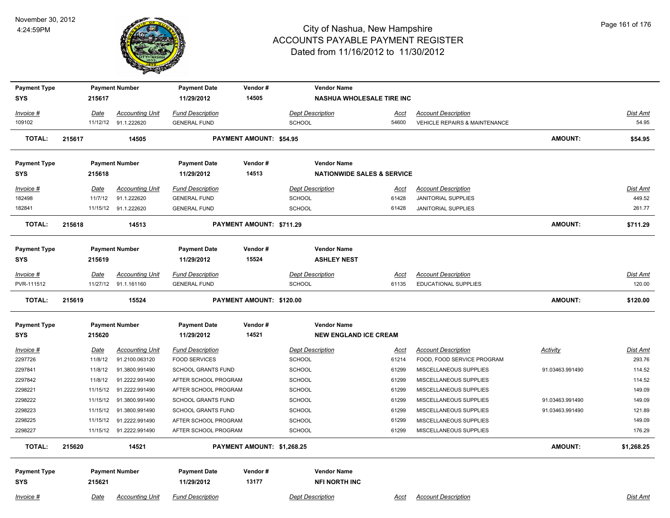

| <b>Payment Type</b><br><b>SYS</b> |        | 215617      | <b>Payment Number</b>                          | <b>Payment Date</b><br>11/29/2012              | Vendor#<br>14505           | <b>Vendor Name</b><br><b>NASHUA WHOLESALE TIRE INC</b> |               |                                                             |                 |                   |
|-----------------------------------|--------|-------------|------------------------------------------------|------------------------------------------------|----------------------------|--------------------------------------------------------|---------------|-------------------------------------------------------------|-----------------|-------------------|
|                                   |        |             |                                                |                                                |                            |                                                        |               |                                                             |                 |                   |
| Invoice #<br>109102               |        | <u>Date</u> | <b>Accounting Unit</b><br>11/12/12 91.1.222620 | <b>Fund Description</b><br><b>GENERAL FUND</b> |                            | <b>Dept Description</b><br>SCHOOL                      | Acct<br>54600 | <b>Account Description</b><br>VEHICLE REPAIRS & MAINTENANCE |                 | Dist Amt<br>54.95 |
|                                   |        |             |                                                |                                                |                            |                                                        |               |                                                             |                 |                   |
| <b>TOTAL:</b>                     | 215617 |             | 14505                                          |                                                | PAYMENT AMOUNT: \$54.95    |                                                        |               |                                                             | <b>AMOUNT:</b>  | \$54.95           |
| <b>Payment Type</b>               |        |             | <b>Payment Number</b>                          | <b>Payment Date</b>                            | Vendor#                    | <b>Vendor Name</b>                                     |               |                                                             |                 |                   |
| <b>SYS</b>                        |        | 215618      |                                                | 11/29/2012                                     | 14513                      | <b>NATIONWIDE SALES &amp; SERVICE</b>                  |               |                                                             |                 |                   |
| Invoice #                         |        | Date        | <b>Accounting Unit</b>                         | <b>Fund Description</b>                        |                            | <b>Dept Description</b>                                | Acct          | <b>Account Description</b>                                  |                 | Dist Amt          |
| 182498                            |        | 11/7/12     | 91.1.222620                                    | <b>GENERAL FUND</b>                            |                            | <b>SCHOOL</b>                                          | 61428         | <b>JANITORIAL SUPPLIES</b>                                  |                 | 449.52            |
| 182841                            |        |             | 11/15/12 91.1.222620                           | <b>GENERAL FUND</b>                            |                            | <b>SCHOOL</b>                                          | 61428         | <b>JANITORIAL SUPPLIES</b>                                  |                 | 261.77            |
| <b>TOTAL:</b>                     | 215618 |             | 14513                                          |                                                | PAYMENT AMOUNT: \$711.29   |                                                        |               |                                                             | <b>AMOUNT:</b>  | \$711.29          |
|                                   |        |             |                                                |                                                |                            |                                                        |               |                                                             |                 |                   |
| <b>Payment Type</b>               |        |             | <b>Payment Number</b>                          | <b>Payment Date</b>                            | Vendor#                    | <b>Vendor Name</b>                                     |               |                                                             |                 |                   |
| <b>SYS</b>                        |        | 215619      |                                                | 11/29/2012                                     | 15524                      | <b>ASHLEY NEST</b>                                     |               |                                                             |                 |                   |
| Invoice #                         |        | <b>Date</b> | <b>Accounting Unit</b>                         | <b>Fund Description</b>                        |                            | <b>Dept Description</b>                                | <u>Acct</u>   | <b>Account Description</b>                                  |                 | <u>Dist Amt</u>   |
| PVR-111512                        |        |             | 11/27/12 91.1.161160                           | <b>GENERAL FUND</b>                            |                            | SCHOOL                                                 | 61135         | <b>EDUCATIONAL SUPPLIES</b>                                 |                 | 120.00            |
| <b>TOTAL:</b>                     | 215619 |             | 15524                                          |                                                | PAYMENT AMOUNT: \$120.00   |                                                        |               |                                                             | <b>AMOUNT:</b>  | \$120.00          |
| <b>Payment Type</b>               |        |             | <b>Payment Number</b>                          | <b>Payment Date</b>                            | Vendor#                    | <b>Vendor Name</b>                                     |               |                                                             |                 |                   |
| <b>SYS</b>                        |        | 215620      |                                                | 11/29/2012                                     | 14521                      | <b>NEW ENGLAND ICE CREAM</b>                           |               |                                                             |                 |                   |
| <u>Invoice #</u>                  |        | <u>Date</u> | <b>Accounting Unit</b>                         | <b>Fund Description</b>                        |                            | <b>Dept Description</b>                                | <u>Acct</u>   | <b>Account Description</b>                                  | <b>Activity</b> | <u>Dist Amt</u>   |
| 2297726                           |        | 11/8/12     | 91.2100.063120                                 | <b>FOOD SERVICES</b>                           |                            | SCHOOL                                                 | 61214         | FOOD, FOOD SERVICE PROGRAM                                  |                 | 293.76            |
| 2297841                           |        | 11/8/12     | 91.3800.991490                                 | <b>SCHOOL GRANTS FUND</b>                      |                            | SCHOOL                                                 | 61299         | MISCELLANEOUS SUPPLIES                                      | 91.03463.991490 | 114.52            |
| 2297842                           |        | 11/8/12     | 91.2222.991490                                 | AFTER SCHOOL PROGRAM                           |                            | SCHOOL                                                 | 61299         | MISCELLANEOUS SUPPLIES                                      |                 | 114.52            |
| 2298221                           |        |             | 11/15/12 91.2222.991490                        | AFTER SCHOOL PROGRAM                           |                            | <b>SCHOOL</b>                                          | 61299         | MISCELLANEOUS SUPPLIES                                      |                 | 149.09            |
| 2298222                           |        |             | 11/15/12 91.3800.991490                        | <b>SCHOOL GRANTS FUND</b>                      |                            | <b>SCHOOL</b>                                          | 61299         | MISCELLANEOUS SUPPLIES                                      | 91.03463.991490 | 149.09            |
| 2298223                           |        | 11/15/12    | 91.3800.991490                                 | <b>SCHOOL GRANTS FUND</b>                      |                            | <b>SCHOOL</b>                                          | 61299         | MISCELLANEOUS SUPPLIES                                      | 91.03463.991490 | 121.89            |
| 2298225                           |        |             | 11/15/12 91.2222.991490                        | AFTER SCHOOL PROGRAM                           |                            | <b>SCHOOL</b>                                          | 61299         | MISCELLANEOUS SUPPLIES                                      |                 | 149.09            |
| 2298227                           |        |             | 11/15/12  91.2222.991490                       | AFTER SCHOOL PROGRAM                           |                            | SCHOOL                                                 | 61299         | MISCELLANEOUS SUPPLIES                                      |                 | 176.29            |
| <b>TOTAL:</b>                     | 215620 |             | 14521                                          |                                                | PAYMENT AMOUNT: \$1,268.25 |                                                        |               |                                                             | <b>AMOUNT:</b>  | \$1,268.25        |
|                                   |        |             |                                                |                                                |                            |                                                        |               |                                                             |                 |                   |
| <b>Payment Type</b>               |        |             | <b>Payment Number</b>                          | <b>Payment Date</b>                            | Vendor#                    | <b>Vendor Name</b>                                     |               |                                                             |                 |                   |
| <b>SYS</b>                        |        | 215621      |                                                | 11/29/2012                                     | 13177                      | <b>NFI NORTH INC</b>                                   |               |                                                             |                 |                   |
|                                   |        |             |                                                |                                                |                            |                                                        |               |                                                             |                 |                   |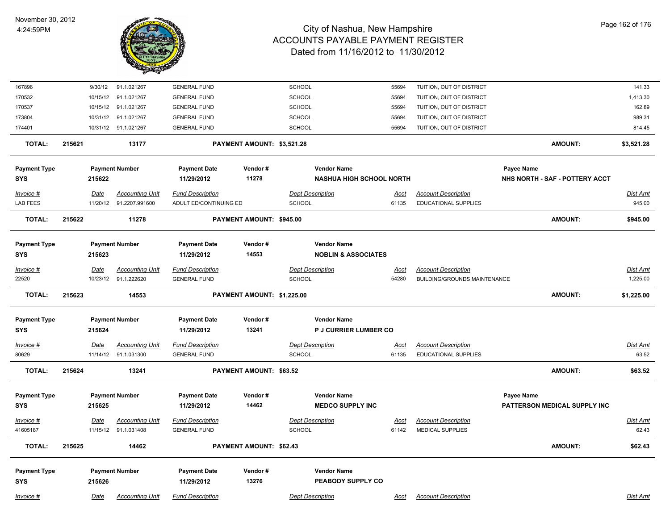

| 167896                            |        | 9/30/12          | 91.1.021267                              | <b>GENERAL FUND</b>                               |                            | SCHOOL        |                                                      | 55694                | TUITION, OUT OF DISTRICT                                  |                                |                | 141.33             |
|-----------------------------------|--------|------------------|------------------------------------------|---------------------------------------------------|----------------------------|---------------|------------------------------------------------------|----------------------|-----------------------------------------------------------|--------------------------------|----------------|--------------------|
| 170532                            |        | 10/15/12         | 91.1.021267                              | <b>GENERAL FUND</b>                               |                            | <b>SCHOOL</b> |                                                      | 55694                | TUITION, OUT OF DISTRICT                                  |                                |                | 1,413.30           |
| 170537                            |        | 10/15/12         | 91.1.021267                              | <b>GENERAL FUND</b>                               |                            | <b>SCHOOL</b> |                                                      | 55694                | TUITION, OUT OF DISTRICT                                  |                                |                | 162.89             |
| 173804                            |        | 10/31/12         | 91.1.021267                              | <b>GENERAL FUND</b>                               |                            | <b>SCHOOL</b> |                                                      | 55694                | TUITION, OUT OF DISTRICT                                  |                                |                | 989.31             |
| 174401                            |        |                  | 10/31/12 91.1.021267                     | <b>GENERAL FUND</b>                               |                            | <b>SCHOOL</b> |                                                      | 55694                | TUITION, OUT OF DISTRICT                                  |                                |                | 814.45             |
| <b>TOTAL:</b>                     | 215621 |                  | 13177                                    |                                                   | PAYMENT AMOUNT: \$3,521.28 |               |                                                      |                      |                                                           |                                | <b>AMOUNT:</b> | \$3,521.28         |
| <b>Payment Type</b>               |        |                  | <b>Payment Number</b>                    | <b>Payment Date</b>                               | Vendor#                    |               | <b>Vendor Name</b>                                   |                      |                                                           | <b>Payee Name</b>              |                |                    |
| <b>SYS</b>                        |        | 215622           |                                          | 11/29/2012                                        | 11278                      |               | <b>NASHUA HIGH SCHOOL NORTH</b>                      |                      |                                                           | NHS NORTH - SAF - POTTERY ACCT |                |                    |
| Invoice #<br><b>LAB FEES</b>      |        | Date<br>11/20/12 | <b>Accounting Unit</b><br>91.2207.991600 | <b>Fund Description</b><br>ADULT ED/CONTINUING ED |                            | <b>SCHOOL</b> | <b>Dept Description</b>                              | <u>Acct</u><br>61135 | <b>Account Description</b><br><b>EDUCATIONAL SUPPLIES</b> |                                |                | Dist Amt<br>945.00 |
| <b>TOTAL:</b>                     | 215622 |                  | 11278                                    |                                                   | PAYMENT AMOUNT: \$945.00   |               |                                                      |                      |                                                           |                                | <b>AMOUNT:</b> | \$945.00           |
| <b>Payment Type</b><br><b>SYS</b> |        | 215623           | <b>Payment Number</b>                    | <b>Payment Date</b><br>11/29/2012                 | Vendor#<br>14553           |               | <b>Vendor Name</b><br><b>NOBLIN &amp; ASSOCIATES</b> |                      |                                                           |                                |                |                    |
| Invoice #                         |        | Date             | <b>Accounting Unit</b>                   | <b>Fund Description</b>                           |                            |               | <b>Dept Description</b>                              | Acct                 | <b>Account Description</b>                                |                                |                | Dist Amt           |
| 22520                             |        | 10/23/12         | 91.1.222620                              | <b>GENERAL FUND</b>                               |                            | <b>SCHOOL</b> |                                                      | 54280                | <b>BUILDING/GROUNDS MAINTENANCE</b>                       |                                |                | 1,225.00           |
| <b>TOTAL:</b>                     | 215623 |                  | 14553                                    |                                                   | PAYMENT AMOUNT: \$1,225.00 |               |                                                      |                      |                                                           |                                | <b>AMOUNT:</b> | \$1,225.00         |
| <b>Payment Type</b><br><b>SYS</b> |        | 215624           | <b>Payment Number</b>                    | <b>Payment Date</b><br>11/29/2012                 | Vendor#<br>13241           |               | <b>Vendor Name</b><br><b>P J CURRIER LUMBER CO</b>   |                      |                                                           |                                |                |                    |
|                                   |        |                  |                                          |                                                   |                            |               |                                                      |                      |                                                           |                                |                |                    |
| <u>Invoice #</u>                  |        | <u>Date</u>      | <b>Accounting Unit</b>                   | <b>Fund Description</b>                           |                            |               | <b>Dept Description</b>                              | <u>Acct</u>          | <b>Account Description</b><br>EDUCATIONAL SUPPLIES        |                                |                | <b>Dist Amt</b>    |
| 80629                             |        |                  | 11/14/12 91.1.031300                     | <b>GENERAL FUND</b>                               |                            | <b>SCHOOL</b> |                                                      | 61135                |                                                           |                                |                | 63.52              |
| <b>TOTAL:</b>                     | 215624 |                  | 13241                                    |                                                   | PAYMENT AMOUNT: \$63.52    |               |                                                      |                      |                                                           |                                | <b>AMOUNT:</b> | \$63.52            |
| <b>Payment Type</b>               |        |                  | <b>Payment Number</b>                    | <b>Payment Date</b>                               | Vendor#                    |               | <b>Vendor Name</b>                                   |                      |                                                           | Payee Name                     |                |                    |
| <b>SYS</b>                        |        | 215625           |                                          | 11/29/2012                                        | 14462                      |               | <b>MEDCO SUPPLY INC</b>                              |                      |                                                           | PATTERSON MEDICAL SUPPLY INC   |                |                    |
| Invoice #                         |        | <u>Date</u>      | <b>Accounting Unit</b>                   | <b>Fund Description</b>                           |                            |               | <b>Dept Description</b>                              | <u>Acct</u>          | <b>Account Description</b>                                |                                |                | Dist Amt           |
| 41605187                          |        |                  | 11/15/12 91.1.031408                     | <b>GENERAL FUND</b>                               |                            | <b>SCHOOL</b> |                                                      | 61142                | MEDICAL SUPPLIES                                          |                                |                | 62.43              |
| TOTAL:                            | 215625 |                  | 14462                                    |                                                   | PAYMENT AMOUNT: \$62.43    |               |                                                      |                      |                                                           |                                | <b>AMOUNT:</b> | \$62.43            |
| <b>Payment Type</b>               |        |                  | <b>Payment Number</b>                    | <b>Payment Date</b>                               | Vendor#                    |               | <b>Vendor Name</b>                                   |                      |                                                           |                                |                |                    |
| <b>SYS</b>                        |        | 215626           |                                          | 11/29/2012                                        | 13276                      |               | PEABODY SUPPLY CO                                    |                      |                                                           |                                |                |                    |
| Invoice #                         |        | Date             | <b>Accounting Unit</b>                   | <b>Fund Description</b>                           |                            |               | <b>Dept Description</b>                              | Acct                 | <b>Account Description</b>                                |                                |                | Dist Amt           |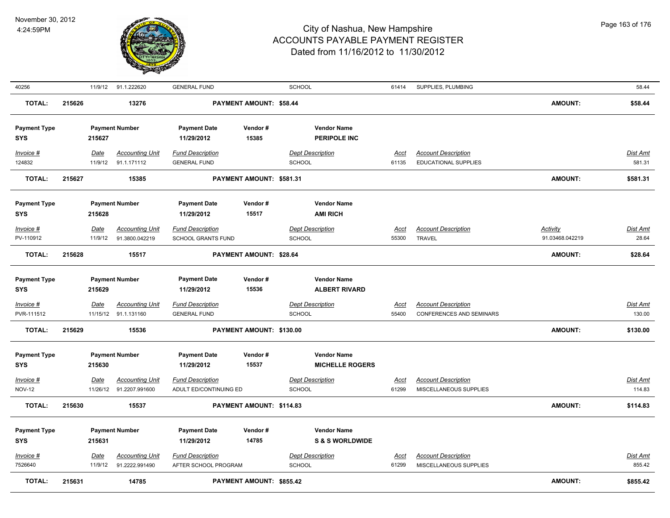

| 40256                             |        |                        | 11/9/12 91.1.222620                            | <b>GENERAL FUND</b>                             |                                | SCHOOL                                           | 61414                | SUPPLIES, PLUMBING                                            |                 | 58.44              |
|-----------------------------------|--------|------------------------|------------------------------------------------|-------------------------------------------------|--------------------------------|--------------------------------------------------|----------------------|---------------------------------------------------------------|-----------------|--------------------|
| <b>TOTAL:</b>                     | 215626 |                        | 13276                                          |                                                 | PAYMENT AMOUNT: \$58.44        |                                                  |                      |                                                               | <b>AMOUNT:</b>  | \$58.44            |
| <b>Payment Type</b><br>SYS        |        | 215627                 | <b>Payment Number</b>                          | <b>Payment Date</b><br>11/29/2012               | Vendor#<br>15385               | <b>Vendor Name</b><br><b>PERIPOLE INC</b>        |                      |                                                               |                 |                    |
| Invoice #<br>124832               |        | <b>Date</b><br>11/9/12 | <b>Accounting Unit</b><br>91.1.171112          | <b>Fund Description</b><br><b>GENERAL FUND</b>  |                                | <b>Dept Description</b><br><b>SCHOOL</b>         | <b>Acct</b><br>61135 | <b>Account Description</b><br><b>EDUCATIONAL SUPPLIES</b>     |                 | Dist Amt<br>581.31 |
| <b>TOTAL:</b>                     | 215627 |                        | 15385                                          |                                                 | PAYMENT AMOUNT: \$581.31       |                                                  |                      |                                                               | <b>AMOUNT:</b>  | \$581.31           |
| <b>Payment Type</b><br><b>SYS</b> |        | 215628                 | <b>Payment Number</b>                          | <b>Payment Date</b><br>11/29/2012               | Vendor#<br>15517               | <b>Vendor Name</b><br><b>AMI RICH</b>            |                      |                                                               |                 |                    |
| Invoice #                         |        | Date                   | <b>Accounting Unit</b>                         | <b>Fund Description</b>                         |                                | <b>Dept Description</b>                          | Acct                 | <b>Account Description</b>                                    | <b>Activity</b> | Dist Amt           |
| PV-110912                         |        | 11/9/12                | 91.3800.042219                                 | <b>SCHOOL GRANTS FUND</b>                       |                                | <b>SCHOOL</b>                                    | 55300                | <b>TRAVEL</b>                                                 | 91.03468.042219 | 28.64              |
| <b>TOTAL:</b>                     | 215628 |                        | 15517                                          |                                                 | <b>PAYMENT AMOUNT: \$28.64</b> |                                                  |                      |                                                               | <b>AMOUNT:</b>  | \$28.64            |
| <b>Payment Type</b><br><b>SYS</b> |        | 215629                 | <b>Payment Number</b>                          | <b>Payment Date</b><br>11/29/2012               | Vendor#<br>15536               | <b>Vendor Name</b><br><b>ALBERT RIVARD</b>       |                      |                                                               |                 |                    |
| $Invoice$ #<br>PVR-111512         |        | Date                   | <b>Accounting Unit</b><br>11/15/12 91.1.131160 | <b>Fund Description</b><br><b>GENERAL FUND</b>  |                                | <b>Dept Description</b><br><b>SCHOOL</b>         | <b>Acct</b><br>55400 | <b>Account Description</b><br><b>CONFERENCES AND SEMINARS</b> |                 | Dist Amt<br>130.00 |
| <b>TOTAL:</b>                     | 215629 |                        | 15536                                          |                                                 | PAYMENT AMOUNT: \$130.00       |                                                  |                      |                                                               | <b>AMOUNT:</b>  | \$130.00           |
| <b>Payment Type</b><br><b>SYS</b> |        | 215630                 | <b>Payment Number</b>                          | <b>Payment Date</b><br>11/29/2012               | Vendor#<br>15537               | <b>Vendor Name</b><br><b>MICHELLE ROGERS</b>     |                      |                                                               |                 |                    |
| Invoice #                         |        | Date                   | <b>Accounting Unit</b>                         | <b>Fund Description</b>                         |                                | <b>Dept Description</b>                          | Acct                 | <b>Account Description</b>                                    |                 | Dist Amt           |
| <b>NOV-12</b>                     |        | 11/26/12               | 91.2207.991600                                 | ADULT ED/CONTINUING ED                          |                                | SCHOOL                                           | 61299                | MISCELLANEOUS SUPPLIES                                        |                 | 114.83             |
| <b>TOTAL:</b>                     | 215630 |                        | 15537                                          |                                                 | PAYMENT AMOUNT: \$114.83       |                                                  |                      |                                                               | <b>AMOUNT:</b>  | \$114.83           |
| <b>Payment Type</b><br>SYS        |        | 215631                 | <b>Payment Number</b>                          | <b>Payment Date</b><br>11/29/2012               | Vendor#<br>14785               | <b>Vendor Name</b><br><b>S &amp; S WORLDWIDE</b> |                      |                                                               |                 |                    |
| Invoice #<br>7526640              |        | Date<br>11/9/12        | <b>Accounting Unit</b><br>91.2222.991490       | <b>Fund Description</b><br>AFTER SCHOOL PROGRAM |                                | <b>Dept Description</b><br><b>SCHOOL</b>         | Acct<br>61299        | <b>Account Description</b><br>MISCELLANEOUS SUPPLIES          |                 | Dist Amt<br>855.42 |
| <b>TOTAL:</b>                     | 215631 |                        | 14785                                          |                                                 | PAYMENT AMOUNT: \$855.42       |                                                  |                      |                                                               | <b>AMOUNT:</b>  | \$855.42           |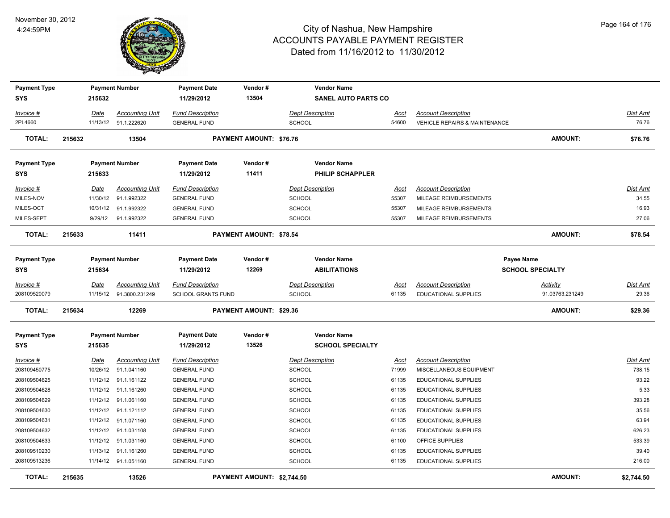

| <b>Payment Type</b><br><b>SYS</b> |        | 215632              | <b>Payment Number</b>                              | <b>Payment Date</b><br>11/29/2012                    | Vendor#<br>13504               | <b>Vendor Name</b><br><b>SANEL AUTO PARTS CO</b> |                      |                                                           |                                       |                           |
|-----------------------------------|--------|---------------------|----------------------------------------------------|------------------------------------------------------|--------------------------------|--------------------------------------------------|----------------------|-----------------------------------------------------------|---------------------------------------|---------------------------|
| Invoice #                         |        | Date                | <b>Accounting Unit</b>                             | <b>Fund Description</b>                              |                                | <b>Dept Description</b>                          | Acct                 | <b>Account Description</b>                                |                                       | Dist Amt                  |
| 2PL4660                           |        |                     | 11/13/12 91.1.222620                               | <b>GENERAL FUND</b>                                  |                                | <b>SCHOOL</b>                                    | 54600                | <b>VEHICLE REPAIRS &amp; MAINTENANCE</b>                  |                                       | 76.76                     |
| <b>TOTAL:</b>                     | 215632 |                     | 13504                                              |                                                      | PAYMENT AMOUNT: \$76.76        |                                                  |                      |                                                           | AMOUNT:                               | \$76.76                   |
| <b>Payment Type</b><br><b>SYS</b> |        | 215633              | <b>Payment Number</b>                              | <b>Payment Date</b><br>11/29/2012                    | Vendor#<br>11411               | <b>Vendor Name</b><br><b>PHILIP SCHAPPLER</b>    |                      |                                                           |                                       |                           |
| Invoice #<br>MILES-NOV            |        | Date<br>11/30/12    | <b>Accounting Unit</b><br>91.1.992322              | <b>Fund Description</b><br><b>GENERAL FUND</b>       |                                | <b>Dept Description</b><br><b>SCHOOL</b>         | Acct<br>55307        | <b>Account Description</b><br>MILEAGE REIMBURSEMENTS      |                                       | Dist Amt<br>34.55         |
| MILES-OCT<br>MILES-SEPT           |        | 10/31/12<br>9/29/12 | 91.1.992322<br>91.1.992322                         | <b>GENERAL FUND</b><br><b>GENERAL FUND</b>           |                                | <b>SCHOOL</b><br><b>SCHOOL</b>                   | 55307<br>55307       | MILEAGE REIMBURSEMENTS<br>MILEAGE REIMBURSEMENTS          |                                       | 16.93<br>27.06            |
| <b>TOTAL:</b>                     | 215633 |                     | 11411                                              |                                                      | <b>PAYMENT AMOUNT: \$78.54</b> |                                                  |                      |                                                           | AMOUNT:                               | \$78.54                   |
| <b>Payment Type</b><br><b>SYS</b> |        | 215634              | <b>Payment Number</b>                              | <b>Payment Date</b><br>11/29/2012                    | Vendor#<br>12269               | <b>Vendor Name</b><br><b>ABILITATIONS</b>        |                      |                                                           | Payee Name<br><b>SCHOOL SPECIALTY</b> |                           |
| $Invoice$ #<br>208109520079       |        | <u>Date</u>         | <b>Accounting Unit</b><br>11/15/12  91.3800.231249 | <b>Fund Description</b><br><b>SCHOOL GRANTS FUND</b> |                                | <b>Dept Description</b><br><b>SCHOOL</b>         | Acct<br>61135        | <b>Account Description</b><br><b>EDUCATIONAL SUPPLIES</b> | <b>Activity</b><br>91.03763.231249    | Dist Amt<br>29.36         |
| <b>TOTAL:</b>                     | 215634 |                     | 12269                                              |                                                      | <b>PAYMENT AMOUNT: \$29.36</b> |                                                  |                      |                                                           | <b>AMOUNT:</b>                        | \$29.36                   |
| <b>Payment Type</b><br><b>SYS</b> |        | 215635              | <b>Payment Number</b>                              | <b>Payment Date</b><br>11/29/2012                    | Vendor#<br>13526               | <b>Vendor Name</b><br><b>SCHOOL SPECIALTY</b>    |                      |                                                           |                                       |                           |
| $Invoice$ #<br>208109450775       |        | Date<br>10/26/12    | <u>Accounting Unit</u><br>91.1.041160              | <b>Fund Description</b><br><b>GENERAL FUND</b>       |                                | <b>Dept Description</b><br><b>SCHOOL</b>         | <u>Acct</u><br>71999 | <b>Account Description</b><br>MISCELLANEOUS EQUIPMENT     |                                       | <b>Dist Amt</b><br>738.15 |
| 208109504625<br>208109504628      |        | 11/12/12            | 11/12/12 91.1.161122<br>91.1.161260                | <b>GENERAL FUND</b><br><b>GENERAL FUND</b>           |                                | SCHOOL<br><b>SCHOOL</b>                          | 61135<br>61135       | EDUCATIONAL SUPPLIES<br>EDUCATIONAL SUPPLIES              |                                       | 93.22<br>5.33             |
| 208109504629                      |        | 11/12/12            | 91.1.061160                                        | <b>GENERAL FUND</b>                                  |                                | <b>SCHOOL</b>                                    | 61135                | <b>EDUCATIONAL SUPPLIES</b>                               |                                       | 393.28                    |
| 208109504630                      |        | 11/12/12            | 91.1.121112                                        | <b>GENERAL FUND</b>                                  |                                | SCHOOL                                           | 61135                | <b>EDUCATIONAL SUPPLIES</b>                               |                                       | 35.56                     |
| 208109504631                      |        | 11/12/12            | 91.1.071160                                        | <b>GENERAL FUND</b>                                  |                                | <b>SCHOOL</b>                                    | 61135                | <b>EDUCATIONAL SUPPLIES</b>                               |                                       | 63.94                     |
| 208109504632                      |        | 11/12/12            | 91.1.031108                                        | <b>GENERAL FUND</b>                                  |                                | SCHOOL                                           | 61135                | EDUCATIONAL SUPPLIES                                      |                                       | 626.23                    |
| 208109504633                      |        | 11/12/12            | 91.1.031160                                        | <b>GENERAL FUND</b>                                  |                                | <b>SCHOOL</b>                                    | 61100                | OFFICE SUPPLIES                                           |                                       | 533.39                    |
| 208109510230                      |        | 11/13/12            | 91.1.161260                                        | <b>GENERAL FUND</b>                                  |                                | SCHOOL                                           | 61135                | EDUCATIONAL SUPPLIES                                      |                                       | 39.40                     |
| 208109513236                      |        |                     | 11/14/12 91.1.051160                               | <b>GENERAL FUND</b>                                  |                                | <b>SCHOOL</b>                                    | 61135                | EDUCATIONAL SUPPLIES                                      |                                       | 216.00                    |
| <b>TOTAL:</b>                     | 215635 |                     | 13526                                              |                                                      | PAYMENT AMOUNT: \$2,744.50     |                                                  |                      |                                                           | <b>AMOUNT:</b>                        | \$2,744.50                |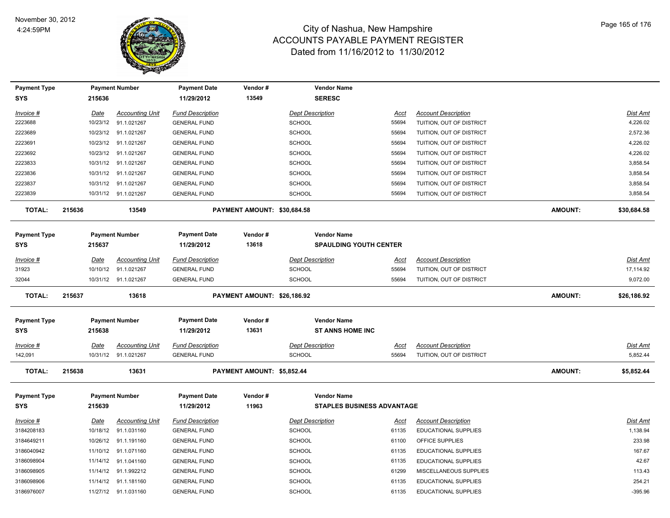

| <b>Payment Type</b><br><b>SYS</b> |        | 215636      | <b>Payment Number</b>  | <b>Payment Date</b><br>11/29/2012 | Vendor#<br>13549            | <b>Vendor Name</b><br><b>SERESC</b> |             |                             |                |                 |
|-----------------------------------|--------|-------------|------------------------|-----------------------------------|-----------------------------|-------------------------------------|-------------|-----------------------------|----------------|-----------------|
| Invoice #                         |        | Date        | <b>Accounting Unit</b> | <b>Fund Description</b>           |                             | <b>Dept Description</b>             | Acct        | <b>Account Description</b>  |                | <b>Dist Amt</b> |
| 2223688                           |        | 10/23/12    | 91.1.021267            | <b>GENERAL FUND</b>               |                             | SCHOOL                              | 55694       | TUITION, OUT OF DISTRICT    |                | 4,226.02        |
| 2223689                           |        |             | 10/23/12 91.1.021267   | <b>GENERAL FUND</b>               |                             | SCHOOL                              | 55694       | TUITION, OUT OF DISTRICT    |                | 2,572.36        |
| 2223691                           |        | 10/23/12    | 91.1.021267            | <b>GENERAL FUND</b>               |                             | <b>SCHOOL</b>                       | 55694       | TUITION, OUT OF DISTRICT    |                | 4,226.02        |
| 2223692                           |        | 10/23/12    | 91.1.021267            | <b>GENERAL FUND</b>               |                             | SCHOOL                              | 55694       | TUITION, OUT OF DISTRICT    |                | 4,226.02        |
| 2223833                           |        | 10/31/12    | 91.1.021267            | <b>GENERAL FUND</b>               |                             | SCHOOL                              | 55694       | TUITION, OUT OF DISTRICT    |                | 3,858.54        |
| 2223836                           |        |             | 10/31/12 91.1.021267   | <b>GENERAL FUND</b>               |                             | SCHOOL                              | 55694       | TUITION, OUT OF DISTRICT    |                | 3,858.54        |
| 2223837                           |        | 10/31/12    | 91.1.021267            | <b>GENERAL FUND</b>               |                             | SCHOOL                              | 55694       | TUITION, OUT OF DISTRICT    |                | 3,858.54        |
| 2223839                           |        |             | 10/31/12 91.1.021267   | <b>GENERAL FUND</b>               |                             | SCHOOL                              | 55694       | TUITION, OUT OF DISTRICT    |                | 3,858.54        |
| <b>TOTAL:</b>                     | 215636 |             | 13549                  |                                   | PAYMENT AMOUNT: \$30,684.58 |                                     |             |                             | AMOUNT:        | \$30,684.58     |
| <b>Payment Type</b>               |        |             | <b>Payment Number</b>  | <b>Payment Date</b>               | Vendor#                     | <b>Vendor Name</b>                  |             |                             |                |                 |
| <b>SYS</b>                        |        | 215637      |                        | 11/29/2012                        | 13618                       | <b>SPAULDING YOUTH CENTER</b>       |             |                             |                |                 |
| Invoice #                         |        | Date        | <b>Accounting Unit</b> | <b>Fund Description</b>           |                             | <b>Dept Description</b>             | <u>Acct</u> | <b>Account Description</b>  |                | <b>Dist Amt</b> |
| 31923                             |        | 10/10/12    | 91.1.021267            | <b>GENERAL FUND</b>               |                             | <b>SCHOOL</b>                       | 55694       | TUITION, OUT OF DISTRICT    |                | 17,114.92       |
| 32044                             |        |             | 10/31/12 91.1.021267   | <b>GENERAL FUND</b>               |                             | SCHOOL                              | 55694       | TUITION, OUT OF DISTRICT    |                | 9,072.00        |
| <b>TOTAL:</b>                     | 215637 |             | 13618                  |                                   | PAYMENT AMOUNT: \$26,186.92 |                                     |             |                             | <b>AMOUNT:</b> | \$26,186.92     |
| <b>Payment Type</b>               |        |             | <b>Payment Number</b>  | <b>Payment Date</b>               | Vendor#                     | <b>Vendor Name</b>                  |             |                             |                |                 |
| <b>SYS</b>                        |        | 215638      |                        | 11/29/2012                        | 13631                       | <b>ST ANNS HOME INC</b>             |             |                             |                |                 |
| Invoice #                         |        | <u>Date</u> | <b>Accounting Unit</b> | <b>Fund Description</b>           |                             | <b>Dept Description</b>             | <u>Acct</u> | <b>Account Description</b>  |                | Dist Amt        |
| 142,091                           |        |             | 10/31/12 91.1.021267   | <b>GENERAL FUND</b>               |                             | <b>SCHOOL</b>                       | 55694       | TUITION, OUT OF DISTRICT    |                | 5,852.44        |
| <b>TOTAL:</b>                     | 215638 |             | 13631                  |                                   | PAYMENT AMOUNT: \$5,852.44  |                                     |             |                             | <b>AMOUNT:</b> | \$5,852.44      |
| <b>Payment Type</b>               |        |             | <b>Payment Number</b>  | <b>Payment Date</b>               | Vendor#                     | <b>Vendor Name</b>                  |             |                             |                |                 |
| <b>SYS</b>                        |        | 215639      |                        | 11/29/2012                        | 11963                       | <b>STAPLES BUSINESS ADVANTAGE</b>   |             |                             |                |                 |
| <u>Invoice #</u>                  |        | <u>Date</u> | <b>Accounting Unit</b> | <b>Fund Description</b>           |                             | <b>Dept Description</b>             | <u>Acct</u> | <b>Account Description</b>  |                | <b>Dist Amt</b> |
| 3184208183                        |        | 10/18/12    | 91.1.031160            | <b>GENERAL FUND</b>               |                             | <b>SCHOOL</b>                       | 61135       | <b>EDUCATIONAL SUPPLIES</b> |                | 1,138.94        |
| 3184649211                        |        | 10/26/12    | 91.1.191160            | <b>GENERAL FUND</b>               |                             | <b>SCHOOL</b>                       | 61100       | OFFICE SUPPLIES             |                | 233.98          |
| 3186040942                        |        | 11/10/12    | 91.1.071160            | <b>GENERAL FUND</b>               |                             | SCHOOL                              | 61135       | EDUCATIONAL SUPPLIES        |                | 167.67          |
| 3186098904                        |        |             | 11/14/12 91.1.041160   | <b>GENERAL FUND</b>               |                             | SCHOOL                              | 61135       | EDUCATIONAL SUPPLIES        |                | 42.67           |
| 3186098905                        |        | 11/14/12    | 91.1.992212            | <b>GENERAL FUND</b>               |                             | <b>SCHOOL</b>                       | 61299       | MISCELLANEOUS SUPPLIES      |                | 113.43          |
| 3186098906                        |        | 11/14/12    | 91.1.181160            | <b>GENERAL FUND</b>               |                             | SCHOOL                              | 61135       | <b>EDUCATIONAL SUPPLIES</b> |                | 254.21          |
| 3186976007                        |        |             | 11/27/12 91.1.031160   | <b>GENERAL FUND</b>               |                             | <b>SCHOOL</b>                       | 61135       | <b>EDUCATIONAL SUPPLIES</b> |                | $-395.96$       |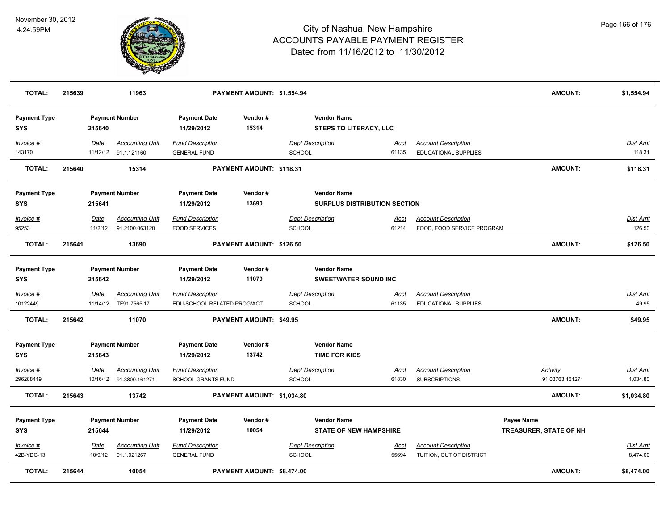

| <b>TOTAL:</b>                     | 215639 |                 | 11963                                             |                                                        | PAYMENT AMOUNT: \$1,554.94 |               |                                                           |                      |                                                           | <b>AMOUNT:</b>                       | \$1,554.94                  |
|-----------------------------------|--------|-----------------|---------------------------------------------------|--------------------------------------------------------|----------------------------|---------------|-----------------------------------------------------------|----------------------|-----------------------------------------------------------|--------------------------------------|-----------------------------|
| <b>Payment Type</b><br><b>SYS</b> |        | 215640          | <b>Payment Number</b>                             | <b>Payment Date</b><br>11/29/2012                      | Vendor#<br>15314           |               | <b>Vendor Name</b><br><b>STEPS TO LITERACY, LLC</b>       |                      |                                                           |                                      |                             |
| Invoice #<br>143170               |        | Date            | <b>Accounting Unit</b><br>11/12/12 91.1.121160    | <b>Fund Description</b><br><b>GENERAL FUND</b>         |                            | SCHOOL        | <b>Dept Description</b>                                   | <u>Acct</u><br>61135 | <b>Account Description</b><br><b>EDUCATIONAL SUPPLIES</b> |                                      | Dist Amt<br>118.31          |
| <b>TOTAL:</b>                     | 215640 |                 | 15314                                             |                                                        | PAYMENT AMOUNT: \$118.31   |               |                                                           |                      |                                                           | <b>AMOUNT:</b>                       | \$118.31                    |
| <b>Payment Type</b><br><b>SYS</b> |        | 215641          | <b>Payment Number</b>                             | <b>Payment Date</b><br>11/29/2012                      | Vendor#<br>13690           |               | <b>Vendor Name</b><br><b>SURPLUS DISTRIBUTION SECTION</b> |                      |                                                           |                                      |                             |
| Invoice #<br>95253                |        | Date<br>11/2/12 | <b>Accounting Unit</b><br>91.2100.063120          | <b>Fund Description</b><br><b>FOOD SERVICES</b>        |                            | <b>SCHOOL</b> | <b>Dept Description</b>                                   | Acct<br>61214        | <b>Account Description</b><br>FOOD, FOOD SERVICE PROGRAM  |                                      | <b>Dist Amt</b><br>126.50   |
| <b>TOTAL:</b>                     | 215641 |                 | 13690                                             |                                                        | PAYMENT AMOUNT: \$126.50   |               |                                                           |                      |                                                           | AMOUNT:                              | \$126.50                    |
| <b>Payment Type</b><br><b>SYS</b> |        | 215642          | <b>Payment Number</b>                             | <b>Payment Date</b><br>11/29/2012                      | Vendor#<br>11070           |               | <b>Vendor Name</b><br><b>SWEETWATER SOUND INC</b>         |                      |                                                           |                                      |                             |
| Invoice #<br>10122449             |        | <b>Date</b>     | <b>Accounting Unit</b><br>11/14/12 TF91.7565.17   | <b>Fund Description</b><br>EDU-SCHOOL RELATED PROG/ACT |                            | SCHOOL        | <b>Dept Description</b>                                   | <u>Acct</u><br>61135 | <b>Account Description</b><br>EDUCATIONAL SUPPLIES        |                                      | <u>Dist Amt</u><br>49.95    |
| <b>TOTAL:</b>                     | 215642 |                 | 11070                                             |                                                        | PAYMENT AMOUNT: \$49.95    |               |                                                           |                      |                                                           | <b>AMOUNT:</b>                       | \$49.95                     |
| <b>Payment Type</b><br><b>SYS</b> |        | 215643          | <b>Payment Number</b>                             | <b>Payment Date</b><br>11/29/2012                      | Vendor#<br>13742           |               | <b>Vendor Name</b><br><b>TIME FOR KIDS</b>                |                      |                                                           |                                      |                             |
| Invoice #<br>296288419            |        | Date            | <b>Accounting Unit</b><br>10/16/12 91.3800.161271 | <b>Fund Description</b><br><b>SCHOOL GRANTS FUND</b>   |                            | <b>SCHOOL</b> | <b>Dept Description</b>                                   | <u>Acct</u><br>61830 | <b>Account Description</b><br><b>SUBSCRIPTIONS</b>        | <b>Activity</b><br>91.03763.161271   | <u>Dist Amt</u><br>1,034.80 |
| <b>TOTAL:</b>                     | 215643 |                 | 13742                                             |                                                        | PAYMENT AMOUNT: \$1,034.80 |               |                                                           |                      |                                                           | <b>AMOUNT:</b>                       | \$1,034.80                  |
| <b>Payment Type</b><br><b>SYS</b> |        | 215644          | <b>Payment Number</b>                             | <b>Payment Date</b><br>11/29/2012                      | Vendor#<br>10054           |               | <b>Vendor Name</b><br><b>STATE OF NEW HAMPSHIRE</b>       |                      |                                                           | Payee Name<br>TREASURER, STATE OF NH |                             |
| Invoice #<br>42B-YDC-13           |        | Date<br>10/9/12 | <b>Accounting Unit</b><br>91.1.021267             | <b>Fund Description</b><br><b>GENERAL FUND</b>         |                            | <b>SCHOOL</b> | <b>Dept Description</b>                                   | Acct<br>55694        | <b>Account Description</b><br>TUITION, OUT OF DISTRICT    |                                      | <b>Dist Amt</b><br>8,474.00 |
| <b>TOTAL:</b>                     | 215644 |                 | 10054                                             |                                                        | PAYMENT AMOUNT: \$8,474.00 |               |                                                           |                      |                                                           | <b>AMOUNT:</b>                       | \$8,474.00                  |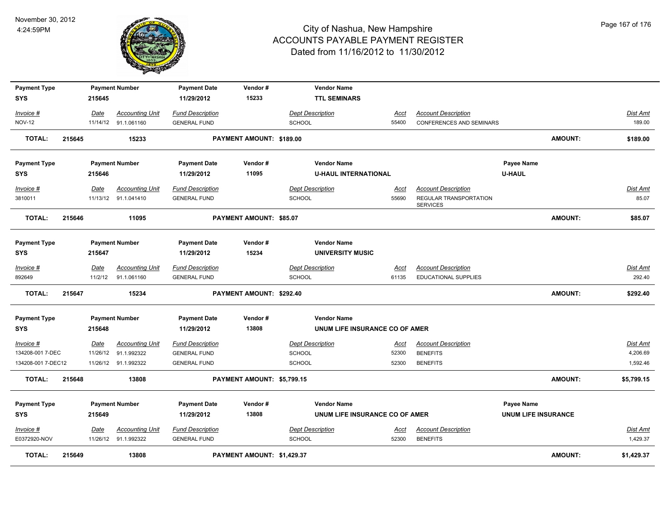

| <b>Payment Type</b><br><b>SYS</b> |        | 215645      | <b>Payment Number</b>                          | <b>Payment Date</b><br>11/29/2012              | Vendor#<br>15233           | <b>Vendor Name</b><br><b>TTL SEMINARS</b>            |                      |                                               |                                          |                             |
|-----------------------------------|--------|-------------|------------------------------------------------|------------------------------------------------|----------------------------|------------------------------------------------------|----------------------|-----------------------------------------------|------------------------------------------|-----------------------------|
| Invoice #                         |        | Date        | <b>Accounting Unit</b>                         | <b>Fund Description</b>                        |                            | <b>Dept Description</b>                              | Acct                 | <b>Account Description</b>                    |                                          | Dist Amt                    |
| <b>NOV-12</b>                     |        |             | 11/14/12 91.1.061160                           | <b>GENERAL FUND</b>                            |                            | <b>SCHOOL</b>                                        | 55400                | <b>CONFERENCES AND SEMINARS</b>               |                                          | 189.00                      |
| <b>TOTAL:</b>                     | 215645 |             | 15233                                          |                                                | PAYMENT AMOUNT: \$189.00   |                                                      |                      |                                               | <b>AMOUNT:</b>                           | \$189.00                    |
| <b>Payment Type</b>               |        |             | <b>Payment Number</b>                          | <b>Payment Date</b>                            | Vendor#                    | <b>Vendor Name</b>                                   |                      |                                               | Payee Name                               |                             |
| <b>SYS</b>                        |        | 215646      |                                                | 11/29/2012                                     | 11095                      | <b>U-HAUL INTERNATIONAL</b>                          |                      |                                               | <b>U-HAUL</b>                            |                             |
| Invoice #                         |        | Date        | <b>Accounting Unit</b>                         | <b>Fund Description</b>                        |                            | <b>Dept Description</b>                              | Acct                 | <b>Account Description</b>                    |                                          | <u>Dist Amt</u>             |
| 3810011                           |        |             | 11/13/12 91.1.041410                           | <b>GENERAL FUND</b>                            |                            | <b>SCHOOL</b>                                        | 55690                | REGULAR TRANSPORTATION<br><b>SERVICES</b>     |                                          | 85.07                       |
| <b>TOTAL:</b>                     | 215646 |             | 11095                                          |                                                | PAYMENT AMOUNT: \$85.07    |                                                      |                      |                                               | <b>AMOUNT:</b>                           | \$85.07                     |
| <b>Payment Type</b>               |        |             | <b>Payment Number</b>                          | <b>Payment Date</b>                            | Vendor#                    | <b>Vendor Name</b>                                   |                      |                                               |                                          |                             |
| <b>SYS</b>                        |        | 215647      |                                                | 11/29/2012                                     | 15234                      | <b>UNIVERSITY MUSIC</b>                              |                      |                                               |                                          |                             |
| $Invoice$ #                       |        | <u>Date</u> | <b>Accounting Unit</b>                         | <b>Fund Description</b>                        |                            | <b>Dept Description</b>                              | <u>Acct</u>          | <b>Account Description</b>                    |                                          | <u>Dist Amt</u>             |
| 892649                            |        | 11/2/12     | 91.1.061160                                    | <b>GENERAL FUND</b>                            |                            | <b>SCHOOL</b>                                        | 61135                | <b>EDUCATIONAL SUPPLIES</b>                   |                                          | 292.40                      |
| <b>TOTAL:</b>                     | 215647 |             | 15234                                          |                                                | PAYMENT AMOUNT: \$292.40   |                                                      |                      |                                               | <b>AMOUNT:</b>                           | \$292.40                    |
| <b>Payment Type</b>               |        |             | <b>Payment Number</b>                          | <b>Payment Date</b>                            | Vendor#                    | <b>Vendor Name</b>                                   |                      |                                               |                                          |                             |
| <b>SYS</b>                        |        | 215648      |                                                | 11/29/2012                                     | 13808                      | UNUM LIFE INSURANCE CO OF AMER                       |                      |                                               |                                          |                             |
| Invoice #                         |        | Date        | <b>Accounting Unit</b>                         | <b>Fund Description</b>                        |                            | <b>Dept Description</b>                              | <u>Acct</u>          | <b>Account Description</b>                    |                                          | Dist Amt                    |
| 134208-001 7-DEC                  |        | 11/26/12    | 91.1.992322                                    | <b>GENERAL FUND</b>                            |                            | <b>SCHOOL</b>                                        | 52300                | <b>BENEFITS</b>                               |                                          | 4,206.69                    |
| 134208-001 7-DEC12                |        |             | 11/26/12 91.1.992322                           | <b>GENERAL FUND</b>                            |                            | <b>SCHOOL</b>                                        | 52300                | <b>BENEFITS</b>                               |                                          | 1,592.46                    |
| TOTAL:                            | 215648 |             | 13808                                          |                                                | PAYMENT AMOUNT: \$5,799.15 |                                                      |                      |                                               | <b>AMOUNT:</b>                           | \$5,799.15                  |
| <b>Payment Type</b><br><b>SYS</b> |        | 215649      | <b>Payment Number</b>                          | <b>Payment Date</b><br>11/29/2012              | Vendor#<br>13808           | <b>Vendor Name</b><br>UNUM LIFE INSURANCE CO OF AMER |                      |                                               | Payee Name<br><b>UNUM LIFE INSURANCE</b> |                             |
| Invoice #<br>E0372920-NOV         |        | <u>Date</u> | <b>Accounting Unit</b><br>11/26/12 91.1.992322 | <b>Fund Description</b><br><b>GENERAL FUND</b> |                            | <b>Dept Description</b><br><b>SCHOOL</b>             | <u>Acct</u><br>52300 | <b>Account Description</b><br><b>BENEFITS</b> |                                          | <u>Dist Amt</u><br>1,429.37 |
| TOTAL:                            | 215649 |             | 13808                                          |                                                | PAYMENT AMOUNT: \$1,429.37 |                                                      |                      |                                               | <b>AMOUNT:</b>                           | \$1,429.37                  |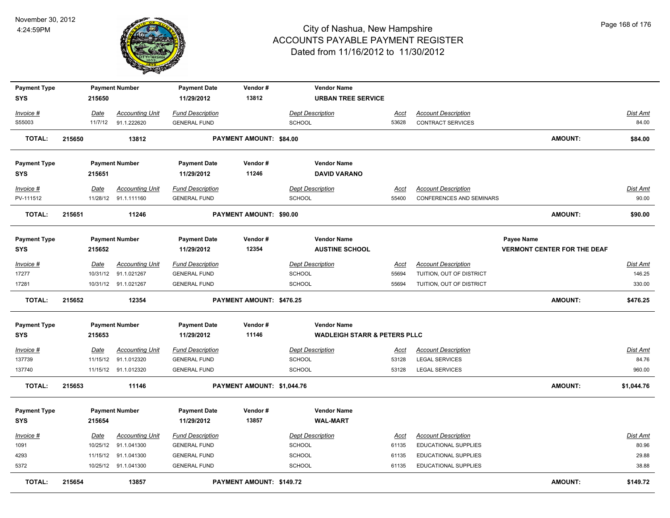

| <b>Payment Type</b> |        |             | <b>Payment Number</b>  | <b>Payment Date</b>     | Vendor#                         | <b>Vendor Name</b>                      |             |                                 |                                    |                 |
|---------------------|--------|-------------|------------------------|-------------------------|---------------------------------|-----------------------------------------|-------------|---------------------------------|------------------------------------|-----------------|
| <b>SYS</b>          |        | 215650      |                        | 11/29/2012              | 13812                           | <b>URBAN TREE SERVICE</b>               |             |                                 |                                    |                 |
| Invoice #           |        | Date        | <b>Accounting Unit</b> | <b>Fund Description</b> |                                 | <b>Dept Description</b>                 | Acct        | <b>Account Description</b>      |                                    | Dist Amt        |
| S55003              |        | 11/7/12     | 91.1.222620            | <b>GENERAL FUND</b>     |                                 | SCHOOL                                  | 53628       | <b>CONTRACT SERVICES</b>        |                                    | 84.00           |
| TOTAL:              | 215650 |             | 13812                  |                         | PAYMENT AMOUNT: \$84.00         |                                         |             |                                 | AMOUNT:                            | \$84.00         |
| <b>Payment Type</b> |        |             | <b>Payment Number</b>  | <b>Payment Date</b>     | Vendor#                         | <b>Vendor Name</b>                      |             |                                 |                                    |                 |
| <b>SYS</b>          |        | 215651      |                        | 11/29/2012              | 11246                           | <b>DAVID VARANO</b>                     |             |                                 |                                    |                 |
| $Invoice$ #         |        | Date        | <b>Accounting Unit</b> | <b>Fund Description</b> |                                 | <b>Dept Description</b>                 | <b>Acct</b> | <b>Account Description</b>      |                                    | Dist Amt        |
| PV-111512           |        |             | 11/28/12 91.1.111160   | <b>GENERAL FUND</b>     |                                 | SCHOOL                                  | 55400       | <b>CONFERENCES AND SEMINARS</b> |                                    | 90.00           |
| <b>TOTAL:</b>       | 215651 |             | 11246                  |                         | PAYMENT AMOUNT: \$90.00         |                                         |             |                                 | <b>AMOUNT:</b>                     | \$90.00         |
| <b>Payment Type</b> |        |             | <b>Payment Number</b>  | <b>Payment Date</b>     | Vendor#                         | <b>Vendor Name</b>                      |             |                                 | Payee Name                         |                 |
| <b>SYS</b>          |        | 215652      |                        | 11/29/2012              | 12354                           | <b>AUSTINE SCHOOL</b>                   |             |                                 | <b>VERMONT CENTER FOR THE DEAF</b> |                 |
| Invoice #           |        | <u>Date</u> | <b>Accounting Unit</b> | <b>Fund Description</b> |                                 | <b>Dept Description</b>                 | <u>Acct</u> | <b>Account Description</b>      |                                    | <b>Dist Amt</b> |
| 17277               |        | 10/31/12    | 91.1.021267            | <b>GENERAL FUND</b>     |                                 | SCHOOL                                  | 55694       | TUITION, OUT OF DISTRICT        |                                    | 146.25          |
| 17281               |        |             | 10/31/12 91.1.021267   | <b>GENERAL FUND</b>     |                                 | SCHOOL                                  | 55694       | TUITION, OUT OF DISTRICT        |                                    | 330.00          |
| <b>TOTAL:</b>       | 215652 |             | 12354                  |                         | <b>PAYMENT AMOUNT: \$476.25</b> |                                         |             |                                 | AMOUNT:                            | \$476.25        |
| <b>Payment Type</b> |        |             | <b>Payment Number</b>  | <b>Payment Date</b>     | Vendor#                         | <b>Vendor Name</b>                      |             |                                 |                                    |                 |
| SYS                 |        | 215653      |                        | 11/29/2012              | 11146                           | <b>WADLEIGH STARR &amp; PETERS PLLC</b> |             |                                 |                                    |                 |
| $Invoice$ #         |        | Date        | <b>Accounting Unit</b> | <b>Fund Description</b> |                                 | <b>Dept Description</b>                 | <u>Acct</u> | <b>Account Description</b>      |                                    | <b>Dist Amt</b> |
| 137739              |        | 11/15/12    | 91.1.012320            | <b>GENERAL FUND</b>     |                                 | SCHOOL                                  | 53128       | <b>LEGAL SERVICES</b>           |                                    | 84.76           |
| 137740              |        |             | 11/15/12 91.1.012320   | <b>GENERAL FUND</b>     |                                 | <b>SCHOOL</b>                           | 53128       | <b>LEGAL SERVICES</b>           |                                    | 960.00          |
| <b>TOTAL:</b>       | 215653 |             | 11146                  |                         | PAYMENT AMOUNT: \$1,044.76      |                                         |             |                                 | AMOUNT:                            | \$1,044.76      |
| <b>Payment Type</b> |        |             | <b>Payment Number</b>  | <b>Payment Date</b>     | Vendor#                         | <b>Vendor Name</b>                      |             |                                 |                                    |                 |
| <b>SYS</b>          |        | 215654      |                        | 11/29/2012              | 13857                           | <b>WAL-MART</b>                         |             |                                 |                                    |                 |
| Invoice #           |        | Date        | <b>Accounting Unit</b> | <b>Fund Description</b> |                                 | <b>Dept Description</b>                 | <u>Acct</u> | <b>Account Description</b>      |                                    | Dist Amt        |
| 1091                |        | 10/25/12    | 91.1.041300            | <b>GENERAL FUND</b>     |                                 | SCHOOL                                  | 61135       | <b>EDUCATIONAL SUPPLIES</b>     |                                    | 80.96           |
| 4293                |        |             | 11/15/12 91.1.041300   | <b>GENERAL FUND</b>     |                                 | SCHOOL                                  | 61135       | EDUCATIONAL SUPPLIES            |                                    | 29.88           |
| 5372                |        |             | 10/25/12 91.1.041300   | <b>GENERAL FUND</b>     |                                 | <b>SCHOOL</b>                           | 61135       | EDUCATIONAL SUPPLIES            |                                    | 38.88           |
| <b>TOTAL:</b>       | 215654 |             | 13857                  |                         | PAYMENT AMOUNT: \$149.72        |                                         |             |                                 | <b>AMOUNT:</b>                     | \$149.72        |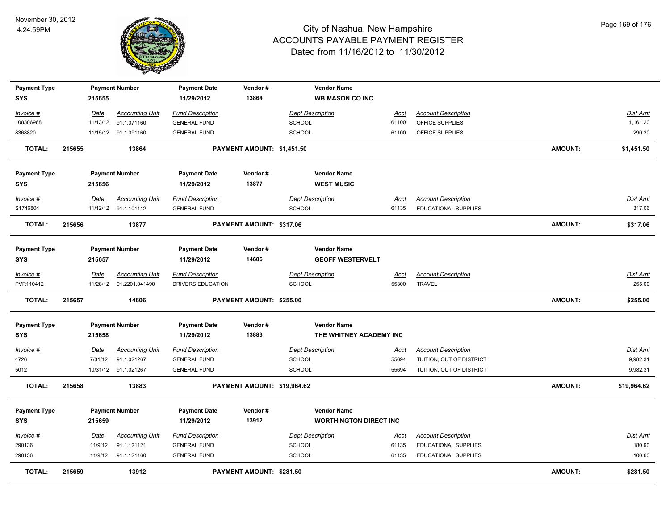

| <b>Payment Type</b>   |        |             | <b>Payment Number</b>                          | <b>Payment Date</b>                            | Vendor#                     |                                          | <b>Vendor Name</b>            |                      |                                                    |                |                           |
|-----------------------|--------|-------------|------------------------------------------------|------------------------------------------------|-----------------------------|------------------------------------------|-------------------------------|----------------------|----------------------------------------------------|----------------|---------------------------|
| <b>SYS</b>            |        | 215655      |                                                | 11/29/2012                                     | 13864                       |                                          | <b>WB MASON CO INC</b>        |                      |                                                    |                |                           |
| Invoice #             |        | <u>Date</u> | <b>Accounting Unit</b>                         | <b>Fund Description</b>                        |                             | <b>Dept Description</b>                  |                               | <u>Acct</u>          | <b>Account Description</b>                         |                | <b>Dist Amt</b>           |
| 108306968             |        |             | 11/13/12 91.1.071160                           | <b>GENERAL FUND</b>                            |                             | <b>SCHOOL</b>                            |                               | 61100                | OFFICE SUPPLIES                                    |                | 1,161.20                  |
| 8368820               |        |             | 11/15/12 91.1.091160                           | <b>GENERAL FUND</b>                            |                             | <b>SCHOOL</b>                            |                               | 61100                | OFFICE SUPPLIES                                    |                | 290.30                    |
|                       |        |             |                                                |                                                |                             |                                          |                               |                      |                                                    |                |                           |
| <b>TOTAL:</b>         | 215655 |             | 13864                                          |                                                | PAYMENT AMOUNT: \$1,451.50  |                                          |                               |                      |                                                    | <b>AMOUNT:</b> | \$1,451.50                |
| <b>Payment Type</b>   |        |             | <b>Payment Number</b>                          | <b>Payment Date</b>                            | Vendor#                     |                                          | <b>Vendor Name</b>            |                      |                                                    |                |                           |
| <b>SYS</b>            |        | 215656      |                                                | 11/29/2012                                     | 13877                       |                                          | <b>WEST MUSIC</b>             |                      |                                                    |                |                           |
| Invoice #<br>S1746804 |        | Date        | <b>Accounting Unit</b><br>11/12/12 91.1.101112 | <b>Fund Description</b><br><b>GENERAL FUND</b> |                             | <b>Dept Description</b><br><b>SCHOOL</b> |                               | <u>Acct</u><br>61135 | <b>Account Description</b><br>EDUCATIONAL SUPPLIES |                | <b>Dist Amt</b><br>317.06 |
| <b>TOTAL:</b>         | 215656 |             | 13877                                          |                                                | PAYMENT AMOUNT: \$317.06    |                                          |                               |                      |                                                    | <b>AMOUNT:</b> | \$317.06                  |
| <b>Payment Type</b>   |        |             | <b>Payment Number</b>                          | <b>Payment Date</b>                            | Vendor#                     |                                          | <b>Vendor Name</b>            |                      |                                                    |                |                           |
| <b>SYS</b>            |        | 215657      |                                                | 11/29/2012                                     | 14606                       |                                          | <b>GEOFF WESTERVELT</b>       |                      |                                                    |                |                           |
| Invoice #             |        | Date        | <b>Accounting Unit</b>                         | <b>Fund Description</b>                        |                             | <b>Dept Description</b>                  |                               | Acct                 | <b>Account Description</b>                         |                | <b>Dist Amt</b>           |
| PVR110412             |        |             | 11/28/12 91.2201.041490                        | DRIVERS EDUCATION                              |                             | <b>SCHOOL</b>                            |                               | 55300                | TRAVEL                                             |                | 255.00                    |
| <b>TOTAL:</b>         | 215657 |             | 14606                                          |                                                | PAYMENT AMOUNT: \$255.00    |                                          |                               |                      |                                                    | <b>AMOUNT:</b> | \$255.00                  |
| <b>Payment Type</b>   |        |             | <b>Payment Number</b>                          | <b>Payment Date</b>                            | Vendor#                     |                                          | <b>Vendor Name</b>            |                      |                                                    |                |                           |
| <b>SYS</b>            |        | 215658      |                                                | 11/29/2012                                     | 13883                       |                                          | THE WHITNEY ACADEMY INC       |                      |                                                    |                |                           |
| Invoice #             |        | <u>Date</u> | <b>Accounting Unit</b>                         | <b>Fund Description</b>                        |                             | <b>Dept Description</b>                  |                               | <u>Acct</u>          | <b>Account Description</b>                         |                | <b>Dist Amt</b>           |
| 4726                  |        | 7/31/12     | 91.1.021267                                    | <b>GENERAL FUND</b>                            |                             | SCHOOL                                   |                               | 55694                | TUITION, OUT OF DISTRICT                           |                | 9,982.31                  |
| 5012                  |        |             | 10/31/12 91.1.021267                           | <b>GENERAL FUND</b>                            |                             | <b>SCHOOL</b>                            |                               | 55694                | TUITION, OUT OF DISTRICT                           |                | 9,982.31                  |
| TOTAL:                | 215658 |             | 13883                                          |                                                | PAYMENT AMOUNT: \$19,964.62 |                                          |                               |                      |                                                    | <b>AMOUNT:</b> | \$19,964.62               |
|                       |        |             |                                                |                                                |                             |                                          |                               |                      |                                                    |                |                           |
| <b>Payment Type</b>   |        |             | <b>Payment Number</b>                          | <b>Payment Date</b>                            | Vendor#                     |                                          | <b>Vendor Name</b>            |                      |                                                    |                |                           |
| <b>SYS</b>            |        | 215659      |                                                | 11/29/2012                                     | 13912                       |                                          | <b>WORTHINGTON DIRECT INC</b> |                      |                                                    |                |                           |
| Invoice #             |        | Date        | <b>Accounting Unit</b>                         | <b>Fund Description</b>                        |                             | <b>Dept Description</b>                  |                               | <u>Acct</u>          | <b>Account Description</b>                         |                | Dist Amt                  |
| 290136                |        | 11/9/12     | 91.1.121121                                    | <b>GENERAL FUND</b>                            |                             | SCHOOL                                   |                               | 61135                | EDUCATIONAL SUPPLIES                               |                | 180.90                    |
| 290136                |        | 11/9/12     | 91.1.121160                                    | <b>GENERAL FUND</b>                            |                             | <b>SCHOOL</b>                            |                               | 61135                | <b>EDUCATIONAL SUPPLIES</b>                        |                | 100.60                    |
| TOTAL:                | 215659 |             | 13912                                          |                                                | PAYMENT AMOUNT: \$281.50    |                                          |                               |                      |                                                    | <b>AMOUNT:</b> | \$281.50                  |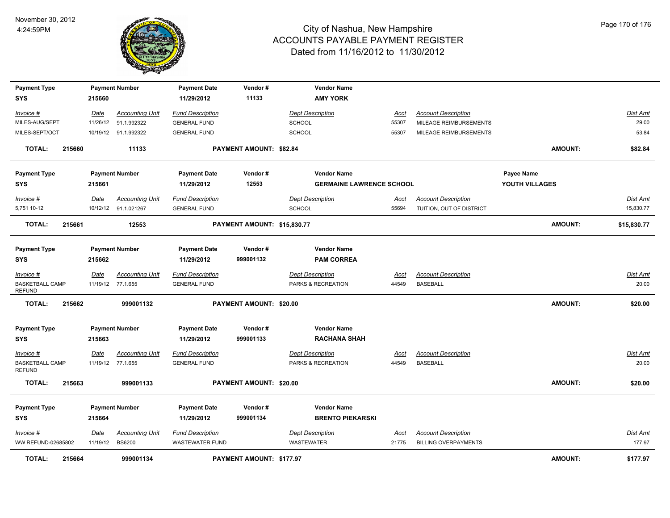

| <b>Payment Type</b>                                  |        |                  | <b>Payment Number</b>                          | <b>Payment Date</b>                               | Vendor#                        | <b>Vendor Name</b>                            |                      |                                                           |                |                       |
|------------------------------------------------------|--------|------------------|------------------------------------------------|---------------------------------------------------|--------------------------------|-----------------------------------------------|----------------------|-----------------------------------------------------------|----------------|-----------------------|
| SYS                                                  |        | 215660           |                                                | 11/29/2012                                        | 11133                          | <b>AMY YORK</b>                               |                      |                                                           |                |                       |
| Invoice #                                            |        | <u>Date</u>      | <b>Accounting Unit</b>                         | <b>Fund Description</b>                           |                                | <b>Dept Description</b>                       | Acct                 | <b>Account Description</b>                                |                | <b>Dist Amt</b>       |
| MILES-AUG/SEPT                                       |        |                  | 11/26/12 91.1.992322                           | <b>GENERAL FUND</b>                               |                                | <b>SCHOOL</b>                                 | 55307                | MILEAGE REIMBURSEMENTS                                    |                | 29.00                 |
| MILES-SEPT/OCT                                       |        |                  | 10/19/12 91.1.992322                           | <b>GENERAL FUND</b>                               |                                | SCHOOL                                        | 55307                | MILEAGE REIMBURSEMENTS                                    |                | 53.84                 |
| <b>TOTAL:</b>                                        | 215660 |                  | 11133                                          |                                                   | PAYMENT AMOUNT: \$82.84        |                                               |                      |                                                           | <b>AMOUNT:</b> | \$82.84               |
| <b>Payment Type</b>                                  |        |                  | <b>Payment Number</b>                          | <b>Payment Date</b>                               | Vendor#                        | <b>Vendor Name</b>                            |                      |                                                           | Payee Name     |                       |
| <b>SYS</b>                                           |        | 215661           |                                                | 11/29/2012                                        | 12553                          | <b>GERMAINE LAWRENCE SCHOOL</b>               |                      |                                                           | YOUTH VILLAGES |                       |
| Invoice #<br>5,751 10-12                             |        | Date             | <b>Accounting Unit</b><br>10/12/12 91.1.021267 | <b>Fund Description</b><br><b>GENERAL FUND</b>    |                                | <b>Dept Description</b><br>SCHOOL             | Acct<br>55694        | <b>Account Description</b><br>TUITION, OUT OF DISTRICT    |                | Dist Amt<br>15,830.77 |
| <b>TOTAL:</b>                                        | 215661 |                  | 12553                                          |                                                   | PAYMENT AMOUNT: \$15,830.77    |                                               |                      |                                                           | <b>AMOUNT:</b> | \$15,830.77           |
| <b>Payment Type</b><br>SYS                           |        | 215662           | <b>Payment Number</b>                          | <b>Payment Date</b><br>11/29/2012                 | Vendor#<br>999001132           | <b>Vendor Name</b><br><b>PAM CORREA</b>       |                      |                                                           |                |                       |
| Invoice #<br><b>BASKETBALL CAMP</b><br><b>REFUND</b> |        | Date             | <b>Accounting Unit</b><br>11/19/12 77.1.655    | <b>Fund Description</b><br><b>GENERAL FUND</b>    |                                | <b>Dept Description</b><br>PARKS & RECREATION | <u>Acct</u><br>44549 | <b>Account Description</b><br><b>BASEBALL</b>             |                | Dist Amt<br>20.00     |
| <b>TOTAL:</b>                                        | 215662 |                  | 999001132                                      |                                                   | PAYMENT AMOUNT: \$20.00        |                                               |                      |                                                           | <b>AMOUNT:</b> | \$20.00               |
| <b>Payment Type</b><br><b>SYS</b>                    |        | 215663           | <b>Payment Number</b>                          | <b>Payment Date</b><br>11/29/2012                 | Vendor#<br>999001133           | <b>Vendor Name</b><br><b>RACHANA SHAH</b>     |                      |                                                           |                |                       |
| Invoice #<br><b>BASKETBALL CAMP</b><br><b>REFUND</b> |        | Date             | <b>Accounting Unit</b><br>11/19/12 77.1.655    | <b>Fund Description</b><br><b>GENERAL FUND</b>    |                                | <b>Dept Description</b><br>PARKS & RECREATION | <u>Acct</u><br>44549 | <b>Account Description</b><br><b>BASEBALL</b>             |                | Dist Amt<br>20.00     |
| <b>TOTAL:</b>                                        | 215663 |                  | 999001133                                      |                                                   | <b>PAYMENT AMOUNT: \$20.00</b> |                                               |                      |                                                           | <b>AMOUNT:</b> | \$20.00               |
| <b>Payment Type</b><br><b>SYS</b>                    |        | 215664           | <b>Payment Number</b>                          | <b>Payment Date</b><br>11/29/2012                 | Vendor#<br>999001134           | <b>Vendor Name</b><br><b>BRENTO PIEKARSKI</b> |                      |                                                           |                |                       |
| Invoice #<br>WW REFUND-02685802                      |        | Date<br>11/19/12 | <b>Accounting Unit</b><br><b>BS6200</b>        | <b>Fund Description</b><br><b>WASTEWATER FUND</b> |                                | <b>Dept Description</b><br><b>WASTEWATER</b>  | Acct<br>21775        | <b>Account Description</b><br><b>BILLING OVERPAYMENTS</b> |                | Dist Amt<br>177.97    |
| <b>TOTAL:</b>                                        | 215664 |                  | 999001134                                      |                                                   | PAYMENT AMOUNT: \$177.97       |                                               |                      |                                                           | <b>AMOUNT:</b> | \$177.97              |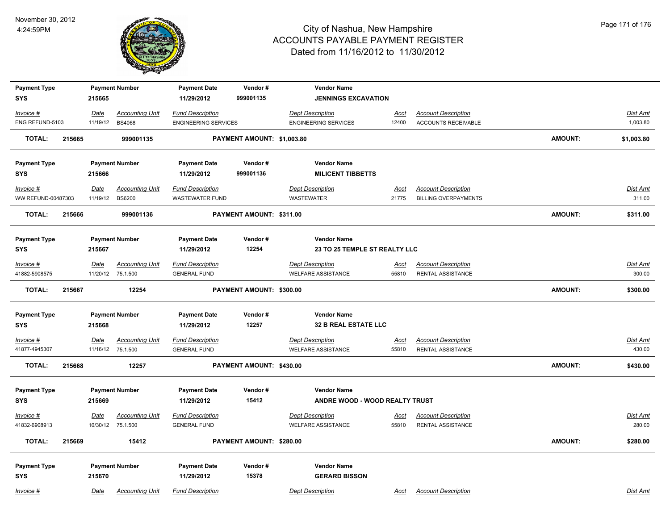

| <b>Payment Type</b><br><b>SYS</b> |        | 215665      | <b>Payment Number</b>  | <b>Payment Date</b><br>11/29/2012 | Vendor#<br>999001135       | <b>Vendor Name</b><br><b>JENNINGS EXCAVATION</b> |             |                             |                |                 |
|-----------------------------------|--------|-------------|------------------------|-----------------------------------|----------------------------|--------------------------------------------------|-------------|-----------------------------|----------------|-----------------|
|                                   |        |             |                        |                                   |                            |                                                  |             |                             |                |                 |
| Invoice #                         |        | Date        | <b>Accounting Unit</b> | <b>Fund Description</b>           |                            | <b>Dept Description</b>                          | <u>Acct</u> | <b>Account Description</b>  |                | Dist Amt        |
| ENG REFUND-5103                   |        | 11/19/12    | <b>BS4068</b>          | <b>ENGINEERING SERVICES</b>       |                            | <b>ENGINEERING SERVICES</b>                      | 12400       | ACCOUNTS RECEIVABLE         |                | 1,003.80        |
| <b>TOTAL:</b>                     | 215665 |             | 999001135              |                                   | PAYMENT AMOUNT: \$1,003.80 |                                                  |             |                             | <b>AMOUNT:</b> | \$1,003.80      |
| <b>Payment Type</b>               |        |             | <b>Payment Number</b>  | <b>Payment Date</b>               | Vendor#                    | <b>Vendor Name</b>                               |             |                             |                |                 |
| <b>SYS</b>                        |        | 215666      |                        | 11/29/2012                        | 999001136                  | <b>MILICENT TIBBETTS</b>                         |             |                             |                |                 |
| Invoice #                         |        | <u>Date</u> | <b>Accounting Unit</b> | <b>Fund Description</b>           |                            | <b>Dept Description</b>                          | <u>Acct</u> | <b>Account Description</b>  |                | <b>Dist Amt</b> |
| WW REFUND-00487303                |        | 11/19/12    | <b>BS6200</b>          | <b>WASTEWATER FUND</b>            |                            | <b>WASTEWATER</b>                                | 21775       | <b>BILLING OVERPAYMENTS</b> |                | 311.00          |
| TOTAL:                            | 215666 |             | 999001136              |                                   | PAYMENT AMOUNT: \$311.00   |                                                  |             |                             | <b>AMOUNT:</b> | \$311.00        |
| <b>Payment Type</b>               |        |             | <b>Payment Number</b>  | <b>Payment Date</b>               | Vendor#                    | <b>Vendor Name</b>                               |             |                             |                |                 |
| <b>SYS</b>                        |        | 215667      |                        | 11/29/2012                        | 12254                      | 23 TO 25 TEMPLE ST REALTY LLC                    |             |                             |                |                 |
| Invoice #                         |        | Date        | <b>Accounting Unit</b> | <b>Fund Description</b>           |                            | <b>Dept Description</b>                          | Acct        | <b>Account Description</b>  |                | Dist Amt        |
| 41882-5908575                     |        |             | 11/20/12 75.1.500      | <b>GENERAL FUND</b>               |                            | <b>WELFARE ASSISTANCE</b>                        | 55810       | <b>RENTAL ASSISTANCE</b>    |                | 300.00          |
|                                   |        |             |                        |                                   |                            |                                                  |             |                             |                |                 |
| <b>TOTAL:</b>                     | 215667 |             | 12254                  |                                   | PAYMENT AMOUNT: \$300.00   |                                                  |             |                             | <b>AMOUNT:</b> | \$300.00        |
|                                   |        |             |                        |                                   |                            |                                                  |             |                             |                |                 |
| <b>Payment Type</b>               |        |             | <b>Payment Number</b>  | <b>Payment Date</b>               | Vendor#                    | <b>Vendor Name</b>                               |             |                             |                |                 |
| <b>SYS</b>                        |        | 215668      |                        | 11/29/2012                        | 12257                      | <b>32 B REAL ESTATE LLC</b>                      |             |                             |                |                 |
| $Invoice$ #                       |        | <u>Date</u> | <b>Accounting Unit</b> | <b>Fund Description</b>           |                            | <b>Dept Description</b>                          | <u>Acct</u> | <b>Account Description</b>  |                | <b>Dist Amt</b> |
| 41877-4945307                     |        |             | 11/16/12 75.1.500      | <b>GENERAL FUND</b>               |                            | <b>WELFARE ASSISTANCE</b>                        | 55810       | RENTAL ASSISTANCE           |                | 430.00          |
| <b>TOTAL:</b>                     | 215668 |             | 12257                  |                                   | PAYMENT AMOUNT: \$430.00   |                                                  |             |                             | <b>AMOUNT:</b> | \$430.00        |
| <b>Payment Type</b>               |        |             | <b>Payment Number</b>  | <b>Payment Date</b>               | Vendor#                    | <b>Vendor Name</b>                               |             |                             |                |                 |
| <b>SYS</b>                        |        | 215669      |                        | 11/29/2012                        | 15412                      | ANDRE WOOD - WOOD REALTY TRUST                   |             |                             |                |                 |
| Invoice #                         |        | Date        | <b>Accounting Unit</b> | <b>Fund Description</b>           |                            | <b>Dept Description</b>                          | <u>Acct</u> | <b>Account Description</b>  |                | Dist Amt        |
| 41832-6908913                     |        |             | 10/30/12 75.1.500      | <b>GENERAL FUND</b>               |                            | <b>WELFARE ASSISTANCE</b>                        | 55810       | RENTAL ASSISTANCE           |                | 280.00          |
|                                   |        |             |                        |                                   |                            |                                                  |             |                             |                |                 |
| <b>TOTAL:</b>                     | 215669 |             | 15412                  |                                   | PAYMENT AMOUNT: \$280.00   |                                                  |             |                             | AMOUNT:        | \$280.00        |
|                                   |        |             |                        |                                   |                            |                                                  |             |                             |                |                 |
| <b>Payment Type</b>               |        |             | <b>Payment Number</b>  | <b>Payment Date</b>               | Vendor#                    | <b>Vendor Name</b>                               |             |                             |                |                 |
| <b>SYS</b>                        |        | 215670      |                        | 11/29/2012                        | 15378                      | <b>GERARD BISSON</b>                             |             |                             |                |                 |
| Invoice #                         |        | Date        | <b>Accounting Unit</b> | <b>Fund Description</b>           |                            | <b>Dept Description</b>                          | Acct        | <b>Account Description</b>  |                | Dist Amt        |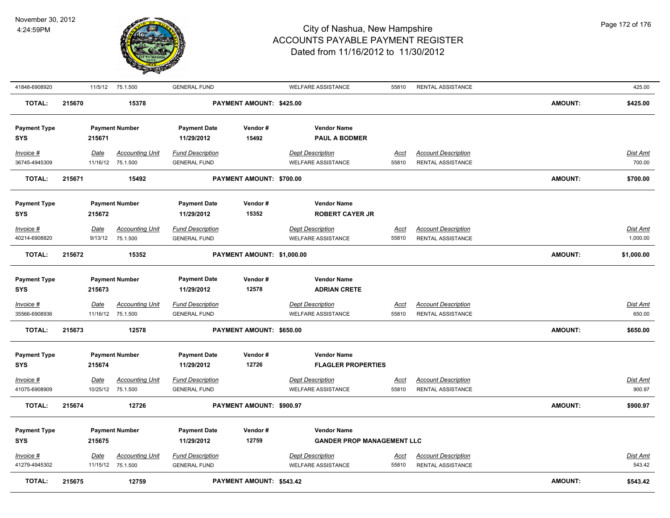

| 41848-6908920              |        |          | 11/5/12 75.1.500                            | <b>GENERAL FUND</b>                            |                            | <b>WELFARE ASSISTANCE</b>                     | 55810                | RENTAL ASSISTANCE                               |                | 425.00                    |
|----------------------------|--------|----------|---------------------------------------------|------------------------------------------------|----------------------------|-----------------------------------------------|----------------------|-------------------------------------------------|----------------|---------------------------|
| <b>TOTAL:</b>              | 215670 |          | 15378                                       |                                                | PAYMENT AMOUNT: \$425.00   |                                               |                      |                                                 | <b>AMOUNT:</b> | \$425.00                  |
| <b>Payment Type</b><br>SYS |        | 215671   | <b>Payment Number</b>                       | <b>Payment Date</b><br>11/29/2012              | Vendor#<br>15492           | <b>Vendor Name</b><br><b>PAUL A BODMER</b>    |                      |                                                 |                |                           |
|                            |        |          |                                             |                                                |                            |                                               |                      |                                                 |                |                           |
| Invoice #                  |        | Date     | <b>Accounting Unit</b>                      | <b>Fund Description</b>                        |                            | <b>Dept Description</b>                       | <b>Acct</b>          | <b>Account Description</b>                      |                | Dist Amt                  |
| 36745-4945309              |        |          | 11/16/12 75.1.500                           | <b>GENERAL FUND</b>                            |                            | <b>WELFARE ASSISTANCE</b>                     | 55810                | RENTAL ASSISTANCE                               |                | 700.00                    |
| <b>TOTAL:</b>              | 215671 |          | 15492                                       |                                                | PAYMENT AMOUNT: \$700.00   |                                               |                      |                                                 | AMOUNT:        | \$700.00                  |
| <b>Payment Type</b>        |        |          | <b>Payment Number</b>                       | <b>Payment Date</b>                            | Vendor#                    | <b>Vendor Name</b>                            |                      |                                                 |                |                           |
| <b>SYS</b>                 |        | 215672   |                                             | 11/29/2012                                     | 15352                      | <b>ROBERT CAYER JR</b>                        |                      |                                                 |                |                           |
| Invoice #                  |        | Date     | <b>Accounting Unit</b>                      | <b>Fund Description</b>                        |                            | <b>Dept Description</b>                       | <u>Acct</u>          | <b>Account Description</b>                      |                | Dist Amt                  |
| 40214-6908820              |        | 9/13/12  | 75.1.500                                    | <b>GENERAL FUND</b>                            |                            | <b>WELFARE ASSISTANCE</b>                     | 55810                | RENTAL ASSISTANCE                               |                | 1,000.00                  |
| <b>TOTAL:</b>              | 215672 |          | 15352                                       |                                                | PAYMENT AMOUNT: \$1,000.00 |                                               |                      |                                                 | AMOUNT:        | \$1,000.00                |
|                            |        |          |                                             |                                                |                            |                                               |                      |                                                 |                |                           |
| <b>Payment Type</b>        |        |          | <b>Payment Number</b>                       | <b>Payment Date</b><br>11/29/2012              | Vendor#<br>12578           | <b>Vendor Name</b><br><b>ADRIAN CRETE</b>     |                      |                                                 |                |                           |
| <b>SYS</b>                 |        | 215673   |                                             |                                                |                            |                                               |                      |                                                 |                |                           |
| Invoice #                  |        | Date     | <b>Accounting Unit</b>                      | <b>Fund Description</b>                        |                            | <b>Dept Description</b>                       | <u>Acct</u>          | <b>Account Description</b>                      |                | <b>Dist Amt</b>           |
| 35566-6908936              |        |          | 11/16/12 75.1.500                           | <b>GENERAL FUND</b>                            |                            | <b>WELFARE ASSISTANCE</b>                     | 55810                | RENTAL ASSISTANCE                               |                | 650.00                    |
| <b>TOTAL:</b>              | 215673 |          | 12578                                       |                                                | PAYMENT AMOUNT: \$650.00   |                                               |                      |                                                 | <b>AMOUNT:</b> | \$650.00                  |
| <b>Payment Type</b>        |        |          | <b>Payment Number</b>                       | <b>Payment Date</b>                            | Vendor#                    | <b>Vendor Name</b>                            |                      |                                                 |                |                           |
| <b>SYS</b>                 |        | 215674   |                                             | 11/29/2012                                     | 12726                      | <b>FLAGLER PROPERTIES</b>                     |                      |                                                 |                |                           |
| Invoice #                  |        | Date     | <b>Accounting Unit</b>                      | <b>Fund Description</b>                        |                            | <b>Dept Description</b>                       | <u>Acct</u>          | <b>Account Description</b>                      |                | Dist Amt                  |
| 41075-6908909              |        | 10/25/12 | 75.1.500                                    | <b>GENERAL FUND</b>                            |                            | <b>WELFARE ASSISTANCE</b>                     | 55810                | <b>RENTAL ASSISTANCE</b>                        |                | 900.97                    |
| <b>TOTAL:</b>              | 215674 |          | 12726                                       |                                                | PAYMENT AMOUNT: \$900.97   |                                               |                      |                                                 | <b>AMOUNT:</b> | \$900.97                  |
| <b>Payment Type</b>        |        |          | <b>Payment Number</b>                       | <b>Payment Date</b>                            | Vendor#                    | <b>Vendor Name</b>                            |                      |                                                 |                |                           |
| SYS                        |        | 215675   |                                             | 11/29/2012                                     | 12759                      | <b>GANDER PROP MANAGEMENT LLC</b>             |                      |                                                 |                |                           |
|                            |        |          |                                             |                                                |                            |                                               |                      |                                                 |                |                           |
| Invoice #<br>41279-4945302 |        | Date     | <b>Accounting Unit</b><br>11/15/12 75.1.500 | <b>Fund Description</b><br><b>GENERAL FUND</b> |                            | <b>Dept Description</b><br>WELFARE ASSISTANCE | <u>Acct</u><br>55810 | <b>Account Description</b><br>RENTAL ASSISTANCE |                | <u>Dist Amt</u><br>543.42 |
|                            |        |          |                                             |                                                |                            |                                               |                      |                                                 |                |                           |
| <b>TOTAL:</b>              | 215675 |          | 12759                                       |                                                | PAYMENT AMOUNT: \$543.42   |                                               |                      |                                                 | <b>AMOUNT:</b> | \$543.42                  |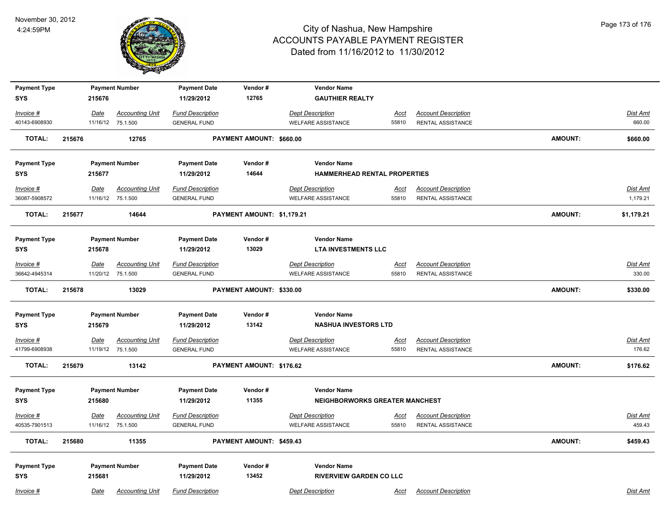

| <b>Payment Type</b> |        |             | <b>Payment Number</b>  | <b>Payment Date</b>     | Vendor#                    | <b>Vendor Name</b>                    |             |                            |                |                 |
|---------------------|--------|-------------|------------------------|-------------------------|----------------------------|---------------------------------------|-------------|----------------------------|----------------|-----------------|
| <b>SYS</b>          |        | 215676      |                        | 11/29/2012              | 12765                      | <b>GAUTHIER REALTY</b>                |             |                            |                |                 |
| Invoice #           |        | Date        | <b>Accounting Unit</b> | <b>Fund Description</b> |                            | <b>Dept Description</b>               | Acct        | <b>Account Description</b> |                | Dist Amt        |
| 40143-6908930       |        |             | 11/16/12 75.1.500      | <b>GENERAL FUND</b>     |                            | <b>WELFARE ASSISTANCE</b>             | 55810       | RENTAL ASSISTANCE          |                | 660.00          |
| <b>TOTAL:</b>       | 215676 |             | 12765                  |                         | PAYMENT AMOUNT: \$660.00   |                                       |             |                            | <b>AMOUNT:</b> | \$660.00        |
| <b>Payment Type</b> |        |             | <b>Payment Number</b>  | <b>Payment Date</b>     | Vendor#                    | <b>Vendor Name</b>                    |             |                            |                |                 |
| <b>SYS</b>          |        | 215677      |                        | 11/29/2012              | 14644                      | HAMMERHEAD RENTAL PROPERTIES          |             |                            |                |                 |
| Invoice #           |        | Date        | <b>Accounting Unit</b> | <b>Fund Description</b> |                            | <b>Dept Description</b>               | Acct        | <b>Account Description</b> |                | Dist Amt        |
| 36087-5908572       |        |             | 11/16/12 75.1.500      | <b>GENERAL FUND</b>     |                            | <b>WELFARE ASSISTANCE</b>             | 55810       | <b>RENTAL ASSISTANCE</b>   |                | 1,179.21        |
| <b>TOTAL:</b>       | 215677 |             | 14644                  |                         | PAYMENT AMOUNT: \$1,179.21 |                                       |             |                            | AMOUNT:        | \$1,179.21      |
| <b>Payment Type</b> |        |             | <b>Payment Number</b>  | <b>Payment Date</b>     | Vendor#                    | <b>Vendor Name</b>                    |             |                            |                |                 |
| <b>SYS</b>          |        | 215678      |                        | 11/29/2012              | 13029                      | <b>LTA INVESTMENTS LLC</b>            |             |                            |                |                 |
| $Invoice$ #         |        | Date        | <b>Accounting Unit</b> | <b>Fund Description</b> |                            | <b>Dept Description</b>               | <u>Acct</u> | <b>Account Description</b> |                | Dist Amt        |
| 36642-4945314       |        | 11/20/12    | 75.1.500               | <b>GENERAL FUND</b>     |                            | <b>WELFARE ASSISTANCE</b>             | 55810       | RENTAL ASSISTANCE          |                | 330.00          |
| <b>TOTAL:</b>       | 215678 |             | 13029                  |                         | PAYMENT AMOUNT: \$330.00   |                                       |             |                            | AMOUNT:        | \$330.00        |
| <b>Payment Type</b> |        |             | <b>Payment Number</b>  | <b>Payment Date</b>     | Vendor#                    | <b>Vendor Name</b>                    |             |                            |                |                 |
| <b>SYS</b>          |        | 215679      |                        | 11/29/2012              | 13142                      | <b>NASHUA INVESTORS LTD</b>           |             |                            |                |                 |
| Invoice #           |        | <u>Date</u> | <b>Accounting Unit</b> | <b>Fund Description</b> |                            | <b>Dept Description</b>               | <u>Acct</u> | <b>Account Description</b> |                | <b>Dist Amt</b> |
| 41799-6908938       |        |             | 11/19/12 75.1.500      | <b>GENERAL FUND</b>     |                            | <b>WELFARE ASSISTANCE</b>             | 55810       | RENTAL ASSISTANCE          |                | 176.62          |
| <b>TOTAL:</b>       | 215679 |             | 13142                  |                         | PAYMENT AMOUNT: \$176.62   |                                       |             |                            | AMOUNT:        | \$176.62        |
| <b>Payment Type</b> |        |             | <b>Payment Number</b>  | <b>Payment Date</b>     | Vendor#                    | <b>Vendor Name</b>                    |             |                            |                |                 |
| <b>SYS</b>          |        | 215680      |                        | 11/29/2012              | 11355                      | <b>NEIGHBORWORKS GREATER MANCHEST</b> |             |                            |                |                 |
| $Invoice$ #         |        | Date        | <b>Accounting Unit</b> | <b>Fund Description</b> |                            | <b>Dept Description</b>               | <u>Acct</u> | <b>Account Description</b> |                | Dist Amt        |
| 40535-7901513       |        |             | 11/16/12 75.1.500      | <b>GENERAL FUND</b>     |                            | <b>WELFARE ASSISTANCE</b>             | 55810       | RENTAL ASSISTANCE          |                | 459.43          |
| TOTAL:              | 215680 |             | 11355                  |                         | PAYMENT AMOUNT: \$459.43   |                                       |             |                            | AMOUNT:        | \$459.43        |
| <b>Payment Type</b> |        |             | <b>Payment Number</b>  | <b>Payment Date</b>     | Vendor#                    | <b>Vendor Name</b>                    |             |                            |                |                 |
| <b>SYS</b>          |        | 215681      |                        | 11/29/2012              | 13452                      | <b>RIVERVIEW GARDEN CO LLC</b>        |             |                            |                |                 |
| Invoice #           |        | Date        | <b>Accounting Unit</b> | <b>Fund Description</b> |                            | <b>Dept Description</b>               | Acct        | <b>Account Description</b> |                | Dist Amt        |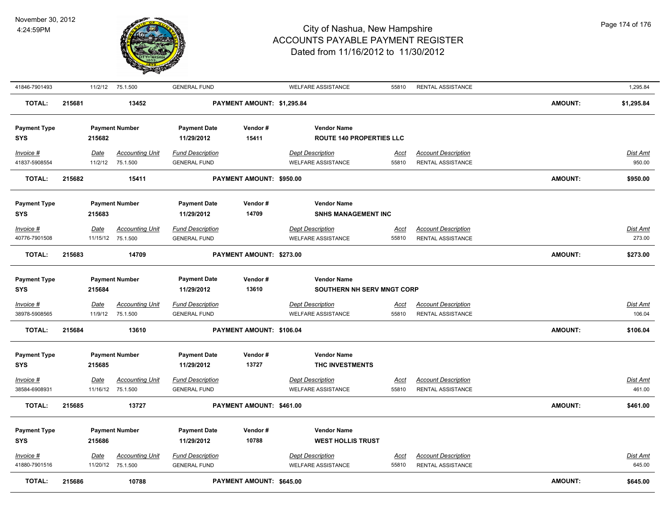

| 41846-7901493       |        | 11/2/12     | 75.1.500               | <b>GENERAL FUND</b>     |                            | <b>WELFARE ASSISTANCE</b>                            | 55810       | RENTAL ASSISTANCE                               |                | 1,295.84        |
|---------------------|--------|-------------|------------------------|-------------------------|----------------------------|------------------------------------------------------|-------------|-------------------------------------------------|----------------|-----------------|
| <b>TOTAL:</b>       | 215681 |             | 13452                  |                         | PAYMENT AMOUNT: \$1,295.84 |                                                      |             |                                                 | <b>AMOUNT:</b> | \$1,295.84      |
| <b>Payment Type</b> |        |             | <b>Payment Number</b>  | <b>Payment Date</b>     | Vendor#                    | <b>Vendor Name</b>                                   |             |                                                 |                |                 |
| SYS                 |        | 215682      |                        | 11/29/2012              | 15411                      | <b>ROUTE 140 PROPERTIES LLC</b>                      |             |                                                 |                |                 |
| Invoice #           |        | Date        | <b>Accounting Unit</b> | <b>Fund Description</b> |                            | <b>Dept Description</b>                              | <u>Acct</u> | <b>Account Description</b>                      |                | Dist Amt        |
| 41837-5908554       |        | 11/2/12     | 75.1.500               | <b>GENERAL FUND</b>     |                            | <b>WELFARE ASSISTANCE</b>                            | 55810       | RENTAL ASSISTANCE                               |                | 950.00          |
| <b>TOTAL:</b>       | 215682 |             | 15411                  |                         | PAYMENT AMOUNT: \$950.00   |                                                      |             |                                                 | <b>AMOUNT:</b> | \$950.00        |
| <b>Payment Type</b> |        |             | <b>Payment Number</b>  | <b>Payment Date</b>     | Vendor#                    | <b>Vendor Name</b>                                   |             |                                                 |                |                 |
| SYS                 |        | 215683      |                        | 11/29/2012              | 14709                      | <b>SNHS MANAGEMENT INC</b>                           |             |                                                 |                |                 |
| Invoice #           |        | Date        | <b>Accounting Unit</b> | <b>Fund Description</b> |                            | <b>Dept Description</b>                              | Acct        | <b>Account Description</b>                      |                | Dist Amt        |
| 40776-7901508       |        |             | 11/15/12 75.1.500      | <b>GENERAL FUND</b>     |                            | <b>WELFARE ASSISTANCE</b>                            | 55810       | RENTAL ASSISTANCE                               |                | 273.00          |
| <b>TOTAL:</b>       | 215683 |             | 14709                  |                         | PAYMENT AMOUNT: \$273.00   |                                                      |             |                                                 | <b>AMOUNT:</b> | \$273.00        |
| <b>Payment Type</b> |        |             | <b>Payment Number</b>  | <b>Payment Date</b>     | Vendor#                    | <b>Vendor Name</b>                                   |             |                                                 |                |                 |
| <b>SYS</b>          |        | 215684      |                        | 11/29/2012              | 13610                      | SOUTHERN NH SERV MNGT CORP                           |             |                                                 |                |                 |
| Invoice #           |        | Date        | <b>Accounting Unit</b> | <b>Fund Description</b> |                            | <b>Dept Description</b>                              | <u>Acct</u> | <b>Account Description</b>                      |                | Dist Amt        |
| 38978-5908565       |        | 11/9/12     | 75.1.500               | <b>GENERAL FUND</b>     |                            | <b>WELFARE ASSISTANCE</b>                            | 55810       | RENTAL ASSISTANCE                               |                | 106.04          |
| <b>TOTAL:</b>       | 215684 |             | 13610                  |                         | PAYMENT AMOUNT: \$106.04   |                                                      |             |                                                 | <b>AMOUNT:</b> | \$106.04        |
| <b>Payment Type</b> |        |             | <b>Payment Number</b>  | <b>Payment Date</b>     | Vendor#                    | <b>Vendor Name</b>                                   |             |                                                 |                |                 |
| SYS                 |        | 215685      |                        | 11/29/2012              | 13727                      | THC INVESTMENTS                                      |             |                                                 |                |                 |
| Invoice #           |        | Date        | <b>Accounting Unit</b> | <b>Fund Description</b> |                            | <b>Dept Description</b>                              | <u>Acct</u> | <b>Account Description</b>                      |                | <u>Dist Amt</u> |
| 38584-6908931       |        |             | 11/16/12 75.1.500      | <b>GENERAL FUND</b>     |                            | <b>WELFARE ASSISTANCE</b>                            | 55810       | RENTAL ASSISTANCE                               |                | 461.00          |
| <b>TOTAL:</b>       | 215685 |             | 13727                  |                         | PAYMENT AMOUNT: \$461.00   |                                                      |             |                                                 | <b>AMOUNT:</b> | \$461.00        |
| <b>Payment Type</b> |        |             | <b>Payment Number</b>  | <b>Payment Date</b>     | Vendor#                    | <b>Vendor Name</b>                                   |             |                                                 |                |                 |
| <b>SYS</b>          |        | 215686      |                        | 11/29/2012              | 10788                      | <b>WEST HOLLIS TRUST</b>                             |             |                                                 |                |                 |
|                     |        |             |                        |                         |                            |                                                      |             |                                                 |                |                 |
| Invoice #           |        | <u>Date</u> | <b>Accounting Unit</b> | <b>Fund Description</b> |                            | <b>Dept Description</b><br><b>WELFARE ASSISTANCE</b> | <u>Acct</u> | <b>Account Description</b><br>RENTAL ASSISTANCE |                | <u>Dist Amt</u> |
| 41880-7901516       |        |             | 11/20/12 75.1.500      | <b>GENERAL FUND</b>     |                            |                                                      | 55810       |                                                 |                | 645.00          |
| <b>TOTAL:</b>       | 215686 |             | 10788                  |                         | PAYMENT AMOUNT: \$645.00   |                                                      |             |                                                 | <b>AMOUNT:</b> | \$645.00        |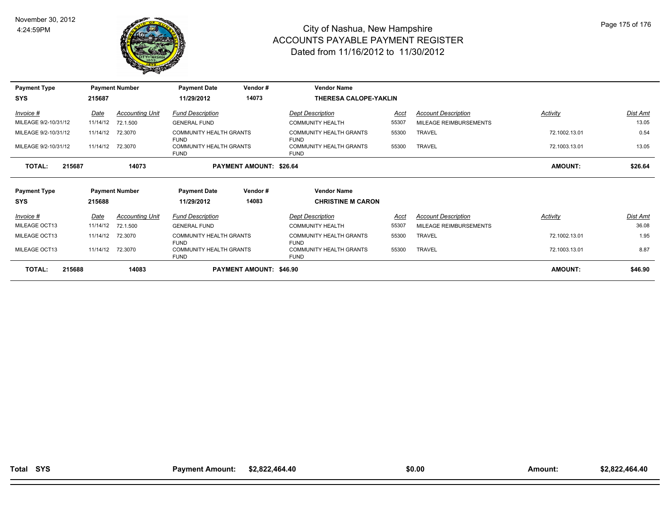

| <b>Payment Type</b>  |        |          | <b>Payment Number</b>  | <b>Payment Date</b>                           | Vendor#                        | <b>Vendor Name</b>                            |       |                            |                |          |
|----------------------|--------|----------|------------------------|-----------------------------------------------|--------------------------------|-----------------------------------------------|-------|----------------------------|----------------|----------|
| <b>SYS</b>           |        | 215687   |                        | 11/29/2012                                    | 14073                          | <b>THERESA CALOPE-YAKLIN</b>                  |       |                            |                |          |
| Invoice #            |        | Date     | <b>Accounting Unit</b> | <b>Fund Description</b>                       |                                | <b>Dept Description</b>                       | Acct  | <b>Account Description</b> | Activity       | Dist Amt |
| MILEAGE 9/2-10/31/12 |        | 11/14/12 | 72.1.500               | <b>GENERAL FUND</b>                           |                                | <b>COMMUNITY HEALTH</b>                       | 55307 | MILEAGE REIMBURSEMENTS     |                | 13.05    |
| MILEAGE 9/2-10/31/12 |        | 11/14/12 | 72.3070                | <b>COMMUNITY HEALTH GRANTS</b><br><b>FUND</b> |                                | <b>COMMUNITY HEALTH GRANTS</b><br><b>FUND</b> | 55300 | <b>TRAVEL</b>              | 72.1002.13.01  | 0.54     |
| MILEAGE 9/2-10/31/12 |        | 11/14/12 | 72.3070                | <b>COMMUNITY HEALTH GRANTS</b><br><b>FUND</b> |                                | <b>COMMUNITY HEALTH GRANTS</b><br><b>FUND</b> | 55300 | <b>TRAVEL</b>              | 72.1003.13.01  | 13.05    |
| <b>TOTAL:</b>        | 215687 |          | 14073                  |                                               | PAYMENT AMOUNT: \$26.64        |                                               |       |                            | <b>AMOUNT:</b> | \$26.64  |
| <b>Payment Type</b>  |        |          | <b>Payment Number</b>  | <b>Payment Date</b>                           | Vendor#                        | <b>Vendor Name</b>                            |       |                            |                |          |
| SYS                  |        | 215688   |                        | 11/29/2012                                    | 14083                          | <b>CHRISTINE M CARON</b>                      |       |                            |                |          |
| Invoice #            |        | Date     | <b>Accounting Unit</b> | <b>Fund Description</b>                       |                                | <b>Dept Description</b>                       | Acct  | <b>Account Description</b> | Activity       | Dist Amt |
| MILEAGE OCT13        |        | 11/14/12 | 72.1.500               | <b>GENERAL FUND</b>                           |                                | <b>COMMUNITY HEALTH</b>                       | 55307 | MILEAGE REIMBURSEMENTS     |                | 36.08    |
| MILEAGE OCT13        |        | 11/14/12 | 72.3070                | <b>COMMUNITY HEALTH GRANTS</b><br><b>FUND</b> |                                | <b>COMMUNITY HEALTH GRANTS</b><br><b>FUND</b> | 55300 | <b>TRAVEL</b>              | 72.1002.13.01  | 1.95     |
| MILEAGE OCT13        |        | 11/14/12 | 72.3070                | <b>COMMUNITY HEALTH GRANTS</b><br><b>FUND</b> |                                | <b>COMMUNITY HEALTH GRANTS</b><br><b>FUND</b> | 55300 | <b>TRAVEL</b>              | 72.1003.13.01  | 8.87     |
| <b>TOTAL:</b>        | 215688 |          | 14083                  |                                               | <b>PAYMENT AMOUNT: \$46.90</b> |                                               |       |                            | <b>AMOUNT:</b> | \$46.90  |